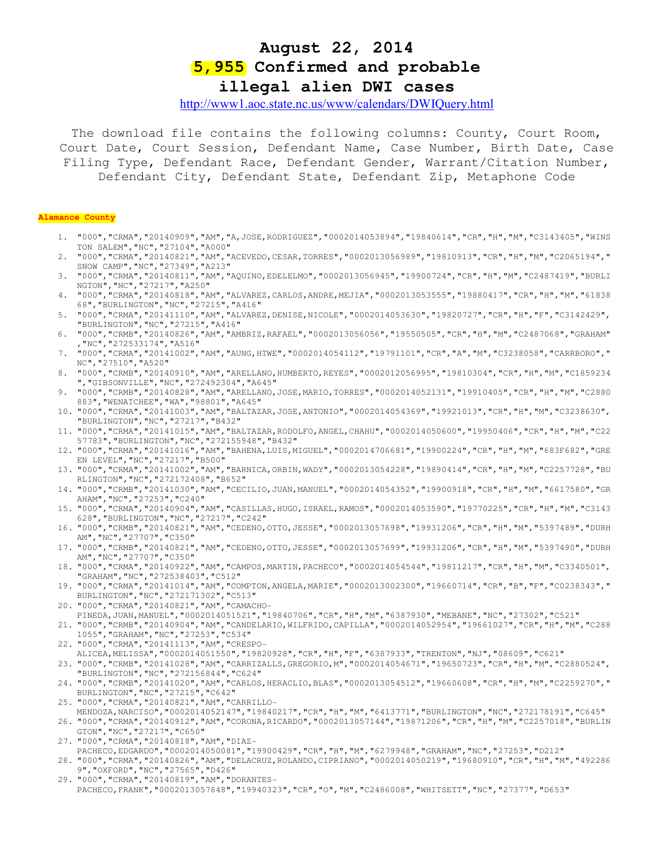# **August 22, 2014 5,955 Confirmed and probable illegal alien DWI cases**

# http://www1.aoc.state.nc.us/www/calendars/DWIQuery.html

The download file contains the following columns: County, Court Room, Court Date, Court Session, Defendant Name, Case Number, Birth Date, Case Filing Type, Defendant Race, Defendant Gender, Warrant/Citation Number, Defendant City, Defendant State, Defendant Zip, Metaphone Code

## **Alamance County**

- 1. "000","CRMA","20140909","AM","A,JOSE,RODRIGUEZ","0002014053894","19840614","CR","H","M","C3143405","WINS TON SALEM","NC","27104","A000"
- 2. "000","CRMA","20140821","AM","ACEVEDO,CESAR,TORRES","0002013056989","19810913","CR","H","M","C2065194"," SNOW CAMP","NC","27349","A213"
- 3. "000","CRMA","20140811","AM","AQUINO,EDELELMO","0002013056945","19900724","CR","H","M","C2487419","BURLI NGTON","NC","27217","A250"
- 4. "000","CRMA","20140818","AM","ALVAREZ,CARLOS,ANDRE,MEJIA","0002013053555","19880417","CR","H","M","61838 68","BURLINGTON","NC","27215","A416"
- 5. "000","CRMA","20141110","AM","ALVAREZ,DENISE,NICOLE","0002014053630","19820727","CR","H","F","C3142429", "BURLINGTON","NC","27215","A416"
- 6. "000","CRMB","20140826","AM","AMBRIZ,RAFAEL","0002013056056","19550505","CR","H","M","C2487068","GRAHAM" ,"NC","272533174","A516"
- 7. "000","CRMA","20141002","AM","AUNG,HTWE","0002014054112","19791101","CR","A","M","C3238058","CARRBORO"," NC","27510","A520"
- 8. "000","CRMB","20140910","AM","ARELLANO,HUMBERTO,REYES","0002012056995","19810304","CR","H","M","C1859234 ","GIBSONVILLE","NC","272492304","A645"
- 9. "000","CRMB","20140828","AM","ARELLANO,JOSE,MARIO,TORRES","0002014052131","19910405","CR","H","M","C2880 883","WENATCHEE","WA","98801","A645"
- 10. "000","CRMA","20141003","AM","BALTAZAR,JOSE,ANTONIO","0002014054369","19921013","CR","H","M","C3238630", "BURLINGTON","NC","27217","B432"
- 11. "000","CRMA","20141015","AM","BALTAZAR,RODOLFO,ANGEL,CHAHU","0002014050600","19950406","CR","H","M","C22 57783","BURLINGTON","NC","272155948","B432"
- 12. "000","CRMA","20141016","AM","BAHENA,LUIS,MIGUEL","0002014706681","19900224","CR","H","M","683F682","GRE EN LEVEL","NC","27217","B500"
- 13. "000","CRMA","20141002","AM","BARNICA,ORBIN,WADY","0002013054228","19890414","CR","H","M","C2257728","BU RLINGTON","NC","272172408","B652"
- 14. "000","CRMB","20141030","AM","CECILIO,JUAN,MANUEL","0002014054352","19900918","CR","H","M","6617580","GR AHAM","NC","27253","C240"
- 15. "000","CRMA","20140904","AM","CASILLAS,HUGO,ISRAEL,RAMOS","0002014053590","19770225","CR","H","M","C3143 628","BURLINGTON","NC","27217","C242"
- 16. "000","CRMB","20140821","AM","CEDENO,OTTO,JESSE","0002013057698","19931206","CR","H","M","5397489","DURH AM","NC","27707","C350"
- 17. "000","CRMB","20140821","AM","CEDENO,OTTO,JESSE","0002013057699","19931206","CR","H","M","5397490","DURH AM","NC","27707","C350"
- 18. "000","CRMA","20140922","AM","CAMPOS,MARTIN,PACHECO","0002014054544","19811217","CR","H","M","C3340501", "GRAHAM","NC","272538403","C512"
- 19. "000","CRMA","20141014","AM","COMPTON,ANGELA,MARIE","0002013002300","19660714","CR","B","F","C0238343"," BURLINGTON","NC","272171302","C513"
- 20. "000","CRMA","20140821","AM","CAMACHO-
- PINEDA,JUAN,MANUEL","0002014051521","19840706","CR","H","M","6387930","MEBANE","NC","27302","C521"
- 21. "000","CRMB","20140904","AM","CANDELARIO,WILFRIDO,CAPILLA","0002014052954","19661027","CR","H","M","C288 1055","GRAHAM","NC","27253","C534"
- 22. "000","CRMA","20141113","AM","CRESPO-
- ALICEA,MELISSA","0002014051550","19820928","CR","H","F","6387933","TRENTON","NJ","08609","C621"

23. "000","CRMB","20141028","AM","CARRIZALLS,GREGORIO,M","0002014054671","19650723","CR","H","M","C2880524", "BURLINGTON","NC","272156844","C624"

- 24. "000","CRMB","20141020","AM","CARLOS,HERACLIO,BLAS","0002013054512","19660608","CR","H","M","C2259270"," BURLINGTON","NC","27215","C642"
- 25. "000","CRMA","20140821","AM","CARRILLO-
- MENDOZA,NARCISO","0002014052147","19840217","CR","H","M","6413771","BURLINGTON","NC","272178191","C645" 26. "000","CRMA","20140912","AM","CORONA,RICARDO","0002013057144","19871206","CR","H","M","C2257018","BURLIN
- GTON","NC","27217","C650" 27. "000","CRMA","20140818","AM","DIAZ-
- PACHECO,EDGARDO","0002014050081","19900429","CR","H","M","6279948","GRAHAM","NC","27253","D212"
- 28. "000","CRMA","20140826","AM","DELACRUZ,ROLANDO,CIPRIANO","0002014050219","19680910","CR","H","M","492286 9","OXFORD","NC","27565","D426"
- 29. "000","CRMA","20140819","AM","DORANTES-PACHECO,FRANK","0002013057848","19940323","CR","O","M","C2486008","WHITSETT","NC","27377","D653"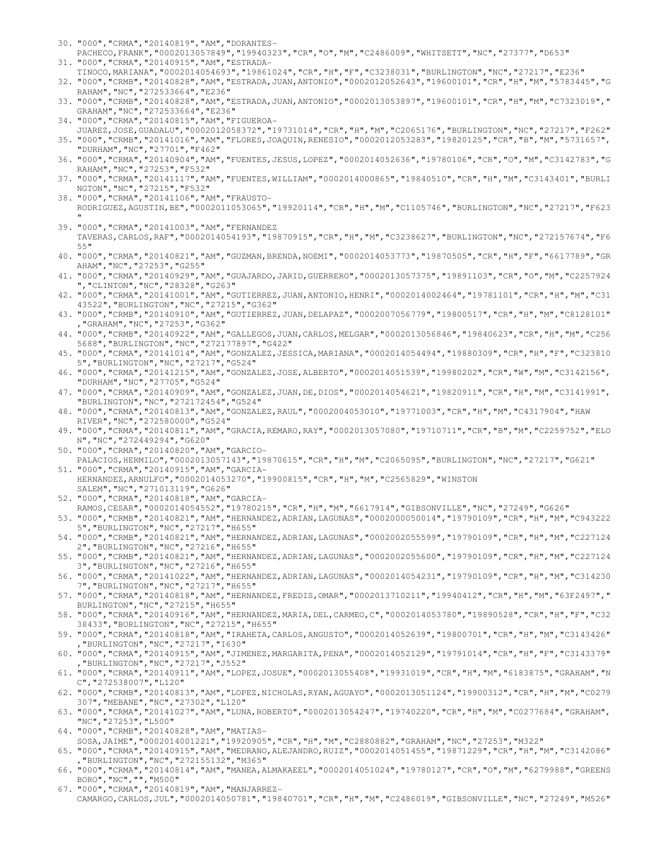- 30. "000","CRMA","20140819","AM","DORANTES-
- PACHECO,FRANK","0002013057849","19940323","CR","O","M","C2486009","WHITSETT","NC","27377","D653" 31. "000","CRMA","20140915","AM","ESTRADA-
- TINOCO,MARIANA","0002014054693","19861024","CR","H","F","C3238031","BURLINGTON","NC","27217","E236" 32. "000","CRMB","20140828","AM","ESTRADA,JUAN,ANTONIO","0002012052643","19600101","CR","H","M","5783445","G
- RAHAM","NC","272533664","E236" 33. "000","CRMB","20140828","AM","ESTRADA,JUAN,ANTONIO","0002013053897","19600101","CR","H","M","C7323019","
- GRAHAM","NC","272533664","E236" 34. "000","CRMA","20140815","AM","FIGUEROA-
- JUAREZ,JOSE,GUADALU","0002012058372","19731014","CR","H","M","C2065176","BURLINGTON","NC","27217","F262" 35. "000","CRMB","20141016","AM","FLORES,JOAQUIN,RENESIO","0002012053283","19820125","CR","B","M","5731657", "DURHAM","NC","27701","F462"
- 36. "000","CRMA","20140904","AM","FUENTES,JESUS,LOPEZ","0002014052636","19780106","CR","O","M","C3142783","G RAHAM","NC","27253","F532"
- 37. "000","CRMA","20141117","AM","FUENTES,WILLIAM","0002014000865","19840510","CR","H","M","C3143401","BURLI NGTON","NC","27215","F532"
- 38. "000","CRMA","20141106","AM","FRAUSTO-RODRIGUEZ,AGUSTIN,BE","0002011053065","19920114","CR","H","M","C1105746","BURLINGTON","NC","27217","F623 "
- 39. "000","CRMA","20141003","AM","FERNANDEZ TAVERAS,CARLOS,RAF","0002014054193","19870915","CR","H","M","C3238627","BURLINGTON","NC","272157674","F6 55"
- 40. "000","CRMA","20140821","AM","GUZMAN,BRENDA,NOEMI","0002014053773","19870505","CR","H","F","6617789","GR AHAM","NC","27253","G255"
- 41. "000","CRMA","20140929","AM","GUAJARDO,JARID,GUERRERO","0002013057375","19891103","CR","O","M","C2257924 ","CLINTON","NC","28328","G263"
- 42. "000","CRMA","20141001","AM","GUTIERREZ,JUAN,ANTONIO,HENRI","0002014002464","19781101","CR","H","M","C31 43522","BURLINGTON","NC","27215","G362"
- 43. "000","CRMB","20140910","AM","GUTIERREZ,JUAN,DELAPAZ","0002007056779","19800517","CR","H","M","C8128101" ,"GRAHAM","NC","27253","G362"
- 44. "000","CRMB","20140922","AM","GALLEGOS,JUAN,CARLOS,MELGAR","0002013056846","19840623","CR","H","M","C256 5688","BURLINGTON","NC","272177897","G422"
- 45. "000","CRMA","20141014","AM","GONZALEZ,JESSICA,MARIANA","0002014054494","19880309","CR","H","F","C323810 5","BURLINGTON","NC","27217","G524"
- 46. "000","CRMA","20141215","AM","GONZALEZ,JOSE,ALBERTO","0002014051539","19980202","CR","W","M","C3142156", "DURHAM","NC","27705","G524"
- 47. "000","CRMA","20140909","AM","GONZALEZ,JUAN,DE,DIOS","0002014054621","19820911","CR","H","M","C3141991", "BURLINGTON","NC","272172454","G524"
- 48. "000","CRMA","20140813","AM","GONZALEZ,RAUL","0002004053010","19771003","CR","H","M","C4317904","HAW RIVER","NC","272580000","G524"
- 49. "000","CRMA","20140811","AM","GRACIA,REMARO,RAY","0002013057080","19710711","CR","B","M","C2259752","ELO N","NC","272449294","G620"
- 50. "000","CRMA","20140820","AM","GARCIO-
- PALACIOS,HERMILO","0002013057143","19870615","CR","H","M","C2065095","BURLINGTON","NC","27217","G621" 51. "000","CRMA","20140915","AM","GARCIA-
- HERNANDEZ,ARNULFO","0002014053270","19900815","CR","H","M","C2565829","WINSTON SALEM","NC","271013119","G626"
- 52. "000","CRMA","20140818","AM","GARCIA-
- RAMOS,CESAR","0002014054552","19780215","CR","H","M","6617914","GIBSONVILLE","NC","27249","G626"
- 53. "000","CRMB","20140821","AM","HERNANDEZ,ADRIAN,LAGUNAS","0002000050014","19790109","CR","H","M","C943222 5","BURLINGTON","NC","27217","H655"
- 54. "000","CRMB","20140821","AM","HERNANDEZ,ADRIAN,LAGUNAS","0002002055599","19790109","CR","H","M","C227124 2","BURLINGTON","NC","27216","H655"
- 55. "000","CRMB","20140821","AM","HERNANDEZ,ADRIAN,LAGUNAS","0002002055600","19790109","CR","H","M","C227124 3","BURLINGTON","NC","27216","H655"
- 56. "000","CRMA","20141022","AM","HERNANDEZ,ADRIAN,LAGUNAS","0002014054231","19790109","CR","H","M","C314230 7","BURLINGTON","NC","27217","H655"
- 57. "000","CRMA","20140818","AM","HERNANDEZ,FREDIS,OMAR","0002013710211","19940412","CR","H","M","63F2497"," BURLINGTON","NC","27215","H655"
- 58. "000","CRMA","20140916","AM","HERNANDEZ,MARIA,DEL,CARMEO,C","0002014053780","19890528","CR","H","F","C32 38433","BURLINGTON","NC","27215","H655"
- 59. "000","CRMA","20140818","AM","IRAHETA,CARLOS,ANGUSTO","0002014052639","19800701","CR","H","M","C3143426" ,"BURLINGTON","NC","27217","I630"
- 60. "000","CRMA","20140915","AM","JIMENEZ,MARGARITA,PENA","0002014052129","19791014","CR","H","F","C3143379" ,"BURLINGTON","NC","27217","J552"
- 61. "000","CRMA","20140911","AM","LOPEZ,JOSUE","0002013055408","19931019","CR","H","M","6183875","GRAHAM","N C","272538007","L120"
- 62. "000","CRMB","20140813","AM","LOPEZ,NICHOLAS,RYAN,AGUAYO","0002013051124","19900312","CR","H","M","C0279 307","MEBANE","NC","27302","L120"
- 63. "000","CRMA","20141027","AM","LUNA,ROBERTO","0002013054247","19740220","CR","H","M","C0277684","GRAHAM", "NC","27253","L500"
- 64. "000","CRMB","20140828","AM","MATIAS-
- SOSA,JAIME","0002014001221","19920905","CR","H","M","C2880882","GRAHAM","NC","27253","M322"
- 65. "000","CRMA","20140915","AM","MEDRANO,ALEJANDRO,RUIZ","0002014051455","19871229","CR","H","M","C3142086" ,"BURLINGTON","NC","272155132","M365"
- 66. "000","CRMA","20140814","AM","MANEA,ALMAKAEEL","0002014051024","19780127","CR","O","M","6279988","GREENS BORO","NC","","M500"
- 67. "000","CRMA","20140819","AM","MANJARREZ-
- CAMARGO,CARLOS,JUL","0002014050781","19840701","CR","H","M","C2486019","GIBSONVILLE","NC","27249","M526"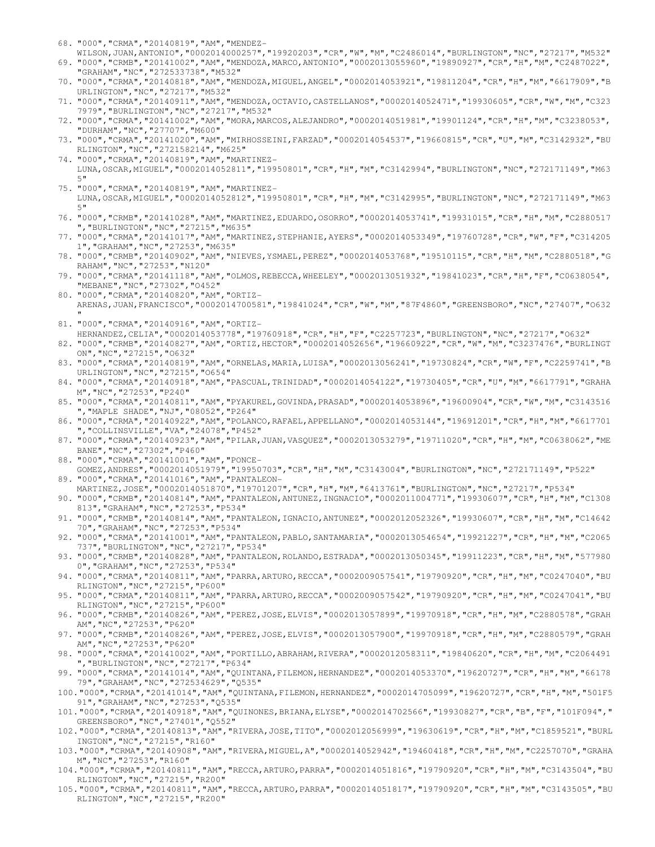- 68. "000","CRMA","20140819","AM","MENDEZ-
- WILSON,JUAN,ANTONIO","0002014000257","19920203","CR","W","M","C2486014","BURLINGTON","NC","27217","M532" 69. "000","CRMB","20141002","AM","MENDOZA,MARCO,ANTONIO","0002013055960","19890927","CR","H","M","C2487022",
- "GRAHAM","NC","272533738","M532" 70. "000","CRMA","20140818","AM","MENDOZA,MIGUEL,ANGEL","0002014053921","19811204","CR","H","M","6617909","B URLINGTON","NC","27217","M532"
- 71. "000","CRMA","20140911","AM","MENDOZA,OCTAVIO,CASTELLANOS","0002014052471","19930605","CR","W","M","C323 7979","BURLINGTON","NC","27217","M532"
- 72. "000","CRMA","20141002","AM","MORA,MARCOS,ALEJANDRO","0002014051981","19901124","CR","H","M","C3238053", "DURHAM","NC","27707","M600"
- 73. "000","CRMA","20141020","AM","MIRHOSSEINI,FARZAD","0002014054537","19660815","CR","U","M","C3142932","BU RLINGTON","NC","272158214","M625"
- 74. "000","CRMA","20140819","AM","MARTINEZ-LUNA,OSCAR,MIGUEL","0002014052811","19950801","CR","H","M","C3142994","BURLINGTON","NC","272171149","M63 5"
- 75. "000","CRMA","20140819","AM","MARTINEZ-LUNA,OSCAR,MIGUEL","0002014052812","19950801","CR","H","M","C3142995","BURLINGTON","NC","272171149","M63 5"
- 76. "000","CRMB","20141028","AM","MARTINEZ,EDUARDO,OSORRO","0002014053741","19931015","CR","H","M","C2880517 ","BURLINGTON","NC","27215","M635"
- 77. "000","CRMA","20141017","AM","MARTINEZ,STEPHANIE,AYERS","0002014053349","19760728","CR","W","F","C314205 1","GRAHAM","NC","27253","M635"
- 78. "000","CRMB","20140902","AM","NIEVES,YSMAEL,PEREZ","0002014053768","19510115","CR","H","M","C2880518","G RAHAM","NC","27253","N120"
- 79. "000","CRMA","20141118","AM","OLMOS,REBECCA,WHEELEY","0002013051932","19841023","CR","H","F","C0638054", "MEBANE","NC","27302","O452"
- 80. "000","CRMA","20140820","AM","ORTIZ-ARENAS,JUAN,FRANCISCO","0002014700581","19841024","CR","W","M","87F4860","GREENSBORO","NC","27407","O632 "
- 81. "000","CRMA","20140916","AM","ORTIZ-
- HERNANDEZ,CELIA","0002014053778","19760918","CR","H","F","C2257723","BURLINGTON","NC","27217","O632"
- 82. "000","CRMB","20140827","AM","ORTIZ,HECTOR","0002014052656","19660922","CR","W","M","C3237476","BURLINGT ON","NC","27215","O632"
- 83. "000", "CRMA", "20140819", "AM", "ORNELAS, MARIA, LUISA", "0002013056241", "19730824", "CR", "W", "F", "C2259741", "B URLINGTON","NC","27215","O654"
- 84. "000","CRMA","20140918","AM","PASCUAL,TRINIDAD","0002014054122","19730405","CR","U","M","6617791","GRAHA M","NC","27253","P240"
- 85. "000","CRMA","20140811","AM","PYAKUREL,GOVINDA,PRASAD","0002014053896","19600904","CR","W","M","C3143516 ","MAPLE SHADE","NJ","08052","P264"
- 86. "000","CRMA","20140922","AM","POLANCO,RAFAEL,APPELLANO","0002014053144","19691201","CR","H","M","6617701 ","COLLINSVILLE","VA","24078","P452"
- 87. "000","CRMA","20140923","AM","PILAR,JUAN,VASQUEZ","0002013053279","19711020","CR","H","M","C0638062","ME BANE","NC","27302","P460"
- 88. "000","CRMA","20141001","AM","PONCE-GOMEZ,ANDRES","0002014051979","19950703","CR","H","M","C3143004","BURLINGTON","NC","272171149","P522" 89. "000","CRMA","20141016","AM","PANTALEON-
- MARTINEZ,JOSE","0002014051870","19701207","CR","H","M","6413761","BURLINGTON","NC","27217","P534"
- 90. "000","CRMB","20140814","AM","PANTALEON,ANTUNEZ,INGNACIO","0002011004771","19930607","CR","H","M","C1308 813","GRAHAM","NC","27253","P534"
- 91. "000","CRMB","20140814","AM","PANTALEON,IGNACIO,ANTUNEZ","0002012052326","19930607","CR","H","M","C14642 70","GRAHAM","NC","27253","P534"
- 92. "000","CRMA","20141001","AM","PANTALEON,PABLO,SANTAMARIA","0002013054654","19921227","CR","H","M","C2065 737","BURLINGTON","NC","27217","P534"
- 93. "000","CRMB","20140828","AM","PANTALEON,ROLANDO,ESTRADA","0002013050345","19911223","CR","H","M","577980 0","GRAHAM","NC","27253","P534"
- 94. "000","CRMA","20140811","AM","PARRA,ARTURO,RECCA","0002009057541","19790920","CR","H","M","C0247040","BU RLINGTON","NC","27215","P600"
- 95. "000","CRMA","20140811","AM","PARRA,ARTURO,RECCA","0002009057542","19790920","CR","H","M","C0247041","BU RLINGTON","NC","27215","P600"
- 96. "000","CRMB","20140826","AM","PEREZ,JOSE,ELVIS","0002013057899","19970918","CR","H","M","C2880578","GRAH AM","NC","27253","P620"
- 97. "000","CRMB","20140826","AM","PEREZ,JOSE,ELVIS","0002013057900","19970918","CR","H","M","C2880579","GRAH AM","NC","27253","P620"
- 98. "000","CRMA","20141002","AM","PORTILLO,ABRAHAM,RIVERA","0002012058311","19840620","CR","H","M","C2064491 ","BURLINGTON","NC","27217","P634"
- 99. "000","CRMA","20141014","AM","QUINTANA,FILEMON,HERNANDEZ","0002014053370","19620727","CR","H","M","66178 79","GRAHAM","NC","272534629","Q535"
- 100."000","CRMA","20141014","AM","QUINTANA,FILEMON,HERNANDEZ","0002014705099","19620727","CR","H","M","501F5 91","GRAHAM","NC","27253","Q535"
- 101."000","CRMA","20140918","AM","QUINONES,BRIANA,ELYSE","0002014702566","19930827","CR","B","F","101F094"," GREENSBORO","NC","27401","Q552"
- 102."000","CRMA","20140813","AM","RIVERA,JOSE,TITO","0002012056999","19630619","CR","H","M","C1859521","BURL INGTON","NC","27215","R160"
- 103."000","CRMA","20140908","AM","RIVERA,MIGUEL,A","0002014052942","19460418","CR","H","M","C2257070","GRAHA M","NC","27253","R160"
- 104."000","CRMA","20140811","AM","RECCA,ARTURO,PARRA","0002014051816","19790920","CR","H","M","C3143504","BU RLINGTON","NC","27215","R200"
- 105."000","CRMA","20140811","AM","RECCA,ARTURO,PARRA","0002014051817","19790920","CR","H","M","C3143505","BU RLINGTON","NC","27215","R200"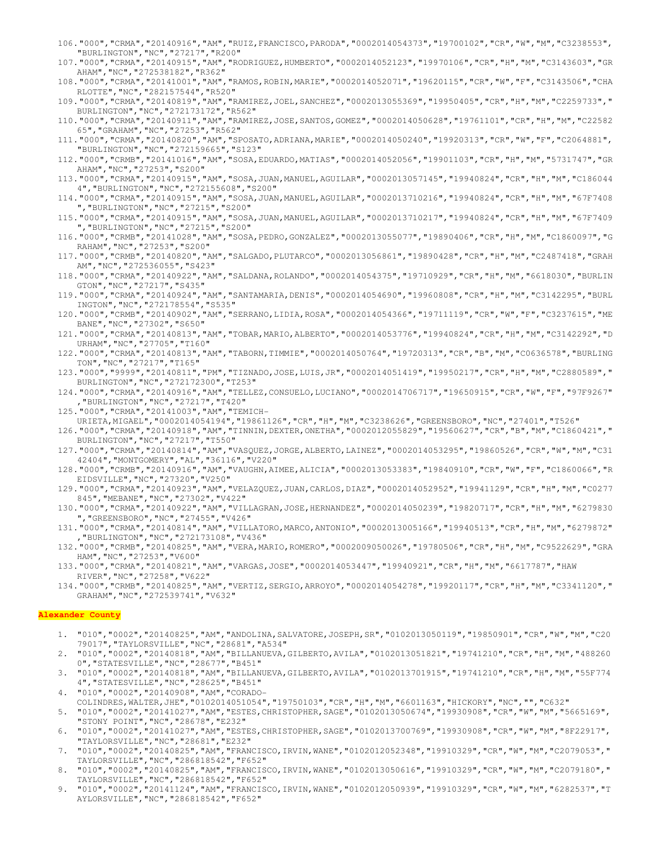- 106."000","CRMA","20140916","AM","RUIZ,FRANCISCO,PARODA","0002014054373","19700102","CR","W","M","C3238553", "BURLINGTON","NC","27217","R200"
- 107."000","CRMA","20140915","AM","RODRIGUEZ,HUMBERTO","0002014052123","19970106","CR","H","M","C3143603","GR AHAM","NC","272538182","R362"
- 108."000","CRMA","20141001","AM","RAMOS,ROBIN,MARIE","0002014052071","19620115","CR","W","F","C3143506","CHA RLOTTE","NC","282157544","R520"
- 109."000","CRMA","20140819","AM","RAMIREZ,JOEL,SANCHEZ","0002013055369","19950405","CR","H","M","C2259733"," BURLINGTON","NC","272173172","R562"
- 110."000","CRMA","20140911","AM","RAMIREZ,JOSE,SANTOS,GOMEZ","0002014050628","19761101","CR","H","M","C22582 65","GRAHAM","NC","27253","R562"
- 111."000","CRMA","20140820","AM","SPOSATO,ADRIANA,MARIE","0002014050240","19920313","CR","W","F","C2064881", "BURLINGTON","NC","272159665","S123"
- 112."000","CRMB","20141016","AM","SOSA,EDUARDO,MATIAS","0002014052056","19901103","CR","H","M","5731747","GR AHAM","NC","27253","S200"
- 113."000","CRMA","20140915","AM","SOSA,JUAN,MANUEL,AGUILAR","0002013057145","19940824","CR","H","M","C186044 4","BURLINGTON","NC","272155608","S200"
- 114."000","CRMA","20140915","AM","SOSA,JUAN,MANUEL,AGUILAR","0002013710216","19940824","CR","H","M","67F7408 ","BURLINGTON","NC","27215","S200"
- 115."000","CRMA","20140915","AM","SOSA,JUAN,MANUEL,AGUILAR","0002013710217","19940824","CR","H","M","67F7409 ","BURLINGTON","NC","27215","S200"
- 116."000","CRMB","20141028","AM","SOSA,PEDRO,GONZALEZ","0002013055077","19890406","CR","H","M","C1860097","G RAHAM","NC","27253","S200"
- 117."000","CRMB","20140820","AM","SALGADO,PLUTARCO","0002013056861","19890428","CR","H","M","C2487418","GRAH AM","NC","272536055","S423"
- 118."000","CRMA","20140922","AM","SALDANA,ROLANDO","0002014054375","19710929","CR","H","M","6618030","BURLIN GTON","NC","27217","S435"
- 119."000","CRMA","20140924","AM","SANTAMARIA,DENIS","0002014054690","19960808","CR","H","M","C3142295","BURL INGTON","NC","272178554","S535"
- 120."000","CRMB","20140902","AM","SERRANO,LIDIA,ROSA","0002014054366","19711119","CR","W","F","C3237615","ME BANE","NC","27302","S650"
- 121."000","CRMA","20140813","AM","TOBAR,MARIO,ALBERTO","0002014053776","19940824","CR","H","M","C3142292","D URHAM","NC","27705","T160"
- 122."000","CRMA","20140813","AM","TABORN,TIMMIE","0002014050764","19720313","CR","B","M","C0636578","BURLING TON","NC","27217","T165"
- 123."000","9999","20140811","PM","TIZNADO,JOSE,LUIS,JR","0002014051419","19950217","CR","H","M","C2880589"," BURLINGTON","NC","272172300","T253"
- 124."000","CRMA","20140916","AM","TELLEZ,CONSUELO,LUCIANO","0002014706717","19650915","CR","W","F","97F9267" ,"BURLINGTON","NC","27217","T420"
- 125."000","CRMA","20141003","AM","TEMICH-
- URIETA,MIGAEL","0002014054194","19861126","CR","H","M","C3238626","GREENSBORO","NC","27401","T526"
- 126."000","CRMA","20140918","AM","TINNIN,DEXTER,ONETHA","0002012055829","19560627","CR","B","M","C1860421"," BURLINGTON","NC","27217","T550"
- 127."000","CRMA","20140814","AM","VASQUEZ,JORGE,ALBERTO,LAINEZ","0002014053295","19860526","CR","W","M","C31 42404","MONTGOMERY","AL","36116","V220"
- 128."000","CRMB","20140916","AM","VAUGHN,AIMEE,ALICIA","0002013053383","19840910","CR","W","F","C1860066","R EIDSVILLE","NC","27320","V250"
- 129."000","CRMA","20140923","AM","VELAZQUEZ,JUAN,CARLOS,DIAZ","0002014052952","19941129","CR","H","M","C0277 845","MEBANE","NC","27302","V422"
- 130."000","CRMA","20140922","AM","VILLAGRAN,JOSE,HERNANDEZ","0002014050239","19820717","CR","H","M","6279830 ","GREENSBORO","NC","27455","V426"
- 131."000","CRMA","20140814","AM","VILLATORO,MARCO,ANTONIO","0002013005166","19940513","CR","H","M","6279872" ,"BURLINGTON","NC","272173108","V436"
- 132."000","CRMB","20140825","AM","VERA,MARIO,ROMERO","0002009050026","19780506","CR","H","M","C9522629","GRA HAM","NC","27253","V600"
- 133."000","CRMA","20140821","AM","VARGAS,JOSE","0002014053447","19940921","CR","H","M","6617787","HAW RIVER","NC","27258","V622"
- 134."000","CRMB","20140825","AM","VERTIZ,SERGIO,ARROYO","0002014054278","19920117","CR","H","M","C3341120"," GRAHAM","NC","272539741","V632"

#### **Alexander County**

- 1. "010","0002","20140825","AM","ANDOLINA,SALVATORE,JOSEPH,SR","0102013050119","19850901","CR","W","M","C20 79017","TAYLORSVILLE","NC","28681","A534"
- 2. "010","0002","20140818","AM","BILLANUEVA,GILBERTO,AVILA","0102013051821","19741210","CR","H","M","488260 0", "STATESVILLE", "NC", "28677", "B451"
- 3. "010","0002","20140818","AM","BILLANUEVA,GILBERTO,AVILA","0102013701915","19741210","CR","H","M","55F774 4","STATESVILLE","NC","28625","B451"
- 4. "010","0002","20140908","AM","CORADO-COLINDRES,WALTER,JHE","0102014051054","19750103","CR","H","M","6601163","HICKORY","NC","","C632"
- 5. "010","0002","20141027","AM","ESTES,CHRISTOPHER,SAGE","0102013050674","19930908","CR","W","M","5665169", "STONY POINT","NC","28678","E232"
- 6. "010","0002","20141027","AM","ESTES,CHRISTOPHER,SAGE","0102013700769","19930908","CR","W","M","8F22917", "TAYLORSVILLE","NC","28681","E232"
- 7. "010","0002","20140825","AM","FRANCISCO,IRVIN,WANE","0102012052348","19910329","CR","W","M","C2079053"," TAYLORSVILLE","NC","286818542","F652"
- 8. "010","0002","20140825","AM","FRANCISCO,IRVIN,WANE","0102013050616","19910329","CR","W","M","C2079180"," TAYLORSVILLE","NC","286818542","F652"
- 9. "010","0002","20141124","AM","FRANCISCO,IRVIN,WANE","0102012050939","19910329","CR","W","M","6282537","T AYLORSVILLE","NC","286818542","F652"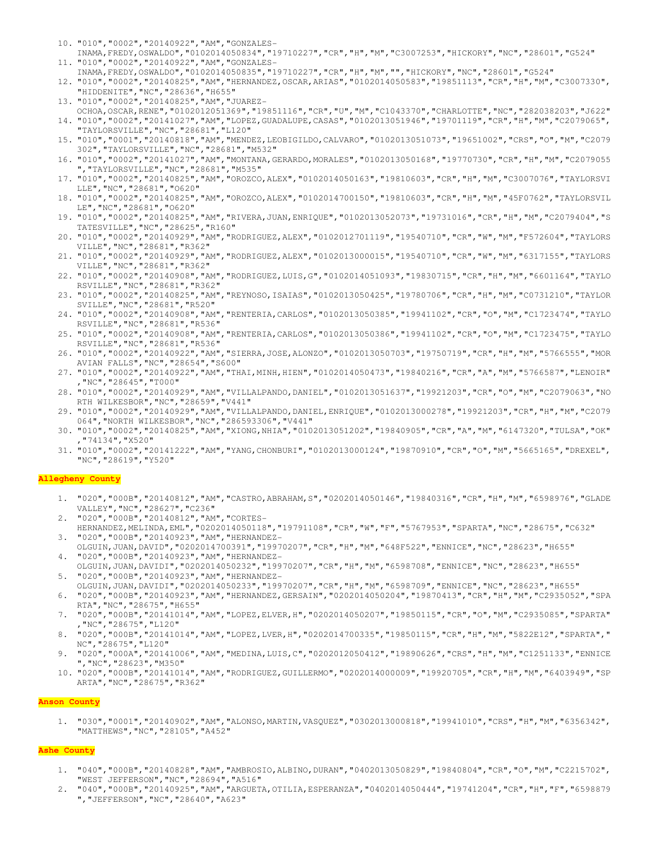- 10. "010","0002","20140922","AM","GONZALES-
- INAMA,FREDY,OSWALDO","0102014050834","19710227","CR","H","M","C3007253","HICKORY","NC","28601","G524" 11. "010","0002","20140922","AM","GONZALES-
- INAMA,FREDY,OSWALDO","0102014050835","19710227","CR","H","M","","HICKORY","NC","28601","G524"
- 12. "010","0002","20140825","AM","HERNANDEZ,OSCAR,ARIAS","0102014050583","19851113","CR","H","M","C3007330", "HIDDENITE","NC","28636","H655"
- 13. "010","0002","20140825","AM","JUAREZ-
- OCHOA,OSCAR,RENE","0102012051369","19851116","CR","U","M","C1043370","CHARLOTTE","NC","282038203","J622" 14. "010","0002","20141027","AM","LOPEZ,GUADALUPE,CASAS","0102013051946","19701119","CR","H","M","C2079065", "TAYLORSVILLE","NC","28681","L120"
- 15. "010","0001","20140818","AM","MENDEZ,LEOBIGILDO,CALVARO","0102013051073","19651002","CRS","O","M","C2079 302","TAYLORSVILLE","NC","28681","M532"
- 16. "010","0002","20141027","AM","MONTANA,GERARDO,MORALES","0102013050168","19770730","CR","H","M","C2079055 ","TAYLORSVILLE","NC","28681","M535"
- 17. "010","0002","20140825","AM","OROZCO,ALEX","0102014050163","19810603","CR","H","M","C3007076","TAYLORSVI LLE","NC","28681","O620"
- 18. "010","0002","20140825","AM","OROZCO,ALEX","0102014700150","19810603","CR","H","M","45F0762","TAYLORSVIL LE","NC","28681","O620"
- 19. "010","0002","20140825","AM","RIVERA,JUAN,ENRIQUE","0102013052073","19731016","CR","H","M","C2079404","S TATESVILLE","NC","28625","R160"
- 20. "010","0002","20140929","AM","RODRIGUEZ,ALEX","0102012701119","19540710","CR","W","M","F572604","TAYLORS VILLE","NC","28681","R362"
- 21. "010","0002","20140929","AM","RODRIGUEZ,ALEX","0102013000015","19540710","CR","W","M","6317155","TAYLORS VILLE","NC","28681","R362"
- 22. "010","0002","20140908","AM","RODRIGUEZ,LUIS,G","0102014051093","19830715","CR","H","M","6601164","TAYLO RSVILLE","NC","28681","R362"
- 23. "010","0002","20140825","AM","REYNOSO,ISAIAS","0102013050425","19780706","CR","H","M","C0731210","TAYLOR SVILLE","NC","28681","R520"
- 24. "010","0002","20140908","AM","RENTERIA,CARLOS","0102013050385","19941102","CR","O","M","C1723474","TAYLO RSVILLE","NC","28681","R536"
- 25. "010","0002","20140908","AM","RENTERIA,CARLOS","0102013050386","19941102","CR","O","M","C1723475","TAYLO RSVILLE","NC","28681","R536"
- 26. "010","0002","20140922","AM","SIERRA,JOSE,ALONZO","0102013050703","19750719","CR","H","M","5766555","MOR AVIAN FALLS","NC","28654","S600"
- 27. "010","0002","20140922","AM","THAI,MINH,HIEN","0102014050473","19840216","CR","A","M","5766587","LENOIR" ,"NC","28645","T000"
- 28. "010","0002","20140929","AM","VILLALPANDO,DANIEL","0102013051637","19921203","CR","O","M","C2079063","NO RTH WILKESBOR","NC","28659","V441"
- 29. "010","0002","20140929","AM","VILLALPANDO,DANIEL,ENRIQUE","0102013000278","19921203","CR","H","M","C2079 064","NORTH WILKESBOR","NC","286593306","V441"
- 30. "010","0002","20140825","AM","XIONG,NHIA","0102013051202","19840905","CR","A","M","6147320","TULSA","OK" ,"74134","X520"
- 31. "010","0002","20141222","AM","YANG,CHONBURI","0102013000124","19870910","CR","O","M","5665165","DREXEL", "NC","28619","Y520"

#### **Allegheny County**

- 1. "020","000B","20140812","AM","CASTRO,ABRAHAM,S","0202014050146","19840316","CR","H","M","6598976","GLADE VALLEY","NC","28627","C236"
- 2. "020","000B","20140812","AM","CORTES-
- HERNANDEZ,MELINDA,EML","0202014050118","19791108","CR","W","F","5767953","SPARTA","NC","28675","C632" 3. "020","000B","20140923","AM","HERNANDEZ-
- OLGUIN,JUAN,DAVID","0202014700391","19970207","CR","H","M","648F522","ENNICE","NC","28623","H655" 4. "020","000B","20140923","AM","HERNANDEZ-
- OLGUIN,JUAN,DAVIDI","0202014050232","19970207","CR","H","M","6598708","ENNICE","NC","28623","H655" 5. "020","000B","20140923","AM","HERNANDEZ-
- OLGUIN,JUAN,DAVIDI","0202014050233","19970207","CR","H","M","6598709","ENNICE","NC","28623","H655"
- 6. "020","000B","20140923","AM","HERNANDEZ,GERSAIN","0202014050204","19870413","CR","H","M","C2935052","SPA RTA","NC","28675","H655"
- 7. "020","000B","20141014","AM","LOPEZ,ELVER,H","0202014050207","19850115","CR","O","M","C2935085","SPARTA" ,"NC","28675","L120"
- 8. "020","000B","20141014","AM","LOPEZ,LVER,H","0202014700335","19850115","CR","H","M","5822E12","SPARTA"," NC","28675","L120"
- 9. "020","000A","20141006","AM","MEDINA,LUIS,C","0202012050412","19890626","CRS","H","M","C1251133","ENNICE ","NC","28623","M350"
- 10. "020","000B","20141014","AM","RODRIGUEZ,GUILLERMO","0202014000009","19920705","CR","H","M","6403949","SP ARTA","NC","28675","R362"

#### **Anson County**

1. "030","0001","20140902","AM","ALONSO,MARTIN,VASQUEZ","0302013000818","19941010","CRS","H","M","6356342", "MATTHEWS","NC","28105","A452"

#### **Ashe County**

- 1. "040","000B","20140828","AM","AMBROSIO,ALBINO,DURAN","0402013050829","19840804","CR","O","M","C2215702", "WEST JEFFERSON","NC","28694","A516"
- 2. "040","000B","20140925","AM","ARGUETA,OTILIA,ESPERANZA","0402014050444","19741204","CR","H","F","6598879 ","JEFFERSON","NC","28640","A623"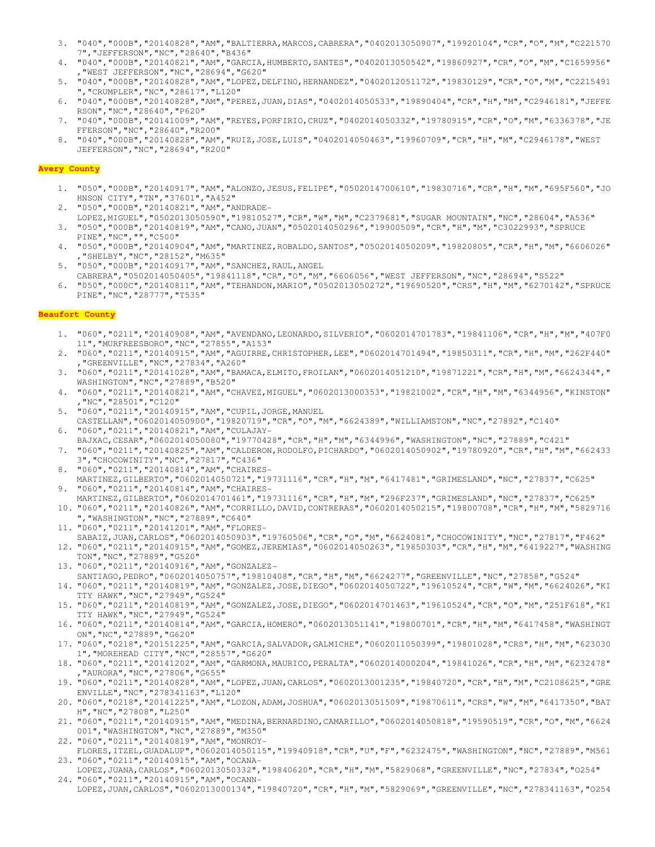- 3. "040","000B","20140828","AM","BALTIERRA,MARCOS,CABRERA","0402013050907","19920104","CR","O","M","C221570 7","JEFFERSON","NC","28640","B436"
- 4. "040","000B","20140821","AM","GARCIA,HUMBERTO,SANTES","0402013050542","19860927","CR","O","M","C1659956" ,"WEST JEFFERSON","NC","28694","G620"
- 5. "040","000B","20140828","AM","LOPEZ,DELFINO,HERNANDEZ","0402012051172","19830129","CR","O","M","C2215491 ","CRUMPLER","NC","28617","L120"
- 6. "040","000B","20140828","AM","PEREZ,JUAN,DIAS","0402014050533","19890404","CR","H","M","C2946181","JEFFE RSON","NC","28640","P620"
- 7. "040","000B","20141009","AM","REYES,PORFIRIO,CRUZ","0402014050332","19780915","CR","O","M","6336378","JE FFERSON","NC","28640","R200"
- 8. "040","000B","20140828","AM","RUIZ,JOSE,LUIS","0402014050463","19960709","CR","H","M","C2946178","WEST JEFFERSON","NC","28694","R200"

## **Avery County**

- 1. "050","000B","20140917","AM","ALONZO,JESUS,FELIPE","0502014700610","19830716","CR","H","M","695F560","JO HNSON CITY","TN","37601","A452"
- 2. "050","000B","20140821","AM","ANDRADE-
- LOPEZ,MIGUEL","0502013050590","19810527","CR","W","M","C2379681","SUGAR MOUNTAIN","NC","28604","A536"
- 3. "050","000B","20140819","AM","CANO,JUAN","0502014050296","19900509","CR","H","M","C3022993","SPRUCE PINE","NC","","C500"
- 4. "050","000B","20140904","AM","MARTINEZ,ROBALDO,SANTOS","0502014050209","19820805","CR","H","M","6606026" ,"SHELBY","NC","28152","M635"
- 5. "050","000B","20140917","AM","SANCHEZ,RAUL,ANGEL CABRERA","0502014050405","19841118","CR","O","M","6606056","WEST JEFFERSON","NC","28694","S522"
- 6. "050","000C","20140811","AM","TEHANDON,MARIO","0502013050272","19690520","CRS","H","M","6270142","SPRUCE PINE","NC","28777","T535"

### **Beaufort County**

- 1. "060","0211","20140908","AM","AVENDANO,LEONARDO,SILVERIO","0602014701783","19841106","CR","H","M","407F0 11","MURFREESBORO","NC","27855","A153"
- 2. "060","0211","20140915","AM","AGUIRRE,CHRISTOPHER,LEE","0602014701494","19850311","CR","H","M","262F440" ,"GREENVILLE","NC","27834","A260"
- 3. "060","0211","20141028","AM","BAMACA,ELMITO,FROILAN","0602014051210","19871221","CR","H","M","6624344"," WASHINGTON","NC","27889","B520"
- 4. "060","0211","20140821","AM","CHAVEZ,MIGUEL","0602013000353","19821002","CR","H","M","6344956","KINSTON" ,"NC","28501","C120"
- 5. "060","0211","20140915","AM","CUPIL,JORGE,MANUEL
- CASTELLAN","0602014050900","19820719","CR","O","M","6624389","WILLIAMSTON","NC","27892","C140" 6. "060","0211","20140821","AM","CULAJAY-
- BAJXAC,CESAR","0602014050080","19770428","CR","H","M","6344996","WASHINGTON","NC","27889","C421"
- 7. "060","0211","20140825","AM","CALDERON,RODOLFO,PICHARDO","0602014050902","19780920","CR","H","M","662433 3","CHOCOWINITY","NC","27817","C436"
- 8. "060","0211","20140814","AM","CHAIRES-MARTINEZ,GILBERTO","0602014050721","19731116","CR","H","M","6417481","GRIMESLAND","NC","27837","C625"
- 9. "060", "0211", "20140814", "AM", "CHAIRES-MARTINEZ,GILBERTO","0602014701461","19731116","CR","H","M","296F237","GRIMESLAND","NC","27837","C625"
- 10. "060","0211","20140826","AM","CORRILLO,DAVID,CONTRERAS","0602014050215","19800708","CR","H","M","5829716 ","WASHINGTON","NC","27889","C640"
- 11. "060","0211","20141201","AM","FLORES-SABAIZ,JUAN,CARLOS","0602014050903","19760506","CR","O","M","6624081","CHOCOWINITY","NC","27817","F462" 12. "060","0211","20140915","AM","GOMEZ,JEREMIAS","0602014050263","19850303","CR","H","M","6419227","WASHING
- TON","NC","27889","G520" 13. "060","0211","20140916","AM","GONZALEZ-
- SANTIAGO,PEDRO","0602014050757","19810408","CR","H","M","6624277","GREENVILLE","NC","27858","G524"
- 14. "060","0211","20140819","AM","GONZALEZ,JOSE,DIEGO","0602014050722","19610524","CR","W","M","6624026","KI TTY HAWK","NC","27949","G524"
- 15. "060","0211","20140819","AM","GONZALEZ,JOSE,DIEGO","0602014701463","19610524","CR","O","M","251F618","KI TTY HAWK","NC","27949","G524"
- 16. "060","0211","20140814","AM","GARCIA,HOMERO","0602013051141","19800701","CR","H","M","6417458","WASHINGT ON","NC","27889","G620"
- 17. "060","0218","20151225","AM","GARCIA,SALVADOR,GALMICHE","0602011050399","19801028","CRS","H","M","623030 1","MOREHEAD CITY","NC","28557","G620"
- 18. "060","0211","20141202","AM","GARMONA,MAURICO,PERALTA","0602014000204","19841026","CR","H","M","6232478" ,"AURORA","NC","27806","G655"
- 19. "060","0211","20140828","AM","LOPEZ,JUAN,CARLOS","0602013001235","19840720","CR","H","M","C2108625","GRE ENVILLE","NC","278341163","L120"
- 20. "060","0218","20141225","AM","LOZON,ADAM,JOSHUA","0602013051509","19870611","CRS","W","M","6417350","BAT H","NC","27808","L250"
- 21. "060","0211","20140915","AM","MEDINA,BERNARDINO,CAMARILLO","0602014050818","19590519","CR","O","M","6624 001", "WASHINGTON", "NC", "27889", "M350"
- 22. "060","0211","20140819","AM","MONROY-FLORES,ITZEL,GUADALUP","0602014050115","19940918","CR","U","F","6232475","WASHINGTON","NC","27889","M561 23. "060","0211","20140915","AM","OCANA-
- LOPEZ,JUANA,CARLOS","0602013050332","19840620","CR","H","M","5829068","GREENVILLE","NC","27834","O254" 24. "060","0211","20140915","AM","OCANN-
- LOPEZ,JUAN,CARLOS","0602013000134","19840720","CR","H","M","5829069","GREENVILLE","NC","278341163","O254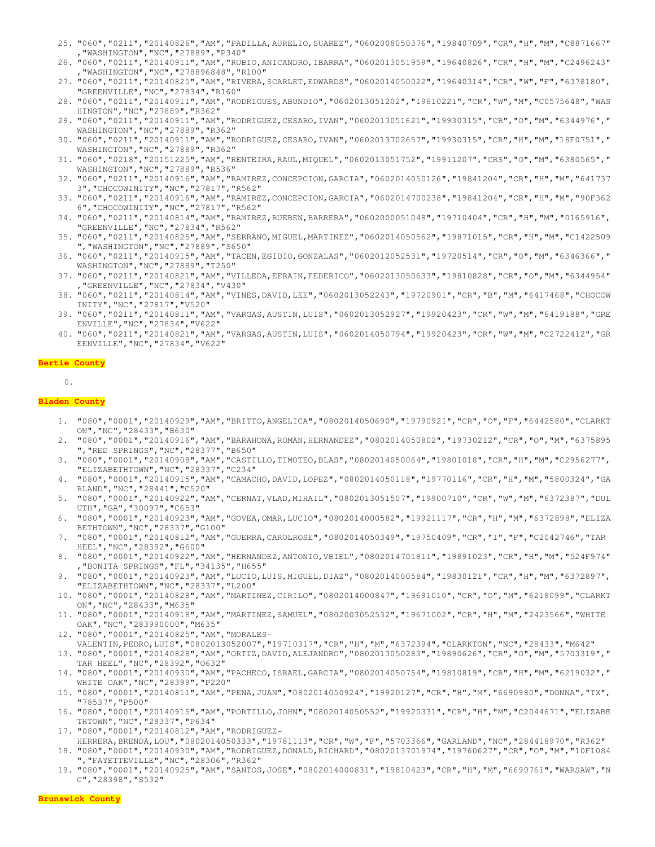- 25. "060","0211","20140826","AM","PADILLA,AURELIO,SUAREZ","0602008050376","19840709","CR","H","M","C8871667" ,"WASHINGTON","NC","27889","P340"
- 26. "060","0211","20140911","AM","RUBIO,ANICANDRO,IBARRA","0602013051959","19640826","CR","H","M","C2496243" ,"WASHINGTON","NC","278896848","R100"
- 27. "060","0211","20140825","AM","RIVERA,SCARLET,EDWARDS","0602014050022","19640314","CR","W","F","6378180", "GREENVILLE","NC","27834","R160"
- 28. "060","0211","20140911","AM","RODRIGUES,ABUNDIO","0602013051202","19610221","CR","W","M","C0575648","WAS HINGTON","NC","27889","R362"
- 29. "060","0211","20140911","AM","RODRIGUEZ,CESARO,IVAN","0602013051621","19930315","CR","O","M","6344976"," WASHINGTON","NC","27889","R362"
- 30. "060","0211","20140911","AM","RODRIGUEZ,CESARO,IVAN","0602013702657","19930315","CR","H","M","18F0751"," WASHINGTON","NC","27889","R362"
- 31. "060","0218","20151225","AM","RENTEIRA,RAUL,MIQUEL","0602013051752","19911207","CRS","O","M","6380565"," WASHINGTON","NC","27889","R536"
- 32. "060","0211","20140916","AM","RAMIREZ,CONCEPCION,GARCIA","0602014050126","19841204","CR","H","M","641737 3","CHOCOWINITY","NC","27817","R562"
- 33. "060","0211","20140916","AM","RAMIREZ,CONCEPCION,GARCIA","0602014700238","19841204","CR","H","M","90F362 6","CHOCOWINITY","NC","27817","R562"
- 34. "060","0211","20140814","AM","RAMIREZ,RUEBEN,BARRERA","0602000051048","19710404","CR","H","M","0165916", "GREENVILLE","NC","27834","R562"
- 35. "060","0211","20140825","AM","SERRANO,MIGUEL,MARTINEZ","0602014050562","19871015","CR","H","M","C1422509 ","WASHINGTON","NC","27889","S650"
- 36. "060","0211","20140915","AM","TACEN,EGIDIO,GONZALAS","0602012052531","19720514","CR","O","M","6346366"," WASHINGTON","NC","27889","T250"
- 37. "060","0211","20140821","AM","VILLEDA,EFRAIN,FEDERICO","0602013050633","19810828","CR","O","M","6344954" ,"GREENVILLE","NC","27834","V430"
- 38. "060","0211","20140814","AM","VINES,DAVID,LEE","0602013052243","19720901","CR","B","M","6417468","CHOCOW INITY","NC","27817","V520"
- 39. "060","0211","20140811","AM","VARGAS,AUSTIN,LUIS","0602013052927","19920423","CR","W","M","6419188","GRE ENVILLE","NC","27834","V622"
- 40. "060","0211","20140821","AM","VARGAS,AUSTIN,LUIS","0602014050794","19920423","CR","W","M","C2722412","GR EENVILLE","NC","27834","V622"

#### **Bertie County**

0.

#### **Bladen County**

- 1. "080","0001","20140929","AM","BRITTO,ANGELICA","0802014050690","19790921","CR","O","F","6442580","CLARKT ON","NC","28433","B630"
- 2. "080","0001","20140916","AM","BARAHONA,ROMAN,HERNANDEZ","0802014050802","19730212","CR","O","M","6375895 ","RED SPRINGS","NC","28377","B650"
- 3. "080","0001","20140908","AM","CASTILLO,TIMOTEO,BLAS","0802014050064","19801018","CR","H","M","C2956277", "ELIZABETHTOWN","NC","28337","C234"
- 4. "080","0001","20140915","AM","CAMACHO,DAVID,LOPEZ","0802014050118","19770116","CR","H","M","5800324","GA RLAND","NC","28441","C520"
- 5. "080","0001","20140922","AM","CERNAT,VLAD,MIHAIL","0802013051507","19900710","CR","W","M","6372387","DUL UTH","GA","30097","C653"
- 6. "080","0001","20140923","AM","GOVEA,OMAR,LUCIO","0802014000582","19921117","CR","H","M","6372898","ELIZA BETHTOWN","NC","28337","G100"
- 7. "080","0001","20140812","AM","GUERRA,CAROLROSE","0802014050349","19750409","CR","I","F","C2042746","TAR HEEL","NC","28392","G600"
- 8. "080","0001","20140922","AM","HERNANDEZ,ANTONIO,VBIEL","0802014701811","19891023","CR","H","M","524F974" ,"BONITA SPRINGS","FL","34135","H655"
- 9. "080","0001","20140923","AM","LUCIO,LUIS,MIGUEL,DIAZ","0802014000584","19830121","CR","H","M","6372897", "ELIZABETHTOWN","NC","28337","L200"
- 10. "080","0001","20140828","AM","MARTINEZ,CIRILO","0802014000847","19691010","CR","O","M","6218099","CLARKT ON","NC","28433","M635"
- 11. "080","0001","20140918","AM","MARTINEZ,SAMUEL","0802003052532","19671002","CR","H","M","2423566","WHITE OAK","NC","283990000","M635"
- 12. "080","0001","20140825","AM","MORALES-
- VALENTIN,PEDRO,LUIS","0802013052007","19710317","CR","H","M","6372394","CLARKTON","NC","28433","M642"
- 13. "080","0001","20140828","AM","ORTIZ,DAVID,ALEJANDRO","0802013050283","19890626","CR","O","M","5703319"," TAR HEEL","NC","28392","O632"
- 14. "080","0001","20140930","AM","PACHECO,ISRAEL,GARCIA","0802014050754","19810819","CR","H","M","6219032"," WHITE OAK","NC","28399","P220"
- 15. "080","0001","20140811","AM","PENA,JUAN","0802014050924","19920127","CR","H","M","6690980","DONNA","TX", "78537","P500"
- 16. "080","0001","20140915","AM","PORTILLO,JOHN","0802014050552","19920331","CR","H","M","C2044671","ELIZABE THTOWN","NC","28337","P634"
- 17. "080","0001","20140812","AM","RODRIGUEZ-
- HERRERA,BRENDA,LOU","0802014050333","19781113","CR","W","F","5703366","GARLAND","NC","284418970","R362" 18. "080","0001","20140930","AM","RODRIGUEZ,DONALD,RICHARD","0802013701974","19760627","CR","O","M","10F1084 ","FAYETTEVILLE","NC","28306","R362"
- 19. "080","0001","20140925","AM","SANTOS,JOSE","0802014000831","19810423","CR","H","M","6690761","WARSAW","N C","28398","S532"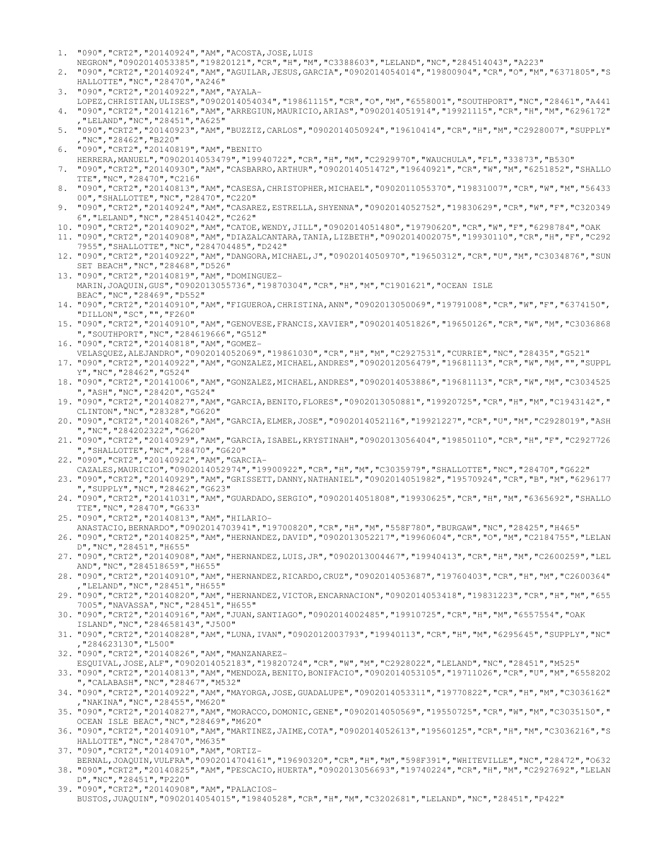1. "090","CRT2","20140924","AM","ACOSTA,JOSE,LUIS

- NEGRON","0902014053385","19820121","CR","H","M","C3388603","LELAND","NC","284514043","A223"
- 2. "090","CRT2","20140924","AM","AGUILAR,JESUS,GARCIA","0902014054014","19800904","CR","O","M","6371805","S HALLOTTE","NC","28470","A246"
- 3. "090","CRT2","20140922","AM","AYALA-
- LOPEZ,CHRISTIAN,ULISES","0902014054034","19861115","CR","O","M","6558001","SOUTHPORT","NC","28461","A441 4. "090","CRT2","20141216","AM","ARREGIUN,MAURICIO,ARIAS","0902014051914","19921115","CR","H","M","6296172" ,"LELAND","NC","28451","A625"
- 5. "090","CRT2","20140923","AM","BUZZIZ,CARLOS","0902014050924","19610414","CR","H","M","C2928007","SUPPLY" ,"NC","28462","B220"
- 6. "090","CRT2","20140819","AM","BENITO
- HERRERA,MANUEL","0902014053479","19940722","CR","H","M","C2929970","WAUCHULA","FL","33873","B530"
- 7. "090","CRT2","20140930","AM","CASBARRO,ARTHUR","0902014051472","19640921","CR","W","M","6251852","SHALLO TTE","NC","28470","C216"
- 8. "090","CRT2","20140813","AM","CASESA,CHRISTOPHER,MICHAEL","0902011055370","19831007","CR","W","M","56433 00","SHALLOTTE","NC","28470","C220"
- 9. "090","CRT2","20140924","AM","CASAREZ,ESTRELLA,SHYENNA","0902014052752","19830629","CR","W","F","C320349 6","LELAND","NC","284514042","C262"
- 10. "090","CRT2","20140902","AM","CATOE,WENDY,JILL","0902014051480","19790620","CR","W","F","6298784","OAK
- 11. "090","CRT2","20140908","AM","DIAZALCANTARA,TANIA,LIZBETH","0902014002075","19930110","CR","H","F","C292 7955","SHALLOTTE","NC","284704485","D242"
- 12. "090","CRT2","20140922","AM","DANGORA,MICHAEL,J","0902014050970","19650312","CR","U","M","C3034876","SUN SET BEACH","NC","28468","D526"
- 13. "090","CRT2","20140819","AM","DOMINGUEZ-MARIN,JOAQUIN,GUS","0902013055736","19870304","CR","H","M","C1901621","OCEAN ISLE BEAC","NC","28469","D552"
- 14. "090","CRT2","20140910","AM","FIGUEROA,CHRISTINA,ANN","0902013050069","19791008","CR","W","F","6374150", "DILLON","SC","","F260"
- 15. "090","CRT2","20140910","AM","GENOVESE,FRANCIS,XAVIER","0902014051826","19650126","CR","W","M","C3036868 ","SOUTHPORT","NC","284619666","G512"
- 16. "090","CRT2","20140818","AM","GOMEZ-
- VELASQUEZ,ALEJANDRO","0902014052069","19861030","CR","H","M","C2927531","CURRIE","NC","28435","G521" 17. "090","CRT2","20140922","AM","GONZALEZ,MICHAEL,ANDRES","0902012056479","19681113","CR","W","M","","SUPPL
- Y","NC","28462","G524" 18. "090","CRT2","20141006","AM","GONZALEZ,MICHAEL,ANDRES","0902014053886","19681113","CR","W","M","C3034525
- ","ASH","NC","28420","G524"
- 19. "090","CRT2","20140827","AM","GARCIA,BENITO,FLORES","0902013050881","19920725","CR","H","M","C1943142"," CLINTON","NC","28328","G620"
- 20. "090","CRT2","20140826","AM","GARCIA,ELMER,JOSE","0902014052116","19921227","CR","U","M","C2928019","ASH ","NC","284202322","G620"
- 21. "090","CRT2","20140929","AM","GARCIA,ISABEL,KRYSTINAH","0902013056404","19850110","CR","H","F","C2927726 ","SHALLOTTE","NC","28470","G620"
- 22. "090","CRT2","20140922","AM","GARCIA-CAZALES,MAURICIO","0902014052974","19900922","CR","H","M","C3035979","SHALLOTTE","NC","28470","G622"
- 23. "090","CRT2","20140929","AM","GRISSETT,DANNY,NATHANIEL","0902014051982","19570924","CR","B","M","6296177
- ","SUPPLY","NC","28462","G623"
- 24. "090","CRT2","20141031","AM","GUARDADO,SERGIO","0902014051808","19930625","CR","H","M","6365692","SHALLO TTE","NC","28470","G633"
- 25. "090","CRT2","20140813","AM","HILARIO-
- ANASTACIO,BERNARDO","0902014703941","19700820","CR","H","M","558F780","BURGAW","NC","28425","H465"
- 26. "090","CRT2","20140825","AM","HERNANDEZ,DAVID","0902013052217","19960604","CR","O","M","C2184755","LELAN D","NC","28451","H655"
- 27. "090","CRT2","20140908","AM","HERNANDEZ,LUIS,JR","0902013004467","19940413","CR","H","M","C2600259","LEL AND","NC","284518659","H655"
- 28. "090","CRT2","20140910","AM","HERNANDEZ,RICARDO,CRUZ","0902014053687","19760403","CR","H","M","C2600364" ,"LELAND","NC","28451","H655"
- 29. "090","CRT2","20140820","AM","HERNANDEZ,VICTOR,ENCARNACION","0902014053418","19831223","CR","H","M","655 7005","NAVASSA","NC","28451","H655"
- 30. "090","CRT2","20140916","AM","JUAN,SANTIAGO","0902014002485","19910725","CR","H","M","6557554","OAK ISLAND","NC","284658143","J500"
- 31. "090","CRT2","20140828","AM","LUNA,IVAN","0902012003793","19940113","CR","H","M","6295645","SUPPLY","NC" ,"284623130","L500"
- 32. "090","CRT2","20140826","AM","MANZANAREZ-ESQUIVAL,JOSE,ALF","0902014052183","19820724","CR","W","M","C2928022","LELAND","NC","28451","M525"
- 33. "090","CRT2","20140813","AM","MENDOZA,BENITO,BONIFACIO","0902014053105","19711026","CR","U","M","6558202 ","CALABASH","NC","28467","M532"
- 34. "090","CRT2","20140922","AM","MAYORGA,JOSE,GUADALUPE","0902014053311","19770822","CR","H","M","C3036162" ,"NAKINA","NC","28455","M620"
- 35. "090","CRT2","20140827","AM","MORACCO,DOMONIC,GENE","0902014050569","19550725","CR","W","M","C3035150"," OCEAN ISLE BEAC","NC","28469","M620"
- 36. "090","CRT2","20140910","AM","MARTINEZ,JAIME,COTA","0902014052613","19560125","CR","H","M","C3036216","S HALLOTTE","NC","28470","M635"
- 37. "090","CRT2","20140910","AM","ORTIZ-
- BERNAL,JOAQUIN,VULFRA","0902014704161","19690320","CR","H","M","598F391","WHITEVILLE","NC","28472","O632 38. "090","CRT2","20140825","AM","PESCACIO,HUERTA","0902013056693","19740224","CR","H","M","C2927692","LELAN
- D","NC","28451","P220" 39. "090","CRT2","20140908","AM","PALACIOS-
- BUSTOS,JUAQUIN","0902014054015","19840528","CR","H","M","C3202681","LELAND","NC","28451","P422"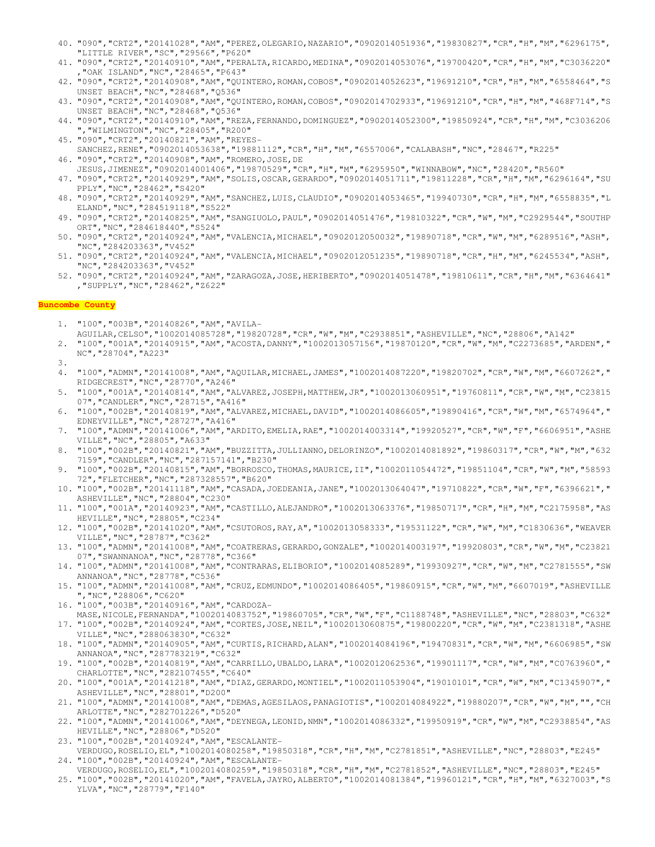- 40. "090","CRT2","20141028","AM","PEREZ,OLEGARIO,NAZARIO","0902014051936","19830827","CR","H","M","6296175", "LITTLE RIVER","SC","29566","P620"
- 41. "090","CRT2","20140910","AM","PERALTA,RICARDO,MEDINA","0902014053076","19700420","CR","H","M","C3036220" ,"OAK ISLAND","NC","28465","P643"
- 42. "090","CRT2","20140908","AM","QUINTERO,ROMAN,COBOS","0902014052623","19691210","CR","H","M","6558464","S UNSET BEACH","NC","28468","Q536"
- 43. "090","CRT2","20140908","AM","QUINTERO,ROMAN,COBOS","0902014702933","19691210","CR","H","M","468F714","S UNSET BEACH","NC","28468","Q536"
- 44. "090","CRT2","20140910","AM","REZA,FERNANDO,DOMINGUEZ","0902014052300","19850924","CR","H","M","C3036206 ","WILMINGTON","NC","28405","R200"
- 45. "090","CRT2","20140821","AM","REYES-
- SANCHEZ,RENE","0902014053638","19881112","CR","H","M","6557006","CALABASH","NC","28467","R225" 46. "090","CRT2","20140908","AM","ROMERO,JOSE,DE
- JESUS,JIMENEZ","0902014001406","19870529","CR","H","M","6295950","WINNABOW","NC","28420","R560"
- 47. "090","CRT2","20140929","AM","SOLIS,OSCAR,GERARDO","0902014051711","19811228","CR","H","M","6296164","SU PPLY","NC","28462","S420"
- 48. "090","CRT2","20140929","AM","SANCHEZ,LUIS,CLAUDIO","0902014053465","19940730","CR","H","M","6558835","L ELAND","NC","284519118","S522"
- 49. "090","CRT2","20140825","AM","SANGIUOLO,PAUL","0902014051476","19810322","CR","W","M","C2929544","SOUTHP ORT","NC","284618440","S524"
- 50. "090","CRT2","20140924","AM","VALENCIA,MICHAEL","0902012050032","19890718","CR","W","M","6289516","ASH", "NC","284203363","V452"
- 51. "090","CRT2","20140924","AM","VALENCIA,MICHAEL","0902012051235","19890718","CR","H","M","6245534","ASH", "NC","284203363","V452"
- 52. "090","CRT2","20140924","AM","ZARAGOZA,JOSE,HERIBERTO","0902014051478","19810611","CR","H","M","6364641" ,"SUPPLY","NC","28462","Z622"

## **Buncombe County**

- 1. "100","003B","20140826","AM","AVILA-
- AGUILAR,CELSO","1002014085728","19820728","CR","W","M","C2938851","ASHEVILLE","NC","28806","A142"
- 2. "100","001A","20140915","AM","ACOSTA,DANNY","1002013057156","19870120","CR","W","M","C2273685","ARDEN"," NC","28704","A223"
- 3.
- 4. "100","ADMN","20141008","AM","AQUILAR,MICHAEL,JAMES","1002014087220","19820702","CR","W","M","6607262"," RIDGECREST","NC","28770","A246"
- 5. "100","001A","20140814","AM","ALVAREZ,JOSEPH,MATTHEW,JR","1002013060951","19760811","CR","W","M","C23815 07","CANDLER","NC","28715","A416"
- 6. "100","002B","20140819","AM","ALVAREZ,MICHAEL,DAVID","1002014086605","19890416","CR","W","M","6574964"," EDNEYVILLE","NC","28727","A416"
- 7. "100","ADMN","20141006","AM","ARDITO,EMELIA,RAE","1002014003314","19920527","CR","W","F","6606951","ASHE VILLE","NC","28805","A633"
- 8. "100","002B","20140821","AM","BUZZITTA,JULLIANNO,DELORINZO","1002014081892","19860317","CR","W","M","632 7159","CANDLER","NC","287157141","B230"
- 9. "100","002B","20140815","AM","BORROSCO,THOMAS,MAURICE,II","1002011054472","19851104","CR","W","M","58593 72","FLETCHER","NC","287328557","B620"
- 10. "100","002B","20141118","AM","CASADA,JOEDEANIA,JANE","1002013064047","19710822","CR","W","F","6396621"," ASHEVILLE","NC","28804","C230"
- 11. "100","001A","20140923","AM","CASTILLO,ALEJANDRO","1002013063376","19850717","CR","H","M","C2175958","AS HEVILLE","NC","28805","C234"
- 12. "100","002B","20141020","AM","CSUTOROS,RAY,A","1002013058333","19531122","CR","W","M","C1830636","WEAVER VILLE","NC","28787","C362"
- 13. "100","ADMN","20141008","AM","COATRERAS,GERARDO,GONZALE","1002014003197","19920803","CR","W","M","C23821 07","SWANNANOA","NC","28778","C366"
- 14. "100","ADMN","20141008","AM","CONTRARAS,ELIBORIO","1002014085289","19930927","CR","W","M","C2781555","SW ANNANOA","NC","28778","C536"
- 15. "100","ADMN","20141008","AM","CRUZ,EDMUNDO","1002014086405","19860915","CR","W","M","6607019","ASHEVILLE ","NC","28806","C620"
- 16. "100","003B","20140916","AM","CARDOZA-MASE,NICOLE,FERNANDA","1002014083752","19860705","CR","W","F","C1188748","ASHEVILLE","NC","28803","C632"
- 17. "100","002B","20140924","AM","CORTES,JOSE,NEIL","1002013060875","19800220","CR","W","M","C2381318","ASHE VILLE","NC","288063830","C632"
- 18. "100","ADMN","20140905","AM","CURTIS,RICHARD,ALAN","1002014084196","19470831","CR","W","M","6606985","SW ANNANOA","NC","287783219","C632"
- 19. "100","002B","20140819","AM","CARRILLO,UBALDO,LARA","1002012062536","19901117","CR","W","M","C0763960"," CHARLOTTE","NC","282107455","C640"
- 20. "100","001A","20141218","AM","DIAZ,GERARDO,MONTIEL","1002011053904","19010101","CR","W","M","C1345907"," ASHEVILLE","NC","28801","D200"
- 21. "100","ADMN","20141008","AM","DEMAS,AGESILAOS,PANAGIOTIS","1002014084922","19880207","CR","W","M","","CH ARLOTTE","NC","282701226","D520"
- 22. "100","ADMN","20141006","AM","DEYNEGA,LEONID,NMN","1002014086332","19950919","CR","W","M","C2938854","AS HEVILLE","NC","28806","D520"
- 23. "100","002B","20140924","AM","ESCALANTE-VERDUGO,ROSELIO,EL","1002014080258","19850318","CR","H","M","C2781851","ASHEVILLE","NC","28803","E245" 24. "100","002B","20140924","AM","ESCALANTE-
- VERDUGO,ROSELIO,EL","1002014080259","19850318","CR","H","M","C2781852","ASHEVILLE","NC","28803","E245"
- 25. "100","002B","20141020","AM","FAVELA,JAYRO,ALBERTO","1002014081384","19960121","CR","H","M","6327003","S YLVA","NC","28779","F140"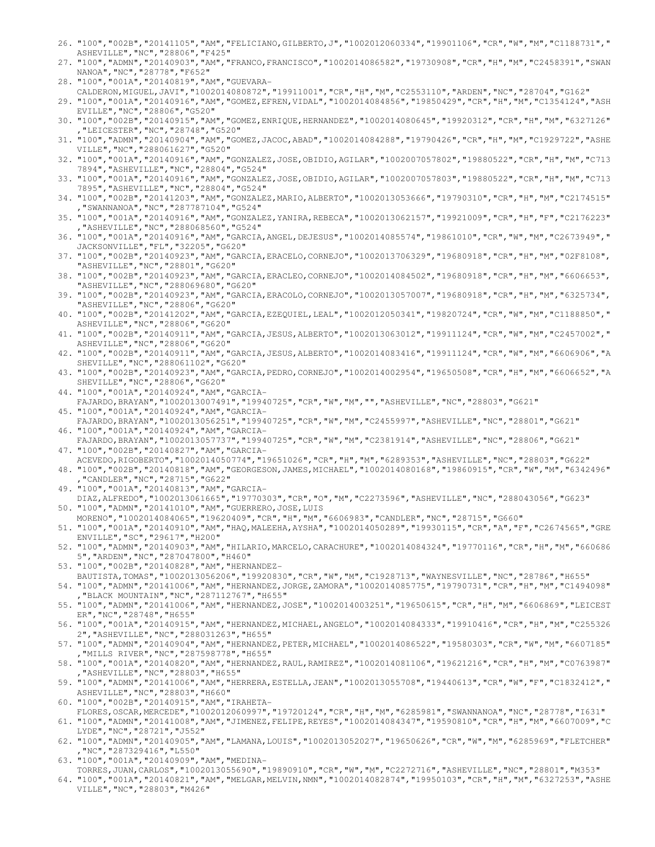- 26. "100","002B","20141105","AM","FELICIANO,GILBERTO,J","1002012060334","19901106","CR","W","M","C1188731"," ASHEVILLE","NC","28806","F425"
- 27. "100","ADMN","20140903","AM","FRANCO,FRANCISCO","1002014086582","19730908","CR","H","M","C2458391","SWAN NANOA","NC","28778","F652"
- 28. "100","001A","20140819","AM","GUEVARA-
- CALDERON,MIGUEL,JAVI","1002014080872","19911001","CR","H","M","C2553110","ARDEN","NC","28704","G162"
- 29. "100","001A","20140916","AM","GOMEZ,EFREN,VIDAL","1002014084856","19850429","CR","H","M","C1354124","ASH EVILLE","NC","28806","G520"
- 30. "100","002B","20140915","AM","GOMEZ,ENRIQUE,HERNANDEZ","1002014080645","19920312","CR","H","M","6327126" ,"LEICESTER","NC","28748","G520"
- 31. "100","ADMN","20140904","AM","GOMEZ,JACOC,ABAD","1002014084288","19790426","CR","H","M","C1929722","ASHE VILLE","NC","288061627","G520"
- 32. "100","001A","20140916","AM","GONZALEZ,JOSE,OBIDIO,AGILAR","1002007057802","19880522","CR","H","M","C713 7894","ASHEVILLE","NC","28804","G524"
- 33. "100","001A","20140916","AM","GONZALEZ,JOSE,OBIDIO,AGILAR","1002007057803","19880522","CR","H","M","C713 7895","ASHEVILLE","NC","28804","G524"
- 34. "100","002B","20141203","AM","GONZALEZ,MARIO,ALBERTO","1002013053666","19790310","CR","H","M","C2174515" ,"SWANNANOA","NC","287787104","G524"
- 35. "100","001A","20140916","AM","GONZALEZ,YANIRA,REBECA","1002013062157","19921009","CR","H","F","C2176223" ,"ASHEVILLE","NC","288068560","G524"
- 36. "100","001A","20140916","AM","GARCIA,ANGEL,DEJESUS","1002014085574","19861010","CR","W","M","C2673949"," JACKSONVILLE","FL","32205","G620"
- 37. "100","002B","20140923","AM","GARCIA,ERACELO,CORNEJO","1002013706329","19680918","CR","H","M","02F8108", "ASHEVILLE","NC","28801","G620"
- 38. "100","002B","20140923","AM","GARCIA,ERACLEO,CORNEJO","1002014084502","19680918","CR","H","M","6606653", "ASHEVILLE","NC","288069680","G620"
- 39. "100","002B","20140923","AM","GARCIA,ERACOLO,CORNEJO","1002013057007","19680918","CR","H","M","6325734", "ASHEVILLE","NC","28806","G620"
- 40. "100","002B","20141202","AM","GARCIA,EZEQUIEL,LEAL","1002012050341","19820724","CR","W","M","C1188850"," ASHEVILLE","NC","28806","G620"
- 41. "100","002B","20140911","AM","GARCIA,JESUS,ALBERTO","1002013063012","19911124","CR","W","M","C2457002"," ASHEVILLE","NC","28806","G620"
- 42. "100","002B","20140911","AM","GARCIA,JESUS,ALBERTO","1002014083416","19911124","CR","W","M","6606906","A SHEVILLE","NC","288061102","G620"
- 43. "100","002B","20140923","AM","GARCIA,PEDRO,CORNEJO","1002014002954","19650508","CR","H","M","6606652","A SHEVILLE","NC","28806","G620"
- 44. "100","001A","20140924","AM","GARCIA-
- FAJARDO,BRAYAN","1002013007491","19940725","CR","W","M","","ASHEVILLE","NC","28803","G621" 45. "100","001A","20140924","AM","GARCIA-
- FAJARDO,BRAYAN","1002013056251","19940725","CR","W","M","C2455997","ASHEVILLE","NC","28801","G621" 46. "100","001A","20140924","AM","GARCIA-
- FAJARDO,BRAYAN","1002013057737","19940725","CR","W","M","C2381914","ASHEVILLE","NC","28806","G621" 47. "100","002B","20140827","AM","GARCIA-
- ACEVEDO,RIGOBERTO","1002014050774","19651026","CR","H","M","6289353","ASHEVILLE","NC","28803","G622"
- 48. "100","002B","20140818","AM","GEORGESON,JAMES,MICHAEL","1002014080168","19860915","CR","W","M","6342496" ,"CANDLER","NC","28715","G622"
- 49. "100","001A","20140813","AM","GARCIA-
- DIAZ,ALFREDO","1002013061665","19770303","CR","O","M","C2273596","ASHEVILLE","NC","288043056","G623" 50. "100","ADMN","20141010","AM","GUERRERO,JOSE,LUIS
- MORENO","1002014084065","19620409","CR","H","M","6606983","CANDLER","NC","28715","G660"
- 51. "100","001A","20140910","AM","HAQ,MALEEHA,AYSHA","1002014050289","19930115","CR","A","F","C2674565","GRE ENVILLE","SC","29617","H200"
- 52. "100","ADMN","20140903","AM","HILARIO,MARCELO,CARACHURE","1002014084324","19770116","CR","H","M","660686 5","ARDEN","NC","287047800","H460"
- 53. "100","002B","20140828","AM","HERNANDEZ-BAUTISTA,TOMAS","1002013056206","19920830","CR","W","M","C1928713","WAYNESVILLE","NC","28786","H655"
- 54. "100","ADMN","20141006","AM","HERNANDEZ,JORGE,ZAMORA","1002014085775","19790731","CR","H","M","C1494098" ,"BLACK MOUNTAIN","NC","287112767","H655"
- 55. "100","ADMN","20141006","AM","HERNANDEZ,JOSE","1002014003251","19650615","CR","H","M","6606869","LEICEST ER","NC","28748","H655"
- 56. "100","001A","20140915","AM","HERNANDEZ,MICHAEL,ANGELO","1002014084333","19910416","CR","H","M","C255326 2","ASHEVILLE","NC","288031263","H655"
- 57. "100","ADMN","20140904","AM","HERNANDEZ,PETER,MICHAEL","1002014086522","19580303","CR","W","M","6607185" ,"MILLS RIVER","NC","287598778","H655"
- 58. "100","001A","20140820","AM","HERNANDEZ,RAUL,RAMIREZ","1002014081106","19621216","CR","H","M","C0763987" ,"ASHEVILLE","NC","28803","H655"
- 59. "100","ADMN","20141006","AM","HERRERA,ESTELLA,JEAN","1002013055708","19440613","CR","W","F","C1832412"," ASHEVILLE","NC","28803","H660"
- 60. "100","002B","20140915","AM","IRAHETA-
- FLORES,OSCAR,MERCEDE","1002012060997","19720124","CR","H","M","6285981","SWANNANOA","NC","28778","I631" 61. "100","ADMN","20141008","AM","JIMENEZ,FELIPE,REYES","1002014084347","19590810","CR","H","M","6607009","C
- LYDE","NC","28721","J552" 62. "100","ADMN","20140905","AM","LAMANA,LOUIS","1002013052027","19650626","CR","W","M","6285969","FLETCHER"
- ,"NC","287329416","L550" 63. "100","001A","20140909","AM","MEDINA-
- TORRES,JUAN,CARLOS","1002013055690","19890910","CR","W","M","C2272716","ASHEVILLE","NC","28801","M353"
- 64. "100","001A","20140821","AM","MELGAR,MELVIN,NMN","1002014082874","19950103","CR","H","M","6327253","ASHE VILLE","NC","28803","M426"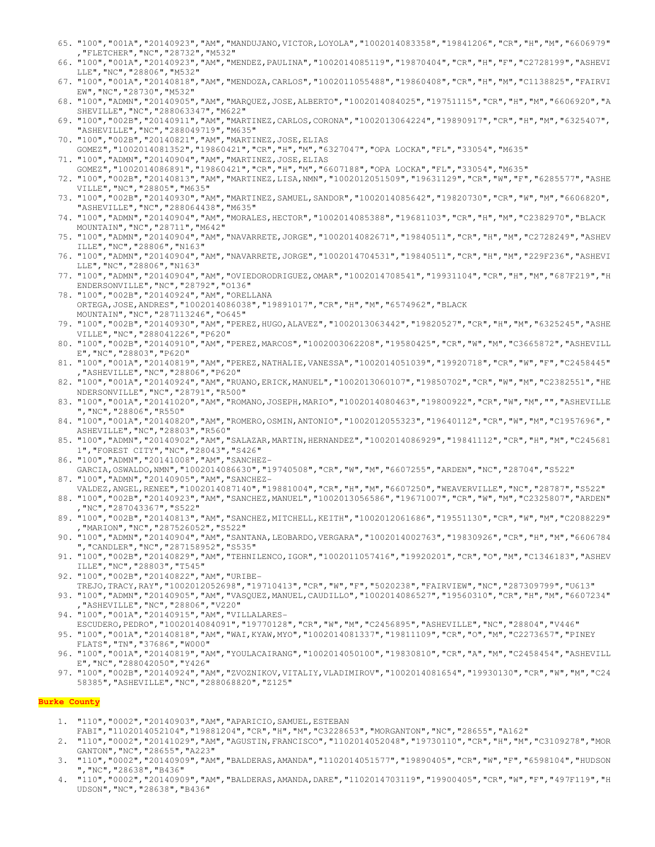- 65. "100","001A","20140923","AM","MANDUJANO,VICTOR,LOYOLA","1002014083358","19841206","CR","H","M","6606979" ,"FLETCHER","NC","28732","M532"
- 66. "100","001A","20140923","AM","MENDEZ,PAULINA","1002014085119","19870404","CR","H","F","C2728199","ASHEVI LLE","NC","28806","M532"
- 67. "100","001A","20140818","AM","MENDOZA,CARLOS","1002011055488","19860408","CR","H","M","C1138825","FAIRVI EW","NC","28730","M532"
- 68. "100","ADMN","20140905","AM","MARQUEZ,JOSE,ALBERTO","1002014084025","19751115","CR","H","M","6606920","A SHEVILLE","NC","288063347","M622"
- 69. "100","002B","20140911","AM","MARTINEZ,CARLOS,CORONA","1002013064224","19890917","CR","H","M","6325407", "ASHEVILLE","NC","288049719","M635"
- 70. "100","002B","20140821","AM","MARTINEZ,JOSE,ELIAS GOMEZ","1002014081352","19860421","CR","H","M","6327047","OPA LOCKA","FL","33054","M635"
- 71. "100","ADMN","20140904","AM","MARTINEZ,JOSE,ELIAS
- GOMEZ","1002014086891","19860421","CR","H","M","6607188","OPA LOCKA","FL","33054","M635"
- 72. "100","002B","20140813","AM","MARTINEZ,LISA,NMN","1002012051509","19631129","CR","W","F","6285577","ASHE VILLE","NC","28805","M635"
- 73. "100","002B","20140930","AM","MARTINEZ,SAMUEL,SANDOR","1002014085642","19820730","CR","W","M","6606820", "ASHEVILLE","NC","288064438","M635"
- 74. "100","ADMN","20140904","AM","MORALES,HECTOR","1002014085388","19681103","CR","H","M","C2382970","BLACK MOUNTAIN","NC","28711","M642"
- 75. "100","ADMN","20140904","AM","NAVARRETE,JORGE","1002014082671","19840511","CR","H","M","C2728249","ASHEV ILLE","NC","28806","N163"
- 76. "100","ADMN","20140904","AM","NAVARRETE,JORGE","1002014704531","19840511","CR","H","M","229F236","ASHEVI LLE","NC","28806","N163"
- 77. "100","ADMN","20140904","AM","OVIEDORODRIGUEZ,OMAR","1002014708541","19931104","CR","H","M","687F219","H ENDERSONVILLE","NC","28792","O136"
- 78. "100","002B","20140924","AM","ORELLANA ORTEGA,JOSE,ANDRES","1002014086038","19891017","CR","H","M","6574962","BLACK MOUNTAIN","NC","287113246","O645"
- 79. "100","002B","20140930","AM","PEREZ,HUGO,ALAVEZ","1002013063442","19820527","CR","H","M","6325245","ASHE VILLE","NC","288041226","P620"
- 80. "100","002B","20140910","AM","PEREZ,MARCOS","1002003062208","19580425","CR","W","M","C3665872","ASHEVILL E","NC","28803","P620"
- 81. "100","001A","20140819","AM","PEREZ,NATHALIE,VANESSA","1002014051039","19920718","CR","W","F","C2458445" ,"ASHEVILLE","NC","28806","P620"
- 82. "100","001A","20140924","AM","RUANO,ERICK,MANUEL","1002013060107","19850702","CR","W","M","C2382551","HE NDERSONVILLE","NC","28791","R500"
- 83. "100","001A","20141020","AM","ROMANO,JOSEPH,MARIO","1002014080463","19800922","CR","W","M","","ASHEVILLE ","NC","28806","R550"
- 84. "100","001A","20140820","AM","ROMERO,OSMIN,ANTONIO","1002012055323","19640112","CR","W","M","C1957696"," ASHEVILLE","NC","28803","R560"
- 85. "100","ADMN","20140902","AM","SALAZAR,MARTIN,HERNANDEZ","1002014086929","19841112","CR","H","M","C245681 1","FOREST CITY","NC","28043","S426"
- 86. "100","ADMN","20141008","AM","SANCHEZ-
- GARCIA,OSWALDO,NMN","1002014086630","19740508","CR","W","M","6607255","ARDEN","NC","28704","S522" 87. "100", "ADMN", "20140905", "AM", "SANCHEZ-
- VALDEZ,ANGEL,RENEE","1002014087140","19881004","CR","H","M","6607250","WEAVERVILLE","NC","28787","S522"
- 88. "100","002B","20140923","AM","SANCHEZ,MANUEL","1002013056586","19671007","CR","W","M","C2325807","ARDEN" ,"NC","287043367","S522"
- 89. "100","002B","20140813","AM","SANCHEZ,MITCHELL,KEITH","1002012061686","19551130","CR","W","M","C2088229" ,"MARION","NC","287526052","S522"
- 90. "100","ADMN","20140904","AM","SANTANA,LEOBARDO,VERGARA","1002014002763","19830926","CR","H","M","6606784 ","CANDLER","NC","287158952","S535"
- 91. "100","002B","20140829","AM","TEHNILENCO,IGOR","1002011057416","19920201","CR","O","M","C1346183","ASHEV ILLE","NC","28803","T545"
- 92. "100","002B","20140822","AM","URIBE-
- TREJO,TRACY,RAY","1002012052698","19710413","CR","W","F","5020238","FAIRVIEW","NC","287309799","U613" 93. "100","ADMN","20140905","AM","VASQUEZ,MANUEL,CAUDILLO","1002014086527","19560310","CR","H","M","6607234"
- ,"ASHEVILLE","NC","28806","V220"
- 94. "100", "001A", "20140915", "AM", "VILLALARES-
- ESCUDERO,PEDRO","1002014084091","19770128","CR","W","M","C2456895","ASHEVILLE","NC","28804","V446" 95. "100","001A","20140818","AM","WAI,KYAW,MYO","1002014081337","19811109","CR","O","M","C2273657","PINEY FLATS","TN","37686","W000"
- 96. "100","001A","20140819","AM","YOULACAIRANG","1002014050100","19830810","CR","A","M","C2458454","ASHEVILL E","NC","288042050","Y426"
- 97. "100","002B","20140924","AM","ZVOZNIKOV,VITALIY,VLADIMIROV","1002014081654","19930130","CR","W","M","C24 58385","ASHEVILLE","NC","288068820","Z125"

#### **Burke County**

- 1. "110","0002","20140903","AM","APARICIO,SAMUEL,ESTEBAN
- FABI","1102014052104","19881204","CR","H","M","C3228653","MORGANTON","NC","28655","A162"
- 2. "110","0002","20141029","AM","AGUSTIN,FRANCISCO","1102014052048","19730110","CR","H","M","C3109278","MOR GANTON","NC","28655","A223"
- 3. "110","0002","20140909","AM","BALDERAS,AMANDA","1102014051577","19890405","CR","W","F","6598104","HUDSON ","NC","28638","B436"
- 4. "110","0002","20140909","AM","BALDERAS,AMANDA,DARE","1102014703119","19900405","CR","W","F","497F119","H UDSON","NC","28638","B436"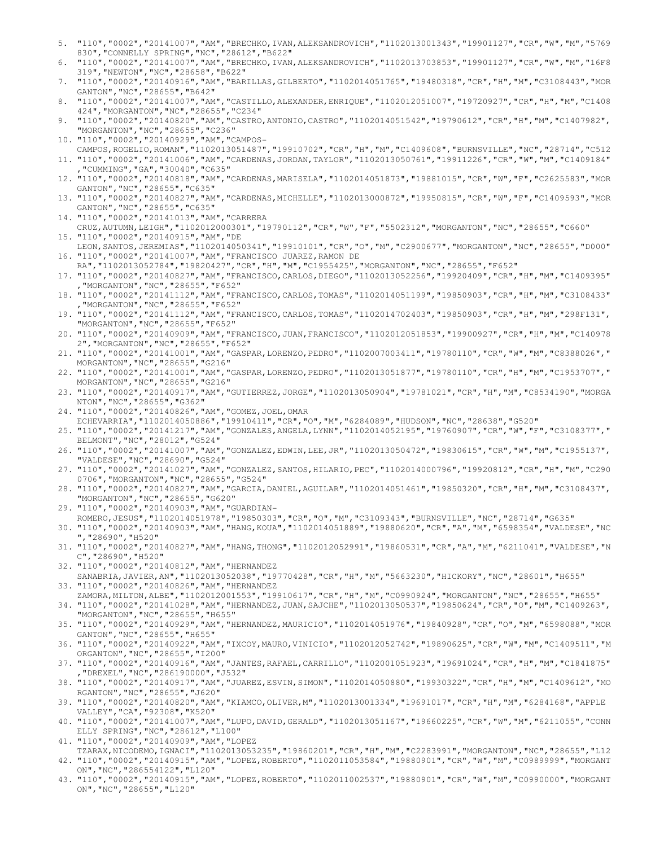- 5. "110","0002","20141007","AM","BRECHKO,IVAN,ALEKSANDROVICH","1102013001343","19901127","CR","W","M","5769 830","CONNELLY SPRING","NC","28612","B622"
- 6. "110","0002","20141007","AM","BRECHKO,IVAN,ALEKSANDROVICH","1102013703853","19901127","CR","W","M","16F8 319","NEWTON","NC","28658","B622"
- 7. "110","0002","20140916","AM","BARILLAS,GILBERTO","1102014051765","19480318","CR","H","M","C3108443","MOR GANTON","NC","28655","B642"
- 8. "110","0002","20141007","AM","CASTILLO,ALEXANDER,ENRIQUE","1102012051007","19720927","CR","H","M","C1408 424","MORGANTON","NC","28655","C234"
- 9. "110","0002","20140820","AM","CASTRO,ANTONIO,CASTRO","1102014051542","19790612","CR","H","M","C1407982", "MORGANTON","NC","28655","C236"
- 10. "110","0002","20140929","AM","CAMPOS-
- CAMPOS,ROGELIO,ROMAN","1102013051487","19910702","CR","H","M","C1409608","BURNSVILLE","NC","28714","C512 11. "110","0002","20141006","AM","CARDENAS,JORDAN,TAYLOR","1102013050761","19911226","CR","W","M","C1409184" ,"CUMMING","GA","30040","C635"
- 12. "110","0002","20140818","AM","CARDENAS,MARISELA","1102014051873","19881015","CR","W","F","C2625583","MOR GANTON","NC","28655","C635"
- 13. "110","0002","20140827","AM","CARDENAS,MICHELLE","1102013000872","19950815","CR","W","F","C1409593","MOR GANTON","NC","28655","C635"
- 14. "110","0002","20141013","AM","CARRERA
- CRUZ,AUTUMN,LEIGH","1102012000301","19790112","CR","W","F","5502312","MORGANTON","NC","28655","C660" 15. "110","0002","20140915","AM","DE
- LEON,SANTOS,JEREMIAS","1102014050341","19910101","CR","O","M","C2900677","MORGANTON","NC","28655","D000" 16. "110","0002","20141007","AM","FRANCISCO JUAREZ,RAMON DE
- RA","1102013052784","19820427","CR","H","M","C1955425","MORGANTON","NC","28655","F652"
- 17. "110","0002","20140827","AM","FRANCISCO,CARLOS,DIEGO","1102013052256","19920409","CR","H","M","C1409395" ,"MORGANTON","NC","28655","F652"
- 18. "110","0002","20141112","AM","FRANCISCO,CARLOS,TOMAS","1102014051199","19850903","CR","H","M","C3108433" ,"MORGANTON","NC","28655","F652"
- 19. "110","0002","20141112","AM","FRANCISCO,CARLOS,TOMAS","1102014702403","19850903","CR","H","M","298F131", "MORGANTON","NC","28655","F652"
- 20. "110","0002","20140909","AM","FRANCISCO,JUAN,FRANCISCO","1102012051853","19900927","CR","H","M","C140978 2","MORGANTON","NC","28655","F652"
- 21. "110","0002","20141001","AM","GASPAR,LORENZO,PEDRO","1102007003411","19780110","CR","W","M","C8388026"," MORGANTON","NC","28655","G216"
- 22. "110","0002","20141001","AM","GASPAR,LORENZO,PEDRO","1102013051877","19780110","CR","H","M","C1953707"," MORGANTON","NC","28655","G216"
- 23. "110","0002","20140917","AM","GUTIERREZ,JORGE","1102013050904","19781021","CR","H","M","C8534190","MORGA NTON","NC","28655","G362"
- 24. "110","0002","20140826","AM","GOMEZ,JOEL,OMAR
- ECHEVARRIA","1102014050886","19910411","CR","O","M","6284089","HUDSON","NC","28638","G520"
- 25. "110","0002","20141217","AM","GONZALES,ANGELA,LYNN","1102014052195","19760907","CR","W","F","C3108377"," BELMONT","NC","28012","G524"
- 26. "110","0002","20141007","AM","GONZALEZ,EDWIN,LEE,JR","1102013050472","19830615","CR","W","M","C1955137", "VALDESE","NC","28690","G524"
- 27. "110","0002","20141027","AM","GONZALEZ,SANTOS,HILARIO,PEC","1102014000796","19920812","CR","H","M","C290 0706","MORGANTON","NC","28655","G524"
- 28. "110","0002","20140827","AM","GARCIA,DANIEL,AGUILAR","1102014051461","19850320","CR","H","M","C3108437", "MORGANTON","NC","28655","G620"
- 29. "110","0002","20140903","AM","GUARDIAN-
- ROMERO,JESUS","1102014051978","19850303","CR","O","M","C3109343","BURNSVILLE","NC","28714","G635"
- 30. "110","0002","20140903","AM","HANG,KOUA","1102014051889","19880620","CR","A","M","6598354","VALDESE","NC ","28690","H520"
- 31. "110","0002","20140827","AM","HANG,THONG","1102012052991","19860531","CR","A","M","6211041","VALDESE","N C","28690","H520"
- 32. "110","0002","20140812","AM","HERNANDEZ SANABRIA,JAVIER,AN","1102013052038","19770428","CR","H","M","5663230","HICKORY","NC","28601","H655" 33. "110","0002","20140826","AM","HERNANDEZ
- ZAMORA,MILTON,ALBE","1102012001553","19910617","CR","H","M","C0990924","MORGANTON","NC","28655","H655"
- 34. "110","0002","20141028","AM","HERNANDEZ,JUAN,SAJCHE","1102013050537","19850624","CR","O","M","C1409263", "MORGANTON","NC","28655","H655"
- 35. "110","0002","20140929","AM","HERNANDEZ,MAURICIO","1102014051976","19840928","CR","O","M","6598088","MOR GANTON","NC","28655","H655"
- 36. "110","0002","20140922","AM","IXCOY,MAURO,VINICIO","1102012052742","19890625","CR","W","M","C1409511","M ORGANTON","NC","28655","I200"
- 37. "110","0002","20140916","AM","JANTES,RAFAEL,CARRILLO","1102001051923","19691024","CR","H","M","C1841875" ,"DREXEL","NC","286190000","J532"
- 38. "110","0002","20140917","AM","JUAREZ,ESVIN,SIMON","1102014050880","19930322","CR","H","M","C1409612","MO RGANTON","NC","28655","J620"
- 39. "110","0002","20140820","AM","KIAMCO,OLIVER,M","1102013001334","19691017","CR","H","M","6284168","APPLE VALLEY","CA","92308","K520"
- 40. "110","0002","20141007","AM","LUPO,DAVID,GERALD","1102013051167","19660225","CR","W","M","6211055","CONN ELLY SPRING","NC","28612","L100"
- 41. "110","0002","20140909","AM","LOPEZ
- TZARAX,NICODEMO,IGNACI","1102013053235","19860201","CR","H","M","C2283991","MORGANTON","NC","28655","L12 42. "110","0002","20140915","AM","LOPEZ,ROBERTO","1102011053584","19880901","CR","W","M","C0989999","MORGANT
- ON","NC","286554122","L120" 43. "110","0002","20140915","AM","LOPEZ,ROBERTO","1102011002537","19880901","CR","W","M","C0990000","MORGANT ON","NC","28655","L120"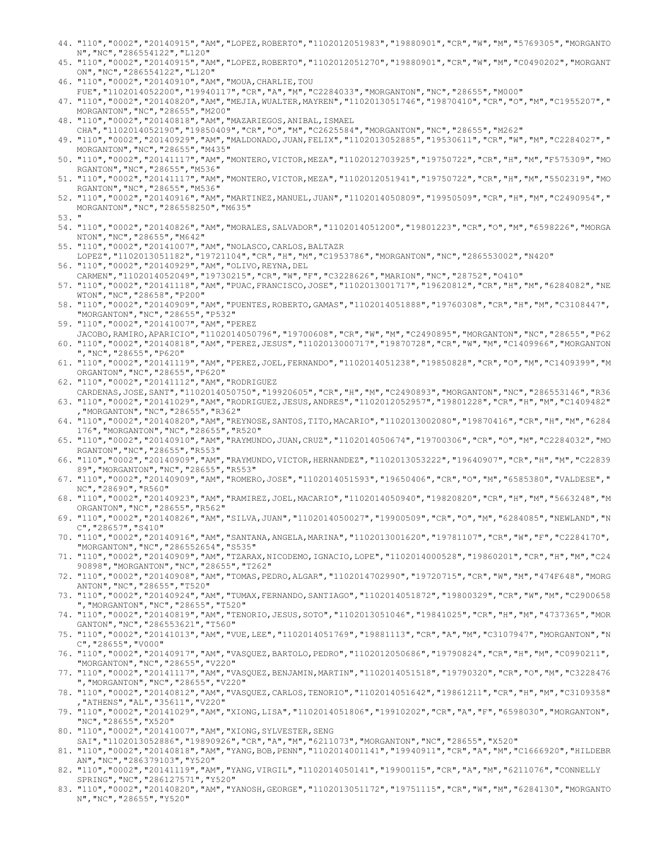- 44. "110","0002","20140915","AM","LOPEZ,ROBERTO","1102012051983","19880901","CR","W","M","5769305","MORGANTO N","NC","286554122","L120"
- 45. "110","0002","20140915","AM","LOPEZ,ROBERTO","1102012051270","19880901","CR","W","M","C0490202","MORGANT ON","NC","286554122","L120"
- 46. "110","0002","20140910","AM","MOUA,CHARLIE,TOU
- FUE","1102014052200","19940117","CR","A","M","C2284033","MORGANTON","NC","28655","M000"
- 47. "110","0002","20140820","AM","MEJIA,WUALTER,MAYREN","1102013051746","19870410","CR","O","M","C1955207"," MORGANTON","NC","28655","M200"
- 48. "110","0002","20140818","AM","MAZARIEGOS,ANIBAL,ISMAEL
- CHA","1102014052190","19850409","CR","O","M","C2625584","MORGANTON","NC","28655","M262"
- 49. "110","0002","20140929","AM","MALDONADO,JUAN,FELIX","1102013052885","19530611","CR","W","M","C2284027"," MORGANTON","NC","28655","M435"
- 50. "110","0002","20141117","AM","MONTERO,VICTOR,MEZA","1102012703925","19750722","CR","H","M","F575309","MO RGANTON","NC","28655","M536"
- 51. "110","0002","20141117","AM","MONTERO,VICTOR,MEZA","1102012051941","19750722","CR","H","M","5502319","MO RGANTON","NC","28655","M536"
- 52. "110","0002","20140916","AM","MARTINEZ,MANUEL,JUAN","1102014050809","19950509","CR","H","M","C2490954"," MORGANTON","NC","286558250","M635"
- 53. "
- 54. "110","0002","20140826","AM","MORALES,SALVADOR","1102014051200","19801223","CR","O","M","6598226","MORGA NTON","NC","28655","M642"
- 55. "110","0002","20141007","AM","NOLASCO,CARLOS,BALTAZR
- LOPEZ","1102013051182","19721104","CR","H","M","C1953786","MORGANTON","NC","286553002","N420" 56. "110","0002","20140929","AM","OLIVO,REYNA,DEL
- CARMEN","1102014052049","19730215","CR","W","F","C3228626","MARION","NC","28752","O410"
- 57. "110","0002","20141118","AM","PUAC,FRANCISCO,JOSE","1102013001717","19620812","CR","H","M","6284082","NE WTON","NC","28658","P200"
- 58. "110","0002","20140909","AM","PUENTES,ROBERTO,GAMAS","1102014051888","19760308","CR","H","M","C3108447", "MORGANTON","NC","28655","P532"
- 59. "110","0002","20141007","AM","PEREZ
- JACOBO,RAMIRO,APARICIO","1102014050796","19700608","CR","W","M","C2490895","MORGANTON","NC","28655","P62 60. "110","0002","20140818","AM","PEREZ,JESUS","1102013000717","19870728","CR","W","M","C1409966","MORGANTON
- ","NC","28655","P620" 61. "110","0002","20141119","AM","PEREZ,JOEL,FERNANDO","1102014051238","19850828","CR","O","M","C1409399","M ORGANTON","NC","28655","P620"
- 62. "110","0002","20141112","AM","RODRIGUEZ
- CARDENAS,JOSE,SANT","1102014050750","19920605","CR","H","M","C2490893","MORGANTON","NC","286553146","R36 63. "110","0002","20141029","AM","RODRIGUEZ,JESUS,ANDRES","1102012052957","19801228","CR","H","M","C1409482"
- ,"MORGANTON","NC","28655","R362" 64. "110","0002","20140820","AM","REYNOSE,SANTOS,TITO,MACARIO","1102013002080","19870416","CR","H","M","6284 176","MORGANTON","NC","28655","R520"
- 65. "110","0002","20140910","AM","RAYMUNDO,JUAN,CRUZ","1102014050674","19700306","CR","O","M","C2284032","MO RGANTON","NC","28655","R553"
- 66. "110","0002","20140909","AM","RAYMUNDO,VICTOR,HERNANDEZ","1102013053222","19640907","CR","H","M","C22839 89","MORGANTON","NC","28655","R553"
- 67. "110","0002","20140909","AM","ROMERO,JOSE","1102014051593","19650406","CR","O","M","6585380","VALDESE"," NC","28690","R560"
- 68. "110","0002","20140923","AM","RAMIREZ,JOEL,MACARIO","1102014050940","19820820","CR","H","M","5663248","M ORGANTON","NC","28655","R562"
- 69. "110","0002","20140826","AM","SILVA,JUAN","1102014050027","19900509","CR","O","M","6284085","NEWLAND","N C","28657","S410"
- 70. "110","0002","20140916","AM","SANTANA,ANGELA,MARINA","1102013001620","19781107","CR","W","F","C2284170", "MORGANTON","NC","286552654","S535"
- 71. "110","0002","20140909","AM","TZARAX,NICODEMO,IGNACIO,LOPE","1102014000528","19860201","CR","H","M","C24 90898","MORGANTON","NC","28655","T262"
- 72. "110","0002","20140908","AM","TOMAS,PEDRO,ALGAR","1102014702990","19720715","CR","W","M","474F648","MORG ANTON","NC","28655","T520"
- 73. "110","0002","20140924","AM","TUMAX,FERNANDO,SANTIAGO","1102014051872","19800329","CR","W","M","C2900658 ","MORGANTON","NC","28655","T520"
- 74. "110","0002","20140819","AM","TENORIO,JESUS,SOTO","1102013051046","19841025","CR","H","M","4737365","MOR GANTON","NC","286553621","T560"
- 75. "110","0002","20141013","AM","VUE,LEE","1102014051769","19881113","CR","A","M","C3107947","MORGANTON","N C","28655","V000"
- 76. "110","0002","20140917","AM","VASQUEZ,BARTOLO,PEDRO","1102012050686","19790824","CR","H","M","C0990211", "MORGANTON","NC","28655","V220"
- 77. "110","0002","20141117","AM","VASQUEZ,BENJAMIN,MARTIN","1102014051518","19790320","CR","O","M","C3228476 ","MORGANTON","NC","28655","V220"
- 78. "110","0002","20140812","AM","VASQUEZ,CARLOS,TENORIO","1102014051642","19861211","CR","H","M","C3109358" ,"ATHENS","AL","35611","V220"
- 79. "110","0002","20141029","AM","XIONG,LISA","1102014051806","19910202","CR","A","F","6598030","MORGANTON", "NC","28655","X520"
- 80. "110", "0002", "20141007", "AM", "XIONG, SYLVESTER, SENG
- SAI","1102013052886","19890926","CR","A","M","6211073","MORGANTON","NC","28655","X520"
- 81. "110","0002","20140818","AM","YANG,BOB,PENN","1102014001141","19940911","CR","A","M","C1666920","HILDEBR AN","NC","286379103","Y520"
- 82. "110","0002","20141119","AM","YANG,VIRGIL","1102014050141","19900115","CR","A","M","6211076","CONNELLY SPRING","NC","286127571","Y520"
- 83. "110","0002","20140820","AM","YANOSH,GEORGE","1102013051172","19751115","CR","W","M","6284130","MORGANTO N","NC","28655","Y520"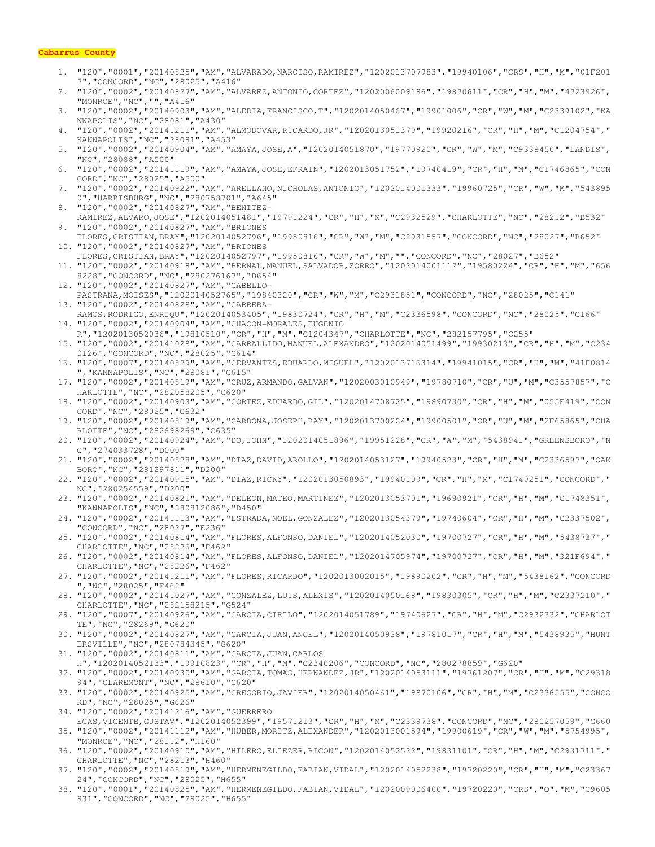#### **Cabarrus County**

- 1. "120","0001","20140825","AM","ALVARADO,NARCISO,RAMIREZ","1202013707983","19940106","CRS","H","M","01F201 7","CONCORD","NC","28025","A416"
- 2. "120","0002","20140827","AM","ALVAREZ,ANTONIO,CORTEZ","1202006009186","19870611","CR","H","M","4723926", "MONROE","NC","","A416"
- 3. "120","0002","20140903","AM","ALEDIA,FRANCISCO,T","1202014050467","19901006","CR","W","M","C2339102","KA NNAPOLIS","NC","28081","A430"
- 4. "120","0002","20141211","AM","ALMODOVAR,RICARDO,JR","1202013051379","19920216","CR","H","M","C1204754"," KANNAPOLIS","NC","28081","A453"
- 5. "120","0002","20140904","AM","AMAYA,JOSE,A","1202014051870","19770920","CR","W","M","C9338450","LANDIS", "NC","28088","A500"
- 6. "120","0002","20141119","AM","AMAYA,JOSE,EFRAIN","1202013051752","19740419","CR","H","M","C1746865","CON CORD","NC","28025","A500"
- 7. "120","0002","20140922","AM","ARELLANO,NICHOLAS,ANTONIO","1202014001333","19960725","CR","W","M","543895 0","HARRISBURG","NC","280758701","A645"
- 8. "120", "0002", "20140827", "AM", "BENITEZ-RAMIREZ,ALVARO,JOSE","1202014051481","19791224","CR","H","M","C2932529","CHARLOTTE","NC","28212","B532"
- 9. "120","0002","20140827","AM","BRIONES FLORES,CRISTIAN,BRAY","1202014052796","19950816","CR","W","M","C2931557","CONCORD","NC","28027","B652" 10. "120","0002","20140827","AM","BRIONES
- FLORES,CRISTIAN,BRAY","1202014052797","19950816","CR","W","M","","CONCORD","NC","28027","B652"
- 11. "120","0002","20140918","AM","BERNAL,MANUEL,SALVADOR,ZORRO","1202014001112","19580224","CR","H","M","656 8228","CONCORD","NC","280276167","B654"
- 12. "120","0002","20140827","AM","CABELLO-PASTRANA,MOISES","1202014052765","19840320","CR","W","M","C2931851","CONCORD","NC","28025","C141"
- 13. "120","0002","20140828","AM","CABRERA-RAMOS,RODRIGO,ENRIQU","1202014053405","19830724","CR","H","M","C2336598","CONCORD","NC","28025","C166"
- 14. "120","0002","20140904","AM","CHACON-MORALES,EUGENIO
- R","1202013052036","19810510","CR","H","M","C1204347","CHARLOTTE","NC","282157795","C255"
- 15. "120","0002","20141028","AM","CARBALLIDO,MANUEL,ALEXANDRO","1202014051499","19930213","CR","H","M","C234 0126","CONCORD","NC","28025","C614"
- 16. "120","0007","20140829","AM","CERVANTES,EDUARDO,MIGUEL","1202013716314","19941015","CR","H","M","41F0814 ","KANNAPOLIS","NC","28081","C615"
- 17. "120","0002","20140819","AM","CRUZ,ARMANDO,GALVAN","1202003010949","19780710","CR","U","M","C3557857","C HARLOTTE","NC","282058205","C620"
- 18. "120","0002","20140903","AM","CORTEZ,EDUARDO,GIL","1202014708725","19890730","CR","H","M","055F419","CON CORD","NC","28025","C632"
- 19. "120","0002","20140819","AM","CARDONA,JOSEPH,RAY","1202013700224","19900501","CR","U","M","2F65865","CHA RLOTTE","NC","282698269","C635"
- 20. "120","0002","20140924","AM","DO,JOHN","1202014051896","19951228","CR","A","M","5438941","GREENSBORO","N C","274033728","D000"
- 21. "120","0002","20140828","AM","DIAZ,DAVID,AROLLO","1202014053127","19940523","CR","H","M","C2336597","OAK BORO","NC","281297811","D200"
- 22. "120","0002","20140915","AM","DIAZ,RICKY","1202013050893","19940109","CR","H","M","C1749251","CONCORD"," NC","280254559","D200"
- 23. "120","0002","20140821","AM","DELEON,MATEO,MARTINEZ","1202013053701","19690921","CR","H","M","C1748351", "KANNAPOLIS","NC","280812086","D450"
- 24. "120","0002","20141113","AM","ESTRADA,NOEL,GONZALEZ","1202013054379","19740604","CR","H","M","C2337502", "CONCORD","NC","28027","E236"
- 25. "120","0002","20140814","AM","FLORES,ALFONSO,DANIEL","1202014052030","19700727","CR","H","M","5438737"," CHARLOTTE","NC","28226","F462"
- 26. "120","0002","20140814","AM","FLORES,ALFONSO,DANIEL","1202014705974","19700727","CR","H","M","321F694"," CHARLOTTE","NC","28226","F462"
- 27. "120","0002","20141211","AM","FLORES,RICARDO","1202013002015","19890202","CR","H","M","5438162","CONCORD ","NC","28025","F462"
- 28. "120","0002","20141027","AM","GONZALEZ,LUIS,ALEXIS","1202014050168","19830305","CR","H","M","C2337210"," CHARLOTTE","NC","282158215","G524"
- 29. "120","0007","20140926","AM","GARCIA,CIRILO","1202014051789","19740627","CR","H","M","C2932332","CHARLOT TE","NC","28269","G620"
- 30. "120","0002","20140827","AM","GARCIA,JUAN,ANGEL","1202014050938","19781017","CR","H","M","5438935","HUNT ERSVILLE","NC","280784345","G620"
- 31. "120","0002","20140811","AM","GARCIA,JUAN,CARLOS

H","1202014052133","19910823","CR","H","M","C2340206","CONCORD","NC","280278859","G620"

- 32. "120","0002","20140930","AM","GARCIA,TOMAS,HERNANDEZ,JR","1202014053111","19761207","CR","H","M","C29318 94","CLAREMONT","NC","28610","G620"
- 33. "120","0002","20140925","AM","GREGORIO,JAVIER","1202014050461","19870106","CR","H","M","C2336555","CONCO RD","NC","28025","G626"
- 34. "120","0002","20141216","AM","GUERRERO
- EGAS,VICENTE,GUSTAV","1202014052399","19571213","CR","H","M","C2339738","CONCORD","NC","280257059","G660 35. "120","0002","20141112","AM","HUBER,MORITZ,ALEXANDER","1202013001594","19900619","CR","W","M","5754995",
- "MONROE","NC","28112","H160" 36. "120","0002","20140910","AM","HILERO,ELIEZER,RICON","1202014052522","19831101","CR","H","M","C2931711","
- CHARLOTTE","NC","28213","H460"
- 37. "120","0002","20140819","AM","HERMENEGILDO,FABIAN,VIDAL","1202014052238","19720220","CR","H","M","C23367 24","CONCORD","NC","28025","H655"
- 38. "120","0001","20140825","AM","HERMENEGILDO,FABIAN,VIDAL","1202009006400","19720220","CRS","O","M","C9605 831","CONCORD","NC","28025","H655"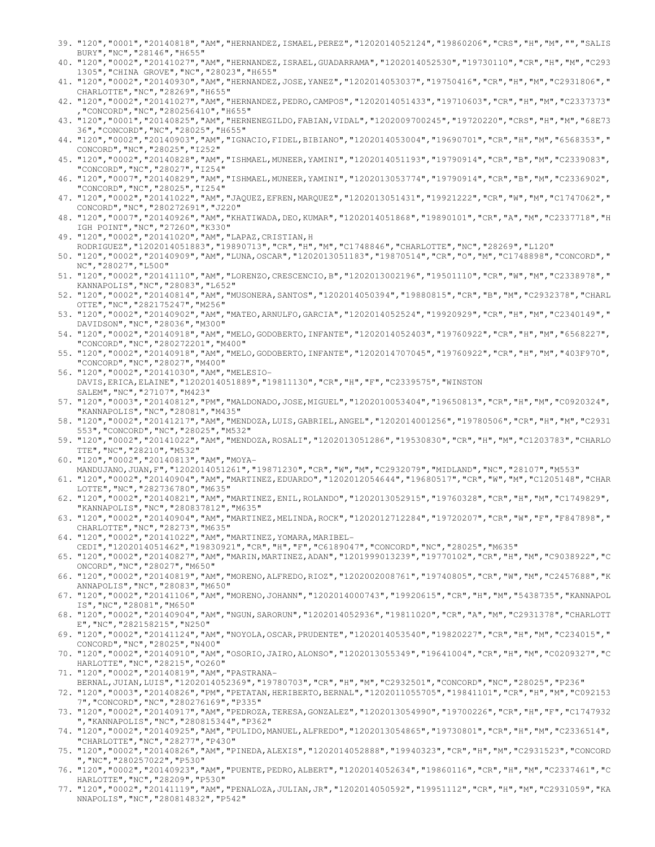- 39. "120","0001","20140818","AM","HERNANDEZ,ISMAEL,PEREZ","1202014052124","19860206","CRS","H","M","","SALIS BURY","NC","28146","H655"
- 40. "120","0002","20141027","AM","HERNANDEZ,ISRAEL,GUADARRAMA","1202014052530","19730110","CR","H","M","C293 1305","CHINA GROVE","NC","28023","H655"
- 41. "120","0002","20140930","AM","HERNANDEZ,JOSE,YANEZ","1202014053037","19750416","CR","H","M","C2931806"," CHARLOTTE","NC","28269","H655"
- 42. "120","0002","20141027","AM","HERNANDEZ,PEDRO,CAMPOS","1202014051433","19710603","CR","H","M","C2337373" ,"CONCORD","NC","280256410","H655"
- 43. "120","0001","20140825","AM","HERNENEGILDO,FABIAN,VIDAL","1202009700245","19720220","CRS","H","M","68E73 36","CONCORD","NC","28025","H655"
- 44. "120","0002","20140903","AM","IGNACIO,FIDEL,BIBIANO","1202014053004","19690701","CR","H","M","6568353"," CONCORD","NC","28025","I252"
- 45. "120","0002","20140828","AM","ISHMAEL,MUNEER,YAMINI","1202014051193","19790914","CR","B","M","C2339083", "CONCORD","NC","28027","I254"
- 46. "120","0007","20140829","AM","ISHMAEL,MUNEER,YAMINI","1202013053774","19790914","CR","B","M","C2336902", "CONCORD","NC","28025","I254"
- 47. "120","0002","20141022","AM","JAQUEZ,EFREN,MARQUEZ","1202013051431","19921222","CR","W","M","C1747062"," CONCORD","NC","280272691","J220"
- 48. "120","0007","20140926","AM","KHATIWADA,DEO,KUMAR","1202014051868","19890101","CR","A","M","C2337718","H IGH POINT","NC","27260","K330"
- 49. "120","0002","20141020","AM","LAPAZ,CRISTIAN,H
- RODRIGUEZ","1202014051883","19890713","CR","H","M","C1748846","CHARLOTTE","NC","28269","L120"
- 50. "120","0002","20140909","AM","LUNA,OSCAR","1202013051183","19870514","CR","O","M","C1748898","CONCORD"," NC","28027","L500"
- 51. "120","0002","20141110","AM","LORENZO,CRESCENCIO,B","1202013002196","19501110","CR","W","M","C2338978"," KANNAPOLIS","NC","28083","L652"
- 52. "120","0002","20140814","AM","MUSONERA,SANTOS","1202014050394","19880815","CR","B","M","C2932378","CHARL OTTE","NC","282175247","M256"
- 53. "120","0002","20140902","AM","MATEO,ARNULFO,GARCIA","1202014052524","19920929","CR","H","M","C2340149"," DAVIDSON","NC","28036","M300"
- 54. "120","0002","20140918","AM","MELO,GODOBERTO,INFANTE","1202014052403","19760922","CR","H","M","6568227", "CONCORD","NC","280272201","M400"
- 55. "120","0002","20140918","AM","MELO,GODOBERTO,INFANTE","1202014707045","19760922","CR","H","M","403F970", "CONCORD","NC","28027","M400"
- 56. "120","0002","20141030","AM","MELESIO-DAVIS,ERICA,ELAINE","1202014051889","19811130","CR","H","F","C2339575","WINSTON SALEM","NC","27107","M423"
- 57. "120","0003","20140812","PM","MALDONADO,JOSE,MIGUEL","1202010053404","19650813","CR","H","M","C0920324", "KANNAPOLIS","NC","28081","M435"
- 58. "120","0002","20141217","AM","MENDOZA,LUIS,GABRIEL,ANGEL","1202014001256","19780506","CR","H","M","C2931 553","CONCORD","NC","28025","M532"
- 59. "120","0002","20141022","AM","MENDOZA,ROSALI","1202013051286","19530830","CR","H","M","C1203783","CHARLO TTE","NC","28210","M532"
- 60. "120","0002","20140813","AM","MOYA-MANDUJANO,JUAN,F","1202014051261","19871230","CR","W","M","C2932079","MIDLAND","NC","28107","M553"
- 61. "120","0002","20140904","AM","MARTINEZ,EDUARDO","1202012054644","19680517","CR","W","M","C1205148","CHAR LOTTE","NC","282736780","M635"
- 62. "120","0002","20140821","AM","MARTINEZ,ENIL,ROLANDO","1202013052915","19760328","CR","H","M","C1749829", "KANNAPOLIS","NC","280837812","M635"
- 63. "120","0002","20140904","AM","MARTINEZ,MELINDA,ROCK","1202012712284","19720207","CR","W","F","F847898"," CHARLOTTE","NC","28273","M635"
- 64. "120","0002","20141022","AM","MARTINEZ,YOMARA,MARIBEL-
- CEDI","1202014051462","19830921","CR","H","F","C6189047","CONCORD","NC","28025","M635"
- 65. "120","0002","20140827","AM","MARIN,MARTINEZ,ADAN","1201999013239","19770102","CR","H","M","C9038922","C ONCORD","NC","28027","M650"
- 66. "120","0002","20140819","AM","MORENO,ALFREDO,RIOZ","1202002008761","19740805","CR","W","M","C2457688","K ANNAPOLIS","NC","28083","M650"
- 67. "120","0002","20141106","AM","MORENO,JOHANN","1202014000743","19920615","CR","H","M","5438735","KANNAPOL IS","NC","28081","M650"
- 68. "120","0002","20140904","AM","NGUN,SARORUN","1202014052936","19811020","CR","A","M","C2931378","CHARLOTT E","NC","282158215","N250"
- 69. "120","0002","20141124","AM","NOYOLA,OSCAR,PRUDENTE","1202014053540","19820227","CR","H","M","C234015"," CONCORD","NC","28025","N400"
- 70. "120","0002","20140910","AM","OSORIO,JAIRO,ALONSO","1202013055349","19641004","CR","H","M","C0209327","C HARLOTTE","NC","28215","O260"
- 71. "120","0002","20140819","AM","PASTRANA-
- BERNAL,JUIAN,LUIS","1202014052369","19780703","CR","H","M","C2932501","CONCORD","NC","28025","P236"
- 72. "120","0003","20140826","PM","PETATAN,HERIBERTO,BERNAL","1202011055705","19841101","CR","H","M","C092153 7","CONCORD","NC","280276169","P335"
- 73. "120","0002","20140917","AM","PEDROZA,TERESA,GONZALEZ","1202013054990","19700226","CR","H","F","C1747932 ","KANNAPOLIS","NC","280815344","P362"
- 74. "120","0002","20140925","AM","PULIDO,MANUEL,ALFREDO","1202013054865","19730801","CR","H","M","C2336514", "CHARLOTTE","NC","28277","P430"
- 75. "120","0002","20140826","AM","PINEDA,ALEXIS","1202014052888","19940323","CR","H","M","C2931523","CONCORD ","NC","280257022","P530"
- 76. "120","0002","20140923","AM","PUENTE,PEDRO,ALBERT","1202014052634","19860116","CR","H","M","C2337461","C HARLOTTE","NC","28209","P530"
- 77. "120","0002","20141119","AM","PENALOZA,JULIAN,JR","1202014050592","19951112","CR","H","M","C2931059","KA NNAPOLIS","NC","280814832","P542"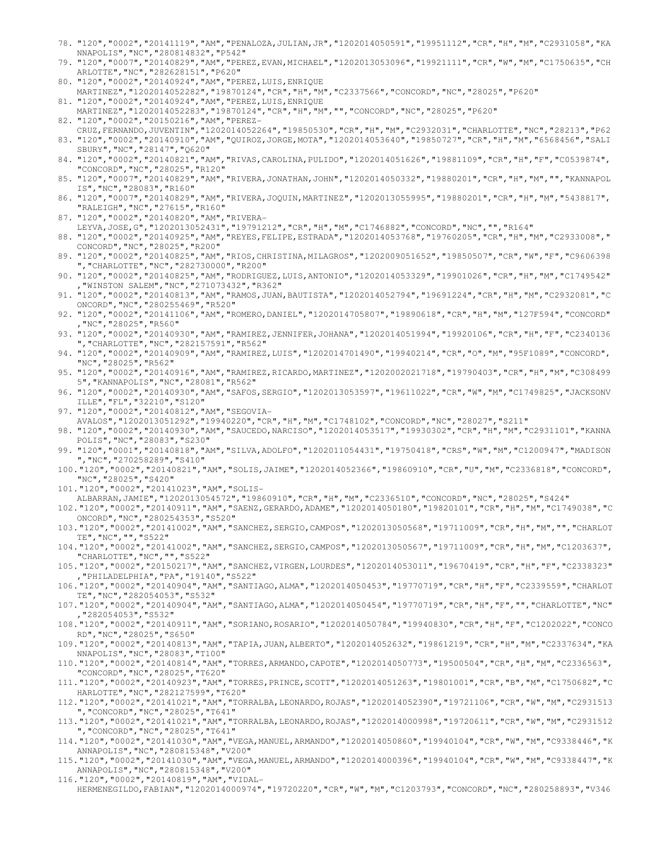- 78. "120","0002","20141119","AM","PENALOZA,JULIAN,JR","1202014050591","19951112","CR","H","M","C2931058","KA NNAPOLIS","NC","280814832","P542"
- 79. "120","0007","20140829","AM","PEREZ,EVAN,MICHAEL","1202013053096","19921111","CR","W","M","C1750635","CH ARLOTTE","NC","282628151","P620"
- 80. "120","0002","20140924","AM","PEREZ,LUIS,ENRIQUE
- MARTINEZ","1202014052282","19870124","CR","H","M","C2337566","CONCORD","NC","28025","P620" 81. "120","0002","20140924","AM","PEREZ,LUIS,ENRIQUE
- MARTINEZ","1202014052283","19870124","CR","H","M","","CONCORD","NC","28025","P620" 82. "120","0002","20150216","AM","PEREZ-
- CRUZ,FERNANDO,JUVENTIN","1202014052264","19850530","CR","H","M","C2932031","CHARLOTTE","NC","28213","P62 83. "120","0002","20140910","AM","QUIROZ,JORGE,MOTA","1202014053640","19850727","CR","H","M","6568456","SALI SBURY","NC","28147","Q620"
- 84. "120","0002","20140821","AM","RIVAS,CAROLINA,PULIDO","1202014051626","19881109","CR","H","F","C0539874", "CONCORD","NC","28025","R120"
- 85. "120","0007","20140829","AM","RIVERA,JONATHAN,JOHN","1202014050332","19880201","CR","H","M","","KANNAPOL IS","NC","28083","R160"
- 86. "120","0007","20140829","AM","RIVERA,JOQUIN,MARTINEZ","1202013055995","19880201","CR","H","M","5438817", "RALEIGH","NC","27615","R160"
- 87. "120","0002","20140820","AM","RIVERA-

LEYVA,JOSE,G","1202013052431","19791212","CR","H","M","C1746882","CONCORD","NC","","R164"

- 88. "120","0002","20140925","AM","REYES,FELIPE,ESTRADA","1202014053768","19760205","CR","H","M","C2933008"," CONCORD","NC","28025","R200"
- 89. "120","0002","20140825","AM","RIOS,CHRISTINA,MILAGROS","1202009051652","19850507","CR","W","F","C9606398 ","CHARLOTTE","NC","282730000","R200"
- 90. "120","0002","20140825","AM","RODRIGUEZ,LUIS,ANTONIO","1202014053329","19901026","CR","H","M","C1749542" ,"WINSTON SALEM","NC","271073432","R362"
- 91. "120","0002","20140813","AM","RAMOS,JUAN,BAUTISTA","1202014052794","19691224","CR","H","M","C2932081","C ONCORD","NC","280255469","R520"
- 92. "120","0002","20141106","AM","ROMERO,DANIEL","1202014705807","19890618","CR","H","M","127F594","CONCORD" ,"NC","28025","R560"
- 93. "120","0002","20140930","AM","RAMIREZ,JENNIFER,JOHANA","1202014051994","19920106","CR","H","F","C2340136 ","CHARLOTTE","NC","282157591","R562"
- 94. "120","0002","20140909","AM","RAMIREZ,LUIS","1202014701490","19940214","CR","O","M","95F1089","CONCORD", "NC","28025","R562"
- 95. "120","0002","20140916","AM","RAMIREZ,RICARDO,MARTINEZ","1202002021718","19790403","CR","H","M","C308499 5","KANNAPOLIS","NC","28081","R562"
- 96. "120","0002","20140930","AM","SAFOS,SERGIO","1202013053597","19611022","CR","W","M","C1749825","JACKSONV ILLE","FL","32210","S120"
- 97. "120","0002","20140812","AM","SEGOVIA-
- AVALOS","1202013051292","19940220","CR","H","M","C1748102","CONCORD","NC","28027","S211"
- 98. "120","0002","20140930","AM","SAUCEDO,NARCISO","1202014053517","19930302","CR","H","M","C2931101","KANNA POLIS","NC","28083","S230"
- 99. "120","0001","20140818","AM","SILVA,ADOLFO","1202011054431","19750418","CRS","W","M","C1200947","MADISON ","NC","270258289","S410"
- 100."120","0002","20140821","AM","SOLIS,JAIME","1202014052366","19860910","CR","U","M","C2336818","CONCORD", "NC","28025","S420"
- 101."120","0002","20141023","AM","SOLIS-
- ALBARRAN,JAMIE","1202013054572","19860910","CR","H","M","C2336510","CONCORD","NC","28025","S424"
- 102."120","0002","20140911","AM","SAENZ,GERARDO,ADAME","1202014050180","19820101","CR","H","M","C1749038","C ONCORD","NC","280254353","S520"
- 103."120","0002","20141002","AM","SANCHEZ,SERGIO,CAMPOS","1202013050568","19711009","CR","H","M","","CHARLOT TE","NC","","S522"
- 104."120","0002","20141002","AM","SANCHEZ,SERGIO,CAMPOS","1202013050567","19711009","CR","H","M","C1203637", "CHARLOTTE","NC","","S522"
- 105."120","0002","20150217","AM","SANCHEZ,VIRGEN,LOURDES","1202014053011","19670419","CR","H","F","C2338323" ,"PHILADELPHIA","PA","19140","S522"
- 106."120","0002","20140904","AM","SANTIAGO,ALMA","1202014050453","19770719","CR","H","F","C2339559","CHARLOT TE","NC","282054053","S532"
- 107."120","0002","20140904","AM","SANTIAGO,ALMA","1202014050454","19770719","CR","H","F","","CHARLOTTE","NC" ,"282054053","S532"
- 108."120","0002","20140911","AM","SORIANO,ROSARIO","1202014050784","19940830","CR","H","F","C1202022","CONCO RD","NC","28025","S650"
- 109."120","0002","20140813","AM","TAPIA,JUAN,ALBERTO","1202014052632","19861219","CR","H","M","C2337634","KA NNAPOLIS","NC","28083","T100"
- 110."120","0002","20140814","AM","TORRES,ARMANDO,CAPOTE","1202014050773","19500504","CR","H","M","C2336563", "CONCORD","NC","28025","T620"
- 111."120","0002","20140923","AM","TORRES,PRINCE,SCOTT","1202014051263","19801001","CR","B","M","C1750682","C HARLOTTE","NC","282127599","T620"
- 112."120","0002","20141021","AM","TORRALBA,LEONARDO,ROJAS","1202014052390","19721106","CR","W","M","C2931513 ","CONCORD","NC","28025","T641"
- 113."120","0002","20141021","AM","TORRALBA,LEONARDO,ROJAS","1202014000998","19720611","CR","W","M","C2931512 ","CONCORD","NC","28025","T641"
- 114."120","0002","20141030","AM","VEGA,MANUEL,ARMANDO","1202014050860","19940104","CR","W","M","C9338446","K ANNAPOLIS","NC","280815348","V200"
- 115."120","0002","20141030","AM","VEGA,MANUEL,ARMANDO","1202014000396","19940104","CR","W","M","C9338447","K ANNAPOLIS","NC","280815348","V200"
- 116."120","0002","20140819","AM","VIDAL-HERMENEGILDO,FABIAN","1202014000974","19720220","CR","W","M","C1203793","CONCORD","NC","280258893","V346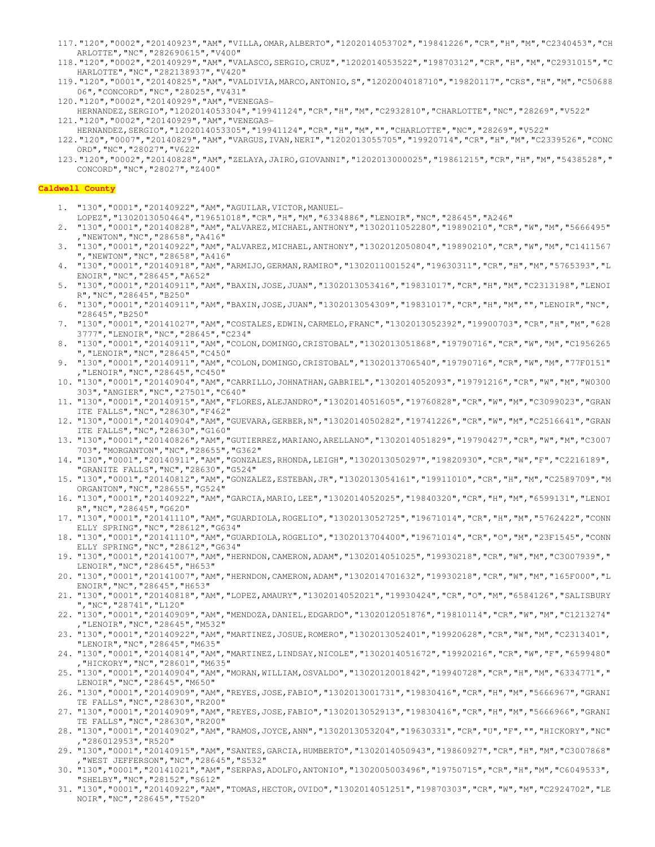- 117."120","0002","20140923","AM","VILLA,OMAR,ALBERTO","1202014053702","19841226","CR","H","M","C2340453","CH ARLOTTE","NC","282690615","V400"
- 118."120","0002","20140929","AM","VALASCO,SERGIO,CRUZ","1202014053522","19870312","CR","H","M","C2931015","C HARLOTTE","NC","282138937","V420"
- 119."120","0001","20140825","AM","VALDIVIA,MARCO,ANTONIO,S","1202004018710","19820117","CRS","H","M","C50688 06","CONCORD","NC","28025","V431"
- 120."120","0002","20140929","AM","VENEGAS-
- HERNANDEZ,SERGIO","1202014053304","19941124","CR","H","M","C2932810","CHARLOTTE","NC","28269","V522" 121."120","0002","20140929","AM","VENEGAS-
- HERNANDEZ,SERGIO","1202014053305","19941124","CR","H","M","","CHARLOTTE","NC","28269","V522"
- 122."120","0007","20140829","AM","VARGUS,IVAN,NERI","1202013055705","19920714","CR","H","M","C2339526","CONC ORD","NC","28027","V622"
- 123."120","0002","20140828","AM","ZELAYA,JAIRO,GIOVANNI","1202013000025","19861215","CR","H","M","5438528"," CONCORD","NC","28027","Z400"

#### **Caldwell County**

- 1. "130","0001","20140922","AM","AGUILAR,VICTOR,MANUEL-
- LOPEZ","1302013050464","19651018","CR","H","M","6334886","LENOIR","NC","28645","A246"
- 2. "130","0001","20140828","AM","ALVAREZ,MICHAEL,ANTHONY","1302011052280","19890210","CR","W","M","5666495" ,"NEWTON","NC","28658","A416"
- 3. "130","0001","20140922","AM","ALVAREZ,MICHAEL,ANTHONY","1302012050804","19890210","CR","W","M","C1411567 ","NEWTON","NC","28658","A416"
- 4. "130","0001","20140918","AM","ARMIJO,GERMAN,RAMIRO","1302011001524","19630311","CR","H","M","5765393","L ENOIR","NC","28645","A652"
- 5. "130","0001","20140911","AM","BAXIN,JOSE,JUAN","1302013053416","19831017","CR","H","M","C2313198","LENOI R","NC","28645","B250"
- 6. "130","0001","20140911","AM","BAXIN,JOSE,JUAN","1302013054309","19831017","CR","H","M","","LENOIR","NC", "28645","B250"
- 7. "130","0001","20141027","AM","COSTALES,EDWIN,CARMELO,FRANC","1302013052392","19900703","CR","H","M","628 3777","LENOIR","NC","28645","C234"
- 8. "130","0001","20140911","AM","COLON,DOMINGO,CRISTOBAL","1302013051868","19790716","CR","W","M","C1956265 ","LENOIR","NC","28645","C450"
- 9. "130","0001","20140911","AM","COLON,DOMINGO,CRISTOBAL","1302013706540","19790716","CR","W","M","77F0151" ,"LENOIR","NC","28645","C450"
- 10. "130","0001","20140904","AM","CARRILLO,JOHNATHAN,GABRIEL","1302014052093","19791216","CR","W","M","W0300 303","ANGIER","NC","27501","C640"
- 11. "130","0001","20140915","AM","FLORES,ALEJANDRO","1302014051605","19760828","CR","W","M","C3099023","GRAN ITE FALLS","NC","28630","F462"
- 12. "130","0001","20140904","AM","GUEVARA,GERBER,N","1302014050282","19741226","CR","W","M","C2516641","GRAN ITE FALLS","NC","28630","G160"
- 13. "130","0001","20140826","AM","GUTIERREZ,MARIANO,ARELLANO","1302014051829","19790427","CR","W","M","C3007 703","MORGANTON","NC","28655","G362"
- 14. "130","0001","20140911","AM","GONZALES,RHONDA,LEIGH","1302013050297","19820930","CR","W","F","C2216189", "GRANITE FALLS","NC","28630","G524"
- 15. "130","0001","20140812","AM","GONZALEZ,ESTEBAN,JR","1302013054161","19911010","CR","H","M","C2589709","M ORGANTON","NC","28655","G524"
- 16. "130","0001","20140922","AM","GARCIA,MARIO,LEE","1302014052025","19840320","CR","H","M","6599131","LENOI R","NC","28645","G620"
- 17. "130","0001","20141110","AM","GUARDIOLA,ROGELIO","1302013052725","19671014","CR","H","M","5762422","CONN ELLY SPRING","NC","28612","G634"
- 18. "130","0001","20141110","AM","GUARDIOLA,ROGELIO","1302013704400","19671014","CR","O","M","23F1545","CONN ELLY SPRING","NC","28612","G634"
- 19. "130","0001","20141007","AM","HERNDON,CAMERON,ADAM","1302014051025","19930218","CR","W","M","C3007939"," LENOIR","NC","28645","H653"
- 20. "130","0001","20141007","AM","HERNDON,CAMERON,ADAM","1302014701632","19930218","CR","W","M","165F000","L ENOIR","NC","28645","H653"
- 21. "130","0001","20140818","AM","LOPEZ,AMAURY","1302014052021","19930424","CR","O","M","6584126","SALISBURY ","NC","28741","L120"
- 22. "130","0001","20140909","AM","MENDOZA,DANIEL,EDGARDO","1302012051876","19810114","CR","W","M","C1213274" ,"LENOIR","NC","28645","M532"
- 23. "130","0001","20140922","AM","MARTINEZ,JOSUE,ROMERO","1302013052401","19920628","CR","W","M","C2313401", "LENOIR","NC","28645","M635"
- 24. "130","0001","20140814","AM","MARTINEZ,LINDSAY,NICOLE","1302014051672","19920216","CR","W","F","6599480" ,"HICKORY","NC","28601","M635"
- 25. "130","0001","20140904","AM","MORAN,WILLIAM,OSVALDO","1302012001842","19940728","CR","H","M","6334771"," LENOIR","NC","28645","M650"
- 26. "130","0001","20140909","AM","REYES,JOSE,FABIO","1302013001731","19830416","CR","H","M","5666967","GRANI TE FALLS","NC","28630","R200"
- 27. "130","0001","20140909","AM","REYES,JOSE,FABIO","1302013052913","19830416","CR","H","M","5666966","GRANI TE FALLS","NC","28630","R200"
- 28. "130","0001","20140902","AM","RAMOS,JOYCE,ANN","1302013053204","19630331","CR","U","F","","HICKORY","NC" ,"286012953","R520"
- 29. "130","0001","20140915","AM","SANTES,GARCIA,HUMBERTO","1302014050943","19860927","CR","H","M","C3007868" ,"WEST JEFFERSON","NC","28645","S532"
- 30. "130","0001","20141021","AM","SERPAS,ADOLFO,ANTONIO","1302005003496","19750715","CR","H","M","C6049533", "SHELBY","NC","28152","S612"
- 31. "130","0001","20140922","AM","TOMAS,HECTOR,OVIDO","1302014051251","19870303","CR","W","M","C2924702","LE NOIR","NC","28645","T520"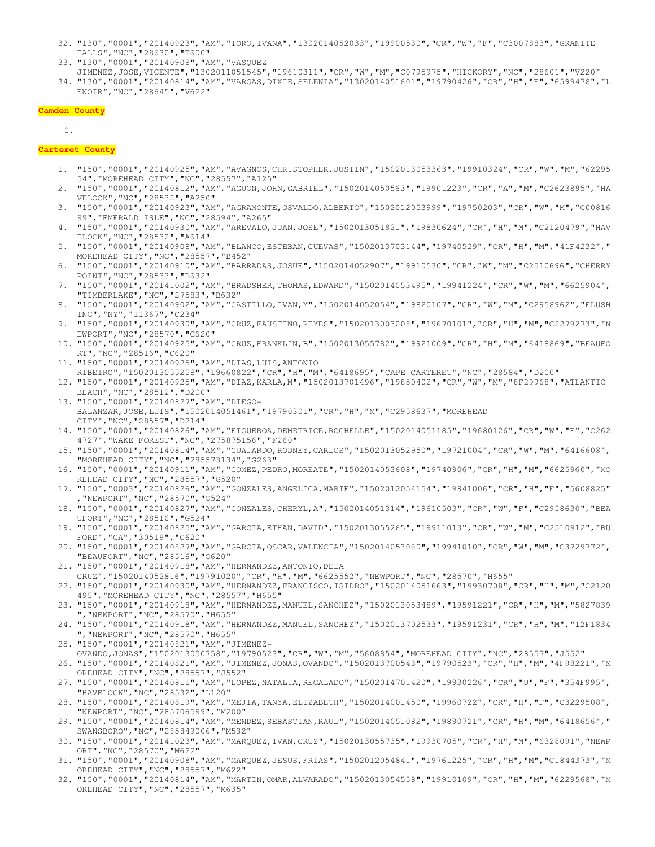- 32. "130","0001","20140923","AM","TORO,IVANA","1302014052033","19900530","CR","W","F","C3007883","GRANITE FALLS","NC","28630","T600"
- 33. "130","0001","20140908","AM","VASQUEZ
- JIMENEZ,JOSE,VICENTE","1302011051545","19610311","CR","W","M","C0795975","HICKORY","NC","28601","V220" 34. "130","0001","20140814","AM","VARGAS,DIXIE,SELENIA","1302014051601","19790426","CR","H","F","6599478","L ENOIR","NC","28645","V622"

## **Camden County**

 $\Omega$ .

# **Carteret County**

- 1. "150","0001","20140925","AM","AVAGNOS,CHRISTOPHER,JUSTIN","1502013053363","19910324","CR","W","M","62295 54","MOREHEAD CITY","NC","28557","A125"
- 2. "150","0001","20140812","AM","AGUON,JOHN,GABRIEL","1502014050563","19901223","CR","A","M","C2623895","HA VELOCK","NC","28532","A250"
- 3. "150","0001","20140923","AM","AGRAMONTE,OSVALDO,ALBERTO","1502012053999","19750203","CR","W","M","C00816 99","EMERALD ISLE","NC","28594","A265"
- 4. "150","0001","20140930","AM","AREVALO,JUAN,JOSE","1502013051821","19830624","CR","H","M","C2120479","HAV ELOCK","NC","28532","A614"
- 5. "150","0001","20140908","AM","BLANCO,ESTEBAN,CUEVAS","1502013703144","19740529","CR","H","M","41F4232"," MOREHEAD CITY","NC","28557","B452"
- 6. "150","0001","20140910","AM","BARRADAS,JOSUE","1502014052907","19910530","CR","W","M","C2510696","CHERRY POINT","NC","28533","B632"
- 7. "150","0001","20141002","AM","BRADSHER,THOMAS,EDWARD","1502014053495","19941224","CR","W","M","6625904", "TIMBERLAKE","NC","27583","B632"
- 8. "150","0001","20140902","AM","CASTILLO,IVAN,Y","1502014052054","19820107","CR","W","M","C2958962","FLUSH ING","NY","11367","C234"
- 9. "150","0001","20140930","AM","CRUZ,FAUSTINO,REYES","1502013003008","19670101","CR","H","M","C2279273","N EWPORT","NC","28570","C620"
- 10. "150","0001","20140925","AM","CRUZ,FRANKLIN,B","1502013055782","19921009","CR","H","M","6418869","BEAUFO RT","NC","28516","C620"
- 11. "150","0001","20140925","AM","DIAS,LUIS,ANTONIO
- RIBEIRO","1502013055258","19660822","CR","H","M","6418695","CAPE CARTERET","NC","28584","D200"
- 12. "150","0001","20140925","AM","DIAZ,KARLA,M","1502013701496","19850402","CR","W","M","8F29968","ATLANTIC BEACH","NC","28512","D200"
- 13. "150","0001","20140827","AM","DIEGO-BALANZAR,JOSE,LUIS","1502014051461","19790301","CR","H","M","C2958637","MOREHEAD CITY","NC","28557","D214"
- 14. "150","0001","20140826","AM","FIGUEROA,DEMETRICE,ROCHELLE","1502014051185","19680126","CR","W","F","C262 4727","WAKE FOREST","NC","275875156","F260"
- 15. "150","0001","20140814","AM","GUAJARDO,RODNEY,CARLOS","1502013052950","19721004","CR","W","M","6416608", "MOREHEAD CITY","NC","285573134","G263"
- 16. "150","0001","20140911","AM","GOMEZ,PEDRO,MOREATE","1502014053608","19740906","CR","H","M","6625960","MO REHEAD CITY","NC","28557","G520"
- 17. "150","0003","20140826","AM","GONZALES,ANGELICA,MARIE","1502012054154","19841006","CR","H","F","5608825" ,"NEWPORT","NC","28570","G524"
- 18. "150","0001","20140827","AM","GONZALES,CHERYL,A","1502014051314","19610503","CR","W","F","C2958630","BEA UFORT","NC","28516","G524"
- 19. "150","0001","20140825","AM","GARCIA,ETHAN,DAVID","1502013055265","19911013","CR","W","M","C2510912","BU FORD","GA","30519","G620"
- 20. "150","0001","20140827","AM","GARCIA,OSCAR,VALENCIA","1502014053060","19941010","CR","W","M","C3229772", "BEAUFORT","NC","28516","G620"
- 21. "150","0001","20140918","AM","HERNANDEZ,ANTONIO,DELA
- CRUZ","1502014052816","19791020","CR","H","M","6625552","NEWPORT","NC","28570","H655"
- 22. "150","0001","20140930","AM","HERNANDEZ,FRANCISCO,ISIDRO","1502014051663","19930708","CR","H","M","C2120 495","MOREHEAD CITY","NC","28557","H655"
- 23. "150","0001","20140918","AM","HERNANDEZ,MANUEL,SANCHEZ","1502013053489","19591221","CR","H","M","5827839 ","NEWPORT","NC","28570","H655"
- 24. "150","0001","20140918","AM","HERNANDEZ,MANUEL,SANCHEZ","1502013702533","19591231","CR","H","M","12F1834 ","NEWPORT","NC","28570","H655"
- 25. "150","0001","20140821","AM","JIMENEZ-
- OVANDO,JONAS","1502013050758","19790523","CR","W","M","5608854","MOREHEAD CITY","NC","28557","J552"
- 26. "150","0001","20140821","AM","JIMENEZ,JONAS,OVANDO","1502013700543","19790523","CR","H","M","4F98221","M OREHEAD CITY","NC","28557","J552"
- 27. "150","0001","20140811","AM","LOPEZ,NATALIA,REGALADO","1502014701420","19930226","CR","U","F","354F995", "HAVELOCK","NC","28532","L120"
- 28. "150","0001","20140819","AM","MEJIA,TANYA,ELIZABETH","1502014001450","19960722","CR","H","F","C3229508", "NEWPORT","NC","285706599","M200"
- 29. "150","0001","20140814","AM","MENDEZ,SEBASTIAN,RAUL","1502014051082","19890721","CR","H","M","6418656"," SWANSBORO","NC","285849006","M532"
- 30. "150","0001","20141023","AM","MARQUEZ,IVAN,CRUZ","1502013055735","19930705","CR","H","M","6328091","NEWP ORT","NC","28570","M622"
- 31. "150","0001","20140908","AM","MARQUEZ,JESUS,FRIAS","1502012054841","19761225","CR","H","M","C1844373","M OREHEAD CITY","NC","28557","M622"
- 32. "150","0001","20140814","AM","MARTIN,OMAR,ALVARADO","1502013054558","19910109","CR","H","M","6229568","M OREHEAD CITY","NC","28557","M635"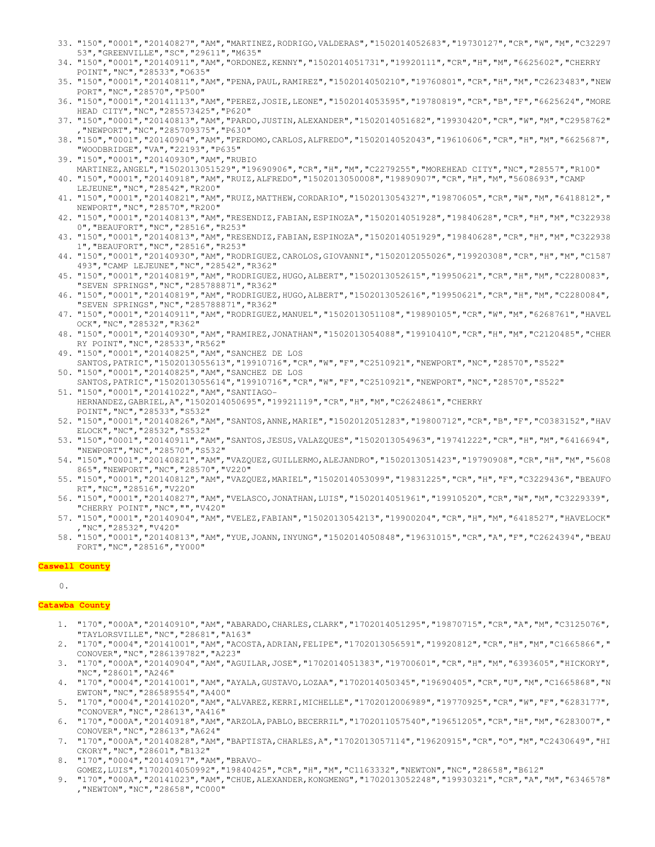- 33. "150","0001","20140827","AM","MARTINEZ,RODRIGO,VALDERAS","1502014052683","19730127","CR","W","M","C32297 53","GREENVILLE","SC","29611","M635"
- 34. "150","0001","20140911","AM","ORDONEZ,KENNY","1502014051731","19920111","CR","H","M","6625602","CHERRY POINT","NC","28533","O635"
- 35. "150","0001","20140811","AM","PENA,PAUL,RAMIREZ","1502014050210","19760801","CR","H","M","C2623483","NEW PORT","NC","28570","P500"
- 36. "150","0001","20141113","AM","PEREZ,JOSIE,LEONE","1502014053595","19780819","CR","B","F","6625624","MORE HEAD CITY","NC","285573425","P620"
- 37. "150","0001","20140813","AM","PARDO,JUSTIN,ALEXANDER","1502014051682","19930420","CR","W","M","C2958762" ,"NEWPORT","NC","285709375","P630"
- 38. "150","0001","20140904","AM","PERDOMO,CARLOS,ALFREDO","1502014052043","19610606","CR","H","M","6625687", "WOODBRIDGE","VA","22193","P635"
- 39. "150","0001","20140930","AM","RUBIO
- MARTINEZ,ANGEL","1502013051529","19690906","CR","H","M","C2279255","MOREHEAD CITY","NC","28557","R100"
- 40. "150","0001","20140918","AM","RUIZ,ALFREDO","1502013050008","19890907","CR","H","M","5608693","CAMP LEJEUNE","NC","28542","R200"
- 41. "150","0001","20140821","AM","RUIZ,MATTHEW,CORDARIO","1502013054327","19870605","CR","W","M","6418812"," NEWPORT","NC","28570","R200"
- 42. "150","0001","20140813","AM","RESENDIZ,FABIAN,ESPINOZA","1502014051928","19840628","CR","H","M","C322938 0","BEAUFORT","NC","28516","R253"
- 43. "150","0001","20140813","AM","RESENDIZ,FABIAN,ESPINOZA","1502014051929","19840628","CR","H","M","C322938 1","BEAUFORT","NC","28516","R253"
- 44. "150","0001","20140930","AM","RODRIGUEZ,CAROLOS,GIOVANNI","1502012055026","19920308","CR","H","M","C1587 493","CAMP LEJEUNE","NC","28542","R362"
- 45. "150","0001","20140819","AM","RODRIGUEZ,HUGO,ALBERT","1502013052615","19950621","CR","H","M","C2280083", "SEVEN SPRINGS","NC","285788871","R362"
- 46. "150","0001","20140819","AM","RODRIGUEZ,HUGO,ALBERT","1502013052616","19950621","CR","H","M","C2280084", "SEVEN SPRINGS","NC","285788871","R362"
- 47. "150","0001","20140911","AM","RODRIGUEZ,MANUEL","1502013051108","19890105","CR","W","M","6268761","HAVEL OCK","NC","28532","R362"
- 48. "150","0001","20140930","AM","RAMIREZ,JONATHAN","1502013054088","19910410","CR","H","M","C2120485","CHER RY POINT","NC","28533","R562"
- 49. "150","0001","20140825","AM","SANCHEZ DE LOS
- SANTOS,PATRIC","1502013055613","19910716","CR","W","F","C2510921","NEWPORT","NC","28570","S522" 50. "150","0001","20140825","AM","SANCHEZ DE LOS
- SANTOS,PATRIC","1502013055614","19910716","CR","W","F","C2510921","NEWPORT","NC","28570","S522" 51. "150","0001","20141022","AM","SANTIAGO-
- HERNANDEZ,GABRIEL,A","1502014050695","19921119","CR","H","M","C2624861","CHERRY POINT","NC","28533","S532"
- 52. "150","0001","20140826","AM","SANTOS,ANNE,MARIE","1502012051283","19800712","CR","B","F","C0383152","HAV ELOCK","NC","28532","S532"
- 53. "150","0001","20140911","AM","SANTOS,JESUS,VALAZQUES","1502013054963","19741222","CR","H","M","6416694", "NEWPORT","NC","28570","S532"
- 54. "150","0001","20140821","AM","VAZQUEZ,GUILLERMO,ALEJANDRO","1502013051423","19790908","CR","H","M","5608 865","NEWPORT","NC","28570","V220"
- 55. "150","0001","20140812","AM","VAZQUEZ,MARIEL","1502014053099","19831225","CR","H","F","C3229436","BEAUFO RT","NC","28516","V220"
- 56. "150","0001","20140827","AM","VELASCO,JONATHAN,LUIS","1502014051961","19910520","CR","W","M","C3229339", "CHERRY POINT","NC","","V420"
- 57. "150","0001","20140904","AM","VELEZ,FABIAN","1502013054213","19900204","CR","H","M","6418527","HAVELOCK" ,"NC","28532","V420"
- 58. "150","0001","20140813","AM","YUE,JOANN,INYUNG","1502014050848","19631015","CR","A","F","C2624394","BEAU FORT","NC","28516","Y000"

#### **Caswell County**

 $\Omega$ .

## **Catawba County**

- 1. "170","000A","20140910","AM","ABARADO,CHARLES,CLARK","1702014051295","19870715","CR","A","M","C3125076", "TAYLORSVILLE","NC","28681","A163"
- 2. "170","0004","20141001","AM","ACOSTA,ADRIAN,FELIPE","1702013056591","19920812","CR","H","M","C1665866"," CONOVER","NC","286139782","A223"
- 3. "170","000A","20140904","AM","AGUILAR,JOSE","1702014051383","19700601","CR","H","M","6393605","HICKORY", "NC","28601","A246"
- 4. "170","0004","20141001","AM","AYALA,GUSTAVO,LOZAA","1702014050345","19690405","CR","U","M","C1665868","N EWTON","NC","286589554","A400"
- 5. "170","0004","20141020","AM","ALVAREZ,KERRI,MICHELLE","1702012006989","19770925","CR","W","F","6283177", "CONOVER","NC","28613","A416"
- 6. "170","000A","20140918","AM","ARZOLA,PABLO,BECERRIL","1702011057540","19651205","CR","H","M","6283007"," CONOVER","NC","28613","A624"
- 7. "170","000A","20140828","AM","BAPTISTA,CHARLES,A","1702013057114","19620915","CR","O","M","C2430649","HI CKORY","NC","28601","B132"
- 8. "170","0004","20140917","AM","BRAVO-GOMEZ,LUIS","1702014050992","19840425","CR","H","M","C1163332","NEWTON","NC","28658","B612"
- 9. "170","000A","20141023","AM","CHUE,ALEXANDER,KONGMENG","1702013052248","19930321","CR","A","M","6346578" ,"NEWTON","NC","28658","C000"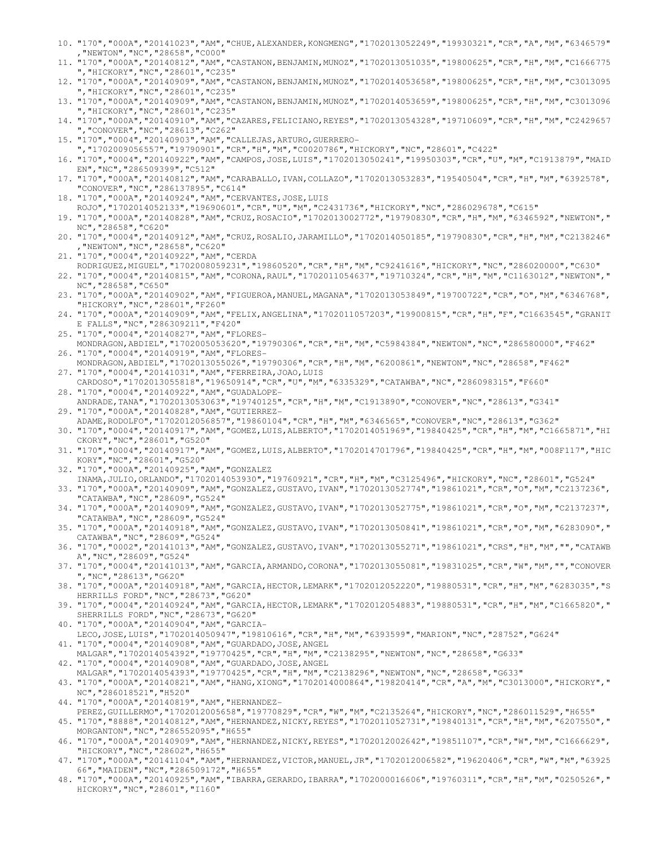- 10. "170","000A","20141023","AM","CHUE,ALEXANDER,KONGMENG","1702013052249","19930321","CR","A","M","6346579" ,"NEWTON","NC","28658","C000"
- 11. "170","000A","20140812","AM","CASTANON,BENJAMIN,MUNOZ","1702013051035","19800625","CR","H","M","C1666775 ","HICKORY","NC","28601","C235"
- 12. "170","000A","20140909","AM","CASTANON,BENJAMIN,MUNOZ","1702014053658","19800625","CR","H","M","C3013095 ","HICKORY","NC","28601","C235"
- 13. "170","000A","20140909","AM","CASTANON,BENJAMIN,MUNOZ","1702014053659","19800625","CR","H","M","C3013096 ","HICKORY","NC","28601","C235"
- 14. "170","000A","20140910","AM","CAZARES,FELICIANO,REYES","1702013054328","19710609","CR","H","M","C2429657 ","CONOVER","NC","28613","C262"
- 15. "170","0004","20140903","AM","CALLEJAS,ARTURO,GUERRERO-
- ","1702009056557","19790901","CR","H","M","C0020786","HICKORY","NC","28601","C422"
- 16. "170","0004","20140922","AM","CAMPOS,JOSE,LUIS","1702013050241","19950303","CR","U","M","C1913879","MAID EN","NC","286509399","C512"
- 17. "170","000A","20140812","AM","CARABALLO,IVAN,COLLAZO","1702013053283","19540504","CR","H","M","6392578", "CONOVER","NC","286137895","C614"
- 18. "170","000A","20140924","AM","CERVANTES,JOSE,LUIS
- ROJO","1702014052133","19690601","CR","U","M","C2431736","HICKORY","NC","286029678","C615"
- 19. "170","000A","20140828","AM","CRUZ,ROSACIO","1702013002772","19790830","CR","H","M","6346592","NEWTON"," NC","28658","C620"
- 20. "170","0004","20140912","AM","CRUZ,ROSALIO,JARAMILLO","1702014050185","19790830","CR","H","M","C2138246" ,"NEWTON","NC","28658","C620"
- 21. "170","0004","20140922","AM","CERDA
- RODRIGUEZ,MIGUEL","1702008059231","19860520","CR","H","M","C9241616","HICKORY","NC","286020000","C630" 22. "170","0004","20140815","AM","CORONA,RAUL","1702011054637","19710324","CR","H","M","C1163012","NEWTON","
- NC","28658","C650" 23. "170","000A","20140902","AM","FIGUEROA,MANUEL,MAGANA","1702013053849","19700722","CR","O","M","6346768",
- "HICKORY","NC","28601","F260" 24. "170","000A","20140909","AM","FELIX,ANGELINA","1702011057203","19900815","CR","H","F","C1663545","GRANIT
- E FALLS","NC","286309211","F420" 25. "170","0004","20140827","AM","FLORES-
- MONDRAGON,ABDIEL","1702005053620","19790306","CR","H","M","C5984384","NEWTON","NC","286580000","F462" 26. "170","0004","20140919","AM","FLORES-
- MONDRAGON,ABDIEL","1702013055026","19790306","CR","H","M","6200861","NEWTON","NC","28658","F462" 27. "170","0004","20141031","AM","FERREIRA,JOAO,LUIS
- CARDOSO","1702013055818","19650914","CR","U","M","6335329","CATAWBA","NC","286098315","F660" 28. "170","0004","20140922","AM","GUADALOPE-
- ANDRADE,TANA","1702013053063","19740125","CR","H","M","C1913890","CONOVER","NC","28613","G341" 29. "170","000A","20140828","AM","GUTIERREZ-
- ADAME,RODOLFO","1702012056857","19860104","CR","H","M","6346565","CONOVER","NC","28613","G362"
- 30. "170","0004","20140917","AM","GOMEZ,LUIS,ALBERTO","1702014051969","19840425","CR","H","M","C1665871","HI CKORY","NC","28601","G520"
- 31. "170","0004","20140917","AM","GOMEZ,LUIS,ALBERTO","1702014701796","19840425","CR","H","M","008F117","HIC KORY","NC","28601","G520"
- 32. "170","000A","20140925","AM","GONZALEZ
- INAMA,JULIO,ORLANDO","1702014053930","19760921","CR","H","M","C3125496","HICKORY","NC","28601","G524" 33. "170","000A","20140909","AM","GONZALEZ,GUSTAVO,IVAN","1702013052774","19861021","CR","O","M","C2137236", "CATAWBA","NC","28609","G524"
- 34. "170","000A","20140909","AM","GONZALEZ,GUSTAVO,IVAN","1702013052775","19861021","CR","O","M","C2137237", "CATAWBA","NC","28609","G524"
- 35. "170","000A","20140918","AM","GONZALEZ,GUSTAVO,IVAN","1702013050841","19861021","CR","O","M","6283090"," CATAWBA","NC","28609","G524"
- 36. "170","0002","20141013","AM","GONZALEZ,GUSTAVO,IVAN","1702013055271","19861021","CRS","H","M","","CATAWB A","NC","28609","G524"
- 37. "170","0004","20141013","AM","GARCIA,ARMANDO,CORONA","1702013055081","19831025","CR","W","M","","CONOVER ","NC","28613","G620"
- 38. "170","000A","20140918","AM","GARCIA,HECTOR,LEMARK","1702012052220","19880531","CR","H","M","6283035","S HERRILLS FORD","NC","28673","G620"
- 39. "170","0004","20140924","AM","GARCIA,HECTOR,LEMARK","1702012054883","19880531","CR","H","M","C1665820"," SHERRILLS FORD","NC","28673","G620"
- 40. "170","000A","20140904","AM","GARCIA-
- LECO,JOSE,LUIS","1702014050947","19810616","CR","H","M","6393599","MARION","NC","28752","G624"
- 41. "170","0004","20140908","AM","GUARDADO,JOSE,ANGEL
- MALGAR","1702014054392","19770425","CR","H","M","C2138295","NEWTON","NC","28658","G633"
- 42. "170","0004","20140908","AM","GUARDADO,JOSE,ANGEL
- MALGAR","1702014054393","19770425","CR","H","M","C2138296","NEWTON","NC","28658","G633"
- 43. "170","000A","20140821","AM","HANG,XIONG","1702014000864","19820414","CR","A","M","C3013000","HICKORY"," NC","286018521","H520"
- 44. "170","000A","20140819","AM","HERNANDEZ-
- PEREZ,GUILLERMO","1702012005658","19770829","CR","W","M","C2135264","HICKORY","NC","286011529","H655"
- 45. "170","8888","20140812","AM","HERNANDEZ,NICKY,REYES","1702011052731","19840131","CR","H","M","6207550"," MORGANTON","NC","286552095","H655"
- 46. "170","000A","20140909","AM","HERNANDEZ,NICKY,REYES","1702012002642","19851107","CR","W","M","C1666629", "HICKORY","NC","28602","H655"
- 47. "170","000A","20141104","AM","HERNANDEZ,VICTOR,MANUEL,JR","1702012006582","19620406","CR","W","M","63925 66","MAIDEN","NC","286509172","H655"
- 48. "170","000A","20140925","AM","IBARRA,GERARDO,IBARRA","1702000016606","19760311","CR","H","M","0250526"," HICKORY","NC","28601","I160"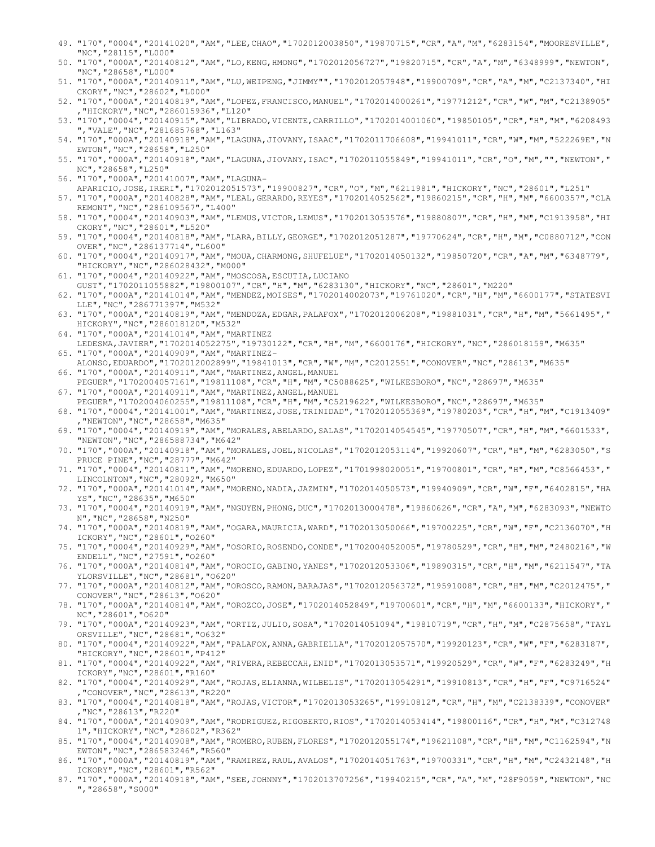- 49. "170","0004","20141020","AM","LEE,CHAO","1702012003850","19870715","CR","A","M","6283154","MOORESVILLE", "NC","28115","L000"
- 50. "170","000A","20140812","AM","LO,KENG,HMONG","1702012056727","19820715","CR","A","M","6348999","NEWTON", "NC","28658","L000"
- 51. "170","000A","20140911","AM","LU,WEIPENG,"JIMMY"","1702012057948","19900709","CR","A","M","C2137340","HI CKORY","NC","28602","L000"
- 52. "170","000A","20140819","AM","LOPEZ,FRANCISCO,MANUEL","1702014000261","19771212","CR","W","M","C2138905" ,"HICKORY","NC","286015936","L120"
- 53. "170","0004","20140915","AM","LIBRADO,VICENTE,CARRILLO","1702014001060","19850105","CR","H","M","6208493 ","VALE","NC","281685768","L163"
- 54. "170","000A","20140918","AM","LAGUNA,JIOVANY,ISAAC","1702011706608","19941011","CR","W","M","522269E","N EWTON","NC","28658","L250"
- 55. "170","000A","20140918","AM","LAGUNA,JIOVANY,ISAC","1702011055849","19941011","CR","O","M","","NEWTON"," NC","28658","L250"
- 56. "170","000A","20141007","AM","LAGUNA-APARICIO,JOSE,IRERI","1702012051573","19900827","CR","O","M","6211981","HICKORY","NC","28601","L251"
- 57. "170","000A","20140828","AM","LEAL,GERARDO,REYES","1702014052562","19860215","CR","H","M","6600357","CLA REMONT","NC","286109567","L400"
- 58. "170","0004","20140903","AM","LEMUS,VICTOR,LEMUS","1702013053576","19880807","CR","H","M","C1913958","HI CKORY","NC","28601","L520"
- 59. "170","0004","20140818","AM","LARA,BILLY,GEORGE","1702012051287","19770624","CR","H","M","C0880712","CON OVER","NC","286137714","L600"
- 60. "170","0004","20140917","AM","MOUA,CHARMONG,SHUFELUE","1702014050132","19850720","CR","A","M","6348779", "HICKORY","NC","286028432","M000"
- 61. "170","0004","20140922","AM","MOSCOSA,ESCUTIA,LUCIANO
- GUST","1702011055882","19800107","CR","H","M","6283130","HICKORY","NC","28601","M220"
- 62. "170","000A","20141014","AM","MENDEZ,MOISES","1702014002073","19761020","CR","H","M","6600177","STATESVI LLE","NC","286771397","M532"
- 63. "170","000A","20140819","AM","MENDOZA,EDGAR,PALAFOX","1702012006208","19881031","CR","H","M","5661495"," HICKORY","NC","286018120","M532"
- 64. "170","000A","20141014","AM","MARTINEZ LEDESMA,JAVIER","1702014052275","19730122","CR","H","M","6600176","HICKORY","NC","286018159","M635" 65. "170","000A","20140909","AM","MARTINEZ-
- ALONSO,EDUARDO","1702012002899","19841013","CR","W","M","C2012551","CONOVER","NC","28613","M635"
- 66. "170","000A","20140911","AM","MARTINEZ,ANGEL,MANUEL PEGUER","1702004057161","19811108","CR","H","M","C5088625","WILKESBORO","NC","28697","M635"

67. "170","000A","20140911","AM","MARTINEZ,ANGEL,MANUEL

- PEGUER","1702004060255","19811108","CR","H","M","C5219622","WILKESBORO","NC","28697","M635"
- 68. "170","0004","20141001","AM","MARTINEZ,JOSE,TRINIDAD","1702012055369","19780203","CR","H","M","C1913409" ,"NEWTON","NC","28658","M635"
- 69. "170","0004","20140919","AM","MORALES,ABELARDO,SALAS","1702014054545","19770507","CR","H","M","6601533", "NEWTON","NC","286588734","M642"
- 70. "170","000A","20140918","AM","MORALES,JOEL,NICOLAS","1702012053114","19920607","CR","H","M","6283050","S PRUCE PINE","NC","28777","M642"
- 71. "170","0004","20140811","AM","MORENO,EDUARDO,LOPEZ","1701998020051","19700801","CR","H","M","C8566453"," LINCOLNTON","NC","28092","M650"
- 72. "170","000A","20141014","AM","MORENO,NADIA,JAZMIN","1702014050573","19940909","CR","W","F","6402815","HA YS","NC","28635","M650"
- 73. "170","0004","20140919","AM","NGUYEN,PHONG,DUC","1702013000478","19860626","CR","A","M","6283093","NEWTO N","NC","28658","N250"
- 74. "170","000A","20140819","AM","OGARA,MAURICIA,WARD","1702013050066","19700225","CR","W","F","C2136070","H ICKORY","NC","28601","O260"
- 75. "170","0004","20140929","AM","OSORIO,ROSENDO,CONDE","1702004052005","19780529","CR","H","M","2480216","W ENDELL","NC","27591","O260"
- 76. "170","000A","20140814","AM","OROCIO,GABINO,YANES","1702012053306","19890315","CR","H","M","6211547","TA YLORSVILLE","NC","28681","O620"
- 77. "170","000A","20140812","AM","OROSCO,RAMON,BARAJAS","1702012056372","19591008","CR","H","M","C2012475"," CONOVER","NC","28613","O620"
- 78. "170","000A","20140814","AM","OROZCO,JOSE","1702014052849","19700601","CR","H","M","6600133","HICKORY"," NC","28601","O620"
- 79. "170","000A","20140923","AM","ORTIZ,JULIO,SOSA","1702014051094","19810719","CR","H","M","C2875658","TAYL ORSVILLE","NC","28681","O632"
- 80. "170","0004","20140922","AM","PALAFOX,ANNA,GABRIELLA","1702012057570","19920123","CR","W","F","6283187", "HICKORY","NC","28601","P412"
- 81. "170","0004","20140922","AM","RIVERA,REBECCAH,ENID","1702013053571","19920529","CR","W","F","6283249","H ICKORY","NC","28601","R160"
- 82. "170","0004","20140929","AM","ROJAS,ELIANNA,WILBELIS","1702013054291","19910813","CR","H","F","C9716524" ,"CONOVER","NC","28613","R220"
- 83. "170","0004","20140818","AM","ROJAS,VICTOR","1702013053265","19910812","CR","H","M","C2138339","CONOVER" ,"NC","28613","R220"
- 84. "170","000A","20140909","AM","RODRIGUEZ,RIGOBERTO,RIOS","1702014053414","19800116","CR","H","M","C312748 1","HICKORY","NC","28602","R362"
- 85. "170","0004","20140908","AM","ROMERO,RUBEN,FLORES","1702012055174","19621108","CR","H","M","C1162594","N EWTON","NC","286583246","R560"
- 86. "170","000A","20140819","AM","RAMIREZ,RAUL,AVALOS","1702014051763","19700331","CR","H","M","C2432148","H ICKORY","NC","28601","R562"
- 87. "170","000A","20140918","AM","SEE,JOHNNY","1702013707256","19940215","CR","A","M","28F9059","NEWTON","NC ","28658","S000"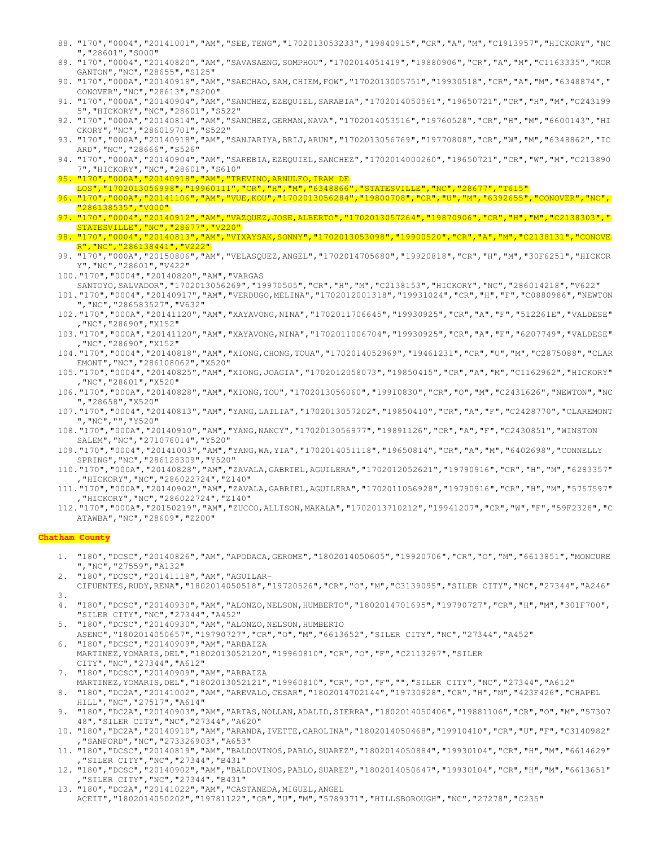- 88. "170","0004","20141001","AM","SEE,TENG","1702013053233","19840915","CR","A","M","C1913957","HICKORY","NC ","28601","S000"
- 89. "170","0004","20140820","AM","SAVASAENG,SOMPHOU","1702014051419","19880906","CR","A","M","C1163335","MOR GANTON","NC","28655","S125"
- 90. "170","000A","20140918","AM","SAECHAO,SAM,CHIEM,FOW","1702013005751","19930518","CR","A","M","6348874"," CONOVER","NC","28613","S200"
- 91. "170","000A","20140904","AM","SANCHEZ,EZEQUIEL,SARABIA","1702014050561","19650721","CR","H","M","C243199 5","HICKORY","NC","28601","S522"
- 92. "170","000A","20140814","AM","SANCHEZ,GERMAN,NAVA","1702014053516","19760528","CR","H","M","6600143","HI CKORY","NC","286019701","S522"
- 93. "170","000A","20140918","AM","SANJARIYA,BRIJ,ARUN","1702013056769","19770808","CR","W","M","6348862","IC ARD","NC","28666","S526"
- 94. "170","000A","20140904","AM","SAREBIA,EZEQUIEL,SANCHEZ","1702014000260","19650721","CR","W","M","C213890 7","HICKORY","NC","28601","S610"
- 95. "170","000A","20140918","AM","TREVINO,ARNULFO,IRAM DE

LOS","1702013056998","19960111","CR","H","M","6348866","STATESVILLE","NC","28677","T615"

- 96. "170","000A","20141106","AM","VUE,KOU","1702013056284","19800708","CR","U","M","6392655","CONOVER","NC", "286138535","V000"
- 97. "170","0004","20140912","AM","VAZQUEZ,JOSE,ALBERTO","1702013057264","19870906","CR","H","M","C2138303"," STATESVILLE","NC","28677","V220"
- 98. "170","0004","20140813","AM","VIXAYSAK,SONNY","1702013053098","19900520","CR","A","M","C2138131","CONOVE R","NC","286138441","V222"
- 99. "170","000A","20150806","AM","VELASQUEZ,ANGEL","1702014705680","19920818","CR","H","M","30F6251","HICKOR Y","NC","28601","V422"
- 100."170","0004","20140820","AM","VARGAS
- SANTOYO,SALVADOR","1702013056269","19970505","CR","H","M","C2138153","HICKORY","NC","286014218","V622" 101."170","0004","20140917","AM","VERDUGO,MELINA","1702012001318","19931024","CR","H","F","C0880986","NEWTON
- ","NC","286583527","V632" 102."170","000A","20141120","AM","XAYAVONG,NINA","1702011706645","19930925","CR","A","F","512261E","VALDESE"
- ,"NC","28690","X152"
- 103."170","000A","20141120","AM","XAYAVONG,NINA","1702011006704","19930925","CR","A","F","6207749","VALDESE" ,"NC","28690","X152"
- 104."170","0004","20140818","AM","XIONG,CHONG,TOUA","1702014052969","19461231","CR","U","M","C2875088","CLAR EMONT","NC","286108062","X520"
- 105."170","0004","20140825","AM","XIONG,JOAGIA","1702012058073","19850415","CR","A","M","C1162962","HICKORY" ,"NC","28601","X520"
- 106."170","000A","20140828","AM","XIONG,TOU","1702013056060","19910830","CR","O","M","C2431626","NEWTON","NC ","28658","X520"
- 107."170","0004","20140813","AM","YANG,LAILIA","1702013057202","19850410","CR","A","F","C2428770","CLAREMONT ","NC","","Y520"
- 108."170","000A","20140910","AM","YANG,NANCY","1702013056977","19891126","CR","A","F","C2430851","WINSTON SALEM","NC","271076014","Y520"
- 109."170","0004","20141003","AM","YANG,WA,YIA","1702014051118","19650814","CR","A","M","6402698","CONNELLY SPRING","NC","286128309","Y520"
- 110."170","000A","20140828","AM","ZAVALA,GABRIEL,AGUILERA","1702012052621","19790916","CR","H","M","6283357" ,"HICKORY","NC","286022724","Z140"
- 111."170","000A","20140902","AM","ZAVALA,GABRIEL,AGUILERA","1702011056928","19790916","CR","H","M","5757597" ,"HICKORY","NC","286022724","Z140"
- 112."170","000A","20150219","AM","ZUCCO,ALLISON,MAKALA","1702013710212","19941207","CR","W","F","59F2328","C ATAWBA","NC","28609","Z200"

## **Chatham County**

- 1. "180","DCSC","20140826","AM","APODACA,GEROME","1802014050605","19920706","CR","O","M","6613851","MONCURE ","NC","27559","A132"
- 2. "180","DCSC","20141118","AM","AGUILAR-
- CIFUENTES,RUDY,RENA","1802014050518","19720526","CR","O","M","C3139095","SILER CITY","NC","27344","A246" 3.
- 4. "180","DCSC","20140930","AM","ALONZO,NELSON,HUMBERTO","1802014701695","19790727","CR","H","M","301F700", "SILER CITY","NC","27344","A452"
- 5. "180","DCSC","20140930","AM","ALONZO,NELSON,HUMBERTO
- ASENC","1802014050657","19790727","CR","O","M","6613652","SILER CITY","NC","27344","A452" 6. "180","DCSC","20140909","AM","ARBAIZA
- MARTINEZ,YOMARIS,DEL","1802013052120","19960810","CR","O","F","C2113297","SILER CITY","NC","27344","A612"
- 7. "180","DCSC","20140909","AM","ARBAIZA
- MARTINEZ,YOMARIS,DEL","1802013052121","19960810","CR","O","F","","SILER CITY","NC","27344","A612"
- 8. "180","DC2A","20141002","AM","AREVALO,CESAR","1802014702144","19730928","CR","H","M","423F426","CHAPEL HILL","NC","27517","A614"
- 9. "180","DC2A","20140903","AM","ARIAS,NOLLAN,ADALID,SIERRA","1802014050406","19881106","CR","O","M","57307 48","SILER CITY","NC","27344","A620"
- 10. "180","DC2A","20140910","AM","ARANDA,IVETTE,CAROLINA","1802014050468","19910410","CR","U","F","C3140982" ,"SANFORD","NC","273326903","A653"
- 11. "180","DCSC","20140819","AM","BALDOVINOS,PABLO,SUAREZ","1802014050884","19930104","CR","H","M","6614629" ,"SILER CITY","NC","27344","B431"
- 12. "180","DCSC","20140902","AM","BALDOVINOS,PABLO,SUAREZ","1802014050647","19930104","CR","H","M","6613651" ,"SILER CITY","NC","27344","B431"
- 13. "180","DC2A","20141022","AM","CASTANEDA,MIGUEL,ANGEL ACEIT","1802014050202","19781122","CR","U","M","5789371","HILLSBOROUGH","NC","27278","C235"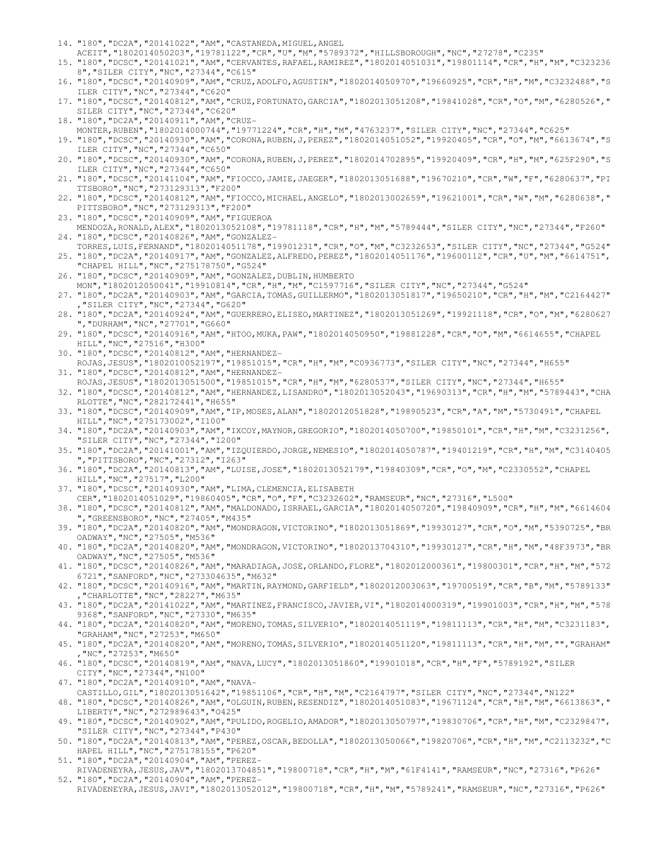14. "180","DC2A","20141022","AM","CASTANEDA,MIGUEL,ANGEL

ACEIT","1802014050203","19781122","CR","U","M","5789372","HILLSBOROUGH","NC","27278","C235"

15. "180","DCSC","20141021","AM","CERVANTES,RAFAEL,RAMIREZ","1802014051031","19801114","CR","H","M","C323236 8","SILER CITY","NC","27344","C615"

16. "180","DCSC","20140909","AM","CRUZ,ADOLFO,AGUSTIN","1802014050970","19660925","CR","H","M","C3232488","S ILER CITY","NC","27344","C620"

17. "180","DCSC","20140812","AM","CRUZ,FORTUNATO,GARCIA","1802013051208","19841028","CR","O","M","6280526"," SILER CITY","NC","27344","C620"

18. "180","DC2A","20140911","AM","CRUZ-MONTER,RUBEN","1802014000744","19771224","CR","H","M","4763237","SILER CITY","NC","27344","C625"

19. "180","DCSC","20140930","AM","CORONA,RUBEN,J,PEREZ","1802014051052","19920405","CR","O","M","6613674","S ILER CITY","NC","27344","C650"

- 20. "180","DCSC","20140930","AM","CORONA,RUBEN,J,PEREZ","1802014702895","19920409","CR","H","M","625F290","S ILER CITY","NC","27344","C650"
- 21. "180","DCSC","20141104","AM","FIOCCO,JAMIE,JAEGER","1802013051688","19670210","CR","W","F","6280637","PI TTSBORO","NC","273129313","F200"
- 22. "180","DCSC","20140812","AM","FIOCCO,MICHAEL,ANGELO","1802013002659","19621001","CR","W","M","6280638"," PITTSBORO","NC","273129313","F200"
- 23. "180","DCSC","20140909","AM","FIGUEROA
- MENDOZA,RONALD,ALEX","1802013052108","19781118","CR","H","M","5789444","SILER CITY","NC","27344","F260" 24. "180","DCSC","20140826","AM","GONZALEZ-
- TORRES,LUIS,FERNAND","1802014051178","19901231","CR","O","M","C3232653","SILER CITY","NC","27344","G524" 25. "180","DC2A","20140917","AM","GONZALEZ,ALFREDO,PEREZ","1802014051176","19600112","CR","U","M","6614751",
- "CHAPEL HILL","NC","275178750","G524"
- 26. "180","DCSC","20140909","AM","GONZALEZ,DUBLIN,HUMBERTO
- MON","1802012050041","19910814","CR","H","M","C1597716","SILER CITY","NC","27344","G524"
- 27. "180","DC2A","20140903","AM","GARCIA,TOMAS,GUILLERMO","1802013051817","19650210","CR","H","M","C2164427" ,"SILER CITY","NC","27344","G620"
- 28. "180","DC2A","20140924","AM","GUERRERO,ELISEO,MARTINEZ","1802013051269","19921118","CR","O","M","6280627 ","DURHAM","NC","27701","G660"
- 29. "180","DCSC","20140916","AM","HTOO,MUKA,PAW","1802014050950","19881228","CR","O","M","6614655","CHAPEL HILL","NC","27516","H300"
- 30. "180","DCSC","20140812","AM","HERNANDEZ-ROJAS,JESUS","1802010052197","19851015","CR","H","M","C0936773","SILER CITY","NC","27344","H655"
- 31. "180","DCSC","20140812","AM","HERNANDEZ-ROJAS,JESUS","1802013051500","19851015","CR","H","M","6280537","SILER CITY","NC","27344","H655"
- 32. "180", "DCSC", "20140812", "AM", "HERNANDEZ, LISANDRO", "1802013052043", "19690313", "CR", "H", "M", "5789443", "CHA RLOTTE","NC","282172441","H655"
- 33. "180","DCSC","20140909","AM","IP,MOSES,ALAN","1802012051828","19890523","CR","A","M","5730491","CHAPEL HILL","NC","275173002","I100"
- 34. "180","DC2A","20140903","AM","IXCOY,MAYNOR,GREGORIO","1802014050700","19850101","CR","H","M","C3231256", "SILER CITY","NC","27344","I200"
- 35. "180","DC2A","20141001","AM","IZQUIERDO,JORGE,NEMESIO","1802014050787","19401219","CR","H","M","C3140405 ","PITTSBORO","NC","27312","I263"
- 36. "180","DC2A","20140813","AM","LUISE,JOSE","1802013052179","19840309","CR","O","M","C2330552","CHAPEL HILL","NC","27517","L200"
- 37. "180","DCSC","20140930","AM","LIMA,CLEMENCIA,ELISABETH
- CER","1802014051029","19860405","CR","O","F","C3232602","RAMSEUR","NC","27316","L500"
- 38. "180","DCSC","20140812","AM","MALDONADO,ISRRAEL,GARCIA","1802014050720","19840909","CR","H","M","6614604 ","GREENSBORO","NC","27405","M435"
- 39. "180","DC2A","20140820","AM","MONDRAGON,VICTORINO","1802013051869","19930127","CR","O","M","5390725","BR OADWAY","NC","27505","M536"
- 40. "180","DC2A","20140820","AM","MONDRAGON,VICTORINO","1802013704310","19930127","CR","H","M","48F3973","BR OADWAY","NC","27505","M536"
- 41. "180","DCSC","20140826","AM","MARADIAGA,JOSE,ORLANDO,FLORE","1802012000361","19800301","CR","H","M","572 6721","SANFORD","NC","273304635","M632"
- 42. "180","DCSC","20140916","AM","MARTIN,RAYMOND,GARFIELD","1802012003063","19700519","CR","B","M","5789133" ,"CHARLOTTE","NC","28227","M635"
- 43. "180","DC2A","20141022","AM","MARTINEZ,FRANCISCO,JAVIER,VI","1802014000319","19901003","CR","H","M","578 9368","SANFORD","NC","27330","M635"
- 44. "180","DC2A","20140820","AM","MORENO,TOMAS,SILVERIO","1802014051119","19811113","CR","H","M","C3231183", "GRAHAM","NC","27253","M650"
- 45. "180","DC2A","20140820","AM","MORENO,TOMAS,SILVERIO","1802014051120","19811113","CR","H","M","","GRAHAM" ,"NC","27253","M650"
- 46. "180","DCSC","20140819","AM","NAVA,LUCY","1802013051860","19901018","CR","H","F","5789192","SILER CITY","NC","27344","N100"
- 47. "180","DC2A","20140910","AM","NAVA-
- CASTILLO,GIL","1802013051642","19851106","CR","H","M","C2164797","SILER CITY","NC","27344","N122"
- 48. "180","DCSC","20140826","AM","OLGUIN,RUBEN,RESENDIZ","1802014051083","19671124","CR","H","M","6613863"," LIBERTY","NC","272989643","O425"
- 49. "180","DCSC","20140902","AM","PULIDO,ROGELIO,AMADOR","1802013050797","19830706","CR","H","M","C2329847", "SILER CITY","NC","27344","P430"
- 50. "180","DC2A","20140813","AM","PEREZ,OSCAR,BEDOLLA","1802013050066","19820706","CR","H","M","C2113232","C HAPEL HILL","NC","275178155","P620"
- 51. "180","DC2A","20140904","AM","PEREZ-RIVADENEYRA,JESUS,JAV","1802013704851","19800718","CR","H","M","61F4141","RAMSEUR","NC","27316","P626" 52. "180","DC2A","20140904","AM","PEREZ-
- RIVADENEYRA,JESUS,JAVI","1802013052012","19800718","CR","H","M","5789241","RAMSEUR","NC","27316","P626"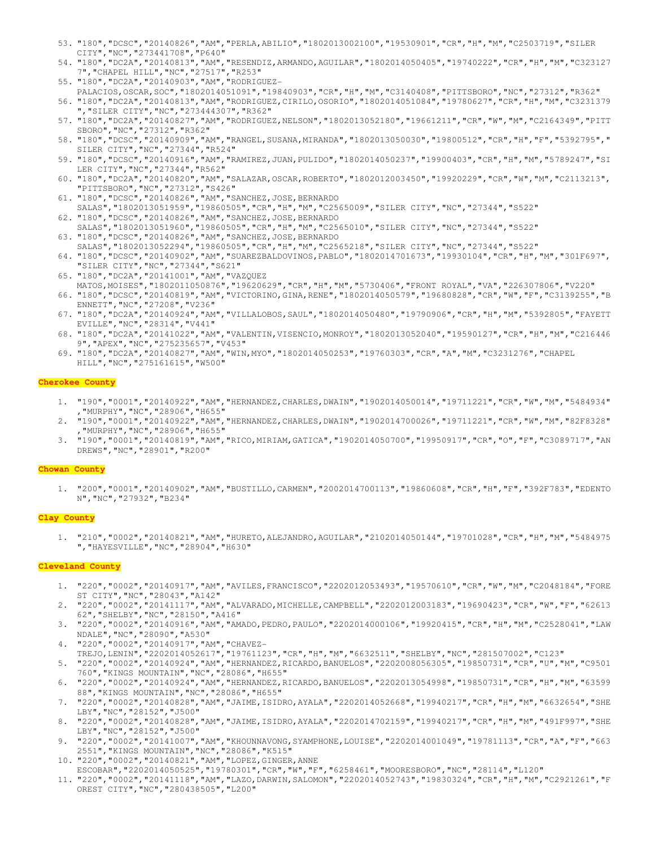- 53. "180","DCSC","20140826","AM","PERLA,ABILIO","1802013002100","19530901","CR","H","M","C2503719","SILER CITY","NC","273441708","P640"
- 54. "180","DC2A","20140813","AM","RESENDIZ,ARMANDO,AGUILAR","1802014050405","19740222","CR","H","M","C323127 7","CHAPEL HILL","NC","27517","R253"
- 55. "180","DC2A","20140903","AM","RODRIGUEZ-PALACIOS,OSCAR,SOC","1802014051091","19840903","CR","H","M","C3140408","PITTSBORO","NC","27312","R362"
- 56. "180","DC2A","20140813","AM","RODRIGUEZ,CIRILO,OSORIO","1802014051084","19780627","CR","H","M","C3231379 ","SILER CITY","NC","273444307","R362"
- 57. "180","DC2A","20140827","AM","RODRIGUEZ,NELSON","1802013052180","19661211","CR","W","M","C2164349","PITT SBORO","NC","27312","R362"
- 58. "180","DCSC","20140909","AM","RANGEL,SUSANA,MIRANDA","1802013050030","19800512","CR","H","F","5392795"," SILER CITY","NC","27344","R524"
- 59. "180","DCSC","20140916","AM","RAMIREZ,JUAN,PULIDO","1802014050237","19900403","CR","H","M","5789247","SI LER CITY","NC","27344","R562"
- 60. "180","DC2A","20140820","AM","SALAZAR,OSCAR,ROBERTO","1802012003450","19920229","CR","W","M","C2113213", "PITTSBORO","NC","27312","S426"
- 61. "180","DCSC","20140826","AM","SANCHEZ,JOSE,BERNARDO
- SALAS","1802013051959","19860505","CR","H","M","C2565009","SILER CITY","NC","27344","S522"
- 62. "180","DCSC","20140826","AM","SANCHEZ,JOSE,BERNARDO
- SALAS","1802013051960","19860505","CR","H","M","C2565010","SILER CITY","NC","27344","S522" 63. "180","DCSC","20140826","AM","SANCHEZ,JOSE,BERNARDO
- SALAS","1802013052294","19860505","CR","H","M","C2565218","SILER CITY","NC","27344","S522"
- 64. "180","DCSC","20140902","AM","SUAREZBALDOVINOS,PABLO","1802014701673","19930104","CR","H","M","301F697", "SILER CITY","NC","27344","S621"
- 65. "180","DC2A","20141001","AM","VAZQUEZ
- MATOS,MOISES","1802011050876","19620629","CR","H","M","5730406","FRONT ROYAL","VA","226307806","V220" 66. "180","DCSC","20140819","AM","VICTORINO,GINA,RENE","1802014050579","19680828","CR","W","F","C3139255","B ENNETT","NC","27208","V236"
- 67. "180","DC2A","20140924","AM","VILLALOBOS,SAUL","1802014050480","19790906","CR","H","M","5392805","FAYETT EVILLE","NC","28314","V441"
- 68. "180","DC2A","20141022","AM","VALENTIN,VISENCIO,MONROY","1802013052040","19590127","CR","H","M","C216446 9","APEX","NC","275235657","V453"
- 69. "180","DC2A","20140827","AM","WIN,MYO","1802014050253","19760303","CR","A","M","C3231276","CHAPEL HILL","NC","275161615","W500"

## **Cherokee County**

- 1. "190","0001","20140922","AM","HERNANDEZ,CHARLES,DWAIN","1902014050014","19711221","CR","W","M","5484934" ,"MURPHY","NC","28906","H655"
- 2. "190","0001","20140922","AM","HERNANDEZ,CHARLES,DWAIN","1902014700026","19711221","CR","W","M","82F8328" ,"MURPHY","NC","28906","H655"
- 3. "190","0001","20140819","AM","RICO,MIRIAM,GATICA","1902014050700","19950917","CR","O","F","C3089717","AN DREWS","NC","28901","R200"

## **Chowan County**

1. "200","0001","20140902","AM","BUSTILLO,CARMEN","2002014700113","19860608","CR","H","F","392F783","EDENTO N","NC","27932","B234"

#### **Clay County**

1. "210","0002","20140821","AM","HURETO,ALEJANDRO,AGUILAR","2102014050144","19701028","CR","H","M","5484975 ","HAYESVILLE","NC","28904","H630"

#### **Cleveland County**

- 1. "220","0002","20140917","AM","AVILES,FRANCISCO","2202012053493","19570610","CR","W","M","C2048184","FORE ST CITY","NC","28043","A142"
- 2. "220","0002","20141117","AM","ALVARADO,MICHELLE,CAMPBELL","2202012003183","19690423","CR","W","F","62613 62","SHELBY","NC","28150","A416"
- 3. "220","0002","20140916","AM","AMADO,PEDRO,PAULO","2202014000106","19920415","CR","H","M","C2528041","LAW NDALE","NC","28090","A530"
- 4. "220","0002","20140917","AM","CHAVEZ-
- TREJO,LENIN","2202014052617","19761123","CR","H","M","6632511","SHELBY","NC","281507002","C123"
- 5. "220","0002","20140924","AM","HERNANDEZ,RICARDO,BANUELOS","2202008056305","19850731","CR","U","M","C9501 760","KINGS MOUNTAIN","NC","28086","H655"
- 6. "220","0002","20140924","AM","HERNANDEZ,RICARDO,BANUELOS","2202013054998","19850731","CR","H","M","63599 88","KINGS MOUNTAIN","NC","28086","H655"
- 7. "220","0002","20140828","AM","JAIME,ISIDRO,AYALA","2202014052668","19940217","CR","H","M","6632654","SHE LBY","NC","28152","J500"
- 8. "220","0002","20140828","AM","JAIME,ISIDRO,AYALA","2202014702159","19940217","CR","H","M","491F997","SHE LBY","NC","28152","J500"
- 9. "220","0002","20141007","AM","KHOUNNAVONG,SYAMPHONE,LOUISE","2202014001049","19781113","CR","A","F","663 2551","KINGS MOUNTAIN","NC","28086","K515"
- 10. "220","0002","20140821","AM","LOPEZ,GINGER,ANNE
- ESCOBAR","2202014050525","19780301","CR","W","F","6258461","MOORESBORO","NC","28114","L120"
- 11. "220","0002","20141118","AM","LAZO,DARWIN,SALOMON","2202014052743","19830324","CR","H","M","C2921261","F OREST CITY","NC","280438505","L200"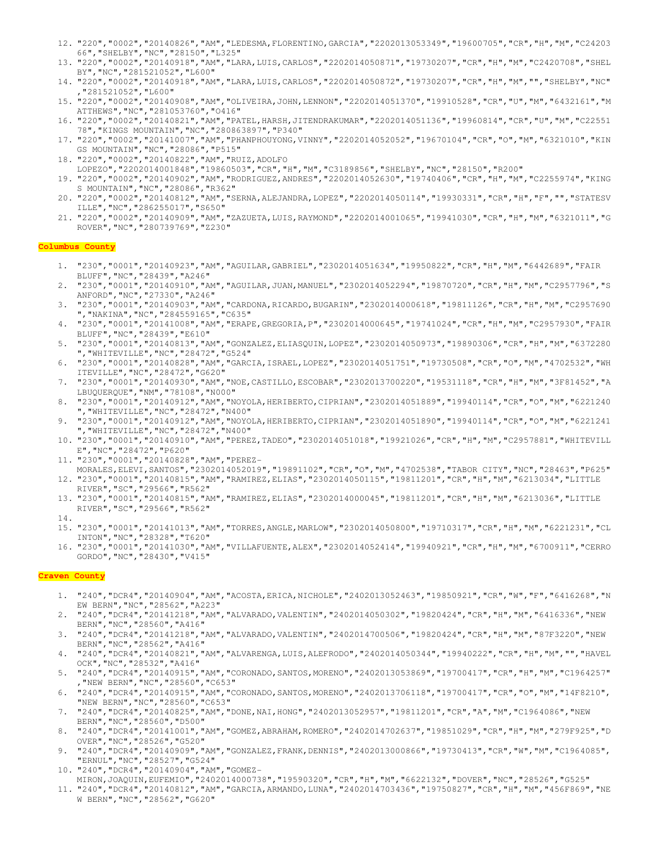- 12. "220","0002","20140826","AM","LEDESMA,FLORENTINO,GARCIA","2202013053349","19600705","CR","H","M","C24203 66","SHELBY","NC","28150","L325"
- 13. "220","0002","20140918","AM","LARA,LUIS,CARLOS","2202014050871","19730207","CR","H","M","C2420708","SHEL BY","NC","281521052","L600"
- 14. "220","0002","20140918","AM","LARA,LUIS,CARLOS","2202014050872","19730207","CR","H","M","","SHELBY","NC" ,"281521052","L600"
- 15. "220","0002","20140908","AM","OLIVEIRA,JOHN,LENNON","2202014051370","19910528","CR","U","M","6432161","M ATTHEWS","NC","281053760","O416"
- 16. "220","0002","20140821","AM","PATEL,HARSH,JITENDRAKUMAR","2202014051136","19960814","CR","U","M","C22551 78","KINGS MOUNTAIN","NC","280863897","P340"
- 17. "220","0002","20141007","AM","PHANPHOUYONG,VINNY","2202014052052","19670104","CR","O","M","6321010","KIN GS MOUNTAIN","NC","28086","P515"
- 18. "220","0002","20140822","AM","RUIZ,ADOLFO
- LOPEZO","2202014001848","19860503","CR","H","M","C3189856","SHELBY","NC","28150","R200"
- 19. "220","0002","20140902","AM","RODRIGUEZ,ANDRES","2202014052630","19740406","CR","H","M","C2255974","KING S MOUNTAIN","NC","28086","R362"
- 20. "220","0002","20140812","AM","SERNA,ALEJANDRA,LOPEZ","2202014050114","19930331","CR","H","F","","STATESV ILLE","NC","286255017","S650"
- 21. "220","0002","20140909","AM","ZAZUETA,LUIS,RAYMOND","2202014001065","19941030","CR","H","M","6321011","G ROVER","NC","280739769","Z230"

## **Columbus County**

- 1. "230","0001","20140923","AM","AGUILAR,GABRIEL","2302014051634","19950822","CR","H","M","6442689","FAIR BLUFF","NC","28439","A246"
- 2. "230","0001","20140910","AM","AGUILAR,JUAN,MANUEL","2302014052294","19870720","CR","H","M","C2957796","S ANFORD","NC","27330","A246"
- 3. "230","0001","20140903","AM","CARDONA,RICARDO,BUGARIN","2302014000618","19811126","CR","H","M","C2957690 ","NAKINA","NC","284559165","C635"
- 4. "230","0001","20141008","AM","ERAPE,GREGORIA,P","2302014000645","19741024","CR","H","M","C2957930","FAIR BLUFF","NC","28439","E610"
- 5. "230","0001","20140813","AM","GONZALEZ,ELIASQUIN,LOPEZ","2302014050973","19890306","CR","H","M","6372280 ","WHITEVILLE","NC","28472","G524"
- 6. "230","0001","20140828","AM","GARCIA,ISRAEL,LOPEZ","2302014051751","19730508","CR","O","M","4702532","WH ITEVILLE","NC","28472","G620"
- 7. "230","0001","20140930","AM","NOE,CASTILLO,ESCOBAR","2302013700220","19531118","CR","H","M","3F81452","A LBUQUERQUE","NM","78108","N000"
- 8. "230","0001","20140912","AM","NOYOLA,HERIBERTO,CIPRIAN","2302014051889","19940114","CR","O","M","6221240 ","WHITEVILLE","NC","28472","N400"
- 9. "230","0001","20140912","AM","NOYOLA,HERIBERTO,CIPRIAN","2302014051890","19940114","CR","O","M","6221241 ","WHITEVILLE","NC","28472","N400"
- 10. "230","0001","20140910","AM","PEREZ,TADEO","2302014051018","19921026","CR","H","M","C2957881","WHITEVILL E","NC","28472","P620"
- 11. "230","0001","20140828","AM","PEREZ-MORALES,ELEVI,SANTOS","2302014052019","19891102","CR","O","M","4702538","TABOR CITY","NC","28463","P625"
- 12. "230","0001","20140815","AM","RAMIREZ,ELIAS","2302014050115","19811201","CR","H","M","6213034","LITTLE RIVER","SC","29566","R562"
- 13. "230","0001","20140815","AM","RAMIREZ,ELIAS","2302014000045","19811201","CR","H","M","6213036","LITTLE RIVER","SC","29566","R562"

14.

- 15. "230","0001","20141013","AM","TORRES,ANGLE,MARLOW","2302014050800","19710317","CR","H","M","6221231","CL INTON","NC","28328","T620"
- 16. "230","0001","20141030","AM","VILLAFUENTE,ALEX","2302014052414","19940921","CR","H","M","6700911","CERRO GORDO","NC","28430","V415"

## **Craven County**

- 1. "240","DCR4","20140904","AM","ACOSTA,ERICA,NICHOLE","2402013052463","19850921","CR","W","F","6416268","N EW BERN","NC","28562","A223"
- 2. "240","DCR4","20141218","AM","ALVARADO,VALENTIN","2402014050302","19820424","CR","H","M","6416336","NEW BERN","NC","28560","A416"
- 3. "240","DCR4","20141218","AM","ALVARADO,VALENTIN","2402014700506","19820424","CR","H","M","87F3220","NEW BERN","NC","28562","A416"
- 4. "240","DCR4","20140821","AM","ALVARENGA,LUIS,ALEFRODO","2402014050344","19940222","CR","H","M","","HAVEL OCK","NC","28532","A416"
- 5. "240","DCR4","20140915","AM","CORONADO,SANTOS,MORENO","2402013053869","19700417","CR","H","M","C1964257" ,"NEW BERN","NC","28560","C653"
- 6. "240","DCR4","20140915","AM","CORONADO,SANTOS,MORENO","2402013706118","19700417","CR","O","M","14F8210", "NEW BERN","NC","28560","C653"
- 7. "240","DCR4","20140825","AM","DONE,NAI,HONG","2402013052957","19811201","CR","A","M","C1964086","NEW BERN","NC","28560","D500"
- 8. "240","DCR4","20141001","AM","GOMEZ,ABRAHAM,ROMERO","2402014702637","19851029","CR","H","M","279F925","D OVER","NC","28526","G520"
- 9. "240","DCR4","20140909","AM","GONZALEZ,FRANK,DENNIS","2402013000866","19730413","CR","W","M","C1964085", "ERNUL","NC","28527","G524"
- 10. "240","DCR4","20140904","AM","GOMEZ-
- MIRON,JOAQUIN,EUFEMIO","2402014000738","19590320","CR","H","M","6622132","DOVER","NC","28526","G525" 11. "240","DCR4","20140812","AM","GARCIA,ARMANDO,LUNA","2402014703436","19750827","CR","H","M","456F869","NE
- W BERN","NC","28562","G620"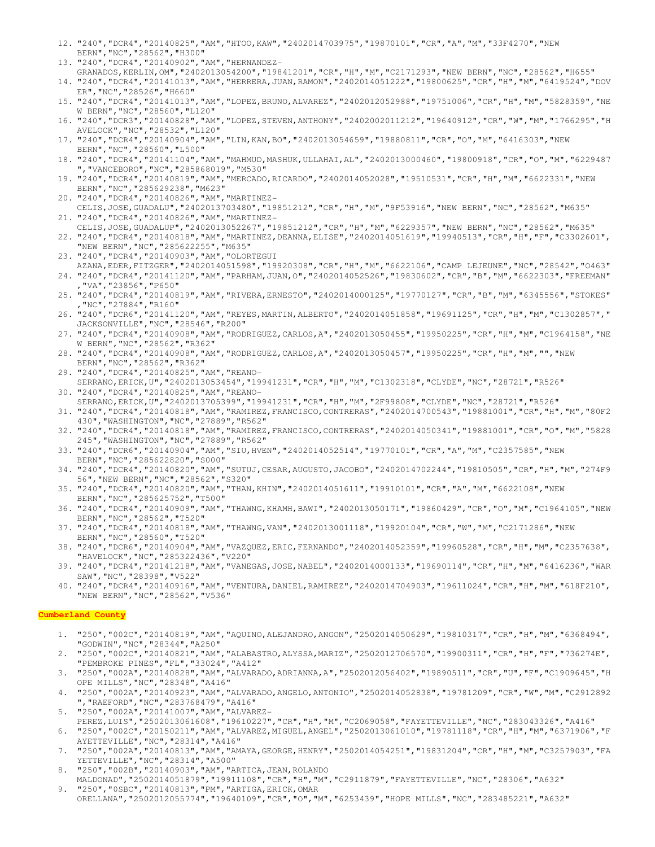- 12. "240","DCR4","20140825","AM","HTOO,KAW","2402014703975","19870101","CR","A","M","33F4270","NEW BERN","NC","28562","H300"
- 13. "240","DCR4","20140902","AM","HERNANDEZ-
- GRANADOS,KERLIN,OM","2402013054200","19841201","CR","H","M","C2171293","NEW BERN","NC","28562","H655" 14. "240","DCR4","20141013","AM","HERRERA,JUAN,RAMON","2402014051222","19800625","CR","H","M","6419524","DOV ER","NC","28526","H660"
- 15. "240","DCR4","20141013","AM","LOPEZ,BRUNO,ALVAREZ","2402012052988","19751006","CR","H","M","5828359","NE W BERN","NC","28560","L120"
- 16. "240","DCR3","20140828","AM","LOPEZ,STEVEN,ANTHONY","2402002011212","19640912","CR","W","M","1766295","H AVELOCK","NC","28532","L120"
- 17. "240","DCR4","20140904","AM","LIN,KAN,BO","2402013054659","19880811","CR","O","M","6416303","NEW BERN","NC","28560","L500"
- 18. "240","DCR4","20141104","AM","MAHMUD,MASHUK,ULLAHAI,AL","2402013000460","19800918","CR","O","M","6229487 ","VANCEBORO","NC","285868019","M530"
- 19. "240","DCR4","20140819","AM","MERCADO,RICARDO","2402014052028","19510531","CR","H","M","6622331","NEW BERN","NC","285629238","M623"
- 20. "240","DCR4","20140826","AM","MARTINEZ-
- CELIS,JOSE,GUADALU","2402013703480","19851212","CR","H","M","9F53916","NEW BERN","NC","28562","M635" 21. "240","DCR4","20140826","AM","MARTINEZ-
- CELIS,JOSE,GUADALUP","2402013052267","19851212","CR","H","M","6229357","NEW BERN","NC","28562","M635" 22. "240","DCR4","20140818","AM","MARTINEZ,DEANNA,ELISE","2402014051619","19940513","CR","H","F","C3302601",
- "NEW BERN","NC","285622255","M635" 23. "240","DCR4","20140903","AM","OLORTEGUI
- 
- AZANA,EDER,FITZGER","2402014051598","19920308","CR","H","M","6622106","CAMP LEJEUNE","NC","28542","O463" 24. "240","DCR4","20141120","AM","PARHAM,JUAN,O","2402014052526","19830602","CR","B","M","6622303","FREEMAN" ,"VA","23856","P650"
- 25. "240","DCR4","20140819","AM","RIVERA,ERNESTO","2402014000125","19770127","CR","B","M","6345556","STOKES" ,"NC","27884","R160"
- 26. "240","DCR6","20141120","AM","REYES,MARTIN,ALBERTO","2402014051858","19691125","CR","H","M","C1302857"," JACKSONVILLE","NC","28546","R200"
- 27. "240","DCR4","20140908","AM","RODRIGUEZ,CARLOS,A","2402013050455","19950225","CR","H","M","C1964158","NE W BERN","NC","28562","R362"
- 28. "240","DCR4","20140908","AM","RODRIGUEZ,CARLOS,A","2402013050457","19950225","CR","H","M","","NEW BERN","NC","28562","R362"
- 29. "240","DCR4","20140825","AM","REANO-
- SERRANO,ERICK,U","2402013053454","19941231","CR","H","M","C1302318","CLYDE","NC","28721","R526" 30. "240","DCR4","20140825","AM","REANO-
- SERRANO,ERICK,U","2402013705399","19941231","CR","H","M","2F99808","CLYDE","NC","28721","R526"
- 31. "240","DCR4","20140818","AM","RAMIREZ,FRANCISCO,CONTRERAS","2402014700543","19881001","CR","H","M","80F2 430","WASHINGTON","NC","27889","R562"
- 32. "240","DCR4","20140818","AM","RAMIREZ,FRANCISCO,CONTRERAS","2402014050341","19881001","CR","O","M","5828 245","WASHINGTON","NC","27889","R562"
- 33. "240","DCR6","20140904","AM","SIU,HVEN","2402014052514","19770101","CR","A","M","C2357585","NEW BERN","NC","285622820","S000"
- 34. "240","DCR4","20140820","AM","SUTUJ,CESAR,AUGUSTO,JACOBO","2402014702244","19810505","CR","H","M","274F9 56","NEW BERN","NC","28562","S320"
- 35. "240","DCR4","20140820","AM","THAN,KHIN","2402014051611","19910101","CR","A","M","6622108","NEW BERN","NC","285625752","T500"
- 36. "240","DCR4","20140909","AM","THAWNG,KHAMH,BAWI","2402013050171","19860429","CR","O","M","C1964105","NEW BERN","NC","28562","T520"
- 37. "240","DCR4","20140818","AM","THAWNG,VAN","2402013001118","19920104","CR","W","M","C2171286","NEW BERN","NC","28560","T520"
- 38. "240","DCR6","20140904","AM","VAZQUEZ,ERIC,FERNANDO","2402014052359","19960528","CR","H","M","C2357638", "HAVELOCK","NC","285322436","V220"
- 39. "240","DCR4","20141218","AM","VANEGAS,JOSE,NABEL","2402014000133","19690114","CR","H","M","6416236","WAR SAW","NC","28398","V522"
- 40. "240","DCR4","20140916","AM","VENTURA,DANIEL,RAMIREZ","2402014704903","19611024","CR","H","M","618F210", "NEW BERN","NC","28562","V536"

#### **Cumberland County**

- 1. "250","002C","20140819","AM","AQUINO,ALEJANDRO,ANGON","2502014050629","19810317","CR","H","M","6368494", "GODWIN","NC","28344","A250"
- 2. "250","002C","20140821","AM","ALABASTRO,ALYSSA,MARIZ","2502012706570","19900311","CR","H","F","736274E", "PEMBROKE PINES","FL","33024","A412"
- 3. "250","002A","20140828","AM","ALVARADO,ADRIANNA,A","2502012056402","19890511","CR","U","F","C1909645","H OPE MILLS","NC","28348","A416"
- 4. "250","002A","20140923","AM","ALVARADO,ANGELO,ANTONIO","2502014052838","19781209","CR","W","M","C2912892 ","RAEFORD","NC","283768479","A416"
- 5. "250","002A","20141007","AM","ALVAREZ-
- PEREZ,LUIS","2502013061608","19610227","CR","H","M","C2069058","FAYETTEVILLE","NC","283043326","A416" 6. "250","002C","20150211","AM","ALVAREZ,MIGUEL,ANGEL","2502013061010","19781118","CR","H","M","6371906","F
- AYETTEVILLE","NC","28314","A416" 7. "250","002A","20140813","AM","AMAYA,GEORGE,HENRY","2502014054251","19831204","CR","H","M","C3257903","FA YETTEVILLE","NC","28314","A500"
- 8. "250","002B","20140903","AM","ARTICA,JEAN,ROLANDO
- MALDONAD","2502014051879","19911108","CR","H","M","C2911879","FAYETTEVILLE","NC","28306","A632" 9. "250","0SBC","20140813","PM","ARTIGA,ERICK,OMAR
- ORELLANA","2502012055774","19640109","CR","O","M","6253439","HOPE MILLS","NC","283485221","A632"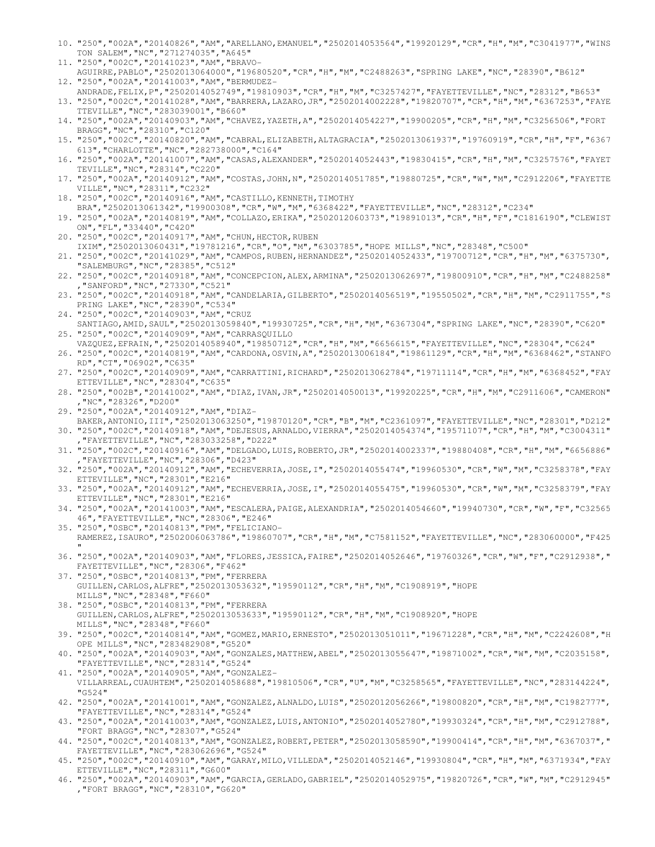- 10. "250","002A","20140826","AM","ARELLANO,EMANUEL","2502014053564","19920129","CR","H","M","C3041977","WINS TON SALEM","NC","271274035","A645"
- 11. "250","002C","20141023","AM","BRAVO-
- AGUIRRE,PABLO","2502013064000","19680520","CR","H","M","C2488263","SPRING LAKE","NC","28390","B612" 12. "250","002A","20141003","AM","BERMUDEZ-
- ANDRADE,FELIX,P","2502014052749","19810903","CR","H","M","C3257427","FAYETTEVILLE","NC","28312","B653" 13. "250","002C","20141028","AM","BARRERA,LAZARO,JR","2502014002228","19820707","CR","H","M","6367253","FAYE TTEVILLE","NC","283039001","B660"
- 14. "250","002A","20140903","AM","CHAVEZ,YAZETH,A","2502014054227","19900205","CR","H","M","C3256506","FORT BRAGG","NC","28310","C120"
- 15. "250","002C","20140820","AM","CABRAL,ELIZABETH,ALTAGRACIA","2502013061937","19760919","CR","H","F","6367 613","CHARLOTTE","NC","282738000","C164"
- 16. "250","002A","20141007","AM","CASAS,ALEXANDER","2502014052443","19830415","CR","H","M","C3257576","FAYET TEVILLE","NC","28314","C220"
- 17. "250","002A","20140912","AM","COSTAS,JOHN,N","2502014051785","19880725","CR","W","M","C2912206","FAYETTE VILLE","NC","28311","C232"
- 18. "250","002C","20140916","AM","CASTILLO,KENNETH,TIMOTHY
- BRA","2502013061342","19900308","CR","W","M","6368422","FAYETTEVILLE","NC","28312","C234"
- 19. "250","002A","20140819","AM","COLLAZO,ERIKA","2502012060373","19891013","CR","H","F","C1816190","CLEWIST ON","FL","33440","C420"
- 20. "250","002C","20140917","AM","CHUN,HECTOR,RUBEN
- IXIM","2502013060431","19781216","CR","O","M","6303785","HOPE MILLS","NC","28348","C500"
- 21. "250","002C","20141029","AM","CAMPOS,RUBEN,HERNANDEZ","2502014052433","19700712","CR","H","M","6375730", "SALEMBURG","NC","28385","C512"
- 22. "250","002C","20140918","AM","CONCEPCION,ALEX,ARMINA","2502013062697","19800910","CR","H","M","C2488258" ,"SANFORD","NC","27330","C521"
- 23. "250","002C","20140918","AM","CANDELARIA,GILBERTO","2502014056519","19550502","CR","H","M","C2911755","S PRING LAKE","NC","28390","C534"
- 24. "250","002C","20140903","AM","CRUZ
- SANTIAGO,AMID,SAUL","2502013059840","19930725","CR","H","M","6367304","SPRING LAKE","NC","28390","C620" 25. "250","002C","20140909","AM","CARRASQUILLO
- VAZQUEZ,EFRAIN,","2502014058940","19850712","CR","H","M","6656615","FAYETTEVILLE","NC","28304","C624"
- 26. "250","002C","20140819","AM","CARDONA,OSVIN,A","2502013006184","19861129","CR","H","M","6368462","STANFO RD","CT","06902","C635"
- 27. "250","002C","20140909","AM","CARRATTINI,RICHARD","2502013062784","19711114","CR","H","M","6368452","FAY ETTEVILLE","NC","28304","C635"
- 28. "250","002B","20141002","AM","DIAZ,IVAN,JR","2502014050013","19920225","CR","H","M","C2911606","CAMERON" ,"NC","28326","D200"
- 29. "250","002A","20140912","AM","DIAZ-
- BAKER,ANTONIO,III","2502013063250","19870120","CR","B","M","C2361097","FAYETTEVILLE","NC","28301","D212" 30. "250","002C","20140918","AM","DEJESUS,ARNALDO,VIERRA","2502014054374","19571107","CR","H","M","C3004311" ,"FAYETTEVILLE","NC","283033258","D222"
- 31. "250","002C","20140916","AM","DELGADO,LUIS,ROBERTO,JR","2502014002337","19880408","CR","H","M","6656886" ,"FAYETTEVILLE","NC","28306","D423"
- 32. "250","002A","20140912","AM","ECHEVERRIA,JOSE,I","2502014055474","19960530","CR","W","M","C3258378","FAY ETTEVILLE","NC","28301","E216"
- 33. "250","002A","20140912","AM","ECHEVERRIA,JOSE,I","2502014055475","19960530","CR","W","M","C3258379","FAY ETTEVILLE","NC","28301","E216"
- 34. "250","002A","20141003","AM","ESCALERA,PAIGE,ALEXANDRIA","2502014054660","19940730","CR","W","F","C32565 46","FAYETTEVILLE","NC","28306","E246"
- 35. "250","0SBC","20140813","PM","FELICIANO-RAMEREZ,ISAURO","2502006063786","19860707","CR","H","M","C7581152","FAYETTEVILLE","NC","283060000","F425 "
- 36. "250","002A","20140903","AM","FLORES,JESSICA,FAIRE","2502014052646","19760326","CR","W","F","C2912938"," FAYETTEVILLE","NC","28306","F462"
- 37. "250","0SBC","20140813","PM","FERRERA GUILLEN,CARLOS,ALFRE","2502013053632","19590112","CR","H","M","C1908919","HOPE MILLS","NC","28348","F660"
- 38. "250","0SBC","20140813","PM","FERRERA GUILLEN,CARLOS,ALFRE","2502013053633","19590112","CR","H","M","C1908920","HOPE MILLS","NC","28348","F660"
- 39. "250","002C","20140814","AM","GOMEZ,MARIO,ERNESTO","2502013051011","19671228","CR","H","M","C2242608","H OPE MILLS","NC","283482908","G520"
- 40. "250","002A","20140903","AM","GONZALES,MATTHEW,ABEL","2502013055647","19871002","CR","W","M","C2035158", "FAYETTEVILLE","NC","28314","G524"
- 41. "250","002A","20140905","AM","GONZALEZ-VILLARREAL,CUAUHTEM","2502014058688","19810506","CR","U","M","C3258565","FAYETTEVILLE","NC","283144224", "G524"
- 42. "250","002A","20141001","AM","GONZALEZ,ALNALDO,LUIS","2502012056266","19800820","CR","H","M","C1982777", "FAYETTEVILLE","NC","28314","G524"
- 43. "250","002A","20141003","AM","GONZALEZ,LUIS,ANTONIO","2502014052780","19930324","CR","H","M","C2912788", "FORT BRAGG","NC","28307","G524"
- 44. "250","002C","20140813","AM","GONZALEZ,ROBERT,PETER","2502013058590","19900414","CR","H","M","6367037"," FAYETTEVILLE","NC","283062696","G524"
- 45. "250","002C","20140910","AM","GARAY,MILO,VILLEDA","2502014052146","19930804","CR","H","M","6371934","FAY ETTEVILLE","NC","28311","G600"
- 46. "250","002A","20140903","AM","GARCIA,GERLADO,GABRIEL","2502014052975","19820726","CR","W","M","C2912945" ,"FORT BRAGG","NC","28310","G620"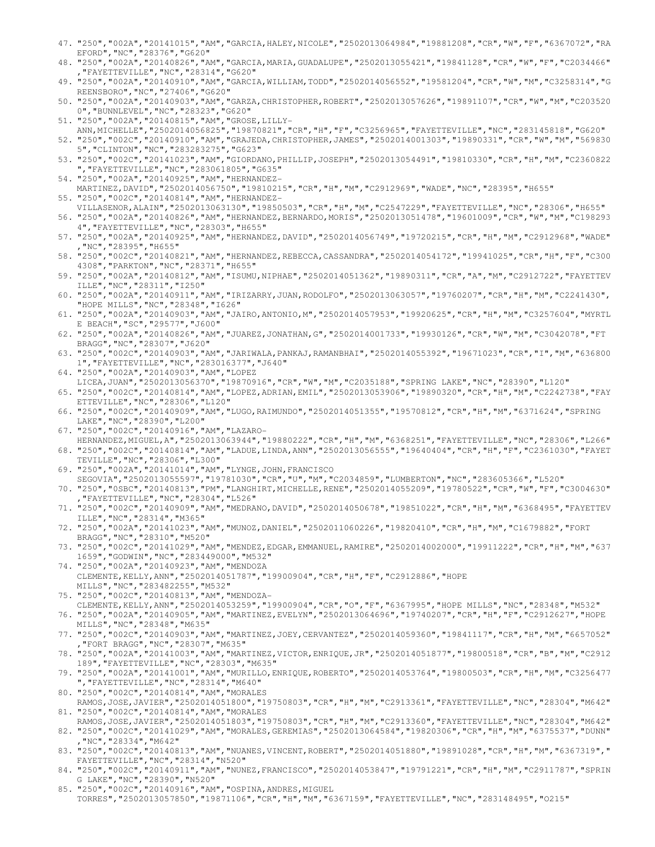- 47. "250","002A","20141015","AM","GARCIA,HALEY,NICOLE","2502013064984","19881208","CR","W","F","6367072","RA EFORD","NC","28376","G620"
- 48. "250","002A","20140826","AM","GARCIA,MARIA,GUADALUPE","2502013055421","19841128","CR","W","F","C2034466" ,"FAYETTEVILLE","NC","28314","G620"
- 49. "250","002A","20140910","AM","GARCIA,WILLIAM,TODD","2502014056552","19581204","CR","W","M","C3258314","G REENSBORO","NC","27406","G620"
- 50. "250","002A","20140903","AM","GARZA,CHRISTOPHER,ROBERT","2502013057626","19891107","CR","W","M","C203520 0","BUNNLEVEL","NC","28323","G620"
- 51. "250","002A","20140815","AM","GROSE,LILLY-
- ANN,MICHELLE","2502014056825","19870821","CR","H","F","C3256965","FAYETTEVILLE","NC","283145818","G620" 52. "250","002C","20140910","AM","GRAJEDA,CHRISTOPHER,JAMES","2502014001303","19890331","CR","W","M","569830 5","CLINTON","NC","283283275","G623"
- 53. "250","002C","20141023","AM","GIORDANO,PHILLIP,JOSEPH","2502013054491","19810330","CR","H","M","C2360822 ","FAYETTEVILLE","NC","283061805","G635"
- 54. "250","002A","20140925","AM","HERNANDEZ-
- MARTINEZ,DAVID","2502014056750","19810215","CR","H","M","C2912969","WADE","NC","28395","H655" 55. "250","002C","20140814","AM","HERNANDEZ-
- VILLASENOR,ALAIN","2502013063130","19850503","CR","H","M","C2547229","FAYETTEVILLE","NC","28306","H655" 56. "250","002A","20140826","AM","HERNANDEZ,BERNARDO,MORIS","2502013051478","19601009","CR","W","M","C198293
- 4","FAYETTEVILLE","NC","28303","H655"
- 57. "250","002A","20140925","AM","HERNANDEZ,DAVID","2502014056749","19720215","CR","H","M","C2912968","WADE" ,"NC","28395","H655"
- 58. "250","002C","20140821","AM","HERNANDEZ,REBECCA,CASSANDRA","2502014054172","19941025","CR","H","F","C300 4308","PARKTON","NC","28371","H655"
- 59. "250","002A","20140812","AM","ISUMU,NIPHAE","2502014051362","19890311","CR","A","M","C2912722","FAYETTEV ILLE","NC","28311","I250"
- 60. "250","002A","20140911","AM","IRIZARRY,JUAN,RODOLFO","2502013063057","19760207","CR","H","M","C2241430", "HOPE MILLS","NC","28348","I626"
- 61. "250","002A","20140903","AM","JAIRO,ANTONIO,M","2502014057953","19920625","CR","H","M","C3257604","MYRTL E BEACH","SC","29577","J600"
- 62. "250","002A","20140826","AM","JUAREZ,JONATHAN,G","2502014001733","19930126","CR","W","M","C3042078","FT BRAGG","NC","28307","J620"
- 63. "250","002C","20140903","AM","JARIWALA,PANKAJ,RAMANBHAI","2502014055392","19671023","CR","I","M","636800 1","FAYETTEVILLE","NC","283016377","J640"
- 64. "250","002A","20140903","AM","LOPEZ
- LICEA,JUAN","2502013056370","19870916","CR","W","M","C2035188","SPRING LAKE","NC","28390","L120"
- 65. "250","002C","20140814","AM","LOPEZ,ADRIAN,EMIL","2502013053906","19890320","CR","H","M","C2242738","FAY ETTEVILLE","NC","28306","L120"
- 66. "250","002C","20140909","AM","LUGO,RAIMUNDO","2502014051355","19570812","CR","H","M","6371624","SPRING LAKE","NC","28390","L200"
- 67. "250","002C","20140916","AM","LAZARO-
- HERNANDEZ,MIGUEL,A","2502013063944","19880222","CR","H","M","6368251","FAYETTEVILLE","NC","28306","L266" 68. "250","002C","20140814","AM","LADUE,LINDA,ANN","2502013056555","19640404","CR","H","F","C2361030","FAYET TEVILLE","NC","28306","L300"
- 69. "250","002A","20141014","AM","LYNGE,JOHN,FRANCISCO
- SEGOVIA","2502013055597","19781030","CR","U","M","C2034859","LUMBERTON","NC","283605366","L520"
- 70. "250","0SBC","20140813","PM","LANGHIRT,MICHELLE,RENE","2502014055209","19780522","CR","W","F","C3004630" ,"FAYETTEVILLE","NC","28304","L526"
- 71. "250","002C","20140909","AM","MEDRANO,DAVID","2502014050678","19851022","CR","H","M","6368495","FAYETTEV ILLE","NC","28314","M365"
- 72. "250","002A","20141023","AM","MUNOZ,DANIEL","2502011060226","19820410","CR","H","M","C1679882","FORT BRAGG","NC","28310","M520"
- 73. "250","002C","20141029","AM","MENDEZ,EDGAR,EMMANUEL,RAMIRE","2502014002000","19911222","CR","H","M","637 1659","GODWIN","NC","283449000","M532"
- 74. "250","002A","20140923","AM","MENDOZA CLEMENTE,KELLY,ANN","2502014051787","19900904","CR","H","F","C2912886","HOPE MILLS","NC","283482255","M532"
- 75. "250","002C","20140813","AM","MENDOZA-
- CLEMENTE,KELLY,ANN","2502014053259","19900904","CR","O","F","6367995","HOPE MILLS","NC","28348","M532" 76. "250","002A","20140905","AM","MARTINEZ,EVELYN","2502013064696","19740207","CR","H","F","C2912627","HOPE
- MILLS","NC","28348","M635" 77. "250","002C","20140903","AM","MARTINEZ,JOEY,CERVANTEZ","2502014059360","19841117","CR","H","M","6657052"
- ,"FORT BRAGG","NC","28307","M635" 78. "250","002A","20141003","AM","MARTINEZ,VICTOR,ENRIQUE,JR","2502014051877","19800518","CR","B","M","C2912 189","FAYETTEVILLE","NC","28303","M635"
- 79. "250","002A","20141001","AM","MURILLO,ENRIQUE,ROBERTO","2502014053764","19800503","CR","H","M","C3256477 ","FAYETTEVILLE","NC","28314","M640"
- 80. "250","002C","20140814","AM","MORALES
- RAMOS,JOSE,JAVIER","2502014051800","19750803","CR","H","M","C2913361","FAYETTEVILLE","NC","28304","M642" 81. "250","002C","20140814","AM","MORALES
- RAMOS,JOSE,JAVIER","2502014051803","19750803","CR","H","M","C2913360","FAYETTEVILLE","NC","28304","M642" 82. "250","002C","20141029","AM","MORALES,GEREMIAS","2502013064584","19820306","CR","H","M","6375537","DUNN" ,"NC","28334","M642"
- 83. "250","002C","20140813","AM","NUANES,VINCENT,ROBERT","2502014051880","19891028","CR","H","M","6367319"," FAYETTEVILLE","NC","28314","N520"
- 84. "250","002C","20140911","AM","NUNEZ,FRANCISCO","2502014053847","19791221","CR","H","M","C2911787","SPRIN G LAKE","NC","28390","N520"
- 85. "250", "002C", "20140916", "AM", "OSPINA, ANDRES, MIGUEL TORRES","2502013057850","19871106","CR","H","M","6367159","FAYETTEVILLE","NC","283148495","O215"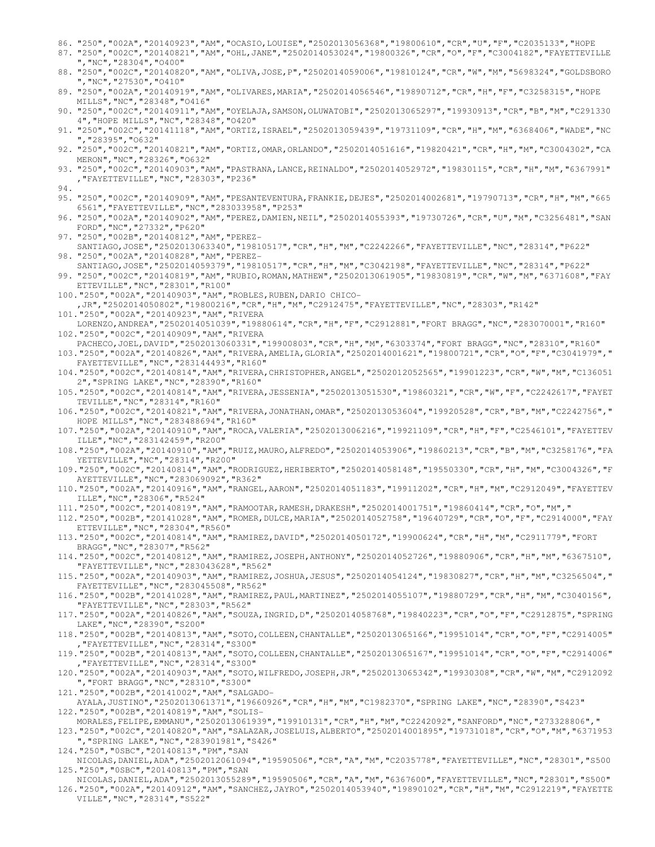- 86. "250","002A","20140923","AM","OCASIO,LOUISE","2502013056368","19800610","CR","U","F","C2035133","HOPE
- 87. "250","002C","20140821","AM","OHL,JANE","2502014053024","19800326","CR","O","F","C3004182","FAYETTEVILLE ","NC","28304","O400"
- 88. "250","002C","20140820","AM","OLIVA,JOSE,P","2502014059006","19810124","CR","W","M","5698324","GOLDSBORO ","NC","27530","O410"
- 89. "250","002A","20140919","AM","OLIVARES,MARIA","2502014056546","19890712","CR","H","F","C3258315","HOPE MILLS","NC","28348","O416"
- 90. "250","002C","20140911","AM","OYELAJA,SAMSON,OLUWATOBI","2502013065297","19930913","CR","B","M","C291330 4","HOPE MILLS","NC","28348","O420"
- 91. "250","002C","20141118","AM","ORTIZ,ISRAEL","2502013059439","19731109","CR","H","M","6368406","WADE","NC ","28395","O632"
- 92. "250","002C","20140821","AM","ORTIZ,OMAR,ORLANDO","2502014051616","19820421","CR","H","M","C3004302","CA MERON","NC","28326","O632"
- 93. "250","002C","20140903","AM","PASTRANA,LANCE,REINALDO","2502014052972","19830115","CR","H","M","6367991" ,"FAYETTEVILLE","NC","28303","P236"
- $QA$
- 95. "250","002C","20140909","AM","PESANTEVENTURA,FRANKIE,DEJES","2502014002681","19790713","CR","H","M","665 6561","FAYETTEVILLE","NC","283033958","P253"
- 96. "250", "002A", "20140902", "AM", "PEREZ, DAMIEN, NEIL", "2502014055393", "19730726", "CR", "U", "M", "C3256481", "SAN FORD","NC","27332","P620"
- 97. "250", "002B", "20140812", "AM", "PEREZ-
- SANTIAGO,JOSE","2502013063340","19810517","CR","H","M","C2242266","FAYETTEVILLE","NC","28314","P622" 98. "250", "002A", "20140828", "AM", "PEREZ-
- SANTIAGO,JOSE","2502014059379","19810517","CR","H","M","C3042198","FAYETTEVILLE","NC","28314","P622" 99. "250","002C","20140819","AM","RUBIO,ROMAN,MATHEW","2502013061905","19830819","CR","W","M","6371608","FAY
- ETTEVILLE","NC","28301","R100" 100."250","002A","20140903","AM","ROBLES,RUBEN,DARIO CHICO-
- ,JR","2502014050802","19800216","CR","H","M","C2912475","FAYETTEVILLE","NC","28303","R142" 101."250","002A","20140923","AM","RIVERA
- LORENZO,ANDREA","2502014051039","19880614","CR","H","F","C2912881","FORT BRAGG","NC","283070001","R160" 102."250","002C","20140909","AM","RIVERA
- PACHECO,JOEL,DAVID","2502013060331","19900803","CR","H","M","6303374","FORT BRAGG","NC","28310","R160" 103."250","002A","20140826","AM","RIVERA,AMELIA,GLORIA","2502014001621","19800721","CR","O","F","C3041979","
- FAYETTEVILLE","NC","283144493","R160" 104."250","002C","20140814","AM","RIVERA,CHRISTOPHER,ANGEL","2502012052565","19901223","CR","W","M","C136051 2","SPRING LAKE","NC","28390","R160"
- 105."250","002C","20140814","AM","RIVERA,JESSENIA","2502013051530","19860321","CR","W","F","C2242617","FAYET TEVILLE","NC","28314","R160"
- 106."250","002C","20140821","AM","RIVERA,JONATHAN,OMAR","2502013053604","19920528","CR","B","M","C2242756"," HOPE MILLS","NC","283488694","R160"
- 107."250","002A","20140910","AM","ROCA,VALERIA","2502013006216","19921109","CR","H","F","C2546101","FAYETTEV ILLE","NC","283142459","R200"
- 108."250","002A","20140910","AM","RUIZ,MAURO,ALFREDO","2502014053906","19860213","CR","B","M","C3258176","FA YETTEVILLE","NC","28314","R200"
- 109."250","002C","20140814","AM","RODRIGUEZ,HERIBERTO","2502014058148","19550330","CR","H","M","C3004326","F AYETTEVILLE","NC","283069092","R362"
- 110."250","002A","20140916","AM","RANGEL,AARON","2502014051183","19911202","CR","H","M","C2912049","FAYETTEV ILLE","NC","28306","R524"
- 111."250","002C","20140819","AM","RAMOOTAR,RAMESH,DRAKESH","2502014001751","19860414","CR","O","M","
- 112."250","002B","20141028","AM","ROMER,DULCE,MARIA","2502014052758","19640729","CR","O","F","C2914000","FAY ETTEVILLE","NC","28304","R560"
- 113."250","002C","20140814","AM","RAMIREZ,DAVID","2502014050172","19900624","CR","H","M","C2911779","FORT BRAGG","NC","28307","R562"
- 114."250","002C","20140812","AM","RAMIREZ,JOSEPH,ANTHONY","2502014052726","19880906","CR","H","M","6367510", "FAYETTEVILLE","NC","283043628","R562"
- 115."250","002A","20140903","AM","RAMIREZ,JOSHUA,JESUS","2502014054124","19830827","CR","H","M","C3256504"," FAYETTEVILLE","NC","283045508","R562"
- 116."250","002B","20141028","AM","RAMIREZ,PAUL,MARTINEZ","2502014055107","19880729","CR","H","M","C3040156", "FAYETTEVILLE","NC","28303","R562"
- 117."250","002A","20140826","AM","SOUZA,INGRID,D","2502014058768","19840223","CR","O","F","C2912875","SPRING LAKE","NC","28390","S200"
- 118."250","002B","20140813","AM","SOTO,COLLEEN,CHANTALLE","2502013065166","19951014","CR","O","F","C2914005" ,"FAYETTEVILLE","NC","28314","S300"
- 119."250","002B","20140813","AM","SOTO,COLLEEN,CHANTALLE","2502013065167","19951014","CR","O","F","C2914006" ,"FAYETTEVILLE","NC","28314","S300"
- 120."250","002A","20140903","AM","SOTO,WILFREDO,JOSEPH,JR","2502013065342","19930308","CR","W","M","C2912092 ","FORT BRAGG","NC","28310","S300"
- 121."250","002B","20141002","AM","SALGADO-
- AYALA,JUSTINO","2502013061371","19660926","CR","H","M","C1982370","SPRING LAKE","NC","28390","S423" 122."250","002B","20140819","AM","SOLIS-
- MORALES,FELIPE,EMMANU","2502013061939","19910131","CR","H","M","C2242092","SANFORD","NC","273328806","
- 123."250","002C","20140820","AM","SALAZAR,JOSELUIS,ALBERTO","2502014001895","19731018","CR","O","M","6371953 ","SPRING LAKE","NC","283901981","S426"
- 124."250","0SBC","20140813","PM","SAN
- NICOLAS,DANIEL,ADA","2502012061094","19590506","CR","A","M","C2035778","FAYETTEVILLE","NC","28301","S500 125."250","0SBC","20140813","PM","SAN
- NICOLAS,DANIEL,ADA","2502013055289","19590506","CR","A","M","6367600","FAYETTEVILLE","NC","28301","S500" 126."250","002A","20140912","AM","SANCHEZ,JAYRO","2502014053940","19890102","CR","H","M","C2912219","FAYETTE VILLE","NC","28314","S522"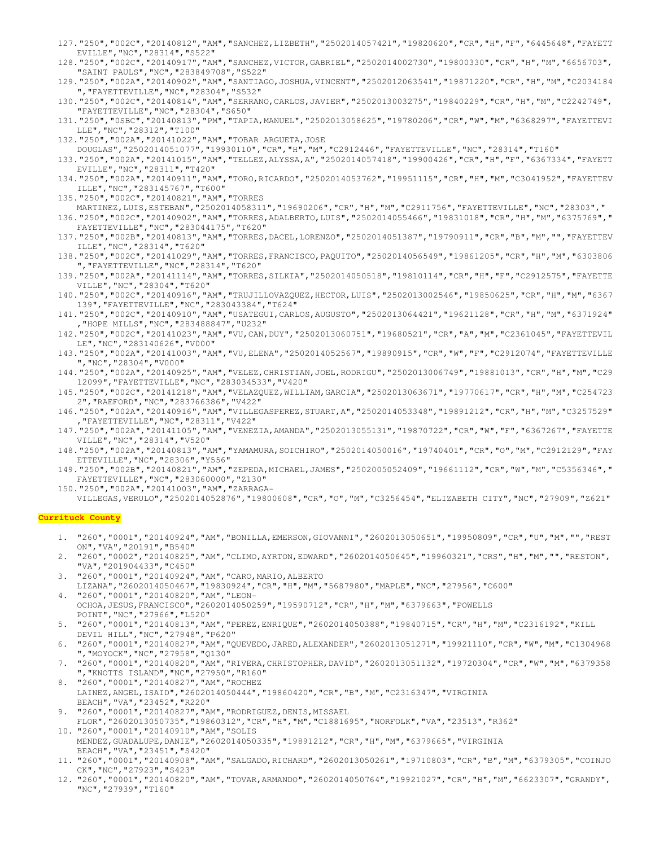- 127."250","002C","20140812","AM","SANCHEZ,LIZBETH","2502014057421","19820620","CR","H","F","6445648","FAYETT EVILLE","NC","28314","S522"
- 128."250","002C","20140917","AM","SANCHEZ,VICTOR,GABRIEL","2502014002730","19800330","CR","H","M","6656703", "SAINT PAULS","NC","283849708","S522"
- 129."250","002A","20140902","AM","SANTIAGO,JOSHUA,VINCENT","2502012063541","19871220","CR","H","M","C2034184 ","FAYETTEVILLE","NC","28304","S532"
- 130."250","002C","20140814","AM","SERRANO,CARLOS,JAVIER","2502013003275","19840229","CR","H","M","C2242749", "FAYETTEVILLE","NC","28304","S650"
- 131."250","0SBC","20140813","PM","TAPIA,MANUEL","2502013058625","19780206","CR","W","M","6368297","FAYETTEVI LLE","NC","28312","T100"
- 132."250","002A","20141022","AM","TOBAR ARGUETA,JOSE
- DOUGLAS","2502014051077","19930110","CR","H","M","C2912446","FAYETTEVILLE","NC","28314","T160"
- 133."250","002A","20141015","AM","TELLEZ,ALYSSA,A","2502014057418","19900426","CR","H","F","6367334","FAYETT EVILLE","NC","28311","T420"
- 134."250","002A","20140911","AM","TORO,RICARDO","2502014053762","19951115","CR","H","M","C3041952","FAYETTEV ILLE","NC","283145767","T600"
- 135."250","002C","20140821","AM","TORRES
- MARTINEZ,LUIS,ESTEBAN","2502014058311","19690206","CR","H","M","C2911756","FAYETTEVILLE","NC","28303","
- 136."250","002C","20140902","AM","TORRES,ADALBERTO,LUIS","2502014055466","19831018","CR","H","M","6375769"," FAYETTEVILLE","NC","283044175","T620"
- 137."250","002B","20140813","AM","TORRES,DACEL,LORENZO","2502014051387","19790911","CR","B","M","","FAYETTEV ILLE","NC","28314","T620"
- 138."250","002C","20141029","AM","TORRES,FRANCISCO,PAQUITO","2502014056549","19861205","CR","H","M","6303806 ","FAYETTEVILLE","NC","28314","T620"
- 139."250","002A","20141114","AM","TORRES,SILKIA","2502014050518","19810114","CR","H","F","C2912575","FAYETTE VILLE","NC","28304","T620"
- 140."250","002C","20140916","AM","TRUJILLOVAZQUEZ,HECTOR,LUIS","2502013002546","19850625","CR","H","M","6367 139","FAYETTEVILLE","NC","283043384","T624"
- 141."250","002C","20140910","AM","USATEGUI,CARLOS,AUGUSTO","2502013064421","19621128","CR","H","M","6371924" ,"HOPE MILLS","NC","283488847","U232"
- 142."250","002C","20141023","AM","VU,CAN,DUY","2502013060751","19680521","CR","A","M","C2361045","FAYETTEVIL LE","NC","283140626","V000"
- 143."250","002A","20141003","AM","VU,ELENA","2502014052567","19890915","CR","W","F","C2912074","FAYETTEVILLE ","NC","28304","V000"
- 144."250","002A","20140925","AM","VELEZ,CHRISTIAN,JOEL,RODRIGU","2502013006749","19881013","CR","H","M","C29 12099","FAYETTEVILLE","NC","283034533","V420"
- 145."250","002C","20141218","AM","VELAZQUEZ,WILLIAM,GARCIA","2502013063671","19770617","CR","H","M","C254723 2","RAEFORD","NC","283766386","V422"
- 146."250","002A","20140916","AM","VILLEGASPEREZ,STUART,A","2502014053348","19891212","CR","H","M","C3257529" ,"FAYETTEVILLE","NC","28311","V422"
- 147."250","002A","20141105","AM","VENEZIA,AMANDA","2502013055131","19870722","CR","W","F","6367267","FAYETTE VILLE","NC","28314","V520"
- 148."250","002A","20140813","AM","YAMAMURA,SOICHIRO","2502014050016","19740401","CR","O","M","C2912129","FAY ETTEVILLE","NC","28306","Y556"
- 149."250","002B","20140821","AM","ZEPEDA,MICHAEL,JAMES","2502005052409","19661112","CR","W","M","C5356346"," FAYETTEVILLE","NC","283060000","Z130"
- 150."250","002A","20141003","AM","ZARRAGA-
- VILLEGAS,VERULO","2502014052876","19800608","CR","O","M","C3256454","ELIZABETH CITY","NC","27909","Z621"

## **Currituck County**

- 1. "260","0001","20140924","AM","BONILLA,EMERSON,GIOVANNI","2602013050651","19950809","CR","U","M","","REST ON","VA","20191","B540"
- 2. "260","0002","20140825","AM","CLIMO,AYRTON,EDWARD","2602014050645","19960321","CRS","H","M","","RESTON", "VA","201904433","C450"
- 3. "260","0001","20140924","AM","CARO,MARIO,ALBERTO
- LIZANA","2602014050467","19830924","CR","H","M","5687980","MAPLE","NC","27956","C600" 4. "260","0001","20140820","AM","LEON-
- OCHOA,JESUS,FRANCISCO","2602014050259","19590712","CR","H","M","6379663","POWELLS POINT","NC","27966","L520"
- 5. "260","0001","20140813","AM","PEREZ,ENRIQUE","2602014050388","19840715","CR","H","M","C2316192","KILL DEVIL HILL","NC","27948","P620"
- 6. "260","0001","20140827","AM","QUEVEDO,JARED,ALEXANDER","2602013051271","19921110","CR","W","M","C1304968 ","MOYOCK","NC","27958","Q130"
- 7. "260","0001","20140820","AM","RIVERA,CHRISTOPHER,DAVID","2602013051132","19720304","CR","W","M","6379358 ","KNOTTS ISLAND","NC","27950","R160"
- 8. "260","0001","20140827","AM","ROCHEZ LAINEZ,ANGEL,ISAID","2602014050444","19860420","CR","B","M","C2316347","VIRGINIA BEACH","VA","23452","R220"
- 9. "260", "0001", "20140827", "AM", "RODRIGUEZ, DENIS, MISSAEL
- FLOR","2602013050735","19860312","CR","H","M","C1881695","NORFOLK","VA","23513","R362" 10. "260","0001","20140910","AM","SOLIS
- MENDEZ,GUADALUPE,DANIE","2602014050335","19891212","CR","H","M","6379665","VIRGINIA BEACH","VA","23451","S420"
- 11. "260","0001","20140908","AM","SALGADO,RICHARD","2602013050261","19710803","CR","B","M","6379305","COINJO CK","NC","27923","S423"
- 12. "260","0001","20140820","AM","TOVAR,ARMANDO","2602014050764","19921027","CR","H","M","6623307","GRANDY", "NC","27939","T160"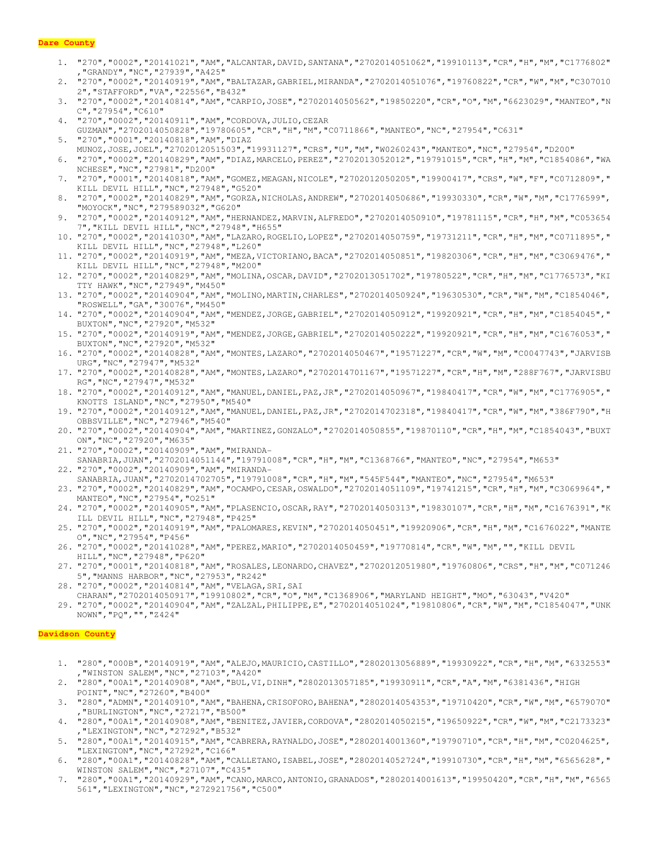## **Dare County**

- 1. "270","0002","20141021","AM","ALCANTAR,DAVID,SANTANA","2702014051062","19910113","CR","H","M","C1776802" ,"GRANDY","NC","27939","A425"
- 2. "270","0002","20140919","AM","BALTAZAR,GABRIEL,MIRANDA","2702014051076","19760822","CR","W","M","C307010 2","STAFFORD","VA","22556","B432"
- 3. "270","0002","20140814","AM","CARPIO,JOSE","2702014050562","19850220","CR","O","M","6623029","MANTEO","N C","27954","C610"
- 4. "270","0002","20140911","AM","CORDOVA,JULIO,CEZAR
- GUZMAN","2702014050828","19780605","CR","H","M","C0711866","MANTEO","NC","27954","C631" 5. "270","0001","20140818","AM","DIAZ
- MUNOZ,JOSE,JOEL","2702012051503","19931127","CRS","U","M","W0260243","MANTEO","NC","27954","D200"
- 6. "270","0002","20140829","AM","DIAZ,MARCELO,PEREZ","2702013052012","19791015","CR","H","M","C1854086","WA NCHESE","NC","27981","D200"
- 7. "270","0001","20140818","AM","GOMEZ,MEAGAN,NICOLE","2702012050205","19900417","CRS","W","F","C0712809"," KILL DEVIL HILL","NC","27948","G520"
- 8. "270","0002","20140829","AM","GORZA,NICHOLAS,ANDREW","2702014050686","19930330","CR","W","M","C1776599", "MOYOCK","NC","279589032","G620"
- 9. "270","0002","20140912","AM","HERNANDEZ,MARVIN,ALFREDO","2702014050910","19781115","CR","H","M","C053654 7","KILL DEVIL HILL","NC","27948","H655"
- 10. "270","0002","20141030","AM","LAZARO,ROGELIO,LOPEZ","2702014050759","19731211","CR","H","M","C0711895"," KILL DEVIL HILL","NC","27948","L260"
- 11. "270","0002","20140919","AM","MEZA,VICTORIANO,BACA","2702014050851","19820306","CR","H","M","C3069476"," KILL DEVIL HILL","NC","27948","M200"
- 12. "270","0002","20140829","AM","MOLINA,OSCAR,DAVID","2702013051702","19780522","CR","H","M","C1776573","KI TTY HAWK","NC","27949","M450"
- 13. "270","0002","20140904","AM","MOLINO,MARTIN,CHARLES","2702014050924","19630530","CR","W","M","C1854046", "ROSWELL","GA","30076","M450"
- 14. "270","0002","20140904","AM","MENDEZ,JORGE,GABRIEL","2702014050912","19920921","CR","H","M","C1854045"," BUXTON","NC","27920","M532"
- 15. "270","0002","20140919","AM","MENDEZ,JORGE,GABRIEL","2702014050222","19920921","CR","H","M","C1676053"," BUXTON","NC","27920","M532"
- 16. "270","0002","20140828","AM","MONTES,LAZARO","2702014050467","19571227","CR","W","M","C0047743","JARVISB URG","NC","27947","M532"
- 17. "270","0002","20140828","AM","MONTES,LAZARO","2702014701167","19571227","CR","H","M","288F767","JARVISBU RG","NC","27947","M532"
- 18. "270","0002","20140912","AM","MANUEL,DANIEL,PAZ,JR","2702014050967","19840417","CR","W","M","C1776905"," KNOTTS ISLAND","NC","27950","M540"
- 19. "270","0002","20140912","AM","MANUEL,DANIEL,PAZ,JR","2702014702318","19840417","CR","W","M","386F790","H OBBSVILLE","NC","27946","M540"
- 20. "270","0002","20140904","AM","MARTINEZ,GONZALO","2702014050855","19870110","CR","H","M","C1854043","BUXT ON","NC","27920","M635"
- 21. "270","0002","20140909","AM","MIRANDA-
- SANABRIA,JUAN","2702014051144","19791008","CR","H","M","C1368766","MANTEO","NC","27954","M653" 22. "270","0002","20140909","AM","MIRANDA-
- SANABRIA,JUAN","2702014702705","19791008","CR","H","M","545F544","MANTEO","NC","27954","M653"
- 23. "270","0002","20140829","AM","OCAMPO,CESAR,OSWALDO","2702014051109","19741215","CR","H","M","C3069964"," MANTEO","NC","27954","O251"
- 24. "270","0002","20140905","AM","PLASENCIO,OSCAR,RAY","2702014050313","19830107","CR","H","M","C1676391","K ILL DEVIL HILL","NC","27948","P425"
- 25. "270","0002","20140919","AM","PALOMARES,KEVIN","2702014050451","19920906","CR","H","M","C1676022","MANTE O","NC","27954","P456"
- 26. "270","0002","20141028","AM","PEREZ,MARIO","2702014050459","19770814","CR","W","M","","KILL DEVIL HILL","NC","27948","P620"
- 27. "270","0001","20140818","AM","ROSALES,LEONARDO,CHAVEZ","2702012051980","19760806","CRS","H","M","C071246 5","MANNS HARBOR","NC","27953","R242"
- 28. "270","0002","20140814","AM","VELAGA,SRI,SAI
- CHARAN","2702014050917","19910802","CR","O","M","C1368906","MARYLAND HEIGHT","MO","63043","V420"
- 29. "270","0002","20140904","AM","ZALZAL,PHILIPPE,E","2702014051024","19810806","CR","W","M","C1854047","UNK NOWN","PQ","","Z424"

## **Davidson County**

- 1. "280","000B","20140919","AM","ALEJO,MAURICIO,CASTILLO","2802013056889","19930922","CR","H","M","6332553" ,"WINSTON SALEM","NC","27103","A420"
- 2. "280","00A1","20140908","AM","BUL,VI,DINH","2802013057185","19930911","CR","A","M","6381436","HIGH POINT","NC","27260","B400"
- 3. "280","ADMN","20140910","AM","BAHENA,CRISOFORO,BAHENA","2802014054353","19710420","CR","W","M","6579070" ,"BURLINGTON","NC","27217","B500"
- 4. "280","00A1","20140908","AM","BENITEZ,JAVIER,CORDOVA","2802014050215","19650922","CR","W","M","C2173323" ,"LEXINGTON","NC","27292","B532"
- 5. "280","00A1","20140915","AM","CABRERA,RAYNALDO,JOSE","2802014001360","19790710","CR","H","M","C0204625", "LEXINGTON","NC","27292","C166"
- 6. "280","00A1","20140828","AM","CALLETANO,ISABEL,JOSE","2802014052724","19910730","CR","H","M","6565628"," WINSTON SALEM","NC","27107","C435"
- 7. "280","00A1","20140929","AM","CANO,MARCO,ANTONIO,GRANADOS","2802014001613","19950420","CR","H","M","6565 561","LEXINGTON","NC","272921756","C500"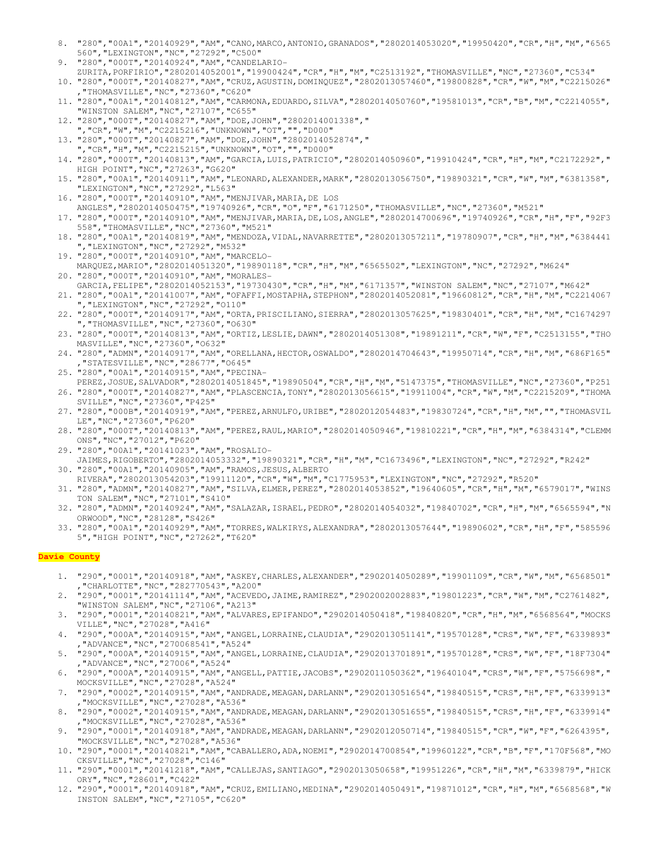- 8. "280","00A1","20140929","AM","CANO,MARCO,ANTONIO,GRANADOS","2802014053020","19950420","CR","H","M","6565 560","LEXINGTON","NC","27292","C500"
- 9. "280","000T","20140924","AM","CANDELARIO-
- ZURITA,PORFIRIO","2802014052001","19900424","CR","H","M","C2513192","THOMASVILLE","NC","27360","C534" 10. "280","000T","20140827","AM","CRUZ,AGUSTIN,DOMINQUEZ","2802013057460","19800828","CR","W","M","C2215026"
- ,"THOMASVILLE","NC","27360","C620" 11. "280","00A1","20140812","AM","CARMONA,EDUARDO,SILVA","2802014050760","19581013","CR","B","M","C2214055", "WINSTON SALEM","NC","27107","C655"
- 12. "280","000T","20140827","AM","DOE,JOHN","2802014001338","
- ","CR","W","M","C2215216","UNKNOWN","OT","","D000"
- 13. "280","000T","20140827","AM","DOE,JOHN","2802014052874","
- ","CR","H","M","C2215215","UNKNOWN","OT","","D000" 14. "280","000T","20140813","AM","GARCIA,LUIS,PATRICIO","2802014050960","19910424","CR","H","M","C2172292"," HIGH POINT","NC","27263","G620"
- 15. "280","00A1","20140911","AM","LEONARD,ALEXANDER,MARK","2802013056750","19890321","CR","W","M","6381358", "LEXINGTON","NC","27292","L563"
- 16. "280","000T","20140910","AM","MENJIVAR,MARIA,DE LOS
- ANGLES","2802014050475","19740926","CR","O","F","6171250","THOMASVILLE","NC","27360","M521"
- 17. "280","000T","20140910","AM","MENJIVAR,MARIA,DE,LOS,ANGLE","2802014700696","19740926","CR","H","F","92F3 558","THOMASVILLE","NC","27360","M521"
- 18. "280","00A1","20140819","AM","MENDOZA,VIDAL,NAVARRETTE","2802013057211","19780907","CR","H","M","6384441 ","LEXINGTON","NC","27292","M532"
- 19. "280","000T","20140910","AM","MARCELO-
- MARQUEZ,MARIO","2802014051320","19890118","CR","H","M","6565502","LEXINGTON","NC","27292","M624" 20. "280","000T","20140910","AM","MORALES-
- GARCIA,FELIPE","2802014052153","19730430","CR","H","M","6171357","WINSTON SALEM","NC","27107","M642"
- 21. "280","00A1","20141007","AM","OFAFFI,MOSTAPHA,STEPHON","2802014052081","19660812","CR","H","M","C2214067 ","LEXINGTON","NC","27292","O110"
- 22. "280","000T","20140917","AM","ORTA,PRISCILIANO,SIERRA","2802013057625","19830401","CR","H","M","C1674297 ","THOMASVILLE","NC","27360","O630"
- 23. "280","000T","20140813","AM","ORTIZ,LESLIE,DAWN","2802014051308","19891211","CR","W","F","C2513155","THO MASVILLE","NC","27360","O632"
- 24. "280","ADMN","20140917","AM","ORELLANA,HECTOR,OSWALDO","2802014704643","19950714","CR","H","M","686F165" ,"STATESVILLE","NC","28677","O645"
- 25. "280","00A1","20140915","AM","PECINA-
- PEREZ,JOSUE,SALVADOR","2802014051845","19890504","CR","H","M","5147375","THOMASVILLE","NC","27360","P251 26. "280","000T","20140827","AM","PLASCENCIA,TONY","2802013056615","19911004","CR","W","M","C2215209","THOMA SVILLE","NC","27360","P425"
- 27. "280","000B","20140919","AM","PEREZ,ARNULFO,URIBE","2802012054483","19830724","CR","H","M","","THOMASVIL LE","NC","27360","P620"
- 28. "280","000T","20140813","AM","PEREZ,RAUL,MARIO","2802014050946","19810221","CR","H","M","6384314","CLEMM ONS","NC","27012","P620"
- 29. "280","00A1","20141023","AM","ROSALIO-
- JAIMES,RIGOBERTO","2802014053332","19890321","CR","H","M","C1673496","LEXINGTON","NC","27292","R242"
- 30. "280","00A1","20140905","AM","RAMOS,JESUS,ALBERTO
- RIVERA","2802013054203","19911120","CR","W","M","C1775953","LEXINGTON","NC","27292","R520"
- 31. "280","ADMN","20140827","AM","SILVA,ELMER,PEREZ","2802014053852","19640605","CR","H","M","6579017","WINS TON SALEM","NC","27101","S410"
- 32. "280","ADMN","20140924","AM","SALAZAR,ISRAEL,PEDRO","2802014054032","19840702","CR","H","M","6565594","N ORWOOD","NC","28128","S426"
- 33. "280","00A1","20140929","AM","TORRES,WALKIRYS,ALEXANDRA","2802013057644","19890602","CR","H","F","585596 5","HIGH POINT","NC","27262","T620"

## **Davie County**

- 1. "290","0001","20140918","AM","ASKEY,CHARLES,ALEXANDER","2902014050289","19901109","CR","W","M","6568501" ,"CHARLOTTE","NC","282770543","A200"
- 2. "290","0001","20141114","AM","ACEVEDO,JAIME,RAMIREZ","2902002002883","19801223","CR","W","M","C2761482", "WINSTON SALEM","NC","27106","A213"
- 3. "290","0001","20140821","AM","ALVARES,EPIFANDO","2902014050418","19840820","CR","H","M","6568564","MOCKS VILLE","NC","27028","A416"
- 4. "290","000A","20140915","AM","ANGEL,LORRAINE,CLAUDIA","2902013051141","19570128","CRS","W","F","6339893" ,"ADVANCE","NC","270068541","A524"
- 5. "290","000A","20140915","AM","ANGEL,LORRAINE,CLAUDIA","2902013701891","19570128","CRS","W","F","18F7304" ,"ADVANCE","NC","27006","A524"
- 6. "290","000A","20140915","AM","ANGELL,PATTIE,JACOBS","2902011050362","19640104","CRS","W","F","5756698"," MOCKSVILLE","NC","27028","A524"
- 7. "290","0002","20140915","AM","ANDRADE,MEAGAN,DARLANN","2902013051654","19840515","CRS","H","F","6339913" ,"MOCKSVILLE","NC","27028","A536"
- 8. "290","0002","20140915","AM","ANDRADE,MEAGAN,DARLANN","2902013051655","19840515","CRS","H","F","6339914" ,"MOCKSVILLE","NC","27028","A536"
- 9. "290","0001","20140918","AM","ANDRADE,MEAGAN,DARLANN","2902012050714","19840515","CR","W","F","6264395", "MOCKSVILLE","NC","27028","A536"
- 10. "290","0001","20140821","AM","CABALLERO,ADA,NOEMI","2902014700854","19960122","CR","B","F","170F568","MO CKSVILLE","NC","27028","C146"
- 11. "290","0001","20141218","AM","CALLEJAS,SANTIAGO","2902013050658","19951226","CR","H","M","6339879","HICK ORY","NC","28601","C422"
- 12. "290","0001","20140918","AM","CRUZ,EMILIANO,MEDINA","2902014050491","19871012","CR","H","M","6568568","W INSTON SALEM","NC","27105","C620"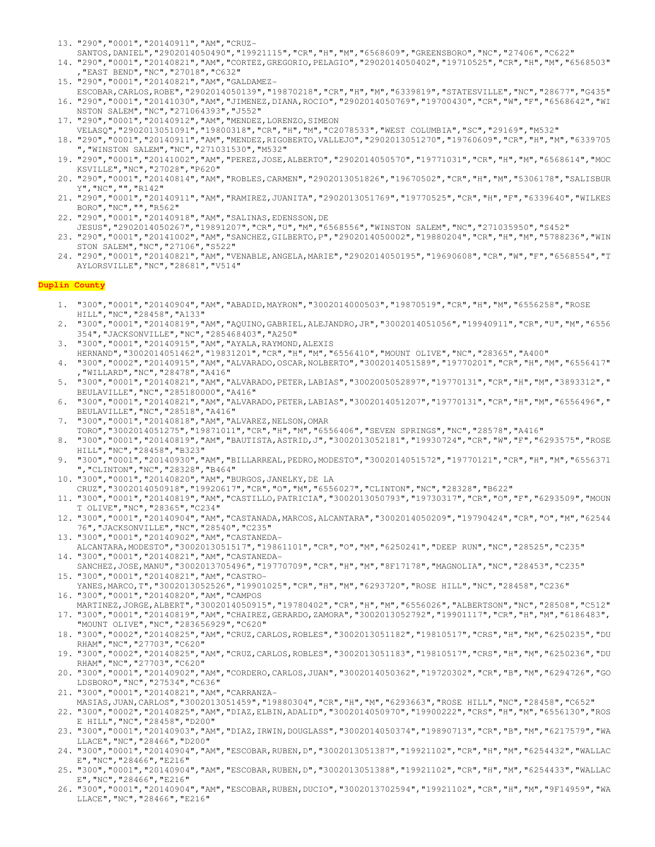- 13. "290","0001","20140911","AM","CRUZ-
- SANTOS,DANIEL","2902014050490","19921115","CR","H","M","6568609","GREENSBORO","NC","27406","C622"
- 14. "290","0001","20140821","AM","CORTEZ,GREGORIO,PELAGIO","2902014050402","19710525","CR","H","M","6568503" ,"EAST BEND","NC","27018","C632"
- 15. "290","0001","20140821","AM","GALDAMEZ-ESCOBAR,CARLOS,ROBE","2902014050139","19870218","CR","H","M","6339819","STATESVILLE","NC","28677","G435"
- 16. "290","0001","20141030","AM","JIMENEZ,DIANA,ROCIO","2902014050769","19700430","CR","W","F","6568642","WI NSTON SALEM","NC","271064393","J552"
- 17. "290","0001","20140912","AM","MENDEZ,LORENZO,SIMEON
- VELASQ","2902013051091","19800318","CR","H","M","C2078533","WEST COLUMBIA","SC","29169","M532"
- 18. "290","0001","20140911","AM","MENDEZ,RIGOBERTO,VALLEJO","2902013051270","19760609","CR","H","M","6339705 ","WINSTON SALEM","NC","271031530","M532"
- 19. "290","0001","20141002","AM","PEREZ,JOSE,ALBERTO","2902014050570","19771031","CR","H","M","6568614","MOC KSVILLE","NC","27028","P620"
- 20. "290","0001","20140814","AM","ROBLES,CARMEN","2902013051826","19670502","CR","H","M","5306178","SALISBUR Y","NC","","R142"
- 21. "290","0001","20140911","AM","RAMIREZ,JUANITA","2902013051769","19770525","CR","H","F","6339640","WILKES BORO","NC","","R562"
- 22. "290","0001","20140918","AM","SALINAS,EDENSSON,DE
- JESUS","2902014050267","19891207","CR","U","M","6568556","WINSTON SALEM","NC","271035950","S452"
- 23. "290","0001","20141002","AM","SANCHEZ,GILBERTO,P","2902014050002","19880204","CR","H","M","5788236","WIN STON SALEM","NC","27106","S522"
- 24. "290","0001","20140821","AM","VENABLE,ANGELA,MARIE","2902014050195","19690608","CR","W","F","6568554","T AYLORSVILLE","NC","28681","V514"

## **Duplin County**

- 1. "300","0001","20140904","AM","ABADID,MAYRON","3002014000503","19870519","CR","H","M","6556258","ROSE HILL","NC","28458","A133"
- 2. "300","0001","20140819","AM","AQUINO,GABRIEL,ALEJANDRO,JR","3002014051056","19940911","CR","U","M","6556 354","JACKSONVILLE","NC","285468403","A250"
- 3. "300","0001","20140915","AM","AYALA,RAYMOND,ALEXIS
- HERNAND","3002014051462","19831201","CR","H","M","6556410","MOUNT OLIVE","NC","28365","A400" 4. "300","0002","20140915","AM","ALVARADO,OSCAR,NOLBERTO","3002014051589","19770201","CR","H","M","6556417"
- ,"WILLARD","NC","28478","A416" 5. "300","0001","20140821","AM","ALVARADO,PETER,LABIAS","3002005052897","19770131","CR","H","M","3893312","
- BEULAVILLE","NC","285180000","A416" 6. "300","0001","20140821","AM","ALVARADO,PETER,LABIAS","3002014051207","19770131","CR","H","M","6556496","
- BEULAVILLE","NC","28518","A416" 7. "300","0001","20140818","AM","ALVAREZ,NELSON,OMAR
- TORO","3002014051275","19871011","CR","H","M","6556406","SEVEN SPRINGS","NC","28578","A416"
- 8. "300","0001","20140819","AM","BAUTISTA,ASTRID,J","3002013052181","19930724","CR","W","F","6293575","ROSE HILL","NC","28458","B323"
- 9. "300","0001","20140930","AM","BILLARREAL,PEDRO,MODESTO","3002014051572","19770121","CR","H","M","6556371 ","CLINTON","NC","28328","B464"
- 10. "300","0001","20140820","AM","BURGOS,JANELKY,DE LA
- CRUZ","3002014050918","19920617","CR","O","M","6556027","CLINTON","NC","28328","B622"
- 11. "300","0001","20140819","AM","CASTILLO,PATRICIA","3002013050793","19730317","CR","O","F","6293509","MOUN T OLIVE","NC","28365","C234"
- 12. "300","0001","20140904","AM","CASTANADA,MARCOS,ALCANTARA","3002014050209","19790424","CR","O","M","62544 76","JACKSONVILLE","NC","28540","C235"
- 13. "300","0001","20140902","AM","CASTANEDA-
- ALCANTARA,MODESTO","3002013051517","19861101","CR","O","M","6250241","DEEP RUN","NC","28525","C235" 14. "300","0001","20140821","AM","CASTANEDA-
- SANCHEZ,JOSE,MANU","3002013705496","19770709","CR","H","M","8F17178","MAGNOLIA","NC","28453","C235" 15. "300","0001","20140821","AM","CASTRO-
- YANES,MARCO,T","3002013052526","19901025","CR","H","M","6293720","ROSE HILL","NC","28458","C236" 16. "300","0001","20140820","AM","CAMPOS
- MARTINEZ,JORGE,ALBERT","3002014050915","19780402","CR","H","M","6556026","ALBERTSON","NC","28508","C512"
- 17. "300","0001","20140819","AM","CHAIREZ,GERARDO,ZAMORA","3002013052792","19901117","CR","H","M","6186483", "MOUNT OLIVE","NC","283656929","C620"
- 18. "300","0002","20140825","AM","CRUZ,CARLOS,ROBLES","3002013051182","19810517","CRS","H","M","6250235","DU RHAM","NC","27703","C620"
- 19. "300","0002","20140825","AM","CRUZ,CARLOS,ROBLES","3002013051183","19810517","CRS","H","M","6250236","DU RHAM","NC","27703","C620"
- 20. "300","0001","20140902","AM","CORDERO,CARLOS,JUAN","3002014050362","19720302","CR","B","M","6294726","GO LDSBORO","NC","27534","C636"
- 21. "300","0001","20140821","AM","CARRANZA-
- MASIAS,JUAN,CARLOS","3002013051459","19880304","CR","H","M","6293663","ROSE HILL","NC","28458","C652" 22. "300","0002","20140825","AM","DIAZ,ELBIN,ADALID","3002014050970","19900222","CRS","H","M","6556130","ROS
	- E HILL","NC","28458","D200"
- 23. "300","0001","20140903","AM","DIAZ,IRWIN,DOUGLASS","3002014050374","19890713","CR","B","M","6217579","WA LLACE","NC","28466","D200"
- 24. "300","0001","20140904","AM","ESCOBAR,RUBEN,D","3002013051387","19921102","CR","H","M","6254432","WALLAC E","NC","28466","E216"
- 25. "300","0001","20140904","AM","ESCOBAR,RUBEN,D","3002013051388","19921102","CR","H","M","6254433","WALLAC E","NC","28466","E216"
- 26. "300","0001","20140904","AM","ESCOBAR,RUBEN,DUCIO","3002013702594","19921102","CR","H","M","9F14959","WA LLACE","NC","28466","E216"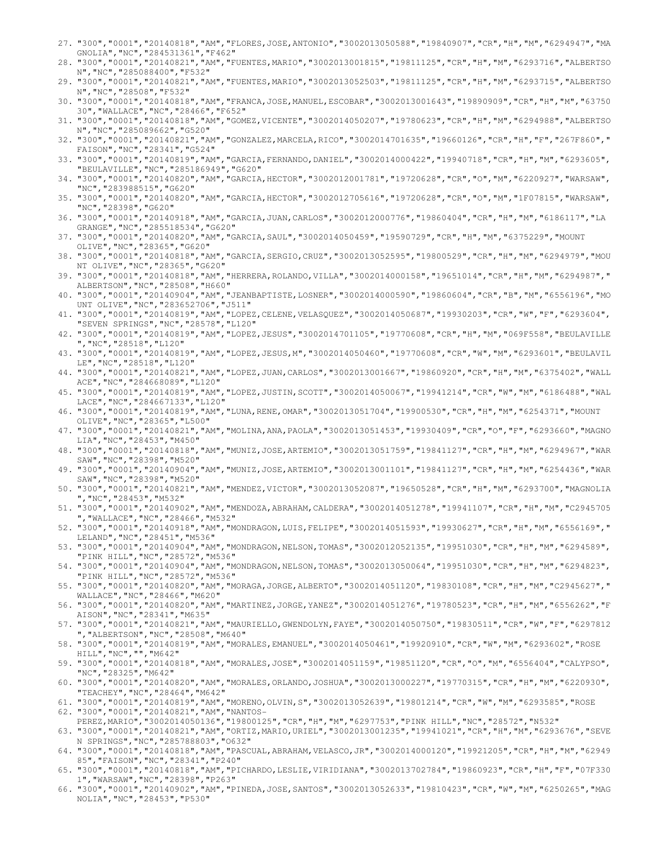- 27. "300","0001","20140818","AM","FLORES,JOSE,ANTONIO","3002013050588","19840907","CR","H","M","6294947","MA GNOLIA","NC","284531361","F462"
- 28. "300","0001","20140821","AM","FUENTES,MARIO","3002013001815","19811125","CR","H","M","6293716","ALBERTSO N","NC","285088400","F532"
- 29. "300","0001","20140821","AM","FUENTES,MARIO","3002013052503","19811125","CR","H","M","6293715","ALBERTSO N","NC","28508","F532"
- 30. "300","0001","20140818","AM","FRANCA,JOSE,MANUEL,ESCOBAR","3002013001643","19890909","CR","H","M","63750 30","WALLACE","NC","28466","F652"
- 31. "300","0001","20140818","AM","GOMEZ,VICENTE","3002014050207","19780623","CR","H","M","6294988","ALBERTSO N","NC","285089662","G520"
- 32. "300","0001","20140821","AM","GONZALEZ,MARCELA,RICO","3002014701635","19660126","CR","H","F","267F860"," FAISON","NC","28341","G524"
- 33. "300","0001","20140819","AM","GARCIA,FERNANDO,DANIEL","3002014000422","19940718","CR","H","M","6293605", "BEULAVILLE","NC","285186949","G620"
- 34. "300","0001","20140820","AM","GARCIA,HECTOR","3002012001781","19720628","CR","O","M","6220927","WARSAW", "NC","283988515","G620"
- 35. "300","0001","20140820","AM","GARCIA,HECTOR","3002012705616","19720628","CR","O","M","1F07815","WARSAW", "NC","28398","G620"
- 36. "300","0001","20140918","AM","GARCIA,JUAN,CARLOS","3002012000776","19860404","CR","H","M","6186117","LA GRANGE","NC","285518534","G620"
- 37. "300","0001","20140820","AM","GARCIA,SAUL","3002014050459","19590729","CR","H","M","6375229","MOUNT OLIVE","NC","28365","G620"
- 38. "300","0001","20140818","AM","GARCIA,SERGIO,CRUZ","3002013052595","19800529","CR","H","M","6294979","MOU NT OLIVE","NC","28365","G620"
- 39. "300","0001","20140818","AM","HERRERA,ROLANDO,VILLA","3002014000158","19651014","CR","H","M","6294987"," ALBERTSON","NC","28508","H660"
- 40. "300","0001","20140904","AM","JEANBAPTISTE,LOSNER","3002014000590","19860604","CR","B","M","6556196","MO UNT OLIVE","NC","283652706","J511"
- 41. "300","0001","20140819","AM","LOPEZ,CELENE,VELASQUEZ","3002014050687","19930203","CR","W","F","6293604", "SEVEN SPRINGS","NC","28578","L120"
- 42. "300","0001","20140819","AM","LOPEZ,JESUS","3002014701105","19770608","CR","H","M","069F558","BEULAVILLE ","NC","28518","L120"
- 43. "300","0001","20140819","AM","LOPEZ,JESUS,M","3002014050460","19770608","CR","W","M","6293601","BEULAVIL LE","NC","28518","L120"
- 44. "300","0001","20140821","AM","LOPEZ,JUAN,CARLOS","3002013001667","19860920","CR","H","M","6375402","WALL ACE","NC","284668089","L120"
- 45. "300","0001","20140819","AM","LOPEZ,JUSTIN,SCOTT","3002014050067","19941214","CR","W","M","6186488","WAL LACE","NC","284667133","L120"
- 46. "300","0001","20140819","AM","LUNA,RENE,OMAR","3002013051704","19900530","CR","H","M","6254371","MOUNT OLIVE","NC","28365","L500"
- 47. "300","0001","20140821","AM","MOLINA,ANA,PAOLA","3002013051453","19930409","CR","O","F","6293660","MAGNO LIA","NC","28453","M450"
- 48. "300","0001","20140818","AM","MUNIZ,JOSE,ARTEMIO","3002013051759","19841127","CR","H","M","6294967","WAR SAW","NC","28398","M520"
- 49. "300","0001","20140904","AM","MUNIZ,JOSE,ARTEMIO","3002013001101","19841127","CR","H","M","6254436","WAR SAW","NC","28398","M520"
- 50. "300","0001","20140821","AM","MENDEZ,VICTOR","3002013052087","19650528","CR","H","M","6293700","MAGNOLIA ","NC","28453","M532"
- 51. "300","0001","20140902","AM","MENDOZA,ABRAHAM,CALDERA","3002014051278","19941107","CR","H","M","C2945705 ","WALLACE","NC","28466","M532"
- 52. "300","0001","20140918","AM","MONDRAGON,LUIS,FELIPE","3002014051593","19930627","CR","H","M","6556169"," LELAND","NC","28451","M536"
- 53. "300","0001","20140904","AM","MONDRAGON,NELSON,TOMAS","3002012052135","19951030","CR","H","M","6294589", "PINK HILL","NC","28572","M536"
- 54. "300","0001","20140904","AM","MONDRAGON,NELSON,TOMAS","3002013050064","19951030","CR","H","M","6294823", "PINK HILL","NC","28572","M536"
- 55. "300","0001","20140820","AM","MORAGA,JORGE,ALBERTO","3002014051120","19830108","CR","H","M","C2945627"," WALLACE","NC","28466","M620"
- 56. "300","0001","20140820","AM","MARTINEZ,JORGE,YANEZ","3002014051276","19780523","CR","H","M","6556262","F AISON","NC","28341","M635"
- 57. "300","0001","20140821","AM","MAURIELLO,GWENDOLYN,FAYE","3002014050750","19830511","CR","W","F","6297812 ","ALBERTSON","NC","28508","M640"
- 58. "300","0001","20140819","AM","MORALES,EMANUEL","3002014050461","19920910","CR","W","M","6293602","ROSE HILL","NC","","M642"
- 59. "300","0001","20140818","AM","MORALES,JOSE","3002014051159","19851120","CR","O","M","6556404","CALYPSO", "NC","28325","M642"
- 60. "300","0001","20140820","AM","MORALES,ORLANDO,JOSHUA","3002013000227","19770315","CR","H","M","6220930", "TEACHEY","NC","28464","M642"
- 61. "300","0001","20140819","AM","MORENO,OLVIN,S","3002013052639","19801214","CR","W","M","6293585","ROSE 62. "300","0001","20140821","AM","NANTOS-
- PEREZ,MARIO","3002014050136","19800125","CR","H","M","6297753","PINK HILL","NC","28572","N532"
- 63. "300","0001","20140821","AM","ORTIZ,MARIO,URIEL","3002013001235","19941021","CR","H","M","6293676","SEVE N SPRINGS","NC","285788803","O632"
- 64. "300","0001","20140818","AM","PASCUAL,ABRAHAM,VELASCO,JR","3002014000120","19921205","CR","H","M","62949 85","FAISON","NC","28341","P240"
- 65. "300","0001","20140818","AM","PICHARDO,LESLIE,VIRIDIANA","3002013702784","19860923","CR","H","F","07F330 1","WARSAW","NC","28398","P263"
- 66. "300","0001","20140902","AM","PINEDA,JOSE,SANTOS","3002013052633","19810423","CR","W","M","6250265","MAG NOLIA","NC","28453","P530"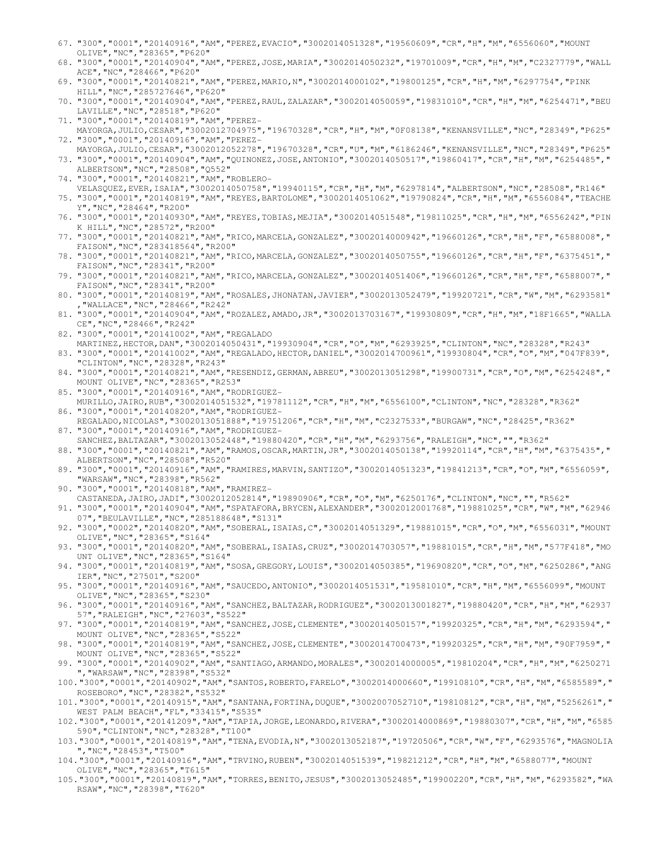- 67. "300","0001","20140916","AM","PEREZ,EVACIO","3002014051328","19560609","CR","H","M","6556060","MOUNT OLIVE","NC","28365","P620"
- 68. "300","0001","20140904","AM","PEREZ,JOSE,MARIA","3002014050232","19701009","CR","H","M","C2327779","WALL ACE","NC","28466","P620"
- 69. "300","0001","20140821","AM","PEREZ,MARIO,N","3002014000102","19800125","CR","H","M","6297754","PINK HILL","NC","285727646","P620"
- 70. "300","0001","20140904","AM","PEREZ,RAUL,ZALAZAR","3002014050059","19831010","CR","H","M","6254471","BEU LAVILLE","NC","28518","P620"
- 71. "300","0001","20140819","AM","PEREZ-MAYORGA,JULIO,CESAR","3002012704975","19670328","CR","H","M","0F08138","KENANSVILLE","NC","28349","P625" 72. "300","0001","20140916","AM","PEREZ-
- MAYORGA,JULIO,CESAR","3002012052278","19670328","CR","U","M","6186246","KENANSVILLE","NC","28349","P625" 73. "300","0001","20140904","AM","QUINONEZ,JOSE,ANTONIO","3002014050517","19860417","CR","H","M","6254485","
- ALBERTSON","NC","28508","Q552" 74. "300","0001","20140821","AM","ROBLERO-
- VELASQUEZ,EVER,ISAIA","3002014050758","19940115","CR","H","M","6297814","ALBERTSON","NC","28508","R146" 75. "300","0001","20140819","AM","REYES,BARTOLOME","3002014051062","19790824","CR","H","M","6556084","TEACHE Y","NC","28464","R200"
- 76. "300","0001","20140930","AM","REYES,TOBIAS,MEJIA","3002014051548","19811025","CR","H","M","6556242","PIN K HILL","NC","28572","R200"
- 77. "300","0001","20140821","AM","RICO,MARCELA,GONZALEZ","3002014000942","19660126","CR","H","F","6588008"," FAISON","NC","283418564","R200"
- 78. "300","0001","20140821","AM","RICO,MARCELA,GONZALEZ","3002014050755","19660126","CR","H","F","6375451"," FAISON","NC","28341","R200"
- 79. "300","0001","20140821","AM","RICO,MARCELA,GONZALEZ","3002014051406","19660126","CR","H","F","6588007"," FAISON","NC","28341","R200"
- 80. "300","0001","20140819","AM","ROSALES,JHONATAN,JAVIER","3002013052479","19920721","CR","W","M","6293581" ,"WALLACE","NC","28466","R242"
- 81. "300","0001","20140904","AM","ROZALEZ,AMADO,JR","3002013703167","19930809","CR","H","M","18F1665","WALLA CE","NC","28466","R242"
- 82. "300","0001","20141002","AM","REGALADO
- MARTINEZ,HECTOR,DAN","3002014050431","19930904","CR","O","M","6293925","CLINTON","NC","28328","R243" 83. "300","0001","20141002","AM","REGALADO,HECTOR,DANIEL","3002014700961","19930804","CR","O","M","047F839",
- "CLINTON","NC","28328","R243" 84. "300","0001","20140821","AM","RESENDIZ,GERMAN,ABREU","3002013051298","19900731","CR","O","M","6254248"," MOUNT OLIVE","NC","28365","R253"
- 85. "300","0001","20140916","AM","RODRIGUEZ-
- MURILLO,JAIRO,RUB","3002014051532","19781112","CR","H","M","6556100","CLINTON","NC","28328","R362" 86. "300","0001","20140820","AM","RODRIGUEZ-
- REGALADO,NICOLAS","3002013051888","19751206","CR","H","M","C2327533","BURGAW","NC","28425","R362" 87. "300","0001","20140916","AM","RODRIGUEZ-
- SANCHEZ,BALTAZAR","3002013052448","19880420","CR","H","M","6293756","RALEIGH","NC","","R362"
- 88. "300","0001","20140821","AM","RAMOS,OSCAR,MARTIN,JR","3002014050138","19920114","CR","H","M","6375435"," ALBERTSON","NC","28508","R520"
- 89. "300","0001","20140916","AM","RAMIRES,MARVIN,SANTIZO","3002014051323","19841213","CR","O","M","6556059", "WARSAW","NC","28398","R562"
- 90. "300","0001","20140818","AM","RAMIREZ-
- CASTANEDA,JAIRO,JADI","3002012052814","19890906","CR","O","M","6250176","CLINTON","NC","","R562"
- 91. "300","0001","20140904","AM","SPATAFORA,BRYCEN,ALEXANDER","3002012001768","19881025","CR","W","M","62946 07","BEULAVILLE","NC","285188648","S131"
- 92. "300","0002","20140820","AM","SOBERAL,ISAIAS,C","3002014051329","19881015","CR","O","M","6556031","MOUNT OLIVE","NC","28365","S164"
- 93. "300","0001","20140820","AM","SOBERAL,ISAIAS,CRUZ","3002014703057","19881015","CR","H","M","577F418","MO UNT OLIVE","NC","28365","S164"
- 94. "300","0001","20140819","AM","SOSA,GREGORY,LOUIS","3002014050385","19690820","CR","O","M","6250286","ANG IER","NC","27501","S200"
- 95. "300","0001","20140916","AM","SAUCEDO,ANTONIO","3002014051531","19581010","CR","H","M","6556099","MOUNT OLIVE","NC","28365","S230"
- 96. "300","0001","20140916","AM","SANCHEZ,BALTAZAR,RODRIGUEZ","3002013001827","19880420","CR","H","M","62937 57","RALEIGH","NC","27603","S522"
- 97. "300","0001","20140819","AM","SANCHEZ,JOSE,CLEMENTE","3002014050157","19920325","CR","H","M","6293594"," MOUNT OLIVE","NC","28365","S522"
- 98. "300","0001","20140819","AM","SANCHEZ,JOSE,CLEMENTE","3002014700473","19920325","CR","H","M","90F7959"," MOUNT OLIVE","NC","28365","S522"
- 99. "300","0001","20140902","AM","SANTIAGO,ARMANDO,MORALES","3002014000005","19810204","CR","H","M","6250271 ","WARSAW","NC","28398","S532"
- 100."300","0001","20140902","AM","SANTOS,ROBERTO,FARELO","3002014000660","19910810","CR","H","M","6585589"," ROSEBORO","NC","28382","S532"
- 101."300","0001","20140915","AM","SANTANA,FORTINA,DUQUE","3002007052710","19810812","CR","H","M","5256261"," WEST PALM BEACH","FL","33415","S535"
- 102."300","0001","20141209","AM","TAPIA,JORGE,LEONARDO,RIVERA","3002014000869","19880307","CR","H","M","6585 590","CLINTON","NC","28328","T100"
- 103."300","0001","20140819","AM","TENA,EVODIA,N","3002013052187","19720506","CR","W","F","6293576","MAGNOLIA ","NC","28453","T500"
- 104."300","0001","20140916","AM","TRVINO,RUBEN","3002014051539","19821212","CR","H","M","6588077","MOUNT OLIVE","NC","28365","T615"
- 105."300","0001","20140819","AM","TORRES,BENITO,JESUS","3002013052485","19900220","CR","H","M","6293582","WA RSAW","NC","28398","T620"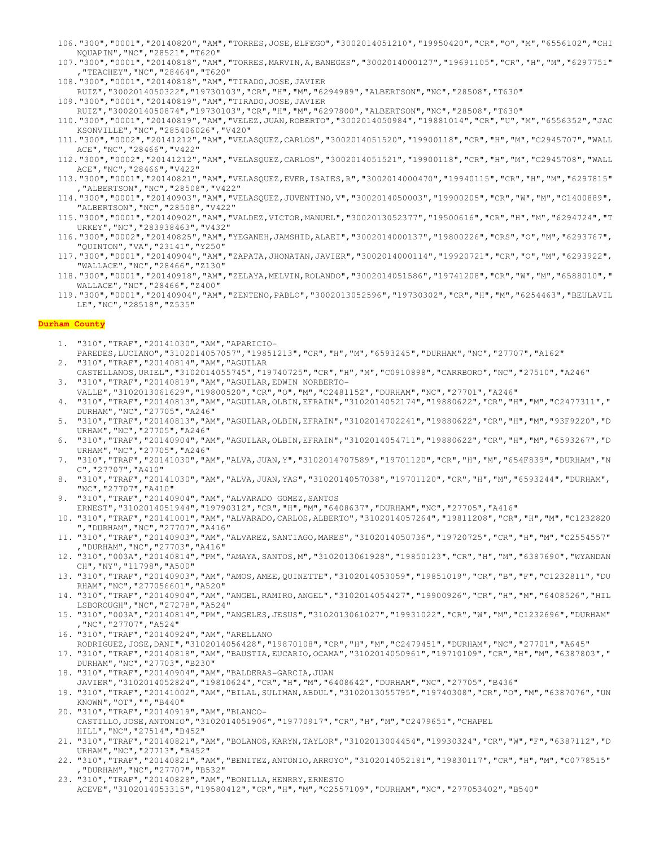- 106."300","0001","20140820","AM","TORRES,JOSE,ELFEGO","3002014051210","19950420","CR","O","M","6556102","CHI NQUAPIN","NC","28521","T620"
- 107."300","0001","20140818","AM","TORRES,MARVIN,A,BANEGES","3002014000127","19691105","CR","H","M","6297751" ,"TEACHEY","NC","28464","T620"
- 108."300","0001","20140818","AM","TIRADO,JOSE,JAVIER
- RUIZ","3002014050322","19730103","CR","H","M","6294989","ALBERTSON","NC","28508","T630" 109."300","0001","20140819","AM","TIRADO,JOSE,JAVIER
- RUIZ","3002014050874","19730103","CR","H","M","6297800","ALBERTSON","NC","28508","T630"
- 110."300","0001","20140819","AM","VELEZ,JUAN,ROBERTO","3002014050984","19881014","CR","U","M","6556352","JAC KSONVILLE","NC","285406026","V420"
- 111."300","0002","20141212","AM","VELASQUEZ,CARLOS","3002014051520","19900118","CR","H","M","C2945707","WALL ACE","NC","28466","V422"
- 112."300","0002","20141212","AM","VELASQUEZ,CARLOS","3002014051521","19900118","CR","H","M","C2945708","WALL ACE","NC","28466","V422"
- 113."300","0001","20140821","AM","VELASQUEZ,EVER,ISAIES,R","3002014000470","19940115","CR","H","M","6297815" ,"ALBERTSON","NC","28508","V422"
- 114."300","0001","20140903","AM","VELASQUEZ,JUVENTINO,V","3002014050003","19900205","CR","W","M","C1400889", "ALBERTSON","NC","28508","V422"
- 115."300","0001","20140902","AM","VALDEZ,VICTOR,MANUEL","3002013052377","19500616","CR","H","M","6294724","T URKEY","NC","283938463","V432"
- 116."300","0002","20140825","AM","YEGANEH,JAMSHID,ALAEI","3002014000137","19800226","CRS","O","M","6293767", "QUINTON","VA","23141","Y250"
- 117."300","0001","20140904","AM","ZAPATA,JHONATAN,JAVIER","3002014000114","19920721","CR","O","M","6293922", "WALLACE","NC","28466","Z130"
- 118."300","0001","20140918","AM","ZELAYA,MELVIN,ROLANDO","3002014051586","19741208","CR","W","M","6588010"," WALLACE","NC","28466","Z400"
- 119."300","0001","20140904","AM","ZENTENO,PABLO","3002013052596","19730302","CR","H","M","6254463","BEULAVIL LE","NC","28518","Z535"

#### **Durham County**

- 1. "310","TRAF","20141030","AM","APARICIO-
- PAREDES,LUCIANO","3102014057057","19851213","CR","H","M","6593245","DURHAM","NC","27707","A162" 2. "310","TRAF","20140814","AM","AGUILAR
- CASTELLANOS,URIEL","3102014055745","19740725","CR","H","M","C0910898","CARRBORO","NC","27510","A246" 3. "310","TRAF","20140819","AM","AGUILAR,EDWIN NORBERTO-
- VALLE","3102013061629","19800520","CR","O","M","C2481152","DURHAM","NC","27701","A246"
- 4. "310","TRAF","20140813","AM","AGUILAR,OLBIN,EFRAIN","3102014052174","19880622","CR","H","M","C2477311"," DURHAM","NC","27705","A246"
- 5. "310","TRAF","20140813","AM","AGUILAR,OLBIN,EFRAIN","3102014702241","19880622","CR","H","M","93F9220","D URHAM","NC","27705","A246"
- 6. "310","TRAF","20140904","AM","AGUILAR,OLBIN,EFRAIN","3102014054711","19880622","CR","H","M","6593267","D URHAM","NC","27705","A246"
- 7. "310","TRAF","20141030","AM","ALVA,JUAN,Y","3102014707589","19701120","CR","H","M","654F839","DURHAM","N C","27707","A410"
- 8. "310","TRAF","20141030","AM","ALVA,JUAN,YAS","3102014057038","19701120","CR","H","M","6593244","DURHAM", "NC","27707","A410"
- 9. "310", "TRAF", "20140904", "AM", "ALVARADO GOMEZ, SANTOS
- ERNEST","3102014051944","19790312","CR","H","M","6408637","DURHAM","NC","27705","A416"
- 10. "310","TRAF","20141001","AM","ALVARADO,CARLOS,ALBERTO","3102014057264","19811208","CR","H","M","C1232820 ","DURHAM","NC","27707","A416"
- 11. "310","TRAF","20140903","AM","ALVAREZ,SANTIAGO,MARES","3102014050736","19720725","CR","H","M","C2554557" ,"DURHAM","NC","27703","A416"
- 12. "310","003A","20140814","PM","AMAYA,SANTOS,M","3102013061928","19850123","CR","H","M","6387690","WYANDAN CH","NY","11798","A500"
- 13. "310","TRAF","20140903","AM","AMOS,AMEE,QUINETTE","3102014053059","19851019","CR","B","F","C1232811","DU RHAM","NC","277056601","A520"
- 14. "310","TRAF","20140904","AM","ANGEL,RAMIRO,ANGEL","3102014054427","19900926","CR","H","M","6408526","HIL LSBOROUGH","NC","27278","A524"
- 15. "310","003A","20140814","PM","ANGELES,JESUS","3102013061027","19931022","CR","W","M","C1232696","DURHAM" ,"NC","27707","A524"
- 16. "310","TRAF","20140924","AM","ARELLANO
- RODRIGUEZ,JOSE,DANI","3102014056428","19870108","CR","H","M","C2479451","DURHAM","NC","27701","A645"
- 17. "310","TRAF","20140818","AM","BAUSTIA,EUCARIO,OCAMA","3102014050961","19710109","CR","H","M","6387803"," DURHAM","NC","27703","B230"
- 18. "310","TRAF","20140904","AM","BALDERAS-GARCIA,JUAN
- JAVIER","3102014052824","19810624","CR","H","M","6408642","DURHAM","NC","27705","B436"
- 19. "310","TRAF","20141002","AM","BILAL,SULIMAN,ABDUL","3102013055795","19740308","CR","O","M","6387076","UN KNOWN","OT","","B440"
- 20. "310","TRAF","20140919","AM","BLANCO-CASTILLO,JOSE,ANTONIO","3102014051906","19770917","CR","H","M","C2479651","CHAPEL HILL","NC","27514","B452"
- 21. "310","TRAF","20140821","AM","BOLANOS,KARYN,TAYLOR","3102013004454","19930324","CR","W","F","6387112","D URHAM","NC","27713","B452"
- 22. "310","TRAF","20140821","AM","BENITEZ,ANTONIO,ARROYO","3102014052181","19830117","CR","H","M","C0778515" ,"DURHAM","NC","27707","B532"
- 23. "310","TRAF","20140828","AM","BONILLA,HENRRY,ERNESTO ACEVE","3102014053315","19580412","CR","H","M","C2557109","DURHAM","NC","277053402","B540"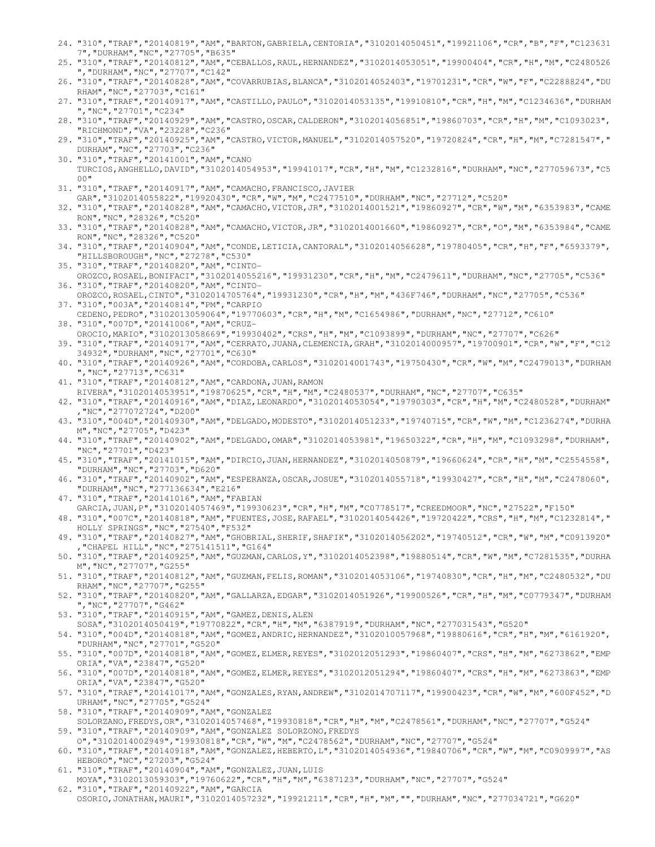- 24. "310","TRAF","20140819","AM","BARTON,GABRIELA,CENTORIA","3102014050451","19921106","CR","B","F","C123631 7","DURHAM","NC","27705","B635"
- 25. "310","TRAF","20140812","AM","CEBALLOS,RAUL,HERNANDEZ","3102014053051","19900404","CR","H","M","C2480526 ","DURHAM","NC","27707","C142"
- 26. "310","TRAF","20140828","AM","COVARRUBIAS,BLANCA","3102014052403","19701231","CR","W","F","C2288824","DU RHAM","NC","27703","C161"
- 27. "310","TRAF","20140917","AM","CASTILLO,PAULO","3102014053135","19910810","CR","H","M","C1234636","DURHAM ","NC","27701","C234"
- 28. "310","TRAF","20140929","AM","CASTRO,OSCAR,CALDERON","3102014056851","19860703","CR","H","M","C1093023", "RICHMOND","VA","23228","C236"
- 29. "310","TRAF","20140925","AM","CASTRO,VICTOR,MANUEL","3102014057520","19720824","CR","H","M","C7281547"," DURHAM","NC","27703","C236" 30. "310","TRAF","20141001","AM","CANO
- TURCIOS,ANGHELLO,DAVID","3102014054953","19941017","CR","H","M","C1232816","DURHAM","NC","277059673","C5  $0<sup>0</sup>$
- 31. "310","TRAF","20140917","AM","CAMACHO,FRANCISCO,JAVIER
- GAR","3102014055822","19920430","CR","W","M","C2477510","DURHAM","NC","27712","C520"
- 32. "310","TRAF","20140828","AM","CAMACHO,VICTOR,JR","3102014001521","19860927","CR","W","M","6353983","CAME RON","NC","28326","C520"
- 33. "310","TRAF","20140828","AM","CAMACHO,VICTOR,JR","3102014001660","19860927","CR","O","M","6353984","CAME RON","NC","28326","C520"
- 34. "310","TRAF","20140904","AM","CONDE,LETICIA,CANTORAL","3102014056628","19780405","CR","H","F","6593379", "HILLSBOROUGH","NC","27278","C530"
- 35. "310","TRAF","20140820","AM","CINTO-OROZCO,ROSAEL,BONIFACI","3102014055216","19931230","CR","H","M","C2479611","DURHAM","NC","27705","C536" 36. "310","TRAF","20140820","AM","CINTO-
- OROZCO,ROSAEL,CINTO","3102014705764","19931230","CR","H","M","436F746","DURHAM","NC","27705","C536" 37. "310","003A","20140814","PM","CARPIO
- CEDENO,PEDRO","3102013059064","19770603","CR","H","M","C1654986","DURHAM","NC","27712","C610" 38. "310","007D","20141006","AM","CRUZ-
- OROCIO,MARIO","3102013058669","19930402","CRS","H","M","C1093899","DURHAM","NC","27707","C626"
- 39. "310","TRAF","20140917","AM","CERRATO,JUANA,CLEMENCIA,GRAH","3102014000957","19700901","CR","W","F","C12 34932","DURHAM","NC","27701","C630"
- 40. "310","TRAF","20140926","AM","CORDOBA,CARLOS","3102014001743","19750430","CR","W","M","C2479013","DURHAM ","NC","27713","C631"
- 41. "310","TRAF","20140812","AM","CARDONA,JUAN,RAMON
- RIVERA","3102014053951","19870625","CR","H","M","C2480537","DURHAM","NC","27707","C635"
- 42. "310","TRAF","20140916","AM","DIAZ,LEONARDO","3102014053054","19790303","CR","H","M","C2480528","DURHAM" ,"NC","277072724","D200"
- 43. "310","004D","20140930","AM","DELGADO,MODESTO","3102014051233","19740715","CR","W","M","C1236274","DURHA M", "NC", "27705", "D423"
- 44. "310","TRAF","20140902","AM","DELGADO,OMAR","3102014053981","19650322","CR","H","M","C1093298","DURHAM", "NC","27701","D423"
- 45. "310","TRAF","20141015","AM","DIRCIO,JUAN,HERNANDEZ","3102014050879","19660624","CR","H","M","C2554558", "DURHAM","NC","27703","D620"
- 46. "310","TRAF","20140902","AM","ESPERANZA,OSCAR,JOSUE","3102014055718","19930427","CR","H","M","C2478060", "DURHAM","NC","277136634","E216"
- 47. "310","TRAF","20141016","AM","FABIAN
- GARCIA,JUAN,P","3102014057469","19930623","CR","H","M","C0778517","CREEDMOOR","NC","27522","F150"
- 48. "310","007C","20140818","AM","FUENTES,JOSE,RAFAEL","3102014054426","19720422","CRS","H","M","C1232814"," HOLLY SPRINGS","NC","27540","F532"
- 49. "310","TRAF","20140827","AM","GHOBRIAL,SHERIF,SHAFIK","3102014056202","19740512","CR","W","M","C0913920" ,"CHAPEL HILL","NC","275141511","G164"
- 50. "310","TRAF","20140925","AM","GUZMAN,CARLOS,Y","3102014052398","19880514","CR","W","M","C7281535","DURHA M","NC","27707","G255"
- 51. "310","TRAF","20140812","AM","GUZMAN,FELIS,ROMAN","3102014053106","19740830","CR","H","M","C2480532","DU RHAM","NC","27707","G255"
- 52. "310","TRAF","20140820","AM","GALLARZA,EDGAR","3102014051926","19900526","CR","H","M","C0779347","DURHAM ","NC","27707","G462"
- 53. "310","TRAF","20140915","AM","GAMEZ,DENIS,ALEN
- SOSA","3102014050419","19770822","CR","H","M","6387919","DURHAM","NC","277031543","G520"
- 54. "310","004D","20140818","AM","GOMEZ,ANDRIC,HERNANDEZ","3102010057968","19880616","CR","H","M","6161920", "DURHAM","NC","27701","G520"
- 55. "310","007D","20140818","AM","GOMEZ,ELMER,REYES","3102012051293","19860407","CRS","H","M","6273862","EMP ORIA","VA","23847","G520"
- 56. "310","007D","20140818","AM","GOMEZ,ELMER,REYES","3102012051294","19860407","CRS","H","M","6273863","EMP ORIA","VA","23847","G520"
- 57. "310","TRAF","20141017","AM","GONZALES,RYAN,ANDREW","3102014707117","19900423","CR","W","M","600F452","D URHAM","NC","27705","G524"
- 58. "310","TRAF","20140909","AM","GONZALEZ SOLORZANO,FREDYS,OR","3102014057468","19930818","CR","H","M","C2478561","DURHAM","NC","27707","G524"
- 59. "310","TRAF","20140909","AM","GONZALEZ SOLORZONO,FREDYS O","3102014002949","19930818","CR","W","M","C2478562","DURHAM","NC","27707","G524"
- 60. "310","TRAF","20140918","AM","GONZALEZ,HEBERTO,L","3102014054936","19840706","CR","W","M","C0909997","AS HEBORO","NC","27203","G524"
- 61. "310","TRAF","20140904","AM","GONZALEZ,JUAN,LUIS
- MOYA","3102013059303","19760622","CR","H","M","6387123","DURHAM","NC","27707","G524" 62. "310","TRAF","20140922","AM","GARCIA
- OSORIO,JONATHAN,MAURI","3102014057232","19921211","CR","H","M","","DURHAM","NC","277034721","G620"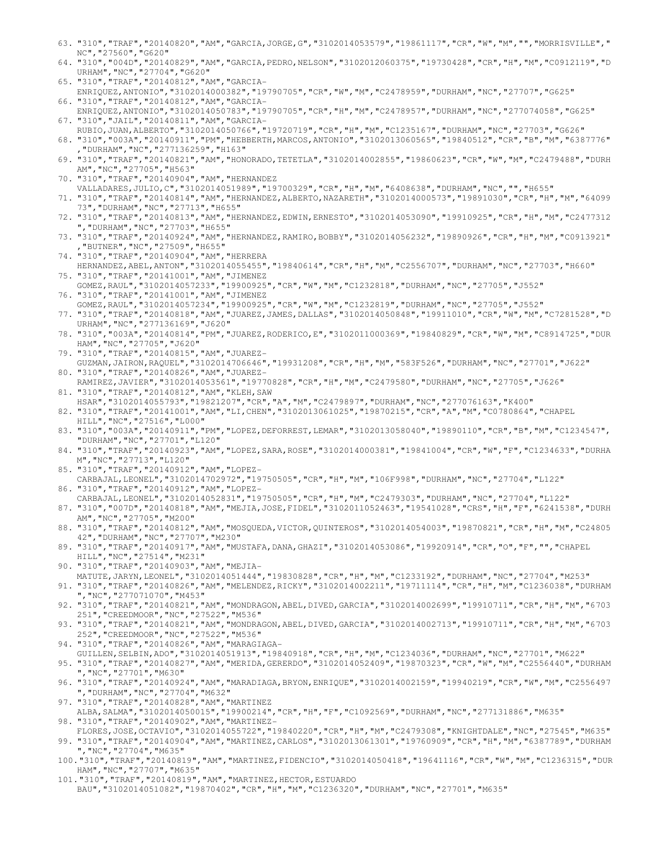- 63. "310","TRAF","20140820","AM","GARCIA,JORGE,G","3102014053579","19861117","CR","W","M","","MORRISVILLE"," NC","27560","G620"
- 64. "310","004D","20140829","AM","GARCIA,PEDRO,NELSON","3102012060375","19730428","CR","H","M","C0912119","D URHAM","NC","27704","G620"
- 65. "310","TRAF","20140812","AM","GARCIA-
- ENRIQUEZ,ANTONIO","3102014000382","19790705","CR","W","M","C2478959","DURHAM","NC","27707","G625" 66. "310","TRAF","20140812","AM","GARCIA-
- ENRIQUEZ,ANTONIO","3102014050783","19790705","CR","H","M","C2478957","DURHAM","NC","277074058","G625" 67. "310","JAIL","20140811","AM","GARCIA-
- RUBIO,JUAN,ALBERTO","3102014050766","19720719","CR","H","M","C1235167","DURHAM","NC","27703","G626"
- 68. "310","003A","20140911","PM","HEBBERTH,MARCOS,ANTONIO","3102013060565","19840512","CR","B","M","6387776" ,"DURHAM","NC","277136259","H163"
- 69. "310","TRAF","20140821","AM","HONORADO,TETETLA","3102014002855","19860623","CR","W","M","C2479488","DURH AM","NC","27705","H563"
- 70. "310","TRAF","20140904","AM","HERNANDEZ VALLADARES,JULIO,C","3102014051989","19700329","CR","H","M","6408638","DURHAM","NC","","H655"
- 71. "310","TRAF","20140814","AM","HERNANDEZ,ALBERTO,NAZARETH","3102014000573","19891030","CR","H","M","64099 73","DURHAM","NC","27713","H655"
- 72. "310","TRAF","20140813","AM","HERNANDEZ,EDWIN,ERNESTO","3102014053090","19910925","CR","H","M","C2477312 ","DURHAM","NC","27703","H655"
- 73. "310","TRAF","20140924","AM","HERNANDEZ,RAMIRO,BOBBY","3102014056232","19890926","CR","H","M","C0913921" ,"BUTNER","NC","27509","H655"
- 74. "310","TRAF","20140904","AM","HERRERA
- HERNANDEZ,ABEL,ANTON","3102014055455","19840614","CR","H","M","C2556707","DURHAM","NC","27703","H660" 75. "310","TRAF","20141001","AM","JIMENEZ
- GOMEZ,RAUL","3102014057233","19900925","CR","W","M","C1232818","DURHAM","NC","27705","J552" 76. "310","TRAF","20141001","AM","JIMENEZ
- GOMEZ,RAUL","3102014057234","19900925","CR","W","M","C1232819","DURHAM","NC","27705","J552"
- 77. "310","TRAF","20140818","AM","JUAREZ,JAMES,DALLAS","3102014050848","19911010","CR","W","M","C7281528","D URHAM","NC","277136169","J620"
- 78. "310","003A","20140814","PM","JUAREZ,RODERICO,E","3102011000369","19840829","CR","W","M","C8914725","DUR HAM","NC","27705","J620"
- 79. "310","TRAF","20140815","AM","JUAREZ-GUZMAN,JAIRON,RAQUEL","3102014706646","19931208","CR","H","M","583F526","DURHAM","NC","27701","J622" 80. "310","TRAF","20140826","AM","JUAREZ-
- RAMIREZ,JAVIER","3102014053561","19770828","CR","H","M","C2479580","DURHAM","NC","27705","J626" 81. "310","TRAF","20140812","AM","KLEH,SAW
- HSAR","3102014055793","19821207","CR","A","M","C2479897","DURHAM","NC","277076163","K400"
- 82. "310","TRAF","20141001","AM","LI,CHEN","3102013061025","19870215","CR","A","M","C0780864","CHAPEL HILL","NC","27516","L000"
- 83. "310","003A","20140911","PM","LOPEZ,DEFORREST,LEMAR","3102013058040","19890110","CR","B","M","C1234547", "DURHAM","NC","27701","L120"
- 84. "310","TRAF","20140923","AM","LOPEZ,SARA,ROSE","3102014000381","19841004","CR","W","F","C1234633","DURHA M","NC","27713","L120"
- 85. "310","TRAF","20140912","AM","LOPEZ-
- CARBAJAL,LEONEL","3102014702972","19750505","CR","H","M","106F998","DURHAM","NC","27704","L122" 86. "310","TRAF","20140912","AM","LOPEZ-
- CARBAJAL,LEONEL","3102014052831","19750505","CR","H","M","C2479303","DURHAM","NC","27704","L122"
- 87. "310","007D","20140818","AM","MEJIA,JOSE,FIDEL","3102011052463","19541028","CRS","H","F","6241538","DURH AM","NC","27705","M200"
- 88. "310","TRAF","20140812","AM","MOSQUEDA,VICTOR,QUINTEROS","3102014054003","19870821","CR","H","M","C24805 42","DURHAM","NC","27707","M230"
- 89. "310","TRAF","20140917","AM","MUSTAFA,DANA,GHAZI","3102014053086","19920914","CR","O","F","","CHAPEL HILL","NC","27514","M231"
- 90. "310","TRAF","20140903","AM","MEJIA-MATUTE,JARYN,LEONEL","3102014051444","19830828","CR","H","M","C1233192","DURHAM","NC","27704","M253"
- 91. "310","TRAF","20140826","AM","MELENDEZ,RICKY","3102014002211","19711114","CR","H","M","C1236038","DURHAM ","NC","277071070","M453"
- 92. "310","TRAF","20140821","AM","MONDRAGON,ABEL,DIVED,GARCIA","3102014002699","19910711","CR","H","M","6703 251","CREEDMOOR","NC","27522","M536"
- 93. "310","TRAF","20140821","AM","MONDRAGON,ABEL,DIVED,GARCIA","3102014002713","19910711","CR","H","M","6703 252","CREEDMOOR","NC","27522","M536"
- 94. "310", "TRAF", "20140826", "AM", "MARAGIAGA-
- GUILLEN,SELBIN,ADO","3102014051913","19840918","CR","H","M","C1234036","DURHAM","NC","27701","M622"
- 95. "310","TRAF","20140827","AM","MERIDA,GERERDO","3102014052409","19870323","CR","W","M","C2556440","DURHAM ","NC","27701","M630"
- 96. "310","TRAF","20140924","AM","MARADIAGA,BRYON,ENRIQUE","3102014002159","19940219","CR","W","M","C2556497 ","DURHAM","NC","27704","M632"
- 97. "310", "TRAF", "20140828", "AM", "MARTINEZ
- ALBA,SALMA","3102014050015","19900214","CR","H","F","C1092569","DURHAM","NC","277131886","M635"
- 98. "310", "TRAF", "20140902", "AM", "MARTINEZ-
- FLORES,JOSE,OCTAVIO","3102014055722","19840220","CR","H","M","C2479308","KNIGHTDALE","NC","27545","M635" 99. "310","TRAF","20140904","AM","MARTINEZ,CARLOS","3102013061301","19760909","CR","H","M","6387789","DURHAM ","NC","27704","M635"
- 100."310","TRAF","20140819","AM","MARTINEZ,FIDENCIO","3102014050418","19641116","CR","W","M","C1236315","DUR HAM","NC","27707","M635"
- 101."310","TRAF","20140819","AM","MARTINEZ,HECTOR,ESTUARDO BAU","3102014051082","19870402","CR","H","M","C1236320","DURHAM","NC","27701","M635"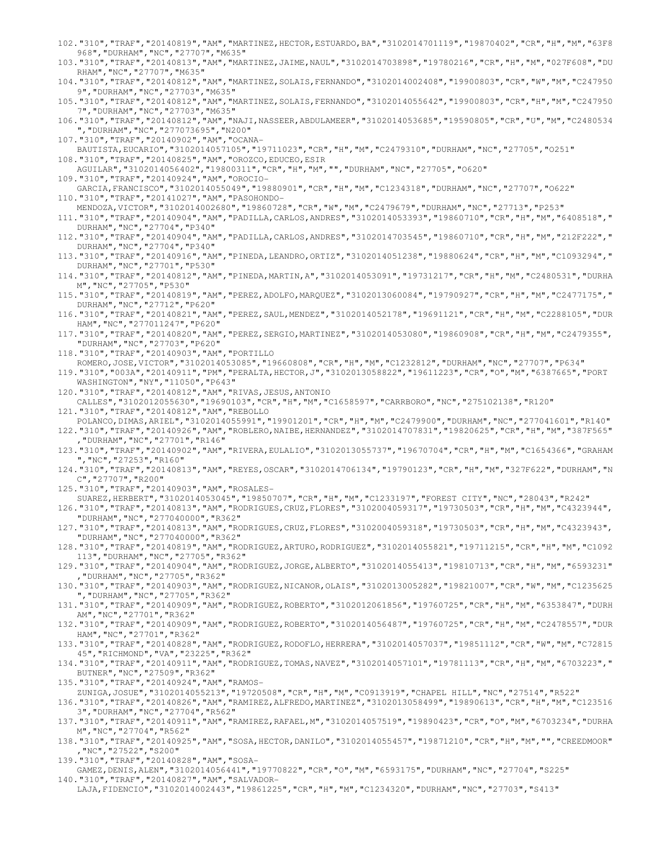- 102."310","TRAF","20140819","AM","MARTINEZ,HECTOR,ESTUARDO,BA","3102014701119","19870402","CR","H","M","63F8 968","DURHAM","NC","27707","M635"
- 103."310","TRAF","20140813","AM","MARTINEZ,JAIME,NAUL","3102014703898","19780216","CR","H","M","027F608","DU RHAM","NC","27707","M635"
- 104."310","TRAF","20140812","AM","MARTINEZ,SOLAIS,FERNANDO","3102014002408","19900803","CR","W","M","C247950 9","DURHAM","NC","27703","M635"
- 105."310","TRAF","20140812","AM","MARTINEZ,SOLAIS,FERNANDO","3102014055642","19900803","CR","H","M","C247950 7","DURHAM","NC","27703","M635"
- 106."310","TRAF","20140812","AM","NAJI,NASSEER,ABDULAMEER","3102014053685","19590805","CR","U","M","C2480534 ","DURHAM","NC","277073695","N200"
- 107."310","TRAF","20140902","AM","OCANA-
- BAUTISTA,EUCARIO","3102014057105","19711023","CR","H","M","C2479310","DURHAM","NC","27705","O251" 108."310","TRAF","20140825","AM","OROZCO,EDUCEO,ESIR
- AGUILAR","3102014056402","19800311","CR","H","M","","DURHAM","NC","27705","O620"
- 109."310","TRAF","20140924","AM","OROCIO-
- GARCIA,FRANCISCO","3102014055049","19880901","CR","H","M","C1234318","DURHAM","NC","27707","O622" 110."310","TRAF","20141027","AM","PASOHONDO-
- MENDOZA,VICTOR","3102014002680","19860728","CR","W","M","C2479679","DURHAM","NC","27713","P253"
- 111."310","TRAF","20140904","AM","PADILLA,CARLOS,ANDRES","3102014053393","19860710","CR","H","M","6408518"," DURHAM","NC","27704","P340"
- 112."310","TRAF","20140904","AM","PADILLA,CARLOS,ANDRES","3102014703545","19860710","CR","H","M","212F222"," DURHAM","NC","27704","P340"
- 113."310","TRAF","20140916","AM","PINEDA,LEANDRO,ORTIZ","3102014051238","19880624","CR","H","M","C1093294"," DURHAM","NC","27701","P530"
- 114."310","TRAF","20140812","AM","PINEDA,MARTIN,A","3102014053091","19731217","CR","H","M","C2480531","DURHA M","NC","27705","P530"
- 115."310","TRAF","20140819","AM","PEREZ,ADOLFO,MARQUEZ","3102013060084","19790927","CR","H","M","C2477175"," DURHAM","NC","27712","P620"
- 116."310","TRAF","20140821","AM","PEREZ,SAUL,MENDEZ","3102014052178","19691121","CR","H","M","C2288105","DUR HAM","NC","277011247","P620"
- 117."310","TRAF","20140820","AM","PEREZ,SERGIO,MARTINEZ","3102014053080","19860908","CR","H","M","C2479355", "DURHAM","NC","27703","P620"
- 118."310","TRAF","20140903","AM","PORTILLO
- ROMERO,JOSE,VICTOR","3102014053085","19660808","CR","H","M","C1232812","DURHAM","NC","27707","P634"
- 119."310","003A","20140911","PM","PERALTA,HECTOR,J","3102013058822","19611223","CR","O","M","6387665","PORT WASHINGTON","NY","11050","P643"
- 120."310","TRAF","20140812","AM","RIVAS,JESUS,ANTONIO
- CALLES","3102012055630","19690103","CR","H","M","C1658597","CARRBORO","NC","275102138","R120" 121."310","TRAF","20140812","AM","REBOLLO
- POLANCO,DIMAS,ARIEL","3102014055991","19901201","CR","H","M","C2479900","DURHAM","NC","277041601","R140" 122."310","TRAF","20140926","AM","ROBLERO,NAIBE,HERNANDEZ","3102014707831","19820625","CR","H","M","387F565"
- ,"DURHAM","NC","27701","R146" 123."310","TRAF","20140902","AM","RIVERA,EULALIO","3102013055737","19670704","CR","H","M","C1654366","GRAHAM ","NC","27253","R160"
- 124."310","TRAF","20140813","AM","REYES,OSCAR","3102014706134","19790123","CR","H","M","327F622","DURHAM","N C","27707","R200"
- 125."310","TRAF","20140903","AM","ROSALES-
- SUAREZ,HERBERT","3102014053045","19850707","CR","H","M","C1233197","FOREST CITY","NC","28043","R242"
- 126."310","TRAF","20140813","AM","RODRIGUES,CRUZ,FLORES","3102004059317","19730503","CR","H","M","C4323944", "DURHAM","NC","277040000","R362"
- 127."310","TRAF","20140813","AM","RODRIGUES,CRUZ,FLORES","3102004059318","19730503","CR","H","M","C4323943", "DURHAM","NC","277040000","R362"
- 128."310","TRAF","20140819","AM","RODRIGUEZ,ARTURO,RODRIGUEZ","3102014055821","19711215","CR","H","M","C1092 113","DURHAM","NC","27705","R362"
- 129."310","TRAF","20140904","AM","RODRIGUEZ,JORGE,ALBERTO","3102014055413","19810713","CR","H","M","6593231" ,"DURHAM","NC","27705","R362"
- 130."310","TRAF","20140903","AM","RODRIGUEZ,NICANOR,OLAIS","3102013005282","19821007","CR","W","M","C1235625 ","DURHAM","NC","27705","R362"
- 131."310","TRAF","20140909","AM","RODRIGUEZ,ROBERTO","3102012061856","19760725","CR","H","M","6353847","DURH AM","NC","27701","R362"
- 132."310","TRAF","20140909","AM","RODRIGUEZ,ROBERTO","3102014056487","19760725","CR","H","M","C2478557","DUR HAM","NC","27701","R362"
- 133."310","TRAF","20140828","AM","RODRIGUEZ,RODOFLO,HERRERA","3102014057037","19851112","CR","W","M","C72815 45","RICHMOND","VA","23225","R362"
- 134."310","TRAF","20140911","AM","RODRIGUEZ,TOMAS,NAVEZ","3102014057101","19781113","CR","H","M","6703223"," BUTNER","NC","27509","R362"
- 135."310","TRAF","20140924","AM","RAMOS-
- ZUNIGA,JOSUE","3102014055213","19720508","CR","H","M","C0913919","CHAPEL HILL","NC","27514","R522"
- 136."310","TRAF","20140826","AM","RAMIREZ,ALFREDO,MARTINEZ","3102013058499","19890613","CR","H","M","C123516 3","DURHAM","NC","27704","R562"
- 137."310","TRAF","20140911","AM","RAMIREZ,RAFAEL,M","3102014057519","19890423","CR","O","M","6703234","DURHA M","NC","27704","R562"
- 138."310","TRAF","20140925","AM","SOSA,HECTOR,DANILO","3102014055457","19871210","CR","H","M","","CREEDMOOR" ,"NC","27522","S200"
- 139."310","TRAF","20140828","AM","SOSA-GAMEZ,DENIS,ALEN","3102014056441","19770822","CR","O","M","6593175","DURHAM","NC","27704","S225"
- 140."310","TRAF","20140827","AM","SALVADOR-LAJA,FIDENCIO","3102014002443","19861225","CR","H","M","C1234320","DURHAM","NC","27703","S413"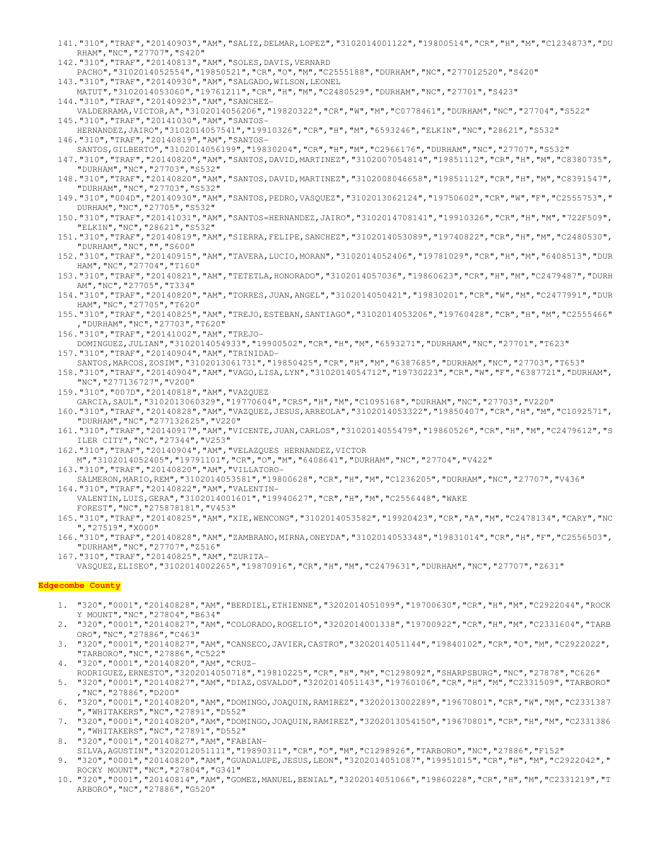| 141. "310", "TRAF", "20140903", "AM", "SALIZ, DELMAR, LOPEZ", "3102014001122", "19800514", "CR", "H", "M", "C1234873", "DU<br>RHAM", "NC", "27707", "S420"                                                                                    |
|-----------------------------------------------------------------------------------------------------------------------------------------------------------------------------------------------------------------------------------------------|
| 142. "310", "TRAF", "20140813", "AM", "SOLES, DAVIS, VERNARD                                                                                                                                                                                  |
| PACHO", "3102014052554", "19850521", "CR", "O", "M", "C2555188", "DURHAM", "NC", "277012520", "S420"                                                                                                                                          |
| 143. "310", "TRAF", "20140930", "AM", "SALGADO, WILSON, LEONEL                                                                                                                                                                                |
| MATUT", "3102014053060", "19761211", "CR", "H", "M", "C2480529", "DURHAM", "NC", "27701", "S423"                                                                                                                                              |
| 144. "310", "TRAF", "20140923", "AM", "SANCHEZ-                                                                                                                                                                                               |
| VALDERRAMA, VICTOR, A", "3102014056206", "19820322", "CR", "W", "M", "C0778461", "DURHAM", "NC", "27704", "S522"                                                                                                                              |
| 145. "310", "TRAF", "20141030", "AM", "SANTOS-                                                                                                                                                                                                |
| HERNANDEZ, JAIRO", "3102014057541", "19910326", "CR", "H", "M", "6593246", "ELKIN", "NC", "28621", "S532"                                                                                                                                     |
| 146. "310", "TRAF", "20140819", "AM", "SANTOS-                                                                                                                                                                                                |
| SANTOS, GILBERTO", "3102014056199", "19830204", "CR", "H", "M", "C2966176", "DURHAM", "NC", "27707", "S532"                                                                                                                                   |
| 147. "310", "TRAF", "20140820", "AM", "SANTOS, DAVID, MARTINEZ", "3102007054814", "19851112", "CR", "H", "M", "C8380735",                                                                                                                     |
| "DURHAM", "NC", "27703", "S532"                                                                                                                                                                                                               |
| 148. "310", "TRAF", "20140820", "AM", "SANTOS, DAVID, MARTINEZ", "3102008046658", "19851112", "CR", "H", "M", "C8391547",                                                                                                                     |
| "DURHAM", "NC", "27703", "S532"                                                                                                                                                                                                               |
| 149. "310", "004D", "20140930", "AM", "SANTOS, PEDRO, VASQUEZ", "3102013062124", "19750602", "CR", "W", "F", "C2555753", "<br>DURHAM", "NC", "27705", "S532"                                                                                  |
| 150. "310", "TRAF", "20141031", "AM", "SANTOS=HERNANDEZ, JAIRO", "3102014708141", "19910326", "CR", "H", "M", "722F509",                                                                                                                      |
| "ELKIN", "NC", "28621", "S532"                                                                                                                                                                                                                |
| 151. "310", "TRAF", "20140819", "AM", "SIERRA, FELIPE, SANCHEZ", "3102014053089", "19740822", "CR", "H", "M", "C2480530",                                                                                                                     |
| "DURHAM", "NC", "", "S600"                                                                                                                                                                                                                    |
| 152. "310", "TRAF", "20140915", "AM", "TAVERA, LUCIO, MORAN", "3102014052406", "19781029", "CR", "H", "M", "6408513", "DUR                                                                                                                    |
| HAM", "NC", "27704", "T160"                                                                                                                                                                                                                   |
| 153. "310", "TRAF", "20140821", "AM", "TETETLA, HONORADO", "3102014057036", "19860623", "CR", "H", "M", "C2479487", "DURH                                                                                                                     |
| AM", "NC", "27705", "T334"                                                                                                                                                                                                                    |
| 154. "310", "TRAF", "20140820", "AM", "TORRES, JUAN, ANGEL", "3102014050421", "19830201", "CR", "W", "M", "C2477991", "DUR                                                                                                                    |
| HAM", "NC", "27705", "T620"                                                                                                                                                                                                                   |
| 155. "310", "TRAF", "20140825", "AM", "TREJO, ESTEBAN, SANTIAGO", "3102014053206", "19760428", "CR", "H", "M", "C2555466"                                                                                                                     |
| , "DURHAM", "NC", "27703", "T620"                                                                                                                                                                                                             |
| 156. "310", "TRAF", "20141002", "AM", "TREJO-                                                                                                                                                                                                 |
| DOMINGUEZ, JULIAN", "3102014054933", "19900502", "CR", "H", "M", "6593271", "DURHAM", "NC", "27701", "T623"                                                                                                                                   |
| 157. "310", "TRAF", "20140904", "AM", "TRINIDAD-                                                                                                                                                                                              |
| SANTOS, MARCOS, ZOSIM", "3102013061731", "19850425", "CR", "H", "M", "6387685", "DURHAM", "NC", "27703", "T653"<br>158. "310", "TRAF", "20140904", "AM", "VAGO, LISA, LYN", "3102014054712", "19730223", "CR", "W", "F", "6387721", "DURHAM", |
| "NC", "277136727", "V200"                                                                                                                                                                                                                     |
| 159. "310", "007D", "20140818", "AM", "VAZQUEZ                                                                                                                                                                                                |
| GARCIA, SAUL", "3102013060329", "19770604", "CRS", "H", "M", "C1095168", "DURHAM", "NC", "27703", "V220"                                                                                                                                      |
| 160. "310", "TRAF", "20140828", "AM", "VAZQUEZ, JESUS, ARREOLA", "3102014053322", "19850407", "CR", "H", "M", "C1092571",                                                                                                                     |
| "DURHAM", "NC", "277132625", "V220"                                                                                                                                                                                                           |
| 161. "310", "TRAF", "20140917", "AM", "VICENTE, JUAN, CARLOS", "3102014055479", "19860526", "CR", "H", "M", "C2479612", "S                                                                                                                    |
| ILER CITY", "NC", "27344", "V253"                                                                                                                                                                                                             |
| 162. "310", "TRAF", "20140904", "AM", "VELAZQUES HERNANDEZ, VICTOR                                                                                                                                                                            |
| M", "3102014052405", "19791101", "CR", "O", "M", "6408641", "DURHAM", "NC", "27704", "V422"                                                                                                                                                   |
| 163. "310", "TRAF", "20140820", "AM", "VILLATORO-                                                                                                                                                                                             |
| SALMERON, MARIO, REM", "3102014053581", "19800628", "CR", "H", "M", "C1236205", "DURHAM", "NC", "27707", "V436"                                                                                                                               |
| 164. "310", "TRAF", "20140822", "AM", "VALENTIN-                                                                                                                                                                                              |
| VALENTIN, LUIS, GERA", "3102014001601", "19940627", "CR", "H", "M", "C2556448", "WAKE                                                                                                                                                         |
| FOREST", "NC", "275878181", "V453"                                                                                                                                                                                                            |
| 165. "310", "TRAF", "20140825", "AM", "XIE, WENCONG", "3102014053582", "19920423", "CR", "A", "M", "C2478134", "CARY", "NC                                                                                                                    |
| ", "27519", "X000"<br>166. "310", "TRAF", "20140828", "AM", "ZAMBRANO, MIRNA, ONEYDA", "3102014053348", "19831014", "CR", "H", "F", "C2556503",                                                                                               |
| "DURHAM", "NC", "27707", "Z516"                                                                                                                                                                                                               |
| 167. "310", "TRAF", "20140825", "AM", "ZURITA-                                                                                                                                                                                                |
| VASQUEZ, ELISEO", "3102014002265", "19870916", "CR", "H", "M", "C2479631", "DURHAM", "NC", "27707", "Z631"                                                                                                                                    |
|                                                                                                                                                                                                                                               |

### **Edgecombe County**

- 1. "320","0001","20140828","AM","BERDIEL,ETHIENNE","3202014051099","19700630","CR","H","M","C2922044","ROCK Y MOUNT","NC","27804","B634"
- 2. "320","0001","20140827","AM","COLORADO,ROGELIO","3202014001338","19700922","CR","H","M","C2331604","TARB ORO","NC","27886","C463"
- 3. "320","0001","20140827","AM","CANSECO,JAVIER,CASTRO","3202014051144","19840102","CR","O","M","C2922022", "TARBORO","NC","27886","C522"
- 4. "320","0001","20140820","AM","CRUZ-
- RODRIGUEZ,ERNESTO","3202014050718","19810225","CR","H","M","C1298092","SHARPSBURG","NC","27878","C626" 5. "320","0001","20140827","AM","DIAZ,OSVALDO","3202014051143","19760106","CR","H","M","C2331509","TARBORO"
- ,"NC","27886","D200" 6. "320","0001","20140820","AM","DOMINGO,JOAQUIN,RAMIREZ","3202013002289","19670801","CR","W","M","C2331387 ","WHITAKERS","NC","27891","D552"
- 7. "320","0001","20140820","AM","DOMINGO,JOAQUIN,RAMIREZ","3202013054150","19670801","CR","H","M","C2331386 ","WHITAKERS","NC","27891","D552"
- 8. "320","0001","20140827","AM","FABIAN-
- SILVA,AGUSTIN","3202012051111","19890311","CR","O","M","C1298926","TARBORO","NC","27886","F152"
- 9. "320","0001","20140820","AM","GUADALUPE,JESUS,LEON","3202014051087","19951015","CR","H","M","C2922042"," ROCKY MOUNT","NC","27804","G341"
- 10. "320","0001","20140814","AM","GOMEZ,MANUEL,BENIAL","3202014051066","19860228","CR","H","M","C2331219","T ARBORO","NC","27886","G520"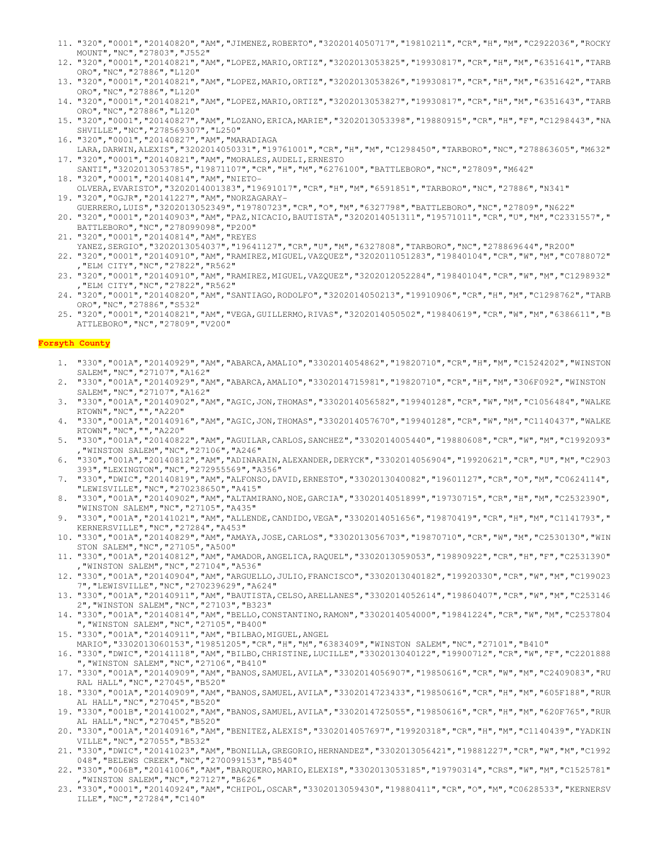- 11. "320","0001","20140820","AM","JIMENEZ,ROBERTO","3202014050717","19810211","CR","H","M","C2922036","ROCKY MOUNT","NC","27803","J552"
- 12. "320","0001","20140821","AM","LOPEZ,MARIO,ORTIZ","3202013053825","19930817","CR","H","M","6351641","TARB ORO","NC","27886","L120"
- 13. "320","0001","20140821","AM","LOPEZ,MARIO,ORTIZ","3202013053826","19930817","CR","H","M","6351642","TARB ORO","NC","27886","L120"
- 14. "320","0001","20140821","AM","LOPEZ,MARIO,ORTIZ","3202013053827","19930817","CR","H","M","6351643","TARB ORO","NC","27886","L120"
- 15. "320","0001","20140827","AM","LOZANO,ERICA,MARIE","3202013053398","19880915","CR","H","F","C1298443","NA SHVILLE","NC","278569307","L250"
- 16. "320","0001","20140827","AM","MARADIAGA
- LARA,DARWIN,ALEXIS","3202014050331","19761001","CR","H","M","C1298450","TARBORO","NC","278863605","M632" 17. "320","0001","20140821","AM","MORALES,AUDELI,ERNESTO
- SANTI","3202013053785","19871107","CR","H","M","6276100","BATTLEBORO","NC","27809","M642" 18. "320","0001","20140814","AM","NIETO-
- OLVERA,EVARISTO","3202014001383","19691017","CR","H","M","6591851","TARBORO","NC","27886","N341" 19. "320","0GJR","20141227","AM","NORZAGARAY-
- GUERRERO,LUIS","3202013052349","19780723","CR","O","M","6327798","BATTLEBORO","NC","27809","N622"
- 20. "320","0001","20140903","AM","PAZ,NICACIO,BAUTISTA","3202014051311","19571011","CR","U","M","C2331557"," BATTLEBORO","NC","278099098","P200"
- 21. "320","0001","20140814","AM","REYES
- YANEZ,SERGIO","3202013054037","19641127","CR","U","M","6327808","TARBORO","NC","278869644","R200"
- 22. "320","0001","20140910","AM","RAMIREZ,MIGUEL,VAZQUEZ","3202011051283","19840104","CR","W","M","C0788072" ,"ELM CITY","NC","27822","R562"
- 23. "320","0001","20140910","AM","RAMIREZ,MIGUEL,VAZQUEZ","3202012052284","19840104","CR","W","M","C1298932" ,"ELM CITY","NC","27822","R562"
- 24. "320","0001","20140820","AM","SANTIAGO,RODOLFO","3202014050213","19910906","CR","H","M","C1298762","TARB ORO","NC","27886","S532"
- 25. "320","0001","20140821","AM","VEGA,GUILLERMO,RIVAS","3202014050502","19840619","CR","W","M","6386611","B ATTLEBORO","NC","27809","V200"

#### **Forsyth County**

- 1. "330","001A","20140929","AM","ABARCA,AMALIO","3302014054862","19820710","CR","H","M","C1524202","WINSTON SALEM","NC","27107","A162"
- 2. "330","001A","20140929","AM","ABARCA,AMALIO","3302014715981","19820710","CR","H","M","306F092","WINSTON SALEM","NC","27107","A162"
- 3. "330","001A","20140902","AM","AGIC,JON,THOMAS","3302014056582","19940128","CR","W","M","C1056484","WALKE RTOWN","NC","","A220"
- 4. "330","001A","20140916","AM","AGIC,JON,THOMAS","3302014057670","19940128","CR","W","M","C1140437","WALKE RTOWN","NC","","A220"
- 5. "330","001A","20140822","AM","AGUILAR,CARLOS,SANCHEZ","3302014005440","19880608","CR","W","M","C1992093" ,"WINSTON SALEM","NC","27106","A246"
- 6. "330","001A","20140812","AM","ADINARAIN,ALEXANDER,DERYCK","3302014056904","19920621","CR","U","M","C2903 393","LEXINGTON","NC","272955569","A356"
- 7. "330","DWIC","20140819","AM","ALFONSO,DAVID,ERNESTO","3302013040082","19601127","CR","O","M","C0624114", "LEWISVILLE","NC","270238650","A415"
- 8. "330","001A","20140902","AM","ALTAMIRANO,NOE,GARCIA","3302014051899","19730715","CR","H","M","C2532390", "WINSTON SALEM","NC","27105","A435"
- 9. "330","001A","20141021","AM","ALLENDE,CANDIDO,VEGA","3302014051656","19870419","CR","H","M","C1141793"," KERNERSVILLE","NC","27284","A453"
- 10. "330","001A","20140829","AM","AMAYA,JOSE,CARLOS","3302013056703","19870710","CR","W","M","C2530130","WIN STON SALEM","NC","27105","A500"
- 11. "330","001A","20140812","AM","AMADOR,ANGELICA,RAQUEL","3302013059053","19890922","CR","H","F","C2531390" ,"WINSTON SALEM","NC","27104","A536"
- 12. "330","001A","20140904","AM","ARGUELLO,JULIO,FRANCISCO","3302013040182","19920330","CR","W","M","C199023 7","LEWISVILLE","NC","270239629","A624"
- 13. "330","001A","20140911","AM","BAUTISTA,CELSO,ARELLANES","3302014052614","19860407","CR","W","M","C253146 2","WINSTON SALEM","NC","27103","B323"
- 14. "330","001A","20140814","AM","BELLO,CONSTANTINO,RAMON","3302014054000","19841224","CR","W","M","C2537804 ","WINSTON SALEM","NC","27105","B400"
- 15. "330","001A","20140911","AM","BILBAO,MIGUEL,ANGEL

MARIO","3302013060153","19851205","CR","H","M","6383409","WINSTON SALEM","NC","27101","B410"

- 16. "330","DWIC","20141118","AM","BILBO,CHRISTINE,LUCILLE","3302013040122","19900712","CR","W","F","C2201888 ","WINSTON SALEM","NC","27106","B410"
- 17. "330","001A","20140909","AM","BANOS,SAMUEL,AVILA","3302014056907","19850616","CR","W","M","C2409083","RU RAL HALL","NC","27045","B520"
- 18. "330","001A","20140909","AM","BANOS,SAMUEL,AVILA","3302014723433","19850616","CR","H","M","605F188","RUR AL HALL","NC","27045","B520"
- 19. "330","001B","20141002","AM","BANOS,SAMUEL,AVILA","3302014725055","19850616","CR","H","M","620F765","RUR AL HALL","NC","27045","B520"
- 20. "330","001A","20140916","AM","BENITEZ,ALEXIS","3302014057697","19920318","CR","H","M","C1140439","YADKIN VILLE","NC","27055","B532"
- 21. "330","DWIC","20141023","AM","BONILLA,GREGORIO,HERNANDEZ","3302013056421","19881227","CR","W","M","C1992 048","BELEWS CREEK","NC","270099153","B540"
- 22. "330","006B","20141006","AM","BARQUERO,MARIO,ELEXIS","3302013053185","19790314","CRS","W","M","C1525781" ,"WINSTON SALEM","NC","27127","B626"
- 23. "330","0001","20140924","AM","CHIPOL,OSCAR","3302013059430","19880411","CR","O","M","C0628533","KERNERSV ILLE","NC","27284","C140"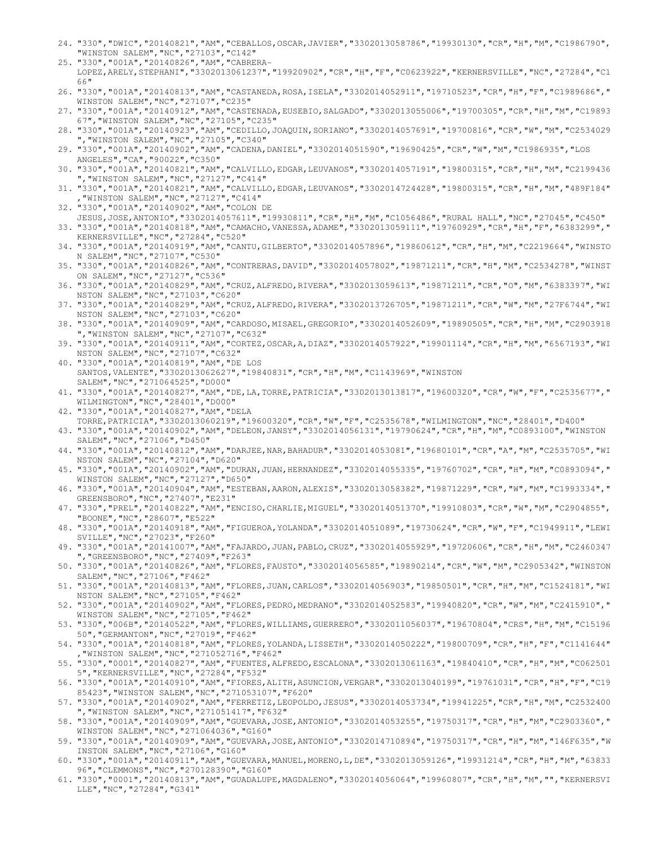- 24. "330","DWIC","20140821","AM","CEBALLOS,OSCAR,JAVIER","3302013058786","19930130","CR","H","M","C1986790", "WINSTON SALEM","NC","27103","C142"
- 25. "330","001A","20140826","AM","CABRERA-LOPEZ,ARELY,STEPHANI","3302013061237","19920902","CR","H","F","C0623922","KERNERSVILLE","NC","27284","C1 66"
- 26. "330","001A","20140813","AM","CASTANEDA,ROSA,ISELA","3302014052911","19710523","CR","H","F","C1989686"," WINSTON SALEM","NC","27107","C235"
- 27. "330","001A","20140912","AM","CASTENADA,EUSEBIO,SALGADO","3302013055006","19700305","CR","H","M","C19893 67","WINSTON SALEM","NC","27105","C235"
- 28. "330","001A","20140923","AM","CEDILLO,JOAQUIN,SORIANO","3302014057691","19700816","CR","W","M","C2534029 ","WINSTON SALEM","NC","27105","C340"
- 29. "330","001A","20140902","AM","CADENA,DANIEL","3302014051590","19690425","CR","W","M","C1986935","LOS ANGELES","CA","90022","C350"
- 30. "330","001A","20140821","AM","CALVILLO,EDGAR,LEUVANOS","3302014057191","19800315","CR","H","M","C2199436 ","WINSTON SALEM","NC","27127","C414"
- 31. "330","001A","20140821","AM","CALVILLO,EDGAR,LEUVANOS","3302014724428","19800315","CR","H","M","489F184" ,"WINSTON SALEM","NC","27127","C414"
- 32. "330","001A","20140902","AM","COLON DE
- JESUS,JOSE,ANTONIO","3302014057611","19930811","CR","H","M","C1056486","RURAL HALL","NC","27045","C450" 33. "330","001A","20140818","AM","CAMACHO,VANESSA,ADAME","3302013059111","19760929","CR","H","F","6383299","
- KERNERSVILLE","NC","27284","C520"
- 34. "330","001A","20140919","AM","CANTU,GILBERTO","3302014057896","19860612","CR","H","M","C2219664","WINSTO N SALEM","NC","27107","C530"
- 35. "330","001A","20140826","AM","CONTRERAS,DAVID","3302014057802","19871211","CR","H","M","C2534278","WINST ON SALEM","NC","27127","C536"
- 36. "330","001A","20140829","AM","CRUZ,ALFREDO,RIVERA","3302013059613","19871211","CR","O","M","6383397","WI NSTON SALEM","NC","27103","C620"
- 37. "330","001A","20140829","AM","CRUZ,ALFREDO,RIVERA","3302013726705","19871211","CR","W","M","27F6744","WI NSTON SALEM","NC","27103","C620"
- 38. "330","001A","20140909","AM","CARDOSO,MISAEL,GREGORIO","3302014052609","19890505","CR","H","M","C2903918 ","WINSTON SALEM","NC","27107","C632"
- 39. "330","001A","20140911","AM","CORTEZ,OSCAR,A,DIAZ","3302014057922","19901114","CR","H","M","6567193","WI NSTON SALEM","NC","27107","C632"
- 40. "330","001A","20140819","AM","DE LOS SANTOS,VALENTE","3302013062627","19840831","CR","H","M","C1143969","WINSTON SALEM","NC","271064525","D000"
- 41. "330","001A","20140827","AM","DE,LA,TORRE,PATRICIA","3302013013817","19600320","CR","W","F","C2535677"," WILMINGTON","NC","28401","D000"
- 42. "330","001A","20140827","AM","DELA TORRE,PATRICIA","3302013060219","19600320","CR","W","F","C2535678","WILMINGTON","NC","28401","D400"
- 43. "330","001A","20140902","AM","DELEON,JANSY","3302014056131","19790624","CR","H","M","C0893100","WINSTON SALEM","NC","27106","D450"
- 44. "330","001A","20140812","AM","DARJEE,NAR,BAHADUR","3302014053081","19680101","CR","A","M","C2535705","WI NSTON SALEM","NC","27104","D620"
- 45. "330","001A","20140902","AM","DURAN,JUAN,HERNANDEZ","3302014055335","19760702","CR","H","M","C0893094"," WINSTON SALEM","NC","27127","D650"
- 46. "330","001A","20140904","AM","ESTEBAN,AARON,ALEXIS","3302013058382","19871229","CR","W","M","C1993334"," GREENSBORO","NC","27407","E231"
- 47. "330","PREL","20140822","AM","ENCISO,CHARLIE,MIGUEL","3302014051370","19910803","CR","W","M","C2904855", "BOONE","NC","28607","E522"
- 48. "330","001A","20140918","AM","FIGUEROA,YOLANDA","3302014051089","19730624","CR","W","F","C1949911","LEWI SVILLE","NC","27023","F260"
- 49. "330","001A","20141007","AM","FAJARDO,JUAN,PABLO,CRUZ","3302014055929","19720606","CR","H","M","C2460347 ","GREENSBORO","NC","27409","F263"
- 50. "330","001A","20140826","AM","FLORES,FAUSTO","3302014056585","19890214","CR","W","M","C2905342","WINSTON SALEM","NC","27106","F462"
- 51. "330","001A","20140813","AM","FLORES,JUAN,CARLOS","3302014056903","19850501","CR","H","M","C1524181","WI NSTON SALEM","NC","27105","F462"
- 52. "330","001A","20140902","AM","FLORES,PEDRO,MEDRANO","3302014052583","19940820","CR","W","M","C2415910"," WINSTON SALEM","NC","27105","F462"
- 53. "330","006B","20140522","AM","FLORES,WILLIAMS,GUERRERO","3302011056037","19670804","CRS","H","M","C15196 50","GERMANTON","NC","27019","F462"
- 54. "330","001A","20140818","AM","FLORES,YOLANDA,LISSETH","3302014050222","19800709","CR","H","F","C1141644" ,"WINSTON SALEM","NC","271052716","F462"
- 55. "330","0001","20140827","AM","FUENTES,ALFREDO,ESCALONA","3302013061163","19840410","CR","H","M","C062501 5","KERNERSVILLE","NC","27284","F532"
- 56. "330","001A","20140910","AM","FIORES,ALITH,ASUNCION,VERGAR","3302013040199","19761031","CR","H","F","C19 85423","WINSTON SALEM","NC","271053107","F620"
- 57. "330","001A","20140902","AM","FERRETIZ,LEOPOLDO,JESUS","3302014053734","19941225","CR","H","M","C2532400 ","WINSTON SALEM","NC","271051417","F632"
- 58. "330","001A","20140909","AM","GUEVARA,JOSE,ANTONIO","3302014053255","19750317","CR","H","M","C2903360"," WINSTON SALEM","NC","271064036","G160"
- 59. "330","001A","20140909","AM","GUEVARA,JOSE,ANTONIO","3302014710894","19750317","CR","H","M","146F635","W INSTON SALEM","NC","27106","G160"
- 60. "330","001A","20140911","AM","GUEVARA,MANUEL,MORENO,L,DE","3302013059126","19931214","CR","H","M","63833 96","CLEMMONS","NC","270128390","G160"
- 61. "330","0001","20140813","AM","GUADALUPE,MAGDALENO","3302014056064","19960807","CR","H","M","","KERNERSVI LLE","NC","27284","G341"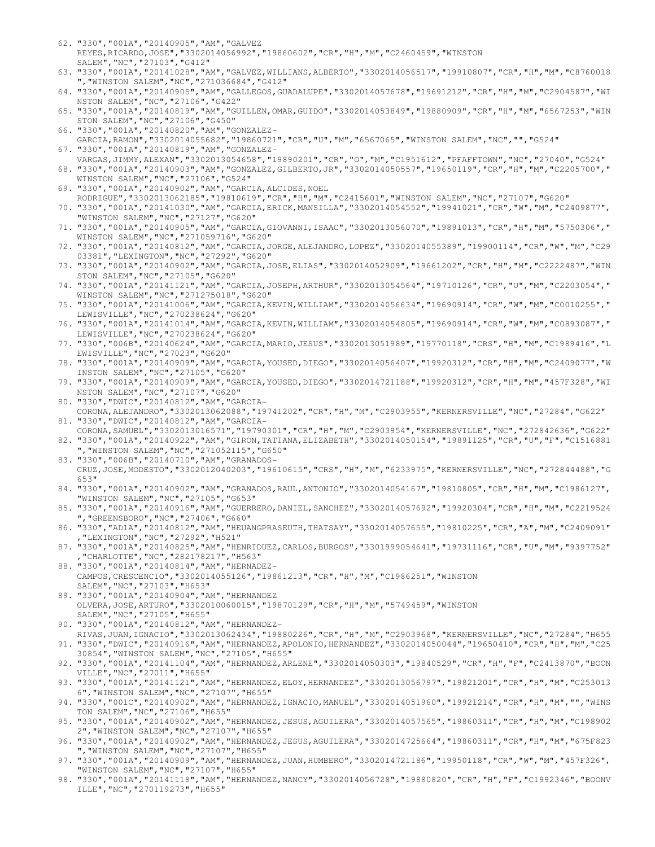- 62. "330","001A","20140905","AM","GALVEZ
- REYES,RICARDO,JOSE","3302014056992","19860602","CR","H","M","C2460459","WINSTON SALEM","NC","27103","G412"
- 63. "330","001A","20141028","AM","GALVEZ,WILLIANS,ALBERTO","3302014056517","19910807","CR","H","M","C8760018 ","WINSTON SALEM","NC","271036684","G412"
- 64. "330","001A","20140905","AM","GALLEGOS,GUADALUPE","3302014057678","19691212","CR","H","M","C2904587","WI NSTON SALEM","NC","27106","G422"
- 65. "330","001A","20140819","AM","GUILLEN,OMAR,GUIDO","3302014053849","19880909","CR","H","M","6567253","WIN STON SALEM","NC","27106","G450"
- 66. "330","001A","20140820","AM","GONZALEZ-
- GARCIA,RAMON","3302014055682","19860721","CR","U","M","6567065","WINSTON SALEM","NC","","G524" 67. "330","001A","20140819","AM","GONZALEZ-
- VARGAS,JIMMY,ALEXAN","3302013054658","19890201","CR","O","M","C1951612","PFAFFTOWN","NC","27040","G524" 68. "330","001A","20140903","AM","GONZALEZ,GILBERTO,JR","3302014050557","19650119","CR","H","M","C2205700","
- WINSTON SALEM","NC","27106","G524"
- 69. "330","001A","20140902","AM","GARCIA,ALCIDES,NOEL
- RODRIGUE","3302013062185","19810619","CR","H","M","C2415601","WINSTON SALEM","NC","27107","G620"
- 70. "330","001A","20141030","AM","GARCIA,ERICK,MANSILLA","3302014054552","19941021","CR","W","M","C2409877", "WINSTON SALEM","NC","27127","G620"
- 71. "330","001A","20140905","AM","GARCIA,GIOVANNI,ISAAC","3302013056070","19891013","CR","H","M","5750306"," WINSTON SALEM","NC","271059716","G620"
- 72. "330","001A","20140812","AM","GARCIA,JORGE,ALEJANDRO,LOPEZ","3302014055389","19900114","CR","W","M","C29 03381","LEXINGTON","NC","27292","G620"
- 73. "330","001A","20140902","AM","GARCIA,JOSE,ELIAS","3302014052909","19661202","CR","H","M","C2222487","WIN STON SALEM","NC","27105","G620"
- 74. "330","001A","20141121","AM","GARCIA,JOSEPH,ARTHUR","3302013054564","19710126","CR","U","M","C2203054"," WINSTON SALEM","NC","271275018","G620"
- 75. "330","001A","20141006","AM","GARCIA,KEVIN,WILLIAM","3302014056634","19690914","CR","W","M","C0010255"," LEWISVILLE","NC","270238624","G620"
- 76. "330","001A","20141014","AM","GARCIA,KEVIN,WILLIAM","3302014054805","19690914","CR","W","M","C0893087"," LEWISVILLE","NC","270238624","G620"
- 77. "330","006B","20140624","AM","GARCIA,MARIO,JESUS","3302013051989","19770118","CRS","H","M","C1989416","L EWISVILLE","NC","27023","G620"
- 78. "330","001A","20140909","AM","GARCIA,YOUSED,DIEGO","3302014056407","19920312","CR","H","M","C2409077","W INSTON SALEM","NC","27105","G620"
- 79. "330","001A","20140909","AM","GARCIA,YOUSED,DIEGO","3302014721188","19920312","CR","H","M","457F328","WI NSTON SALEM","NC","27107","G620"
- 80. "330","DWIC","20140812","AM","GARCIA-CORONA,ALEJANDRO","3302013062088","19741202","CR","H","M","C2903955","KERNERSVILLE","NC","27284","G622"
- 81. "330","DWIC","20140812","AM","GARCIA-
- CORONA,SAMUEL","3302013016571","19790301","CR","H","M","C2903954","KERNERSVILLE","NC","272842636","G622" 82. "330","001A","20140922","AM","GIRON,TATIANA,ELIZABETH","3302014050154","19891125","CR","U","F","C1516881 ","WINSTON SALEM","NC","271052115","G650"
- 83. "330","006B","20140710","AM","GRANADOS-CRUZ,JOSE,MODESTO","3302012040203","19610615","CRS","H","M","6233975","KERNERSVILLE","NC","272844488","G 653"
- 84. "330","001A","20140902","AM","GRANADOS,RAUL,ANTONIO","3302014054167","19810805","CR","H","M","C1986127", "WINSTON SALEM","NC","27105","G653"
- 85. "330","001A","20140916","AM","GUERRERO,DANIEL,SANCHEZ","3302014057692","19920304","CR","H","M","C2219524 ","GREENSBORO","NC","27406","G660"
- 86. "330","AD1A","20140812","AM","HEUANGPRASEUTH,THATSAY","3302014057655","19810225","CR","A","M","C2409091" ,"LEXINGTON","NC","27292","H521"
- 87. "330","001A","20140825","AM","HENRIDUEZ,CARLOS,BURGOS","3301999054641","19731116","CR","U","M","9397752" ,"CHARLOTTE","NC","282178217","H563"
- 88. "330","001A","20140814","AM","HERNADEZ-CAMPOS,CRESCENCIO","3302014055126","19861213","CR","H","M","C1986251","WINSTON SALEM","NC","27103","H653"
- 89. "330","001A","20140904","AM","HERNANDEZ OLVERA,JOSE,ARTURO","3302010060015","19870129","CR","H","M","5749459","WINSTON SALEM","NC","27105","H655"
- 90. "330","001A","20140812","AM","HERNANDEZ-
- RIVAS,JUAN,IGNACIO","3302013062434","19880226","CR","H","M","C2903968","KERNERSVILLE","NC","27284","H655 91. "330","DWIC","20140916","AM","HERNANDEZ,APOLONIO,HERNANDEZ","3302014050044","19650410","CR","H","M","C25 30854","WINSTON SALEM","NC","27105","H655"
- 92. "330","001A","20141104","AM","HERNANDEZ,ARLENE","3302014050303","19840529","CR","H","F","C2413870","BOON VILLE","NC","27011","H655"
- 93. "330","001A","20141121","AM","HERNANDEZ,ELOY,HERNANDEZ","3302013056797","19821201","CR","H","M","C253013 6","WINSTON SALEM","NC","27107","H655"
- 94. "330","001C","20140902","AM","HERNANDEZ,IGNACIO,MANUEL","3302014051960","19921214","CR","H","M","","WINS TON SALEM","NC","27106","H655"
- 95. "330","001A","20140902","AM","HERNANDEZ,JESUS,AGUILERA","3302014057565","19860311","CR","H","M","C198902 2","WINSTON SALEM","NC","27107","H655"
- 96. "330","001A","20140902","AM","HERNANDEZ,JESUS,AGUILERA","3302014725664","19860311","CR","H","M","675F823 ","WINSTON SALEM","NC","27107","H655"
- 97. "330","001A","20140909","AM","HERNANDEZ,JUAN,HUMBERO","3302014721186","19950118","CR","W","M","457F326", "WINSTON SALEM","NC","27107","H655"
- 98. "330","001A","20141118","AM","HERNANDEZ,NANCY","3302014056728","19880820","CR","H","F","C1992346","BOONV ILLE","NC","270119273","H655"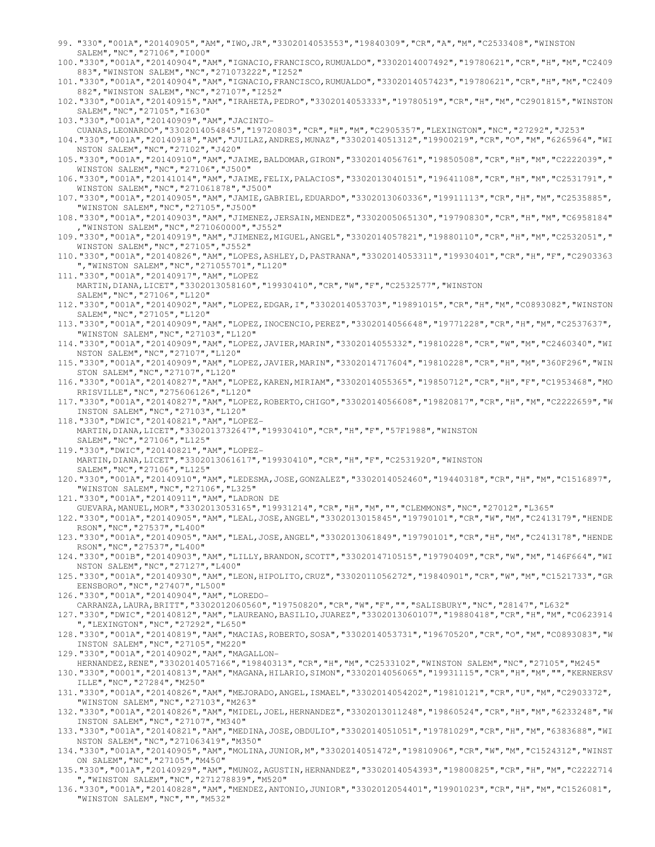- 99. "330","001A","20140905","AM","IWO,JR","3302014053553","19840309","CR","A","M","C2533408","WINSTON SALEM","NC","27106","I000"
- 100."330","001A","20140904","AM","IGNACIO,FRANCISCO,RUMUALDO","3302014007492","19780621","CR","H","M","C2409 883","WINSTON SALEM","NC","271073222","I252"
- 101."330","001A","20140904","AM","IGNACIO,FRANCISCO,RUMUALDO","3302014057423","19780621","CR","H","M","C2409 882","WINSTON SALEM","NC","27107","I252"
- 102."330","001A","20140915","AM","IRAHETA,PEDRO","3302014053333","19780519","CR","H","M","C2901815","WINSTON SALEM","NC","27105","I630"
- 103."330","001A","20140909","AM","JACINTO-CUANAS,LEONARDO","3302014054845","19720803","CR","H","M","C2905357","LEXINGTON","NC","27292","J253" 104."330","001A","20140918","AM","JUILAZ,ANDRES,MUNAZ","3302014051312","19900219","CR","O","M","6265964","WI
- NSTON SALEM","NC","27102","J420"
- 105."330","001A","20140910","AM","JAIME,BALDOMAR,GIRON","3302014056761","19850508","CR","H","M","C2222039"," WINSTON SALEM","NC","27106","J500"
- 106."330","001A","20141014","AM","JAIME,FELIX,PALACIOS","3302013040151","19641108","CR","H","M","C2531791"," WINSTON SALEM","NC","271061878","J500"
- 107."330","001A","20140905","AM","JAMIE,GABRIEL,EDUARDO","3302013060336","19911113","CR","H","M","C2535885", "WINSTON SALEM","NC","27105","J500"
- 108."330","001A","20140903","AM","JIMENEZ,JERSAIN,MENDEZ","3302005065130","19790830","CR","H","M","C6958184" ,"WINSTON SALEM","NC","271060000","J552"
- 109."330","001A","20140919","AM","JIMENEZ,MIGUEL,ANGEL","3302014057821","19880110","CR","H","M","C2532051"," WINSTON SALEM","NC","27105","J552"
- 110."330","001A","20140826","AM","LOPES,ASHLEY,D,PASTRANA","3302014053311","19930401","CR","H","F","C2903363 ","WINSTON SALEM","NC","271055701","L120"
- 111."330","001A","20140917","AM","LOPEZ MARTIN,DIANA,LICET","3302013058160","19930410","CR","W","F","C2532577","WINSTON SALEM","NC","27106","L120"
- 112."330","001A","20140902","AM","LOPEZ,EDGAR,I","3302014053703","19891015","CR","H","M","C0893082","WINSTON SALEM","NC","27105","L120"
- 113."330","001A","20140909","AM","LOPEZ,INOCENCIO,PEREZ","3302014056648","19771228","CR","H","M","C2537637", "WINSTON SALEM","NC","27103","L120"
- 114."330","001A","20140909","AM","LOPEZ,JAVIER,MARIN","3302014055332","19810228","CR","W","M","C2460340","WI NSTON SALEM","NC","27107","L120"
- 115."330","001A","20140909","AM","LOPEZ,JAVIER,MARIN","3302014717604","19810228","CR","H","M","360F296","WIN STON SALEM","NC","27107","L120"
- 116."330","001A","20140827","AM","LOPEZ,KAREN,MIRIAM","3302014055365","19850712","CR","H","F","C1953468","MO RRISVILLE","NC","275606126","L120"
- 117."330","001A","20140827","AM","LOPEZ,ROBERTO,CHIGO","3302014056608","19820817","CR","H","M","C2222659","W INSTON SALEM","NC","27103","L120"
- 118."330","DWIC","20140821","AM","LOPEZ-MARTIN, DIANA, LICET", "3302013732647", "19930410", "CR", "H", "F", "57F1988", "WINSTON SALEM","NC","27106","L125"
- 119."330","DWIC","20140821","AM","LOPEZ-MARTIN,DIANA,LICET","3302013061617","19930410","CR","H","F","C2531920","WINSTON SALEM","NC","27106","L125"
- 120."330","001A","20140910","AM","LEDESMA,JOSE,GONZALEZ","3302014052460","19440318","CR","H","M","C1516897", "WINSTON SALEM","NC","27106","L325"
- 121."330","001A","20140911","AM","LADRON DE
- GUEVARA,MANUEL,MOR","3302013053165","19931214","CR","H","M","","CLEMMONS","NC","27012","L365"
- 122."330","001A","20140905","AM","LEAL,JOSE,ANGEL","3302013015845","19790101","CR","W","M","C2413179","HENDE RSON","NC","27537","L400"
- 123."330","001A","20140905","AM","LEAL,JOSE,ANGEL","3302013061849","19790101","CR","H","M","C2413178","HENDE RSON","NC","27537","L400"
- 124."330","001B","20140903","AM","LILLY,BRANDON,SCOTT","3302014710515","19790409","CR","W","M","146F664","WI NSTON SALEM","NC","27127","L400"
- 125."330","001A","20140930","AM","LEON,HIPOLITO,CRUZ","3302011056272","19840901","CR","W","M","C1521733","GR EENSBORO","NC","27407","L500"
- 126."330","001A","20140904","AM","LOREDO-
- CARRANZA,LAURA,BRITT","3302012060560","19750820","CR","W","F","","SALISBURY","NC","28147","L632"
- 127."330","DWIC","20140812","AM","LAUREANO,BASILIO,JUAREZ","3302013060107","19880418","CR","H","M","C0623914 ","LEXINGTON","NC","27292","L650"
- 128."330","001A","20140819","AM","MACIAS,ROBERTO,SOSA","3302014053731","19670520","CR","O","M","C0893083","W INSTON SALEM","NC","27105","M220"
- 129."330","001A","20140902","AM","MAGALLON-HERNANDEZ,RENE","3302014057166","19840313","CR","H","M","C2533102","WINSTON SALEM","NC","27105","M245"
- 130."330","0001","20140813","AM","MAGANA,HILARIO,SIMON","3302014056065","19931115","CR","H","M","","KERNERSV ILLE","NC","27284","M250"
- 131."330","001A","20140826","AM","MEJORADO,ANGEL,ISMAEL","3302014054202","19810121","CR","U","M","C2903372", "WINSTON SALEM","NC","27103","M263"
- 132."330","001A","20140826","AM","MIDEL,JOEL,HERNANDEZ","3302013011248","19860524","CR","H","M","6233248","W INSTON SALEM","NC","27107","M340"
- 133."330","001A","20140821","AM","MEDINA,JOSE,OBDULIO","3302014051051","19781029","CR","H","M","6383688","WI NSTON SALEM","NC","271063419","M350"
- 134."330","001A","20140905","AM","MOLINA,JUNIOR,M","3302014051472","19810906","CR","W","M","C1524312","WINST ON SALEM","NC","27105","M450"
- 135."330","001A","20140929","AM","MUNOZ,AGUSTIN,HERNANDEZ","3302014054393","19800825","CR","H","M","C2222714 ","WINSTON SALEM","NC","271278839","M520"
- 136."330","001A","20140828","AM","MENDEZ,ANTONIO,JUNIOR","3302012054401","19901023","CR","H","M","C1526081", "WINSTON SALEM","NC","","M532"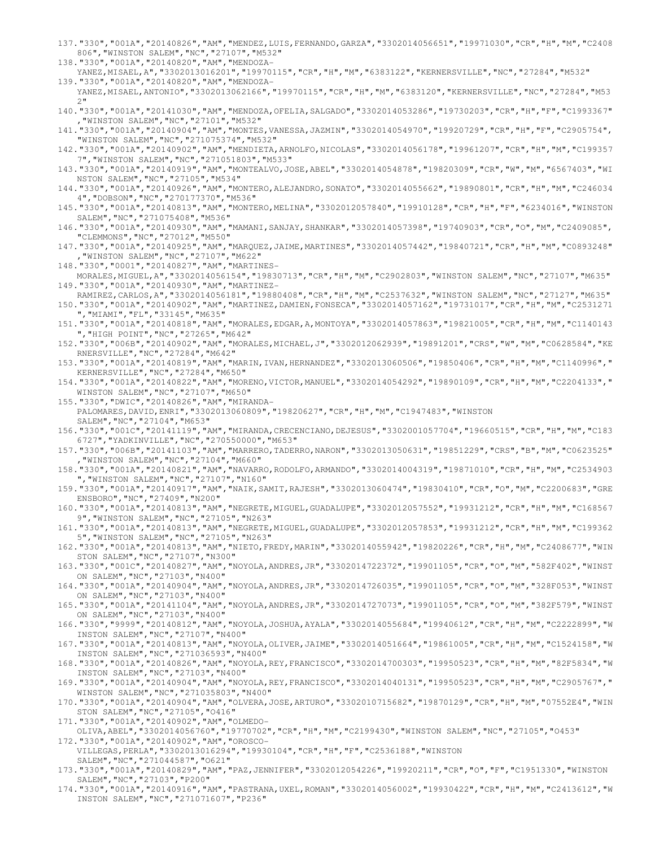- 137."330","001A","20140826","AM","MENDEZ,LUIS,FERNANDO,GARZA","3302014056651","19971030","CR","H","M","C2408 806","WINSTON SALEM","NC","27107","M532"
- 138."330","001A","20140820","AM","MENDOZA-
- YANEZ,MISAEL,A","3302013016201","19970115","CR","H","M","6383122","KERNERSVILLE","NC","27284","M532" 139."330","001A","20140820","AM","MENDOZA-
- YANEZ,MISAEL,ANTONIO","3302013062166","19970115","CR","H","M","6383120","KERNERSVILLE","NC","27284","M53 2"
- 140."330","001A","20141030","AM","MENDOZA,OFELIA,SALGADO","3302014053286","19730203","CR","H","F","C1993367" ,"WINSTON SALEM","NC","27101","M532"
- 141."330","001A","20140904","AM","MONTES,VANESSA,JAZMIN","3302014054970","19920729","CR","H","F","C2905754", "WINSTON SALEM","NC","271075374","M532"
- 142."330","001A","20140902","AM","MENDIETA,ARNOLFO,NICOLAS","3302014056178","19961207","CR","H","M","C199357 7","WINSTON SALEM","NC","271051803","M533"
- 143."330","001A","20140919","AM","MONTEALVO,JOSE,ABEL","3302014054878","19820309","CR","W","M","6567403","WI NSTON SALEM","NC","27105","M534"
- 144."330","001A","20140926","AM","MONTERO,ALEJANDRO,SONATO","3302014055662","19890801","CR","H","M","C246034 4","DOBSON","NC","270177370","M536"
- 145."330","001A","20140813","AM","MONTERO,MELINA","3302012057840","19910128","CR","H","F","6234016","WINSTON SALEM","NC","271075408","M536"
- 146."330","001A","20140930","AM","MAMANI,SANJAY,SHANKAR","3302014057398","19740903","CR","O","M","C2409085", "CLEMMONS","NC","27012","M550"
- 147."330","001A","20140925","AM","MARQUEZ,JAIME,MARTINES","3302014057442","19840721","CR","H","M","C0893248" ,"WINSTON SALEM","NC","27107","M622"
- 148."330","0001","20140827","AM","MARTINES-MORALES,MIGUEL,A","3302014056154","19830713","CR","H","M","C2902803","WINSTON SALEM","NC","27107","M635" 149."330","001A","20140930","AM","MARTINEZ-
- RAMIREZ,CARLOS,A","3302014056181","19880408","CR","H","M","C2537632","WINSTON SALEM","NC","27127","M635" 150."330","001A","20140902","AM","MARTINEZ,DAMIEN,FONSECA","3302014057162","19731017","CR","H","M","C2531271
- ","MIAMI","FL","33145","M635" 151."330","001A","20140818","AM","MORALES,EDGAR,A,MONTOYA","3302014057863","19821005","CR","H","M","C1140143
- ","HIGH POINT","NC","27265","M642"
- 152."330","006B","20140902","AM","MORALES,MICHAEL,J","3302012062939","19891201","CRS","W","M","C0628584","KE RNERSVILLE","NC","27284","M642"
- 153."330","001A","20140819","AM","MARIN,IVAN,HERNANDEZ","3302013060506","19850406","CR","H","M","C1140996"," KERNERSVILLE","NC","27284","M650"
- 154."330","001A","20140822","AM","MORENO,VICTOR,MANUEL","3302014054292","19890109","CR","H","M","C2204133"," WINSTON SALEM","NC","27107","M650"
- 155."330","DWIC","20140826","AM","MIRANDA-PALOMARES,DAVID,ENRI","3302013060809","19820627","CR","H","M","C1947483","WINSTON SALEM","NC","27104","M653"
- 156."330","001C","20141119","AM","MIRANDA,CRECENCIANO,DEJESUS","3302001057704","19660515","CR","H","M","C183 6727","YADKINVILLE","NC","270550000","M653"
- 157."330","006B","20141103","AM","MARRERO,TADERRO,NARON","3302013050631","19851229","CRS","B","M","C0623525" ,"WINSTON SALEM","NC","27104","M660"
- 158."330","001A","20140821","AM","NAVARRO,RODOLFO,ARMANDO","3302014004319","19871010","CR","H","M","C2534903 ","WINSTON SALEM","NC","27107","N160"
- 159."330","001A","20140917","AM","NAIK,SAMIT,RAJESH","3302013060474","19830410","CR","O","M","C2200683","GRE ENSBORO","NC","27409","N200"
- 160."330","001A","20140813","AM","NEGRETE,MIGUEL,GUADALUPE","3302012057552","19931212","CR","H","M","C168567 9","WINSTON SALEM","NC","27105","N263"
- 161."330","001A","20140813","AM","NEGRETE,MIGUEL,GUADALUPE","3302012057853","19931212","CR","H","M","C199362 5","WINSTON SALEM","NC","27105","N263"
- 162."330","001A","20140813","AM","NIETO,FREDY,MARIN","3302014055942","19820226","CR","H","M","C2408677","WIN STON SALEM","NC","27107","N300"
- 163."330","001C","20140827","AM","NOYOLA,ANDRES,JR","3302014722372","19901105","CR","O","M","582F402","WINST ON SALEM","NC","27103","N400"
- 164."330","001A","20140904","AM","NOYOLA,ANDRES,JR","3302014726035","19901105","CR","O","M","328F053","WINST ON SALEM","NC","27103","N400"
- 165."330","001A","20141104","AM","NOYOLA,ANDRES,JR","3302014727073","19901105","CR","O","M","382F579","WINST ON SALEM","NC","27103","N400"
- 166."330","9999","20140812","AM","NOYOLA,JOSHUA,AYALA","3302014055684","19940612","CR","H","M","C2222899","W INSTON SALEM","NC","27107","N400"
- 167."330","001A","20140813","AM","NOYOLA,OLIVER,JAIME","3302014051664","19861005","CR","H","M","C1524158","W INSTON SALEM","NC","271036593","N400"
- 168."330","001A","20140826","AM","NOYOLA,REY,FRANCISCO","3302014700303","19950523","CR","H","M","82F5834","W INSTON SALEM","NC","27103","N400"
- 169."330","001A","20140904","AM","NOYOLA,REY,FRANCISCO","3302014040131","19950523","CR","H","M","C2905767"," WINSTON SALEM","NC","271035803","N400"
- 170."330","001A","20140904","AM","OLVERA,JOSE,ARTURO","3302010715682","19870129","CR","H","M","07552E4","WIN STON SALEM","NC","27105","O416"
- 171."330","001A","20140902","AM","OLMEDO-
- OLIVA,ABEL","3302014056760","19770702","CR","H","M","C2199430","WINSTON SALEM","NC","27105","O453" 172."330","001A","20140902","AM","OROSCO-
- VILLEGAS,PERLA","3302013016294","19930104","CR","H","F","C2536188","WINSTON SALEM","NC","271044587","O621"
- 173."330","001A","20140829","AM","PAZ,JENNIFER","3302012054226","19920211","CR","O","F","C1951330","WINSTON SALEM","NC","27103","P200"
- 174."330","001A","20140916","AM","PASTRANA,UXEL,ROMAN","3302014056002","19930422","CR","H","M","C2413612","W INSTON SALEM","NC","271071607","P236"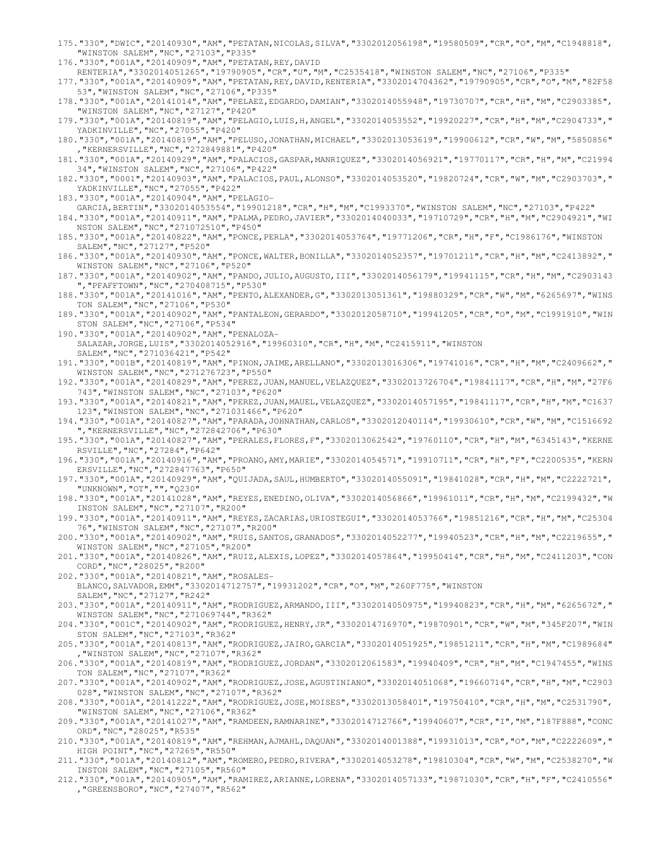- 175."330","DWIC","20140930","AM","PETATAN,NICOLAS,SILVA","3302012056198","19580509","CR","O","M","C1948818", "WINSTON SALEM","NC","27103","P335"
- 176."330","001A","20140909","AM","PETATAN,REY,DAVID

RENTERIA","3302014051265","19790905","CR","U","M","C2535418","WINSTON SALEM","NC","27106","P335"

- 177."330","001A","20140909","AM","PETATAN,REY,DAVID,RENTERIA","3302014704362","19790905","CR","O","M","82F58 53","WINSTON SALEM","NC","27106","P335"
- 178."330","001A","20141014","AM","PELAEZ,EDGARDO,DAMIAN","3302014055948","19730707","CR","H","M","C2903385", "WINSTON SALEM","NC","27127","P420"
- 179."330","001A","20140819","AM","PELAGIO,LUIS,H,ANGEL","3302014053552","19920227","CR","H","M","C2904733"," YADKINVILLE","NC","27055","P420"
- 180."330","001A","20140819","AM","PELUSO,JONATHAN,MICHAEL","3302013053619","19900612","CR","W","M","5850856" ,"KERNERSVILLE","NC","272849881","P420"
- 181."330","001A","20140929","AM","PALACIOS,GASPAR,MANRIQUEZ","3302014056921","19770117","CR","H","M","C21994 34","WINSTON SALEM","NC","27106","P422"
- 182."330","0001","20140903","AM","PALACIOS,PAUL,ALONSO","3302014053520","19820724","CR","W","M","C2903703"," YADKINVILLE","NC","27055","P422"
- 183."330","001A","20140904","AM","PELAGIO-
- GARCIA,BERTIN","3302014053554","19901218","CR","H","M","C1993370","WINSTON SALEM","NC","27103","P422"
- 184."330","001A","20140911","AM","PALMA,PEDRO,JAVIER","3302014040033","19710729","CR","H","M","C2904921","WI NSTON SALEM","NC","271072510","P450"
- 185."330","001A","20140822","AM","PONCE,PERLA","3302014053764","19771206","CR","H","F","C1986176","WINSTON SALEM","NC","27127","P520"
- 186."330","001A","20140930","AM","PONCE,WALTER,BONILLA","3302014052357","19701211","CR","H","M","C2413892"," WINSTON SALEM","NC","27106","P520"
- 187."330","001A","20140902","AM","PANDO,JULIO,AUGUSTO,III","3302014056179","19941115","CR","H","M","C2903143 ","PFAFFTOWN","NC","270408715","P530"
- 188."330","001A","20141016","AM","PENTO,ALEXANDER,G","3302013051361","19880329","CR","W","M","6265697","WINS TON SALEM","NC","27106","P530"
- 189."330","001A","20140902","AM","PANTALEON,GERARDO","3302012058710","19941205","CR","O","M","C1991910","WIN STON SALEM","NC","27106","P534"
- 190."330","001A","20140902","AM","PENALOZA-SALAZAR,JORGE,LUIS","3302014052916","19960310","CR","H","M","C2415911","WINSTON SALEM","NC","271036421","P542"
- 191."330","001B","20140819","AM","PINON,JAIME,ARELLANO","3302013016306","19741016","CR","H","M","C2409662"," WINSTON SALEM","NC","271276723","P550"
- 192."330","001A","20140829","AM","PEREZ,JUAN,MANUEL,VELAZQUEZ","3302013726704","19841117","CR","H","M","27F6 743","WINSTON SALEM","NC","27103","P620"
- 193."330","001A","20140821","AM","PEREZ,JUAN,MAUEL,VELAZQUEZ","3302014057195","19841117","CR","H","M","C1637 123","WINSTON SALEM","NC","271031466","P620"
- 194."330","001A","20140827","AM","PARADA,JOHNATHAN,CARLOS","3302012040114","19930610","CR","W","M","C1516692 ","KERNERSVILLE","NC","272842706","P630"
- 195."330","001A","20140827","AM","PERALES,FLORES,F","3302013062542","19760110","CR","H","M","6345143","KERNE RSVILLE","NC","27284","P642"
- 196."330","001A","20140916","AM","PROANO,AMY,MARIE","3302014054571","19910711","CR","H","F","C2200535","KERN ERSVILLE","NC","272847763","P650"
- 197."330","001A","20140929","AM","QUIJADA,SAUL,HUMBERTO","3302014055091","19841028","CR","H","M","C2222721", "UNKNOWN","OT","","Q230"
- 198."330","001A","20141028","AM","REYES,ENEDINO,OLIVA","3302014056866","19961011","CR","H","M","C2199432","W INSTON SALEM","NC","27107","R200"
- 199."330","001A","20140911","AM","REYES,ZACARIAS,URIOSTEGUI","3302014053766","19851216","CR","H","M","C25304 76","WINSTON SALEM","NC","27107","R200"
- 200."330","001A","20140902","AM","RUIS,SANTOS,GRANADOS","3302014052277","19940523","CR","H","M","C2219655"," WINSTON SALEM","NC","27105","R200"
- 201."330","001A","20140826","AM","RUIZ,ALEXIS,LOPEZ","3302014057864","19950414","CR","H","M","C2411203","CON CORD","NC","28025","R200"
- 202."330","001A","20140821","AM","ROSALES-BLANCO,SALVADOR,EMM","3302014712757","19931202","CR","O","M","260F775","WINSTON SALEM","NC","27127","R242"
- 203."330","001A","20140911","AM","RODRIGUEZ,ARMANDO,III","3302014050975","19940823","CR","H","M","6265672"," WINSTON SALEM","NC","271069744","R362"
- 204."330","001C","20140902","AM","RODRIGUEZ,HENRY,JR","3302014716970","19870901","CR","W","M","345F207","WIN STON SALEM","NC","27103","R362"
- 205."330","001A","20140813","AM","RODRIGUEZ,JAIRO,GARCIA","3302014051925","19851211","CR","H","M","C1989684" ,"WINSTON SALEM","NC","27107","R362"
- 206."330","001A","20140819","AM","RODRIGUEZ,JORDAN","3302012061583","19940409","CR","H","M","C1947455","WINS TON SALEM","NC","27107","R362"
- 207."330","001A","20140902","AM","RODRIGUEZ,JOSE,AGUSTINIANO","3302014051068","19660714","CR","H","M","C2903 028","WINSTON SALEM","NC","27107","R362"
- 208."330","001A","20141222","AM","RODRIGUEZ,JOSE,MOISES","3302013058401","19750410","CR","H","M","C2531790", "WINSTON SALEM","NC","27106","R362"
- 209."330","001A","20141027","AM","RAMDEEN,RAMNARINE","3302014712766","19940607","CR","I","M","187F888","CONC ORD","NC","28025","R535"
- 210."330","001A","20140819","AM","REHMAN,AJMAHL,DAQUAN","3302014001388","19931013","CR","O","M","C2222609"," HIGH POINT","NC","27265","R550"
- 211."330","001A","20140812","AM","ROMERO,PEDRO,RIVERA","3302014053278","19810304","CR","W","M","C2538270","W INSTON SALEM","NC","27105","R560"
- 212."330","001A","20140905","AM","RAMIREZ,ARIANNE,LORENA","3302014057133","19871030","CR","H","F","C2410556" ,"GREENSBORO","NC","27407","R562"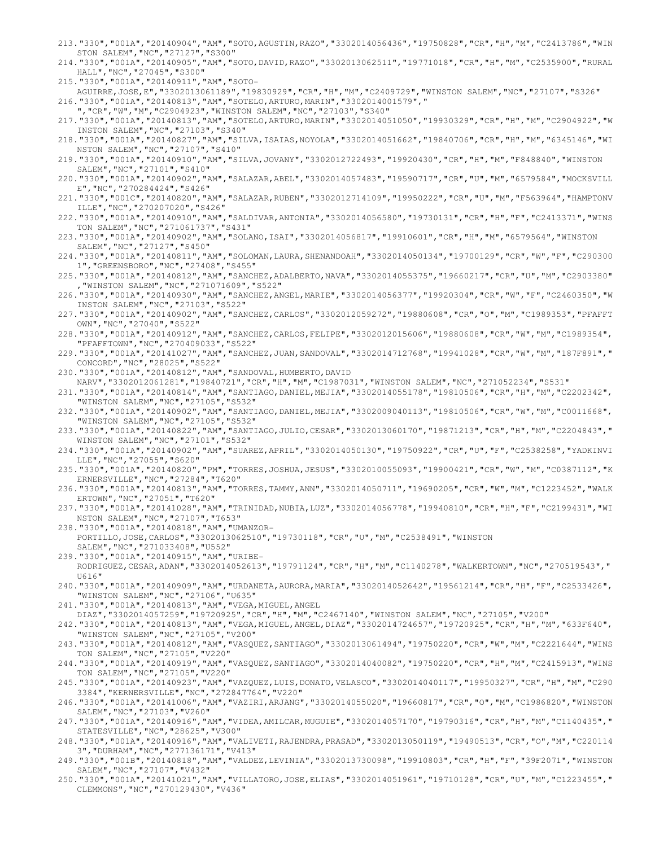- 213."330","001A","20140904","AM","SOTO,AGUSTIN,RAZO","3302014056436","19750828","CR","H","M","C2413786","WIN STON SALEM","NC","27127","S300"
- 214."330","001A","20140905","AM","SOTO,DAVID,RAZO","3302013062511","19771018","CR","H","M","C2535900","RURAL HALL","NC","27045","S300"
- 215."330","001A","20140911","AM","SOTO-
- AGUIRRE,JOSE,E","3302013061189","19830929","CR","H","M","C2409729","WINSTON SALEM","NC","27107","S326" 216."330","001A","20140813","AM","SOTELO,ARTURO,MARIN","3302014001579","

","CR","W","M","C2904923","WINSTON SALEM","NC","27103","S340"

- 217."330","001A","20140813","AM","SOTELO,ARTURO,MARIN","3302014051050","19930329","CR","H","M","C2904922","W INSTON SALEM","NC","27103","S340"
- 218."330","001A","20140827","AM","SILVA,ISAIAS,NOYOLA","3302014051662","19840706","CR","H","M","6345146","WI NSTON SALEM","NC","27107","S410"
- 219."330","001A","20140910","AM","SILVA,JOVANY","3302012722493","19920430","CR","H","M","F848840","WINSTON SALEM","NC","27101","S410"
- 220."330","001A","20140902","AM","SALAZAR,ABEL","3302014057483","19590717","CR","U","M","6579584","MOCKSVILL E","NC","270284424","S426"
- 221."330","001C","20140820","AM","SALAZAR,RUBEN","3302012714109","19950222","CR","U","M","F563964","HAMPTONV ILLE","NC","270207020","S426"
- 222."330","001A","20140910","AM","SALDIVAR,ANTONIA","3302014056580","19730131","CR","H","F","C2413371","WINS TON SALEM","NC","271061737","S431"
- 223."330","001A","20140902","AM","SOLANO,ISAI","3302014056817","19910601","CR","H","M","6579564","WINSTON SALEM","NC","27127","S450"
- 224."330","001A","20140811","AM","SOLOMAN,LAURA,SHENANDOAH","3302014050134","19700129","CR","W","F","C290300 1","GREENSBORO","NC","27408","S455"
- 225."330","001A","20140812","AM","SANCHEZ,ADALBERTO,NAVA","3302014055375","19660217","CR","U","M","C2903380" ,"WINSTON SALEM","NC","271071609","S522"
- 226."330","001A","20140930","AM","SANCHEZ,ANGEL,MARIE","3302014056377","19920304","CR","W","F","C2460350","W INSTON SALEM","NC","27103","S522"
- 227."330","001A","20140902","AM","SANCHEZ,CARLOS","3302012059272","19880608","CR","O","M","C1989353","PFAFFT OWN","NC","27040","S522"
- 228."330","001A","20140912","AM","SANCHEZ,CARLOS,FELIPE","3302012015606","19880608","CR","W","M","C1989354", "PFAFFTOWN","NC","270409033","S522"
- 229."330","001A","20141027","AM","SANCHEZ,JUAN,SANDOVAL","3302014712768","19941028","CR","W","M","187F891"," CONCORD","NC","28025","S522"
- 230."330","001A","20140812","AM","SANDOVAL,HUMBERTO,DAVID

NARV","3302012061281","19840721","CR","H","M","C1987031","WINSTON SALEM","NC","271052234","S531"

- 231."330","001A","20140814","AM","SANTIAGO,DANIEL,MEJIA","3302014055178","19810506","CR","H","M","C2202342", "WINSTON SALEM","NC","27105","S532"
- 232."330","001A","20140902","AM","SANTIAGO,DANIEL,MEJIA","3302009040113","19810506","CR","W","M","C0011668", "WINSTON SALEM","NC","27105","S532"
- 233."330","001A","20140822","AM","SANTIAGO,JULIO,CESAR","3302013060170","19871213","CR","H","M","C2204843"," WINSTON SALEM","NC","27101","S532"
- 234."330","001A","20140902","AM","SUAREZ,APRIL","3302014050130","19750922","CR","U","F","C2538258","YADKINVI LLE","NC","27055","S620"
- 235."330","001A","20140820","PM","TORRES,JOSHUA,JESUS","3302010055093","19900421","CR","W","M","C0387112","K ERNERSVILLE","NC","27284","T620"
- 236."330","001A","20140813","AM","TORRES,TAMMY,ANN","3302014050711","19690205","CR","W","M","C1223452","WALK ERTOWN","NC","27051","T620"
- 237."330","001A","20141028","AM","TRINIDAD,NUBIA,LUZ","3302014056778","19940810","CR","H","F","C2199431","WI NSTON SALEM","NC","27107","T653"
- 238."330","001A","20140818","AM","UMANZOR-PORTILLO,JOSE,CARLOS","3302013062510","19730118","CR","U","M","C2538491","WINSTON SALEM","NC","271033408","U552"
- 239."330","001A","20140915","AM","URIBE-RODRIGUEZ,CESAR,ADAN","3302014052613","19791124","CR","H","M","C1140278","WALKERTOWN","NC","270519543"," U616"
- 240."330","001A","20140909","AM","URDANETA,AURORA,MARIA","3302014052642","19561214","CR","H","F","C2533426", "WINSTON SALEM","NC","27106","U635"
- 241."330","001A","20140813","AM","VEGA,MIGUEL,ANGEL
- DIAZ","3302014057259","19720925","CR","H","M","C2467140","WINSTON SALEM","NC","27105","V200"
- 242."330","001A","20140813","AM","VEGA,MIGUEL,ANGEL,DIAZ","3302014724657","19720925","CR","H","M","633F640", "WINSTON SALEM","NC","27105","V200"
- 243."330","001A","20140812","AM","VASQUEZ,SANTIAGO","3302013061494","19750220","CR","W","M","C2221644","WINS TON SALEM","NC","27105","V220"
- 244."330","001A","20140919","AM","VASQUEZ,SANTIAGO","3302014040082","19750220","CR","H","M","C2415913","WINS TON SALEM","NC","27105","V220"
- 245."330","001A","20140923","AM","VAZQUEZ,LUIS,DONATO,VELASCO","3302014040117","19950327","CR","H","M","C290 3384","KERNERSVILLE","NC","272847764","V220"
- 246."330","001A","20141006","AM","VAZIRI,ARJANG","3302014055020","19660817","CR","O","M","C1986820","WINSTON SALEM","NC","27103","V260"
- 247."330","001A","20140916","AM","VIDEA,AMILCAR,MUGUIE","3302014057170","19790316","CR","H","M","C1140435"," STATESVILLE","NC","28625","V300"
- 248."330","001A","20140916","AM","VALIVETI,RAJENDRA,PRASAD","3302013050119","19490513","CR","O","M","C220114 3","DURHAM","NC","277136171","V413"
- 249."330","001B","20140818","AM","VALDEZ,LEVINIA","3302013730098","19910803","CR","H","F","39F2071","WINSTON SALEM","NC","27107","V432"
- 250."330","001A","20141021","AM","VILLATORO,JOSE,ELIAS","3302014051961","19710128","CR","U","M","C1223455"," CLEMMONS","NC","270129430","V436"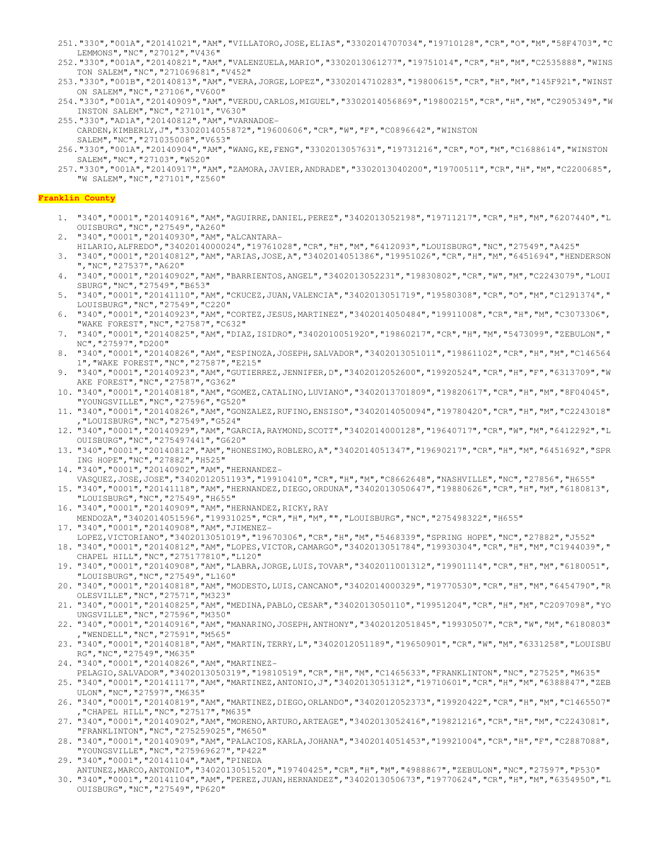- 251."330","001A","20141021","AM","VILLATORO,JOSE,ELIAS","3302014707034","19710128","CR","O","M","58F4703","C LEMMONS","NC","27012","V436"
- 252."330","001A","20140821","AM","VALENZUELA,MARIO","3302013061277","19751014","CR","H","M","C2535888","WINS TON SALEM","NC","271069681","V452"
- 253."330","001B","20140813","AM","VERA,JORGE,LOPEZ","3302014710283","19800615","CR","H","M","145F921","WINST ON SALEM","NC","27106","V600"
- 254."330","001A","20140909","AM","VERDU,CARLOS,MIGUEL","3302014056869","19800215","CR","H","M","C2905349","W INSTON SALEM","NC","27101","V630"
- 255."330","AD1A","20140812","AM","VARNADOE-CARDEN,KIMBERLY,J","3302014055872","19600606","CR","W","F","C0896642","WINSTON SALEM","NC","271035008","V653"
- 256."330","001A","20140904","AM","WANG,KE,FENG","3302013057631","19731216","CR","O","M","C1688614","WINSTON SALEM","NC","27103","W520"
- 257."330","001A","20140917","AM","ZAMORA,JAVIER,ANDRADE","3302013040200","19700511","CR","H","M","C2200685", "W SALEM","NC","27101","Z560"

# **Franklin County**

- 1. "340","0001","20140916","AM","AGUIRRE,DANIEL,PEREZ","3402013052198","19711217","CR","H","M","6207440","L OUISBURG","NC","27549","A260"
- 2. "340","0001","20140930","AM","ALCANTARA-
- HILARIO,ALFREDO","3402014000024","19761028","CR","H","M","6412093","LOUISBURG","NC","27549","A425"
- 3. "340","0001","20140812","AM","ARIAS,JOSE,A","3402014051386","19951026","CR","H","M","6451694","HENDERSON ","NC","27537","A620"
- 4. "340","0001","20140902","AM","BARRIENTOS,ANGEL","3402013052231","19830802","CR","W","M","C2243079","LOUI SBURG","NC","27549","B653"
- 5. "340","0001","20141110","AM","CKUCEZ,JUAN,VALENCIA","3402013051719","19580308","CR","O","M","C1291374"," LOUISBURG","NC","27549","C220"
- 6. "340","0001","20140923","AM","CORTEZ,JESUS,MARTINEZ","3402014050484","19911008","CR","H","M","C3073306", "WAKE FOREST","NC","27587","C632"
- 7. "340","0001","20140825","AM","DIAZ,ISIDRO","3402010051920","19860217","CR","H","M","5473099","ZEBULON"," NC","27597","D200"
- 8. "340","0001","20140826","AM","ESPINOZA,JOSEPH,SALVADOR","3402013051011","19861102","CR","H","M","C146564 1","WAKE FOREST","NC","27587","E215"
- 9. "340","0001","20140923","AM","GUTIERREZ,JENNIFER,D","3402012052600","19920524","CR","H","F","6313709","W AKE FOREST","NC","27587","G362"
- 10. "340","0001","20140818","AM","GOMEZ,CATALINO,LUVIANO","3402013701809","19820617","CR","H","M","8F04045", "YOUNGSVILLE","NC","27596","G520"
- 11. "340","0001","20140826","AM","GONZALEZ,RUFINO,ENSISO","3402014050094","19780420","CR","H","M","C2243018" ,"LOUISBURG","NC","27549","G524"
- 12. "340","0001","20140929","AM","GARCIA,RAYMOND,SCOTT","3402014000128","19640717","CR","W","M","6412292","L OUISBURG","NC","275497441","G620"
- 13. "340","0001","20140812","AM","HONESIMO,ROBLERO,A","3402014051347","19690217","CR","H","M","6451692","SPR ING HOPE","NC","27882","H525"
- 14. "340","0001","20140902","AM","HERNANDEZ-
- VASQUEZ,JOSE,JOSE","3402012051193","19910410","CR","H","M","C8662648","NASHVILLE","NC","27856","H655" 15. "340","0001","20141118","AM","HERNANDEZ,DIEGO,ORDUNA","3402013050647","19880626","CR","H","M","6180813",
- "LOUISBURG","NC","27549","H655" 16. "340","0001","20140909","AM","HERNANDEZ,RICKY,RAY
- MENDOZA","3402014051596","19931025","CR","H","M","","LOUISBURG","NC","275498322","H655"
- 17. "340","0001","20140908","AM","JIMENEZ-
- LOPEZ,VICTORIANO","3402013051019","19670306","CR","H","M","5468339","SPRING HOPE","NC","27882","J552"
- 18. "340","0001","20140812","AM","LOPES,VICTOR,CAMARGO","3402013051784","19930304","CR","H","M","C1944039"," CHAPEL HILL","NC","275177810","L120"
- 19. "340","0001","20140908","AM","LABRA,JORGE,LUIS,TOVAR","3402011001312","19901114","CR","H","M","6180051", "LOUISBURG","NC","27549","L160"
- 20. "340","0001","20140818","AM","MODESTO,LUIS,CANCANO","3402014000329","19770530","CR","H","M","6454790","R OLESVILLE","NC","27571","M323"
- 21. "340","0001","20140825","AM","MEDINA,PABLO,CESAR","3402013050110","19951204","CR","H","M","C2097098","YO UNGSVILLE","NC","27596","M350"
- 22. "340","0001","20140916","AM","MANARINO,JOSEPH,ANTHONY","3402012051845","19930507","CR","W","M","6180803" ,"WENDELL","NC","27591","M565"
- 23. "340","0001","20140818","AM","MARTIN,TERRY,L","3402012051189","19650901","CR","W","M","6331258","LOUISBU RG","NC","27549","M635"
- 24. "340","0001","20140826","AM","MARTINEZ-
- PELAGIO,SALVADOR","3402013050319","19810519","CR","H","M","C1465633","FRANKLINTON","NC","27525","M635" 25. "340","0001","20141117","AM","MARTINEZ,ANTONIO,J","3402013051312","19710601","CR","H","M","6388847","ZEB
- ULON","NC","27597","M635"
- 26. "340","0001","20140819","AM","MARTINEZ,DIEGO,ORLANDO","3402012052373","19920422","CR","H","M","C1465507" ,"CHAPEL HILL","NC","27517","M635"
- 27. "340","0001","20140902","AM","MORENO,ARTURO,ARTEAGE","3402013052416","19821216","CR","H","M","C2243081", "FRANKLINTON","NC","275259025","M650"
- 28. "340","0001","20140909","AM","PALACIOS,KARLA,JOHANA","3402014051453","19921004","CR","H","F","C2887088", "YOUNGSVILLE","NC","275969627","P422" 29. "340","0001","20141104","AM","PINEDA
- ANTUNEZ,MARCO,ANTONIO","3402013051520","19740425","CR","H","M","4988867","ZEBULON","NC","27597","P530"
- 30. "340","0001","20141104","AM","PEREZ,JUAN,HERNANDEZ","3402013050673","19770624","CR","H","M","6354950","L OUISBURG","NC","27549","P620"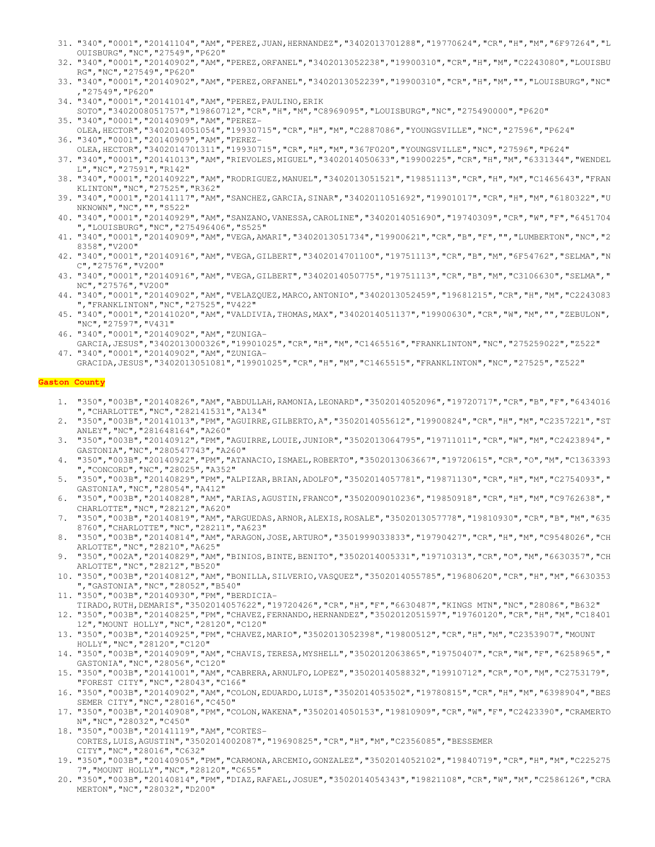- 31. "340","0001","20141104","AM","PEREZ,JUAN,HERNANDEZ","3402013701288","19770624","CR","H","M","6F97264","L OUISBURG","NC","27549","P620"
- 32. "340","0001","20140902","AM","PEREZ,ORFANEL","3402013052238","19900310","CR","H","M","C2243080","LOUISBU RG","NC","27549","P620"
- 33. "340","0001","20140902","AM","PEREZ,ORFANEL","3402013052239","19900310","CR","H","M","","LOUISBURG","NC" ,"27549","P620"
- 34. "340","0001","20141014","AM","PEREZ,PAULINO,ERIK
- SOTO","3402008051757","19860712","CR","H","M","C8969095","LOUISBURG","NC","275490000","P620"
- 35. "340","0001","20140909","AM","PEREZ-
- OLEA,HECTOR","3402014051054","19930715","CR","H","M","C2887086","YOUNGSVILLE","NC","27596","P624" 36. "340","0001","20140909","AM","PEREZ-
- OLEA,HECTOR","3402014701311","19930715","CR","H","M","367F020","YOUNGSVILLE","NC","27596","P624"
- 37. "340","0001","20141013","AM","RIEVOLES,MIGUEL","3402014050633","19900225","CR","H","M","6331344","WENDEL L","NC","27591","R142"
- 38. "340","0001","20140922","AM","RODRIGUEZ,MANUEL","3402013051521","19851113","CR","H","M","C1465643","FRAN KLINTON","NC","27525","R362"
- 39. "340","0001","20141117","AM","SANCHEZ,GARCIA,SINAR","3402011051692","19901017","CR","H","M","6180322","U NKNOWN","NC","","S522"
- 40. "340","0001","20140929","AM","SANZANO,VANESSA,CAROLINE","3402014051690","19740309","CR","W","F","6451704 ","LOUISBURG","NC","275496406","S525"
- 41. "340","0001","20140909","AM","VEGA,AMARI","3402013051734","19900621","CR","B","F","","LUMBERTON","NC","2 8358","V200"
- 42. "340","0001","20140916","AM","VEGA,GILBERT","3402014701100","19751113","CR","B","M","6F54762","SELMA","N C","27576","V200"
- 43. "340","0001","20140916","AM","VEGA,GILBERT","3402014050775","19751113","CR","B","M","C3106630","SELMA"," NC","27576","V200"
- 44. "340","0001","20140902","AM","VELAZQUEZ,MARCO,ANTONIO","3402013052459","19681215","CR","H","M","C2243083 ","FRANKLINTON","NC","27525","V422"
- 45. "340","0001","20141020","AM","VALDIVIA,THOMAS,MAX","3402014051137","19900630","CR","W","M","","ZEBULON", "NC","27597","V431"
- 46. "340","0001","20140902","AM","ZUNIGA-GARCIA,JESUS","3402013000326","19901025","CR","H","M","C1465516","FRANKLINTON","NC","275259022","Z522"
- 47. "340","0001","20140902","AM","ZUNIGA-GRACIDA,JESUS","3402013051081","19901025","CR","H","M","C1465515","FRANKLINTON","NC","27525","Z522"

# **Gaston County**

- 1. "350","003B","20140826","AM","ABDULLAH,RAMONIA,LEONARD","3502014052096","19720717","CR","B","F","6434016 ","CHARLOTTE","NC","282141531","A134"
- 2. "350","003B","20141013","PM","AGUIRRE,GILBERTO,A","3502014055612","19900824","CR","H","M","C2357221","ST ANLEY","NC","281648164","A260"
- 3. "350","003B","20140912","PM","AGUIRRE,LOUIE,JUNIOR","3502013064795","19711011","CR","W","M","C2423894"," GASTONIA","NC","280547743","A260"
- 4. "350","003B","20140922","PM","ATANACIO,ISMAEL,ROBERTO","3502013063667","19720615","CR","O","M","C1363393 ","CONCORD","NC","28025","A352"
- 5. "350","003B","20140829","PM","ALPIZAR,BRIAN,ADOLFO","3502014057781","19871130","CR","H","M","C2754093"," GASTONIA","NC","28054","A412"
- 6. "350","003B","20140828","AM","ARIAS,AGUSTIN,FRANCO","3502009010236","19850918","CR","H","M","C9762638"," CHARLOTTE","NC","28212","A620"
- 7. "350","003B","20140819","AM","ARGUEDAS,ARNOR,ALEXIS,ROSALE","3502013057778","19810930","CR","B","M","635 8760","CHARLOTTE","NC","28211","A623"
- 8. "350","003B","20140814","AM","ARAGON,JOSE,ARTURO","3501999033833","19790427","CR","H","M","C9548026","CH ARLOTTE","NC","28210","A625"
- 9. "350", "002A", "20140829", "AM", "BINIOS, BINTE, BENITO", "3502014005331", "19710313", "CR", "O", "M", "6630357", "CH ARLOTTE","NC","28212","B520"
- 10. "350","003B","20140812","AM","BONILLA,SILVERIO,VASQUEZ","3502014055785","19680620","CR","H","M","6630353 ","GASTONIA","NC","28052","B540"
- 11. "350","003B","20140930","PM","BERDICIA-
- TIRADO,RUTH,DEMARIS","3502014057622","19720426","CR","H","F","6630487","KINGS MTN","NC","28086","B632" 12. "350","003B","20140825","PM","CHAVEZ,FERNANDO,HERNANDEZ","3502012051597","19760120","CR","H","M","C18401
- 12","MOUNT HOLLY","NC","28120","C120"
- 13. "350","003B","20140925","PM","CHAVEZ,MARIO","3502013052398","19800512","CR","H","M","C2353907","MOUNT HOLLY","NC","28120","C120"
- 14. "350","003B","20140909","AM","CHAVIS,TERESA,MYSHELL","3502012063865","19750407","CR","W","F","6258965"," GASTONIA","NC","28056","C120"
- 15. "350","003B","20141001","AM","CABRERA,ARNULFO,LOPEZ","3502014058832","19910712","CR","O","M","C2753179", "FOREST CITY","NC","28043","C166"
- 16. "350","003B","20140902","AM","COLON,EDUARDO,LUIS","3502014053502","19780815","CR","H","M","6398904","BES SEMER CITY","NC","28016","C450"
- 17. "350","003B","20140908","PM","COLON,WAKENA","3502014050153","19810909","CR","W","F","C2423390","CRAMERTO N","NC","28032","C450"
- 18. "350","003B","20141119","AM","CORTES-CORTES,LUIS,AGUSTIN","3502014002087","19690825","CR","H","M","C2356085","BESSEMER CITY","NC","28016","C632"
- 19. "350","003B","20140905","PM","CARMONA,ARCEMIO,GONZALEZ","3502014052102","19840719","CR","H","M","C225275 7","MOUNT HOLLY","NC","28120","C655"
- 20. "350","003B","20140814","PM","DIAZ,RAFAEL,JOSUE","3502014054343","19821108","CR","W","M","C2586126","CRA MERTON","NC","28032","D200"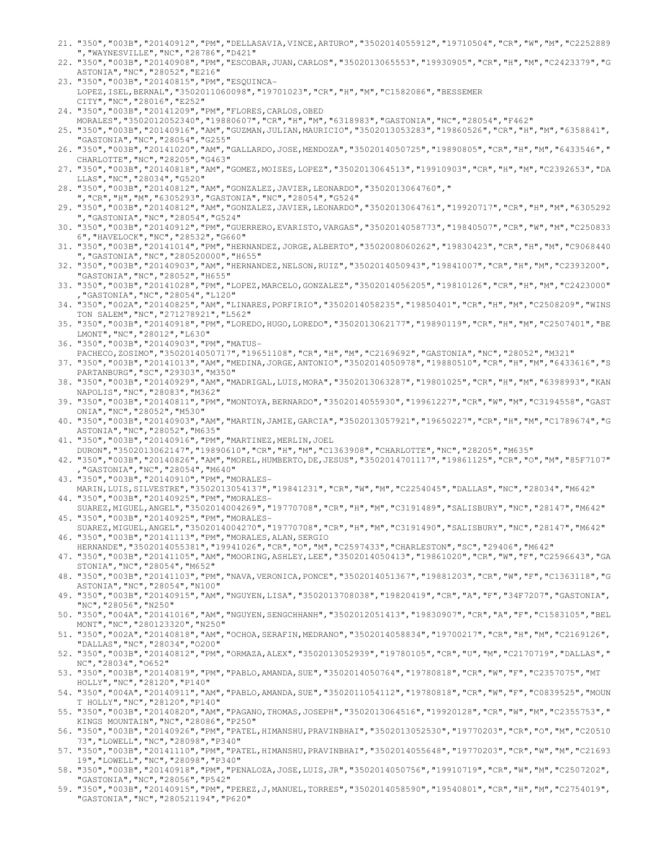- 21. "350","003B","20140912","PM","DELLASAVIA,VINCE,ARTURO","3502014055912","19710504","CR","W","M","C2252889 ","WAYNESVILLE","NC","28786","D421"
- 22. "350","003B","20140908","PM","ESCOBAR,JUAN,CARLOS","3502013065553","19930905","CR","H","M","C2423379","G ASTONIA","NC","28052","E216"
- 23. "350","003B","20140815","PM","ESQUINCA-LOPEZ,ISEL,BERNAL","3502011060098","19701023","CR","H","M","C1582086","BESSEMER CITY","NC","28016","E252"
- 24. "350","003B","20141209","PM","FLORES,CARLOS,OBED
- MORALES","3502012052340","19880607","CR","H","M","6318983","GASTONIA","NC","28054","F462"
- 25. "350","003B","20140916","AM","GUZMAN,JULIAN,MAURICIO","3502013053283","19860526","CR","H","M","6358841", "GASTONIA","NC","28054","G255"
- 26. "350","003B","20141020","AM","GALLARDO,JOSE,MENDOZA","3502014050725","19890805","CR","H","M","6433546"," CHARLOTTE","NC","28205","G463"
- 27. "350","003B","20140818","AM","GOMEZ,MOISES,LOPEZ","3502013064513","19910903","CR","H","M","C2392653","DA LLAS","NC","28034","G520"
- 28. "350","003B","20140812","AM","GONZALEZ,JAVIER,LEONARDO","3502013064760","
- ","CR","H","M","6305293","GASTONIA","NC","28054","G524"
- 29. "350","003B","20140812","AM","GONZALEZ,JAVIER,LEONARDO","3502013064761","19920717","CR","H","M","6305292 ","GASTONIA","NC","28054","G524"
- 30. "350","003B","20140912","PM","GUERRERO,EVARISTO,VARGAS","3502014058773","19840507","CR","W","M","C250833 6","HAVELOCK","NC","28532","G660"
- 31. "350","003B","20141014","PM","HERNANDEZ,JORGE,ALBERTO","3502008060262","19830423","CR","H","M","C9068440 ","GASTONIA","NC","280520000","H655"
- 32. "350","003B","20140903","AM","HERNANDEZ,NELSON,RUIZ","3502014050943","19841007","CR","H","M","C2393200", "GASTONIA","NC","28052","H655"
- 33. "350","003B","20141028","PM","LOPEZ,MARCELO,GONZALEZ","3502014056205","19810126","CR","H","M","C2423000" ,"GASTONIA","NC","28054","L120"
- 34. "350","002A","20140825","AM","LINARES,PORFIRIO","3502014058235","19850401","CR","H","M","C2508209","WINS TON SALEM","NC","271278921","L562"
- 35. "350","003B","20140918","PM","LOREDO,HUGO,LOREDO","3502013062177","19890119","CR","H","M","C2507401","BE LMONT","NC","28012","L630"
- 36. "350","003B","20140903","PM","MATUS-
- PACHECO,ZOSIMO","3502014050717","19651108","CR","H","M","C2169692","GASTONIA","NC","28052","M321"
- 37. "350","003B","20141013","AM","MEDINA,JORGE,ANTONIO","3502014050978","19880510","CR","H","M","6433616","S PARTANBURG","SC","29303","M350"
- 38. "350","003B","20140929","AM","MADRIGAL,LUIS,MORA","3502013063287","19801025","CR","H","M","6398993","KAN NAPOLIS","NC","28083","M362"
- 39. "350","003B","20140811","PM","MONTOYA,BERNARDO","3502014055930","19961227","CR","W","M","C3194558","GAST ONIA","NC","28052","M530"
- 40. "350","003B","20140903","AM","MARTIN,JAMIE,GARCIA","3502013057921","19650227","CR","H","M","C1789674","G ASTONIA","NC","28052","M635"
- 41. "350","003B","20140916","PM","MARTINEZ,MERLIN,JOEL
- DURON","3502013062147","19890610","CR","H","M","C1363908","CHARLOTTE","NC","28205","M635"
- 42. "350","003B","20140826","AM","MOREL,HUMBERTO,DE,JESUS","3502014701117","19861125","CR","O","M","85F7107" ,"GASTONIA","NC","28054","M640"
- 43. "350","003B","20140910","PM","MORALES-MARIN,LUIS,SILVESTRE","3502013054137","19841231","CR","W","M","C2254045","DALLAS","NC","28034","M642"
- 44. "350","003B","20140925","PM","MORALES-SUAREZ,MIGUEL,ANGEL","3502014004269","19770708","CR","H","M","C3191489","SALISBURY","NC","28147","M642" 45. "350","003B","20140925","PM","MORALES-
- SUAREZ,MIGUEL,ANGEL","3502014004270","19770708","CR","H","M","C3191490","SALISBURY","NC","28147","M642" 46. "350","003B","20141113","PM","MORALES,ALAN,SERGIO
- HERNANDE","3502014055381","19941026","CR","O","M","C2597433","CHARLESTON","SC","29406","M642"
- 47. "350","003B","20141105","AM","MOORING,ASHLEY,LEE","3502014050413","19861020","CR","W","F","C2596643","GA STONIA","NC","28054","M652"
- 48. "350","003B","20141103","PM","NAVA,VERONICA,PONCE","3502014051367","19881203","CR","W","F","C1363118","G ASTONIA","NC","28054","N100"
- 49. "350","003B","20140915","AM","NGUYEN,LISA","3502013708038","19820419","CR","A","F","34F7207","GASTONIA", "NC","28056","N250"
- 50. "350","004A","20141016","AM","NGUYEN,SENGCHHANH","3502012051413","19830907","CR","A","F","C1583105","BEL MONT","NC","280123320","N250"
- 51. "350","002A","20140818","AM","OCHOA,SERAFIN,MEDRANO","3502014058834","19700217","CR","H","M","C2169126", "DALLAS","NC","28034","O200"
- 52. "350","003B","20140812","PM","ORMAZA,ALEX","3502013052939","19780105","CR","U","M","C2170719","DALLAS"," NC","28034","O652"
- 53. "350","003B","20140819","PM","PABLO,AMANDA,SUE","3502014050764","19780818","CR","W","F","C2357075","MT HOLLY","NC","28120","P140"
- 54. "350","004A","20140911","AM","PABLO,AMANDA,SUE","3502011054112","19780818","CR","W","F","C0839525","MOUN T HOLLY","NC","28120","P140"
- 55. "350","003B","20140820","AM","PAGANO,THOMAS,JOSEPH","3502013064516","19920128","CR","W","M","C2355753"," KINGS MOUNTAIN","NC","28086","P250"
- 56. "350","003B","20140926","PM","PATEL,HIMANSHU,PRAVINBHAI","3502013052530","19770203","CR","O","M","C20510 73","LOWELL","NC","28098","P340"
- 57. "350","003B","20141110","PM","PATEL,HIMANSHU,PRAVINBHAI","3502014055648","19770203","CR","W","M","C21693 19","LOWELL","NC","28098","P340"
- 58. "350","003B","20140918","PM","PENALOZA,JOSE,LUIS,JR","3502014050756","19910719","CR","W","M","C2507202", "GASTONIA","NC","28056","P542"
- 59. "350","003B","20140915","PM","PEREZ,J,MANUEL,TORRES","3502014058590","19540801","CR","H","M","C2754019", "GASTONIA","NC","280521194","P620"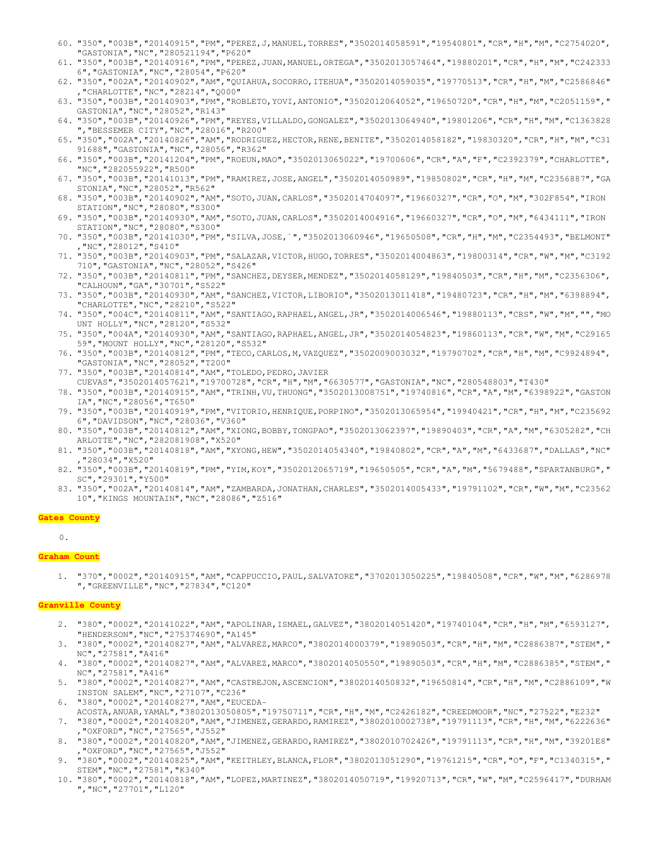- 60. "350","003B","20140915","PM","PEREZ,J,MANUEL,TORRES","3502014058591","19540801","CR","H","M","C2754020", "GASTONIA","NC","280521194","P620"
- 61. "350","003B","20140916","PM","PEREZ,JUAN,MANUEL,ORTEGA","3502013057464","19880201","CR","H","M","C242333 6","GASTONIA","NC","28054","P620"
- 62. "350","002A","20140902","AM","QUIAHUA,SOCORRO,ITEHUA","3502014059035","19770513","CR","H","M","C2586846" ,"CHARLOTTE","NC","28214","Q000"
- 63. "350","003B","20140903","PM","ROBLETO,YOVI,ANTONIO","3502012064052","19650720","CR","H","M","C2051159"," GASTONIA","NC","28052","R143"
- 64. "350","003B","20140926","PM","REYES,VILLALDO,GONGALEZ","3502013064940","19801206","CR","H","M","C1363828 ","BESSEMER CITY","NC","28016","R200"
- 65. "350","002A","20140826","AM","RODRIGUEZ,HECTOR,RENE,BENITE","3502014058182","19830320","CR","H","M","C31 91688","GASTONIA","NC","28056","R362"
- 66. "350","003B","20141204","PM","ROEUN,MAO","3502013065022","19700606","CR","A","F","C2392379","CHARLOTTE", "NC","282055922","R500"
- 67. "350","003B","20141013","PM","RAMIREZ,JOSE,ANGEL","3502014050989","19850802","CR","H","M","C2356887","GA STONIA","NC","28052","R562"
- 68. "350","003B","20140902","AM","SOTO,JUAN,CARLOS","3502014704097","19660327","CR","O","M","302F854","IRON STATION","NC","28080","S300"
- 69. "350","003B","20140930","AM","SOTO,JUAN,CARLOS","3502014004916","19660327","CR","O","M","6434111","IRON STATION","NC","28080","S300"
- 70. "350","003B","20141030","PM","SILVA,JOSE,`","3502013060946","19650508","CR","H","M","C2354493","BELMONT" ,"NC","28012","S410"
- 71. "350","003B","20140903","PM","SALAZAR,VICTOR,HUGO,TORRES","3502014004863","19800314","CR","W","M","C3192 710","GASTONIA","NC","28052","S426"
- 72. "350","003B","20140811","PM","SANCHEZ,DEYSER,MENDEZ","3502014058129","19840503","CR","H","M","C2356306", "CALHOUN","GA","30701","S522"
- 73. "350","003B","20140930","AM","SANCHEZ,VICTOR,LIBORIO","3502013011418","19480723","CR","H","M","6398894", "CHARLOTTE","NC","28210","S522"
- 74. "350","004C","20140811","AM","SANTIAGO,RAPHAEL,ANGEL,JR","3502014006546","19880113","CRS","W","M","","MO UNT HOLLY","NC","28120","S532"
- 75. "350","004A","20140930","AM","SANTIAGO,RAPHAEL,ANGEL,JR","3502014054823","19860113","CR","W","M","C29165 59","MOUNT HOLLY","NC","28120","S532"
- 76. "350","003B","20140812","PM","TECO,CARLOS,M,VAZQUEZ","3502009003032","19790702","CR","H","M","C9924894", "GASTONIA","NC","28052","T200"
- 77. "350","003B","20140814","AM","TOLEDO,PEDRO,JAVIER

CUEVAS","3502014057621","19700728","CR","H","M","6630577","GASTONIA","NC","280548803","T430"

- 78. "350","003B","20140915","AM","TRINH,VU,THUONG","3502013008751","19740816","CR","A","M","6398922","GASTON IA","NC","28056","T650"
- 79. "350","003B","20140919","PM","VITORIO,HENRIQUE,PORPINO","3502013065954","19940421","CR","H","M","C235692 6","DAVIDSON","NC","28036","V360"
- 80. "350","003B","20140812","AM","XIONG,BOBBY,TONGPAO","3502013062397","19890403","CR","A","M","6305282","CH ARLOTTE","NC","282081908","X520"
- 81. "350","003B","20140818","AM","XYONG,HEW","3502014054340","19840802","CR","A","M","6433687","DALLAS","NC" ,"28034","X520"
- 82. "350","003B","20140819","PM","YIM,KOY","3502012065719","19650505","CR","A","M","5679488","SPARTANBURG"," SC","29301","Y500"
- 83. "350","002A","20140814","AM","ZAMBARDA,JONATHAN,CHARLES","3502014005433","19791102","CR","W","M","C23562 10","KINGS MOUNTAIN","NC","28086","Z516"

### **Gates County**

 $\Omega$ 

## **Graham Count**

1. "370","0002","20140915","AM","CAPPUCCIO,PAUL,SALVATORE","3702013050225","19840508","CR","W","M","6286978 ","GREENVILLE","NC","27834","C120"

### **Granville County**

- 2. "380","0002","20141022","AM","APOLINAR,ISMAEL,GALVEZ","3802014051420","19740104","CR","H","M","6593127", "HENDERSON","NC","275374690","A145"
- 3. "380","0002","20140827","AM","ALVAREZ,MARCO","3802014000379","19890503","CR","H","M","C2886387","STEM"," NC","27581","A416"
- 4. "380","0002","20140827","AM","ALVAREZ,MARCO","3802014050550","19890503","CR","H","M","C2886385","STEM"," NC","27581","A416"
- 5. "380","0002","20140827","AM","CASTREJON,ASCENCION","3802014050832","19650814","CR","H","M","C2886109","W INSTON SALEM","NC","27107","C236"
- 6. "380","0002","20140827","AM","EUCEDA-
- ACOSTA,ANUAR,YAMAL","3802013050805","19750711","CR","H","M","C2426182","CREEDMOOR","NC","27522","E232"
- 7. "380","0002","20140820","AM","JIMENEZ,GERARDO,RAMIREZ","3802010002738","19791113","CR","H","M","6222636" ,"OXFORD","NC","27565","J552"
- 8. "380","0002","20140820","AM","JIMENEZ,GERARDO,RAMIREZ","3802010702426","19791113","CR","H","M","39201E8" ,"OXFORD","NC","27565","J552"
- 9. "380","0002","20140825","AM","KEITHLEY,BLANCA,FLOR","3802013051290","19761215","CR","O","F","C1340315"," STEM","NC","27581","K340"
- 10. "380","0002","20140818","AM","LOPEZ,MARTINEZ","3802014050719","19920713","CR","W","M","C2596417","DURHAM ","NC","27701","L120"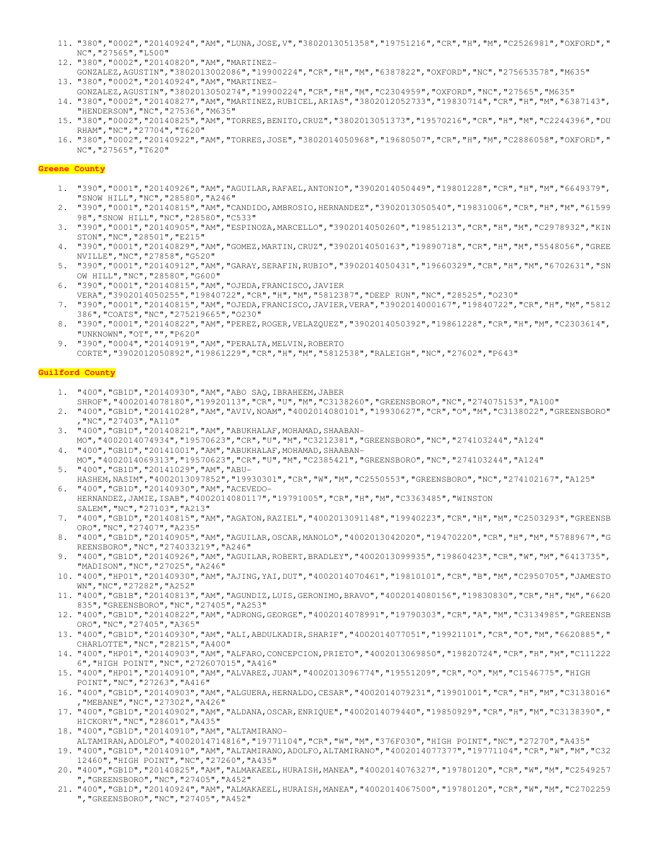- 11. "380","0002","20140924","AM","LUNA,JOSE,V","3802013051358","19751216","CR","H","M","C2526981","OXFORD"," NC","27565","L500"
- 12. "380","0002","20140820","AM","MARTINEZ-
- GONZALEZ,AGUSTIN","3802013002086","19900224","CR","H","M","6387822","OXFORD","NC","275653578","M635" 13. "380","0002","20140924","AM","MARTINEZ-
- GONZALEZ,AGUSTIN","3802013050274","19900224","CR","H","M","C2304959","OXFORD","NC","27565","M635"
- 14. "380","0002","20140827","AM","MARTINEZ,RUBICEL,ARIAS","3802012052733","19830714","CR","H","M","6387143", "HENDERSON","NC","27536","M635"
- 15. "380","0002","20140825","AM","TORRES,BENITO,CRUZ","3802013051373","19570216","CR","H","M","C2244396","DU RHAM","NC","27704","T620"
- 16. "380","0002","20140922","AM","TORRES,JOSE","3802014050968","19680507","CR","H","M","C2886058","OXFORD"," NC","27565","T620"

## **Greene County**

- 1. "390","0001","20140926","AM","AGUILAR,RAFAEL,ANTONIO","3902014050449","19801228","CR","H","M","6649379", "SNOW HILL","NC","28580","A246"
- 2. "390","0001","20140815","AM","CANDIDO,AMBROSIO,HERNANDEZ","3902013050540","19831006","CR","H","M","61599 98","SNOW HILL","NC","28580","C533"
- 3. "390","0001","20140905","AM","ESPINOZA,MARCELLO","3902014050260","19851213","CR","H","M","C2978932","KIN STON","NC","28501","E215"
- 4. "390","0001","20140829","AM","GOMEZ,MARTIN,CRUZ","3902014050163","19890718","CR","H","M","5548056","GREE NVILLE","NC","27858","G520"
- 5. "390","0001","20140912","AM","GARAY,SERAFIN,RUBIO","3902014050431","19660329","CR","H","M","6702631","SN OW HILL","NC","28580","G600"
- 6. "390","0001","20140815","AM","OJEDA,FRANCISCO,JAVIER
- VERA","3902014050255","19840722","CR","H","M","5812387","DEEP RUN","NC","28525","O230"
- 7. "390","0001","20140815","AM","OJEDA,FRANCISCO,JAVIER,VERA","3902014000167","19840722","CR","H","M","5812 386","COATS","NC","275219665","O230"
- 8. "390","0001","20140822","AM","PEREZ,ROGER,VELAZQUEZ","3902014050392","19861228","CR","H","M","C2303614", "UNKNOWN","OT","","P620"
- 9. "390", "0004", "20140919", "AM", "PERALTA, MELVIN, ROBERTO
- CORTE","3902012050892","19861229","CR","H","M","5812538","RALEIGH","NC","27602","P643"

### **Guilford County**

- 1. "400","GB1D","20140930","AM","ABO SAQ,IBRAHEEM,JABER
- SHROF","4002014078180","19920113","CR","U","M","C3138260","GREENSBORO","NC","274075153","A100"
- 2. "400","GB1D","20141028","AM","AVIV,NOAM","4002014080101","19930627","CR","O","M","C3138022","GREENSBORO" ,"NC","27403","A110"
- 3. "400", "GB1D", "20140821", "AM", "ABUKHALAF, MOHAMAD, SHAABAN-MO","4002014074934","19570623","CR","U","M","C3212381","GREENSBORO","NC","274103244","A124"
- 4. "400", "GB1D", "20141001", "AM", "ABUKHALAF, MOHAMAD, SHAABAN-
- MO","4002014069313","19570623","CR","U","M","C2385421","GREENSBORO","NC","274103244","A124" 5. "400","GB1D","20141029","AM","ABU-
- HASHEM,NASIM","4002013097852","19930301","CR","W","M","C2550553","GREENSBORO","NC","274102167","A125" 6. "400","GB1D","20140930","AM","ACEVEDO-
- HERNANDEZ,JAMIE,ISAB","4002014080117","19791005","CR","H","M","C3363485","WINSTON SALEM","NC","27103","A213"
- 7. "400","GB1D","20140815","AM","AGATON,RAZIEL","4002013091148","19940223","CR","H","M","C2503293","GREENSB ORO","NC","27407","A235"
- 8. "400","GB1D","20140905","AM","AGUILAR,OSCAR,MANOLO","4002013042020","19470220","CR","H","M","5788967","G REENSBORO","NC","274033219","A246"
- 9. "400","GB1D","20140926","AM","AGUILAR,ROBERT,BRADLEY","4002013099935","19860423","CR","W","M","6413735", "MADISON","NC","27025","A246"
- 10. "400","HP01","20140930","AM","AJING,YAI,DUT","4002014070461","19810101","CR","B","M","C2950705","JAMESTO WN","NC","27282","A252"
- 11. "400","GB1B","20140813","AM","AGUNDIZ,LUIS,GERONIMO,BRAVO","4002014080156","19830830","CR","H","M","6620 835","GREENSBORO","NC","27405","A253"
- 12. "400","GB1D","20140822","AM","ADRONG,GEORGE","4002014078991","19790303","CR","A","M","C3134985","GREENSB ORO","NC","27405","A365"
- 13. "400","GB1D","20140930","AM","ALI,ABDULKADIR,SHARIF","4002014077051","19921101","CR","O","M","6620885"," CHARLOTTE","NC","28215","A400"
- 14. "400","HP01","20140903","AM","ALFARO,CONCEPCION,PRIETO","4002013069850","19820724","CR","H","M","C111222 6","HIGH POINT","NC","272607015","A416"
- 15. "400", "HP01", "20140910", "AM", "ALVAREZ, JUAN", "4002013096774", "19551209", "CR", "O", "M", "C1546775", "HIGH POINT","NC","27263","A416"
- 16. "400","GB1D","20140903","AM","ALGUERA,HERNALDO,CESAR","4002014079231","19901001","CR","H","M","C3138016" ,"MEBANE","NC","27302","A426"
- 17. "400","GB1D","20140902","AM","ALDANA,OSCAR,ENRIQUE","4002014079440","19850929","CR","H","M","C3138390"," HICKORY","NC","28601","A435"
- 18. "400","GB1D","20140910","AM","ALTAMIRANO-
- ALTAMIRAN,ADOLFO","4002014714816","19771104","CR","W","M","376F030","HIGH POINT","NC","27270","A435"
- 19. "400","GB1D","20140910","AM","ALTAMIRANO,ADOLFO,ALTAMIRANO","4002014077377","19771104","CR","W","M","C32 12460","HIGH POINT","NC","27260","A435"
- 20. "400","GB1D","20140825","AM","ALMAKAEEL,HURAISH,MANEA","4002014076327","19780120","CR","W","M","C2549257 ","GREENSBORO","NC","27405","A452"
- 21. "400","GB1D","20140924","AM","ALMAKAEEL,HURAISH,MANEA","4002014067500","19780120","CR","W","M","C2702259 ","GREENSBORO","NC","27405","A452"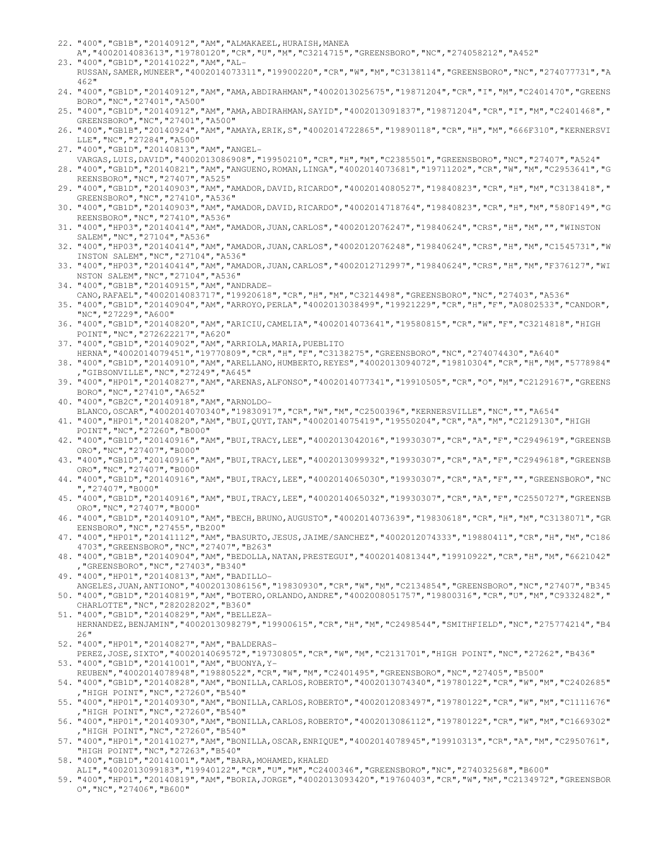- 22. "400","GB1B","20140912","AM","ALMAKAEEL,HURAISH,MANEA
- A","4002014083613","19780120","CR","U","M","C3214715","GREENSBORO","NC","274058212","A452" 23. "400","GB1D","20141022","AM","AL-
- RUSSAN,SAMER,MUNEER","4002014073311","19900220","CR","W","M","C3138114","GREENSBORO","NC","274077731","A 462"
- 24. "400","GB1D","20140912","AM","AMA,ABDIRAHMAN","4002013025675","19871204","CR","I","M","C2401470","GREENS BORO","NC","27401","A500"
- 25. "400","GB1D","20140912","AM","AMA,ABDIRAHMAN,SAYID","4002013091837","19871204","CR","I","M","C2401468"," GREENSBORO","NC","27401","A500"
- 26. "400","GB1B","20140924","AM","AMAYA,ERIK,S","4002014722865","19890118","CR","H","M","666F310","KERNERSVI LLE","NC","27284","A500"
- 27. "400","GB1D","20140813","AM","ANGEL-
- VARGAS,LUIS,DAVID","4002013086908","19950210","CR","H","M","C2385501","GREENSBORO","NC","27407","A524" 28. "400","GB1D","20140821","AM","ANGUENO,ROMAN,LINGA","4002014073681","19711202","CR","W","M","C2953641","G
- REENSBORO","NC","27407","A525"
- 29. "400","GB1D","20140903","AM","AMADOR,DAVID,RICARDO","4002014080527","19840823","CR","H","M","C3138418"," GREENSBORO","NC","27410","A536"
- 30. "400","GB1D","20140903","AM","AMADOR,DAVID,RICARDO","4002014718764","19840823","CR","H","M","580F149","G REENSBORO","NC","27410","A536"
- 31. "400","HP03","20140414","AM","AMADOR,JUAN,CARLOS","4002012076247","19840624","CRS","H","M","","WINSTON SALEM","NC","27104","A536"
- 32. "400","HP03","20140414","AM","AMADOR,JUAN,CARLOS","4002012076248","19840624","CRS","H","M","C1545731","W INSTON SALEM","NC","27104","A536"
- 33. "400","HP03","20140414","AM","AMADOR,JUAN,CARLOS","4002012712997","19840624","CRS","H","M","F376127","WI NSTON SALEM","NC","27104","A536"
- 34. "400","GB1B","20140915","AM","ANDRADE-
- CANO,RAFAEL","4002014083717","19920618","CR","H","M","C3214498","GREENSBORO","NC","27403","A536"
- 35. "400","GB1D","20140904","AM","ARROYO,PERLA","4002013038499","19921229","CR","H","F","A0802533","CANDOR", "NC","27229","A600"
- 36. "400","GB1D","20140820","AM","ARICIU,CAMELIA","4002014073641","19580815","CR","W","F","C3214818","HIGH POINT","NC","272622217","A620"
- 37. "400","GB1D","20140902","AM","ARRIOLA,MARIA,PUEBLITO
- HERNA","4002014079451","19770809","CR","H","F","C3138275","GREENSBORO","NC","274074430","A640" 38. "400","GB1D","20140910","AM","ARELLANO,HUMBERTO,REYES","4002013094072","19810304","CR","H","M","5778984"
- ,"GIBSONVILLE","NC","27249","A645" 39. "400","HP01","20140827","AM","ARENAS,ALFONSO","4002014077341","19910505","CR","O","M","C2129167","GREENS
- BORO","NC","27410","A652"
- 40. "400","GB2C","20140918","AM","ARNOLDO-
- BLANCO,OSCAR","4002014070340","19830917","CR","W","M","C2500396","KERNERSVILLE","NC","","A654"
- 41. "400","HP01","20140820","AM","BUI,QUYT,TAN","4002014075419","19550204","CR","A","M","C2129130","HIGH POINT","NC","27260","B000"
- 42. "400","GB1D","20140916","AM","BUI,TRACY,LEE","4002013042016","19930307","CR","A","F","C2949619","GREENSB ORO","NC","27407","B000"
- 43. "400","GB1D","20140916","AM","BUI,TRACY,LEE","4002013099932","19930307","CR","A","F","C2949618","GREENSB ORO","NC","27407","B000"
- 44. "400","GB1D","20140916","AM","BUI,TRACY,LEE","4002014065030","19930307","CR","A","F","","GREENSBORO","NC ","27407","B000"
- 45. "400","GB1D","20140916","AM","BUI,TRACY,LEE","4002014065032","19930307","CR","A","F","C2550727","GREENSB ORO","NC","27407","B000"
- 46. "400","GB1D","20140910","AM","BECH,BRUNO,AUGUSTO","4002014073639","19830618","CR","H","M","C3138071","GR EENSBORO","NC","27455","B200"
- 47. "400","HP01","20141112","AM","BASURTO,JESUS,JAIME/SANCHEZ","4002012074333","19880411","CR","H","M","C186 4703","GREENSBORO","NC","27407","B263"
- 48. "400","GB1B","20140904","AM","BEDOLLA,NATAN,PRESTEGUI","4002014081344","19910922","CR","H","M","6621042" ,"GREENSBORO","NC","27403","B340"
- 49. "400","HP01","20140813","AM","BADILLO-ANGELES,JUAN,ANTIONO","4002013086156","19830930","CR","W","M","C2134854","GREENSBORO","NC","27407","B345
- 50. "400","GB1D","20140819","AM","BOTERO,ORLANDO,ANDRE","4002008051757","19800316","CR","U","M","C9332482"," CHARLOTTE","NC","282028202","B360"
- 51. "400","GB1D","20140829","AM","BELLEZA-HERNANDEZ, BENJAMIN", "4002013098279", "19900615", "CR", "H", "M", "C2498544", "SMITHFIELD", "NC", "275774214", "B4 26"
- 52. "400","HP01","20140827","AM","BALDERAS-
- PEREZ,JOSE,SIXTO","4002014069572","19730805","CR","W","M","C2131701","HIGH POINT","NC","27262","B436" 53. "400","GB1D","20141001","AM","BUONYA,Y-
- REUBEN","4002014078948","19880522","CR","W","M","C2401495","GREENSBORO","NC","27405","B500"
- 54. "400","GB1D","20140828","AM","BONILLA,CARLOS,ROBERTO","4002013074340","19780122","CR","W","M","C2402685" ,"HIGH POINT","NC","27260","B540"
- 55. "400","HP01","20140930","AM","BONILLA,CARLOS,ROBERTO","4002012083497","19780122","CR","W","M","C1111676" ,"HIGH POINT","NC","27260","B540"
- 56. "400","HP01","20140930","AM","BONILLA,CARLOS,ROBERTO","4002013086112","19780122","CR","W","M","C1669302" ,"HIGH POINT","NC","27260","B540"
- 57. "400","HP01","20141027","AM","BONILLA,OSCAR,ENRIQUE","4002014078945","19910313","CR","A","M","C2950761", "HIGH POINT","NC","27263","B540"
- 58. "400","GB1D","20141001","AM","BARA,MOHAMED,KHALED ALI","4002013099183","19940122","CR","U","M","C2400346","GREENSBORO","NC","274032568","B600"
- 59. "400","HP01","20140819","AM","BORIA,JORGE","4002013093420","19760403","CR","W","M","C2134972","GREENSBOR O","NC","27406","B600"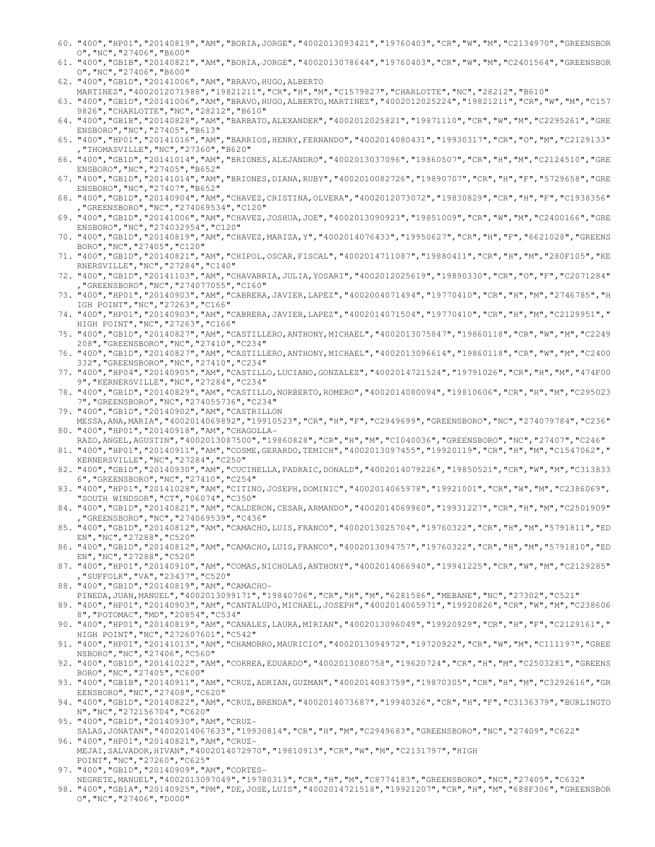- 60. "400","HP01","20140819","AM","BORIA,JORGE","4002013093421","19760403","CR","W","M","C2134970","GREENSBOR O","NC","27406","B600"
- 61. "400","GB1B","20140821","AM","BORIA,JORGE","4002013078644","19760403","CR","W","M","C2401564","GREENSBOR O","NC","27406","B600"
- 62. "400","GB1D","20141006","AM","BRAVO,HUGO,ALBERTO
- MARTINEZ","4002012071988","19821211","CR","H","M","C1579827","CHARLOTTE","NC","28212","B610"
- 63. "400","GB1D","20141006","AM","BRAVO,HUGO,ALBERTO,MARTINEZ","4002012025224","19821211","CR","W","M","C157 9826","CHARLOTTE","NC","28212","B610"
- 64. "400","GB1B","20140828","AM","BARBATO,ALEXANDER","4002012025821","19871110","CR","W","M","C2295261","GRE ENSBORO","NC","27405","B613"
- 65. "400","HP01","20141016","AM","BARRIOS,HENRY,FERNANDO","4002014080431","19930317","CR","O","M","C2129133" ,"THOMASVILLE","NC","27360","B620"
- 66. "400","GB1D","20141014","AM","BRIONES,ALEJANDRO","4002013037096","19860507","CR","H","M","C2124510","GRE ENSBORO","NC","27405","B652"
- 67. "400","GB1D","20141014","AM","BRIONES,DIANA,RUBY","4002010082726","19890707","CR","H","F","5729658","GRE ENSBORO","NC","27407","B652"
- 68. "400","GB1D","20140904","AM","CHAVEZ,CRISTINA,OLVERA","4002012073072","19830829","CR","H","F","C1938356" ,"GREENSBORO","NC","274069534","C120"
- 69. "400","GB1D","20141006","AM","CHAVEZ,JOSHUA,JOE","4002013090923","19851009","CR","W","M","C2400166","GRE ENSBORO","NC","274032954","C120"
- 70. "400","GB1D","20140819","AM","CHAVEZ,MARIZA,Y","4002014076433","19950627","CR","H","F","6621028","GREENS BORO","NC","27405","C120"
- 71. "400","GB1D","20140821","AM","CHIPOL,OSCAR,FISCAL","4002014711087","19880411","CR","H","M","280F105","KE RNERSVILLE","NC","27284","C140"
- 72. "400","GB1D","20141103","AM","CHAVARRIA,JULIA,YOSARI","4002012025619","19890330","CR","O","F","C2071284" ,"GREENSBORO","NC","274077055","C160"
- 73. "400","HP01","20140903","AM","CABRERA,JAVIER,LAPEZ","4002004071494","19770410","CR","H","M","2746785","H IGH POINT","NC","27263","C166"
- 74. "400","HP01","20140903","AM","CABRERA,JAVIER,LAPEZ","4002014071504","19770410","CR","H","M","C2129951"," HIGH POINT","NC","27263","C166"
- 75. "400","GB1D","20140827","AM","CASTILLERO,ANTHONY,MICHAEL","4002013075847","19860118","CR","W","M","C2249 208","GREENSBORO","NC","27410","C234"
- 76. "400","GB1D","20140827","AM","CASTILLERO,ANTHONY,MICHAEL","4002013096614","19860118","CR","W","M","C2400 332","GREENSBORO","NC","27410","C234"
- 77. "400","HP04","20140905","AM","CASTILLO,LUCIANO,GONZALEZ","4002014721524","19791026","CR","H","M","474F00 9","KERNERSVILLE","NC","27284","C234"
- 78. "400","GB1D","20140829","AM","CASTILLO,NORBERTO,ROMERO","4002014080094","19810606","CR","H","M","C295023 7","GREENSBORO","NC","274055736","C234"
- 79. "400","GB1D","20140902","AM","CASTRILLON MESSA,ANA,MARIA","4002014069892","19910523","CR","H","F","C2949699","GREENSBORO","NC","274079784","C236" 80. "400","HP01","20140918","AM","CHAGOLLA-
- RAZO,ANGEL,AGUSTIN","4002013087500","19860828","CR","H","M","C1040036","GREENSBORO","NC","27407","C246" 81. "400","HP01","20140911","AM","COSME,GERARDO,TEMICH","4002013097455","19920119","CR","H","M","C1547062","
- KERNERSVILLE","NC","27284","C250"
- 82. "400","GB1D","20140930","AM","CUCINELLA,PADRAIC,DONALD","4002014079226","19850521","CR","W","M","C313833 6","GREENSBORO","NC","27410","C254"
- 83. "400","HP01","20141028","AM","CITINO,JOSEPH,DOMINIC","4002014065978","19921001","CR","W","M","C2386069", "SOUTH WINDSOR","CT","06074","C350"
- 84. "400","GB1D","20140821","AM","CALDERON,CESAR,ARMANDO","4002014069960","19931227","CR","H","M","C2501909" ,"GREENSBORO","NC","274069539","C436"
- 85. "400","GB1D","20140812","AM","CAMACHO,LUIS,FRANCO","4002013025704","19760322","CR","H","M","5791811","ED EN","NC","27288","C520"
- 86. "400","GB1D","20140812","AM","CAMACHO,LUIS,FRANCO","4002013094757","19760322","CR","H","M","5791810","ED EN","NC","27288","C520"
- 87. "400","HP01","20140910","AM","COMAS,NICHOLAS,ANTHONY","4002014066940","19941225","CR","W","M","C2129285" ,"SUFFOLK","VA","23437","C520"
- 88. "400","GB1D","20140819","AM","CAMACHO-
- PINEDA,JUAN,MANUEL","4002013099171","19840706","CR","H","M","6281586","MEBANE","NC","27302","C521"
- 89. "400","HP01","20140903","AM","CANTALUPO,MICHAEL,JOSEPH","4002014065971","19920826","CR","W","M","C238606 8","POTOMAC","MD","20854","C534"
- 90. "400","HP01","20140819","AM","CANALES,LAURA,MIRIAN","4002013096049","19920929","CR","H","F","C2129161"," HIGH POINT","NC","272607601","C542"
- 91. "400","HP01","20141013","AM","CHAMORRO,MAURICIO","4002013094972","19720922","CR","W","M","C111197","GREE NSBORO","NC","27406","C560"
- 92. "400","GB1D","20141022","AM","CORREA,EDUARDO","4002013080758","19620724","CR","H","M","C2503281","GREENS BORO","NC","27405","C600"
- 93. "400","GB1B","20140911","AM","CRUZ,ADRIAN,GUZMAN","4002014083759","19870305","CR","H","M","C3292616","GR EENSBORO","NC","27408","C620"
- 94. "400","GB1D","20140822","AM","CRUZ,BRENDA","4002014073687","19940326","CR","H","F","C3136379","BURLINGTO N","NC","272156704","C620"
- 95. "400", "GB1D", "20140930", "AM", "CRUZ-
- SALAS,JONATAN","4002014067633","19930814","CR","H","M","C2949683","GREENSBORO","NC","27409","C622" 96. "400", "HP01", "20140821", "AM", "CRUZ-
- MEJAI,SALVADOR,HIVAN","4002014072970","19810913","CR","W","M","C2131797","HIGH POINT","NC","27260","C625"
- 97. "400","GB1D","20140909","AM","CORTES-
- NEGRETE,MANUEL","4002013097049","19780313","CR","H","M","C8774183","GREENSBORO","NC","27405","C632"
- 98. "400","GB1A","20140925","PM","DE,JOSE,LUIS","4002014721518","19921207","CR","H","M","688F306","GREENSBOR O","NC","27406","D000"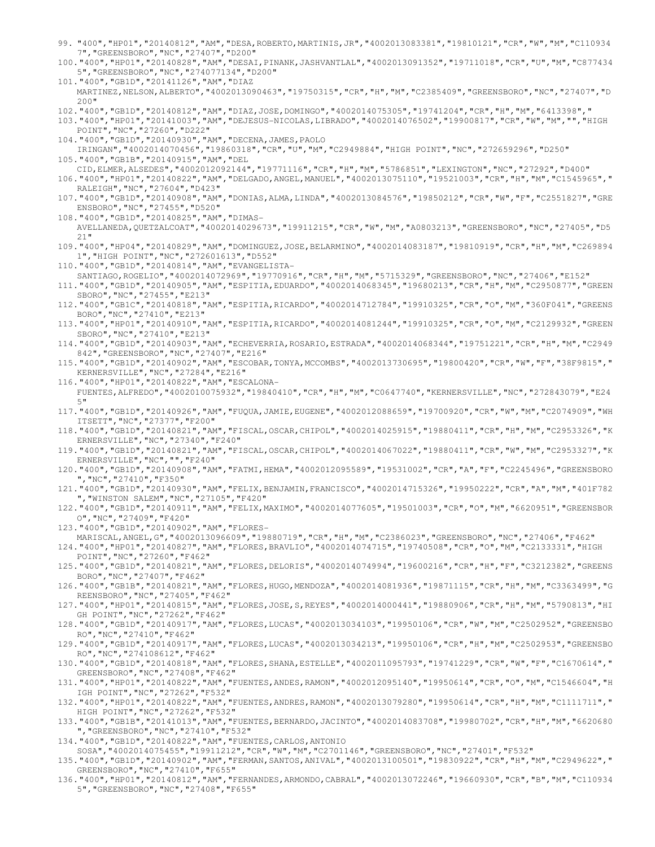- 99. "400","HP01","20140812","AM","DESA,ROBERTO,MARTINIS,JR","4002013083381","19810121","CR","W","M","C110934 7","GREENSBORO","NC","27407","D200"
- 100."400","HP01","20140828","AM","DESAI,PINANK,JASHVANTLAL","4002013091352","19711018","CR","U","M","C877434 5","GREENSBORO","NC","274077134","D200"
- 101."400","GB1D","20141126","AM","DIAZ MARTINEZ,NELSON,ALBERTO","4002013090463","19750315","CR","H","M","C2385409","GREENSBORO","NC","27407","D 200"
- 102."400","GB1D","20140812","AM","DIAZ,JOSE,DOMINGO","4002014075305","19741204","CR","H","M","6413398","
- 103."400","HP01","20141003","AM","DEJESUS-NICOLAS,LIBRADO","4002014076502","19900817","CR","W","M","","HIGH POINT","NC","27260","D222"
- 104."400","GB1D","20140930","AM","DECENA,JAMES,PAOLO
- IRINGAN","4002014070456","19860318","CR","U","M","C2949884","HIGH POINT","NC","272659296","D250" 105."400","GB1B","20140915","AM","DEL
	- CID,ELMER,ALSEDES","4002012092144","19771116","CR","H","M","5786851","LEXINGTON","NC","27292","D400"
- 106."400","HP01","20140822","AM","DELGADO,ANGEL,MANUEL","4002013075110","19521003","CR","H","M","C1545965"," RALEIGH","NC","27604","D423"
- 107."400","GB1D","20140908","AM","DONIAS,ALMA,LINDA","4002013084576","19850212","CR","W","F","C2551827","GRE ENSBORO","NC","27455","D520"
- 108."400","GB1D","20140825","AM","DIMAS-
- AVELLANEDA,QUETZALCOAT","4002014029673","19911215","CR","W","M","A0803213","GREENSBORO","NC","27405","D5 21"
- 109."400","HP04","20140829","AM","DOMINGUEZ,JOSE,BELARMINO","4002014083187","19810919","CR","H","M","C269894 1","HIGH POINT","NC","272601613","D552"
- 110."400","GB1D","20140814","AM","EVANGELISTA-SANTIAGO,ROGELIO","4002014072969","19770916","CR","H","M","5715329","GREENSBORO","NC","27406","E152"
- 111."400","GB1D","20140905","AM","ESPITIA,EDUARDO","4002014068345","19680213","CR","H","M","C2950877","GREEN SBORO","NC","27455","E213"
- 112."400","GB1C","20140818","AM","ESPITIA,RICARDO","4002014712784","19910325","CR","O","M","360F041","GREENS BORO","NC","27410","E213"
- 113."400","HP01","20140910","AM","ESPITIA,RICARDO","4002014081244","19910325","CR","O","M","C2129932","GREEN SBORO","NC","27410","E213"
- 114."400","GB1D","20140903","AM","ECHEVERRIA,ROSARIO,ESTRADA","4002014068344","19751221","CR","H","M","C2949 842","GREENSBORO","NC","27407","E216"
- 115."400","GB1D","20140902","AM","ESCOBAR,TONYA,MCCOMBS","4002013730695","19800420","CR","W","F","38F9815"," KERNERSVILLE","NC","27284","E216"
- 116."400","HP01","20140822","AM","ESCALONA-FUENTES,ALFREDO","4002010075932","19840410","CR","H","M","C0647740","KERNERSVILLE","NC","272843079","E24 5"
- 117."400","GB1D","20140926","AM","FUQUA,JAMIE,EUGENE","4002012088659","19700920","CR","W","M","C2074909","WH ITSETT","NC","27377","F200"
- 118."400","GB1D","20140821","AM","FISCAL,OSCAR,CHIPOL","4002014025915","19880411","CR","H","M","C2953326","K ERNERSVILLE","NC","27340","F240"
- 119."400","GB1D","20140821","AM","FISCAL,OSCAR,CHIPOL","4002014067022","19880411","CR","W","M","C2953327","K ERNERSVILLE","NC","","F240"
- 120."400","GB1D","20140908","AM","FATMI,HEMA","4002012095589","19531002","CR","A","F","C2245496","GREENSBORO ","NC","27410","F350"
- 121."400","GB1D","20140930","AM","FELIX,BENJAMIN,FRANCISCO","4002014715326","19950222","CR","A","M","401F782 ","WINSTON SALEM","NC","27105","F420"
- 122."400","GB1D","20140911","AM","FELIX,MAXIMO","4002014077605","19501003","CR","O","M","6620951","GREENSBOR O","NC","27409","F420"
- 123."400","GB1D","20140902","AM","FLORES-
- MARISCAL,ANGEL,G","4002013096609","19880719","CR","H","M","C2386023","GREENSBORO","NC","27406","F462" 124."400","HP01","20140827","AM","FLORES,BRAVLIO","4002014074715","19740508","CR","O","M","C2133331","HIGH
- POINT","NC","27260","F462" 125."400","GB1D","20140821","AM","FLORES,DELORIS","4002014074994","19600216","CR","H","F","C3212382","GREENS BORO","NC","27407","F462"
- 126."400","GB1B","20140821","AM","FLORES,HUGO,MENDOZA","4002014081936","19871115","CR","H","M","C3363499","G REENSBORO","NC","27405","F462"
- 127."400","HP01","20140815","AM","FLORES,JOSE,S,REYES","4002014000441","19880906","CR","H","M","5790813","HI GH POINT","NC","27262","F462"
- 128."400","GB1D","20140917","AM","FLORES,LUCAS","4002013034103","19950106","CR","W","M","C2502952","GREENSBO RO","NC","27410","F462"
- 129."400","GB1D","20140917","AM","FLORES,LUCAS","4002013034213","19950106","CR","H","M","C2502953","GREENSBO RO","NC","274108612","F462"
- 130."400","GB1D","20140818","AM","FLORES,SHANA,ESTELLE","4002011095793","19741229","CR","W","F","C1670614"," GREENSBORO","NC","27408","F462"
- 131."400","HP01","20140822","AM","FUENTES,ANDES,RAMON","4002012095140","19950614","CR","O","M","C1546604","H IGH POINT","NC","27262","F532"
- 132."400","HP01","20140822","AM","FUENTES,ANDRES,RAMON","4002013079280","19950614","CR","H","M","C1111711"," HIGH POINT","NC","27262","F532"
- 133."400","GB1B","20141013","AM","FUENTES,BERNARDO,JACINTO","4002014083708","19980702","CR","H","M","6620680 ","GREENSBORO","NC","27410","F532"
- 134."400","GB1D","20140822","AM","FUENTES,CARLOS,ANTONIO
- SOSA","4002014075455","19911212","CR","W","M","C2701146","GREENSBORO","NC","27401","F532"
- 135."400","GB1D","20140902","AM","FERMAN,SANTOS,ANIVAL","4002013100501","19830922","CR","H","M","C2949622"," GREENSBORO","NC","27410","F655"
- 136."400","HP01","20140812","AM","FERNANDES,ARMONDO,CABRAL","4002013072246","19660930","CR","B","M","C110934 5","GREENSBORO","NC","27408","F655"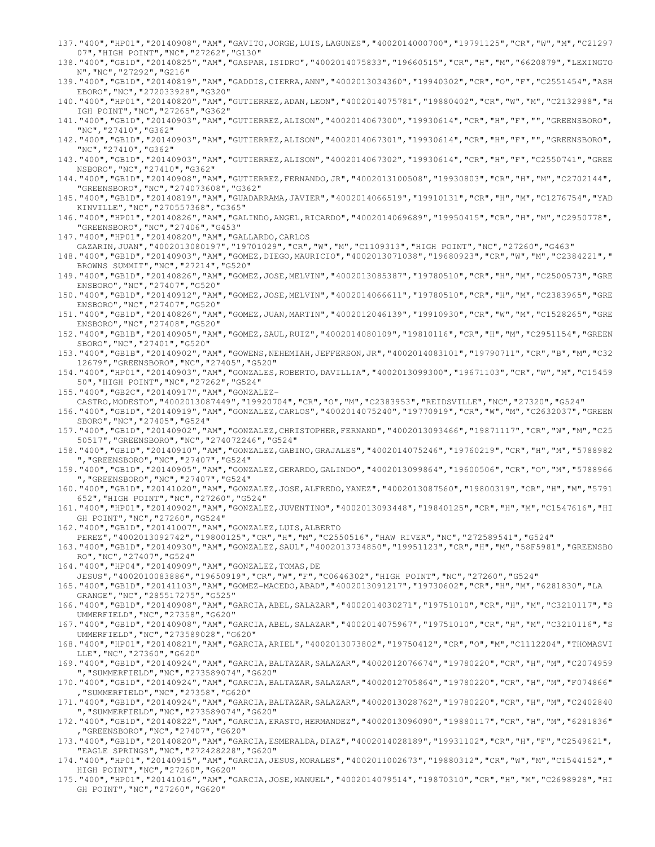- 137."400","HP01","20140908","AM","GAVITO,JORGE,LUIS,LAGUNES","4002014000700","19791125","CR","W","M","C21297 07","HIGH POINT","NC","27262","G130"
- 138."400","GB1D","20140825","AM","GASPAR,ISIDRO","4002014075833","19660515","CR","H","M","6620879","LEXINGTO .<br>N", "NC", "27292", "G216"
- 139."400","GB1D","20140819","AM","GADDIS,CIERRA,ANN","4002013034360","19940302","CR","O","F","C2551454","ASH EBORO","NC","272033928","G320"
- 140."400","HP01","20140820","AM","GUTIERREZ,ADAN,LEON","4002014075781","19880402","CR","W","M","C2132988","H IGH POINT","NC","27265","G362"
- 141."400","GB1D","20140903","AM","GUTIERREZ,ALISON","4002014067300","19930614","CR","H","F","","GREENSBORO", "NC","27410","G362"
- 142."400","GB1D","20140903","AM","GUTIERREZ,ALISON","4002014067301","19930614","CR","H","F","","GREENSBORO", "NC","27410","G362"
- 143."400","GB1D","20140903","AM","GUTIERREZ,ALISON","4002014067302","19930614","CR","H","F","C2550741","GREE NSBORO","NC","27410","G362"
- 144."400","GB1D","20140908","AM","GUTIERREZ,FERNANDO,JR","4002013100508","19930803","CR","H","M","C2702144", "GREENSBORO","NC","274073608","G362"
- 145."400","GB1D","20140819","AM","GUADARRAMA,JAVIER","4002014066519","19910131","CR","H","M","C1276754","YAD KINVILLE","NC","270557368","G365"
- 146."400","HP01","20140826","AM","GALINDO,ANGEL,RICARDO","4002014069689","19950415","CR","H","M","C2950778", "GREENSBORO","NC","27406","G453"
- 147."400","HP01","20140820","AM","GALLARDO,CARLOS
- GAZARIN,JUAN","4002013080197","19701029","CR","W","M","C1109313","HIGH POINT","NC","27260","G463"
- 148."400","GB1D","20140903","AM","GOMEZ,DIEGO,MAURICIO","4002013071038","19680923","CR","W","M","C2384221"," BROWNS SUMMIT","NC","27214","G520"
- 149."400","GB1D","20140826","AM","GOMEZ,JOSE,MELVIN","4002013085387","19780510","CR","H","M","C2500573","GRE ENSBORO","NC","27407","G520"
- 150."400","GB1D","20140912","AM","GOMEZ,JOSE,MELVIN","4002014066611","19780510","CR","H","M","C2383965","GRE ENSBORO","NC","27407","G520"
- 151."400","GB1D","20140826","AM","GOMEZ,JUAN,MARTIN","4002012046139","19910930","CR","W","M","C1528265","GRE ENSBORO","NC","27408","G520"
- 152."400","GB1B","20140905","AM","GOMEZ,SAUL,RUIZ","4002014080109","19810116","CR","H","M","C2951154","GREEN SBORO","NC","27401","G520"
- 153."400","GB1B","20140902","AM","GOWENS,NEHEMIAH,JEFFERSON,JR","4002014083101","19790711","CR","B","M","C32 12679","GREENSBORO","NC","27405","G520"
- 154."400","HP01","20140903","AM","GONZALES,ROBERTO,DAVILLIA","4002013099300","19671103","CR","W","M","C15459 50","HIGH POINT","NC","27262","G524"
- 155."400","GB2C","20140917","AM","GONZALEZ-
- CASTRO,MODESTO","4002013087449","19920704","CR","O","M","C2383953","REIDSVILLE","NC","27320","G524"
- 156."400","GB1D","20140919","AM","GONZALEZ,CARLOS","4002014075240","19770919","CR","W","M","C2632037","GREEN SBORO","NC","27405","G524"
- 157."400","GB1D","20140902","AM","GONZALEZ,CHRISTOPHER,FERNAND","4002013093466","19871117","CR","W","M","C25 50517","GREENSBORO","NC","274072246","G524"
- 158."400","GB1D","20140910","AM","GONZALEZ,GABINO,GRAJALES","4002014075246","19760219","CR","H","M","5788982 ","GREENSBORO","NC","27407","G524"
- 159."400","GB1D","20140905","AM","GONZALEZ,GERARDO,GALINDO","4002013099864","19600506","CR","O","M","5788966 ","GREENSBORO","NC","27407","G524"
- 160."400","GB1D","20141020","AM","GONZALEZ,JOSE,ALFREDO,YANEZ","4002013087560","19800319","CR","H","M","5791 652","HIGH POINT","NC","27260","G524"
- 161."400","HP01","20140902","AM","GONZALEZ,JUVENTINO","4002013093448","19840125","CR","H","M","C1547616","HI GH POINT","NC","27260","G524"
- 162."400","GB1D","20141007","AM","GONZALEZ,LUIS,ALBERTO
- PEREZ","4002013092742","19800125","CR","H","M","C2550516","HAW RIVER","NC","272589541","G524"
- 163."400","GB1D","20140930","AM","GONZALEZ,SAUL","4002013734850","19951123","CR","H","M","58F5981","GREENSBO RO","NC","27407","G524"
- 164."400","HP04","20140909","AM","GONZALEZ,TOMAS,DE
- JESUS","4002010083886","19650919","CR","W","F","C0646302","HIGH POINT","NC","27260","G524"
- 165."400","GB1D","20141103","AM","GOMEZ-MACEDO,ABAD","4002013091217","19730602","CR","H","M","6281830","LA GRANGE","NC","285517275","G525"
- 166."400","GB1D","20140908","AM","GARCIA,ABEL,SALAZAR","4002014030271","19751010","CR","H","M","C3210117","S UMMERFIELD","NC","27358","G620"
- 167."400","GB1D","20140908","AM","GARCIA,ABEL,SALAZAR","4002014075967","19751010","CR","H","M","C3210116","S UMMERFIELD","NC","273589028","G620"
- 168."400","HP01","20140821","AM","GARCIA,ARIEL","4002013073802","19750412","CR","O","M","C1112204","THOMASVI LLE","NC","27360","G620"
- 169."400","GB1D","20140924","AM","GARCIA,BALTAZAR,SALAZAR","4002012076674","19780220","CR","H","M","C2074959 ","SUMMERFIELD","NC","273589074","G620"
- 170."400","GB1D","20140924","AM","GARCIA,BALTAZAR,SALAZAR","4002012705864","19780220","CR","H","M","F074866" ,"SUMMERFIELD","NC","27358","G620"
- 171."400","GB1D","20140924","AM","GARCIA,BALTAZAR,SALAZAR","4002013028762","19780220","CR","H","M","C2402840 ","SUMMERFIELD","NC","273589074","G620"
- 172."400","GB1D","20140822","AM","GARCIA,ERASTO,HERMANDEZ","4002013096090","19880117","CR","H","M","6281836" ,"GREENSBORO","NC","27407","G620"
- 173."400","GB1D","20140820","AM","GARCIA,ESMERALDA,DIAZ","4002014028189","19931102","CR","H","F","C2549621", "EAGLE SPRINGS","NC","272428228","G620"
- 174."400","HP01","20140915","AM","GARCIA,JESUS,MORALES","4002011002673","19880312","CR","W","M","C1544152"," HIGH POINT","NC","27260","G620"
- 175."400","HP01","20141016","AM","GARCIA,JOSE,MANUEL","4002014079514","19870310","CR","H","M","C2698928","HI GH POINT","NC","27260","G620"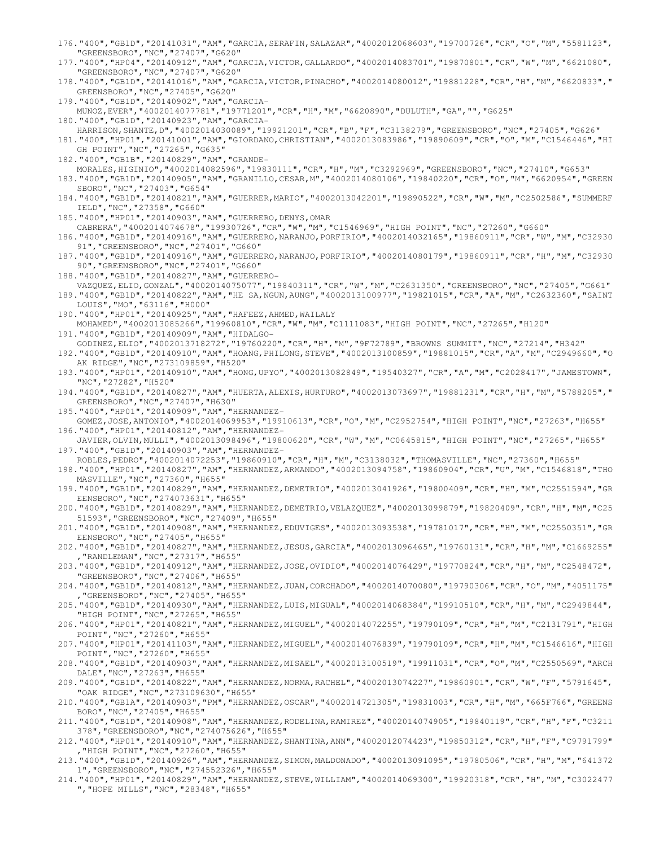- 176."400","GB1D","20141031","AM","GARCIA,SERAFIN,SALAZAR","4002012068603","19700726","CR","O","M","5581123", "GREENSBORO","NC","27407","G620"
- 177."400","HP04","20140912","AM","GARCIA,VICTOR,GALLARDO","4002014083701","19870801","CR","W","M","6621080", "GREENSBORO","NC","27407","G620"
- 178."400","GB1D","20141016","AM","GARCIA,VICTOR,PINACHO","4002014080012","19881228","CR","H","M","6620833"," GREENSBORO","NC","27405","G620"
- 179."400","GB1D","20140902","AM","GARCIA-
- MUNOZ,EVER","4002014077781","19771201","CR","H","M","6620890","DULUTH","GA","","G625"
- 180."400","GB1D","20140923","AM","GARCIA-
- HARRISON,SHANTE,D","4002014030089","19921201","CR","B","F","C3138279","GREENSBORO","NC","27405","G626" 181."400","HP01","20141001","AM","GIORDANO,CHRISTIAN","4002013083986","19890609","CR","O","M","C1546446","HI
- GH POINT","NC","27265","G635" 182."400","GB1B","20140829","AM","GRANDE-
- MORALES,HIGINIO","4002014082596","19830111","CR","H","M","C3292969","GREENSBORO","NC","27410","G653"
- 183."400","GB1D","20140905","AM","GRANILLO,CESAR,M","4002014080106","19840220","CR","O","M","6620954","GREEN SBORO","NC","27403","G654"
- 184."400","GB1D","20140821","AM","GUERRER,MARIO","4002013042201","19890522","CR","W","M","C2502586","SUMMERF IELD","NC","27358","G660"
- 185."400","HP01","20140903","AM","GUERRERO,DENYS,OMAR

CABRERA","4002014074678","19930726","CR","W","M","C1546969","HIGH POINT","NC","27260","G660"

- 186."400","GB1D","20140916","AM","GUERRERO,NARANJO,PORFIRIO","4002014032165","19860911","CR","W","M","C32930 91","GREENSBORO","NC","27401","G660"
- 187."400","GB1D","20140916","AM","GUERRERO,NARANJO,PORFIRIO","4002014080179","19860911","CR","H","M","C32930 90","GREENSBORO","NC","27401","G660"
- 188."400","GB1D","20140827","AM","GUERRERO-
- VAZQUEZ,ELIO,GONZAL","4002014075077","19840311","CR","W","M","C2631350","GREENSBORO","NC","27405","G661" 189."400","GB1D","20140822","AM","HE SA,NGUN,AUNG","4002013100977","19821015","CR","A","M","C2632360","SAINT LOUIS","MO","63116","H000"
- 190."400","HP01","20140925","AM","HAFEEZ,AHMED,WAILALY

MOHAMED","4002013085266","19960810","CR","W","M","C1111083","HIGH POINT","NC","27265","H120" 191."400","GB1D","20140909","AM","HIDALGO-

- GODINEZ,ELIO","4002013718272","19760220","CR","H","M","9F72789","BROWNS SUMMIT","NC","27214","H342" 192."400","GB1D","20140910","AM","HOANG,PHILONG,STEVE","4002013100859","19881015","CR","A","M","C2949660","O AK RIDGE","NC","273109859","H520"
- 193."400","HP01","20140910","AM","HONG,UPYO","4002013082849","19540327","CR","A","M","C2028417","JAMESTOWN", "NC","27282","H520"
- 194."400","GB1D","20140827","AM","HUERTA,ALEXIS,HURTURO","4002013073697","19881231","CR","H","M","5788205"," GREENSBORO","NC","27407","H630"
- 195."400","HP01","20140909","AM","HERNANDEZ-
- GOMEZ,JOSE,ANTONIO","4002014069953","19910613","CR","O","M","C2952754","HIGH POINT","NC","27263","H655" 196."400","HP01","20140812","AM","HERNANDEZ-
- JAVIER,OLVIN,MULLI","4002013098496","19800620","CR","W","M","C0645815","HIGH POINT","NC","27265","H655" 197."400","GB1D","20140903","AM","HERNANDEZ-
- ROBLES,PEDRO","4002014072253","19860910","CR","H","M","C3138032","THOMASVILLE","NC","27360","H655"
- 198."400","HP01","20140827","AM","HERNANDEZ,ARMANDO","4002013094758","19860904","CR","U","M","C1546818","THO MASVILLE","NC","27360","H655"
- 199."400","GB1D","20140829","AM","HERNANDEZ,DEMETRIO","4002013041926","19800409","CR","H","M","C2551594","GR EENSBORO","NC","274073631","H655"
- 200."400","GB1D","20140829","AM","HERNANDEZ,DEMETRIO,VELAZQUEZ","4002013099879","19820409","CR","H","M","C25 51593","GREENSBORO","NC","27409","H655"
- 201."400","GB1D","20140908","AM","HERNANDEZ,EDUVIGES","4002013093538","19781017","CR","H","M","C2550351","GR EENSBORO","NC","27405","H655"
- 202."400","GB1D","20140827","AM","HERNANDEZ,JESUS,GARCIA","4002013096465","19760131","CR","H","M","C1669255" ,"RANDLEMAN","NC","27317","H655"
- 203."400","GB1D","20140912","AM","HERNANDEZ,JOSE,OVIDIO","4002014076429","19770824","CR","H","M","C2548472", "GREENSBORO","NC","27406","H655"
- 204."400","GB1D","20140812","AM","HERNANDEZ,JUAN,CORCHADO","4002014070080","19790306","CR","O","M","4051175" ,"GREENSBORO","NC","27405","H655"
- 205."400","GB1D","20140930","AM","HERNANDEZ,LUIS,MIGUAL","4002014068384","19910510","CR","H","M","C2949844", "HIGH POINT","NC","27265","H655"
- 206."400","HP01","20140821","AM","HERNANDEZ,MIGUEL","4002014072255","19790109","CR","H","M","C2131791","HIGH POINT","NC","27260","H655"
- 207."400","HP01","20141103","AM","HERNANDEZ,MIGUEL","4002014076839","19790109","CR","H","M","C1546616","HIGH POINT","NC","27260","H655"
- 208."400","GB1D","20140903","AM","HERNANDEZ,MISAEL","4002013100519","19911031","CR","O","M","C2550569","ARCH DALE","NC","27263","H655"
- 209."400","GB1D","20140822","AM","HERNANDEZ,NORMA,RACHEL","4002013074227","19860901","CR","W","F","5791645", "OAK RIDGE","NC","273109630","H655"
- 210."400","GB1A","20140903","PM","HERNANDEZ,OSCAR","4002014721305","19831003","CR","H","M","665F766","GREENS BORO","NC","27405","H655"
- 211."400","GB1D","20140908","AM","HERNANDEZ,RODELINA,RAMIREZ","4002014074905","19840119","CR","H","F","C3211 378","GREENSBORO","NC","274075626","H655"
- 212."400","HP01","20140910","AM","HERNANDEZ,SHANTINA,ANN","4002012074423","19850312","CR","H","F","C9791799" ,"HIGH POINT","NC","27260","H655"
- 213."400","GB1D","20140926","AM","HERNANDEZ,SIMON,MALDONADO","4002013091095","19780506","CR","H","M","641372 1","GREENSBORO","NC","274552326","H655"
- 214."400","HP01","20140829","AM","HERNANDEZ,STEVE,WILLIAM","4002014069300","19920318","CR","H","M","C3022477 ","HOPE MILLS","NC","28348","H655"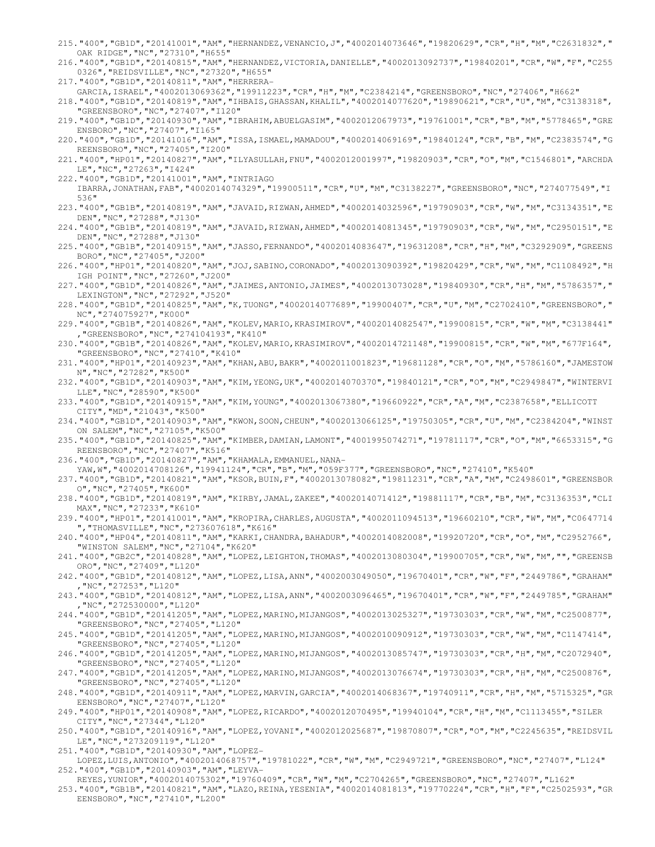- 215."400","GB1D","20141001","AM","HERNANDEZ,VENANCIO,J","4002014073646","19820629","CR","H","M","C2631832"," OAK RIDGE","NC","27310","H655"
- 216."400","GB1D","20140815","AM","HERNANDEZ,VICTORIA,DANIELLE","4002013092737","19840201","CR","W","F","C255 0326","REIDSVILLE","NC","27320","H655"
- 217."400","GB1D","20140811","AM","HERRERA-
- GARCIA,ISRAEL","4002013069362","19911223","CR","H","M","C2384214","GREENSBORO","NC","27406","H662"
- 218."400","GB1D","20140819","AM","IHBAIS,GHASSAN,KHALIL","4002014077620","19890621","CR","U","M","C3138318", "GREENSBORO","NC","27407","I120"
- 219."400","GB1D","20140930","AM","IBRAHIM,ABUELGASIM","4002012067973","19761001","CR","B","M","5778465","GRE ENSBORO","NC","27407","I165"
- 220."400","GB1D","20141016","AM","ISSA,ISMAEL,MAMADOU","4002014069169","19840124","CR","B","M","C2383574","G REENSBORO","NC","27405","I200"
- 221."400","HP01","20140827","AM","ILYASULLAH,FNU","4002012001997","19820903","CR","O","M","C1546801","ARCHDA LE","NC","27263","I424"
- 222."400","GB1D","20141001","AM","INTRIAGO
- IBARRA,JONATHAN,FAB","4002014074329","19900511","CR","U","M","C3138227","GREENSBORO","NC","274077549","I 536"
- 223."400","GB1B","20140819","AM","JAVAID,RIZWAN,AHMED","4002014032596","19790903","CR","W","M","C3134351","E DEN","NC","27288","J130"
- 224."400","GB1B","20140819","AM","JAVAID,RIZWAN,AHMED","4002014081345","19790903","CR","W","M","C2950151","E DEN","NC","27288","J130"
- 225."400","GB1B","20140915","AM","JASSO,FERNANDO","4002014083647","19631208","CR","H","M","C3292909","GREENS BORO","NC","27405","J200"
- 226."400","HP01","20140820","AM","JOJ,SABINO,CORONADO","4002013090392","19820429","CR","W","M","C1108492","H IGH POINT","NC","27260","J200"
- 227."400","GB1D","20140826","AM","JAIMES,ANTONIO,JAIMES","4002013073028","19840930","CR","H","M","5786357"," LEXINGTON","NC","27292","J520"
- 228."400","GB1D","20140825","AM","K,TUONG","4002014077689","19900407","CR","U","M","C2702410","GREENSBORO"," NC","274075927","K000"
- 229."400","GB1B","20140826","AM","KOLEV,MARIO,KRASIMIROV","4002014082547","19900815","CR","W","M","C3138441" ,"GREENSBORO","NC","274104193","K410"
- 230."400","GB1B","20140826","AM","KOLEV,MARIO,KRASIMIROV","4002014721148","19900815","CR","W","M","677F164", "GREENSBORO","NC","27410","K410"
- 231."400","HP01","20140923","AM","KHAN,ABU,BAKR","4002011001823","19681128","CR","O","M","5786160","JAMESTOW N","NC","27282","K500"
- 232."400","GB1D","20140903","AM","KIM,YEONG,UK","4002014070370","19840121","CR","O","M","C2949847","WINTERVI LLE","NC","28590","K500"
- 233."400","GB1D","20140915","AM","KIM,YOUNG","4002013067380","19660922","CR","A","M","C2387658","ELLICOTT CITY","MD","21043","K500"
- 234."400","GB1D","20140903","AM","KWON,SOON,CHEUN","4002013066125","19750305","CR","U","M","C2384204","WINST ON SALEM","NC","27105","K500"
- 235."400","GB1D","20140825","AM","KIMBER,DAMIAN,LAMONT","4001995074271","19781117","CR","O","M","6653315","G REENSBORO","NC","27407","K516"
- 236."400","GB1D","20140827","AM","KHAMALA,EMMANUEL,NANA-

YAW,W","4002014708126","19941124","CR","B","M","059F377","GREENSBORO","NC","27410","K540"

- 237."400","GB1D","20140821","AM","KSOR,BUIN,F","4002013078082","19811231","CR","A","M","C2498601","GREENSBOR O","NC","27405","K600"
- 238."400","GB1D","20140819","AM","KIRBY,JAMAL,ZAKEE","4002014071412","19881117","CR","B","M","C3136353","CLI MAX","NC","27233","K610"
- 239."400","HP01","20141001","AM","KROPIRA,CHARLES,AUGUSTA","4002011094513","19660210","CR","W","M","C0647714 ","THOMASVILLE","NC","273607618","K616"
- 240."400","HP04","20140811","AM","KARKI,CHANDRA,BAHADUR","4002014082008","19920720","CR","O","M","C2952766", "WINSTON SALEM","NC","27104","K620"
- 241."400","GB2C","20140828","AM","LOPEZ,LEIGHTON,THOMAS","4002013080304","19900705","CR","W","M","","GREENSB ORO","NC","27409","L120"
- 242."400","GB1D","20140812","AM","LOPEZ,LISA,ANN","4002003049050","19670401","CR","W","F","2449786","GRAHAM" ,"NC","27253","L120"
- 243."400","GB1D","20140812","AM","LOPEZ,LISA,ANN","4002003096465","19670401","CR","W","F","2449785","GRAHAM" ,"NC","272530000","L120"
- 244."400","GB1D","20141205","AM","LOPEZ,MARINO,MIJANGOS","4002013025327","19730303","CR","W","M","C2500877", "GREENSBORO","NC","27405","L120"
- 245."400","GB1D","20141205","AM","LOPEZ,MARINO,MIJANGOS","4002010090912","19730303","CR","W","M","C1147414", "GREENSBORO","NC","27405","L120"
- 246."400","GB1D","20141205","AM","LOPEZ,MARINO,MIJANGOS","4002013085747","19730303","CR","H","M","C2072940", "GREENSBORO","NC","27405","L120"
- 247."400","GB1D","20141205","AM","LOPEZ,MARINO,MIJANGOS","4002013076674","19730303","CR","H","M","C2500876", "GREENSBORO","NC","27405","L120"
- 248."400","GB1D","20140911","AM","LOPEZ,MARVIN,GARCIA","4002014068367","19740911","CR","H","M","5715325","GR EENSBORO","NC","27407","L120"
- 249."400","HP01","20140908","AM","LOPEZ,RICARDO","4002012070495","19940104","CR","H","M","C1113455","SILER CITY","NC","27344","L120"
- 250."400","GB1D","20140916","AM","LOPEZ,YOVANI","4002012025687","19870807","CR","O","M","C2245635","REIDSVIL LE","NC","273209119","L120"
- 251."400","GB1D","20140930","AM","LOPEZ-
- LOPEZ,LUIS,ANTONIO","4002014068757","19781022","CR","W","M","C2949721","GREENSBORO","NC","27407","L124" 252."400","GB1D","20140903","AM","LEYVA-
- REYES,YUNIOR","4002014075302","19760409","CR","W","M","C2704265","GREENSBORO","NC","27407","L162"
- 253."400","GB1B","20140821","AM","LAZO,REINA,YESENIA","4002014081813","19770224","CR","H","F","C2502593","GR EENSBORO","NC","27410","L200"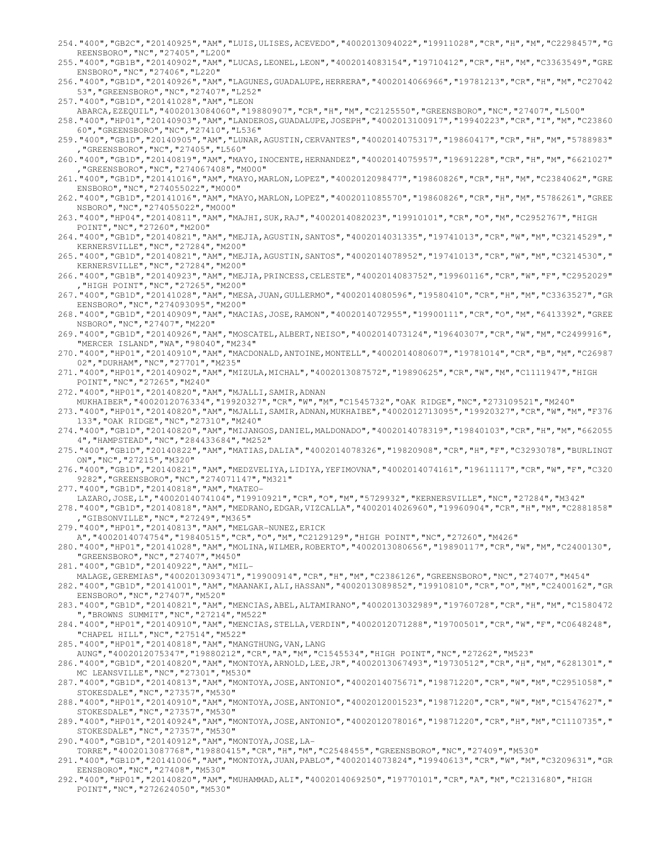- 254."400","GB2C","20140925","AM","LUIS,ULISES,ACEVEDO","4002013094022","19911028","CR","H","M","C2298457","G REENSBORO","NC","27405","L200"
- 255."400","GB1B","20140902","AM","LUCAS,LEONEL,LEON","4002014083154","19710412","CR","H","M","C3363549","GRE ENSBORO","NC","27406","L220"
- 256."400","GB1D","20140926","AM","LAGUNES,GUADALUPE,HERRERA","4002014066966","19781213","CR","H","M","C27042 53","GREENSBORO","NC","27407","L252"
- 257."400","GB1D","20141028","AM","LEON
- ABARCA,EZEQUIL","4002013084060","19880907","CR","H","M","C2125550","GREENSBORO","NC","27407","L500"
- 258."400","HP01","20140903","AM","LANDEROS,GUADALUPE,JOSEPH","4002013100917","19940223","CR","I","M","C23860 60","GREENSBORO","NC","27410","L536"
- 259."400","GB1D","20140905","AM","LUNAR,AGUSTIN,CERVANTES","4002014075317","19860417","CR","H","M","5788983" ,"GREENSBORO","NC","27405","L560"
- 260."400","GB1D","20140819","AM","MAYO,INOCENTE,HERNANDEZ","4002014075957","19691228","CR","H","M","6621027" ,"GREENSBORO","NC","274067408","M000"
- 261."400","GB1D","20141016","AM","MAYO,MARLON,LOPEZ","4002012098477","19860826","CR","H","M","C2384062","GRE ENSBORO","NC","274055022","M000"
- 262."400","GB1D","20141016","AM","MAYO,MARLON,LOPEZ","4002011085570","19860826","CR","H","M","5786261","GREE NSBORO","NC","274055022","M000"
- 263."400","HP04","20140811","AM","MAJHI,SUK,RAJ","4002014082023","19910101","CR","O","M","C2952767","HIGH POINT","NC","27260","M200"
- 264."400","GB1D","20140821","AM","MEJIA,AGUSTIN,SANTOS","4002014031335","19741013","CR","W","M","C3214529"," KERNERSVILLE","NC","27284","M200"
- 265."400","GB1D","20140821","AM","MEJIA,AGUSTIN,SANTOS","4002014078952","19741013","CR","W","M","C3214530"," KERNERSVILLE","NC","27284","M200"
- 266."400","GB1B","20140923","AM","MEJIA,PRINCESS,CELESTE","4002014083752","19960116","CR","W","F","C2952029" ,"HIGH POINT","NC","27265","M200"
- 267."400","GB1D","20141028","AM","MESA,JUAN,GULLERMO","4002014080596","19580410","CR","H","M","C3363527","GR EENSBORO","NC","274093095","M200"
- 268."400","GB1D","20140909","AM","MACIAS,JOSE,RAMON","4002014072955","19900111","CR","O","M","6413392","GREE NSBORO","NC","27407","M220"
- 269."400","GB1D","20140926","AM","MOSCATEL,ALBERT,NEISO","4002014073124","19640307","CR","W","M","C2499916", "MERCER ISLAND","WA","98040","M234"
- 270."400","HP01","20140910","AM","MACDONALD,ANTOINE,MONTELL","4002014080607","19781014","CR","B","M","C26987 02","DURHAM","NC","27701","M235"
- 271."400","HP01","20140902","AM","MIZULA,MICHAL","4002013087572","19890625","CR","W","M","C1111947","HIGH POINT","NC","27265","M240"
- 272."400","HP01","20140820","AM","MJALLI,SAMIR,ADNAN

MUKHAIBER","4002012076334","19920327","CR","W","M","C1545732","OAK RIDGE","NC","273109521","M240"

- 273."400","HP01","20140820","AM","MJALLI,SAMIR,ADNAN,MUKHAIBE","4002012713095","19920327","CR","W","M","F376 133","OAK RIDGE","NC","27310","M240"
- 274."400","GB1D","20140820","AM","MIJANGOS,DANIEL,MALDONADO","4002014078319","19840103","CR","H","M","662055 4","HAMPSTEAD","NC","284433684","M252"
- 275."400","GB1D","20140822","AM","MATIAS,DALIA","4002014078326","19820908","CR","H","F","C3293078","BURLINGT ON","NC","27215","M320"
- 276."400","GB1D","20140821","AM","MEDZVELIYA,LIDIYA,YEFIMOVNA","4002014074161","19611117","CR","W","F","C320 9282","GREENSBORO","NC","274071147","M321"
- 277."400","GB1D","20140818","AM","MATEO-
- LAZARO,JOSE,L","4002014074104","19910921","CR","O","M","5729932","KERNERSVILLE","NC","27284","M342"
- 278."400","GB1D","20140818","AM","MEDRANO,EDGAR,VIZCALLA","4002014026960","19960904","CR","H","M","C2881858" ,"GIBSONVILLE","NC","27249","M365"
- 279."400","HP01","20140813","AM","MELGAR-NUNEZ,ERICK
- A","4002014074754","19840515","CR","O","M","C2129129","HIGH POINT","NC","27260","M426"
- 280."400","HP01","20141028","AM","MOLINA,WILMER,ROBERTO","4002013080656","19890117","CR","W","M","C2400130", "GREENSBORO","NC","27407","M450"
- 281."400","GB1D","20140922","AM","MIL-MALAGE,GEREMIAS","4002013093471","19900914","CR","H","M","C2386126","GREENSBORO","NC","27407","M454"
- 282."400","GB1D","20141001","AM","MAANAKI,ALI,HASSAN","4002013089852","19910810","CR","O","M","C2400162","GR EENSBORO","NC","27407","M520"
- 283."400","GB1D","20140821","AM","MENCIAS,ABEL,ALTAMIRANO","4002013032989","19760728","CR","H","M","C1580472 ","BROWNS SUMMIT","NC","27214","M522"
- 284."400","HP01","20140910","AM","MENCIAS,STELLA,VERDIN","4002012071288","19700501","CR","W","F","C0648248", "CHAPEL HILL","NC","27514","M522"
- 285."400","HP01","20140818","AM","MANGTHUNG,VAN,LANG
- AUNG","4002012075347","19880212","CR","A","M","C1545534","HIGH POINT","NC","27262","M523"
- 286."400","GB1D","20140820","AM","MONTOYA,ARNOLD,LEE,JR","4002013067493","19730512","CR","H","M","6281301"," MC LEANSVILLE","NC","27301","M530"
- 287."400","GB1D","20140813","AM","MONTOYA,JOSE,ANTONIO","4002014075671","19871220","CR","W","M","C2951058"," STOKESDALE","NC","27357","M530"
- 288."400","HP01","20140910","AM","MONTOYA,JOSE,ANTONIO","4002012001523","19871220","CR","W","M","C1547627"," STOKESDALE","NC","27357","M530"
- 289."400","HP01","20140924","AM","MONTOYA,JOSE,ANTONIO","4002012078016","19871220","CR","H","M","C1110735"," STOKESDALE","NC","27357","M530"
- 290."400","GB1D","20140912","AM","MONTOYA,JOSE,LA-
- TORRE","4002013087768","19880415","CR","H","M","C2548455","GREENSBORO","NC","27409","M530"
- 291."400","GB1D","20141006","AM","MONTOYA,JUAN,PABLO","4002014073824","19940613","CR","W","M","C3209631","GR EENSBORO","NC","27408","M530"
- 292."400","HP01","20140820","AM","MUHAMMAD,ALI","4002014069250","19770101","CR","A","M","C2131680","HIGH POINT","NC","272624050","M530"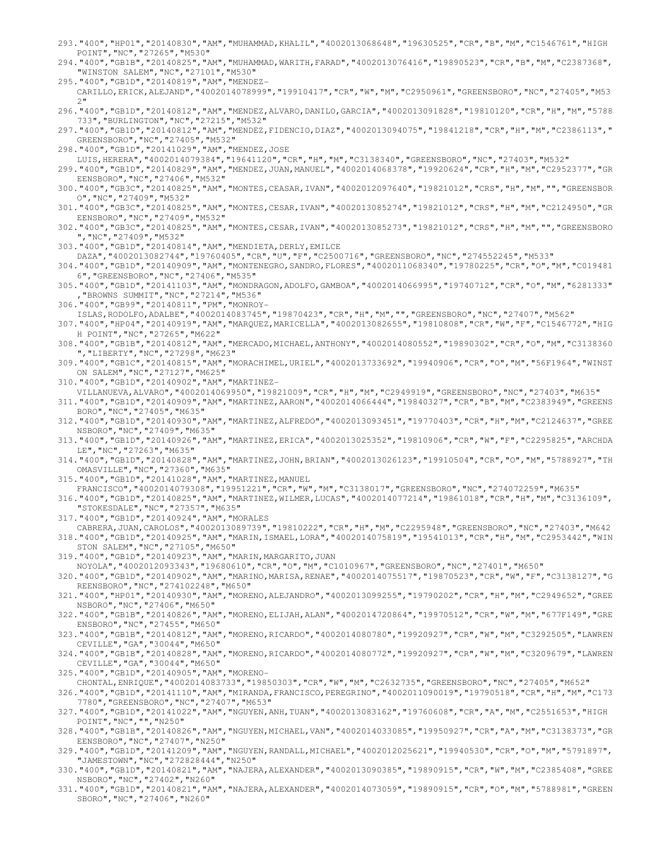- 293."400","HP01","20140830","AM","MUHAMMAD,KHALIL","4002013068648","19630525","CR","B","M","C1546761","HIGH POINT","NC","27265","M530"
- 294."400","GB1B","20140825","AM","MUHAMMAD,WARITH,FARAD","4002013076416","19890523","CR","B","M","C2387368", "WINSTON SALEM","NC","27101","M530"
- 295."400","GB1D","20140819","AM","MENDEZ-CARILLO,ERICK,ALEJAND","4002014078999","19910417","CR","W","M","C2950961","GREENSBORO","NC","27405","M53 2"
- 296."400","GB1D","20140812","AM","MENDEZ,ALVARO,DANILO,GARCIA","4002013091828","19810120","CR","H","M","5788 733","BURLINGTON","NC","27215","M532"
- 297."400","GB1D","20140812","AM","MENDEZ,FIDENCIO,DIAZ","4002013094075","19841218","CR","H","M","C2386113"," GREENSBORO","NC","27405","M532"
- 298."400","GB1D","20141029","AM","MENDEZ,JOSE

LUIS,HERERA","4002014079384","19641120","CR","H","M","C3138340","GREENSBORO","NC","27403","M532"

- 299."400","GB1D","20140829","AM","MENDEZ,JUAN,MANUEL","4002014068378","19920624","CR","H","M","C2952377","GR EENSBORO","NC","27406","M532"
- 300."400","GB3C","20140825","AM","MONTES,CEASAR,IVAN","4002012097640","19821012","CRS","H","M","","GREENSBOR O","NC","27409","M532"
- 301."400","GB3C","20140825","AM","MONTES,CESAR,IVAN","4002013085274","19821012","CRS","H","M","C2124950","GR EENSBORO","NC","27409","M532"
- 302."400","GB3C","20140825","AM","MONTES,CESAR,IVAN","4002013085273","19821012","CRS","H","M","","GREENSBORO ","NC","27409","M532"
- 303."400","GB1D","20140814","AM","MENDIETA,DERLY,EMILCE

DAZA","4002013082744","19760405","CR","U","F","C2500716","GREENSBORO","NC","274552245","M533"

- 304."400","GB1D","20140909","AM","MONTENEGRO,SANDRO,FLORES","4002011068340","19780225","CR","O","M","C019481 6","GREENSBORO","NC","27406","M535"
- 305."400","GB1D","20141103","AM","MONDRAGON,ADOLFO,GAMBOA","4002014066995","19740712","CR","O","M","6281333" ,"BROWNS SUMMIT","NC","27214","M536"
- 306."400","GB99","20140811","PM","MONROY-

ISLAS,RODOLFO,ADALBE","4002014083745","19870423","CR","H","M","","GREENSBORO","NC","27407","M562"

- 307."400","HP04","20140919","AM","MARQUEZ,MARICELLA","4002013082655","19810808","CR","W","F","C1546772","HIG H POINT","NC","27265","M622"
- 308."400","GB1B","20140812","AM","MERCADO,MICHAEL,ANTHONY","4002014080552","19890302","CR","O","M","C3138360 ","LIBERTY","NC","27298","M623"
- 309."400","GB1C","20140815","AM","MORACHIMEL,URIEL","4002013733692","19940906","CR","O","M","56F1964","WINST ON SALEM","NC","27127","M625"
- 310."400","GB1D","20140902","AM","MARTINEZ-

VILLANUEVA,ALVARO","4002014069950","19821009","CR","H","M","C2949919","GREENSBORO","NC","27403","M635" 311."400","GB1D","20140909","AM","MARTINEZ,AARON","4002014066444","19840327","CR","B","M","C2383949","GREENS

- BORO","NC","27405","M635"
- 312."400","GB1D","20140930","AM","MARTINEZ,ALFREDO","4002013093451","19770403","CR","H","M","C2124637","GREE NSBORO","NC","27409","M635"
- 313."400","GB1D","20140926","AM","MARTINEZ,ERICA","4002013025352","19810906","CR","W","F","C2295825","ARCHDA LE","NC","27263","M635"
- 314."400","GB1D","20140828","AM","MARTINEZ,JOHN,BRIAN","4002013026123","19910504","CR","O","M","5788927","TH OMASVILLE","NC","27360","M635"
- 315."400","GB1D","20141028","AM","MARTINEZ,MANUEL
- FRANCISCO","4002014079308","19951221","CR","W","M","C3138017","GREENSBORO","NC","274072259","M635"
- 316."400","GB1D","20140825","AM","MARTINEZ,WILMER,LUCAS","4002014077214","19861018","CR","H","M","C3136109", "STOKESDALE","NC","27357","M635"
- 317."400","GB1D","20140924","AM","MORALES

CABRERA,JUAN,CAROLOS","4002013089739","19810222","CR","H","M","C2295948","GREENSBORO","NC","27403","M642 318."400","GB1D","20140925","AM","MARIN,ISMAEL,LORA","4002014075819","19541013","CR","H","M","C2953442","WIN STON SALEM","NC","27105","M650"

319. "400", "GB1D", "20140923", "AM", "MARIN, MARGARITO, JUAN

NOYOLA","4002012093343","19680610","CR","O","M","C1010967","GREENSBORO","NC","27401","M650"

320."400","GB1D","20140902","AM","MARINO,MARISA,RENAE","4002014075517","19870523","CR","W","F","C3138127","G REENSBORO","NC","274102248","M650"

321."400","HP01","20140930","AM","MORENO,ALEJANDRO","4002013099255","19790202","CR","H","M","C2949652","GREE NSBORO","NC","27406","M650"

- 322."400","GB1B","20140826","AM","MORENO,ELIJAH,ALAN","4002014720864","19970512","CR","W","M","677F149","GRE ENSBORO","NC","27455","M650"
- 323."400","GB1B","20140812","AM","MORENO,RICARDO","4002014080780","19920927","CR","W","M","C3292505","LAWREN CEVILLE","GA","30044","M650"
- 324."400","GB1B","20140828","AM","MORENO,RICARDO","4002014080772","19920927","CR","W","M","C3209679","LAWREN CEVILLE","GA","30044","M650"
- 325."400","GB1D","20140905","AM","MORENO-
- CHONTAL,ENRIQUE","4002014083733","19850303","CR","W","M","C2632735","GREENSBORO","NC","27405","M652"
- 326."400","GB1D","20141110","AM","MIRANDA,FRANCISCO,PEREGRINO","4002011090019","19790518","CR","H","M","C173 7780","GREENSBORO","NC","27407","M653"
- 327."400","GB1D","20141022","AM","NGUYEN,ANH,TUAN","4002013083162","19760608","CR","A","M","C2551653","HIGH POINT","NC","","N250"
- 328."400","GB1B","20140826","AM","NGUYEN,MICHAEL,VAN","4002014033085","19950927","CR","A","M","C3138373","GR EENSBORO","NC","27407","N250"
- 329."400","GB1D","20141209","AM","NGUYEN,RANDALL,MICHAEL","4002012025621","19940530","CR","O","M","5791897", "JAMESTOWN","NC","272828444","N250"
- 330."400","GB1D","20140821","AM","NAJERA,ALEXANDER","4002013090385","19890915","CR","W","M","C2385408","GREE NSBORO","NC","27402","N260"
- 331."400","GB1D","20140821","AM","NAJERA,ALEXANDER","4002014073059","19890915","CR","O","M","5788981","GREEN SBORO","NC","27406","N260"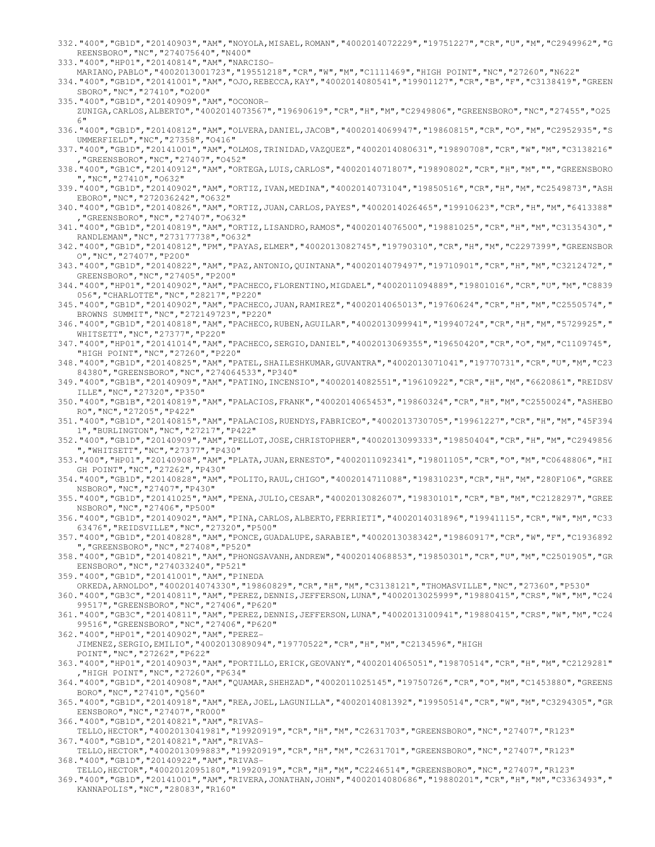- 332."400","GB1D","20140903","AM","NOYOLA,MISAEL,ROMAN","4002014072229","19751227","CR","U","M","C2949962","G REENSBORO","NC","274075640","N400"
- 333."400","HP01","20140814","AM","NARCISO-

MARIANO,PABLO","4002013001723","19551218","CR","W","M","C1111469","HIGH POINT","NC","27260","N622"

- 334."400","GB1D","20141001","AM","OJO,REBECCA,KAY","4002014080541","19901127","CR","B","F","C3138419","GREEN SBORO","NC","27410","O200"
- 335."400","GB1D","20140909","AM","OCONOR-ZUNIGA,CARLOS,ALBERTO","4002014073567","19690619","CR","H","M","C2949806","GREENSBORO","NC","27455","O25 6"
- 336."400","GB1D","20140812","AM","OLVERA,DANIEL,JACOB","4002014069947","19860815","CR","O","M","C2952935","S UMMERFIELD","NC","27358","O416"
- 337."400","GB1D","20141001","AM","OLMOS,TRINIDAD,VAZQUEZ","4002014080631","19890708","CR","W","M","C3138216" ,"GREENSBORO","NC","27407","O452"
- 338."400","GB1C","20140912","AM","ORTEGA,LUIS,CARLOS","4002014071807","19890802","CR","H","M","","GREENSBORO ","NC","27410","O632"
- 339."400","GB1D","20140902","AM","ORTIZ,IVAN,MEDINA","4002014073104","19850516","CR","H","M","C2549873","ASH EBORO","NC","272036242","O632"
- 340."400","GB1D","20140826","AM","ORTIZ,JUAN,CARLOS,PAYES","4002014026465","19910623","CR","H","M","6413388" ,"GREENSBORO","NC","27407","O632"
- 341."400","GB1D","20140819","AM","ORTIZ,LISANDRO,RAMOS","4002014076500","19881025","CR","H","M","C3135430"," RANDLEMAN","NC","273177738","O632"
- 342."400","GB1D","20140812","PM","PAYAS,ELMER","4002013082745","19790310","CR","H","M","C2297399","GREENSBOR O","NC","27407","P200"
- 343."400","GB1D","20140822","AM","PAZ,ANTONIO,QUINTANA","4002014079497","19710901","CR","H","M","C3212472"," GREENSBORO","NC","27405","P200"
- 344."400","HP01","20140902","AM","PACHECO,FLORENTINO,MIGDAEL","4002011094889","19801016","CR","U","M","C8839 056","CHARLOTTE","NC","28217","P220"
- 345."400","GB1D","20140902","AM","PACHECO,JUAN,RAMIREZ","4002014065013","19760624","CR","H","M","C2550574"," BROWNS SUMMIT","NC","272149723","P220"
- 346."400","GB1D","20140818","AM","PACHECO,RUBEN,AGUILAR","4002013099941","19940724","CR","H","M","5729925"," WHITSETT","NC","27377","P220"
- 347."400","HP01","20141014","AM","PACHECO,SERGIO,DANIEL","4002013069355","19650420","CR","O","M","C1109745", "HIGH POINT","NC","27260","P220"
- 348."400","GB1D","20140825","AM","PATEL,SHAILESHKUMAR,GUVANTRA","4002013071041","19770731","CR","U","M","C23 84380","GREENSBORO","NC","274064533","P340"
- 349."400","GB1B","20140909","AM","PATINO,INCENSIO","4002014082551","19610922","CR","H","M","6620861","REIDSV ILLE","NC","27320","P350"
- 350."400","GB1B","20140819","AM","PALACIOS,FRANK","4002014065453","19860324","CR","H","M","C2550024","ASHEBO RO","NC","27205","P422"
- 351."400","GB1D","20140815","AM","PALACIOS,RUENDYS,FABRICEO","4002013730705","19961227","CR","H","M","45F394 1","BURLINGTON","NC","27217","P422"
- 352."400","GB1D","20140909","AM","PELLOT,JOSE,CHRISTOPHER","4002013099333","19850404","CR","H","M","C2949856 ","WHITSETT","NC","27377","P430"
- 353."400","HP01","20140908","AM","PLATA,JUAN,ERNESTO","4002011092341","19801105","CR","O","M","C0648806","HI GH POINT","NC","27262","P430"
- 354."400","GB1D","20140828","AM","POLITO,RAUL,CHIGO","4002014711088","19831023","CR","H","M","280F106","GREE NSBORO","NC","27407","P430"
- 355."400","GB1D","20141025","AM","PENA,JULIO,CESAR","4002013082607","19830101","CR","B","M","C2128297","GREE NSBORO","NC","27406","P500"
- 356."400","GB1D","20140902","AM","PINA,CARLOS,ALBERTO,FERRIETI","4002014031896","19941115","CR","W","M","C33 63476","REIDSVILLE","NC","27320","P500"
- 357."400","GB1D","20140828","AM","PONCE,GUADALUPE,SARABIE","4002013038342","19860917","CR","W","F","C1936892 ","GREENSBORO","NC","27408","P520"
- 358."400","GB1D","20140821","AM","PHONGSAVANH,ANDREW","4002014068853","19850301","CR","U","M","C2501905","GR EENSBORO","NC","274033240","P521"
- 359."400","GB1D","20141001","AM","PINEDA
- ORKEDA,ARNOLDO","4002014074330","19860829","CR","H","M","C3138121","THOMASVILLE","NC","27360","P530"
- 360."400","GB3C","20140811","AM","PEREZ,DENNIS,JEFFERSON,LUNA","4002013025999","19880415","CRS","W","M","C24 99517","GREENSBORO","NC","27406","P620"
- 361."400","GB3C","20140811","AM","PEREZ,DENNIS,JEFFERSON,LUNA","4002013100941","19880415","CRS","W","M","C24 99516","GREENSBORO","NC","27406","P620"
- 362."400","HP01","20140902","AM","PEREZ-JIMENEZ,SERGIO,EMILIO","4002013089094","19770522","CR","H","M","C2134596","HIGH POINT","NC","27262","P622"
- 363."400","HP01","20140903","AM","PORTILLO,ERICK,GEOVANY","4002014065051","19870514","CR","H","M","C2129281" ,"HIGH POINT","NC","27260","P634"
- 364."400","GB1D","20140908","AM","QUAMAR,SHEHZAD","4002011025145","19750726","CR","O","M","C1453880","GREENS BORO","NC","27410","Q560"
- 365."400","GB1D","20140918","AM","REA,JOEL,LAGUNILLA","4002014081392","19950514","CR","W","M","C3294305","GR EENSBORO","NC","27407","R000"
- 366."400","GB1D","20140821","AM","RIVAS-
- TELLO,HECTOR","4002013041981","19920919","CR","H","M","C2631703","GREENSBORO","NC","27407","R123" 367."400","GB1D","20140821","AM","RIVAS-
- TELLO,HECTOR","4002013099883","19920919","CR","H","M","C2631701","GREENSBORO","NC","27407","R123" 368."400","GB1D","20140922","AM","RIVAS-
- TELLO,HECTOR","4002012095180","19920919","CR","H","M","C2246514","GREENSBORO","NC","27407","R123"
- 369."400","GB1D","20141001","AM","RIVERA,JONATHAN,JOHN","4002014080686","19880201","CR","H","M","C3363493"," KANNAPOLIS","NC","28083","R160"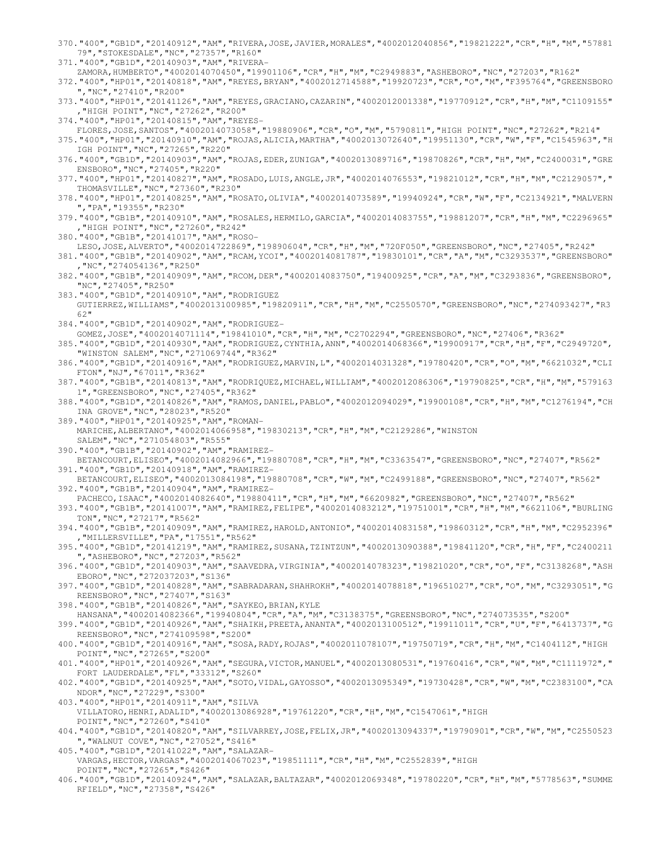- 370."400","GB1D","20140912","AM","RIVERA,JOSE,JAVIER,MORALES","4002012040856","19821222","CR","H","M","57881 79","STOKESDALE","NC","27357","R160"
- 371."400","GB1D","20140903","AM","RIVERA-
- ZAMORA,HUMBERTO","4002014070450","19901106","CR","H","M","C2949883","ASHEBORO","NC","27203","R162" 372."400","HP01","20140818","AM","REYES,BRYAN","4002012714588","19920723","CR","O","M","F395764","GREENSBORO
- ","NC","27410","R200" 373."400","HP01","20141126","AM","REYES,GRACIANO,CAZARIN","4002012001338","19770912","CR","H","M","C1109155" ,"HIGH POINT","NC","27262","R200"
- 374."400","HP01","20140815","AM","REYES-FLORES,JOSE,SANTOS","4002014073058","19880906","CR","O","M","5790811","HIGH POINT","NC","27262","R214"
- 375. "400", "HP01", "20140910", "AM", "ROJAS, ALICIA, MARTHA", "4002013072640", "19951130", "CR", "W", "F", "C1545963", "H IGH POINT","NC","27265","R220"
- 376."400","GB1D","20140903","AM","ROJAS,EDER,ZUNIGA","4002013089716","19870826","CR","H","M","C2400031","GRE ENSBORO","NC","27405","R220"
- 377."400","HP01","20140827","AM","ROSADO,LUIS,ANGLE,JR","4002014076553","19821012","CR","H","M","C2129057"," THOMASVILLE","NC","27360","R230"
- 378."400","HP01","20140825","AM","ROSATO,OLIVIA","4002014073589","19940924","CR","W","F","C2134921","MALVERN ","PA","19355","R230"
- 379."400","GB1B","20140910","AM","ROSALES,HERMILO,GARCIA","4002014083755","19881207","CR","H","M","C2296965" ,"HIGH POINT","NC","27260","R242"
- 380."400","GB1B","20141017","AM","ROSO-
- LESO,JOSE,ALVERTO","4002014722869","19890604","CR","H","M","720F050","GREENSBORO","NC","27405","R242" 381."400","GB1B","20140902","AM","RCAM,YCOI","4002014081787","19830101","CR","A","M","C3293537","GREENSBORO"
	- ,"NC","274054136","R250"
- 382."400","GB1B","20140909","AM","RCOM,DER","4002014083750","19400925","CR","A","M","C3293836","GREENSBORO", "NC","27405","R250"
- 383."400","GB1D","20140910","AM","RODRIGUEZ GUTIERREZ,WILLIAMS","4002013100985","19820911","CR","H","M","C2550570","GREENSBORO","NC","274093427","R3 62"
- 384."400","GB1D","20140902","AM","RODRIGUEZ-

GOMEZ,JOSE","4002014071114","19841010","CR","H","M","C2702294","GREENSBORO","NC","27406","R362"

- 385."400","GB1D","20140930","AM","RODRIGUEZ,CYNTHIA,ANN","4002014068366","19900917","CR","H","F","C2949720", "WINSTON SALEM","NC","271069744","R362"
- 386."400","GB1D","20140916","AM","RODRIGUEZ,MARVIN,L","4002014031328","19780420","CR","O","M","6621032","CLI FTON","NJ","67011","R362"
- 387."400","GB1B","20140813","AM","RODRIQUEZ,MICHAEL,WILLIAM","4002012086306","19790825","CR","H","M","579163 1","GREENSBORO","NC","27405","R362"
- 388."400","GB1D","20140826","AM","RAMOS,DANIEL,PABLO","4002012094029","19900108","CR","H","M","C1276194","CH INA GROVE","NC","28023","R520"
- 389."400","HP01","20140925","AM","ROMAN-MARICHE,ALBERTANO","4002014066958","19830213","CR","H","M","C2129286","WINSTON SALEM","NC","271054803","R555"
- 390."400","GB1B","20140902","AM","RAMIREZ-
- BETANCOURT,ELISEO","4002014082966","19880708","CR","H","M","C3363547","GREENSBORO","NC","27407","R562" 391."400","GB1D","20140918","AM","RAMIREZ-
- BETANCOURT,ELISEO","4002013084198","19880708","CR","W","M","C2499188","GREENSBORO","NC","27407","R562" 392."400","GB1B","20140904","AM","RAMIREZ-
- PACHECO,ISAAC","4002014082640","19880411","CR","H","M","6620982","GREENSBORO","NC","27407","R562"
- 393."400","GB1B","20141007","AM","RAMIREZ,FELIPE","4002014083212","19751001","CR","H","M","6621106","BURLING TON","NC","27217","R562"
- 394."400","GB1B","20140909","AM","RAMIREZ,HAROLD,ANTONIO","4002014083158","19860312","CR","H","M","C2952396" ,"MILLERSVILLE","PA","17551","R562"
- 395."400","GB1D","20141219","AM","RAMIREZ,SUSANA,TZINTZUN","4002013090388","19841120","CR","H","F","C2400211 ","ASHEBORO","NC","27203","R562"
- 396."400","GB1D","20140903","AM","SAAVEDRA,VIRGINIA","4002014078323","19821020","CR","O","F","C3138268","ASH EBORO","NC","272037203","S136"
- 397."400","GB1D","20140828","AM","SABRADARAN,SHAHROKH","4002014078818","19651027","CR","O","M","C3293051","G REENSBORO","NC","27407","S163"
- 398."400","GB1B","20140826","AM","SAYKEO,BRIAN,KYLE

HANSANA","4002014082366","19940804","CR","A","M","C3138375","GREENSBORO","NC","274073535","S200"

- 399."400","GB1D","20140926","AM","SHAIKH,PREETA,ANANTA","4002013100512","19911011","CR","U","F","6413737","G REENSBORO","NC","274109598","S200"
- 400."400","GB1D","20140916","AM","SOSA,RADY,ROJAS","4002011078107","19750719","CR","H","M","C1404112","HIGH POINT","NC","27265","S200"
- 401."400","HP01","20140926","AM","SEGURA,VICTOR,MANUEL","4002013080531","19760416","CR","W","M","C1111972"," FORT LAUDERDALE","FL","33312","S260"
- 402."400","GB1D","20140925","AM","SOTO,VIDAL,GAYOSSO","4002013095349","19730428","CR","W","M","C2383100","CA NDOR","NC","27229","S300"
- 403."400","HP01","20140911","AM","SILVA VILLATORO,HENRI,ADALID","4002013086928","19761220","CR","H","M","C1547061","HIGH POINT","NC","27260","S410"
- 404."400","GB1D","20140820","AM","SILVARREY,JOSE,FELIX,JR","4002013094337","19790901","CR","W","M","C2550523 ","WALNUT COVE","NC","27052","S416"
- 405."400","GB1D","20141022","AM","SALAZAR-VARGAS,HECTOR,VARGAS","4002014067023","19851111","CR","H","M","C2552839","HIGH POINT","NC","27265","S426"
- 406."400","GB1D","20140924","AM","SALAZAR,BALTAZAR","4002012069348","19780220","CR","H","M","5778563","SUMME RFIELD","NC","27358","S426"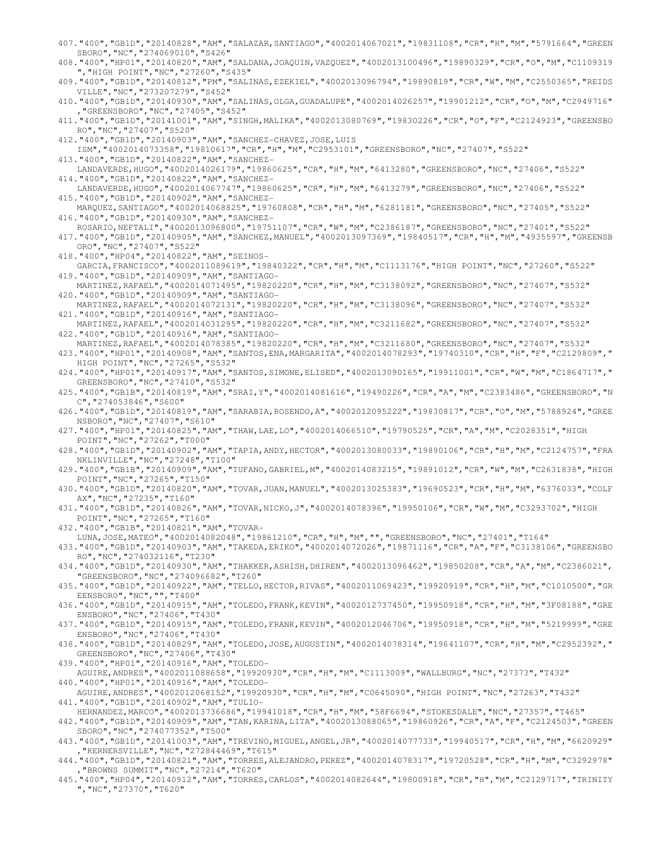- 407."400","GB1D","20140828","AM","SALAZAR,SANTIAGO","4002014067021","19831108","CR","H","M","5791664","GREEN SBORO","NC","274069010","S426"
- 408."400","HP01","20140820","AM","SALDANA,JOAQUIN,VAZQUEZ","4002013100496","19890329","CR","O","M","C1109319 ","HIGH POINT","NC","27260","S435"
- 409."400","GB1D","20140812","PM","SALINAS,EZEKIEL","4002013096794","19890819","CR","W","M","C2550365","REIDS VILLE","NC","273207279","S452"
- 410."400","GB1D","20140930","AM","SALINAS,OLGA,GUADALUPE","4002014026257","19901212","CR","O","M","C2949716" ,"GREENSBORO","NC","27405","S452"
- 411."400","GB1D","20141001","AM","SINGH,MALIKA","4002013080769","19830226","CR","O","F","C2124923","GREENSBO RO","NC","27407","S520"
- 412."400","GB1D","20140903","AM","SANCHEZ-CHAVEZ,JOSE,LUIS

ISM","4002014073358","19810617","CR","H","M","C2953101","GREENSBORO","NC","27407","S522"

- 413."400","GB1D","20140822","AM","SANCHEZ-
- LANDAVERDE,HUGO","4002014026179","19860625","CR","H","M","6413280","GREENSBORO","NC","27406","S522" 414."400","GB1D","20140822","AM","SANCHEZ-
- LANDAVERDE,HUGO","4002014067747","19860625","CR","H","M","6413279","GREENSBORO","NC","27406","S522" 415."400","GB1D","20140902","AM","SANCHEZ-
- MARQUEZ,SANTIAGO","4002014068825","19760808","CR","H","M","6281181","GREENSBORO","NC","27405","S522" 416."400","GB1D","20140930","AM","SANCHEZ-
- ROSARIO,NEFTALI","4002013096800","19751107","CR","W","M","C2386187","GREENSBORO","NC","27401","S522"
- 417."400","GB1D","20140905","AM","SANCHEZ,MANUEL","4002013097369","19840517","CR","H","M","4935597","GREENSB ORO","NC","27407","S522"

418."400","HP04","20140822","AM","SEINOS-

- GARCIA,FRANCISCO","4002011089619","19840322","CR","H","M","C1113176","HIGH POINT","NC","27260","S522" 419."400","GB1D","20140909","AM","SANTIAGO-
- MARTINEZ,RAFAEL","4002014071495","19820220","CR","H","M","C3138092","GREENSBORO","NC","27407","S532" 420."400","GB1D","20140909","AM","SANTIAGO-
- MARTINEZ,RAFAEL","4002014072131","19820220","CR","H","M","C3138096","GREENSBORO","NC","27407","S532" 421."400","GB1D","20140916","AM","SANTIAGO-
- MARTINEZ,RAFAEL","4002014031295","19820220","CR","H","M","C3211682","GREENSBORO","NC","27407","S532" 422."400","GB1D","20140916","AM","SANTIAGO-
- MARTINEZ,RAFAEL","4002014078385","19820220","CR","H","M","C3211680","GREENSBORO","NC","27407","S532" 423."400","HP01","20140908","AM","SANTOS,ENA,MARGARITA","4002014078293","19740310","CR","H","F","C2129809"," HIGH POINT","NC","27265","S532"
- 424."400","HP01","20140917","AM","SANTOS,SIMONE,ELISED","4002013090165","19911001","CR","W","M","C1864717"," GREENSBORO","NC","27410","S532"
- 425."400","GB1B","20140819","AM","SRAI,Y","4002014081616","19490226","CR","A","M","C2383486","GREENSBORO","N C","274053846","S600"
- 426."400","GB1D","20140819","AM","SARABIA,ROSENDO,A","4002012095222","19830817","CR","O","M","5788924","GREE NSBORO","NC","27407","S610"
- 427."400","HP01","20140825","AM","THAW,LAE,LO","4002014066510","19790525","CR","A","M","C2028351","HIGH POINT","NC","27262","T000"
- 428."400","GB1D","20140902","AM","TAPIA,ANDY,HECTOR","4002013080033","19890106","CR","H","M","C2124757","FRA NKLINVILLE","NC","27248","T100"
- 429."400","GB1B","20140909","AM","TUFANO,GABRIEL,M","4002014083215","19891012","CR","W","M","C2631838","HIGH POINT","NC","27265","T150"
- 430."400","GB1D","20140820","AM","TOVAR,JUAN,MANUEL","4002013025383","19690523","CR","H","M","6376033","COLF AX","NC","27235","T160"
- 431."400","GB1D","20140826","AM","TOVAR,NICKO,J","4002014078396","19950106","CR","W","M","C3293702","HIGH POINT","NC","27265","T160"
- 432."400","GB1B","20140821","AM","TOVAR-
- LUNA,JOSE,MATEO","4002014082048","19861210","CR","H","M","","GREENSBORO","NC","27401","T164"
- 433."400","GB1D","20140903","AM","TAKEDA,ERIKO","4002014072026","19871116","CR","A","F","C3138106","GREENSBO RO","NC","274032116","T230"
- 434."400","GB1D","20140930","AM","THAKKER,ASHISH,DHIREN","4002013096462","19850208","CR","A","M","C2386021", "GREENSBORO","NC","274096682","T260"
- 435."400","GB1D","20140922","AM","TELLO,HECTOR,RIVAS","4002011069423","19920919","CR","H","M","C1010500","GR EENSBORO","NC","","T400"
- 436."400","GB1D","20140915","AM","TOLEDO,FRANK,KEVIN","4002012737450","19950918","CR","H","M","3F08188","GRE ENSBORO","NC","27406","T430"
- 437."400","GB1D","20140915","AM","TOLEDO,FRANK,KEVIN","4002012046706","19950918","CR","H","M","5219999","GRE ENSBORO","NC","27406","T430"
- 438."400","GB1D","20140829","AM","TOLEDO,JOSE,AUGUSTIN","4002014078314","19641107","CR","H","M","C2952392"," GREENSBORO","NC","27406","T430"
- 439."400","HP01","20140916","AM","TOLEDO-
- AGUIRE,ANDRES","4002011088658","19920930","CR","H","M","C1113009","WALLBURG","NC","27373","T432" 440."400","HP01","20140916","AM","TOLEDO-
- AGUIRE,ANDRES","4002012068152","19920930","CR","H","M","C0645090","HIGH POINT","NC","27263","T432" 441."400","GB1D","20140902","AM","TULIO-
- HERNANDEZ,MARCO","4002013736686","19941018","CR","H","M","58F6694","STOKESDALE","NC","27357","T465"
- 442."400","GB1D","20140909","AM","TAN,KARINA,LITA","4002013088065","19860926","CR","A","F","C2124503","GREEN SBORO","NC","274077352","T500"
- 443."400","GB1D","20141003","AM","TREVINO,MIGUEL,ANGEL,JR","4002014077733","19940517","CR","H","M","6620929" ,"KERNERSVILLE","NC","272844469","T615"
- 444."400","GB1D","20140821","AM","TORRES,ALEJANDRO,PEREZ","4002014078317","19720528","CR","H","M","C3292978" ,"BROWNS SUMMIT","NC","27214","T620"
- 445."400","HP04","20140912","AM","TORRES,CARLOS","4002014082644","19800918","CR","H","M","C2129717","TRINITY ","NC","27370","T620"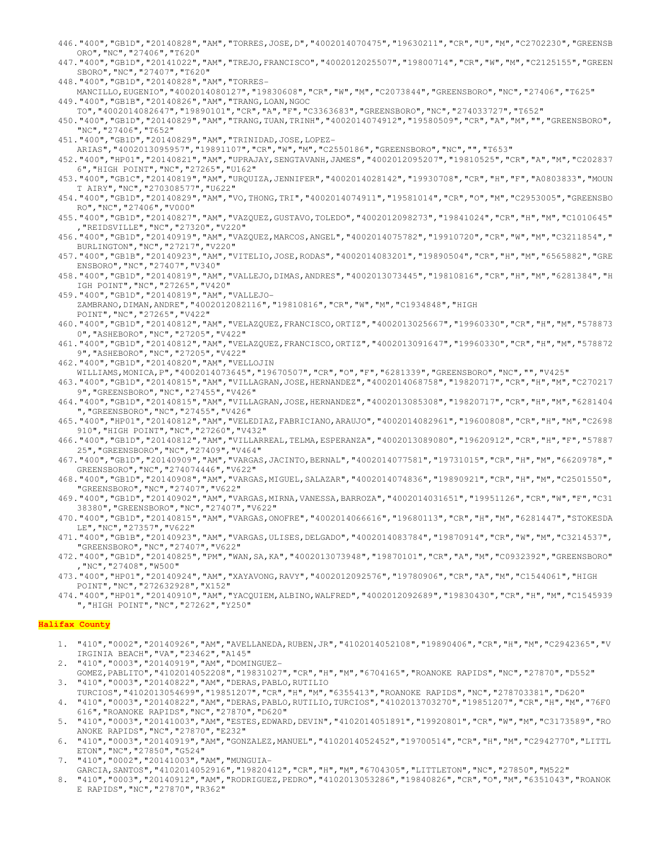- 446."400","GB1D","20140828","AM","TORRES,JOSE,D","4002014070475","19630211","CR","U","M","C2702230","GREENSB ORO","NC","27406","T620"
- 447."400","GB1D","20141022","AM","TREJO,FRANCISCO","4002012025507","19800714","CR","W","M","C2125155","GREEN SBORO","NC","27407","T620"
- 448."400","GB1D","20140828","AM","TORRES-
- MANCILLO,EUGENIO","4002014080127","19830608","CR","W","M","C2073844","GREENSBORO","NC","27406","T625" 449."400","GB1B","20140826","AM","TRANG,LOAN,NGOC
- TO","4002014082647","19890101","CR","A","F","C3363683","GREENSBORO","NC","274033727","T652"
- 450."400","GB1D","20140829","AM","TRANG,TUAN,TRINH","4002014074912","19580509","CR","A","M","","GREENSBORO", "NC","27406","T652"
- 451."400","GB1D","20140829","AM","TRINIDAD,JOSE,LOPEZ-
- ARIAS","4002013095957","19891107","CR","W","M","C2550186","GREENSBORO","NC","","T653"
- 452."400","HP01","20140821","AM","UPRAJAY,SENGTAVANH,JAMES","4002012095207","19810525","CR","A","M","C202837 6","HIGH POINT","NC","27265","U162"
- 453."400","GB1C","20140819","AM","URQUIZA,JENNIFER","4002014028142","19930708","CR","H","F","A0803833","MOUN T AIRY","NC","270308577","U622"
- 454."400","GB1D","20140829","AM","VO,THONG,TRI","4002014074911","19581014","CR","O","M","C2953005","GREENSBO RO","NC","27406","V000"
- 455."400","GB1D","20140827","AM","VAZQUEZ,GUSTAVO,TOLEDO","4002012098273","19841024","CR","H","M","C1010645" ,"REIDSVILLE","NC","27320","V220"
- 456."400","GB1D","20140919","AM","VAZQUEZ,MARCOS,ANGEL","4002014075782","19910720","CR","W","M","C3211854"," BURLINGTON","NC","27217","V220"
- 457."400","GB1B","20140923","AM","VITELIO,JOSE,RODAS","4002014083201","19890504","CR","H","M","6565882","GRE ENSBORO","NC","27407","V340"
- 458."400","GB1D","20140819","AM","VALLEJO,DIMAS,ANDRES","4002013073445","19810816","CR","H","M","6281384","H IGH POINT","NC","27265","V420"
- 459."400","GB1D","20140819","AM","VALLEJO-ZAMBRANO,DIMAN,ANDRE","4002012082116","19810816","CR","W","M","C1934848","HIGH POINT","NC","27265","V422"
- 460."400","GB1D","20140812","AM","VELAZQUEZ,FRANCISCO,ORTIZ","4002013025667","19960330","CR","H","M","578873 0","ASHEBORO","NC","27205","V422"
- 461."400","GB1D","20140812","AM","VELAZQUEZ,FRANCISCO,ORTIZ","4002013091647","19960330","CR","H","M","578872 9","ASHEBORO","NC","27205","V422"
- 462."400","GB1D","20140820","AM","VELLOJIN
- WILLIAMS,MONICA,P","4002014073645","19670507","CR","O","F","6281339","GREENSBORO","NC","","V425"
- 463."400","GB1D","20140815","AM","VILLAGRAN,JOSE,HERNANDEZ","4002014068758","19820717","CR","H","M","C270217 9","GREENSBORO","NC","27455","V426"
- 464."400","GB1D","20140815","AM","VILLAGRAN,JOSE,HERNANDEZ","4002013085308","19820717","CR","H","M","6281404 ","GREENSBORO","NC","27455","V426"
- 465."400","HP01","20140812","AM","VELEDIAZ,FABRICIANO,ARAUJO","4002014082961","19600808","CR","H","M","C2698 910","HIGH POINT","NC","27260","V432"
- 466."400","GB1D","20140812","AM","VILLARREAL,TELMA,ESPERANZA","4002013089080","19620912","CR","H","F","57887 25","GREENSBORO","NC","27409","V464"
- 467."400","GB1D","20140909","AM","VARGAS,JACINTO,BERNAL","4002014077581","19731015","CR","H","M","6620978"," GREENSBORO","NC","274074446","V622"
- 468."400","GB1D","20140908","AM","VARGAS,MIGUEL,SALAZAR","4002014074836","19890921","CR","H","M","C2501550", "GREENSBORO","NC","27407","V622"
- 469."400","GB1D","20140902","AM","VARGAS,MIRNA,VANESSA,BARROZA","4002014031651","19951126","CR","W","F","C31 38380","GREENSBORO","NC","27407","V622"
- 470."400","GB1D","20140815","AM","VARGAS,ONOFRE","4002014066616","19680113","CR","H","M","6281447","STOKESDA LE","NC","27357","V622"
- 471."400","GB1B","20140923","AM","VARGAS,ULISES,DELGADO","4002014083784","19870914","CR","W","M","C3214537", "GREENSBORO","NC","27407","V622"
- 472."400","GB1D","20140825","PM","WAN,SA,KA","4002013073948","19870101","CR","A","M","C0932392","GREENSBORO" ,"NC","27408","W500"
- 473."400","HP01","20140924","AM","XAYAVONG,RAVY","4002012092576","19780906","CR","A","M","C1544061","HIGH POINT","NC","272632928","X152"
- 474."400","HP01","20140910","AM","YACQUIEM,ALBINO,WALFRED","4002012092689","19830430","CR","H","M","C1545939 ","HIGH POINT","NC","27262","Y250"

### **Halifax County**

- 1. "410","0002","20140926","AM","AVELLANEDA,RUBEN,JR","4102014052108","19890406","CR","H","M","C2942365","V IRGINIA BEACH","VA","23462","A145"
- 2. "410","0003","20140919","AM","DOMINGUEZ-
- GOMEZ,PABLITO","4102014052208","19831027","CR","H","M","6704165","ROANOKE RAPIDS","NC","27870","D552" 3. "410","0003","20140822","AM","DERAS,PABLO,RUTILIO
- TURCIOS","4102013054699","19851207","CR","H","M","6355413","ROANOKE RAPIDS","NC","278703381","D620" 4. "410","0003","20140822","AM","DERAS,PABLO,RUTILIO,TURCIOS","4102013703270","19851207","CR","H","M","76F0
- 616","ROANOKE RAPIDS","NC","27870","D620"
- 5. "410","0003","20141003","AM","ESTES,EDWARD,DEVIN","4102014051891","19920801","CR","W","M","C3173589","RO ANOKE RAPIDS","NC","27870","E232"
- 6. "410","0003","20140919","AM","GONZALEZ,MANUEL","4102014052452","19700514","CR","H","M","C2942770","LITTL ETON","NC","27850","G524"
- 7. "410","0002","20141003","AM","MUNGUIA-GARCIA,SANTOS","4102014052916","19820412","CR","H","M","6704305","LITTLETON","NC","27850","M522"
- 8. "410", "0003", "20140912", "AM", "RODRIGUEZ, PEDRO", "4102013053286", "19840826", "CR", "O", "M", "6351043", "ROANOK E RAPIDS","NC","27870","R362"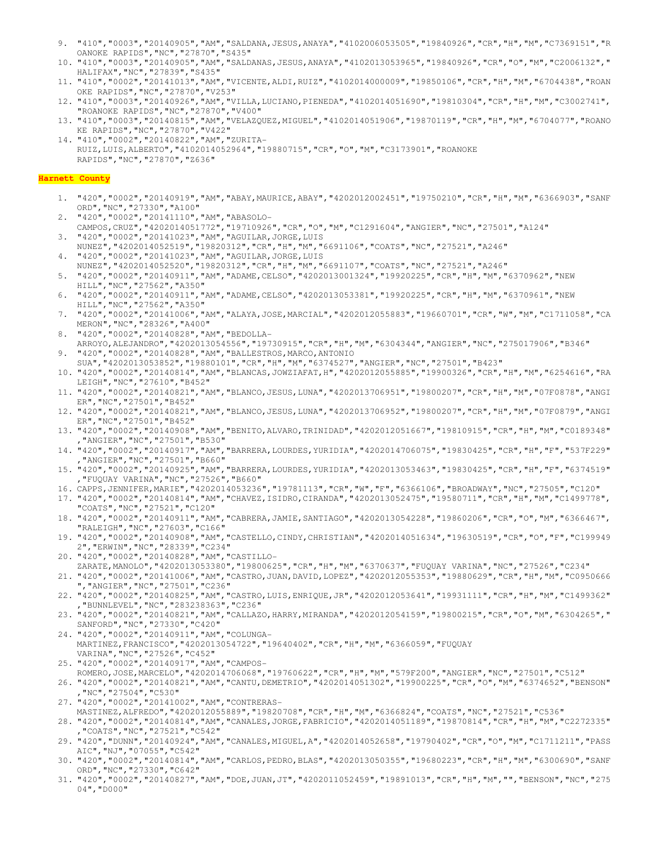- 9. "410","0003","20140905","AM","SALDANA,JESUS,ANAYA","4102006053505","19840926","CR","H","M","C7369151","R OANOKE RAPIDS","NC","27870","S435"
- 10. "410","0003","20140905","AM","SALDANAS,JESUS,ANAYA","4102013053965","19840926","CR","O","M","C2006132"," HALIFAX","NC","27839","S435"
- 11. "410","0002","20141013","AM","VICENTE,ALDI,RUIZ","4102014000009","19850106","CR","H","M","6704438","ROAN OKE RAPIDS","NC","27870","V253"
- 12. "410","0003","20140926","AM","VILLA,LUCIANO,PIENEDA","4102014051690","19810304","CR","H","M","C3002741", "ROANOKE RAPIDS","NC","27870","V400"
- 13. "410","0003","20140815","AM","VELAZQUEZ,MIGUEL","4102014051906","19870119","CR","H","M","6704077","ROANO KE RAPIDS","NC","27870","V422"
- 14. "410","0002","20140822","AM","ZURITA-RUIZ,LUIS,ALBERTO","4102014052964","19880715","CR","O","M","C3173901","ROANOKE RAPIDS","NC","27870","Z636"

## **Harnett County**

- 1. "420","0002","20140919","AM","ABAY,MAURICE,ABAY","4202012002451","19750210","CR","H","M","6366903","SANF ORD","NC","27330","A100"
- 2. "420","0002","20141110","AM","ABASOLO-
- CAMPOS,CRUZ","4202014051772","19710926","CR","O","M","C1291604","ANGIER","NC","27501","A124" 3. "420","0002","20141023","AM","AGUILAR,JORGE,LUIS
- NUNEZ","4202014052519","19820312","CR","H","M","6691106","COATS","NC","27521","A246" 4. "420","0002","20141023","AM","AGUILAR,JORGE,LUIS
- NUNEZ","4202014052520","19820312","CR","H","M","6691107","COATS","NC","27521","A246"
- 5. "420","0002","20140911","AM","ADAME,CELSO","4202013001324","19920225","CR","H","M","6370962","NEW HILL","NC","27562","A350"
- 6. "420","0002","20140911","AM","ADAME,CELSO","4202013053381","19920225","CR","H","M","6370961","NEW HILL","NC","27562","A350"
- 7. "420","0002","20141006","AM","ALAYA,JOSE,MARCIAL","4202012055883","19660701","CR","W","M","C1711058","CA MERON","NC","28326","A400"
- 8. "420","0002","20140828","AM","BEDOLLA-ARROYO,ALEJANDRO","4202013054556","19730915","CR","H","M","6304344","ANGIER","NC","275017906","B346"
- 9. "420","0002","20140828","AM","BALLESTROS,MARCO,ANTONIO SUA","4202013053852","19880101","CR","H","M","6374527","ANGIER","NC","27501","B423"
- 10. "420","0002","20140814","AM","BLANCAS,JOWZIAFAT,H","4202012055885","19900326","CR","H","M","6254616","RA LEIGH","NC","27610","B452"
- 11. "420","0002","20140821","AM","BLANCO,JESUS,LUNA","4202013706951","19800207","CR","H","M","07F0878","ANGI ER","NC","27501","B452"
- 12. "420","0002","20140821","AM","BLANCO,JESUS,LUNA","4202013706952","19800207","CR","H","M","07F0879","ANGI ER","NC","27501","B452"
- 13. "420","0002","20140908","AM","BENITO,ALVARO,TRINIDAD","4202012051667","19810915","CR","H","M","C0189348" ,"ANGIER","NC","27501","B530"
- 14. "420","0002","20140917","AM","BARRERA,LOURDES,YURIDIA","4202014706075","19830425","CR","H","F","537F229" ,"ANGIER","NC","27501","B660"
- 15. "420","0002","20140925","AM","BARRERA,LOURDES,YURIDIA","4202013053463","19830425","CR","H","F","6374519" ,"FUQUAY VARINA","NC","27526","B660"
- 16. CAPPS,JENNIFER,MARIE","4202014053236","19781113","CR","W","F","6366106","BROADWAY","NC","27505","C120"
- 17. "420","0002","20140814","AM","CHAVEZ,ISIDRO,CIRANDA","4202013052475","19580711","CR","H","M","C1499778", "COATS","NC","27521","C120"
- 18. "420","0002","20140911","AM","CABRERA,JAMIE,SANTIAGO","4202013054228","19860206","CR","O","M","6366467", "RALEIGH","NC","27603","C166"
- 19. "420","0002","20140908","AM","CASTELLO,CINDY,CHRISTIAN","4202014051634","19630519","CR","O","F","C199949 2","ERWIN","NC","28339","C234"
- 20. "420","0002","20140828","AM","CASTILLO-
- ZARATE,MANOLO","4202013053380","19800625","CR","H","M","6370637","FUQUAY VARINA","NC","27526","C234"
- 21. "420","0002","20141006","AM","CASTRO,JUAN,DAVID,LOPEZ","4202012055353","19880629","CR","H","M","C0950666 ","ANGIER","NC","27501","C236"
- 22. "420","0002","20140825","AM","CASTRO,LUIS,ENRIQUE,JR","4202012053641","19931111","CR","H","M","C1499362" ,"BUNNLEVEL","NC","283238363","C236"
- 23. "420","0002","20140821","AM","CALLAZO,HARRY,MIRANDA","4202012054159","19800215","CR","O","M","6304265"," SANFORD","NC","27330","C420"
- 24. "420","0002","20140911","AM","COLUNGA-MARTINEZ,FRANCISCO","4202013054722","19640402","CR","H","M","6366059","FUQUAY VARINA","NC","27526","C452"
- 25. "420","0002","20140917","AM","CAMPOS-
- ROMERO,JOSE,MARCELO","4202014706068","19760622","CR","H","M","579F200","ANGIER","NC","27501","C512"
- 26. "420","0002","20140821","AM","CANTU,DEMETRIO","4202014051302","19900225","CR","O","M","6374652","BENSON" ,"NC","27504","C530"
- 27. "420","0002","20141002","AM","CONTRERAS-
- MASTINEZ,ALFREDO","4202012055889","19820708","CR","H","M","6366824","COATS","NC","27521","C536"
- 28. "420","0002","20140814","AM","CANALES,JORGE,FABRICIO","4202014051189","19870814","CR","H","M","C2272335" ,"COATS","NC","27521","C542"
- 29. "420","DUNN","20140924","AM","CANALES,MIGUEL,A","4202014052658","19790402","CR","O","M","C1711211","PASS AIC","NJ","07055","C542"
- 30. "420","0002","20140814","AM","CARLOS,PEDRO,BLAS","4202013050355","19680223","CR","H","M","6300690","SANF ORD","NC","27330","C642"
- 31. "420","0002","20140827","AM","DOE,JUAN,JT","4202011052459","19891013","CR","H","M","","BENSON","NC","275 04","D000"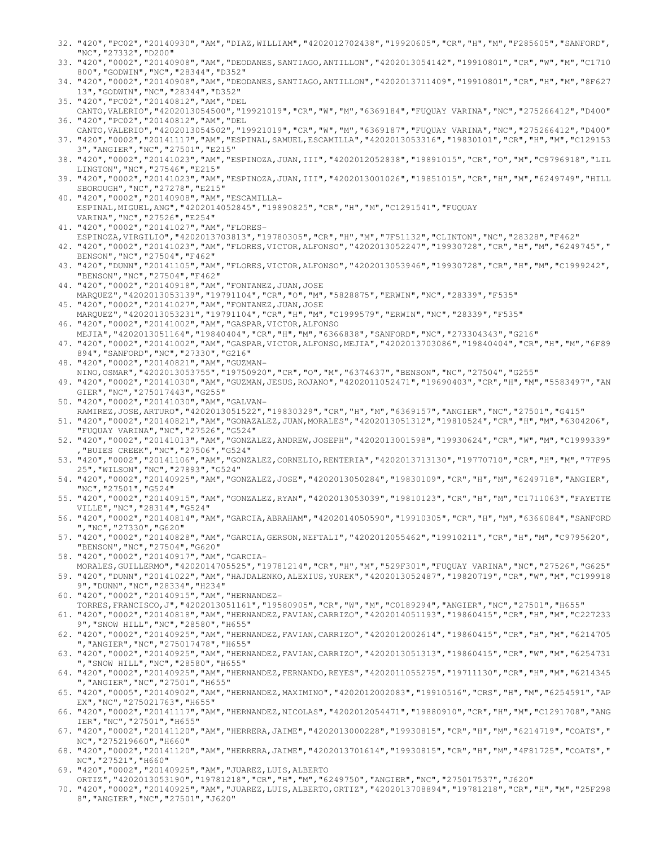- 32. "420","PC02","20140930","AM","DIAZ,WILLIAM","4202012702438","19920605","CR","H","M","F285605","SANFORD", "NC","27332","D200"
- 33. "420","0002","20140908","AM","DEODANES,SANTIAGO,ANTILLON","4202013054142","19910801","CR","W","M","C1710 800","GODWIN","NC","28344","D352"
- 34. "420","0002","20140908","AM","DEODANES,SANTIAGO,ANTILLON","4202013711409","19910801","CR","H","M","8F627 13","GODWIN","NC","28344","D352"
- 35. "420","PC02","20140812","AM","DEL
- CANTO,VALERIO","4202013054500","19921019","CR","W","M","6369184","FUQUAY VARINA","NC","275266412","D400" 36. "420","PC02","20140812","AM","DEL
- CANTO,VALERIO","4202013054502","19921019","CR","W","M","6369187","FUQUAY VARINA","NC","275266412","D400" 37. "420","0002","20141117","AM","ESPINAL,SAMUEL,ESCAMILLA","4202013053316","19830101","CR","H","M","C129153
- 3","ANGIER","NC","27501","E215"
- 38. "420","0002","20141023","AM","ESPINOZA,JUAN,III","4202012052838","19891015","CR","O","M","C9796918","LIL LINGTON","NC","27546","E215"
- 39. "420","0002","20141023","AM","ESPINOZA,JUAN,III","4202013001026","19851015","CR","H","M","6249749","HILL SBOROUGH","NC","27278","E215"
- 40. "420","0002","20140908","AM","ESCAMILLA-ESPINAL,MIGUEL,ANG","4202014052845","19890825","CR","H","M","C1291541","FUQUAY VARINA","NC","27526","E254"
- 41. "420","0002","20141027","AM","FLORES-
- ESPINOZA,VIRGILIO","4202013703813","19780305","CR","H","M","7F51132","CLINTON","NC","28328","F462"
- 42. "420","0002","20141023","AM","FLORES,VICTOR,ALFONSO","4202013052247","19930728","CR","H","M","6249745"," BENSON","NC","27504","F462"
- 43. "420","DUNN","20141105","AM","FLORES,VICTOR,ALFONSO","4202013053946","19930728","CR","H","M","C1999242", "BENSON","NC","27504","F462"
- 44. "420","0002","20140918","AM","FONTANEZ,JUAN,JOSE MARQUEZ","4202013053139","19791104","CR","O","M","5828875","ERWIN","NC","28339","F535"
- 45. "420","0002","20141027","AM","FONTANEZ,JUAN,JOSE
- MARQUEZ","4202013053231","19791104","CR","H","M","C1999579","ERWIN","NC","28339","F535"
- 46. "420","0002","20141002","AM","GASPAR,VICTOR,ALFONSO
- MEJIA","4202013051164","19840404","CR","H","M","6366838","SANFORD","NC","273304343","G216"
- 47. "420","0002","20141002","AM","GASPAR,VICTOR,ALFONSO,MEJIA","4202013703086","19840404","CR","H","M","6F89 894","SANFORD","NC","27330","G216"
- 48. "420","0002","20140821","AM","GUZMAN-
- NINO,OSMAR","4202013053755","19750920","CR","O","M","6374637","BENSON","NC","27504","G255"
- 49. "420","0002","20141030","AM","GUZMAN,JESUS,ROJANO","4202011052471","19690403","CR","H","M","5583497","AN GIER","NC","275017443","G255"
- 50. "420","0002","20141030","AM","GALVAN-
- RAMIREZ,JOSE,ARTURO","4202013051522","19830329","CR","H","M","6369157","ANGIER","NC","27501","G415"
- 51. "420","0002","20140821","AM","GONAZALEZ,JUAN,MORALES","4202013051312","19810524","CR","H","M","6304206", "FUQUAY VARINA","NC","27526","G524"
- 52. "420","0002","20141013","AM","GONZALEZ,ANDREW,JOSEPH","4202013001598","19930624","CR","W","M","C1999339" ,"BUIES CREEK","NC","27506","G524"
- 53. "420","0002","20141106","AM","GONZALEZ,CORNELIO,RENTERIA","4202013713130","19770710","CR","H","M","77F95 25","WILSON","NC","27893","G524"
- 54. "420","0002","20140925","AM","GONZALEZ,JOSE","4202013050284","19830109","CR","H","M","6249718","ANGIER", "NC","27501","G524"
- 55. "420","0002","20140915","AM","GONZALEZ,RYAN","4202013053039","19810123","CR","H","M","C1711063","FAYETTE VILLE","NC","28314","G524"
- 56. "420","0002","20140814","AM","GARCIA,ABRAHAM","4202014050590","19910305","CR","H","M","6366084","SANFORD ","NC","27330","G620"
- 57. "420","0002","20140828","AM","GARCIA,GERSON,NEFTALI","4202012055462","19910211","CR","H","M","C9795620", "BENSON","NC","27504","G620"
- 58. "420","0002","20140917","AM","GARCIA-
- MORALES,GUILLERMO","4202014705525","19781214","CR","H","M","529F301","FUQUAY VARINA","NC","27526","G625" 59. "420","DUNN","20141022","AM","HAJDALENKO,ALEXIUS,YUREK","4202013052487","19820719","CR","W","M","C199918 9","DUNN","NC","28334","H234"
- 60. "420","0002","20140915","AM","HERNANDEZ-
- TORRES,FRANCISCO,J","4202013051161","19580905","CR","W","M","C0189294","ANGIER","NC","27501","H655"
- 61. "420","0002","20140818","AM","HERNANDEZ,FAVIAN,CARRIZO","4202014051193","19860415","CR","H","M","C227233 9","SNOW HILL","NC","28580","H655"
- 62. "420","0002","20140925","AM","HERNANDEZ,FAVIAN,CARRIZO","4202012002614","19860415","CR","H","M","6214705 ","ANGIER","NC","275017478","H655"
- 63. "420","0002","20140925","AM","HERNANDEZ,FAVIAN,CARRIZO","4202013051313","19860415","CR","W","M","6254731 ","SNOW HILL","NC","28580","H655"
- 64. "420","0002","20140925","AM","HERNANDEZ,FERNANDO,REYES","4202011055275","19711130","CR","H","M","6214345 ","ANGIER","NC","27501","H655"
- 65. "420","0005","20140902","AM","HERNANDEZ,MAXIMINO","4202012002083","19910516","CRS","H","M","6254591","AP EX","NC","275021763","H655"
- 66. "420","0002","20141117","AM","HERNANDEZ,NICOLAS","4202012054471","19880910","CR","H","M","C1291708","ANG IER","NC","27501","H655"
- 67. "420","0002","20141120","AM","HERRERA,JAIME","4202013000228","19930815","CR","H","M","6214719","COATS"," NC","275219660","H660"
- 68. "420","0002","20141120","AM","HERRERA,JAIME","4202013701614","19930815","CR","H","M","4F81725","COATS"," NC","27521","H660"
- 69. "420","0002","20140925","AM","JUAREZ,LUIS,ALBERTO
- ORTIZ","4202013053190","19781218","CR","H","M","6249750","ANGIER","NC","275017537","J620"
- 70. "420","0002","20140925","AM","JUAREZ,LUIS,ALBERTO,ORTIZ","4202013708894","19781218","CR","H","M","25F298 8","ANGIER","NC","27501","J620"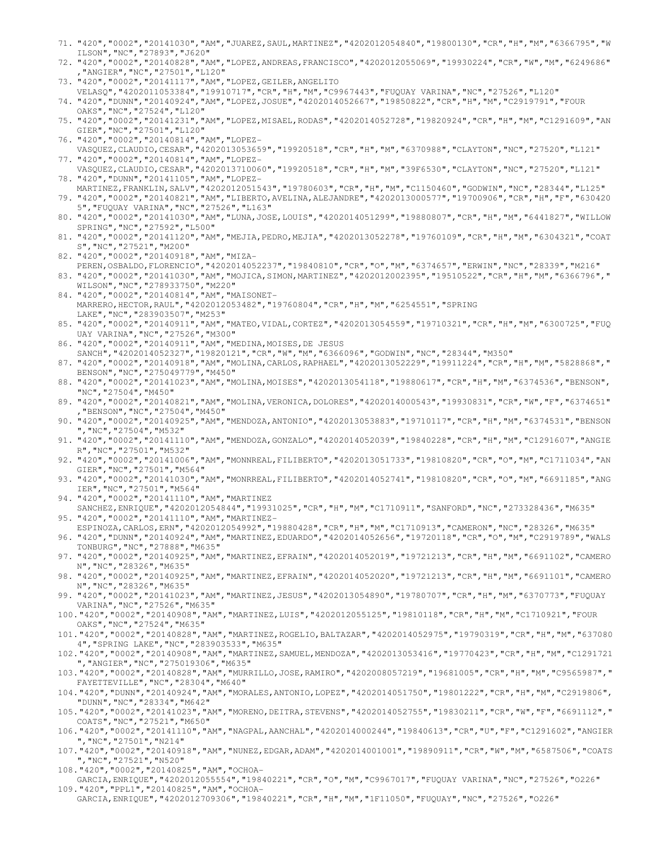- 71. "420","0002","20141030","AM","JUAREZ,SAUL,MARTINEZ","4202012054840","19800130","CR","H","M","6366795","W ILSON","NC","27893","J620"
- 72. "420","0002","20140828","AM","LOPEZ,ANDREAS,FRANCISCO","4202012055069","19930224","CR","W","M","6249686" ,"ANGIER","NC","27501","L120"
- 73. "420","0002","20141117","AM","LOPEZ,GEILER,ANGELITO
- VELASQ","4202011053384","19910717","CR","H","M","C9967443","FUQUAY VARINA","NC","27526","L120"
- 74. "420","DUNN","20140924","AM","LOPEZ,JOSUE","4202014052667","19850822","CR","H","M","C2919791","FOUR OAKS","NC","27524","L120"
- 75. "420","0002","20141231","AM","LOPEZ,MISAEL,RODAS","4202014052728","19820924","CR","H","M","C1291609","AN GIER","NC","27501","L120"
- 76. "420","0002","20140814","AM","LOPEZ-
- VASQUEZ,CLAUDIO,CESAR","4202013053659","19920518","CR","H","M","6370988","CLAYTON","NC","27520","L121" 77. "420","0002","20140814","AM","LOPEZ-
- VASQUEZ,CLAUDIO,CESAR","4202013710060","19920518","CR","H","M","39F6530","CLAYTON","NC","27520","L121" 78. "420","DUNN","20141105","AM","LOPEZ-
- MARTINEZ,FRANKLIN,SALV","4202012051543","19780603","CR","H","M","C1150460","GODWIN","NC","28344","L125" 79. "420","0002","20140821","AM","LIBERTO,AVELINA,ALEJANDRE","4202013000577","19700906","CR","H","F","630420
- 5","FUQUAY VARINA","NC","27526","L163" 80. "420","0002","20141030","AM","LUNA,JOSE,LOUIS","4202014051299","19880807","CR","H","M","6441827","WILLOW
- SPRING","NC","27592","L500"
- 81. "420","0002","20141120","AM","MEJIA,PEDRO,MEJIA","4202013052278","19760109","CR","H","M","6304321","COAT S","NC","27521","M200"
- 82. "420","0002","20140918","AM","MIZA-
- PEREN,OSBALDO,FLORENCIO","4202014052237","19840810","CR","O","M","6374657","ERWIN","NC","28339","M216" 83. "420","0002","20141030","AM","MOJICA,SIMON,MARTINEZ","4202012002395","19510522","CR","H","M","6366796","
- WILSON","NC","278933750","M220" 84. "420","0002","20140814","AM","MAISONET-MARRERO,HECTOR,RAUL","4202012053482","19760804","CR","H","M","6254551","SPRING LAKE","NC","283903507","M253"
- 85. "420","0002","20140911","AM","MATEO,VIDAL,CORTEZ","4202013054559","19710321","CR","H","M","6300725","FUQ UAY VARINA","NC","27526","M300"
- 86. "420","0002","20140911","AM","MEDINA,MOISES,DE JESUS
- SANCH","4202014052327","19820121","CR","W","M","6366096","GODWIN","NC","28344","M350"
- 87. "420","0002","20140918","AM","MOLINA,CARLOS,RAPHAEL","4202013052229","19911224","CR","H","M","5828868"," BENSON","NC","275049779","M450"
- 88. "420","0002","20141023","AM","MOLINA,MOISES","4202013054118","19880617","CR","H","M","6374536","BENSON", "NC","27504","M450"
- 89. "420","0002","20140821","AM","MOLINA,VERONICA,DOLORES","4202014000543","19930831","CR","W","F","6374651" ,"BENSON","NC","27504","M450"
- 90. "420","0002","20140925","AM","MENDOZA,ANTONIO","4202013053883","19710117","CR","H","M","6374531","BENSON ","NC","27504","M532"
- 91. "420","0002","20141110","AM","MENDOZA,GONZALO","4202014052039","19840228","CR","H","M","C1291607","ANGIE R","NC","27501","M532"
- 92. "420","0002","20141006","AM","MONNREAL,FILIBERTO","4202013051733","19810820","CR","O","M","C1711034","AN GIER","NC","27501","M564"
- 93. "420","0002","20141030","AM","MONRREAL,FILIBERTO","4202014052741","19810820","CR","O","M","6691185","ANG IER","NC","27501","M564"
- 94. "420", "0002", "20141110", "AM", "MARTINEZ
- SANCHEZ,ENRIQUE","4202012054844","19931025","CR","H","M","C1710911","SANFORD","NC","273328436","M635" 95. "420","0002","20141110","AM","MARTINEZ-
- ESPINOZA,CARLOS,ERN","4202012054992","19880428","CR","H","M","C1710913","CAMERON","NC","28326","M635" 96. "420","DUNN","20140924","AM","MARTINEZ,EDUARDO","4202014052656","19720118","CR","O","M","C2919789","WALS
- TONBURG","NC","27888","M635" 97. "420", "0002", "20140925", "AM", "MARTINEZ, EFRAIN", "4202014052019", "19721213", "CR", "H", "M", "6691102", "CAMERO
- N","NC","28326","M635" 98. "420","0002","20140925","AM","MARTINEZ,EFRAIN","4202014052020","19721213","CR","H","M","6691101","CAMERO
- N","NC","28326","M635" 99. "420","0002","20141023","AM","MARTINEZ,JESUS","4202013054890","19780707","CR","H","M","6370773","FUQUAY VARINA","NC","27526","M635"
- 100."420","0002","20140908","AM","MARTINEZ,LUIS","4202012055125","19810118","CR","H","M","C1710921","FOUR OAKS","NC","27524","M635"
- 101."420","0002","20140828","AM","MARTINEZ,ROGELIO,BALTAZAR","4202014052975","19790319","CR","H","M","637080 4","SPRING LAKE","NC","283903533","M635"
- 102."420","0002","20140908","AM","MARTINEZ,SAMUEL,MENDOZA","4202013053416","19770423","CR","H","M","C1291721 ","ANGIER","NC","275019306","M635"
- 103."420","0002","20140828","AM","MURRILLO,JOSE,RAMIRO","4202008057219","19681005","CR","H","M","C9565987"," FAYETTEVILLE","NC","28304","M640"
- 104."420","DUNN","20140924","AM","MORALES,ANTONIO,LOPEZ","4202014051750","19801222","CR","H","M","C2919806", "DUNN","NC","28334","M642"
- 105."420","0002","20141023","AM","MORENO,DEITRA,STEVENS","4202014052755","19830211","CR","W","F","6691112"," COATS","NC","27521","M650"
- 106."420","0002","20141110","AM","NAGPAL,AANCHAL","4202014000244","19840613","CR","U","F","C1291602","ANGIER ","NC","27501","N214"
- 107."420","0002","20140918","AM","NUNEZ,EDGAR,ADAM","4202014001001","19890911","CR","W","M","6587506","COATS ","NC","27521","N520"
- 108."420","0002","20140825","AM","OCHOA-
- GARCIA,ENRIQUE","4202012055554","19840221","CR","O","M","C9967017","FUQUAY VARINA","NC","27526","O226" 109."420","PPL1","20140825","AM","OCHOA-
- GARCIA,ENRIQUE","4202012709306","19840221","CR","H","M","1F11050","FUQUAY","NC","27526","O226"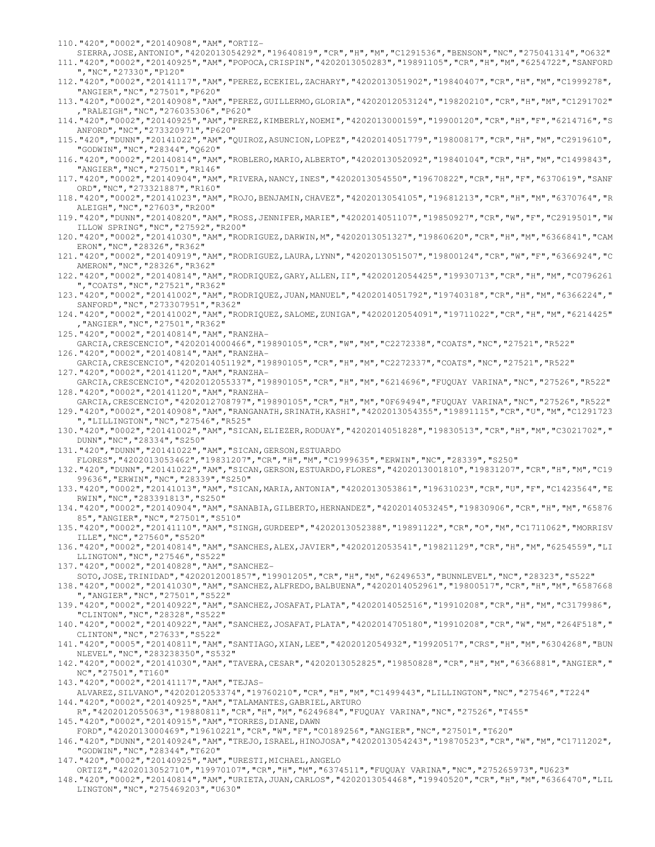110."420","0002","20140908","AM","ORTIZ-SIERRA,JOSE,ANTONIO","4202013054292","19640819","CR","H","M","C1291536","BENSON","NC","275041314","O632" 111."420","0002","20140925","AM","POPOCA,CRISPIN","4202013050283","19891105","CR","H","M","6254722","SANFORD ","NC","27330","P120" 112."420","0002","20141117","AM","PEREZ,ECEKIEL,ZACHARY","4202013051902","19840407","CR","H","M","C1999278", "ANGIER","NC","27501","P620" 113."420","0002","20140908","AM","PEREZ,GUILLERMO,GLORIA","4202012053124","19820210","CR","H","M","C1291702" ,"RALEIGH","NC","276035306","P620" 114."420","0002","20140925","AM","PEREZ,KIMBERLY,NOEMI","4202013000159","19900120","CR","H","F","6214716","S ANFORD","NC","273320971","P620" 115."420","DUNN","20141022","AM","QUIROZ,ASUNCION,LOPEZ","4202014051779","19800817","CR","H","M","C2919610", "GODWIN","NC","28344","Q620" 116."420","0002","20140814","AM","ROBLERO,MARIO,ALBERTO","4202013052092","19840104","CR","H","M","C1499843", "ANGIER","NC","27501","R146" 117."420","0002","20140904","AM","RIVERA,NANCY,INES","4202013054550","19670822","CR","H","F","6370619","SANF ORD","NC","273321887","R160" 118."420","0002","20141023","AM","ROJO,BENJAMIN,CHAVEZ","4202013054105","19681213","CR","H","M","6370764","R ALEIGH","NC","27603","R200" 119."420","DUNN","20140820","AM","ROSS,JENNIFER,MARIE","4202014051107","19850927","CR","W","F","C2919501","W ILLOW SPRING","NC","27592","R200" 120."420","0002","20141030","AM","RODRIGUEZ,DARWIN,M","4202013051327","19860620","CR","H","M","6366841","CAM ERON","NC","28326","R362" 121."420","0002","20140919","AM","RODRIGUEZ,LAURA,LYNN","4202013051507","19800124","CR","W","F","6366924","C AMERON","NC","28326","R362" 122."420","0002","20140814","AM","RODRIQUEZ,GARY,ALLEN,II","4202012054425","19930713","CR","H","M","C0796261 ","COATS","NC","27521","R362" 123."420","0002","20141002","AM","RODRIQUEZ,JUAN,MANUEL","4202014051792","19740318","CR","H","M","6366224"," SANFORD","NC","273307951","R362" 124."420","0002","20141002","AM","RODRIQUEZ,SALOME,ZUNIGA","4202012054091","19711022","CR","H","M","6214425" ,"ANGIER","NC","27501","R362" 125."420","0002","20140814","AM","RANZHA-GARCIA,CRESCENCIO","4202014000466","19890105","CR","W","M","C2272338","COATS","NC","27521","R522" 126."420","0002","20140814","AM","RANZHA-GARCIA,CRESCENCIO","4202014051192","19890105","CR","H","M","C2272337","COATS","NC","27521","R522" 127."420","0002","20141120","AM","RANZHA-GARCIA,CRESCENCIO","4202012055337","19890105","CR","H","M","6214696","FUQUAY VARINA","NC","27526","R522" 128."420","0002","20141120","AM","RANZHA-GARCIA,CRESCENCIO","4202012708797","19890105","CR","H","M","0F69494","FUQUAY VARINA","NC","27526","R522" 129."420","0002","20140908","AM","RANGANATH,SRINATH,KASHI","4202013054355","19891115","CR","U","M","C1291723 ","LILLINGTON","NC","27546","R525" 130."420","0002","20141002","AM","SICAN,ELIEZER,RODUAY","4202014051828","19830513","CR","H","M","C3021702"," DUNN","NC","28334","S250" 131."420","DUNN","20141022","AM","SICAN,GERSON,ESTUARDO FLORES","4202013053462","19831207","CR","H","M","C1999635","ERWIN","NC","28339","S250" 132."420","DUNN","20141022","AM","SICAN,GERSON,ESTUARDO,FLORES","4202013001810","19831207","CR","H","M","C19 99636","ERWIN","NC","28339","S250" 133."420","0002","20141013","AM","SICAN,MARIA,ANTONIA","4202013053861","19631023","CR","U","F","C1423564","E RWIN","NC","283391813","S250" 134."420","0002","20140904","AM","SANABIA,GILBERTO,HERNANDEZ","4202014053245","19830906","CR","H","M","65876 85","ANGIER","NC","27501","S510" 135."420","0002","20141110","AM","SINGH,GURDEEP","4202013052388","19891122","CR","O","M","C1711062","MORRISV ILLE","NC","27560","S520" 136."420","0002","20140814","AM","SANCHES,ALEX,JAVIER","4202012053541","19821129","CR","H","M","6254559","LI LLINGTON","NC","27546","S522" 137."420","0002","20140828","AM","SANCHEZ-SOTO,JOSE,TRINIDAD","4202012001857","19901205","CR","H","M","6249653","BUNNLEVEL","NC","28323","S522" 138."420","0002","20141030","AM","SANCHEZ,ALFREDO,BALBUENA","4202014052961","19800517","CR","H","M","6587668 ","ANGIER","NC","27501","S522" 139."420","0002","20140922","AM","SANCHEZ,JOSAFAT,PLATA","4202014052516","19910208","CR","H","M","C3179986", "CLINTON","NC","28328","S522" 140."420","0002","20140922","AM","SANCHEZ,JOSAFAT,PLATA","4202014705180","19910208","CR","W","M","264F518"," CLINTON","NC","27633","S522" 141."420","0005","20140811","AM","SANTIAGO,XIAN,LEE","4202012054932","19920517","CRS","H","M","6304268","BUN NLEVEL","NC","283238350","S532" 142."420","0002","20141030","AM","TAVERA,CESAR","4202013052825","19850828","CR","H","M","6366881","ANGIER"," NC","27501","T160" 143."420","0002","20141117","AM","TEJAS-ALVAREZ,SILVANO","4202012053374","19760210","CR","H","M","C1499443","LILLINGTON","NC","27546","T224" 144."420","0002","20140925","AM","TALAMANTES,GABRIEL,ARTURO R","4202012055063","19880811","CR","H","M","6249684","FUQUAY VARINA","NC","27526","T455" 145."420","0002","20140915","AM","TORRES,DIANE,DAWN FORD","4202013000469","19610221","CR","W","F","C0189256","ANGIER","NC","27501","T620" 146."420","DUNN","20140924","AM","TREJO,ISRAEL,HINOJOSA","4202013054243","19870523","CR","W","M","C1711202", "GODWIN","NC","28344","T620"

147."420","0002","20140925","AM","URESTI,MICHAEL,ANGELO

ORTIZ","4202013052710","19970107","CR","H","M","6374511","FUQUAY VARINA","NC","275265973","U623"

148."420","0002","20140814","AM","URIETA,JUAN,CARLOS","4202013054468","19940520","CR","H","M","6366470","LIL LINGTON","NC","275469203","U630"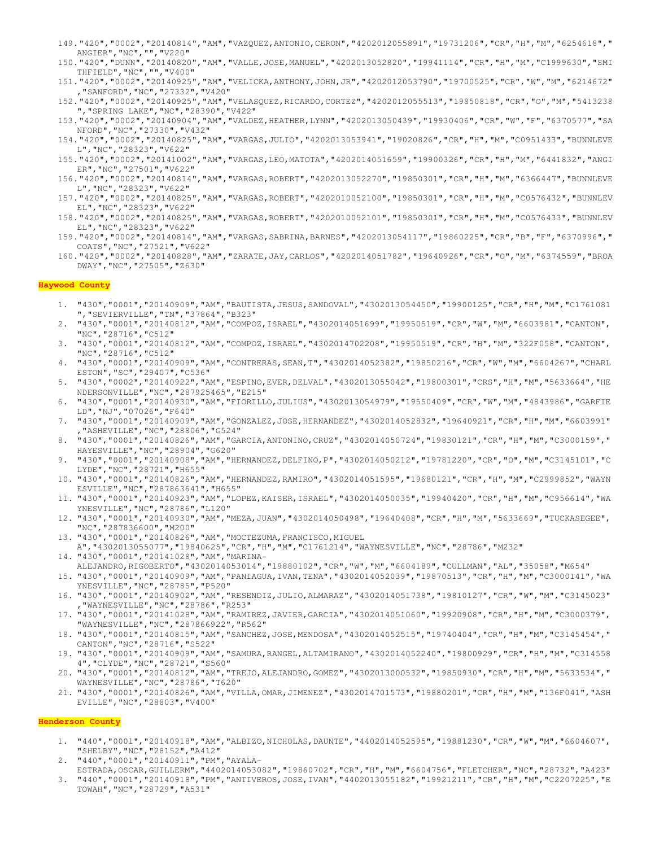- 149."420","0002","20140814","AM","VAZQUEZ,ANTONIO,CERON","4202012055891","19731206","CR","H","M","6254618"," ANGIER","NC","","V220"
- 150."420","DUNN","20140820","AM","VALLE,JOSE,MANUEL","4202013052820","19941114","CR","H","M","C1999630","SMI THFIELD","NC","","V400"
- 151."420","0002","20140925","AM","VELICKA,ANTHONY,JOHN,JR","4202012053790","19700525","CR","W","M","6214672" ,"SANFORD","NC","27332","V420"
- 152."420","0002","20140925","AM","VELASQUEZ,RICARDO,CORTEZ","4202012055513","19850818","CR","O","M","5413238 ","SPRING LAKE","NC","28390","V422"
- 153."420","0002","20140904","AM","VALDEZ,HEATHER,LYNN","4202013050439","19930406","CR","W","F","6370577","SA NFORD","NC","27330","V432"
- 154."420","0002","20140825","AM","VARGAS,JULIO","4202013053941","19020826","CR","H","M","C0951433","BUNNLEVE L","NC","28323","V622"
- 155."420","0002","20141002","AM","VARGAS,LEO,MATOTA","4202014051659","19900326","CR","H","M","6441832","ANGI ER","NC","27501","V622"
- 156."420","0002","20140814","AM","VARGAS,ROBERT","4202013052270","19850301","CR","H","M","6366447","BUNNLEVE L","NC","28323","V622"
- 157."420","0002","20140825","AM","VARGAS,ROBERT","4202010052100","19850301","CR","H","M","C0576432","BUNNLEV EL","NC","28323","V622"
- 158."420","0002","20140825","AM","VARGAS,ROBERT","4202010052101","19850301","CR","H","M","C0576433","BUNNLEV EL","NC","28323","V622"
- 159."420","0002","20140814","AM","VARGAS,SABRINA,BARNES","4202013054117","19860225","CR","B","F","6370996"," COATS","NC","27521","V622"
- 160."420","0002","20140828","AM","ZARATE,JAY,CARLOS","4202014051782","19640926","CR","O","M","6374559","BROA DWAY","NC","27505","Z630"

# **Haywood County**

- 1. "430","0001","20140909","AM","BAUTISTA,JESUS,SANDOVAL","4302013054450","19900125","CR","H","M","C1761081 ","SEVIERVILLE","TN","37864","B323"
- 2. "430","0001","20140812","AM","COMPOZ,ISRAEL","4302014051699","19950519","CR","W","M","6603981","CANTON", "NC","28716","C512"
- 3. "430","0001","20140812","AM","COMPOZ,ISRAEL","4302014702208","19950519","CR","H","M","322F058","CANTON", "NC","28716","C512"
- 4. "430","0001","20140909","AM","CONTRERAS,SEAN,T","4302014052382","19850216","CR","W","M","6604267","CHARL ESTON","SC","29407","C536"
- 5. "430","0002","20140922","AM","ESPINO,EVER,DELVAL","4302013055042","19800301","CRS","H","M","5633664","HE NDERSONVILLE","NC","287925465","E215"
- 6. "430","0001","20140930","AM","FIORILLO,JULIUS","4302013054979","19550409","CR","W","M","4843986","GARFIE LD","NJ","07026","F640"
- 7. "430","0001","20140909","AM","GONZALEZ,JOSE,HERNANDEZ","4302014052832","19640921","CR","H","M","6603991" ,"ASHEVILLE","NC","28806","G524"
- 8. "430","0001","20140826","AM","GARCIA,ANTONINO,CRUZ","4302014050724","19830121","CR","H","M","C3000159"," HAYESVILLE","NC","28904","G620"
- 9. "430","0001","20140908","AM","HERNANDEZ,DELFINO,P","4302014050212","19781220","CR","O","M","C3145101","C LYDE","NC","28721","H655"
- 10. "430","0001","20140826","AM","HERNANDEZ,RAMIRO","4302014051595","19680121","CR","H","M","C2999852","WAYN ESVILLE","NC","287863641","H655"
- 11. "430","0001","20140923","AM","LOPEZ,KAISER,ISRAEL","4302014050035","19940420","CR","H","M","C956614","WA YNESVILLE","NC","28786","L120"
- 12. "430","0001","20140930","AM","MEZA,JUAN","4302014050498","19640408","CR","H","M","5633669","TUCKASEGEE", "NC","287836600","M200"
- 13. "430","0001","20140826","AM","MOCTEZUMA,FRANCISCO,MIGUEL
- A","4302013055077","19840625","CR","H","M","C1761214","WAYNESVILLE","NC","28786","M232" 14. "430","0001","20141028","AM","MARINA-
- ALEJANDRO,RIGOBERTO","4302014053014","19880102","CR","W","M","6604189","CULLMAN","AL","35058","M654" 15. "430","0001","20140909","AM","PANIAGUA,IVAN,TENA","4302014052039","19870513","CR","H","M","C3000141","WA
- YNESVILLE","NC","28785","P520"
- 16. "430","0001","20140902","AM","RESENDIZ,JULIO,ALMARAZ","4302014051738","19810127","CR","W","M","C3145023" ,"WAYNESVILLE","NC","28786","R253"
- 17. "430","0001","20141028","AM","RAMIREZ,JAVIER,GARCIA","4302014051060","19920908","CR","H","M","C3000379", "WAYNESVILLE","NC","287866922","R562"
- 18. "430","0001","20140815","AM","SANCHEZ,JOSE,MENDOSA","4302014052515","19740404","CR","H","M","C3145454"," CANTON","NC","28716","S522"
- 19. "430","0001","20140909","AM","SAMURA,RANGEL,ALTAMIRANO","4302014052240","19800929","CR","H","M","C314558 4","CLYDE","NC","28721","S560"
- 20. "430","0001","20140812","AM","TREJO,ALEJANDRO,GOMEZ","4302013000532","19850930","CR","H","M","5633534"," WAYNESVILLE","NC","28786","T620"
- 21. "430","0001","20140826","AM","VILLA,OMAR,JIMENEZ","4302014701573","19880201","CR","H","M","136F041","ASH EVILLE","NC","28803","V400"

#### **Henderson County**

- 1. "440","0001","20140918","AM","ALBIZO,NICHOLAS,DAUNTE","4402014052595","19881230","CR","W","M","6604607", "SHELBY","NC","28152","A412" 2. "440","0001","20140911","PM","AYALA-
- ESTRADA,OSCAR,GUILLERM","4402014053082","19860702","CR","H","M","6604756","FLETCHER","NC","28732","A423"
- 3. "440", "0001", "20140918", "PM", "ANTIVEROS, JOSE, IVAN", "4402013055182", "19921211", "CR", "H", "M", "C2207225", "E TOWAH","NC","28729","A531"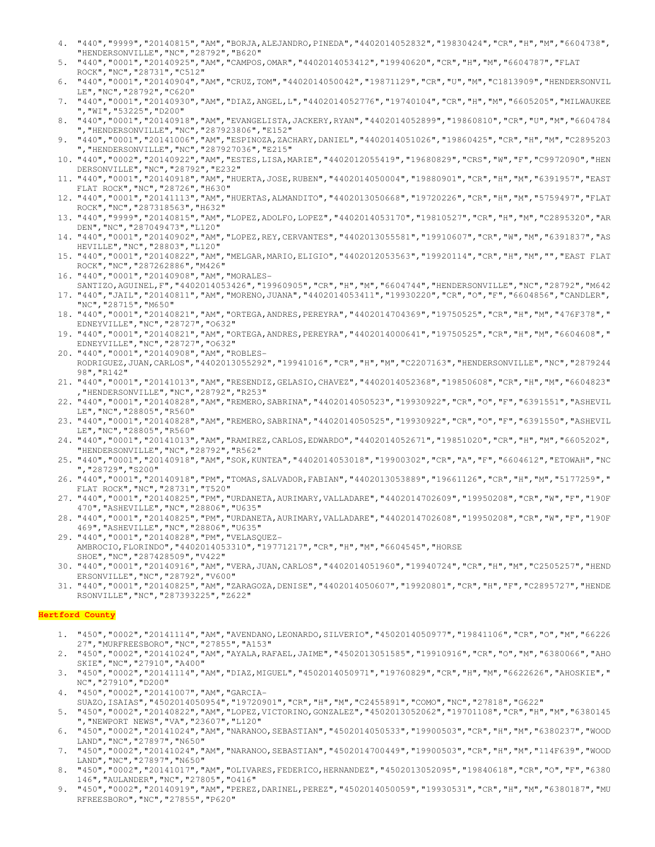- 4. "440","9999","20140815","AM","BORJA,ALEJANDRO,PINEDA","4402014052832","19830424","CR","H","M","6604738", "HENDERSONVILLE","NC","28792","B620"
- 5. "440","0001","20140925","AM","CAMPOS,OMAR","4402014053412","19940620","CR","H","M","6604787","FLAT ROCK","NC","28731","C512"
- 6. "440","0001","20140904","AM","CRUZ,TOM","4402014050042","19871129","CR","U","M","C1813909","HENDERSONVIL LE","NC","28792","C620"
- 7. "440","0001","20140930","AM","DIAZ,ANGEL,L","4402014052776","19740104","CR","H","M","6605205","MILWAUKEE ","WI","53225","D200"
- 8. "440","0001","20140918","AM","EVANGELISTA,JACKERY,RYAN","4402014052899","19860810","CR","U","M","6604784 ","HENDERSONVILLE","NC","287923806","E152"
- 9. "440","0001","20141006","AM","ESPINOZA,ZACHARY,DANIEL","4402014051026","19860425","CR","H","M","C2895203 ","HENDERSONVILLE","NC","287927036","E215"
- 10. "440","0002","20140922","AM","ESTES,LISA,MARIE","4402012055419","19680829","CRS","W","F","C9972090","HEN DERSONVILLE","NC","28792","E232"
- 11. "440","0001","20140918","AM","HUERTA,JOSE,RUBEN","4402014050004","19880901","CR","H","M","6391957","EAST FLAT ROCK","NC","28726","H630"
- 12. "440","0001","20141113","AM","HUERTAS,ALMANDITO","4402013050668","19720226","CR","H","M","5759497","FLAT ROCK","NC","287318563","H632"
- 13. "440","9999","20140815","AM","LOPEZ,ADOLFO,LOPEZ","4402014053170","19810527","CR","H","M","C2895320","AR DEN","NC","287049473","L120"
- 14. "440","0001","20140902","AM","LOPEZ,REY,CERVANTES","4402013055581","19910607","CR","W","M","6391837","AS HEVILLE","NC","28803","L120"
- 15. "440","0001","20140822","AM","MELGAR,MARIO,ELIGIO","4402012053563","19920114","CR","H","M","","EAST FLAT ROCK","NC","287262886","M426"
- 16. "440","0001","20140908","AM","MORALES-
- SANTIZO,AGUINEL,F","4402014053426","19960905","CR","H","M","6604744","HENDERSONVILLE","NC","28792","M642 17. "440","JAIL","20140811","AM","MORENO,JUANA","4402014053411","19930220","CR","O","F","6604856","CANDLER", "NC","28715","M650"
- 18. "440","0001","20140821","AM","ORTEGA,ANDRES,PEREYRA","4402014704369","19750525","CR","H","M","476F378"," EDNEYVILLE","NC","28727","O632"
- 19. "440","0001","20140821","AM","ORTEGA,ANDRES,PEREYRA","4402014000641","19750525","CR","H","M","6604608"," EDNEYVILLE","NC","28727","O632"
- 20. "440","0001","20140908","AM","ROBLES-RODRIGUEZ,JUAN,CARLOS","4402013055292","19941016","CR","H","M","C2207163","HENDERSONVILLE","NC","2879244 98","R142"
- 21. "440","0001","20141013","AM","RESENDIZ,GELASIO,CHAVEZ","4402014052368","19850608","CR","H","M","6604823" ,"HENDERSONVILLE","NC","28792","R253"
- 22. "440","0001","20140828","AM","REMERO,SABRINA","4402014050523","19930922","CR","O","F","6391551","ASHEVIL LE","NC","28805","R560"
- 23. "440","0001","20140828","AM","REMERO,SABRINA","4402014050525","19930922","CR","O","F","6391550","ASHEVIL LE", "NC", "28805", "R560"
- 24. "440","0001","20141013","AM","RAMIREZ,CARLOS,EDWARDO","4402014052671","19851020","CR","H","M","6605202", "HENDERSONVILLE","NC","28792","R562"
- 25. "440","0001","20140918","AM","SOK,KUNTEA","4402014053018","19900302","CR","A","F","6604612","ETOWAH","NC ","28729","S200"
- 26. "440","0001","20140918","PM","TOMAS,SALVADOR,FABIAN","4402013053889","19661126","CR","H","M","5177259"," FLAT ROCK","NC","28731","T520"
- 27. "440","0001","20140825","PM","URDANETA,AURIMARY,VALLADARE","4402014702609","19950208","CR","W","F","190F 470","ASHEVILLE","NC","28806","U635"
- 28. "440","0001","20140825","PM","URDANETA,AURIMARY,VALLADARE","4402014702608","19950208","CR","W","F","190F 469","ASHEVILLE","NC","28806","U635"
- 29. "440","0001","20140828","PM","VELASQUEZ-AMBROCIO,FLORINDO","4402014053310","19771217","CR","H","M","6604545","HORSE SHOE","NC","287428509","V422"
- 30. "440","0001","20140916","AM","VERA,JUAN,CARLOS","4402014051960","19940724","CR","H","M","C2505257","HEND ERSONVILLE","NC","28792","V600"
- 31. "440","0001","20140825","AM","ZARAGOZA,DENISE","4402014050607","19920801","CR","H","F","C2895727","HENDE RSONVILLE","NC","287393225","Z622"

#### **Hertford County**

- 1. "450","0002","20141114","AM","AVENDANO,LEONARDO,SILVERIO","4502014050977","19841106","CR","O","M","66226 27","MURFREESBORO","NC","27855","A153"
- 2. "450","0002","20141024","AM","AYALA,RAFAEL,JAIME","4502013051585","19910916","CR","O","M","6380066","AHO SKIE","NC","27910","A400"
- 3. "450","0002","20141114","AM","DIAZ,MIGUEL","4502014050971","19760829","CR","H","M","6622626","AHOSKIE"," NC","27910","D200"
- 4. "450","0002","20141007","AM","GARCIA-SUAZO,ISAIAS","4502014050954","19720901","CR","H","M","C2455891","COMO","NC","27818","G622"
- 5. "450","0002","20140822","AM","LOPEZ,VICTORINO,GONZALEZ","4502013052062","19701108","CR","H","M","6380145 ","NEWPORT NEWS","VA","23607","L120"
- 6. "450","0002","20141024","AM","NARANOO,SEBASTIAN","4502014050533","19900503","CR","H","M","6380237","WOOD LAND","NC","27897","N650"
- 7. "450","0002","20141024","AM","NARANOO,SEBASTIAN","4502014700449","19900503","CR","H","M","114F639","WOOD LAND","NC","27897","N650"
- 8. "450","0002","20141017","AM","OLIVARES,FEDERICO,HERNANDEZ","4502013052095","19840618","CR","O","F","6380 146","AULANDER","NC","27805","O416"
- 9. "450","0002","20140919","AM","PEREZ,DARINEL,PEREZ","4502014050059","19930531","CR","H","M","6380187","MU RFREESBORO","NC","27855","P620"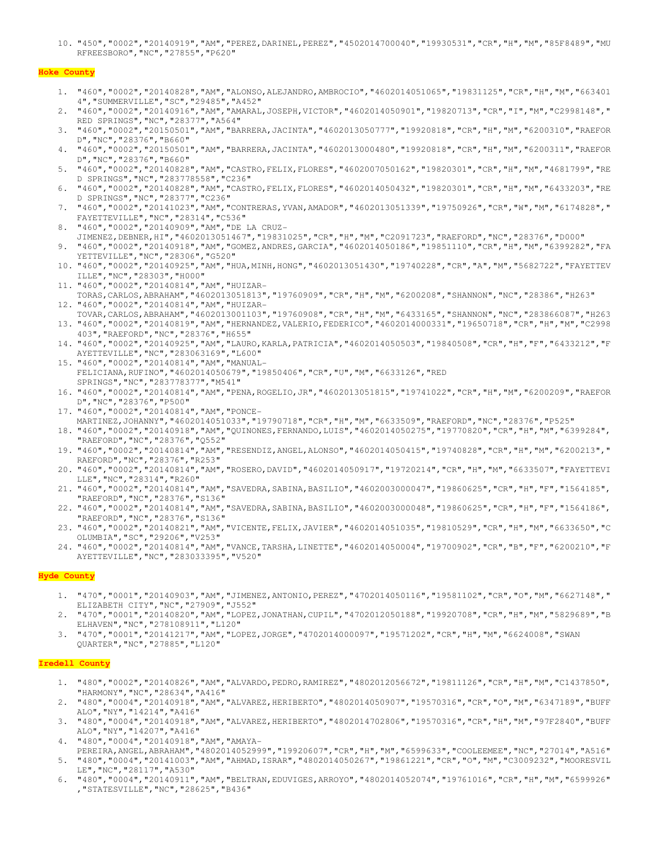10. "450","0002","20140919","AM","PEREZ,DARINEL,PEREZ","4502014700040","19930531","CR","H","M","85F8489","MU RFREESBORO","NC","27855","P620"

# **Hoke County**

- 1. "460","0002","20140828","AM","ALONSO,ALEJANDRO,AMBROCIO","4602014051065","19831125","CR","H","M","663401 4","SUMMERVILLE","SC","29485","A452"
- 2. "460","0002","20140916","AM","AMARAL,JOSEPH,VICTOR","4602014050901","19820713","CR","I","M","C2998148"," RED SPRINGS","NC","28377","A564"
- 3. "460","0002","20150501","AM","BARRERA,JACINTA","4602013050777","19920818","CR","H","M","6200310","RAEFOR D","NC","28376","B660"
- 4. "460","0002","20150501","AM","BARRERA,JACINTA","4602013000480","19920818","CR","H","M","6200311","RAEFOR D","NC","28376","B660"
- 5. "460","0002","20140828","AM","CASTRO,FELIX,FLORES","4602007050162","19820301","CR","H","M","4681799","RE D SPRINGS","NC","283778558","C236"
- 6. "460","0002","20140828","AM","CASTRO,FELIX,FLORES","4602014050432","19820301","CR","H","M","6433203","RE D SPRINGS","NC","28377","C236"
- 7. "460","0002","20141023","AM","CONTRERAS,YVAN,AMADOR","4602013051339","19750926","CR","W","M","6174828"," FAYETTEVILLE","NC","28314","C536"
- 8. "460","0002","20140909","AM","DE LA CRUZ-
- JIMENEZ,DEBNER,HI","4602013051467","19831025","CR","H","M","C2091723","RAEFORD","NC","28376","D000"
- 9. "460","0002","20140918","AM","GOMEZ,ANDRES,GARCIA","4602014050186","19851110","CR","H","M","6399282","FA YETTEVILLE","NC","28306","G520"
- 10. "460","0002","20140925","AM","HUA,MINH,HONG","4602013051430","19740228","CR","A","M","5682722","FAYETTEV ILLE","NC","28303","H000"
- 11. "460","0002","20140814","AM","HUIZAR-
- TORAS,CARLOS,ABRAHAM","4602013051813","19760909","CR","H","M","6200208","SHANNON","NC","28386","H263" 12. "460","0002","20140814","AM","HUIZAR-
- TOVAR,CARLOS,ABRAHAM","4602013001103","19760908","CR","H","M","6433165","SHANNON","NC","283866087","H263 13. "460","0002","20140819","AM","HERNANDEZ,VALERIO,FEDERICO","4602014000331","19650718","CR","H","M","C2998 403","RAEFORD","NC","28376","H655"
- 14. "460","0002","20140925","AM","LAURO,KARLA,PATRICIA","4602014050503","19840508","CR","H","F","6433212","F AYETTEVILLE","NC","283063169","L600"
- 15. "460","0002","20140814","AM","MANUAL-FELICIANA,RUFINO","4602014050679","19850406","CR","U","M","6633126","RED SPRINGS","NC","283778377","M541"
- 16. "460","0002","20140814","AM","PENA,ROGELIO,JR","4602013051815","19741022","CR","H","M","6200209","RAEFOR D","NC","28376","P500"
- 17. "460","0002","20140814","AM","PONCE-MARTINEZ,JOHANNY","4602014051033","19790718","CR","H","M","6633509","RAEFORD","NC","28376","P525"
- 18. "460","0002","20140918","AM","QUINONES,FERNANDO,LUIS","4602014050275","19770820","CR","H","M","6399284", "RAEFORD","NC","28376","Q552"
- 19. "460","0002","20140814","AM","RESENDIZ,ANGEL,ALONSO","4602014050415","19740828","CR","H","M","6200213"," RAEFORD","NC","28376","R253"
- 20. "460","0002","20140814","AM","ROSERO,DAVID","4602014050917","19720214","CR","H","M","6633507","FAYETTEVI LLE","NC","28314","R260"
- 21. "460","0002","20140814","AM","SAVEDRA,SABINA,BASILIO","4602003000047","19860625","CR","H","F","1564185", "RAEFORD","NC","28376","S136"
- 22. "460","0002","20140814","AM","SAVEDRA,SABINA,BASILIO","4602003000048","19860625","CR","H","F","1564186", "RAEFORD","NC","28376","S136"
- 23. "460","0002","20140821","AM","VICENTE,FELIX,JAVIER","4602014051035","19810529","CR","H","M","6633650","C OLUMBIA","SC","29206","V253"
- 24. "460","0002","20140814","AM","VANCE,TARSHA,LINETTE","4602014050004","19700902","CR","B","F","6200210","F AYETTEVILLE","NC","283033395","V520"

## **Hyde County**

- 1. "470","0001","20140903","AM","JIMENEZ,ANTONIO,PEREZ","4702014050116","19581102","CR","O","M","6627148"," ELIZABETH CITY","NC","27909","J552"
- 2. "470","0001","20140820","AM","LOPEZ,JONATHAN,CUPIL","4702012050188","19920708","CR","H","M","5829689","B ELHAVEN","NC","278108911","L120"
- 3. "470","0001","20141217","AM","LOPEZ,JORGE","4702014000097","19571202","CR","H","M","6624008","SWAN QUARTER","NC","27885","L120"

#### **Iredell County**

- 1. "480","0002","20140826","AM","ALVARDO,PEDRO,RAMIREZ","4802012056672","19811126","CR","H","M","C1437850", "HARMONY","NC","28634","A416"
- 2. "480","0004","20140918","AM","ALVAREZ,HERIBERTO","4802014050907","19570316","CR","O","M","6347189","BUFF ALO","NY","14214","A416"
- 3. "480","0004","20140918","AM","ALVAREZ,HERIBERTO","4802014702806","19570316","CR","H","M","97F2840","BUFF ALO","NY","14207","A416"
- 4. "480","0004","20140918","AM","AMAYA-PEREIRA,ANGEL,ABRAHAM","4802014052999","19920607","CR","H","M","6599633","COOLEEMEE","NC","27014","A516" 5. "480","0004","20141003","AM","AHMAD,ISRAR","4802014050267","19861221","CR","O","M","C3009232","MOORESVIL
- LE","NC","28117","A530" 6. "480","0004","20140911","AM","BELTRAN,EDUVIGES,ARROYO","4802014052074","19761016","CR","H","M","6599926"
	- ,"STATESVILLE","NC","28625","B436"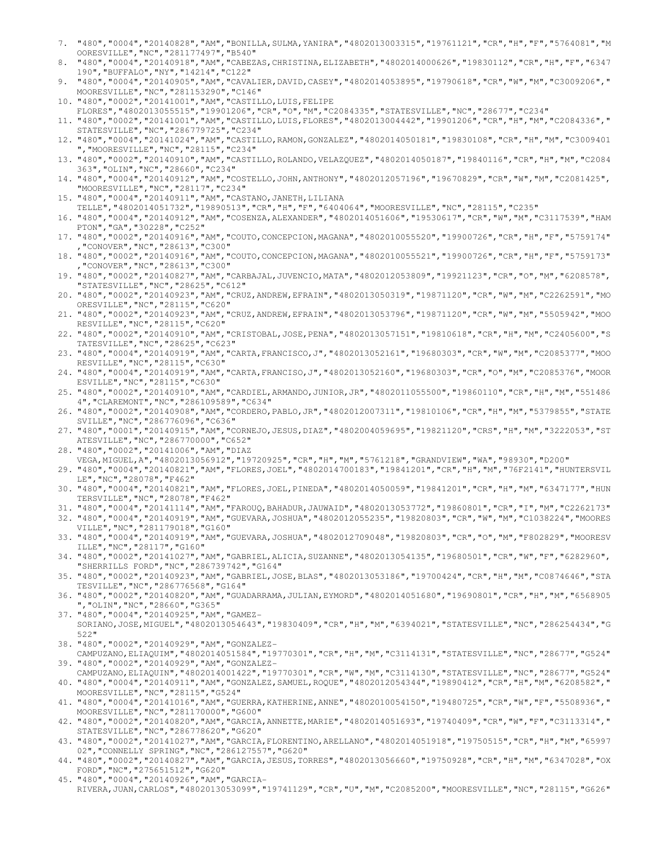- 7. "480","0004","20140828","AM","BONILLA,SULMA,YANIRA","4802013003315","19761121","CR","H","F","5764081","M OORESVILLE","NC","281177497","B540"
- 8. "480","0004","20140918","AM","CABEZAS,CHRISTINA,ELIZABETH","4802014000626","19830112","CR","H","F","6347 190","BUFFALO","NY","14214","C122"
- 9. "480","0004","20140905","AM","CAVALIER,DAVID,CASEY","4802014053895","19790618","CR","W","M","C3009206"," MOORESVILLE","NC","281153290","C146"
- 10. "480","0002","20141001","AM","CASTILLO,LUIS,FELIPE
- FLORES","4802013055515","19901206","CR","O","M","C2084335","STATESVILLE","NC","28677","C234"
- 11. "480","0002","20141001","AM","CASTILLO,LUIS,FLORES","4802013004442","19901206","CR","H","M","C2084336"," STATESVILLE","NC","286779725","C234"
- 12. "480","0004","20141024","AM","CASTILLO,RAMON,GONZALEZ","4802014050181","19830108","CR","H","M","C3009401 ","MOORESVILLE","NC","28115","C234"
- 13. "480","0002","20140910","AM","CASTILLO,ROLANDO,VELAZQUEZ","4802014050187","19840116","CR","H","M","C2084 363","OLIN","NC","28660","C234"
- 14. "480","0004","20140912","AM","COSTELLO,JOHN,ANTHONY","4802012057196","19670829","CR","W","M","C2081425", "MOORESVILLE","NC","28117","C234"
- 15. "480","0004","20140911","AM","CASTANO,JANETH,LILIANA

TELLE","4802014051732","19890513","CR","H","F","6404064","MOORESVILLE","NC","28115","C235"

- 16. "480","0004","20140912","AM","COSENZA,ALEXANDER","4802014051606","19530617","CR","W","M","C3117539","HAM PTON","GA","30228","C252"
- 17. "480","0002","20140916","AM","COUTO,CONCEPCION,MAGANA","4802010055520","19900726","CR","H","F","5759174" ,"CONOVER","NC","28613","C300"
- 18. "480","0002","20140916","AM","COUTO,CONCEPCION,MAGANA","4802010055521","19900726","CR","H","F","5759173" ,"CONOVER","NC","28613","C300"
- 19. "480","0002","20140827","AM","CARBAJAL,JUVENCIO,MATA","4802012053809","19921123","CR","O","M","6208578", "STATESVILLE","NC","28625","C612"
- 20. "480","0002","20140923","AM","CRUZ,ANDREW,EFRAIN","4802013050319","19871120","CR","W","M","C2262591","MO ORESVILLE","NC","28115","C620"
- 21. "480","0002","20140923","AM","CRUZ,ANDREW,EFRAIN","4802013053796","19871120","CR","W","M","5505942","MOO RESVILLE","NC","28115","C620"
- 22. "480","0002","20140910","AM","CRISTOBAL,JOSE,PENA","4802013057151","19810618","CR","H","M","C2405600","S TATESVILLE","NC","28625","C623"
- 23. "480","0004","20140919","AM","CARTA,FRANCISCO,J","4802013052161","19680303","CR","W","M","C2085377","MOO RESVILLE","NC","28115","C630"
- 24. "480","0004","20140919","AM","CARTA,FRANCISO,J","4802013052160","19680303","CR","O","M","C2085376","MOOR ESVILLE","NC","28115","C630"
- 25. "480","0002","20140910","AM","CARDIEL,ARMANDO,JUNIOR,JR","4802011055500","19860110","CR","H","M","551486 4","CLAREMONT","NC","286109589","C634"
- 26. "480","0002","20140908","AM","CORDERO,PABLO,JR","4802012007311","19810106","CR","H","M","5379855","STATE SVILLE","NC","286776096","C636"
- 27. "480","0001","20140915","AM","CORNEJO,JESUS,DIAZ","4802004059695","19821120","CRS","H","M","3222053","ST ATESVILLE","NC","286770000","C652"
- 28. "480","0002","20141006","AM","DIAZ
- VEGA,MIGUEL,A","4802013056912","19720925","CR","H","M","5761218","GRANDVIEW","WA","98930","D200"
- 29. "480","0004","20140821","AM","FLORES,JOEL","4802014700183","19841201","CR","H","M","76F2141","HUNTERSVIL LE","NC","28078","F462"
- 30. "480","0004","20140821","AM","FLORES,JOEL,PINEDA","4802014050059","19841201","CR","H","M","6347177","HUN TERSVILLE","NC","28078","F462"
- 31. "480","0004","20141114","AM","FAROUQ,BAHADUR,JAUWAID","4802013053772","19860801","CR","I","M","C2262173"
- 32. "480","0004","20140919","AM","GUEVARA,JOSHUA","4802012055235","19820803","CR","W","M","C1038224","MOORES VILLE","NC","281179018","G160"
- 33. "480","0004","20140919","AM","GUEVARA,JOSHUA","4802012709048","19820803","CR","O","M","F802829","MOORESV ILLE","NC","28117","G160"
- 34. "480","0002","20141027","AM","GABRIEL,ALICIA,SUZANNE","4802013054135","19680501","CR","W","F","6282960", "SHERRILLS FORD","NC","286739742","G164"
- 35. "480","0002","20140923","AM","GABRIEL,JOSE,BLAS","4802013053186","19700424","CR","H","M","C0874646","STA TESVILLE","NC","286776568","G164"
- 36. "480","0002","20140820","AM","GUADARRAMA,JULIAN,EYMORD","4802014051680","19690801","CR","H","M","6568905 ","OLIN","NC","28660","G365"
- 37. "480","0004","20140925","AM","GAMEZ-SORIANO,JOSE,MIGUEL","4802013054643","19830409","CR","H","M","6394021","STATESVILLE","NC","286254434","G 522"
- 38. "480","0002","20140929","AM","GONZALEZ-
- CAMPUZANO,ELIAQUIM","4802014051584","19770301","CR","H","M","C3114131","STATESVILLE","NC","28677","G524" 39. "480","0002","20140929","AM","GONZALEZ-
- CAMPUZANO,ELIAQUIN","4802014001422","19770301","CR","W","M","C3114130","STATESVILLE","NC","28677","G524" 40. "480","0004","20140911","AM","GONZALEZ,SAMUEL,ROQUE","4802012054344","19890412","CR","H","M","6208582","
- MOORESVILLE","NC","28115","G524" 41. "480","0004","20141016","AM","GUERRA,KATHERINE,ANNE","4802010054150","19480725","CR","W","F","5508936","
- MOORESVILLE","NC","281170000","G600" 42. "480","0002","20140820","AM","GARCIA,ANNETTE,MARIE","4802014051693","19740409","CR","W","F","C3113314"," STATESVILLE","NC","286778620","G620"
- 43. "480","0002","20141027","AM","GARCIA,FLORENTINO,ARELLANO","4802014051918","19750515","CR","H","M","65997 02","CONNELLY SPRING","NC","286127557","G620"
- 44. "480","0002","20140827","AM","GARCIA,JESUS,TORRES","4802013056660","19750928","CR","H","M","6347028","OX FORD","NC","275651512","G620"
- 45. "480","0004","20140926","AM","GARCIA-RIVERA,JUAN,CARLOS","4802013053099","19741129","CR","U","M","C2085200","MOORESVILLE","NC","28115","G626"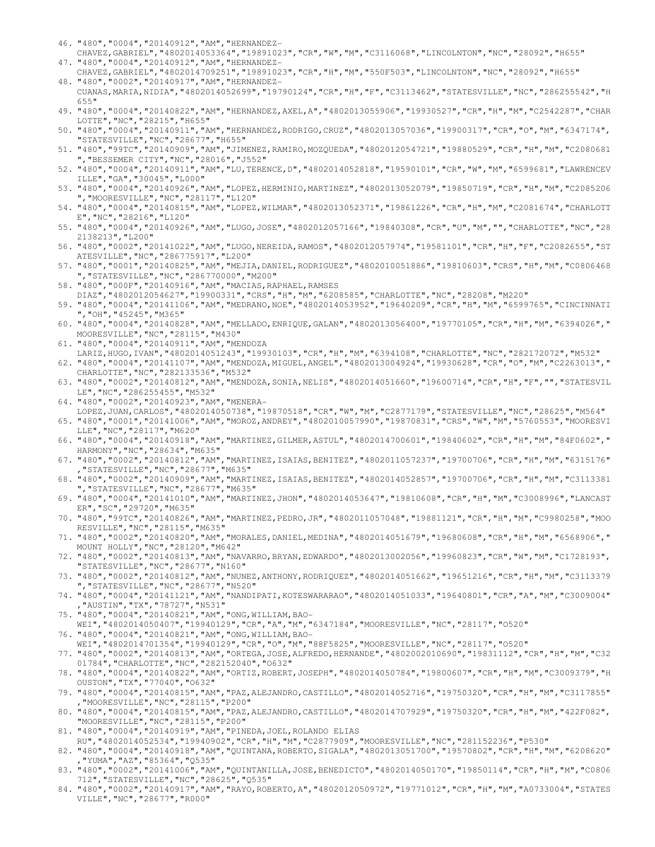- 46. "480","0004","20140912","AM","HERNANDEZ-
- CHAVEZ,GABRIEL","4802014053364","19891023","CR","W","M","C3116068","LINCOLNTON","NC","28092","H655" 47. "480","0004","20140912","AM","HERNANDEZ-
- CHAVEZ,GABRIEL","4802014709251","19891023","CR","H","M","550F503","LINCOLNTON","NC","28092","H655" 48. "480","0002","20140917","AM","HERNANDEZ-
- CUANAS,MARIA,NIDIA","4802014052699","19790124","CR","H","F","C3113462","STATESVILLE","NC","286255542","H 655"
- 49. "480","0004","20140822","AM","HERNANDEZ,AXEL,A","4802013055906","19930527","CR","H","M","C2542287","CHAR LOTTE","NC","28215","H655"
- 50. "480","0004","20140911","AM","HERNANDEZ,RODRIGO,CRUZ","4802013057036","19900317","CR","O","M","6347174", "STATESVILLE","NC","28677","H655"
- 51. "480","99TC","20140909","AM","JIMENEZ,RAMIRO,MOZQUEDA","4802012054721","19880529","CR","H","M","C2080681 ","BESSEMER CITY","NC","28016","J552"
- 52. "480","0004","20140911","AM","LU,TERENCE,D","4802014052818","19590101","CR","W","M","6599681","LAWRENCEV ILLE","GA","30045","L000"
- 53. "480","0004","20140926","AM","LOPEZ,HERMINIO,MARTINEZ","4802013052079","19850719","CR","H","M","C2085206 ","MOORESVILLE","NC","28117","L120"
- 54. "480","0004","20140815","AM","LOPEZ,WILMAR","4802013052371","19861226","CR","H","M","C2081674","CHARLOTT E","NC","28216","L120"
- 55. "480","0004","20140926","AM","LUGO,JOSE","4802012057166","19840308","CR","U","M","","CHARLOTTE","NC","28 2138213","L200"
- 56. "480","0002","20141022","AM","LUGO,NEREIDA,RAMOS","4802012057974","19581101","CR","H","F","C2082655","ST ATESVILLE","NC","286775917","L200"
- 57. "480","0001","20140825","AM","MEJIA,DANIEL,RODRIGUEZ","4802010051886","19810603","CRS","H","M","C0806468 ","STATESVILLE","NC","286770000","M200"
- 58. "480","000F","20140916","AM","MACIAS,RAPHAEL,RAMSES
- DIAZ","4802012054627","19900331","CRS","H","M","6208585","CHARLOTTE","NC","28208","M220"
- 59. "480","0004","20141106","AM","MEDRANO,NOE","4802014053952","19640209","CR","H","M","6599765","CINCINNATI ","OH","45245","M365"
- 60. "480","0004","20140828","AM","MELLADO,ENRIQUE,GALAN","4802013056400","19770105","CR","H","M","6394026"," MOORESVILLE","NC","28115","M430"
- 61. "480","0004","20140911","AM","MENDOZA
- LARIZ,HUGO,IVAN","4802014051243","19930103","CR","H","M","6394108","CHARLOTTE","NC","282172072","M532" 62. "480","0004","20141107","AM","MENDOZA,MIGUEL,ANGEL","4802013004924","19930628","CR","O","M","C2263013","
- CHARLOTTE","NC","282133536","M532" 63. "480","0002","20140812","AM","MENDOZA,SONIA,NELIS","4802014051660","19600714","CR","H","F","","STATESVIL
- LE","NC","286255455","M532"
- 64. "480","0002","20140923","AM","MENERA-LOPEZ,JUAN,CARLOS","4802014050738","19870518","CR","W","M","C2877179","STATESVILLE","NC","28625","M564"
- 65. "480","0001","20141006","AM","MOROZ,ANDREY","4802010057990","19870831","CRS","W","M","5760553","MOORESVI LLE","NC","28117","M620"
- 66. "480","0004","20140918","AM","MARTINEZ,GILMER,ASTUL","4802014700601","19840602","CR","H","M","84F0602"," HARMONY","NC","28634","M635"
- 67. "480","0002","20140812","AM","MARTINEZ,ISAIAS,BENITEZ","4802011057237","19700706","CR","H","M","6315176" ,"STATESVILLE","NC","28677","M635"
- 68. "480","0002","20140909","AM","MARTINEZ,ISAIAS,BENITEZ","4802014052857","19700706","CR","H","M","C3113381 ","STATESVILLE","NC","28677","M635"
- 69. "480","0004","20141010","AM","MARTINEZ,JHON","4802014053647","19810608","CR","H","M","C3008996","LANCAST ER","SC","29720","M635"
- 70. "480","99TC","20140826","AM","MARTINEZ,PEDRO,JR","4802011057048","19881121","CR","H","M","C9980258","MOO RESVILLE","NC","28115","M635"
- 71. "480","0002","20140820","AM","MORALES,DANIEL,MEDINA","4802014051679","19680608","CR","H","M","6568906"," MOUNT HOLLY","NC","28120","M642"
- 72. "480","0002","20140813","AM","NAVARRO,BRYAN,EDWARDO","4802013002056","19960823","CR","W","M","C1728193", "STATESVILLE","NC","28677","N160"
- 73. "480","0002","20140812","AM","NUNEZ,ANTHONY,RODRIQUEZ","4802014051662","19651216","CR","H","M","C3113379 ","STATESVILLE","NC","28677","N520"
- 74. "480","0004","20141121","AM","NANDIPATI,KOTESWARARAO","4802014051033","19640801","CR","A","M","C3009004" ,"AUSTIN","TX","78727","N531"
- 75. "480","0004","20140821","AM","ONG,WILLIAM,BAO-
- WEI","4802014050407","19940129","CR","A","M","6347184","MOORESVILLE","NC","28117","O520" 76. "480","0004","20140821","AM","ONG,WILLIAM,BAO-
- WEI","4802014701354","19940129","CR","O","M","88F5825","MOORESVILLE","NC","28117","O520"
- 77. "480","0002","20140813","AM","ORTEGA,JOSE,ALFREDO,HERNANDE","4802002010690","19831112","CR","H","M","C32 01784","CHARLOTTE","NC","282152040","O632"
- 78. "480","0004","20140822","AM","ORTIZ,ROBERT,JOSEPH","4802014050784","19800607","CR","H","M","C3009379","H OUSTON","TX","77040","O632"
- 79. "480","0004","20140815","AM","PAZ,ALEJANDRO,CASTILLO","4802014052716","19750320","CR","H","M","C3117855" ,"MOORESVILLE","NC","28115","P200"
- 80. "480","0004","20140815","AM","PAZ,ALEJANDRO,CASTILLO","4802014707929","19750320","CR","H","M","422F082", "MOORESVILLE","NC","28115","P200"
- 81. "480","0004","20140919","AM","PINEDA,JOEL,ROLANDO ELIAS
- RU","4802014052534","19940902","CR","H","M","C2877909","MOORESVILLE","NC","281152236","P530"
- 82. "480","0004","20140918","AM","QUINTANA,ROBERTO,SIGALA","4802013051700","19570802","CR","H","M","6208620" ,"YUMA","AZ","85364","Q535"
- 83. "480","0002","20141006","AM","QUINTANILLA,JOSE,BENEDICTO","4802014050170","19850114","CR","H","M","C0806 712","STATESVILLE","NC","28625","Q535"
- 84. "480","0002","20140917","AM","RAYO,ROBERTO,A","4802012050972","19771012","CR","H","M","A0733004","STATES VILLE","NC","28677","R000"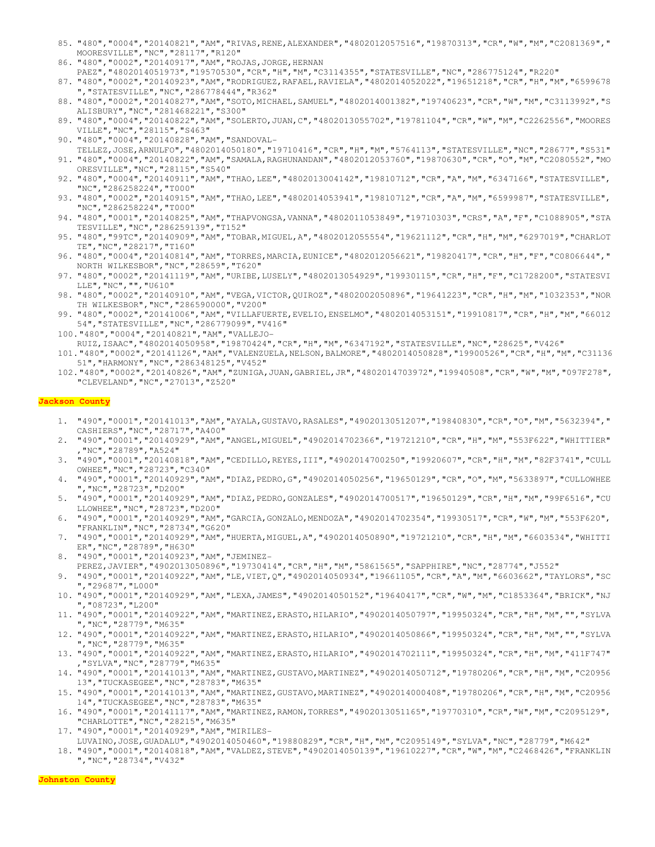- 85. "480","0004","20140821","AM","RIVAS,RENE,ALEXANDER","4802012057516","19870313","CR","W","M","C2081369"," MOORESVILLE","NC","28117","R120"
- 86. "480", "0002", "20140917", "AM", "ROJAS, JORGE, HERNAN
- PAEZ","4802014051973","19570530","CR","H","M","C3114355","STATESVILLE","NC","286775124","R220"
- 87. "480","0002","20140923","AM","RODRIGUEZ,RAFAEL,RAVIELA","4802014052022","19651218","CR","H","M","6599678 ","STATESVILLE","NC","286778444","R362"
- 88. "480","0002","20140827","AM","SOTO,MICHAEL,SAMUEL","4802014001382","19740623","CR","W","M","C3113992","S ALISBURY","NC","281468221","S300"
- 89. "480","0004","20140822","AM","SOLERTO,JUAN,C","4802013055702","19781104","CR","W","M","C2262556","MOORES VILLE","NC","28115","S463"
- 90. "480","0004","20140828","AM","SANDOVAL-
- TELLEZ,JOSE,ARNULFO","4802014050180","19710416","CR","H","M","5764113","STATESVILLE","NC","28677","S531" 91. "480","0004","20140822","AM","SAMALA,RAGHUNANDAN","4802012053760","19870630","CR","O","M","C2080552","MO ORESVILLE","NC","28115","S540"
- 92. "480","0004","20140911","AM","THAO,LEE","4802013004142","19810712","CR","A","M","6347166","STATESVILLE", "NC","286258224","T000"
- 93. "480","0002","20140915","AM","THAO,LEE","4802014053941","19810712","CR","A","M","6599987","STATESVILLE", "NC","286258224","T000"
- 94. "480","0001","20140825","AM","THAPVONGSA,VANNA","4802011053849","19710303","CRS","A","F","C1088905","STA TESVILLE","NC","286259139","T152"
- 95. "480","99TC","20140909","AM","TOBAR,MIGUEL,A","4802012055554","19621112","CR","H","M","6297019","CHARLOT TE","NC","28217","T160"
- 96. "480","0004","20140814","AM","TORRES,MARCIA,EUNICE","4802012056621","19820417","CR","H","F","C0806644"," NORTH WILKESBOR","NC","28659","T620"
- 97. "480","0002","20141119","AM","URIBE,LUSELY","4802013054929","19930115","CR","H","F","C1728200","STATESVI LLE","NC","","U610"
- 98. "480","0002","20140910","AM","VEGA,VICTOR,QUIROZ","4802002050896","19641223","CR","H","M","1032353","NOR TH WILKESBOR","NC","286590000","V200"
- 99. "480","0002","20141006","AM","VILLAFUERTE,EVELIO,ENSELMO","4802014053151","19910817","CR","H","M","66012 54","STATESVILLE","NC","286779099","V416"
- 100."480","0004","20140821","AM","VALLEJO-
- RUIZ,ISAAC","4802014050958","19870424","CR","H","M","6347192","STATESVILLE","NC","28625","V426"
- 101."480","0002","20141126","AM","VALENZUELA,NELSON,BALMORE","4802014050828","19900526","CR","H","M","C31136 51","HARMONY","NC","286348125","V452"
- 102."480","0002","20140826","AM","ZUNIGA,JUAN,GABRIEL,JR","4802014703972","19940508","CR","W","M","097F278", "CLEVELAND","NC","27013","Z520"

### **Jackson County**

- 1. "490","0001","20141013","AM","AYALA,GUSTAVO,RASALES","4902013051207","19840830","CR","O","M","5632394"," CASHIERS","NC","28717","A400"
- 2. "490","0001","20140929","AM","ANGEL,MIGUEL","4902014702366","19721210","CR","H","M","553F622","WHITTIER" ,"NC","28789","A524"
- 3. "490","0001","20140818","AM","CEDILLO,REYES,III","4902014700250","19920607","CR","H","M","82F3741","CULL OWHEE","NC","28723","C340"
- 4. "490","0001","20140929","AM","DIAZ,PEDRO,G","4902014050256","19650129","CR","O","M","5633897","CULLOWHEE ","NC","28723","D200"
- 5. "490","0001","20140929","AM","DIAZ,PEDRO,GONZALES","4902014700517","19650129","CR","H","M","99F6516","CU LLOWHEE","NC","28723","D200"
- 6. "490","0001","20140929","AM","GARCIA,GONZALO,MENDOZA","4902014702354","19930517","CR","W","M","553F620", "FRANKLIN","NC","28734","G620"
- 7. "490","0001","20140929","AM","HUERTA,MIGUEL,A","4902014050890","19721210","CR","H","M","6603534","WHITTI ER","NC","28789","H630"
- 8. "490", "0001", "20140923", "AM", "JEMINEZ-
- PEREZ,JAVIER","4902013050896","19730414","CR","H","M","5861565","SAPPHIRE","NC","28774","J552"
- 9. "490","0001","20140922","AM","LE,VIET,Q","4902014050934","19661105","CR","A","M","6603662","TAYLORS","SC ","29687","L000"
- 10. "490","0001","20140929","AM","LEXA,JAMES","4902014050152","19640417","CR","W","M","C1853364","BRICK","NJ ","08723","L200"
- 11. "490","0001","20140922","AM","MARTINEZ,ERASTO,HILARIO","4902014050797","19950324","CR","H","M","","SYLVA ","NC","28779","M635"
- 12. "490","0001","20140922","AM","MARTINEZ,ERASTO,HILARIO","4902014050866","19950324","CR","H","M","","SYLVA ","NC","28779","M635"
- 13. "490","0001","20140922","AM","MARTINEZ,ERASTO,HILARIO","4902014702111","19950324","CR","H","M","411F747" ,"SYLVA","NC","28779","M635"
- 14. "490","0001","20141013","AM","MARTINEZ,GUSTAVO,MARTINEZ","4902014050712","19780206","CR","H","M","C20956 13","TUCKASEGEE","NC","28783","M635"
- 15. "490","0001","20141013","AM","MARTINEZ,GUSTAVO,MARTINEZ","4902014000408","19780206","CR","H","M","C20956 14","TUCKASEGEE","NC","28783","M635"
- 16. "490","0001","20141117","AM","MARTINEZ,RAMON,TORRES","4902013051165","19770310","CR","W","M","C2095129", "CHARLOTTE","NC","28215","M635"
- 17. "490","0001","20140929","AM","MIRILES-
- LUVAINO,JOSE,GUADALU","4902014050460","19880829","CR","H","M","C2095149","SYLVA","NC","28779","M642"
- 18. "490","0001","20140818","AM","VALDEZ,STEVE","4902014050139","19610227","CR","W","M","C2468426","FRANKLIN ","NC","28734","V432"

**Johnston County**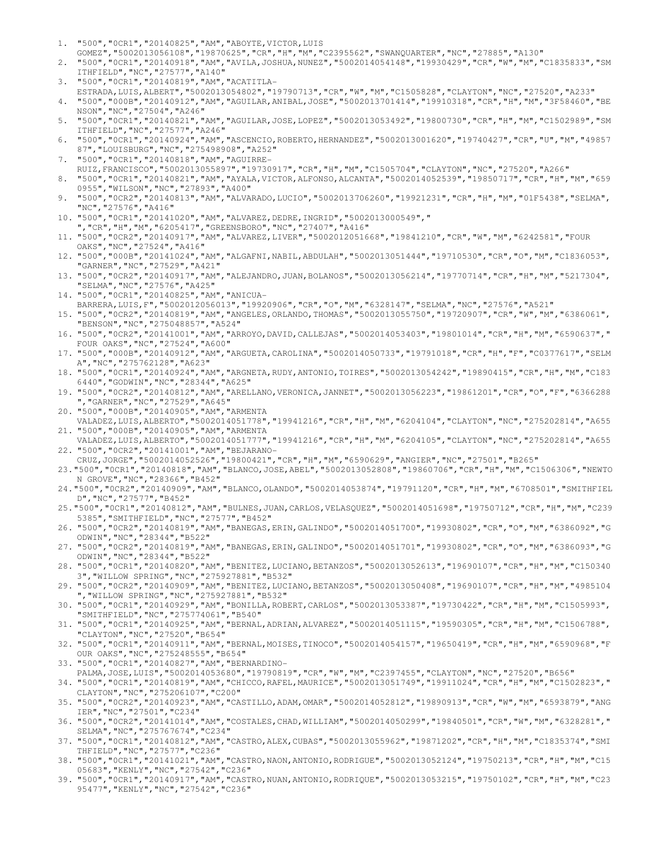- 1. "500","0CR1","20140825","AM","ABOYTE,VICTOR,LUIS
- GOMEZ","5002013056108","19870625","CR","H","M","C2395562","SWANQUARTER","NC","27885","A130"
- 2. "500","0CR1","20140918","AM","AVILA,JOSHUA,NUNEZ","5002014054148","19930429","CR","W","M","C1835833","SM ITHFIELD","NC","27577","A140"
- 3. "500","0CR1","20140819","AM","ACATITLA-
- ESTRADA,LUIS,ALBERT","5002013054802","19790713","CR","W","M","C1505828","CLAYTON","NC","27520","A233" 4. "500","000B","20140912","AM","AGUILAR,ANIBAL,JOSE","5002013701414","19910318","CR","H","M","3F58460","BE NSON","NC","27504","A246"
- 5. "500","0CR1","20140821","AM","AGUILAR,JOSE,LOPEZ","5002013053492","19800730","CR","H","M","C1502989","SM ITHFIELD","NC","27577","A246"
- 6. "500","0CR1","20140924","AM","ASCENCIO,ROBERTO,HERNANDEZ","5002013001620","19740427","CR","U","M","49857 87","LOUISBURG","NC","275498908","A252"
- 7. "500","0CR1","20140818","AM","AGUIRRE-
- RUIZ,FRANCISCO","5002013055897","19730917","CR","H","M","C1505704","CLAYTON","NC","27520","A266"
- 8. "500","0CR1","20140821","AM","AYALA,VICTOR,ALFONSO,ALCANTA","5002014052539","19850717","CR","H","M","659 0955","WILSON","NC","27893","A400"
- 9. "500","0CR2","20140813","AM","ALVARADO,LUCIO","5002013706260","19921231","CR","H","M","01F5438","SELMA", "NC","27576","A416"
- 10. "500","0CR1","20141020","AM","ALVAREZ,DEDRE,INGRID","5002013000549","
- ","CR","H","M","6205417","GREENSBORO","NC","27407","A416"
- 11. "500","0CR2","20140917","AM","ALVAREZ,LIVER","5002012051668","19841210","CR","W","M","6242581","FOUR OAKS","NC","27524","A416"
- 12. "500","000B","20141024","AM","ALGAFNI,NABIL,ABDULAH","5002013051444","19710530","CR","O","M","C1836053", "GARNER","NC","27529","A421"
- 13. "500","0CR2","20140917","AM","ALEJANDRO,JUAN,BOLANOS","5002013056214","19770714","CR","H","M","5217304", "SELMA","NC","27576","A425"
- 14. "500","0CR1","20140825","AM","ANICUA-
- BARRERA,LUIS,F","5002012056013","19920906","CR","O","M","6328147","SELMA","NC","27576","A521"
- 15. "500","0CR2","20140819","AM","ANGELES,ORLANDO,THOMAS","5002013055750","19720907","CR","W","M","6386061", "BENSON","NC","275048857","A524"
- 16. "500","0CR2","20141001","AM","ARROYO,DAVID,CALLEJAS","5002014053403","19801014","CR","H","M","6590637"," FOUR OAKS","NC","27524","A600"
- 17. "500","000B","20140912","AM","ARGUETA,CAROLINA","5002014050733","19791018","CR","H","F","C0377617","SELM A","NC","275762128","A623"
- 18. "500","0CR1","20140924","AM","ARGNETA,RUDY,ANTONIO,TOIRES","5002013054242","19890415","CR","H","M","C183 6440","GODWIN","NC","28344","A625"
- 19. "500","0CR2","20140812","AM","ARELLANO,VERONICA,JANNET","5002013056223","19861201","CR","O","F","6366288 ","GARNER","NC","27529","A645"
- 20. "500","000B","20140905","AM","ARMENTA VALADEZ,LUIS,ALBERTO","5002014051778","19941216","CR","H","M","6204104","CLAYTON","NC","275202814","A655
- 21. "500","000B","20140905","AM","ARMENTA
- VALADEZ,LUIS,ALBERTO","5002014051777","19941216","CR","H","M","6204105","CLAYTON","NC","275202814","A655 22. "500","0CR2","20141001","AM","BEJARANO-
- CRUZ,JORGE","5002014052526","19800421","CR","H","M","6590629","ANGIER","NC","27501","B265"
- 23."500","0CR1","20140818","AM","BLANCO,JOSE,ABEL","5002013052808","19860706","CR","H","M","C1506306","NEWTO N GROVE","NC","28366","B452"
- 24."500","0CR2","20140909","AM","BLANCO,OLANDO","5002014053874","19791120","CR","H","M","6708501","SMITHFIEL D","NC","27577","B452"
- 25."500","0CR1","20140812","AM","BULNES,JUAN,CARLOS,VELASQUEZ","5002014051698","19750712","CR","H","M","C239 5385","SMITHFIELD","NC","27577","B452"
- 26. "500","0CR2","20140819","AM","BANEGAS,ERIN,GALINDO","5002014051700","19930802","CR","O","M","6386092","G ODWIN","NC","28344","B522"
- 27. "500","0CR2","20140819","AM","BANEGAS,ERIN,GALINDO","5002014051701","19930802","CR","O","M","6386093","G ODWIN","NC","28344","B522"
- 28. "500","0CR1","20140820","AM","BENITEZ,LUCIANO,BETANZOS","5002013052613","19690107","CR","H","M","C150340 3","WILLOW SPRING","NC","275927881","B532"
- 29. "500","0CR2","20140909","AM","BENITEZ,LUCIANO,BETANZOS","5002013050408","19690107","CR","H","M","4985104 ","WILLOW SPRING","NC","275927881","B532"
- 30. "500","0CR1","20140929","AM","BONILLA,ROBERT,CARLOS","5002013053387","19730422","CR","H","M","C1505993", "SMITHFIELD","NC","275774061","B540"
- 31. "500","0CR1","20140925","AM","BERNAL,ADRIAN,ALVAREZ","5002014051115","19590305","CR","H","M","C1506788", "CLAYTON","NC","27520","B654"
- 32. "500","0CR1","20140911","AM","BERNAL,MOISES,TINOCO","5002014054157","19650419","CR","H","M","6590968","F OUR OAKS","NC","275248555","B654"
- 33. "500","0CR1","20140827","AM","BERNARDINO-
- PALMA,JOSE,LUIS","5002014053680","19790819","CR","W","M","C2397455","CLAYTON","NC","27520","B656"
- 34. "500","0CR1","20140819","AM","CHICCO,RAFEL,MAURICE","5002013051749","19911024","CR","H","M","C1502823"," CLAYTON","NC","275206107","C200"
- 35. "500","0CR2","20140923","AM","CASTILLO,ADAM,OMAR","5002014052812","19890913","CR","W","M","6593879","ANG IER","NC","27501","C234"
- 36. "500","0CR2","20141014","AM","COSTALES,CHAD,WILLIAM","5002014050299","19840501","CR","W","M","6328281"," SELMA","NC","275767674","C234"
- 37. "500","0CR1","20140812","AM","CASTRO,ALEX,CUBAS","5002013055962","19871202","CR","H","M","C1835374","SMI THFIELD","NC","27577","C236"
- 38. "500","0CR1","20141021","AM","CASTRO,NAON,ANTONIO,RODRIGUE","5002013052124","19750213","CR","H","M","C15 05683","KENLY","NC","27542","C236"
- 39. "500","0CR1","20140917","AM","CASTRO,NUAN,ANTONIO,RODRIQUE","5002013053215","19750102","CR","H","M","C23 95477","KENLY","NC","27542","C236"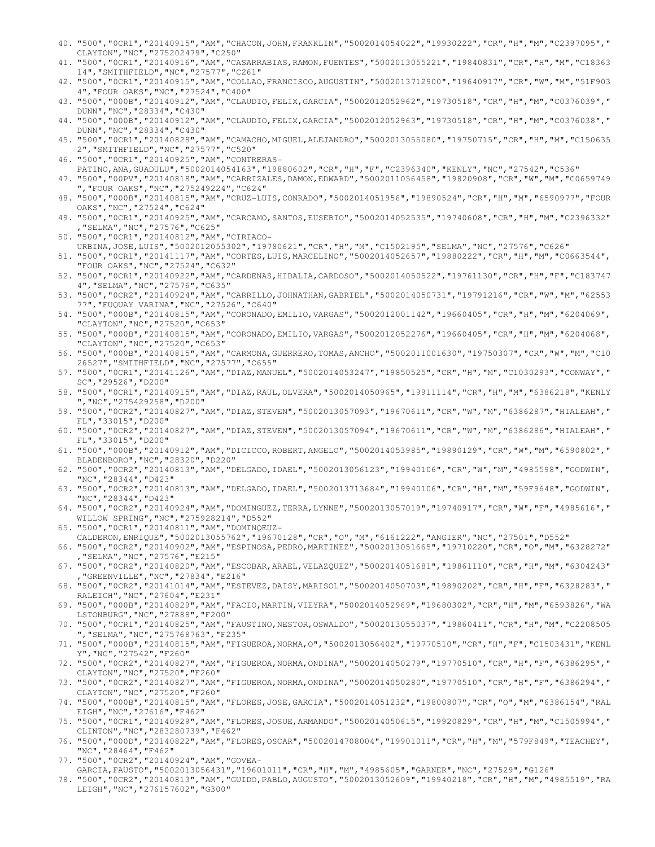- 40. "500","0CR1","20140915","AM","CHACON,JOHN,FRANKLIN","5002014054022","19930222","CR","H","M","C2397095"," CLAYTON","NC","275202479","C250"
- 41. "500","0CR1","20140916","AM","CASARRABIAS,RAMON,FUENTES","5002013055221","19840831","CR","H","M","C18363 14","SMITHFIELD","NC","27577","C261"
- 42. "500","0CR1","20140915","AM","COLLAO,FRANCISCO,AUGUSTIN","5002013712900","19640917","CR","W","M","51F903 4","FOUR OAKS","NC","27524","C400"
- 43. "500","000B","20140912","AM","CLAUDIO,FELIX,GARCIA","5002012052962","19730518","CR","H","M","C0376039"," DUNN","NC","28334","C430"
- 44. "500","000B","20140912","AM","CLAUDIO,FELIX,GARCIA","5002012052963","19730518","CR","H","M","C0376038"," DUNN","NC","28334","C430"
- 45. "500","0CR1","20140828","AM","CAMACHO,MIGUEL,ALEJANDRO","5002013055080","19750715","CR","H","M","C150635 2","SMITHFIELD","NC","27577","C520"
- 46. "500","0CR1","20140925","AM","CONTRERAS-PATINO,ANA,GUADULU","5002014054163","19880602","CR","H","F","C2396340","KENLY","NC","27542","C536"
- 47. "500","00PV","20140818","AM","CARRIZALES,DAMON,EDWARD","5002011056458","19820908","CR","W","M","C0659749 ","FOUR OAKS","NC","275249224","C624"
- 48. "500","000B","20140815","AM","CRUZ-LUIS,CONRADO","5002014051956","19890524","CR","H","M","6590977","FOUR OAKS","NC","27524","C624"
- 49. "500","0CR1","20140925","AM","CARCAMO,SANTOS,EUSEBIO","5002014052535","19740608","CR","H","M","C2396332" ,"SELMA","NC","27576","C625"
- 50. "500","0CR1","20140812","AM","CIRIACO-
- URBINA,JOSE,LUIS","5002012055302","19780621","CR","H","M","C1502195","SELMA","NC","27576","C626"
- 51. "500","0CR1","20141117","AM","CORTES,LUIS,MARCELINO","5002014052657","19880222","CR","H","M","C0663544", "FOUR OAKS","NC","27524","C632"
- 52. "500","0CR1","20140922","AM","CARDENAS,HIDALIA,CARDOSO","5002014050522","19761130","CR","H","F","C183747 4","SELMA","NC","27576","C635"
- 53. "500","0CR2","20140924","AM","CARRILLO,JOHNATHAN,GABRIEL","5002014050731","19791216","CR","W","M","62553 77","FUQUAY VARINA","NC","27526","C640"
- 54. "500","000B","20140815","AM","CORONADO,EMILIO,VARGAS","5002012001142","19660405","CR","H","M","6204069", "CLAYTON","NC","27520","C653"
- 55. "500","000B","20140815","AM","CORONADO,EMILIO,VARGAS","5002012052276","19660405","CR","H","M","6204068", "CLAYTON","NC","27520","C653"
- 56. "500","000B","20140815","AM","CARMONA,GUERRERO,TOMAS,ANCHO","5002011001630","19750307","CR","W","M","C10 26527","SMITHFIELD","NC","27577","C655"
- 57. "500","0CR1","20141126","AM","DIAZ,MANUEL","5002014053247","19850525","CR","H","M","C1030293","CONWAY"," SC","29526","D200"
- 58. "500","0CR1","20140915","AM","DIAZ,RAUL,OLVERA","5002014050965","19911114","CR","H","M","6386218","KENLY ","NC","275429258","D200"
- 59. "500","0CR2","20140827","AM","DIAZ,STEVEN","5002013057093","19670611","CR","W","M","6386287","HIALEAH"," FL","33015","D200"
- 60. "500","0CR2","20140827","AM","DIAZ,STEVEN","5002013057094","19670611","CR","W","M","6386286","HIALEAH"," FL","33015","D200"
- 61. "500","000B","20140912","AM","DICICCO,ROBERT,ANGELO","5002014053985","19890129","CR","W","M","6590802"," BLADENBORO","NC","28320","D220"
- 62. "500","0CR2","20140813","AM","DELGADO,IDAEL","5002013056123","19940106","CR","W","M","4985598","GODWIN", "NC","28344","D423"
- 63. "500","0CR2","20140813","AM","DELGADO,IDAEL","5002013713684","19940106","CR","H","M","59F9648","GODWIN", "NC","28344","D423"
- 64. "500","0CR2","20140924","AM","DOMINGUEZ,TERRA,LYNNE","5002013057019","19740917","CR","W","F","4985616"," WILLOW SPRING","NC","275928214","D552"
- 65. "500","0CR1","20140811","AM","DOMINQEUZ-
- CALDERON,ENRIQUE","5002013055762","19670128","CR","O","M","6161222","ANGIER","NC","27501","D552"
- 66. "500","0CR2","20140902","AM","ESPINOSA,PEDRO,MARTINEZ","5002013051665","19710220","CR","O","M","6328272" ,"SELMA","NC","27576","E215"
- 67. "500","0CR2","20140820","AM","ESCOBAR,ARAEL,VELAZQUEZ","5002014051681","19861110","CR","H","M","6304243" ,"GREENVILLE","NC","27834","E216"
- 68. "500","0CR2","20141014","AM","ESTEVEZ,DAISY,MARISOL","5002014050703","19890202","CR","H","F","6328283"," RALEIGH","NC","27604","E231"
- 69. "500","000B","20140829","AM","FACIO,MARTIN,VIEYRA","5002014052969","19680302","CR","H","M","6593826","WA LSTONBURG","NC","27888","F200"
- 70. "500","0CR1","20140825","AM","FAUSTINO,NESTOR,OSWALDO","5002013055037","19860411","CR","H","M","C2208505 ","SELMA","NC","275768763","F235"
- 71. "500","000B","20140815","AM","FIGUEROA,NORMA,O","5002013056402","19770510","CR","H","F","C1503431","KENL Y","NC","27542","F260"
- 72. "500","0CR2","20140827","AM","FIGUEROA,NORMA,ONDINA","5002014050279","19770510","CR","H","F","6386295"," CLAYTON","NC","27520","F260"
- 73. "500","0CR2","20140827","AM","FIGUEROA,NORMA,ONDINA","5002014050280","19770510","CR","H","F","6386294"," CLAYTON","NC","27520","F260"
- 74. "500","000B","20140815","AM","FLORES,JOSE,GARCIA","5002014051232","19800807","CR","O","M","6386154","RAL EIGH","NC","27616","F462"
- 75. "500","0CR1","20140929","AM","FLORES,JOSUE,ARMANDO","5002014050615","19920829","CR","H","M","C1505994"," CLINTON","NC","283280739","F462"
- 76. "500","000D","20140822","AM","FLORES,OSCAR","5002014708004","19901011","CR","H","M","579F849","TEACHEY", "NC","28464","F462"
- 77. "500","0CR2","20140924","AM","GOVEA-GARCIA,FAUSTO","5002013056431","19601011","CR","H","M","4985605","GARNER","NC","27529","G126"
- 78. "500","0CR2","20140813","AM","GUIDO,PABLO,AUGUSTO","5002013052609","19940218","CR","H","M","4985519","RA LEIGH","NC","276157602","G300"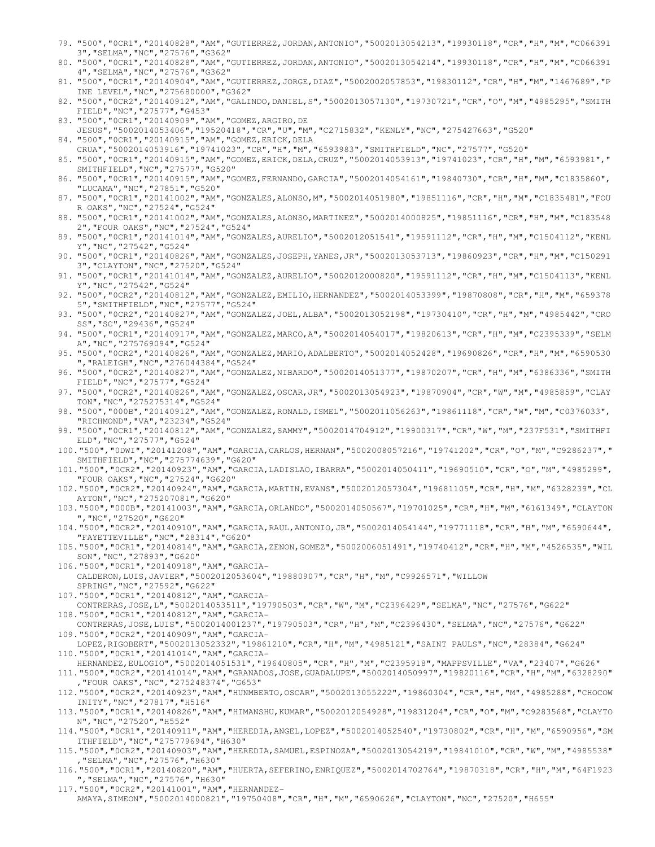- 79. "500","0CR1","20140828","AM","GUTIERREZ,JORDAN,ANTONIO","5002013054213","19930118","CR","H","M","C066391 3","SELMA","NC","27576","G362"
- 80. "500","0CR1","20140828","AM","GUTIERREZ,JORDAN,ANTONIO","5002013054214","19930118","CR","H","M","C066391 4","SELMA","NC","27576","G362"
- 81. "500","0CR1","20140904","AM","GUTIERREZ,JORGE,DIAZ","5002002057853","19830112","CR","H","M","1467689","P INE LEVEL","NC","275680000","G362"
- 82. "500","0CR2","20140912","AM","GALINDO,DANIEL,S","5002013057130","19730721","CR","O","M","4985295","SMITH FIELD","NC","27577","G453"
- 83. "500","0CR1","20140909","AM","GOMEZ,ARGIRO,DE

JESUS","5002014053406","19520418","CR","U","M","C2715832","KENLY","NC","275427663","G520" 84. "500","0CR1","20140915","AM","GOMEZ,ERICK,DELA

- CRUA","5002014053916","19741023","CR","H","M","6593983","SMITHFIELD","NC","27577","G520"
- 85. "500","0CR1","20140915","AM","GOMEZ,ERICK,DELA,CRUZ","5002014053913","19741023","CR","H","M","6593981"," SMITHFIELD","NC","27577","G520"
- 86. "500","0CR1","20140915","AM","GOMEZ,FERNANDO,GARCIA","5002014054161","19840730","CR","H","M","C1835860", "LUCAMA","NC","27851","G520"
- 87. "500","0CR1","20141002","AM","GONZALES,ALONSO,M","5002014051980","19851116","CR","H","M","C1835481","FOU R OAKS","NC","27524","G524"
- 88. "500","0CR1","20141002","AM","GONZALES,ALONSO,MARTINEZ","5002014000825","19851116","CR","H","M","C183548 2","FOUR OAKS","NC","27524","G524"
- 89. "500","0CR1","20141014","AM","GONZALES,AURELIO","5002012051541","19591112","CR","H","M","C1504112","KENL Y","NC","27542","G524"
- 90. "500","0CR1","20140826","AM","GONZALES,JOSEPH,YANES,JR","5002013053713","19860923","CR","H","M","C150291 3","CLAYTON","NC","27520","G524"
- 91. "500", "0CR1", "20141014", "AM", "GONZALEZ, AURELIO", "5002012000820", "19591112", "CR", "H", "M", "C1504113", "KENL Y","NC","27542","G524"
- 92. "500","0CR2","20140812","AM","GONZALEZ,EMILIO,HERNANDEZ","5002014053399","19870808","CR","H","M","659378 5","SMITHFIELD","NC","27577","G524"
- 93. "500","0CR2","20140827","AM","GONZALEZ,JOEL,ALBA","5002013052198","19730410","CR","H","M","4985442","CRO SS","SC","29436","G524"
- 94. "500","0CR1","20140917","AM","GONZALEZ,MARCO,A","5002014054017","19820613","CR","H","M","C2395339","SELM A","NC","275769094","G524"
- 95. "500", "OCR2", "20140826", "AM", "GONZALEZ, MARIO, ADALBERTO", "5002014052428", "19690826", "CR", "H", "M", "6590530 ","RALEIGH","NC","276044384","G524"
- 96. "500","0CR2","20140827","AM","GONZALEZ,NIBARDO","5002014051377","19870207","CR","H","M","6386336","SMITH FIELD","NC","27577","G524"
- 97. "500","0CR2","20140826","AM","GONZALEZ,OSCAR,JR","5002013054923","19870904","CR","W","M","4985859","CLAY TON","NC","275275314","G524"
- 98. "500","000B","20140912","AM","GONZALEZ,RONALD,ISMEL","5002011056263","19861118","CR","W","M","C0376033", "RICHMOND","VA","23234","G524"
- 99. "500","0CR1","20140812","AM","GONZALEZ,SAMMY","5002014704912","19900317","CR","W","M","237F531","SMITHFI ELD","NC","27577","G524"
- 100."500","0DWI","20141208","AM","GARCIA,CARLOS,HERNAN","5002008057216","19741202","CR","O","M","C9286237"," SMITHFIELD","NC","275774639","G620"
- 101."500","0CR2","20140923","AM","GARCIA,LADISLAO,IBARRA","5002014050411","19690510","CR","O","M","4985299", "FOUR OAKS","NC","27524","G620"
- 102."500","0CR2","20140924","AM","GARCIA,MARTIN,EVANS","5002012057304","19681105","CR","H","M","6328239","CL AYTON","NC","275207081","G620"
- 103."500","000B","20141003","AM","GARCIA,ORLANDO","5002014050567","19701025","CR","H","M","6161349","CLAYTON ","NC","27520","G620"
- 104."500","0CR2","20140910","AM","GARCIA,RAUL,ANTONIO,JR","5002014054144","19771118","CR","H","M","6590644", "FAYETTEVILLE","NC","28314","G620"
- 105."500","0CR1","20140814","AM","GARCIA,ZENON,GOMEZ","5002006051491","19740412","CR","H","M","4526535","WIL SON","NC","27893","G620"
- 106."500","0CR1","20140918","AM","GARCIA-CALDERON,LUIS,JAVIER","5002012053604","19880907","CR","H","M","C9926571","WILLOW SPRING","NC","27592","G622"
- 107."500","0CR1","20140812","AM","GARCIA-
- CONTRERAS,JOSE,L","5002014053511","19790503","CR","W","M","C2396429","SELMA","NC","27576","G622" 108."500","0CR1","20140812","AM","GARCIA-
- CONTRERAS,JOSE,LUIS","5002014001237","19790503","CR","H","M","C2396430","SELMA","NC","27576","G622" 109."500","0CR2","20140909","AM","GARCIA-
- LOPEZ,RIGOBERT","5002013052332","19861210","CR","H","M","4985121","SAINT PAULS","NC","28384","G624" 110."500","0CR1","20141014","AM","GARCIA-
- HERNANDEZ,EULOGIO","5002014051531","19640805","CR","H","M","C2395918","MAPPSVILLE","VA","23407","G626"
- 111."500","0CR2","20141014","AM","GRANADOS,JOSE,GUADALUPE","5002014050997","19820116","CR","H","M","6328290" ,"FOUR OAKS","NC","275248374","G653"
- 112."500","0CR2","20140923","AM","HUNMBERTO,OSCAR","5002013055222","19860304","CR","H","M","4985288","CHOCOW INITY","NC","27817","H516"
- 113."500","0CR1","20140826","AM","HIMANSHU,KUMAR","5002012054928","19831204","CR","O","M","C9283568","CLAYTO N","NC","27520","H552"
- 114."500","0CR1","20140911","AM","HEREDIA,ANGEL,LOPEZ","5002014052540","19730802","CR","H","M","6590956","SM ITHFIELD","NC","275779694","H630"
- 115."500","0CR2","20140903","AM","HEREDIA,SAMUEL,ESPINOZA","5002013054219","19841010","CR","W","M","4985538" ,"SELMA","NC","27576","H630"
- 116."500","0CR1","20140820","AM","HUERTA,SEFERINO,ENRIQUEZ","5002014702764","19870318","CR","H","M","64F1923 ","SELMA","NC","27576","H630"
- 117."500","0CR2","20141001","AM","HERNANDEZ-

AMAYA,SIMEON","5002014000821","19750408","CR","H","M","6590626","CLAYTON","NC","27520","H655"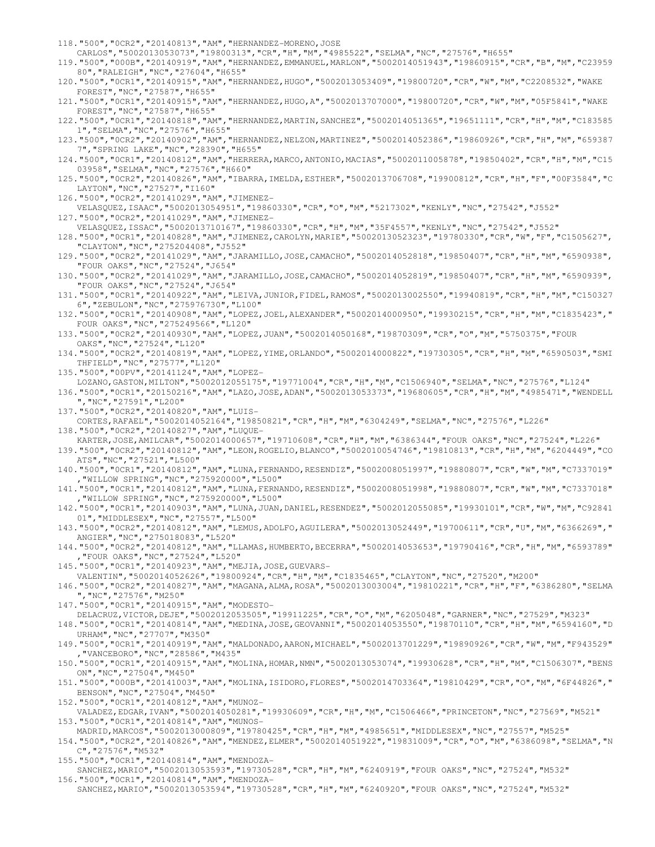118."500","0CR2","20140813","AM","HERNANDEZ-MORENO,JOSE

CARLOS","5002013053073","19800313","CR","H","M","4985522","SELMA","NC","27576","H655"

119."500","000B","20140919","AM","HERNANDEZ,EMMANUEL,MARLON","5002014051943","19860915","CR","B","M","C23959 80","RALEIGH","NC","27604","H655"

120."500","0CR1","20140915","AM","HERNANDEZ,HUGO","5002013053409","19800720","CR","W","M","C2208532","WAKE FOREST","NC","27587","H655"

121."500","0CR1","20140915","AM","HERNANDEZ,HUGO,A","5002013707000","19800720","CR","W","M","05F5841","WAKE FOREST","NC","27587","H655"

122."500","0CR1","20140818","AM","HERNANDEZ,MARTIN,SANCHEZ","5002014051365","19651111","CR","H","M","C183585 1","SELMA","NC","27576","H655"

123."500","0CR2","20140902","AM","HERNANDEZ,NELZON,MARTINEZ","5002014052386","19860926","CR","H","M","659387 7","SPRING LAKE","NC","28390","H655"

124."500","0CR1","20140812","AM","HERRERA,MARCO,ANTONIO,MACIAS","5002011005878","19850402","CR","H","M","C15 03958","SELMA","NC","27576","H660"

125."500","0CR2","20140826","AM","IBARRA,IMELDA,ESTHER","5002013706708","19900812","CR","H","F","00F3584","C LAYTON","NC","27527","I160"

126."500","0CR2","20141029","AM","JIMENEZ-

VELASQUEZ,ISAAC","5002013054951","19860330","CR","O","M","5217302","KENLY","NC","27542","J552" 127."500","0CR2","20141029","AM","JIMENEZ-

VELASQUEZ,ISSAC","5002013710167","19860330","CR","H","M","35F4557","KENLY","NC","27542","J552"

128."500","0CR1","20140828","AM","JIMENEZ,CAROLYN,MARIE","5002013052323","19780330","CR","W","F","C1505627", "CLAYTON","NC","275204408","J552"

129."500","0CR2","20141029","AM","JARAMILLO,JOSE,CAMACHO","5002014052818","19850407","CR","H","M","6590938", "FOUR OAKS","NC","27524","J654"

130."500","0CR2","20141029","AM","JARAMILLO,JOSE,CAMACHO","5002014052819","19850407","CR","H","M","6590939", "FOUR OAKS","NC","27524","J654"

131."500","0CR1","20140922","AM","LEIVA,JUNIOR,FIDEL,RAMOS","5002013002550","19940819","CR","H","M","C150327 6","ZEBULON","NC","275976730","L100"

132."500","0CR1","20140908","AM","LOPEZ,JOEL,ALEXANDER","5002014000950","19930215","CR","H","M","C1835423"," FOUR OAKS","NC","275249566","L120"

133."500","0CR2","20140930","AM","LOPEZ,JUAN","5002014050168","19870309","CR","O","M","5750375","FOUR OAKS","NC","27524","L120"

134."500","0CR2","20140819","AM","LOPEZ,YIME,ORLANDO","5002014000822","19730305","CR","H","M","6590503","SMI THFIELD","NC","27577","L120"

135."500","00PV","20141124","AM","LOPEZ-

LOZANO,GASTON,MILTON","5002012055175","19771004","CR","H","M","C1506940","SELMA","NC","27576","L124"

136."500","0CR1","20150216","AM","LAZO,JOSE,ADAN","5002013053373","19680605","CR","H","M","4985471","WENDELL ","NC","27591","L200"

137."500","0CR2","20140820","AM","LUIS-

CORTES,RAFAEL","5002014052164","19850821","CR","H","M","6304249","SELMA","NC","27576","L226" 138."500","0CR2","20140827","AM","LUQUE-

KARTER,JOSE,AMILCAR","5002014000657","19710608","CR","H","M","6386344","FOUR OAKS","NC","27524","L226"

139."500","0CR2","20140812","AM","LEON,ROGELIO,BLANCO","5002010054746","19810813","CR","H","M","6204449","CO ATS","NC","27521","L500"

140."500","0CR1","20140812","AM","LUNA,FERNANDO,RESENDIZ","5002008051997","19880807","CR","W","M","C7337019" ,"WILLOW SPRING","NC","275920000","L500"

141."500","0CR1","20140812","AM","LUNA,FERNANDO,RESENDIZ","5002008051998","19880807","CR","W","M","C7337018" ,"WILLOW SPRING","NC","275920000","L500"

142."500","0CR1","20140903","AM","LUNA,JUAN,DANIEL,RESENDEZ","5002012055085","19930101","CR","W","M","C92841 01","MIDDLESEX","NC","27557","L500"

143."500","0CR2","20140812","AM","LEMUS,ADOLFO,AGUILERA","5002013052449","19700611","CR","U","M","6366269"," ANGIER","NC","275018083","L520"

144."500","0CR2","20140812","AM","LLAMAS,HUMBERTO,BECERRA","5002014053653","19790416","CR","H","M","6593789" ,"FOUR OAKS","NC","27524","L520"

145."500","0CR1","20140923","AM","MEJIA,JOSE,GUEVARS-

VALENTIN","5002014052626","19800924","CR","H","M","C1835465","CLAYTON","NC","27520","M200"

146."500","0CR2","20140827","AM","MAGANA,ALMA,ROSA","5002013003004","19810221","CR","H","F","6386280","SELMA ","NC","27576","M250"

147."500","0CR1","20140915","AM","MODESTO-

DELACRUZ,VICTOR,DEJE","5002012053505","19911225","CR","O","M","6205048","GARNER","NC","27529","M323"

148."500","0CR1","20140814","AM","MEDINA,JOSE,GEOVANNI","5002014053550","19870110","CR","H","M","6594160","D URHAM","NC","27707","M350"

149."500","0CR1","20140919","AM","MALDONADO,AARON,MICHAEL","5002013701229","19890926","CR","W","M","F943529" ,"VANCEBORO","NC","28586","M435"

150."500","0CR1","20140915","AM","MOLINA,HOMAR,NMN","5002013053074","19930628","CR","H","M","C1506307","BENS ON","NC","27504","M450"

151."500","000B","20141003","AM","MOLINA,ISIDORO,FLORES","5002014703364","19810429","CR","O","M","6F44826"," BENSON","NC","27504","M450"

152."500","0CR1","20140812","AM","MUNOZ-

VALADEZ,EDGAR,IVAN","5002014050281","19930609","CR","H","M","C1506466","PRINCETON","NC","27569","M521" 153."500","0CR1","20140814","AM","MUNOS-

MADRID,MARCOS","5002013000809","19780425","CR","H","M","4985651","MIDDLESEX","NC","27557","M525"

154."500","0CR2","20140826","AM","MENDEZ,ELMER","5002014051922","19831009","CR","O","M","6386098","SELMA","N C","27576","M532"

155."500","0CR1","20140814","AM","MENDOZA-

SANCHEZ,MARIO","5002013053593","19730528","CR","H","M","6240919","FOUR OAKS","NC","27524","M532" 156."500","0CR1","20140814","AM","MENDOZA-

SANCHEZ,MARIO","5002013053594","19730528","CR","H","M","6240920","FOUR OAKS","NC","27524","M532"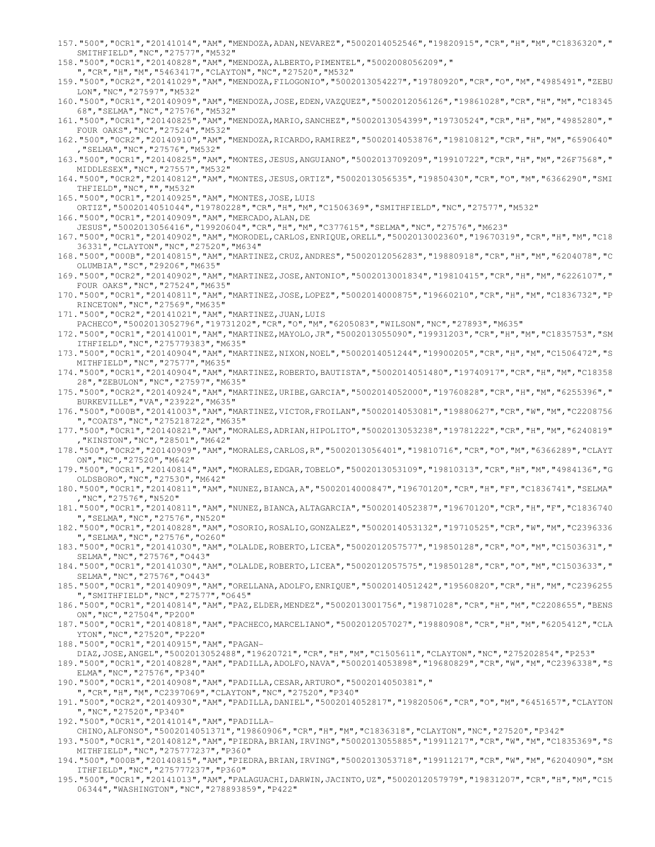- 157."500","0CR1","20141014","AM","MENDOZA,ADAN,NEVAREZ","5002014052546","19820915","CR","H","M","C1836320"," SMITHFIELD","NC","27577","M532"
- 158."500","0CR1","20140828","AM","MENDOZA,ALBERTO,PIMENTEL","5002008056209","
	- ","CR","H","M","5463417","CLAYTON","NC","27520","M532"
- 159."500","0CR2","20141029","AM","MENDOZA,FILOGONIO","5002013054227","19780920","CR","O","M","4985491","ZEBU LON","NC","27597","M532"
- 160."500","0CR1","20140909","AM","MENDOZA,JOSE,EDEN,VAZQUEZ","5002012056126","19861028","CR","H","M","C18345 68","SELMA","NC","27576","M532"
- 161."500","0CR1","20140825","AM","MENDOZA,MARIO,SANCHEZ","5002013054399","19730524","CR","H","M","4985280"," FOUR OAKS","NC","27524","M532"
- 162."500","0CR2","20140910","AM","MENDOZA,RICARDO,RAMIREZ","5002014053876","19810812","CR","H","M","6590640" ,"SELMA","NC","27576","M532"
- 163."500","0CR1","20140825","AM","MONTES,JESUS,ANGUIANO","5002013709209","19910722","CR","H","M","26F7568"," MIDDLESEX","NC","27557","M532"
- 164."500","0CR2","20140812","AM","MONTES,JESUS,ORTIZ","5002013056535","19850430","CR","O","M","6366290","SMI THFIELD","NC","","M532"
- 165."500","0CR1","20140925","AM","MONTES,JOSE,LUIS
- ORTIZ","5002014051044","19780228","CR","H","M","C1506369","SMITHFIELD","NC","27577","M532"
- 166."500","0CR1","20140909","AM","MERCADO,ALAN,DE
- JESUS","5002013056416","19920604","CR","H","M","C377615","SELMA","NC","27576","M623"
- 167."500","0CR1","20140902","AM","MORODEL,CARLOS,ENRIQUE,ORELL","5002013002360","19670319","CR","H","M","C18 36331","CLAYTON","NC","27520","M634"
- 168."500","000B","20140815","AM","MARTINEZ,CRUZ,ANDRES","5002012056283","19880918","CR","H","M","6204078","C OLUMBIA","SC","29206","M635"
- 169."500","0CR2","20140902","AM","MARTINEZ,JOSE,ANTONIO","5002013001834","19810415","CR","H","M","6226107"," FOUR OAKS","NC","27524","M635"
- 170."500","0CR1","20140811","AM","MARTINEZ,JOSE,LOPEZ","5002014000875","19660210","CR","H","M","C1836732","P RINCETON","NC","27569","M635"
- 171."500","0CR2","20141021","AM","MARTINEZ,JUAN,LUIS
- PACHECO","5002013052796","19731202","CR","O","M","6205083","WILSON","NC","27893","M635"
- 172."500","0CR1","20141001","AM","MARTINEZ,MAYOLO,JR","5002013055090","19931203","CR","H","M","C1835753","SM ITHFIELD","NC","275779383","M635"
- 173."500","0CR1","20140904","AM","MARTINEZ,NIXON,NOEL","5002014051244","19900205","CR","H","M","C1506472","S MITHFIELD","NC","27577","M635"
- 174."500","0CR1","20140904","AM","MARTINEZ,ROBERTO,BAUTISTA","5002014051480","19740917","CR","H","M","C18358 28","ZEBULON","NC","27597","M635"
- 175."500","0CR2","20140924","AM","MARTINEZ,URIBE,GARCIA","5002014052000","19760828","CR","H","M","6255396"," BURKEVILLE","VA","23922","M635"
- 176."500","000B","20141003","AM","MARTINEZ,VICTOR,FROILAN","5002014053081","19880627","CR","W","M","C2208756 ","COATS","NC","275218722","M635"
- 177."500","0CR1","20140821","AM","MORALES,ADRIAN,HIPOLITO","5002013053238","19781222","CR","H","M","6240819" ,"KINSTON","NC","28501","M642"
- 178."500","0CR2","20140909","AM","MORALES,CARLOS,R","5002013056401","19810716","CR","O","M","6366289","CLAYT ON","NC","27520","M642"
- 179."500","0CR1","20140814","AM","MORALES,EDGAR,TOBELO","5002013053109","19810313","CR","H","M","4984136","G OLDSBORO","NC","27530","M642"
- 180."500","0CR1","20140811","AM","NUNEZ,BIANCA,A","5002014000847","19670120","CR","H","F","C1836741","SELMA" ,"NC","27576","N520"
- 181."500","0CR1","20140811","AM","NUNEZ,BIANCA,ALTAGARCIA","5002014052387","19670120","CR","H","F","C1836740 ","SELMA","NC","27576","N520"
- 182."500","0CR1","20140828","AM","OSORIO,ROSALIO,GONZALEZ","5002014053132","19710525","CR","W","M","C2396336 ","SELMA","NC","27576","O260"
- 183."500","0CR1","20141030","AM","OLALDE,ROBERTO,LICEA","5002012057577","19850128","CR","O","M","C1503631"," SELMA","NC","27576","O443"
- 184."500","0CR1","20141030","AM","OLALDE,ROBERTO,LICEA","5002012057575","19850128","CR","O","M","C1503633"," SELMA","NC","27576","O443"
- 185."500","0CR1","20140909","AM","ORELLANA,ADOLFO,ENRIQUE","5002014051242","19560820","CR","H","M","C2396255 ","SMITHFIELD","NC","27577","O645"
- 186."500","0CR1","20140814","AM","PAZ,ELDER,MENDEZ","5002013001756","19871028","CR","H","M","C2208655","BENS ON","NC","27504","P200"
- 187."500","0CR1","20140818","AM","PACHECO,MARCELIANO","5002012057027","19880908","CR","H","M","6205412","CLA YTON","NC","27520","P220"
- 188."500","0CR1","20140915","AM","PAGAN-
- DIAZ,JOSE,ANGEL","5002013052488","19620721","CR","H","M","C1505611","CLAYTON","NC","275202854","P253"

189."500","0CR1","20140828","AM","PADILLA,ADOLFO,NAVA","5002014053898","19680829","CR","W","M","C2396338","S ELMA","NC","27576","P340"

- 190."500","0CR1","20140908","AM","PADILLA,CESAR,ARTURO","5002014050381","
- ","CR","H","M","C2397069","CLAYTON","NC","27520","P340"
- 191."500","0CR2","20140930","AM","PADILLA,DANIEL","5002014052817","19820506","CR","O","M","6451657","CLAYTON ","NC","27520","P340"
- 192."500","0CR1","20141014","AM","PADILLA-
- CHINO,ALFONSO","5002014051371","19860906","CR","H","M","C1836318","CLAYTON","NC","27520","P342"
- 193."500","0CR1","20140812","AM","PIEDRA,BRIAN,IRVING","5002013055885","19911217","CR","W","M","C1835369","S MITHFIELD","NC","275777237","P360"
- 194."500","000B","20140815","AM","PIEDRA,BRIAN,IRVING","5002013053718","19911217","CR","W","M","6204090","SM ITHFIELD","NC","275777237","P360"
- 195."500","0CR1","20141013","AM","PALAGUACHI,DARWIN,JACINTO,UZ","5002012057979","19831207","CR","H","M","C15 06344","WASHINGTON","NC","278893859","P422"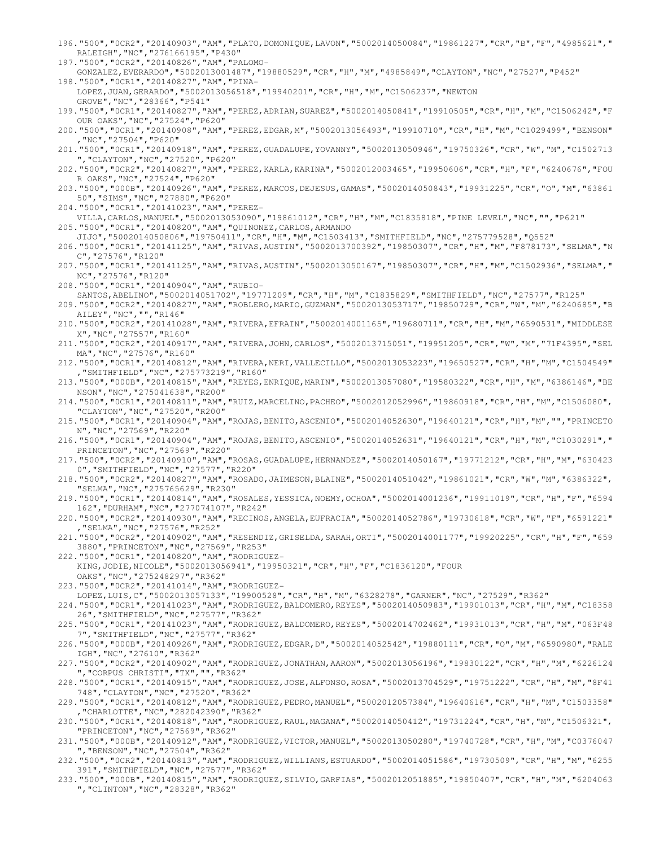- 196."500","0CR2","20140903","AM","PLATO,DOMONIQUE,LAVON","5002014050084","19861227","CR","B","F","4985621"," RALEIGH","NC","276166195","P430"
- 197."500","0CR2","20140826","AM","PALOMO-
- GONZALEZ,EVERARDO","5002013001487","19880529","CR","H","M","4985849","CLAYTON","NC","27527","P452" 198."500","0CR1","20140827","AM","PINA-
- LOPEZ, JUAN, GERARDO", "5002013056518", "19940201", "CR", "H", "M", "C1506237", "NEWTON GROVE","NC","28366","P541"
- 199."500","0CR1","20140827","AM","PEREZ,ADRIAN,SUAREZ","5002014050841","19910505","CR","H","M","C1506242","F OUR OAKS","NC","27524","P620"
- 200."500","0CR1","20140908","AM","PEREZ,EDGAR,M","5002013056493","19910710","CR","H","M","C1029499","BENSON" ,"NC","27504","P620"
- 201."500","0CR1","20140918","AM","PEREZ,GUADALUPE,YOVANNY","5002013050946","19750326","CR","W","M","C1502713 ","CLAYTON","NC","27520","P620"
- 202."500","0CR2","20140827","AM","PEREZ,KARLA,KARINA","5002012003465","19950606","CR","H","F","6240676","FOU R OAKS","NC","27524","P620"
- 203."500","000B","20140926","AM","PEREZ,MARCOS,DEJESUS,GAMAS","5002014050843","19931225","CR","O","M","63861 50","SIMS","NC","27880","P620"
- 204."500","0CR1","20141023","AM","PEREZ-
- VILLA,CARLOS,MANUEL","5002013053090","19861012","CR","H","M","C1835818","PINE LEVEL","NC","","P621" 205."500","0CR1","20140820","AM","QUINONEZ,CARLOS,ARMANDO
- JIJO","5002014050806","19750411","CR","H","M","C1503413","SMITHFIELD","NC","275779528","Q552"
- 206."500","0CR1","20141125","AM","RIVAS,AUSTIN","5002013700392","19850307","CR","H","M","F878173","SELMA","N C","27576","R120"
- 207."500","0CR1","20141125","AM","RIVAS,AUSTIN","5002013050167","19850307","CR","H","M","C1502936","SELMA"," NC","27576","R120"
- 208."500","0CR1","20140904","AM","RUBIO-SANTOS,ABELINO","5002014051702","19771209","CR","H","M","C1835829","SMITHFIELD","NC","27577","R125"
- 209."500","0CR2","20140827","AM","ROBLERO,MARIO,GUZMAN","5002013053717","19850729","CR","W","M","6240685","B AILEY","NC","","R146"
- 210."500","0CR2","20141028","AM","RIVERA,EFRAIN","5002014001165","19680711","CR","H","M","6590531","MIDDLESE X","NC","27557","R160"
- 211."500","0CR2","20140917","AM","RIVERA,JOHN,CARLOS","5002013715051","19951205","CR","W","M","71F4395","SEL MA","NC","27576","R160"
- 212."500","0CR1","20140812","AM","RIVERA,NERI,VALLECILLO","5002013053223","19650527","CR","H","M","C1504549" ,"SMITHFIELD","NC","275773219","R160"
- 213."500","000B","20140815","AM","REYES,ENRIQUE,MARIN","5002013057080","19580322","CR","H","M","6386146","BE NSON","NC","275041638","R200"
- 214."500","0CR1","20140811","AM","RUIZ,MARCELINO,PACHEO","5002012052996","19860918","CR","H","M","C1506080", "CLAYTON","NC","27520","R200"
- 215."500","0CR1","20140904","AM","ROJAS,BENITO,ASCENIO","5002014052630","19640121","CR","H","M","","PRINCETO N","NC","27569","R220"
- 216."500","0CR1","20140904","AM","ROJAS,BENITO,ASCENIO","5002014052631","19640121","CR","H","M","C1030291"," PRINCETON","NC","27569","R220"
- 217."500","0CR2","20140910","AM","ROSAS,GUADALUPE,HERNANDEZ","5002014050167","19771212","CR","H","M","630423 0","SMITHFIELD","NC","27577","R220"
- 218."500","0CR2","20140827","AM","ROSADO,JAIMESON,BLAINE","5002014051042","19861021","CR","W","M","6386322", "SELMA","NC","275765629","R230"
- 219."500","0CR1","20140814","AM","ROSALES,YESSICA,NOEMY,OCHOA","5002014001236","19911019","CR","H","F","6594 162","DURHAM","NC","277074107","R242"
- 220."500","0CR2","20140930","AM","RECINOS,ANGELA,EUFRACIA","5002014052786","19730618","CR","W","F","6591221" ,"SELMA","NC","27576","R252"
- 221."500","0CR2","20140902","AM","RESENDIZ,GRISELDA,SARAH,ORTI","5002014001177","19920225","CR","H","F","659 3880","PRINCETON","NC","27569","R253"
- 222."500","0CR1","20140820","AM","RODRIGUEZ-KING, JODIE, NICOLE", "5002013056941", "19950321", "CR", "H", "F", "C1836120", "FOUR OAKS","NC","275248297","R362"
- 223."500","0CR2","20141014","AM","RODRIGUEZ-

LOPEZ,LUIS,C","5002013057133","19900528","CR","H","M","6328278","GARNER","NC","27529","R362"

- 224."500","0CR1","20141023","AM","RODRIGUEZ,BALDOMERO,REYES","5002014050983","19901013","CR","H","M","C18358 26","SMITHFIELD","NC","27577","R362"
- 225."500","0CR1","20141023","AM","RODRIGUEZ,BALDOMERO,REYES","5002014702462","19931013","CR","H","M","063F48 7","SMITHFIELD","NC","27577","R362"
- 226."500","000B","20140926","AM","RODRIGUEZ,EDGAR,D","5002014052542","19880111","CR","O","M","6590980","RALE IGH","NC","27610","R362"
- 227."500","0CR2","20140902","AM","RODRIGUEZ,JONATHAN,AARON","5002013056196","19830122","CR","H","M","6226124 ","CORPUS CHRISTI","TX","","R362"
- 228."500","0CR1","20140915","AM","RODRIGUEZ,JOSE,ALFONSO,ROSA","5002013704529","19751222","CR","H","M","8F41 748","CLAYTON","NC","27520","R362"
- 229."500","0CR1","20140812","AM","RODRIGUEZ,PEDRO,MANUEL","5002012057384","19640616","CR","H","M","C1503358" ,"CHARLOTTE","NC","282042390","R362"
- 230."500","0CR1","20140818","AM","RODRIGUEZ,RAUL,MAGANA","5002014050412","19731224","CR","H","M","C1506321", "PRINCETON","NC","27569","R362"
- 231."500","000B","20140912","AM","RODRIGUEZ,VICTOR,MANUEL","5002013050280","19740728","CR","H","M","C0376047 ","BENSON","NC","27504","R362"
- 232."500","0CR2","20140813","AM","RODRIGUEZ,WILLIANS,ESTUARDO","5002014051586","19730509","CR","H","M","6255 391","SMITHFIELD","NC","27577","R362"
- 233."500","000B","20140815","AM","RODRIQUEZ,SILVIO,GARFIAS","5002012051885","19850407","CR","H","M","6204063 ","CLINTON","NC","28328","R362"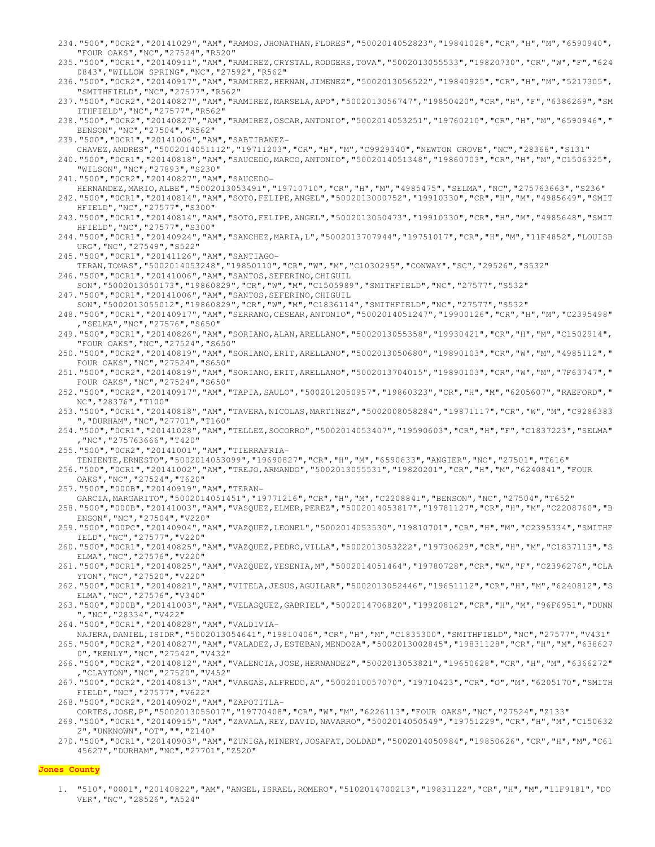234."500","0CR2","20141029","AM","RAMOS,JHONATHAN,FLORES","5002014052823","19841028","CR","H","M","6590940", "FOUR OAKS","NC","27524","R520" 235."500","0CR1","20140911","AM","RAMIREZ,CRYSTAL,RODGERS,TOVA","5002013055533","19820730","CR","W","F","624 0843","WILLOW SPRING","NC","27592","R562" 236."500","0CR2","20140917","AM","RAMIREZ,HERNAN,JIMENEZ","5002013056522","19840925","CR","H","M","5217305", "SMITHFIELD","NC","27577","R562" 237."500","0CR2","20140827","AM","RAMIREZ,MARSELA,APO","5002013056747","19850420","CR","H","F","6386269","SM ITHFIELD","NC","27577","R562" 238."500","0CR2","20140827","AM","RAMIREZ,OSCAR,ANTONIO","5002014053251","19760210","CR","H","M","6590946"," BENSON","NC","27504","R562" 239."500","0CR1","20141006","AM","SABTIBANEZ-CHAVEZ,ANDRES","5002014051112","19711203","CR","H","M","C9929340","NEWTON GROVE","NC","28366","S131" 240."500","0CR1","20140818","AM","SAUCEDO,MARCO,ANTONIO","5002014051348","19860703","CR","H","M","C1506325", "WILSON","NC","27893","S230" 241."500","0CR2","20140827","AM","SAUCEDO-HERNANDEZ,MARIO,ALBE","5002013053491","19710710","CR","H","M","4985475","SELMA","NC","275763663","S236" 242."500","0CR1","20140814","AM","SOTO,FELIPE,ANGEL","5002013000752","19910330","CR","H","M","4985649","SMIT HFIELD","NC","27577","S300" 243."500","0CR1","20140814","AM","SOTO,FELIPE,ANGEL","5002013050473","19910330","CR","H","M","4985648","SMIT HFIELD","NC","27577","S300" 244."500","0CR1","20140924","AM","SANCHEZ,MARIA,L","5002013707944","19751017","CR","H","M","11F4852","LOUISB URG","NC","27549","S522" 245."500","0CR1","20141126","AM","SANTIAGO-TERAN,TOMAS","5002014053248","19850110","CR","W","M","C1030295","CONWAY","SC","29526","S532" 246."500","0CR1","20141006","AM","SANTOS,SEFERINO,CHIGUIL SON","5002013050173","19860829","CR","W","M","C1505989","SMITHFIELD","NC","27577","S532" 247."500","0CR1","20141006","AM","SANTOS,SEFERINO,CHIGUIL SON","5002013055012","19860829","CR","W","M","C1836114","SMITHFIELD","NC","27577","S532" 248."500","0CR1","20140917","AM","SERRANO,CESEAR,ANTONIO","5002014051247","19900126","CR","H","M","C2395498" ,"SELMA","NC","27576","S650" 249."500","0CR1","20140826","AM","SORIANO,ALAN,ARELLANO","5002013055358","19930421","CR","H","M","C1502914", "FOUR OAKS","NC","27524","S650" 250."500","0CR2","20140819","AM","SORIANO,ERIT,ARELLANO","5002013050680","19890103","CR","W","M","4985112"," FOUR OAKS","NC","27524","S650" 251."500","0CR2","20140819","AM","SORIANO,ERIT,ARELLANO","5002013704015","19890103","CR","W","M","7F63747"," FOUR OAKS","NC","27524","S650" 252."500","0CR2","20140917","AM","TAPIA,SAULO","5002012050957","19860323","CR","H","M","6205607","RAEFORD"," NC","28376","T100" 253."500","0CR1","20140818","AM","TAVERA,NICOLAS,MARTINEZ","5002008058284","19871117","CR","W","M","C9286383 ","DURHAM","NC","27701","T160" 254."500","0CR1","20141028","AM","TELLEZ,SOCORRO","5002014053407","19590603","CR","H","F","C1837223","SELMA" ,"NC","275763666","T420" 255."500","0CR2","20141001","AM","TIERRAFRIA-TENIENTE,ERNESTO","5002014053099","19690827","CR","H","M","6590633","ANGIER","NC","27501","T616" 256."500","0CR1","20141002","AM","TREJO,ARMANDO","5002013055531","19820201","CR","H","M","6240841","FOUR OAKS","NC","27524","T620" 257."500","000B","20140919","AM","TERAN-GARCIA,MARGARITO","5002014051451","19771216","CR","H","M","C2208841","BENSON","NC","27504","T652" 258."500","000B","20141003","AM","VASQUEZ,ELMER,PEREZ","5002014053817","19781127","CR","H","M","C2208760","B ENSON","NC","27504","V220" 259."500","00PC","20140904","AM","VAZQUEZ,LEONEL","5002014053530","19810701","CR","H","M","C2395334","SMITHF IELD","NC","27577","V220" 260."500","0CR1","20140825","AM","VAZQUEZ,PEDRO,VILLA","5002013053222","19730629","CR","H","M","C1837113","S ELMA","NC","27576","V220" 261."500","0CR1","20140825","AM","VAZQUEZ,YESENIA,M","5002014051464","19780728","CR","W","F","C2396276","CLA YTON","NC","27520","V220" 262."500","0CR1","20140821","AM","VITELA,JESUS,AGUILAR","5002013052446","19651112","CR","H","M","6240812","S ELMA","NC","27576","V340" 263."500","000B","20141003","AM","VELASQUEZ,GABRIEL","5002014706820","19920812","CR","H","M","96F6951","DUNN ","NC","28334","V422" 264."500","0CR1","20140828","AM","VALDIVIA-NAJERA,DANIEL,ISIDR","5002013054641","19810406","CR","H","M","C1835300","SMITHFIELD","NC","27577","V431" 265."500","0CR2","20140827","AM","VALADEZ,J,ESTEBAN,MENDOZA","5002013002845","19831128","CR","H","M","638627 0","KENLY","NC","27542","V432" 266."500","0CR2","20140812","AM","VALENCIA,JOSE,HERNANDEZ","5002013053821","19650628","CR","H","M","6366272" ,"CLAYTON","NC","27520","V452" 267."500","0CR2","20140813","AM","VARGAS,ALFREDO,A","5002010057070","19710423","CR","O","M","6205170","SMITH FIELD","NC","27577","V622" 268."500","0CR2","20140902","AM","ZAPOTITLA-CORTES,JOSE,P","5002013055017","19770408","CR","W","M","6226113","FOUR OAKS","NC","27524","Z133" 269."500","0CR1","20140915","AM","ZAVALA,REY,DAVID,NAVARRO","5002014050549","19751229","CR","H","M","C150632

2","UNKNOWN","OT","","Z140"

270."500","0CR1","20140903","AM","ZUNIGA,MINERY,JOSAFAT,DOLDAD","5002014050984","19850626","CR","H","M","C61 45627","DURHAM","NC","27701","Z520"

#### **Jones County**

1. "510","0001","20140822","AM","ANGEL,ISRAEL,ROMERO","5102014700213","19831122","CR","H","M","11F9181","DO VER","NC","28526","A524"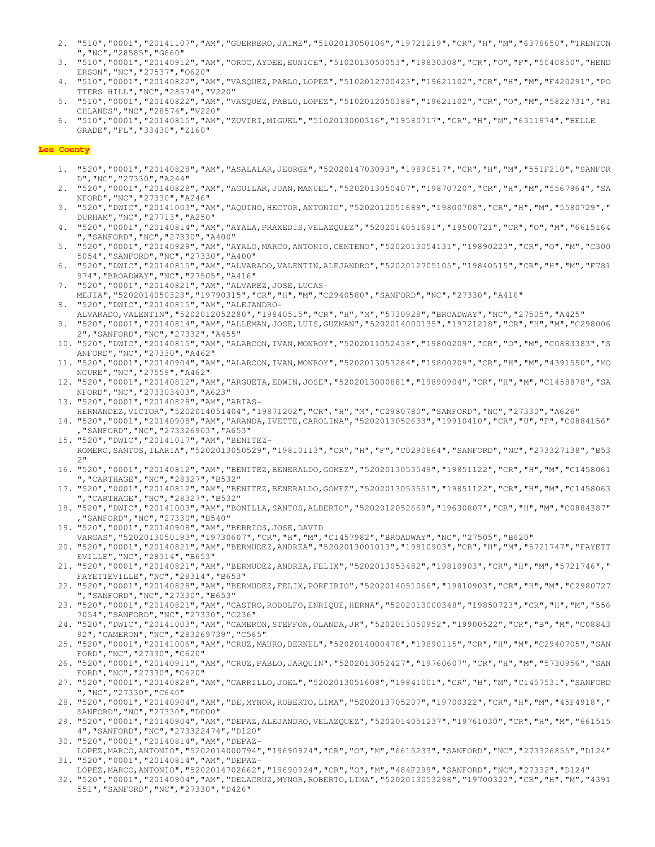- 2. "510","0001","20141107","AM","GUERRERO,JAIME","5102013050106","19721219","CR","H","M","6378650","TRENTON ","NC","28585","G660"
- 3. "510","0001","20140912","AM","OROC,AYDEE,EUNICE","5102013050053","19830308","CR","O","F","5040850","HEND ERSON","NC","27537","O620"
- 4. "510","0001","20140822","AM","VASQUEZ,PABLO,LOPEZ","5102012700423","19621102","CR","H","M","F420291","PO TTERS HILL","NC","28574","V220"
- 5. "510","0001","20140822","AM","VASQUEZ,PABLO,LOPEZ","5102012050388","19621102","CR","O","M","5822731","RI CHLANDS","NC","28574","V220"
- 6. "510","0001","20140815","AM","ZUVIRI,MIGUEL","5102013000316","19580717","CR","H","M","6311974","BELLE GRADE","FL","33430","Z160"

#### **Lee County**

- 1. "520","0001","20140828","AM","ASALALAR,JEORGE","5202014703093","19890517","CR","H","M","551F210","SANFOR D","NC","27330","A244"
- 2. "520","0001","20140828","AM","AGUILAR,JUAN,MANUEL","5202013050407","19870720","CR","H","M","5567964","SA NFORD","NC","27330","A246"
- 3. "520","DWIC","20141003","AM","AQUINO,HECTOR,ANTONIO","5202012051689","19800708","CR","H","M","5580729"," DURHAM","NC","27713","A250"
- 4. "520","0001","20140814","AM","AYALA,PRAXEDIS,VELAZQUEZ","5202014051691","19500721","CR","O","M","6615164 ","SANFORD","NC","27330","A400"
- 5. "520","0001","20140929","AM","AYALO,MARCO,ANTONIO,CENTENO","5202013054131","19890223","CR","O","M","C300 5054","SANFORD","NC","27330","A400"
- 6. "520","DWIC","20140815","AM","ALVARADO,VALENTIN,ALEJANDRO","5202012705105","19840515","CR","H","M","F781 974","BROADWAY","NC","27505","A416"
- 7. "520","0001","20140821","AM","ALVAREZ,JOSE,LUCAS-
- MEJIA","5202014050323","19790315","CR","H","M","C2940580","SANFORD","NC","27330","A416" 8. "520","DWIC","20140815","AM","ALEJANDRO-
- ALVARADO,VALENTIN","5202012052280","19840515","CR","H","M","5730928","BROADWAY","NC","27505","A425"
- 9. "520","0001","20140814","AM","ALLEMAN,JOSE,LUIS,GUZMAN","5202014000135","19721218","CR","H","M","C298006 2","SANFORD","NC","27332","A455"
- 10. "520","DWIC","20140815","AM","ALARCON,IVAN,MONROY","5202011052438","19800209","CR","O","M","C0883383","S ANFORD","NC","27330","A462"
- 11. "520","0001","20140904","AM","ALARCON,IVAN,MONROY","5202013053284","19800209","CR","H","M","4391550","MO NCURE","NC","27559","A462"
- 12. "520","0001","20140812","AM","ARGUETA,EDWIN,JOSE","5202013000881","19890904","CR","H","M","C1458878","SA NFORD","NC","273303403","A623"
- 13. "520","0001","20140828","AM","ARIAS-
- HERNANDEZ,VICTOR","5202014051404","19871202","CR","H","M","C2980780","SANFORD","NC","27330","A626"
- 14. "520","0001","20140908","AM","ARANDA,IVETTE,CAROLINA","5202013052633","19910410","CR","U","F","C0884156" ,"SANFORD","NC","273326903","A653"
- 15. "520","DWIC","20141017","AM","BENITEZ-ROMERO,SANTOS,ILARIA","5202013050529","19810113","CR","H","F","C0290864","SANFORD","NC","273327138","B53 2"
- 16. "520","0001","20140812","AM","BENITEZ,BENERALDO,GOMEZ","5202013053549","19851122","CR","H","M","C1458061 ","CARTHAGE","NC","28327","B532"
- 17. "520","0001","20140812","AM","BENITEZ,BENERALDO,GOMEZ","5202013053551","19851122","CR","H","M","C1458063 ","CARTHAGE","NC","28327","B532"
- 18. "520","DWIC","20141003","AM","BONILLA,SANTOS,ALBERTO","5202012052669","19630807","CR","H","M","C0884387" ,"SANFORD","NC","27330","B540"
- 19. "520","0001","20140908","AM","BERRIOS,JOSE,DAVID
- VARGAS","5202013050193","19730607","CR","H","M","C1457982","BROADWAY","NC","27505","B620"
- 20. "520","0001","20140821","AM","BERMUDEZ,ANDREA","5202013001013","19810903","CR","H","M","5721747","FAYETT EVILLE","NC","28314","B653"
- 21. "520","0001","20140821","AM","BERMUDEZ,ANDREA,FELIX","5202013053482","19810903","CR","H","M","5721746"," FAYETTEVILLE","NC","28314","B653"
- 22. "520","0001","20140828","AM","BERMUDEZ,FELIX,PORFIRIO","5202014051066","19810903","CR","H","M","C2980727 ","SANFORD","NC","27330","B653"
- 23. "520","0001","20140821","AM","CASTRO,RODOLFO,ENRIQUE,HERNA","5202013000348","19850723","CR","H","M","556 7054","SANFORD","NC","27330","C236"
- 24. "520","DWIC","20141003","AM","CAMERON,STEFFON,OLANDA,JR","5202013050952","19900522","CR","B","M","C08843 92","CAMERON","NC","283269739","C565"
- 25. "520","0001","20141006","AM","CRUZ,MAURO,BERNEL","5202014000478","19890115","CR","H","M","C2940705","SAN FORD","NC","27330","C620"
- 26. "520","0001","20140911","AM","CRUZ,PABLO,JARQUIN","5202013052427","19760607","CR","H","M","5730956","SAN FORD","NC","27330","C620"
- 27. "520","0001","20140828","AM","CARRILLO,JOEL","5202013051608","19841001","CR","H","M","C1457531","SANFORD ","NC","27330","C640"
- 28. "520","0001","20140904","AM","DE,MYNOR,ROBERTO,LIMA","5202013705207","19700322","CR","H","M","45F4918"," SANFORD","NC","27330","D000"
- 29. "520","0001","20140904","AM","DEPAZ,ALEJANDRO,VELAZQUEZ","5202014051237","19761030","CR","H","M","661515 4","SANFORD","NC","273322474","D120"
- 30. "520","0001","20140814","AM","DEPAZ-LOPEZ,MARCO,ANTONIO","5202014000794","19690924","CR","O","M","6615233","SANFORD","NC","273326855","D124" 31. "520","0001","20140814","AM","DEPAZ-
- LOPEZ,MARCO,ANTONIO","5202014702662","19690924","CR","O","M","484F299","SANFORD","NC","27332","D124"
- 32. "520","0001","20140904","AM","DELACRUZ,MYNOR,ROBERTO,LIMA","5202013053298","19700322","CR","H","M","4391 551","SANFORD","NC","27330","D426"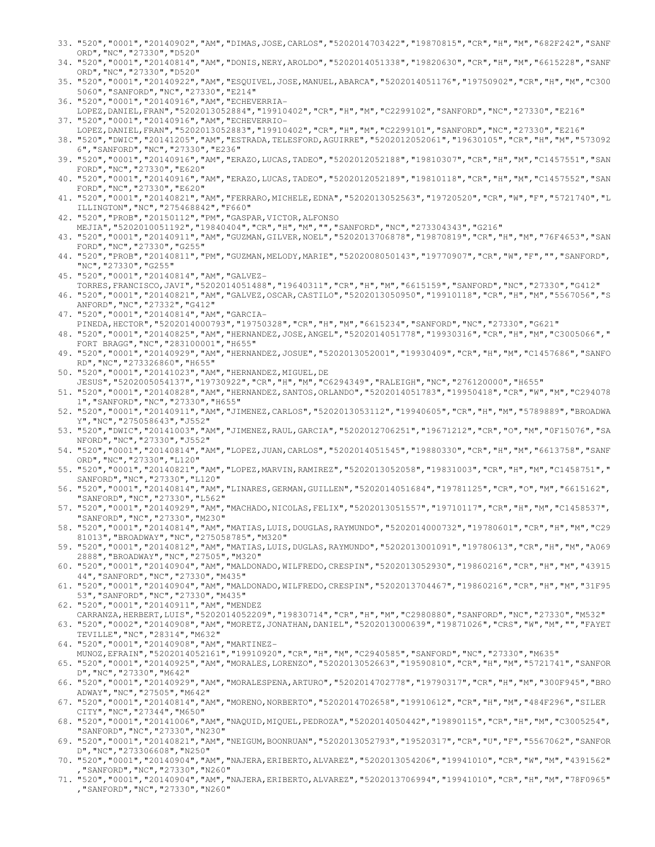- 33. "520","0001","20140902","AM","DIMAS,JOSE,CARLOS","5202014703422","19870815","CR","H","M","682F242","SANF ORD","NC","27330","D520"
- 34. "520","0001","20140814","AM","DONIS,NERY,AROLDO","5202014051338","19820630","CR","H","M","6615228","SANF ORD","NC","27330","D520"
- 35. "520","0001","20140922","AM","ESQUIVEL,JOSE,MANUEL,ABARCA","5202014051176","19750902","CR","H","M","C300 5060","SANFORD","NC","27330","E214"
- 36. "520","0001","20140916","AM","ECHEVERRIA-
- LOPEZ,DANIEL,FRAN","5202013052884","19910402","CR","H","M","C2299102","SANFORD","NC","27330","E216" 37. "520","0001","20140916","AM","ECHEVERRIO-
- LOPEZ,DANIEL,FRAN","5202013052883","19910402","CR","H","M","C2299101","SANFORD","NC","27330","E216"
- 38. "520","DWIC","20141205","AM","ESTRADA,TELESFORD,AGUIRRE","5202012052061","19630105","CR","H","M","573092 6","SANFORD","NC","27330","E236"
- 39. "520","0001","20140916","AM","ERAZO,LUCAS,TADEO","5202012052188","19810307","CR","H","M","C1457551","SAN FORD","NC","27330","E620"
- 40. "520","0001","20140916","AM","ERAZO,LUCAS,TADEO","5202012052189","19810118","CR","H","M","C1457552","SAN FORD","NC","27330","E620"
- 41. "520","0001","20140821","AM","FERRARO,MICHELE,EDNA","5202013052563","19720520","CR","W","F","5721740","L ILLINGTON","NC","275468842","F660"
- 42. "520","PROB","20150112","PM","GASPAR,VICTOR,ALFONSO
- MEJIA","5202010051192","19840404","CR","H","M","","SANFORD","NC","273304343","G216"
- 43. "520","0001","20140911","AM","GUZMAN,GILVER,NOEL","5202013706878","19870819","CR","H","M","76F4653","SAN FORD","NC","27330","G255"
- 44. "520","PROB","20140811","PM","GUZMAN,MELODY,MARIE","5202008050143","19770907","CR","W","F","","SANFORD", "NC","27330","G255"
- 45. "520","0001","20140814","AM","GALVEZ-
- TORRES,FRANCISCO,JAVI","5202014051488","19640311","CR","H","M","6615159","SANFORD","NC","27330","G412"
- 46. "520","0001","20140821","AM","GALVEZ,OSCAR,CASTILO","5202013050950","19910118","CR","H","M","5567056","S ANFORD","NC","27332","G412"
- 47. "520","0001","20140814","AM","GARCIA-
- PINEDA,HECTOR","5202014000793","19750328","CR","H","M","6615234","SANFORD","NC","27330","G621"
- 48. "520","0001","20140825","AM","HERNANDEZ,JOSE,ANGEL","5202014051778","19930316","CR","H","M","C3005066"," FORT BRAGG","NC","283100001","H655"
- 49. "520","0001","20140929","AM","HERNANDEZ,JOSUE","5202013052001","19930409","CR","H","M","C1457686","SANFO RD","NC","273326860","H655"
- 50. "520","0001","20141023","AM","HERNANDEZ,MIGUEL,DE

JESUS","5202005054137","19730922","CR","H","M","C6294349","RALEIGH","NC","276120000","H655"

- 51. "520","0001","20140828","AM","HERNANDEZ,SANTOS,ORLANDO","5202014051783","19950418","CR","W","M","C294078 1","SANFORD","NC","27330","H655"
- 52. "520","0001","20140911","AM","JIMENEZ,CARLOS","5202013053112","19940605","CR","H","M","5789889","BROADWA Y","NC","275058643","J552"
- 53. "520","DWIC","20141003","AM","JIMENEZ,RAUL,GARCIA","5202012706251","19671212","CR","O","M","0F15076","SA NFORD","NC","27330","J552"
- 54. "520","0001","20140814","AM","LOPEZ,JUAN,CARLOS","5202014051545","19880330","CR","H","M","6613758","SANF ORD","NC","27330","L120"
- 55. "520","0001","20140821","AM","LOPEZ,MARVIN,RAMIREZ","5202013052058","19831003","CR","H","M","C1458751"," SANFORD","NC","27330","L120"
- 56. "520","0001","20140814","AM","LINARES,GERMAN,GUILLEN","5202014051684","19781125","CR","O","M","6615162", "SANFORD","NC","27330","L562"
- 57. "520","0001","20140929","AM","MACHADO,NICOLAS,FELIX","5202013051557","19710117","CR","H","M","C1458537", "SANFORD","NC","27330","M230"
- 58. "520","0001","20140814","AM","MATIAS,LUIS,DOUGLAS,RAYMUNDO","5202014000732","19780601","CR","H","M","C29 81013","BROADWAY","NC","275058785","M320"
- 59. "520","0001","20140812","AM","MATIAS,LUIS,DUGLAS,RAYMUNDO","5202013001091","19780613","CR","H","M","A069 2888","BROADWAY","NC","27505","M320"
- 60. "520","0001","20140904","AM","MALDONADO,WILFREDO,CRESPIN","5202013052930","19860216","CR","H","M","43915 44","SANFORD","NC","27330","M435"
- 61. "520","0001","20140904","AM","MALDONADO,WILFREDO,CRESPIN","5202013704467","19860216","CR","H","M","31F95 53","SANFORD","NC","27330","M435"
- 62. "520","0001","20140911","AM","MENDEZ
- CARRANZA,HERBERT,LUIS","5202014052209","19830714","CR","H","M","C2980880","SANFORD","NC","27330","M532"
- 63. "520","0002","20140908","AM","MORETZ,JONATHAN,DANIEL","5202013000639","19871026","CRS","W","M","","FAYET TEVILLE","NC","28314","M632"
- 64. "520","0001","20140908","AM","MARTINEZ-

MUNOZ,EFRAIN","5202014052161","19910920","CR","H","M","C2940585","SANFORD","NC","27330","M635"

- 65. "520","0001","20140925","AM","MORALES,LORENZO","5202013052663","19590810","CR","H","M","5721741","SANFOR D","NC","27330","M642"
- 66. "520","0001","20140929","AM","MORALESPENA,ARTURO","5202014702778","19790317","CR","H","M","300F945","BRO ADWAY","NC","27505","M642"
- 67. "520","0001","20140814","AM","MORENO,NORBERTO","5202014702658","19910612","CR","H","M","484F296","SILER CITY","NC","27344","M650"
- 68. "520","0001","20141006","AM","NAQUID,MIQUEL,PEDROZA","5202014050442","19890115","CR","H","M","C3005254", "SANFORD","NC","27330","N230"
- 69. "520","0001","20140821","AM","NEIGUM,BOONRUAN","5202013052793","19520317","CR","U","F","5567062","SANFOR D","NC","273306608","N250"
- 70. "520","0001","20140904","AM","NAJERA,ERIBERTO,ALVAREZ","5202013054206","19941010","CR","W","M","4391562" ,"SANFORD","NC","27330","N260"
- 71. "520","0001","20140904","AM","NAJERA,ERIBERTO,ALVAREZ","5202013706994","19941010","CR","H","M","78F0965" ,"SANFORD","NC","27330","N260"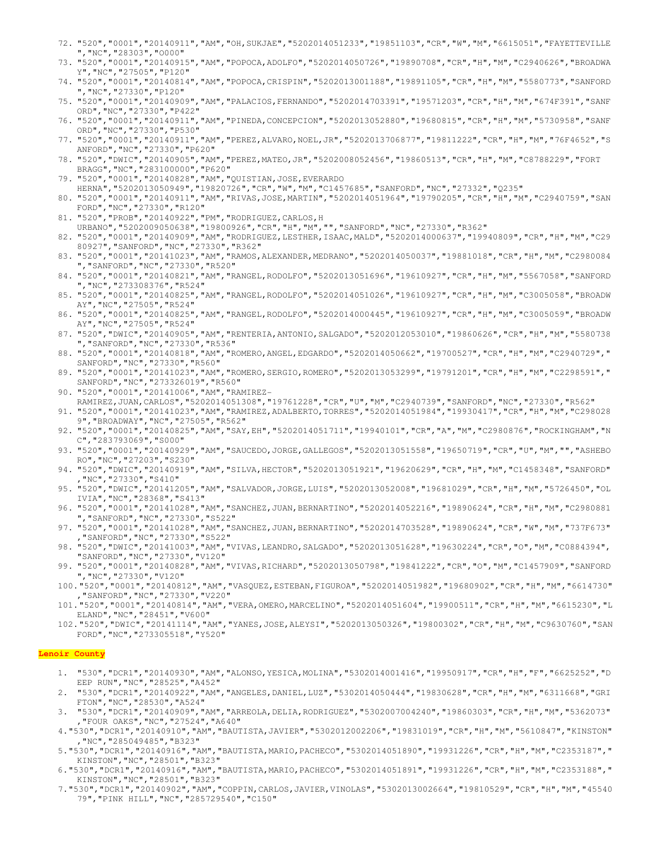- 72. "520","0001","20140911","AM","OH,SUKJAE","5202014051233","19851103","CR","W","M","6615051","FAYETTEVILLE ","NC","28303","O000"
- 73. "520","0001","20140915","AM","POPOCA,ADOLFO","5202014050726","19890708","CR","H","M","C2940626","BROADWA Y","NC","27505","P120"
- 74. "520","0001","20140814","AM","POPOCA,CRISPIN","5202013001188","19891105","CR","H","M","5580773","SANFORD ","NC","27330","P120"
- 75. "520","0001","20140909","AM","PALACIOS,FERNANDO","5202014703391","19571203","CR","H","M","674F391","SANF ORD","NC","27330","P422"
- 76. "520","0001","20140911","AM","PINEDA,CONCEPCION","5202013052880","19680815","CR","H","M","5730958","SANF ORD","NC","27330","P530"
- 77. "520","0001","20140911","AM","PEREZ,ALVARO,NOEL,JR","5202013706877","19811222","CR","H","M","76F4652","S ANFORD","NC","27330","P620"
- 78. "520","DWIC","20140905","AM","PEREZ,MATEO,JR","5202008052456","19860513","CR","H","M","C8788229","FORT BRAGG","NC","283100000","P620"
- 79. "520","0001","20140828","AM","QUISTIAN,JOSE,EVERARDO
- HERNA","5202013050949","19820726","CR","W","M","C1457685","SANFORD","NC","27332","Q235"
- 80. "520","0001","20140911","AM","RIVAS,JOSE,MARTIN","5202014051964","19790205","CR","H","M","C2940759","SAN FORD","NC","27330","R120"
- 81. "520", "PROB", "20140922", "PM", "RODRIGUEZ, CARLOS, H
- URBANO","5202009050638","19800926","CR","H","M","","SANFORD","NC","27330","R362"
- 82. "520","0001","20140909","AM","RODRIGUEZ,LESTHER,ISAAC,MALD","5202014000637","19940809","CR","H","M","C29 80927","SANFORD","NC","27330","R362"
- 83. "520","0001","20141023","AM","RAMOS,ALEXANDER,MEDRANO","5202014050037","19881018","CR","H","M","C2980084 ","SANFORD","NC","27330","R520"
- 84. "520","0001","20140821","AM","RANGEL,RODOLFO","5202013051696","19610927","CR","H","M","5567058","SANFORD ","NC","273308376","R524"
- 85. "520","0001","20140825","AM","RANGEL,RODOLFO","5202014051026","19610927","CR","H","M","C3005058","BROADW AY","NC","27505","R524"
- 86. "520","0001","20140825","AM","RANGEL,RODOLFO","5202014000445","19610927","CR","H","M","C3005059","BROADW AY","NC","27505","R524"
- 87. "520","DWIC","20140905","AM","RENTERIA,ANTONIO,SALGADO","5202012053010","19860626","CR","H","M","5580738 ","SANFORD","NC","27330","R536"
- 88. "520","0001","20140818","AM","ROMERO,ANGEL,EDGARDO","5202014050662","19700527","CR","H","M","C2940729"," SANFORD","NC","27330","R560"
- 89. "520","0001","20141023","AM","ROMERO,SERGIO,ROMERO","5202013053299","19791201","CR","H","M","C2298591"," SANFORD","NC","273326019","R560"
- 90. "520","0001","20141006","AM","RAMIREZ-RAMIREZ,JUAN,CARLOS","5202014051308","19761228","CR","U","M","C2940739","SANFORD","NC","27330","R562"
- 91. "520","0001","20141023","AM","RAMIREZ,ADALBERTO,TORRES","5202014051984","19930417","CR","H","M","C298028 9","BROADWAY","NC","27505","R562"
- 92. "520","0001","20140825","AM","SAY,EH","5202014051711","19940101","CR","A","M","C2980876","ROCKINGHAM","N C","283793069","S000"
- 93. "520","0001","20140929","AM","SAUCEDO,JORGE,GALLEGOS","5202013051558","19650719","CR","U","M","","ASHEBO RO","NC","27203","S230"
- 94. "520","DWIC","20140919","AM","SILVA,HECTOR","5202013051921","19620629","CR","H","M","C1458348","SANFORD" ,"NC","27330","S410"
- 95. "520","DWIC","20141205","AM","SALVADOR,JORGE,LUIS","5202013052008","19681029","CR","H","M","5726450","OL IVIA","NC","28368","S413"
- 96. "520","0001","20141028","AM","SANCHEZ,JUAN,BERNARTINO","5202014052216","19890624","CR","H","M","C2980881 ","SANFORD","NC","27330","S522"
- 97. "520","0001","20141028","AM","SANCHEZ,JUAN,BERNARTINO","5202014703528","19890624","CR","W","M","737F673" ,"SANFORD","NC","27330","S522"
- 98. "520","DWIC","20141003","AM","VIVAS,LEANDRO,SALGADO","5202013051628","19630224","CR","O","M","C0884394", "SANFORD","NC","27330","V120"
- 99. "520","0001","20140828","AM","VIVAS,RICHARD","5202013050798","19841222","CR","O","M","C1457909","SANFORD ","NC","27330","V120"
- 100."520","0001","20140812","AM","VASQUEZ,ESTEBAN,FIGUROA","5202014051982","19680902","CR","H","M","6614730" ,"SANFORD","NC","27330","V220"
- 101."520","0001","20140814","AM","VERA,OMERO,MARCELINO","5202014051604","19900511","CR","H","M","6615230","L ELAND","NC","28451","V600"
- 102."520","DWIC","20141114","AM","YANES,JOSE,ALEYSI","5202013050326","19800302","CR","H","M","C9630760","SAN FORD","NC","273305518","Y520"

#### **Lenoir County**

- 1. "530","DCR1","20140930","AM","ALONSO,YESICA,MOLINA","5302014001416","19950917","CR","H","F","6625252","D EEP RUN","NC","28525","A452"
- 2. "530","DCR1","20140922","AM","ANGELES,DANIEL,LUZ","5302014050444","19830628","CR","H","M","6311668","GRI FTON","NC","28530","A524"
- 3. "530","DCR1","20140909","AM","ARREOLA,DELIA,RODRIGUEZ","5302007004240","19860303","CR","H","M","5362073" ,"FOUR OAKS","NC","27524","A640"
- 4."530","DCR1","20140910","AM","BAUTISTA,JAVIER","5302012002206","19831019","CR","H","M","5610847","KINSTON" ,"NC","285049485","B323"
- 5."530","DCR1","20140916","AM","BAUTISTA,MARIO,PACHECO","5302014051890","19931226","CR","H","M","C2353187"," KINSTON","NC","28501","B323"
- 6."530","DCR1","20140916","AM","BAUTISTA,MARIO,PACHECO","5302014051891","19931226","CR","H","M","C2353188"," KINSTON","NC","28501","B323"
- 7."530","DCR1","20140902","AM","COPPIN,CARLOS,JAVIER,VINOLAS","5302013002664","19810529","CR","H","M","45540 79","PINK HILL","NC","285729540","C150"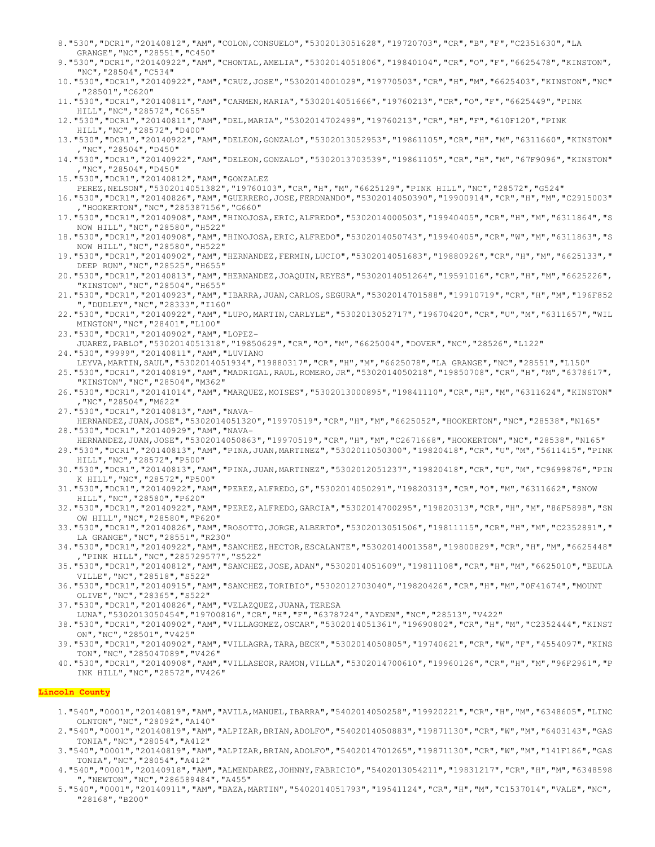- 8."530","DCR1","20140812","AM","COLON,CONSUELO","5302013051628","19720703","CR","B","F","C2351630","LA GRANGE","NC","28551","C450"
- 9."530","DCR1","20140922","AM","CHONTAL,AMELIA","5302014051806","19840104","CR","O","F","6625478","KINSTON", "NC","28504","C534"
- 10."530","DCR1","20140922","AM","CRUZ,JOSE","5302014001029","19770503","CR","H","M","6625403","KINSTON","NC" ,"28501","C620"
- 11."530","DCR1","20140811","AM","CARMEN,MARIA","5302014051666","19760213","CR","O","F","6625449","PINK HILL","NC","28572","C655"
- 12."530","DCR1","20140811","AM","DEL,MARIA","5302014702499","19760213","CR","H","F","610F120","PINK HILL","NC","28572","D400"
- 13."530","DCR1","20140922","AM","DELEON,GONZALO","5302013052953","19861105","CR","H","M","6311660","KINSTON" ,"NC","28504","D450"
- 14."530","DCR1","20140922","AM","DELEON,GONZALO","5302013703539","19861105","CR","H","M","67F9096","KINSTON" ,"NC","28504","D450"
- 15."530","DCR1","20140812","AM","GONZALEZ
- PEREZ,NELSON","5302014051382","19760103","CR","H","M","6625129","PINK HILL","NC","28572","G524"
- 16."530","DCR1","20140826","AM","GUERRERO,JOSE,FERDNANDO","5302014050390","19900914","CR","H","M","C2915003" ,"HOOKERTON","NC","285387156","G660"
- 17."530","DCR1","20140908","AM","HINOJOSA,ERIC,ALFREDO","5302014000503","19940405","CR","H","M","6311864","S NOW HILL","NC","28580","H522"
- 18."530","DCR1","20140908","AM","HINOJOSA,ERIC,ALFREDO","5302014050743","19940405","CR","W","M","6311863","S NOW HILL","NC","28580","H522"
- 19."530","DCR1","20140902","AM","HERNANDEZ,FERMIN,LUCIO","5302014051683","19880926","CR","H","M","6625133"," DEEP RUN","NC","28525","H655"
- 20."530","DCR1","20140813","AM","HERNANDEZ,JOAQUIN,REYES","5302014051264","19591016","CR","H","M","6625226", "KINSTON","NC","28504","H655"
- 21."530","DCR1","20140923","AM","IBARRA,JUAN,CARLOS,SEGURA","5302014701588","19910719","CR","H","M","196F852 ","DUDLEY","NC","28333","I160"
- 22."530","DCR1","20140922","AM","LUPO,MARTIN,CARLYLE","5302013052717","19670420","CR","U","M","6311657","WIL MINGTON","NC","28401","L100"
- 23."530","DCR1","20140902","AM","LOPEZ-JUAREZ,PABLO","5302014051318","19850629","CR","O","M","6625004","DOVER","NC","28526","L122" 24."530","9999","20140811","AM","LUVIANO
- LEYVA,MARTIN,SAUL","5302014051934","19880317","CR","H","M","6625078","LA GRANGE","NC","28551","L150"
- 25."530","DCR1","20140819","AM","MADRIGAL,RAUL,ROMERO,JR","5302014050218","19850708","CR","H","M","6378617", "KINSTON","NC","28504","M362"
- 26."530","DCR1","20141014","AM","MARQUEZ,MOISES","5302013000895","19841110","CR","H","M","6311624","KINSTON" ,"NC","28504","M622"
- 27."530","DCR1","20140813","AM","NAVA-
- HERNANDEZ,JUAN,JOSE","5302014051320","19970519","CR","H","M","6625052","HOOKERTON","NC","28538","N165" 28."530","DCR1","20140929","AM","NAVA-
- HERNANDEZ,JUAN,JOSE","5302014050863","19970519","CR","H","M","C2671668","HOOKERTON","NC","28538","N165" 29."530","DCR1","20140813","AM","PINA,JUAN,MARTINEZ","5302011050300","19820418","CR","U","M","5611415","PINK HILL","NC","28572","P500"
- 30."530","DCR1","20140813","AM","PINA,JUAN,MARTINEZ","5302012051237","19820418","CR","U","M","C9699876","PIN K HILL","NC","28572","P500"
- 31."530","DCR1","20140922","AM","PEREZ,ALFREDO,G","5302014050291","19820313","CR","O","M","6311662","SNOW HILL","NC","28580","P620"
- 32."530","DCR1","20140922","AM","PEREZ,ALFREDO,GARCIA","5302014700295","19820313","CR","H","M","86F5898","SN OW HILL","NC","28580","P620"
- 33."530","DCR1","20140826","AM","ROSOTTO,JORGE,ALBERTO","5302013051506","19811115","CR","H","M","C2352891"," LA GRANGE","NC","28551","R230"
- 34."530","DCR1","20140922","AM","SANCHEZ,HECTOR,ESCALANTE","5302014001358","19800829","CR","H","M","6625448" ,"PINK HILL","NC","285729577","S522"
- 35."530","DCR1","20140812","AM","SANCHEZ,JOSE,ADAN","5302014051609","19811108","CR","H","M","6625010","BEULA VILLE","NC","28518","S522"
- 36."530","DCR1","20140915","AM","SANCHEZ,TORIBIO","5302012703040","19820426","CR","H","M","0F41674","MOUNT OLIVE","NC","28365","S522"
- 37."530","DCR1","20140826","AM","VELAZQUEZ,JUANA,TERESA
- LUNA","5302013050454","19700816","CR","H","F","6378724","AYDEN","NC","28513","V422"
- 38."530","DCR1","20140902","AM","VILLAGOMEZ,OSCAR","5302014051361","19690802","CR","H","M","C2352444","KINST ON","NC","28501","V425"
- 39."530","DCR1","20140902","AM","VILLAGRA,TARA,BECK","5302014050805","19740621","CR","W","F","4554097","KINS TON","NC","285047089","V426"
- 40."530","DCR1","20140908","AM","VILLASEOR,RAMON,VILLA","5302014700610","19960126","CR","H","M","96F2961","P INK HILL","NC","28572","V426"

# **Lincoln County**

- 1."540","0001","20140819","AM","AVILA,MANUEL,IBARRA","5402014050258","19920221","CR","H","M","6348605","LINC OLNTON","NC","28092","A140"
- 2."540","0001","20140819","AM","ALPIZAR,BRIAN,ADOLFO","5402014050883","19871130","CR","W","M","6403143","GAS TONIA","NC","28054","A412"
- 3."540","0001","20140819","AM","ALPIZAR,BRIAN,ADOLFO","5402014701265","19871130","CR","W","M","141F186","GAS TONIA","NC","28054","A412"
- 4."540","0001","20140918","AM","ALMENDAREZ,JOHNNY,FABRICIO","5402013054211","19831217","CR","H","M","6348598 ","NEWTON","NC","286589484","A455"
- 5."540","0001","20140911","AM","BAZA,MARTIN","5402014051793","19541124","CR","H","M","C1537014","VALE","NC", "28168","B200"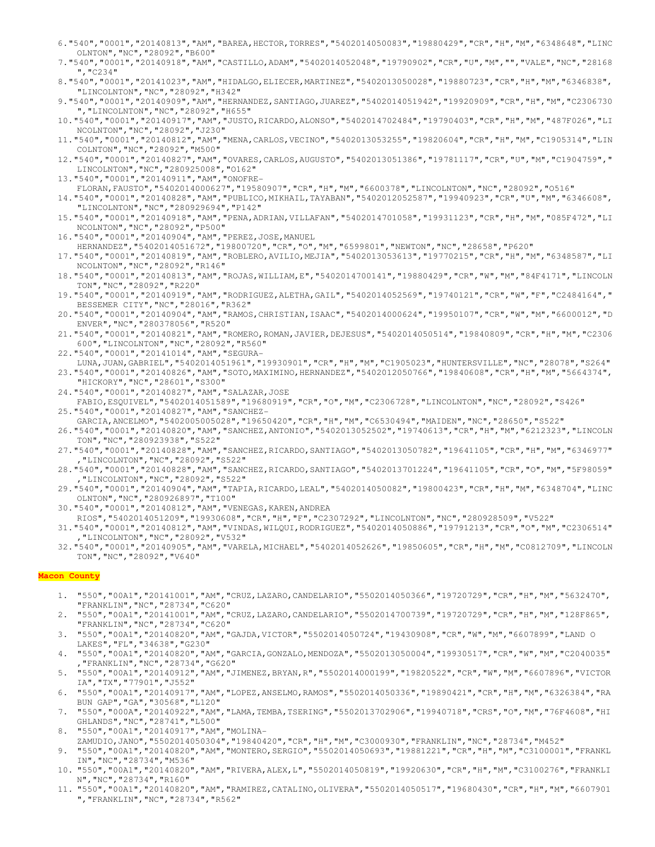- 6."540","0001","20140813","AM","BAREA,HECTOR,TORRES","5402014050083","19880429","CR","H","M","6348648","LINC OLNTON","NC","28092","B600"
- 7."540","0001","20140918","AM","CASTILLO,ADAM","5402014052048","19790902","CR","U","M","","VALE","NC","28168 ","C234"
- 8."540","0001","20141023","AM","HIDALGO,ELIECER,MARTINEZ","5402013050028","19880723","CR","H","M","6346838", "LINCOLNTON","NC","28092","H342"
- 9."540","0001","20140909","AM","HERNANDEZ,SANTIAGO,JUAREZ","5402014051942","19920909","CR","H","M","C2306730 ","LINCOLNTON","NC","28092","H655"
- 10."540","0001","20140917","AM","JUSTO,RICARDO,ALONSO","5402014702484","19790403","CR","H","M","487F026","LI NCOLNTON","NC","28092","J230"
- 11."540","0001","20140812","AM","MENA,CARLOS,VECINO","5402013053255","19820604","CR","H","M","C1905314","LIN COLNTON","NC","28092","M500"
- 12."540","0001","20140827","AM","OVARES,CARLOS,AUGUSTO","5402013051386","19781117","CR","U","M","C1904759"," LINCOLNTON","NC","280925008","O162"
- 13."540","0001","20140911","AM","ONOFRE-
- FLORAN,FAUSTO","5402014000627","19580907","CR","H","M","6600378","LINCOLNTON","NC","28092","O516"
- 14."540","0001","20140828","AM","PUBLICO,MIKHAIL,TAYABAN","5402012052587","19940923","CR","U","M","6346608", "LINCOLNTON","NC","280929694","P142"
- 15."540","0001","20140918","AM","PENA,ADRIAN,VILLAFAN","5402014701058","19931123","CR","H","M","085F472","LI NCOLNTON","NC","28092","P500"
- 16."540","0001","20140904","AM","PEREZ,JOSE,MANUEL
- HERNANDEZ","5402014051672","19800720","CR","O","M","6599801","NEWTON","NC","28658","P620"
- 17."540","0001","20140819","AM","ROBLERO,AVILIO,MEJIA","5402013053613","19770215","CR","H","M","6348587","LI NCOLNTON","NC","28092","R146"
- 18."540","0001","20140813","AM","ROJAS,WILLIAM,E","5402014700141","19880429","CR","W","M","84F4171","LINCOLN TON","NC","28092","R220"
- 19."540","0001","20140919","AM","RODRIGUEZ,ALETHA,GAIL","5402014052569","19740121","CR","W","F","C2484164"," BESSEMER CITY","NC","28016","R362"
- 20."540","0001","20140904","AM","RAMOS,CHRISTIAN,ISAAC","5402014000624","19950107","CR","W","M","6600012","D ENVER","NC","280378056","R520"
- 21."540","0001","20140821","AM","ROMERO,ROMAN,JAVIER,DEJESUS","5402014050514","19840809","CR","H","M","C2306 600","LINCOLNTON","NC","28092","R560"
- 22."540","0001","20141014","AM","SEGURA-LUNA,JUAN,GABRIEL","5402014051961","19930901","CR","H","M","C1905023","HUNTERSVILLE","NC","28078","S264"
- 23."540","0001","20140826","AM","SOTO,MAXIMINO,HERNANDEZ","5402012050766","19840608","CR","H","M","5664374", "HICKORY","NC","28601","S300"
- 24."540","0001","20140827","AM","SALAZAR,JOSE
- FABIO,ESQUIVEL","5402014051589","19680919","CR","O","M","C2306728","LINCOLNTON","NC","28092","S426" 25."540","0001","20140827","AM","SANCHEZ-
- GARCIA,ANCELMO","5402005005028","19650420","CR","H","M","C6530494","MAIDEN","NC","28650","S522"
- 26."540","0001","20140820","AM","SANCHEZ,ANTONIO","5402013052502","19740613","CR","H","M","6212323","LINCOLN TON","NC","280923938","S522"
- 27."540","0001","20140828","AM","SANCHEZ,RICARDO,SANTIAGO","5402013050782","19641105","CR","H","M","6346977" ,"LINCOLNTON","NC","28092","S522"
- 28."540","0001","20140828","AM","SANCHEZ,RICARDO,SANTIAGO","5402013701224","19641105","CR","O","M","5F98059" ,"LINCOLNTON","NC","28092","S522"
- 29."540","0001","20140904","AM","TAPIA,RICARDO,LEAL","5402014050082","19800423","CR","H","M","6348704","LINC OLNTON","NC","280926897","T100"
- 30."540","0001","20140812","AM","VENEGAS,KAREN,ANDREA
- RIOS","5402014051209","19930608","CR","H","F","C2307292","LINCOLNTON","NC","280928509","V522"
- 31."540","0001","20140812","AM","VINDAS,WILQUI,RODRIGUEZ","5402014050886","19791213","CR","O","M","C2306514" ,"LINCOLNTON","NC","28092","V532"
- 32."540","0001","20140905","AM","VARELA,MICHAEL","5402014052626","19850605","CR","H","M","C0812709","LINCOLN TON","NC","28092","V640"

# **Macon County**

- 1. "550","00A1","20141001","AM","CRUZ,LAZARO,CANDELARIO","5502014050366","19720729","CR","H","M","5632470", "FRANKLIN","NC","28734","C620"
- 2. "550","00A1","20141001","AM","CRUZ,LAZARO,CANDELARIO","5502014700739","19720729","CR","H","M","128F865", "FRANKLIN","NC","28734","C620"
- 3. "550","00A1","20140820","AM","GAJDA,VICTOR","5502014050724","19430908","CR","W","M","6607899","LAND O LAKES","FL","34638","G230"
- 4. "550","00A1","20140820","AM","GARCIA,GONZALO,MENDOZA","5502013050004","19930517","CR","W","M","C2040035" ,"FRANKLIN","NC","28734","G620"
- 5. "550","00A1","20140912","AM","JIMENEZ,BRYAN,R","5502014000199","19820522","CR","W","M","6607896","VICTOR IA","TX","77901","J552"
- 6. "550","00A1","20140917","AM","LOPEZ,ANSELMO,RAMOS","5502014050336","19890421","CR","H","M","6326384","RA BUN GAP","GA","30568","L120"
- 7. "550","000A","20140922","AM","LAMA,TEMBA,TSERING","5502013702906","19940718","CRS","O","M","76F4608","HI GHLANDS","NC","28741","L500"
- 8. "550","00A1","20140917","AM","MOLINA-
- ZAMUDIO,JANO","5502014050304","19840420","CR","H","M","C3000930","FRANKLIN","NC","28734","M452"
- 9. "550","00A1","20140820","AM","MONTERO,SERGIO","5502014050693","19881221","CR","H","M","C3100001","FRANKL IN","NC","28734","M536"
- 10. "550","00A1","20140820","AM","RIVERA,ALEX,L","5502014050819","19920630","CR","H","M","C3100276","FRANKLI N","NC","28734","R160"
- 11. "550","00A1","20140820","AM","RAMIREZ,CATALINO,OLIVERA","5502014050517","19680430","CR","H","M","6607901 ","FRANKLIN","NC","28734","R562"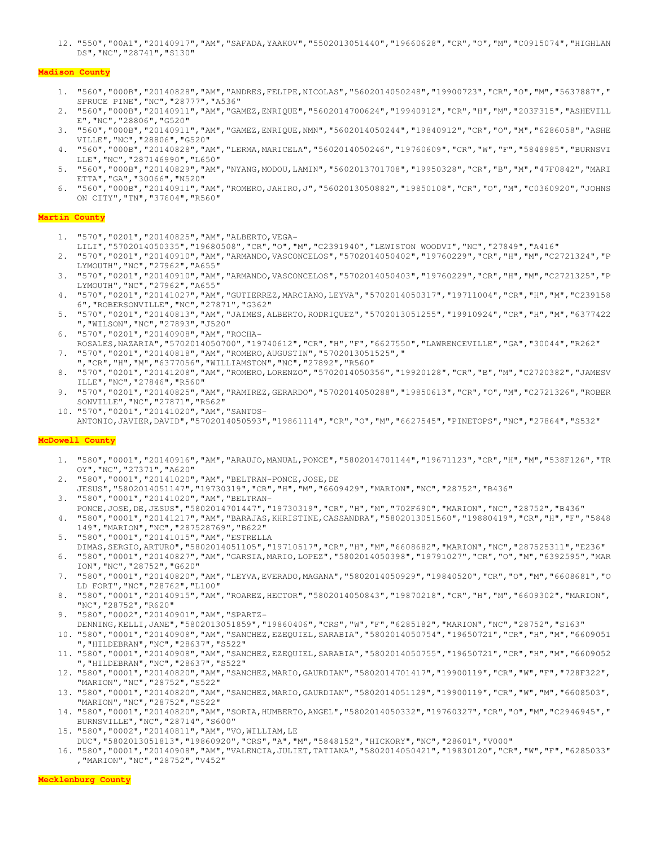12. "550","00A1","20140917","AM","SAFADA,YAAKOV","5502013051440","19660628","CR","O","M","C0915074","HIGHLAN DS","NC","28741","S130"

# **Madison County**

- 1. "560","000B","20140828","AM","ANDRES,FELIPE,NICOLAS","5602014050248","19900723","CR","O","M","5637887"," SPRUCE PINE","NC","28777","A536"
- 2. "560","000B","20140911","AM","GAMEZ,ENRIQUE","5602014700624","19940912","CR","H","M","203F315","ASHEVILL E","NC","28806","G520"
- 3. "560","000B","20140911","AM","GAMEZ,ENRIQUE,NMN","5602014050244","19840912","CR","O","M","6286058","ASHE VILLE","NC","28806","G520"
- 4. "560","000B","20140828","AM","LERMA,MARICELA","5602014050246","19760609","CR","W","F","5848985","BURNSVI LLE","NC","287146990","L650"
- 5. "560","000B","20140829","AM","NYANG,MODOU,LAMIN","5602013701708","19950328","CR","B","M","47F0842","MARI ETTA","GA","30066","N520"
- 6. "560","000B","20140911","AM","ROMERO,JAHIRO,J","5602013050882","19850108","CR","O","M","C0360920","JOHNS ON CITY","TN","37604","R560"

#### **Martin County**

- 1. "570","0201","20140825","AM","ALBERTO,VEGA-
- LILI","5702014050335","19680508","CR","O","M","C2391940","LEWISTON WOODVI","NC","27849","A416"
- 2. "570","0201","20140910","AM","ARMANDO,VASCONCELOS","5702014050402","19760229","CR","H","M","C2721324","P LYMOUTH","NC","27962","A655"
- 3. "570","0201","20140910","AM","ARMANDO,VASCONCELOS","5702014050403","19760229","CR","H","M","C2721325","P LYMOUTH","NC","27962","A655"
- 4. "570","0201","20141027","AM","GUTIERREZ,MARCIANO,LEYVA","5702014050317","19711004","CR","H","M","C239158 6","ROBERSONVILLE","NC","27871","G362"
- 5. "570","0201","20140813","AM","JAIMES,ALBERTO,RODRIQUEZ","5702013051255","19910924","CR","H","M","6377422 ","WILSON","NC","27893","J520"
- 6. "570","0201","20140908","AM","ROCHA-ROSALES,NAZARIA","5702014050700","19740612","CR","H","F","6627550","LAWRENCEVILLE","GA","30044","R262"
- 7. "570","0201","20140818","AM","ROMERO,AUGUSTIN","5702013051525","
- ","CR","H","M","6377056","WILLIAMSTON","NC","27892","R560"
- 8. "570","0201","20141208","AM","ROMERO,LORENZO","5702014050356","19920128","CR","B","M","C2720382","JAMESV ILLE","NC","27846","R560"
- 9. "570","0201","20140825","AM","RAMIREZ,GERARDO","5702014050288","19850613","CR","O","M","C2721326","ROBER SONVILLE","NC","27871","R562"
- 10. "570","0201","20141020","AM","SANTOS-ANTONIO,JAVIER,DAVID","5702014050593","19861114","CR","O","M","6627545","PINETOPS","NC","27864","S532"

## **McDowell County**

- 1. "580","0001","20140916","AM","ARAUJO,MANUAL,PONCE","5802014701144","19671123","CR","H","M","538F126","TR OY","NC","27371","A620"
- 2. "580","0001","20141020","AM","BELTRAN-PONCE,JOSE,DE
- JESUS","5802014051147","19730319","CR","H","M","6609429","MARION","NC","28752","B436"
- 3. "580","0001","20141020","AM","BELTRAN-
- PONCE,JOSE,DE,JESUS","5802014701447","19730319","CR","H","M","702F690","MARION","NC","28752","B436"
- 4. "580","0001","20141217","AM","BARAJAS,KHRISTINE,CASSANDRA","5802013051560","19880419","CR","H","F","5848 149","MARION","NC","287528769","B622"
- 5. "580","0001","20141015","AM","ESTRELLA
- DIMAS,SERGIO,ARTURO","5802014051105","19710517","CR","H","M","6608682","MARION","NC","287525311","E236"
- 6. "580","0001","20140827","AM","GARSIA,MARIO,LOPEZ","5802014050398","19791027","CR","O","M","6392595","MAR ION","NC","28752","G620"
- 7. "580","0001","20140820","AM","LEYVA,EVERADO,MAGANA","5802014050929","19840520","CR","O","M","6608681","O LD FORT","NC","28762","L100"
- 8. "580","0001","20140915","AM","ROAREZ,HECTOR","5802014050843","19870218","CR","H","M","6609302","MARION", "NC","28752","R620"
- 9. "580","0002","20140901","AM","SPARTZ-
- DENNING,KELLI,JANE","5802013051859","19860406","CRS","W","F","6285182","MARION","NC","28752","S163"
- 10. "580","0001","20140908","AM","SANCHEZ,EZEQUIEL,SARABIA","5802014050754","19650721","CR","H","M","6609051 ","HILDEBRAN","NC","28637","S522"
- 11. "580","0001","20140908","AM","SANCHEZ,EZEQUIEL,SARABIA","5802014050755","19650721","CR","H","M","6609052 ","HILDEBRAN","NC","28637","S522"
- 12. "580","0001","20140820","AM","SANCHEZ,MARIO,GAURDIAN","5802014701417","19900119","CR","W","F","728F322", "MARION","NC","28752","S522"
- 13. "580","0001","20140820","AM","SANCHEZ,MARIO,GAURDIAN","5802014051129","19900119","CR","W","M","6608503", "MARION","NC","28752","S522"
- 14. "580","0001","20140820","AM","SORIA,HUMBERTO,ANGEL","5802014050332","19760327","CR","O","M","C2946945"," BURNSVILLE","NC","28714","S600"
- 15. "580","0002","20140811","AM","VO,WILLIAM,LE
- DUC","5802013051813","19860920","CRS","A","M","5848152","HICKORY","NC","28601","V000"
- 16. "580","0001","20140908","AM","VALENCIA,JULIET,TATIANA","5802014050421","19830120","CR","W","F","6285033" ,"MARION","NC","28752","V452"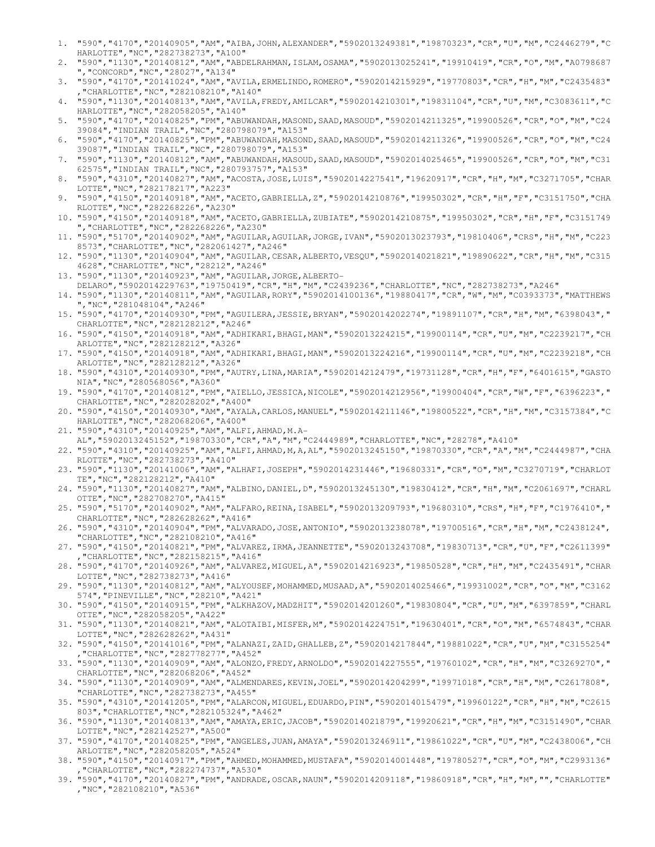- 1. "590","4170","20140905","AM","AIBA,JOHN,ALEXANDER","5902013249381","19870323","CR","U","M","C2446279","C HARLOTTE","NC","282738273","A100"
- 2. "590","1130","20140812","AM","ABDELRAHMAN,ISLAM,OSAMA","5902013025241","19910419","CR","O","M","A0798687 ","CONCORD","NC","28027","A134"
- 3. "590","4170","20141024","AM","AVILA,ERMELINDO,ROMERO","5902014215929","19770803","CR","H","M","C2435483" ,"CHARLOTTE","NC","282108210","A140"
- 4. "590","1130","20140813","AM","AVILA,FREDY,AMILCAR","5902014210301","19831104","CR","U","M","C3083611","C HARLOTTE","NC","282058205","A140"
- 5. "590","4170","20140825","PM","ABUWANDAH,MASOND,SAAD,MASOUD","5902014211325","19900526","CR","O","M","C24 39084","INDIAN TRAIL","NC","280798079","A153"
- 6. "590","4170","20140825","PM","ABUWANDAH,MASOND,SAAD,MASOUD","5902014211326","19900526","CR","O","M","C24 39087","INDIAN TRAIL","NC","280798079","A153"
- 7. "590","1130","20140812","AM","ABUWANDAH,MASOUD,SAAD,MASOUD","5902014025465","19900526","CR","O","M","C31 62575","INDIAN TRAIL","NC","280793757","A153"
- 8. "590","4310","20140827","AM","ACOSTA,JOSE,LUIS","5902014227541","19620917","CR","H","M","C3271705","CHAR LOTTE","NC","282178217","A223"
- 9. "590","4150","20140918","AM","ACETO,GABRIELLA,Z","5902014210876","19950302","CR","H","F","C3151750","CHA RLOTTE","NC","282268226","A230"
- 10. "590","4150","20140918","AM","ACETO,GABRIELLA,ZUBIATE","5902014210875","19950302","CR","H","F","C3151749 ","CHARLOTTE","NC","282268226","A230"
- 11. "590","5170","20140902","AM","AGUILAR,AGUILAR,JORGE,IVAN","5902013023793","19810406","CRS","H","M","C223 8573","CHARLOTTE","NC","282061427","A246"
- 12. "590","1130","20140904","AM","AGUILAR,CESAR,ALBERTO,VESQU","5902014021821","19890622","CR","H","M","C315 4628","CHARLOTTE","NC","28212","A246"
- 13. "590","1130","20140923","AM","AGUILAR,JORGE,ALBERTO-
- DELARO","5902014229763","19750419","CR","H","M","C2439236","CHARLOTTE","NC","282738273","A246"
- 14. "590","1130","20140811","AM","AGUILAR,RORY","5902014100136","19880417","CR","W","M","C0393373","MATTHEWS ","NC","281048104","A246"
- 15. "590","4170","20140930","PM","AGUILERA,JESSIE,BRYAN","5902014202274","19891107","CR","H","M","6398043"," CHARLOTTE","NC","282128212","A246"
- 16. "590","4150","20140918","AM","ADHIKARI,BHAGI,MAN","5902013224215","19900114","CR","U","M","C2239217","CH ARLOTTE","NC","282128212","A326"
- 17. "590","4150","20140918","AM","ADHIKARI,BHAGI,MAN","5902013224216","19900114","CR","U","M","C2239218","CH ARLOTTE","NC","282128212","A326"
- 18. "590","4310","20140930","PM","AUTRY,LINA,MARIA","5902014212479","19731128","CR","H","F","6401615","GASTO NIA","NC","280568056","A360"
- 19. "590","4170","20140812","PM","AIELLO,JESSICA,NICOLE","5902014212956","19900404","CR","W","F","6396223"," CHARLOTTE","NC","282028202","A400"
- 20. "590","4150","20140930","AM","AYALA,CARLOS,MANUEL","5902014211146","19800522","CR","H","M","C3157384","C HARLOTTE","NC","282068206","A400"
- 21. "590","4310","20140925","AM","ALFI,AHMAD,M.A-
- AL","5902013245152","19870330","CR","A","M","C2444989","CHARLOTTE","NC","28278","A410"
- 22. "590","4310","20140925","AM","ALFI,AHMAD,M,A,AL","5902013245150","19870330","CR","A","M","C2444987","CHA RLOTTE","NC","282738273","A410"
- 23. "590","1130","20141006","AM","ALHAFI,JOSEPH","5902014231446","19680331","CR","O","M","C3270719","CHARLOT TE","NC","282128212","A410"
- 24. "590","1130","20140827","AM","ALBINO,DANIEL,D","5902013245130","19830412","CR","H","M","C2061697","CHARL OTTE","NC","282708270","A415"
- 25. "590","5170","20140902","AM","ALFARO,REINA,ISABEL","5902013209793","19680310","CRS","H","F","C1976410"," CHARLOTTE","NC","282628262","A416"
- 26. "590","4310","20140904","PM","ALVARADO,JOSE,ANTONIO","5902013238078","19700516","CR","H","M","C2438124", "CHARLOTTE","NC","282108210","A416"
- 27. "590","4150","20140821","PM","ALVAREZ,IRMA,JEANNETTE","5902013243708","19830713","CR","U","F","C2611399" ,"CHARLOTTE","NC","282158215","A416"
- 28. "590","4170","20140926","AM","ALVAREZ,MIGUEL,A","5902014216923","19850528","CR","H","M","C2435491","CHAR LOTTE","NC","282738273","A416"
- 29. "590","1130","20140812","AM","ALYOUSEF,MOHAMMED,MUSAAD,A","5902014025466","19931002","CR","O","M","C3162 574","PINEVILLE","NC","28210","A421"
- 30. "590","4150","20140915","PM","ALKHAZOV,MADZHIT","5902014201260","19830804","CR","U","M","6397859","CHARL OTTE","NC","282058205","A422"
- 31. "590","1130","20140821","AM","ALOTAIBI,MISFER,M","5902014224751","19630401","CR","O","M","6574843","CHAR LOTTE","NC","282628262","A431"
- 32. "590","4150","20141016","PM","ALANAZI,ZAID,GHALLEB,Z","5902014217844","19881022","CR","U","M","C3155254" ,"CHARLOTTE","NC","282778277","A452"
- 33. "590","1130","20140909","AM","ALONZO,FREDY,ARNOLDO","5902014227555","19760102","CR","H","M","C3269270"," CHARLOTTE","NC","282068206","A452"
- 34. "590","1130","20140909","AM","ALMENDARES,KEVIN,JOEL","5902014204299","19971018","CR","H","M","C2617808", "CHARLOTTE","NC","282738273","A455"
- 35. "590","4310","20141205","PM","ALARCON,MIGUEL,EDUARDO,PIN","5902014015479","19960122","CR","H","M","C2615 803","CHARLOTTE","NC","282105324","A462"
- 36. "590","1130","20140813","AM","AMAYA,ERIC,JACOB","5902014021879","19920621","CR","H","M","C3151490","CHAR LOTTE","NC","282142527","A500"
- 37. "590","4170","20140825","PM","ANGELES,JUAN,AMAYA","5902013246911","19861022","CR","U","M","C2438006","CH ARLOTTE","NC","282058205","A524"
- 38. "590","4150","20140917","PM","AHMED,MOHAMMED,MUSTAFA","5902014001448","19780527","CR","O","M","C2993136" ,"CHARLOTTE","NC","282274737","A530"
- 39. "590","4170","20140827","PM","ANDRADE,OSCAR,NAUN","5902014209118","19860918","CR","H","M","","CHARLOTTE" ,"NC","282108210","A536"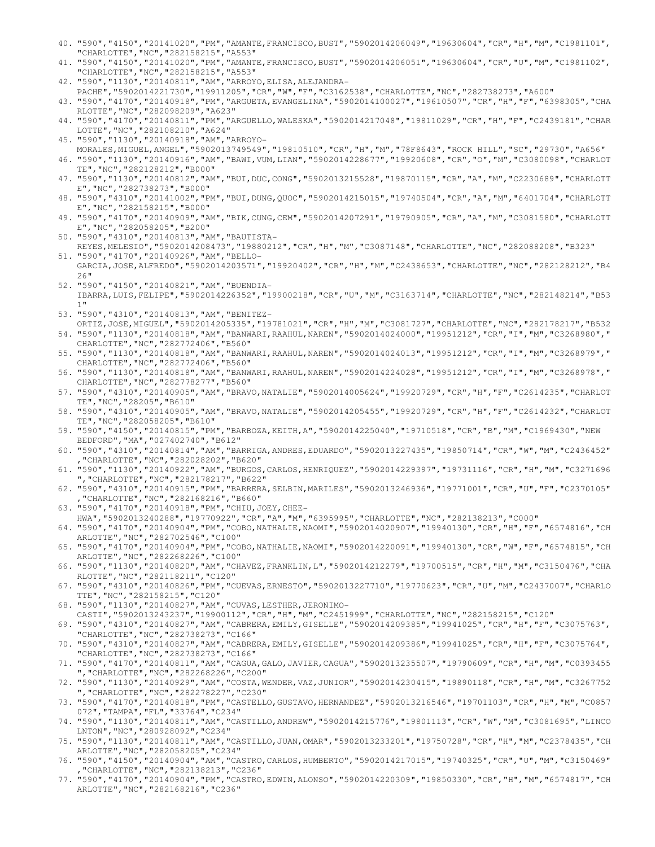- 40. "590","4150","20141020","PM","AMANTE,FRANCISCO,BUST","5902014206049","19630604","CR","H","M","C1981101", "CHARLOTTE","NC","282158215","A553"
- 41. "590","4150","20141020","PM","AMANTE,FRANCISCO,BUST","5902014206051","19630604","CR","U","M","C1981102", "CHARLOTTE","NC","282158215","A553"
- 42. "590","1130","20140811","AM","ARROYO,ELISA,ALEJANDRA-
- PACHE","5902014221730","19911205","CR","W","F","C3162538","CHARLOTTE","NC","282738273","A600"
- 43. "590","4170","20140918","PM","ARGUETA,EVANGELINA","5902014100027","19610507","CR","H","F","6398305","CHA RLOTTE","NC","282098209","A623"
- 44. "590","4170","20140811","PM","ARGUELLO,WALESKA","5902014217048","19811029","CR","H","F","C2439181","CHAR LOTTE","NC","282108210","A624"
- 45. "590","1130","20140918","AM","ARROYO-
- MORALES,MIGUEL,ANGEL","5902013749549","19810510","CR","H","M","78F8643","ROCK HILL","SC","29730","A656" 46. "590","1130","20140916","AM","BAWI,VUM,LIAN","5902014228677","19920608","CR","O","M","C3080098","CHARLOT TE","NC","282128212","B000"
- 47. "590","1130","20140812","AM","BUI,DUC,CONG","5902013215528","19870115","CR","A","M","C2230689","CHARLOTT E","NC","282738273","B000"
- 48. "590","4310","20141002","PM","BUI,DUNG,QUOC","5902014215015","19740504","CR","A","M","6401704","CHARLOTT E","NC","282158215","B000"
- 49. "590","4170","20140909","AM","BIK,CUNG,CEM","5902014207291","19790905","CR","A","M","C3081580","CHARLOTT E","NC","282058205","B200"
- 50. "590","4310","20140813","AM","BAUTISTA-
- REYES,MELESIO","5902014208473","19880212","CR","H","M","C3087148","CHARLOTTE","NC","282088208","B323" 51. "590","4170","20140926","AM","BELLO-
- GARCIA,JOSE,ALFREDO","5902014203571","19920402","CR","H","M","C2438653","CHARLOTTE","NC","282128212","B4 26"
- 52. "590","4150","20140821","AM","BUENDIA-IBARRA,LUIS,FELIPE","5902014226352","19900218","CR","U","M","C3163714","CHARLOTTE","NC","282148214","B53 1"
- 53. "590","4310","20140813","AM","BENITEZ-
- ORTIZ,JOSE,MIGUEL","5902014205335","19781021","CR","H","M","C3081727","CHARLOTTE","NC","282178217","B532 54. "590","1130","20140818","AM","BANWARI,RAAHUL,NAREN","5902014024000","19951212","CR","I","M","C3268980"," CHARLOTTE","NC","282772406","B560"
- 55. "590","1130","20140818","AM","BANWARI,RAAHUL,NAREN","5902014024013","19951212","CR","I","M","C3268979"," CHARLOTTE","NC","282772406","B560"
- 56. "590","1130","20140818","AM","BANWARI,RAAHUL,NAREN","5902014224028","19951212","CR","I","M","C3268978"," CHARLOTTE","NC","282778277","B560"
- 57. "590","4310","20140905","AM","BRAVO,NATALIE","5902014005624","19920729","CR","H","F","C2614235","CHARLOT TE","NC","28205","B610"
- 58. "590","4310","20140905","AM","BRAVO,NATALIE","5902014205455","19920729","CR","H","F","C2614232","CHARLOT TE","NC","282058205","B610"
- 59. "590","4150","20140815","PM","BARBOZA,KEITH,A","5902014225040","19710518","CR","B","M","C1969430","NEW BEDFORD","MA","027402740","B612"
- 60. "590","4310","20140814","AM","BARRIGA,ANDRES,EDUARDO","5902013227435","19850714","CR","W","M","C2436452" ,"CHARLOTTE","NC","282028202","B620"
- 61. "590","1130","20140922","AM","BURGOS,CARLOS,HENRIQUEZ","5902014229397","19731116","CR","H","M","C3271696 ","CHARLOTTE","NC","282178217","B622"
- 62. "590","4310","20140915","PM","BARRERA,SELBIN,MARILES","5902013246936","19771001","CR","U","F","C2370105" ,"CHARLOTTE","NC","282168216","B660"
- 63. "590","4170","20140918","PM","CHIU,JOEY,CHEE-
- HWA","5902013240288","19770922","CR","A","M","6395995","CHARLOTTE","NC","282138213","C000"
- 64. "590","4170","20140904","PM","COBO,NATHALIE,NAOMI","5902014020907","19940130","CR","H","F","6574816","CH ARLOTTE","NC","282702546","C100"
- 65. "590","4170","20140904","PM","COBO,NATHALIE,NAOMI","5902014220091","19940130","CR","W","F","6574815","CH ARLOTTE","NC","282268226","C100"
- 66. "590","1130","20140820","AM","CHAVEZ,FRANKLIN,L","5902014212279","19700515","CR","H","M","C3150476","CHA RLOTTE","NC","282118211","C120"
- 67. "590","4310","20140826","PM","CUEVAS,ERNESTO","5902013227710","19770623","CR","U","M","C2437007","CHARLO TTE","NC","282158215","C120"
- 68. "590","1130","20140827","AM","CUVAS,LESTHER,JERONIMO-
- CASTI","5902013243237","19900112","CR","H","M","C2451999","CHARLOTTE","NC","282158215","C120"
- 69. "590","4310","20140827","AM","CABRERA,EMILY,GISELLE","5902014209385","19941025","CR","H","F","C3075763", "CHARLOTTE","NC","282738273","C166"
- 70. "590","4310","20140827","AM","CABRERA,EMILY,GISELLE","5902014209386","19941025","CR","H","F","C3075764", "CHARLOTTE","NC","282738273","C166"
- 71. "590","4170","20140811","AM","CAGUA,GALO,JAVIER,CAGUA","5902013235507","19790609","CR","H","M","C0393455 ","CHARLOTTE","NC","282268226","C200"
- 72. "590","1130","20140929","AM","COSTA,WENDER,VAZ,JUNIOR","5902014230415","19890118","CR","H","M","C3267752 ","CHARLOTTE","NC","282278227","C230"
- 73. "590","4170","20140818","PM","CASTELLO,GUSTAVO,HERNANDEZ","5902013216546","19701103","CR","H","M","C0857 072","TAMPA","FL","33764","C234"
- 74. "590","1130","20140811","AM","CASTILLO,ANDREW","5902014215776","19801113","CR","W","M","C3081695","LINCO LNTON","NC","280928092","C234"
- 75. "590","1130","20140811","AM","CASTILLO,JUAN,OMAR","5902013233201","19750728","CR","H","M","C2378435","CH ARLOTTE","NC","282058205","C234"
- 76. "590","4150","20140904","AM","CASTRO,CARLOS,HUMBERTO","5902014217015","19740325","CR","U","M","C3150469" ,"CHARLOTTE","NC","282138213","C236"
- 77. "590","4170","20140904","PM","CASTRO,EDWIN,ALONSO","5902014220309","19850330","CR","H","M","6574817","CH ARLOTTE","NC","282168216","C236"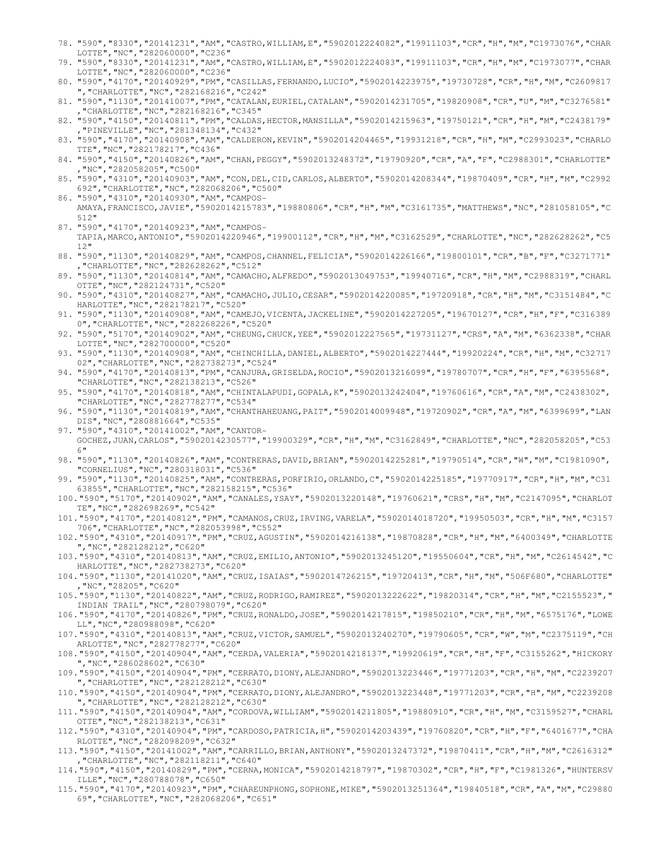- 78. "590","8330","20141231","AM","CASTRO,WILLIAM,E","5902012224082","19911103","CR","H","M","C1973076","CHAR LOTTE","NC","282060000","C236"
- 79. "590","8330","20141231","AM","CASTRO,WILLIAM,E","5902012224083","19911103","CR","H","M","C1973077","CHAR LOTTE","NC","282060000","C236"
- 80. "590","4170","20140929","PM","CASILLAS,FERNANDO,LUCIO","5902014223975","19730728","CR","H","M","C2609817 ","CHARLOTTE","NC","282168216","C242"
- 81. "590","1130","20141007","PM","CATALAN,EURIEL,CATALAN","5902014231705","19820908","CR","U","M","C3276581" ,"CHARLOTTE","NC","282168216","C345"
- 82. "590","4150","20140811","PM","CALDAS,HECTOR,MANSILLA","5902014215963","19750121","CR","H","M","C2438179" ,"PINEVILLE","NC","281348134","C432"
- 83. "590","4170","20140908","AM","CALDERON,KEVIN","5902014204465","19931218","CR","H","M","C2993023","CHARLO TTE","NC","282178217","C436"
- 84. "590","4150","20140826","AM","CHAN,PEGGY","5902013248372","19790920","CR","A","F","C2988301","CHARLOTTE" ,"NC","282058205","C500"
- 85. "590","4310","20140903","AM","CON,DEL,CID,CARLOS,ALBERTO","5902014208344","19870409","CR","H","M","C2992 692","CHARLOTTE","NC","282068206","C500"
- 86. "590","4310","20140930","AM","CAMPOS-AMAYA,FRANCISCO,JAVIE","5902014215783","19880806","CR","H","M","C3161735","MATTHEWS","NC","281058105","C 512"
- 87. "590","4170","20140923","AM","CAMPOS-TAPIA,MARCO,ANTONIO","5902014220946","19900112","CR","H","M","C3162529","CHARLOTTE","NC","282628262","C5 12"
- 88. "590","1130","20140829","AM","CAMPOS,CHANNEL,FELICIA","5902014226166","19800101","CR","B","F","C3271771" ,"CHARLOTTE","NC","282628262","C512"
- 89. "590","1130","20140814","AM","CAMACHO,ALFREDO","5902013049753","19940716","CR","H","M","C2988319","CHARL OTTE","NC","282124731","C520"
- 90. "590","4310","20140827","AM","CAMACHO,JULIO,CESAR","5902014220085","19720918","CR","H","M","C3151484","C HARLOTTE","NC","282178217","C520"
- 91. "590","1130","20140908","AM","CAMEJO,VICENTA,JACKELINE","5902014227205","19670127","CR","H","F","C316389 0","CHARLOTTE","NC","282268226","C520"
- 92. "590","5170","20140902","AM","CHEUNG,CHUCK,YEE","5902012227565","19731127","CRS","A","M","6362338","CHAR LOTTE","NC","282700000","C520"
- 93. "590","1130","20140908","AM","CHINCHILLA,DANIEL,ALBERTO","5902014227444","19920224","CR","H","M","C32717 02","CHARLOTTE","NC","282738273","C524"
- 94. "590","4170","20140813","PM","CANJURA,GRISELDA,ROCIO","5902013216099","19780707","CR","H","F","6395568", "CHARLOTTE","NC","282138213","C526"
- 95. "590","4170","20140818","AM","CHINTALAPUDI,GOPALA,K","5902013242404","19760616","CR","A","M","C2438302", "CHARLOTTE","NC","282778277","C534"
- 96. "590","1130","20140819","AM","CHANTHAHEUANG,PAIT","5902014009948","19720902","CR","A","M","6399699","LAN DIS","NC","280881664","C535"
- 97. "590", "4310", "20141002", "AM", "CANTOR-GOCHEZ,JUAN,CARLOS","5902014230577","19900329","CR","H","M","C3162849","CHARLOTTE","NC","282058205","C53  $6"$
- 98. "590","1130","20140826","AM","CONTRERAS,DAVID,BRIAN","5902014225281","19790514","CR","W","M","C1981090", "CORNELIUS","NC","280318031","C536"
- 99. "590","1130","20140825","AM","CONTRERAS,PORFIRIO,ORLANDO,C","5902014225185","19770917","CR","H","M","C31 63855","CHARLOTTE","NC","282158215","C536"
- 100."590","5170","20140902","AM","CANALES,YSAY","5902013220148","19760621","CRS","H","M","C2147095","CHARLOT TE","NC","282698269","C542"
- 101."590","4170","20140812","PM","CAMANOS,CRUZ,IRVING,VARELA","5902014018720","19950503","CR","H","M","C3157 706","CHARLOTTE","NC","282053998","C552"
- 102."590","4310","20140917","PM","CRUZ,AGUSTIN","5902014216138","19870828","CR","H","M","6400349","CHARLOTTE ","NC","282128212","C620"
- 103."590","4310","20140813","AM","CRUZ,EMILIO,ANTONIO","5902013245120","19550604","CR","H","M","C2614542","C HARLOTTE","NC","282738273","C620"
- 104."590","1130","20141020","AM","CRUZ,ISAIAS","5902014726215","19720413","CR","H","M","506F680","CHARLOTTE" ,"NC","28205","C620"
- 105."590","1130","20140822","AM","CRUZ,RODRIGO,RAMIREZ","5902013222622","19820314","CR","H","M","C2155523"," INDIAN TRAIL","NC","280798079","C620"
- 106."590","4170","20140826","PM","CRUZ,RONALDO,JOSE","5902014217815","19850210","CR","H","M","6575176","LOWE LL","NC","280988098","C620"
- 107."590","4310","20140813","AM","CRUZ,VICTOR,SAMUEL","5902013240270","19790605","CR","W","M","C2375119","CH ARLOTTE","NC","282778277","C620"
- 108."590","4150","20140904","AM","CERDA,VALERIA","5902014218137","19920619","CR","H","F","C3155262","HICKORY ","NC","286028602","C630"
- 109."590","4150","20140904","PM","CERRATO,DIONY,ALEJANDRO","5902013223446","19771203","CR","H","M","C2239207 ","CHARLOTTE","NC","282128212","C630"
- 110."590","4150","20140904","PM","CERRATO,DIONY,ALEJANDRO","5902013223448","19771203","CR","H","M","C2239208 ","CHARLOTTE","NC","282128212","C630"
- 111."590","4150","20140904","AM","CORDOVA,WILLIAM","5902014211805","19880910","CR","H","M","C3159527","CHARL OTTE","NC","282138213","C631"
- 112."590","4310","20140904","PM","CARDOSO,PATRICIA,H","5902014203439","19760820","CR","H","F","6401677","CHA RLOTTE","NC","282098209","C632"
- 113."590","4150","20141002","AM","CARRILLO,BRIAN,ANTHONY","5902013247372","19870411","CR","H","M","C2616312" ,"CHARLOTTE","NC","282118211","C640"
- 114."590","4150","20140829","PM","CERNA,MONICA","5902014218797","19870302","CR","H","F","C1981326","HUNTERSV ILLE","NC","280788078","C650"
- 115."590","4170","20140923","PM","CHAREUNPHONG,SOPHONE,MIKE","5902013251364","19840518","CR","A","M","C29880 69","CHARLOTTE","NC","282068206","C651"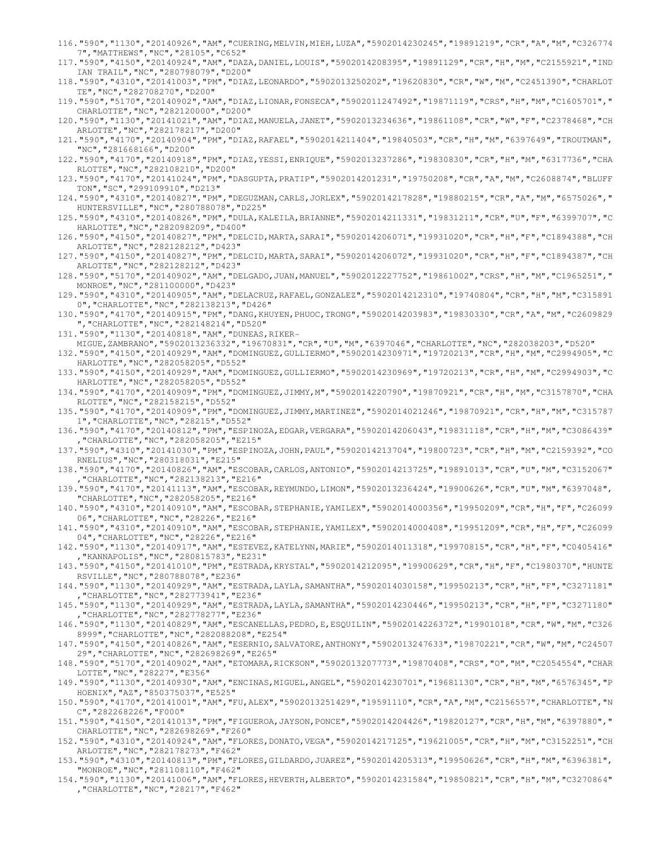- 116."590","1130","20140926","AM","CUERING,MELVIN,MIEH,LUZA","5902014230245","19891219","CR","A","M","C326774 7","MATTHEWS","NC","28105","C652"
- 117."590","4150","20140924","AM","DAZA,DANIEL,LOUIS","5902014208395","19891129","CR","H","M","C2155921","IND IAN TRAIL","NC","280798079","D200"
- 118."590","4310","20141003","PM","DIAZ,LEONARDO","5902013250202","19620830","CR","W","M","C2451390","CHARLOT TE","NC","282708270","D200"
- 119."590","5170","20140902","AM","DIAZ,LIONAR,FONSECA","5902011247492","19871119","CRS","H","M","C1605701"," CHARLOTTE","NC","282120000","D200"
- 120."590","1130","20141021","AM","DIAZ,MANUELA,JANET","5902013234636","19861108","CR","W","F","C2378468","CH ARLOTTE","NC","282178217","D200"
- 121."590","4170","20140904","PM","DIAZ,RAFAEL","5902014211404","19840503","CR","H","M","6397649","TROUTMAN", "NC","281668166","D200"
- 122."590","4170","20140918","PM","DIAZ,YESSI,ENRIQUE","5902013237286","19830830","CR","H","M","6317736","CHA RLOTTE","NC","282108210","D200"
- 123."590","4170","20141024","PM","DASGUPTA,PRATIP","5902014201231","19750208","CR","A","M","C2608874","BLUFF TON","SC","299109910","D213"
- 124."590","4310","20140827","PM","DEGUZMAN,CARLS,JORLEX","5902014217828","19880215","CR","A","M","6575026"," HUNTERSVILLE","NC","280788078","D225"
- 125."590","4310","20140826","PM","DULA,KALEILA,BRIANNE","5902014211331","19831211","CR","U","F","6399707","C HARLOTTE","NC","282098209","D400"
- 126."590","4150","20140827","PM","DELCID,MARTA,SARAI","5902014206071","19931020","CR","H","F","C1894388","CH ARLOTTE","NC","282128212","D423"
- 127."590","4150","20140827","PM","DELCID,MARTA,SARAI","5902014206072","19931020","CR","H","F","C1894387","CH ARLOTTE","NC","282128212","D423"
- 128."590","5170","20140902","AM","DELGADO,JUAN,MANUEL","5902012227752","19861002","CRS","H","M","C1965251"," MONROE","NC","281100000","D423"
- 129."590","4310","20140905","AM","DELACRUZ,RAFAEL,GONZALEZ","5902014212310","19740804","CR","H","M","C315891 0","CHARLOTTE","NC","282138213","D426"
- 130."590","4170","20140915","PM","DANG,KHUYEN,PHUOC,TRONG","5902014203983","19830330","CR","A","M","C2609829 ","CHARLOTTE","NC","282148214","D520"
- 131."590","1130","20140818","AM","DUNEAS,RIKER-
- MIGUE,ZAMBRANO","5902013236332","19670831","CR","U","M","6397046","CHARLOTTE","NC","282038203","D520" 132."590","4150","20140929","AM","DOMINGUEZ,GULLIERMO","5902014230971","19720213","CR","H","M","C2994905","C HARLOTTE","NC","282058205","D552"
- 133."590","4150","20140929","AM","DOMINGUEZ,GULLIERMO","5902014230969","19720213","CR","H","M","C2994903","C HARLOTTE","NC","282058205","D552"
- 134."590","4170","20140909","PM","DOMINGUEZ,JIMMY,M","5902014220790","19870921","CR","H","M","C3157870","CHA RLOTTE","NC","282158215","D552"
- 135."590","4170","20140909","PM","DOMINGUEZ,JIMMY,MARTINEZ","5902014021246","19870921","CR","H","M","C315787 1","CHARLOTTE","NC","28215","D552"
- 136."590","4170","20140812","PM","ESPINOZA,EDGAR,VERGARA","5902014206043","19831118","CR","H","M","C3086439" ,"CHARLOTTE","NC","282058205","E215"
- 137."590","4310","20141030","PM","ESPINOZA,JOHN,PAUL","5902014213704","19800723","CR","H","M","C2159392","CO RNELIUS","NC","280318031","E215"
- 138."590","4170","20140826","AM","ESCOBAR,CARLOS,ANTONIO","5902014213725","19891013","CR","U","M","C3152067" ,"CHARLOTTE","NC","282138213","E216"
- 139."590","4170","20141113","AM","ESCOBAR,REYMUNDO,LIMON","5902013236424","19900626","CR","U","M","6397048", "CHARLOTTE","NC","282058205","E216"
- 140."590","4310","20140910","AM","ESCOBAR,STEPHANIE,YAMILEX","5902014000356","19950209","CR","H","F","C26099 06","CHARLOTTE","NC","28226","E216"
- 141."590","4310","20140910","AM","ESCOBAR,STEPHANIE,YAMILEX","5902014000408","19951209","CR","H","F","C26099 04","CHARLOTTE","NC","28226","E216"
- 142."590","1130","20140917","AM","ESTEVEZ,KATELYNN,MARIE","5902014011318","19970815","CR","H","F","C0405416" ,"KANNAPOLIS","NC","280815783","E231"
- 143."590","4150","20141010","PM","ESTRADA,KRYSTAL","5902014212095","19900629","CR","H","F","C1980370","HUNTE RSVILLE","NC","280788078","E236"
- 144."590","1130","20140929","AM","ESTRADA,LAYLA,SAMANTHA","5902014030158","19950213","CR","H","F","C3271181" ,"CHARLOTTE","NC","282773941","E236"
- 145."590","1130","20140929","AM","ESTRADA,LAYLA,SAMANTHA","5902014230446","19950213","CR","H","F","C3271180" ,"CHARLOTTE","NC","282778277","E236"
- 146."590","1130","20140829","AM","ESCANELLAS,PEDRO,E,ESQUILIN","5902014226372","19901018","CR","W","M","C326 8999","CHARLOTTE","NC","282088208","E254"
- 147."590","4150","20140826","AM","ESERNIO,SALVATORE,ANTHONY","5902013247633","19870221","CR","W","M","C24507 29","CHARLOTTE","NC","282698269","E265"
- 148."590","5170","20140902","AM","ETOMARA,RICKSON","5902013207773","19870408","CRS","O","M","C2054554","CHAR LOTTE","NC","28227","E356"
- 149."590","1130","20140930","AM","ENCINAS,MIGUEL,ANGEL","5902014230701","19681130","CR","H","M","6576345","P HOENIX","AZ","850375037","E525"
- 150."590","4170","20141001","AM","FU,ALEX","5902013251429","19591110","CR","A","M","C2156557","CHARLOTTE","N C","282268226","F000"
- 151."590","4150","20141013","PM","FIGUEROA,JAYSON,PONCE","5902014204426","19820127","CR","H","M","6397880"," CHARLOTTE","NC","282698269","F260"
- 152."590","4310","20140924","AM","FLORES,DONATO,VEGA","5902014217125","19621005","CR","H","M","C3152251","CH ARLOTTE","NC","282178273","F462"
- 153."590","4310","20140813","PM","FLORES,GILDARDO,JUAREZ","5902014205313","19950626","CR","H","M","6396381", "MONROE","NC","281108110","F462"
- 154."590","1130","20141006","AM","FLORES,HEVERTH,ALBERTO","5902014231584","19850821","CR","H","M","C3270864" ,"CHARLOTTE","NC","28217","F462"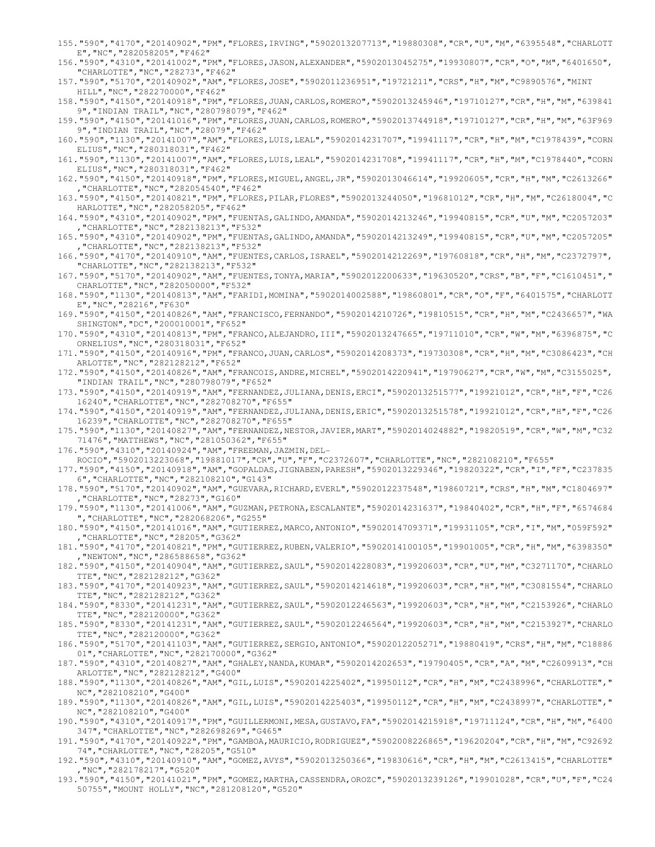- 155."590","4170","20140902","PM","FLORES,IRVING","5902013207713","19880308","CR","U","M","6395548","CHARLOTT E","NC","282058205","F462"
- 156."590","4310","20141002","PM","FLORES,JASON,ALEXANDER","5902013045275","19930807","CR","O","M","6401650", "CHARLOTTE","NC","28273","F462"
- 157."590","5170","20140902","AM","FLORES,JOSE","5902011236951","19721211","CRS","H","M","C9890576","MINT HILL","NC","282270000","F462"
- 158."590","4150","20140918","PM","FLORES,JUAN,CARLOS,ROMERO","5902013245946","19710127","CR","H","M","639841 9","INDIAN TRAIL","NC","280798079","F462"
- 159."590","4150","20141016","PM","FLORES,JUAN,CARLOS,ROMERO","5902013744918","19710127","CR","H","M","63F969 9","INDIAN TRAIL","NC","28079","F462"
- 160."590","1130","20141007","AM","FLORES,LUIS,LEAL","5902014231707","19941117","CR","H","M","C1978439","CORN ELIUS","NC","280318031","F462"
- 161."590","1130","20141007","AM","FLORES,LUIS,LEAL","5902014231708","19941117","CR","H","M","C1978440","CORN ELIUS","NC","280318031","F462"
- 162."590","4150","20140918","PM","FLORES,MIGUEL,ANGEL,JR","5902013046614","19920605","CR","H","M","C2613266" ,"CHARLOTTE","NC","282054540","F462"
- 163."590","4150","20140821","PM","FLORES,PILAR,FLORES","5902013244050","19681012","CR","H","M","C2618004","C HARLOTTE","NC","282058205","F462"
- 164."590","4310","20140902","PM","FUENTAS,GALINDO,AMANDA","5902014213246","19940815","CR","U","M","C2057203" ,"CHARLOTTE","NC","282138213","F532"
- 165."590","4310","20140902","PM","FUENTAS,GALINDO,AMANDA","5902014213249","19940815","CR","U","M","C2057205" ,"CHARLOTTE","NC","282138213","F532"
- 166."590","4170","20140910","AM","FUENTES,CARLOS,ISRAEL","5902014212269","19760818","CR","H","M","C2372797", "CHARLOTTE","NC","282138213","F532"
- 167."590","5170","20140902","AM","FUENTES,TONYA,MARIA","5902012200633","19630520","CRS","B","F","C1610451"," CHARLOTTE","NC","282050000","F532"
- 168."590","1130","20140813","AM","FARIDI,MOMINA","5902014002588","19860801","CR","O","F","6401575","CHARLOTT E","NC","28216","F630"
- 169."590","4150","20140826","AM","FRANCISCO,FERNANDO","5902014210726","19810515","CR","H","M","C2436657","WA SHINGTON","DC","200010001","F652"
- 170."590","4310","20140813","PM","FRANCO,ALEJANDRO,III","5902013247665","19711010","CR","W","M","6396875","C ORNELIUS","NC","280318031","F652"
- 171."590","4150","20140916","PM","FRANCO,JUAN,CARLOS","5902014208373","19730308","CR","H","M","C3086423","CH ARLOTTE","NC","282128212","F652"
- 172."590","4150","20140826","AM","FRANCOIS,ANDRE,MICHEL","5902014220941","19790627","CR","W","M","C3155025", "INDIAN TRAIL","NC","280798079","F652"
- 173."590","4150","20140919","AM","FERNANDEZ,JULIANA,DENIS,ERCI","5902013251577","19921012","CR","H","F","C26 16240","CHARLOTTE","NC","282708270","F655"
- 174."590","4150","20140919","AM","FERNANDEZ,JULIANA,DENIS,ERIC","5902013251578","19921012","CR","H","F","C26 16239","CHARLOTTE","NC","282708270","F655"
- 175."590","1130","20140827","AM","FERNANDEZ,NESTOR,JAVIER,MART","5902014024882","19820519","CR","W","M","C32 71476","MATTHEWS","NC","281050362","F655"
- 176."590","4310","20140924","AM","FREEMAN,JAZMIN,DEL-

ROCIO","5902013223068","19881017","CR","U","F","C2372607","CHARLOTTE","NC","282108210","F655"

- 177."590","4150","20140918","AM","GOPALDAS,JIGNABEN,PARESH","5902013229346","19820322","CR","I","F","C237835 6","CHARLOTTE","NC","282108210","G143"
- 178."590","5170","20140902","AM","GUEVARA,RICHARD,EVERL","5902012237548","19860721","CRS","H","M","C1804697" ,"CHARLOTTE","NC","28273","G160"
- 179."590","1130","20141006","AM","GUZMAN,PETRONA,ESCALANTE","5902014231637","19840402","CR","H","F","6574684 ","CHARLOTTE","NC","282068206","G255"
- 180."590","4150","20141016","AM","GUTIERREZ,MARCO,ANTONIO","5902014709371","19931105","CR","I","M","059F592" ,"CHARLOTTE","NC","28205","G362"
- 181."590","4170","20140821","PM","GUTIERREZ,RUBEN,VALERIO","5902014100105","19901005","CR","H","M","6398350" ,"NEWTON","NC","286588658","G362"
- 182."590","4150","20140904","AM","GUTIERREZ,SAUL","5902014228083","19920603","CR","U","M","C3271170","CHARLO TTE","NC","282128212","G362"
- 183."590","4170","20140923","AM","GUTIERREZ,SAUL","5902014214618","19920603","CR","H","M","C3081554","CHARLO TTE","NC","282128212","G362"
- 184."590","8330","20141231","AM","GUTIERREZ,SAUL","5902012246563","19920603","CR","H","M","C2153926","CHARLO TTE","NC","282120000","G362"
- 185."590","8330","20141231","AM","GUTIERREZ,SAUL","5902012246564","19920603","CR","H","M","C2153927","CHARLO TTE","NC","282120000","G362"
- 186."590","5170","20141103","AM","GUTIERREZ,SERGIO,ANTONIO","5902012205271","19880419","CRS","H","M","C18886 01","CHARLOTTE","NC","282170000","G362"
- 187."590","4310","20140827","AM","GHALEY,NANDA,KUMAR","5902014202653","19790405","CR","A","M","C2609913","CH ARLOTTE","NC","282128212","G400"
- 188."590","1130","20140826","AM","GIL,LUIS","5902014225402","19950112","CR","H","M","C2438996","CHARLOTTE"," NC","282108210","G400"
- 189."590","1130","20140826","AM","GIL,LUIS","5902014225403","19950112","CR","H","M","C2438997","CHARLOTTE"," NC","282108210","G400"
- 190."590","4310","20140917","PM","GUILLERMONI,MESA,GUSTAVO,FA","5902014215918","19711124","CR","H","M","6400 347","CHARLOTTE","NC","282698269","G465"
- 191."590","4170","20140922","PM","GAMBOA,MAURICIO,RODRIGUEZ","5902008226865","19620204","CR","H","M","C92692 74","CHARLOTTE","NC","28205","G510"
- 192."590","4310","20140910","AM","GOMEZ,AVYS","5902013250366","19830616","CR","H","M","C2613415","CHARLOTTE" ,"NC","282178217","G520"
- 193."590","4150","20141021","PM","GOMEZ,MARTHA,CASSENDRA,OROZC","5902013239126","19901028","CR","U","F","C24 50755","MOUNT HOLLY","NC","281208120","G520"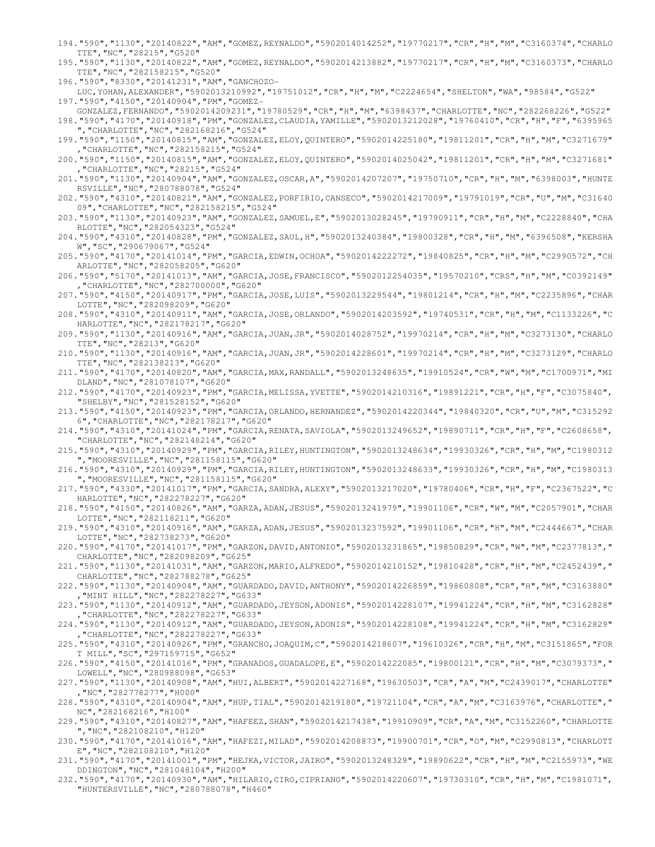- 194."590","1130","20140822","AM","GOMEZ,REYNALDO","5902014014252","19770217","CR","H","M","C3160374","CHARLO TTE","NC","28215","G520"
- 195."590","1130","20140822","AM","GOMEZ,REYNALDO","5902014213882","19770217","CR","H","M","C3160373","CHARLO TTE","NC","282158215","G520"
- 196."590","8330","20141231","AM","GANCHOZO-
- LUC,YOHAN,ALEXANDER","5902013210992","19751012","CR","H","M","C2224654","SHELTON","WA","98584","G522" 197."590","4150","20140904","PM","GOMEZ-
- GONZALEZ,FERNANDO","5902014209231","19780529","CR","H","M","6398437","CHARLOTTE","NC","282268226","G522" 198."590","4170","20140918","PM","GONZALEZ,CLAUDIA,YAMILLE","5902013212028","19760410","CR","H","F","6395965
- ","CHARLOTTE","NC","282168216","G524" 199."590","1150","20140815","AM","GONZALEZ,ELOY,QUINTERO","5902014225180","19811201","CR","H","M","C3271679" ,"CHARLOTTE","NC","282158215","G524"
- 200."590","1150","20140815","AM","GONZALEZ,ELOY,QUINTERO","5902014025042","19811201","CR","H","M","C3271681" ,"CHARLOTTE","NC","28215","G524"
- 201."590","1130","20140904","AM","GONZALEZ,OSCAR,A","5902014207207","19750710","CR","H","M","6398003","HUNTE RSVILLE","NC","280788078","G524"
- 202."590","4310","20140821","AM","GONZALEZ,PORFIRIO,CANSECO","5902014217009","19791019","CR","U","M","C31640 09","CHARLOTTE","NC","282158215","G524"
- 203."590","1130","20140923","AM","GONZALEZ,SAMUEL,E","5902013028245","19790911","CR","H","M","C2228840","CHA RLOTTE","NC","282054323","G524"
- 204."590","4310","20140828","PM","GONZALEZ,SAUL,H","5902013240384","19800328","CR","H","M","6396508","KERSHA W","SC","290679067","G524"
- 205."590","4170","20141014","PM","GARCIA,EDWIN,OCHOA","5902014222272","19840825","CR","H","M","C2990572","CH ARLOTTE","NC","282058205","G620"
- 206."590","5170","20141013","AM","GARCIA,JOSE,FRANCISCO","5902012254035","19570210","CRS","H","M","C0392149" ,"CHARLOTTE","NC","282700000","G620"
- 207."590","4150","20140917","PM","GARCIA,JOSE,LUIS","5902013229544","19801214","CR","H","M","C2235896","CHAR LOTTE","NC","282098209","G620"
- 208."590","4310","20140911","AM","GARCIA,JOSE,ORLANDO","5902014203592","19740531","CR","H","M","C1133226","C HARLOTTE","NC","282178217","G620"
- 209."590","1130","20140916","AM","GARCIA,JUAN,JR","5902014028752","19970214","CR","H","M","C3273130","CHARLO TTE","NC","28213","G620"
- 210."590","1130","20140916","AM","GARCIA,JUAN,JR","5902014228601","19970214","CR","H","M","C3273129","CHARLO TTE","NC","282138213","G620"
- 211."590","4170","20140820","AM","GARCIA,MAX,RANDALL","5902013248635","19910524","CR","W","M","C1700971","MI DLAND","NC","281078107","G620"
- 212."590","4170","20140923","PM","GARCIA,MELISSA,YVETTE","5902014210316","19891221","CR","H","F","C3075840", "SHELBY","NC","281528152","G620"
- 213."590","4150","20140923","PM","GARCIA,ORLANDO,HERNANDEZ","5902014220344","19840320","CR","U","M","C315292 6","CHARLOTTE","NC","282178217","G620"
- 214."590","4310","20141024","PM","GARCIA,RENATA,SAVIOLA","5902013249652","19890711","CR","H","F","C2608658", "CHARLOTTE","NC","282148214","G620"
- 215."590","4310","20140929","PM","GARCIA,RILEY,HUNTINGTON","5902013248634","19930326","CR","H","M","C1980312 ","MOORESVILLE","NC","281158115","G620"
- 216."590","4310","20140929","PM","GARCIA,RILEY,HUNTINGTON","5902013248633","19930326","CR","H","M","C1980313 ","MOORESVILLE","NC","281158115","G620"
- 217."590","4330","20141017","PM","GARCIA,SANDRA,ALEXY","5902013217020","19780406","CR","H","F","C2367522","C HARLOTTE","NC","282278227","G620"
- 218."590","4150","20140826","AM","GARZA,ADAN,JESUS","5902013241979","19901106","CR","W","M","C2057901","CHAR LOTTE","NC","282118211","G620"
- 219."590","4310","20140916","AM","GARZA,ADAN,JESUS","5902013237592","19901106","CR","H","M","C2444667","CHAR LOTTE","NC","282738273","G620"
- 220."590","4170","20141017","PM","GARZON,DAVID,ANTONIO","5902013231865","19850829","CR","W","M","C2377813"," CHARLOTTE","NC","282098209","G625"
- 221."590","1130","20141031","AM","GARZON,MARIO,ALFREDO","5902014210152","19810428","CR","H","M","C2452439"," CHARLOTTE","NC","282788278","G625"
- 222."590","1130","20140904","AM","GUARDADO,DAVID,ANTHONY","5902014226859","19860808","CR","H","M","C3163880" ,"MINT HILL","NC","282278227","G633"
- 223."590","1130","20140912","AM","GUARDADO,JEYSON,ADONIS","5902014228107","19941224","CR","H","M","C3162828" ,"CHARLOTTE","NC","282278227","G633"
- 224."590","1130","20140912","AM","GUARDADO,JEYSON,ADONIS","5902014228108","19941224","CR","H","M","C3162829" ,"CHARLOTTE","NC","282278227","G633"
- 225."590","4310","20140926","PM","GRANCHO,JOAQUIM,C","5902014218607","19610326","CR","H","M","C3151865","FOR T MILL","SC","297159715","G652"
- 226."590","4150","20141016","PM","GRANADOS,GUADALOPE,E","5902014222085","19800121","CR","H","M","C3079373"," LOWELL","NC","280988098","G653"
- 227."590","1130","20140908","AM","HUI,ALBERT","5902014227168","19630503","CR","A","M","C2439017","CHARLOTTE" ,"NC","282778277","H000"
- 228."590","4310","20140904","AM","HUP,TIAL","5902014219180","19721104","CR","A","M","C3163976","CHARLOTTE"," NC","282168216","H100"
- 229."590","4310","20140827","AM","HAFEEZ,SHAN","5902014217438","19910909","CR","A","M","C3152260","CHARLOTTE ","NC","282108210","H120"
- 230."590","4170","20141016","AM","HAFEZI,MILAD","5902014208873","19900701","CR","O","M","C2990813","CHARLOTT E","NC","282108210","H120"
- 231."590","4170","20141001","PM","HEJKA,VICTOR,JAIRO","5902013248329","19890622","CR","H","M","C2155973","WE DDINGTON","NC","281048104","H200"
- 232."590","4170","20140930","AM","HILARIO,CIRO,CIPRIANO","5902014220607","19730310","CR","H","M","C1981071", "HUNTERSVILLE","NC","280788078","H460"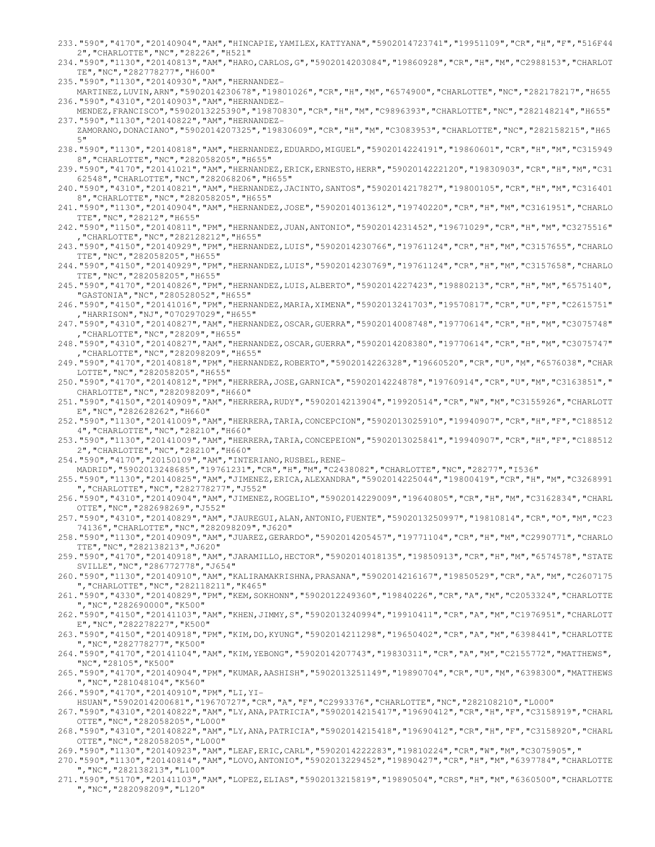- 233."590","4170","20140904","AM","HINCAPIE,YAMILEX,KATTYANA","5902014723741","19951109","CR","H","F","516F44 2","CHARLOTTE","NC","28226","H521"
- 234."590","1130","20140813","AM","HARO,CARLOS,G","5902014203084","19860928","CR","H","M","C2988153","CHARLOT TE","NC","282778277","H600"
- 235."590","1130","20140930","AM","HERNANDEZ-
- MARTINEZ,LUVIN,ARN","5902014230678","19801026","CR","H","M","6574900","CHARLOTTE","NC","282178217","H655 236."590","4310","20140903","AM","HERNANDEZ-
- MENDEZ,FRANCISCO","5902013225390","19870830","CR","H","M","C9896393","CHARLOTTE","NC","282148214","H655" 237."590","1130","20140822","AM","HERNANDEZ-
- ZAMORANO,DONACIANO","5902014207325","19830609","CR","H","M","C3083953","CHARLOTTE","NC","282158215","H65 5"
- 238."590","1130","20140818","AM","HERNANDEZ,EDUARDO,MIGUEL","5902014224191","19860601","CR","H","M","C315949 8","CHARLOTTE","NC","282058205","H655"
- 239."590","4170","20141021","AM","HERNANDEZ,ERICK,ERNESTO,HERR","5902014222120","19830903","CR","H","M","C31 62548","CHARLOTTE","NC","282068206","H655"
- 240."590","4310","20140821","AM","HERNANDEZ,JACINTO,SANTOS","5902014217827","19800105","CR","H","M","C316401 8","CHARLOTTE","NC","282058205","H655"
- 241."590","1130","20140904","AM","HERNANDEZ,JOSE","5902014013612","19740220","CR","H","M","C3161951","CHARLO TTE","NC","28212","H655"
- 242."590","1150","20140811","PM","HERNANDEZ,JUAN,ANTONIO","5902014231452","19671029","CR","H","M","C3275516" ,"CHARLOTTE","NC","282128212","H655"
- 243."590","4150","20140929","PM","HERNANDEZ,LUIS","5902014230766","19761124","CR","H","M","C3157655","CHARLO TTE","NC","282058205","H655"
- 244."590","4150","20140929","PM","HERNANDEZ,LUIS","5902014230769","19761124","CR","H","M","C3157658","CHARLO TTE","NC","282058205","H655"
- 245."590","4170","20140826","PM","HERNANDEZ,LUIS,ALBERTO","5902014227423","19880213","CR","H","M","6575140", "GASTONIA","NC","280528052","H655"
- 246."590","4150","20141016","PM","HERNANDEZ,MARIA,XIMENA","5902013241703","19570817","CR","U","F","C2615751" ,"HARRISON","NJ","070297029","H655"
- 247."590","4310","20140827","AM","HERNANDEZ,OSCAR,GUERRA","5902014008748","19770614","CR","H","M","C3075748" ,"CHARLOTTE","NC","28209","H655"
- 248."590","4310","20140827","AM","HERNANDEZ,OSCAR,GUERRA","5902014208380","19770614","CR","H","M","C3075747" ,"CHARLOTTE","NC","282098209","H655"
- 249."590","4170","20140818","PM","HERNANDEZ,ROBERTO","5902014226328","19660520","CR","U","M","6576038","CHAR LOTTE","NC","282058205","H655"
- 250."590","4170","20140812","PM","HERRERA,JOSE,GARNICA","5902014224878","19760914","CR","U","M","C3163851"," CHARLOTTE","NC","282098209","H660"
- 251."590","4150","20140909","AM","HERRERA,RUDY","5902014213904","19920514","CR","W","M","C3155926","CHARLOTT E","NC","282628262","H660"
- 252."590","1130","20141009","AM","HERRERA,TARIA,CONCEPCION","5902013025910","19940907","CR","H","F","C188512 4","CHARLOTTE","NC","28210","H660"
- 253."590","1130","20141009","AM","HERRERA,TARIA,CONCEPEION","5902013025841","19940907","CR","H","F","C188512 2","CHARLOTTE","NC","28210","H660"
- 254."590","4170","20150109","AM","INTERIANO,RUSBEL,RENE-
- MADRID","5902013248685","19761231","CR","H","M","C2438082","CHARLOTTE","NC","28277","I536"
- 255."590","1130","20140825","AM","JIMENEZ,ERICA,ALEXANDRA","5902014225044","19800419","CR","H","M","C3268991 ","CHARLOTTE","NC","282778277","J552"
- 256."590","4310","20140904","AM","JIMENEZ,ROGELIO","5902014229009","19640805","CR","H","M","C3162834","CHARL OTTE","NC","282698269","J552"
- 257."590","4310","20140829","AM","JAUREGUI,ALAN,ANTONIO,FUENTE","5902013250997","19810814","CR","O","M","C23 74136","CHARLOTTE","NC","282098209","J620"
- 258."590","1130","20140909","AM","JUAREZ,GERARDO","5902014205457","19771104","CR","H","M","C2990771","CHARLO TTE","NC","282138213","J620"
- 259."590","4170","20140918","AM","JARAMILLO,HECTOR","5902014018135","19850913","CR","H","M","6574578","STATE SVILLE","NC","286772778","J654"
- 260."590","1130","20140910","AM","KALIRAMAKRISHNA,PRASANA","5902014216167","19850529","CR","A","M","C2607175 ","CHARLOTTE","NC","282118211","K465"
- 261."590","4330","20140829","PM","KEM,SOKHONN","5902012249360","19840226","CR","A","M","C2053324","CHARLOTTE ","NC","282690000","K500"
- 262."590","4150","20141103","AM","KHEN,JIMMY,S","5902013240994","19910411","CR","A","M","C1976951","CHARLOTT E","NC","282278227","K500"
- 263."590","4150","20140918","PM","KIM,DO,KYUNG","5902014211298","19650402","CR","A","M","6398441","CHARLOTTE ","NC","282778277","K500"
- 264."590","4170","20141104","AM","KIM,YEBONG","5902014207743","19830311","CR","A","M","C2155772","MATTHEWS", "NC","28105","K500"
- 265."590","4170","20140904","PM","KUMAR,AASHISH","5902013251149","19890704","CR","U","M","6398300","MATTHEWS ","NC","281048104","K560"
- 266."590","4170","20140910","PM","LI,YI-
- HSUAN","5902014200681","19670727","CR","A","F","C2993376","CHARLOTTE","NC","282108210","L000"
- 267."590","4310","20140822","AM","LY,ANA,PATRICIA","5902014215417","19690412","CR","H","F","C3158919","CHARL OTTE","NC","282058205","L000"
- 268."590","4310","20140822","AM","LY,ANA,PATRICIA","5902014215418","19690412","CR","H","F","C3158920","CHARL OTTE","NC","282058205","L000"
- 269."590","1130","20140923","AM","LEAF,ERIC,CARL","5902014222283","19810224","CR","W","M","C3075905","
- 270."590","1130","20140814","AM","LOVO,ANTONIO","5902013229452","19890427","CR","H","M","6397784","CHARLOTTE ","NC","282138213","L100"
- 271."590","5170","20141103","AM","LOPEZ,ELIAS","5902013215819","19890504","CRS","H","M","6360500","CHARLOTTE ","NC","282098209","L120"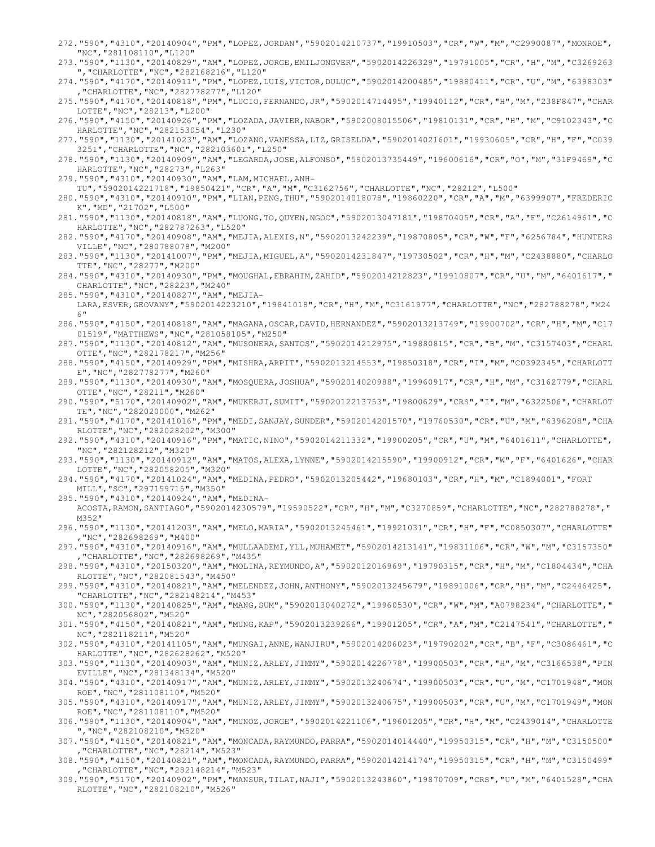- 272."590","4310","20140904","PM","LOPEZ,JORDAN","5902014210737","19910503","CR","W","M","C2990087","MONROE", "NC","281108110","L120"
- 273."590","1130","20140829","AM","LOPEZ,JORGE,EMILJONGVER","5902014226329","19791005","CR","H","M","C3269263 ","CHARLOTTE","NC","282168216","L120"
- 274."590","4170","20140911","PM","LOPEZ,LUIS,VICTOR,DULUC","5902014200485","19880411","CR","U","M","6398303" ,"CHARLOTTE","NC","282778277","L120"
- 275."590","4170","20140818","PM","LUCIO,FERNANDO,JR","5902014714495","19940112","CR","H","M","238F847","CHAR LOTTE","NC","28213","L200"
- 276."590","4150","20140926","PM","LOZADA,JAVIER,NABOR","5902008015506","19810131","CR","H","M","C9102343","C HARLOTTE","NC","282153054","L230"
- 277."590","1130","20141023","AM","LOZANO,VANESSA,LIZ,GRISELDA","5902014021601","19930605","CR","H","F","C039 3251","CHARLOTTE","NC","282103601","L250"
- 278."590","1130","20140909","AM","LEGARDA,JOSE,ALFONSO","5902013735449","19600616","CR","O","M","31F9469","C HARLOTTE","NC","28273","L263"
- 279."590","4310","20140930","AM","LAM,MICHAEL,ANH-
- TU","5902014221718","19850421","CR","A","M","C3162756","CHARLOTTE","NC","28212","L500"
- 280."590","4310","20140910","PM","LIAN,PENG,THU","5902014018078","19860220","CR","A","M","6399907","FREDERIC K","MD","21702","L500"
- 281."590","1130","20140818","AM","LUONG,TO,QUYEN,NGOC","5902013047181","19870405","CR","A","F","C2614961","C HARLOTTE","NC","282787263","L520"
- 282."590","4170","20140908","AM","MEJIA,ALEXIS,N","5902013242239","19870805","CR","W","F","6256784","HUNTERS VILLE","NC","280788078","M200"
- 283."590","1130","20141007","PM","MEJIA,MIGUEL,A","5902014231847","19730502","CR","H","M","C2438880","CHARLO TTE","NC","28277","M200"
- 284."590","4310","20140930","PM","MOUGHAL,EBRAHIM,ZAHID","5902014212823","19910807","CR","U","M","6401617"," CHARLOTTE","NC","28223","M240"
- 285."590","4310","20140827","AM","MEJIA-LARA,ESVER,GEOVANY","5902014223210","19841018","CR","H","M","C3161977","CHARLOTTE","NC","282788278","M24 6"
- 286."590","4150","20140818","AM","MAGANA,OSCAR,DAVID,HERNANDEZ","5902013213749","19900702","CR","H","M","C17 01519","MATTHEWS","NC","281058105","M250"
- 287."590","1130","20140812","AM","MUSONERA,SANTOS","5902014212975","19880815","CR","B","M","C3157403","CHARL OTTE","NC","282178217","M256"
- 288."590","4150","20140929","PM","MISHRA,ARPIT","5902013214553","19850318","CR","I","M","C0392345","CHARLOTT E","NC","282778277","M260"
- 289."590","1130","20140930","AM","MOSQUERA,JOSHUA","5902014020988","19960917","CR","H","M","C3162779","CHARL OTTE","NC","28211","M260"
- 290."590","5170","20140902","AM","MUKERJI,SUMIT","5902012213753","19800629","CRS","I","M","6322506","CHARLOT TE","NC","282020000","M262"
- 291."590","4170","20141016","PM","MEDI,SANJAY,SUNDER","5902014201570","19760530","CR","U","M","6396208","CHA RLOTTE","NC","282028202","M300"
- 292."590","4310","20140916","PM","MATIC,NINO","5902014211332","19900205","CR","U","M","6401611","CHARLOTTE", "NC","282128212","M320"
- 293."590","1130","20140912","AM","MATOS,ALEXA,LYNNE","5902014215590","19900912","CR","W","F","6401626","CHAR LOTTE","NC","282058205","M320"
- 294."590","4170","20141024","AM","MEDINA,PEDRO","5902013205442","19680103","CR","H","M","C1894001","FORT MILL","SC","297159715","M350"
- 295."590","4310","20140924","AM","MEDINA-ACOSTA,RAMON,SANTIAGO","5902014230579","19590522","CR","H","M","C3270859","CHARLOTTE","NC","282788278"," M352"
- 296."590","1130","20141203","AM","MELO,MARIA","5902013245461","19921031","CR","H","F","C0850307","CHARLOTTE" ,"NC","282698269","M400"
- 297."590","4310","20140916","AM","MULLAADEMI,YLL,MUHAMET","5902014213141","19831106","CR","W","M","C3157350" ,"CHARLOTTE","NC","282698269","M435"
- 298."590","4310","20150320","AM","MOLINA,REYMUNDO,A","5902012016969","19790315","CR","H","M","C1804434","CHA RLOTTE","NC","282081543","M450"
- 299."590","4310","20140821","AM","MELENDEZ,JOHN,ANTHONY","5902013245679","19891006","CR","H","M","C2446425", "CHARLOTTE","NC","282148214","M453"
- 300."590","1130","20140825","AM","MANG,SUM","5902013040272","19960530","CR","W","M","A0798234","CHARLOTTE"," NC","282056802","M520"
- 301."590","4150","20140821","AM","MUNG,KAP","5902013239266","19901205","CR","A","M","C2147541","CHARLOTTE"," NC","282118211","M520"
- 302."590","4310","20141105","AM","MUNGAI,ANNE,WANJIRU","5902014206023","19790202","CR","B","F","C3086461","C HARLOTTE","NC","282628262","M520"
- 303."590","1130","20140903","AM","MUNIZ,ARLEY,JIMMY","5902014226778","19900503","CR","H","M","C3166538","PIN EVILLE","NC","281348134","M520"
- 304."590","4310","20140917","AM","MUNIZ,ARLEY,JIMMY","5902013240674","19900503","CR","U","M","C1701948","MON ROE","NC","281108110","M520"
- 305."590","4310","20140917","AM","MUNIZ,ARLEY,JIMMY","5902013240675","19900503","CR","U","M","C1701949","MON ROE","NC","281108110","M520"
- 306."590","1130","20140904","AM","MUNOZ,JORGE","5902014221106","19601205","CR","H","M","C2439014","CHARLOTTE ","NC","282108210","M520"
- 307."590","4150","20140821","AM","MONCADA,RAYMUNDO,PARRA","5902014014440","19950315","CR","H","M","C3150500" ,"CHARLOTTE","NC","28214","M523"
- 308."590","4150","20140821","AM","MONCADA,RAYMUNDO,PARRA","5902014214174","19950315","CR","H","M","C3150499" ,"CHARLOTTE","NC","282148214","M523"
- 309."590","5170","20140902","PM","MANSUR,TILAT,NAJI","5902013243860","19870709","CRS","U","M","6401528","CHA RLOTTE","NC","282108210","M526"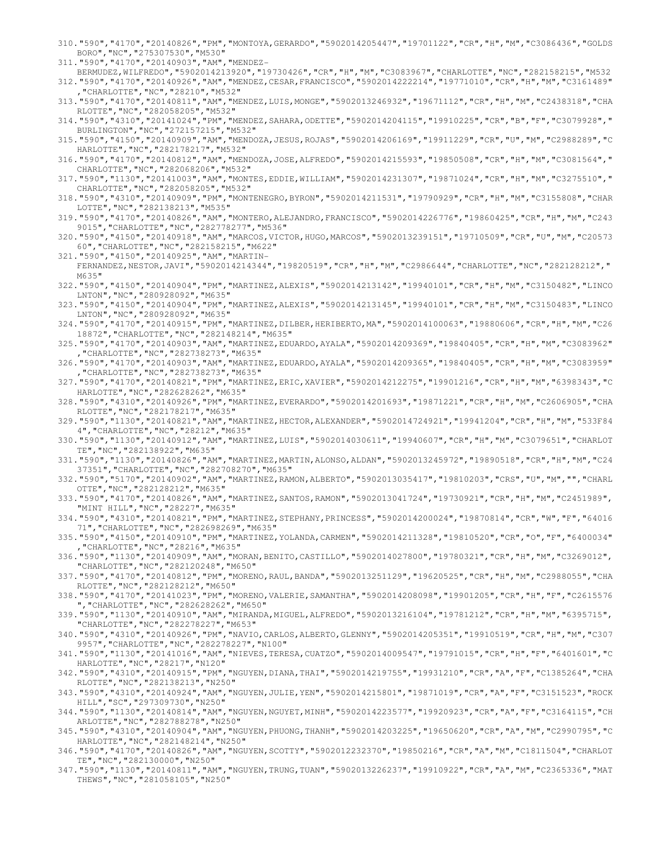- 310."590","4170","20140826","PM","MONTOYA,GERARDO","5902014205447","19701122","CR","H","M","C3086436","GOLDS BORO","NC","275307530","M530"
- 311."590","4170","20140903","AM","MENDEZ-
- BERMUDEZ,WILFREDO","5902014213920","19730426","CR","H","M","C3083967","CHARLOTTE","NC","282158215","M532 312."590","4170","20140926","AM","MENDEZ,CESAR,FRANCISCO","5902014222214","19771010","CR","H","M","C3161489" ,"CHARLOTTE","NC","28210","M532"
- 313."590","4170","20140811","AM","MENDEZ,LUIS,MONGE","5902013246932","19671112","CR","H","M","C2438318","CHA RLOTTE","NC","282058205","M532"
- 314."590","4310","20141024","PM","MENDEZ,SAHARA,ODETTE","5902014204115","19910225","CR","B","F","C3079928"," BURLINGTON","NC","272157215","M532"
- 315."590","4150","20140909","AM","MENDOZA,JESUS,ROJAS","5902014206169","19911229","CR","U","M","C2988289","C HARLOTTE","NC","282178217","M532"
- 316."590","4170","20140812","AM","MENDOZA,JOSE,ALFREDO","5902014215593","19850508","CR","H","M","C3081564"," CHARLOTTE","NC","282068206","M532"
- 317."590","1130","20141003","AM","MONTES,EDDIE,WILLIAM","5902014231307","19871024","CR","H","M","C3275510"," CHARLOTTE","NC","282058205","M532"
- 318."590","4310","20140909","PM","MONTENEGRO,BYRON","5902014211531","19790929","CR","H","M","C3155808","CHAR LOTTE","NC","282138213","M535"
- 319."590","4170","20140826","AM","MONTERO,ALEJANDRO,FRANCISCO","5902014226776","19860425","CR","H","M","C243 9015","CHARLOTTE","NC","282778277","M536"
- 320."590","4150","20140918","AM","MARCOS,VICTOR,HUGO,MARCOS","5902013239151","19710509","CR","U","M","C20573 60","CHARLOTTE","NC","282158215","M622"
- 321."590","4150","20140925","AM","MARTIN-FERNANDEZ,NESTOR,JAVI","5902014214344","19820519","CR","H","M","C2986644","CHARLOTTE","NC","282128212"," M635"
- 322."590","4150","20140904","PM","MARTINEZ,ALEXIS","5902014213142","19940101","CR","H","M","C3150482","LINCO LNTON","NC","280928092","M635"
- 323."590","4150","20140904","PM","MARTINEZ,ALEXIS","5902014213145","19940101","CR","H","M","C3150483","LINCO LNTON","NC","280928092","M635"
- 324."590","4170","20140915","PM","MARTINEZ,DILBER,HERIBERTO,MA","5902014100063","19880606","CR","H","M","C26 18872","CHARLOTTE","NC","282148214","M635"
- 325."590","4170","20140903","AM","MARTINEZ,EDUARDO,AYALA","5902014209369","19840405","CR","H","M","C3083962" ,"CHARLOTTE","NC","282738273","M635"
- 326."590","4170","20140903","AM","MARTINEZ,EDUARDO,AYALA","5902014209365","19840405","CR","H","M","C3083959" ,"CHARLOTTE","NC","282738273","M635"
- 327."590","4170","20140821","PM","MARTINEZ,ERIC,XAVIER","5902014212275","19901216","CR","H","M","6398343","C HARLOTTE","NC","282628262","M635"
- 328."590","4310","20140926","PM","MARTINEZ,EVERARDO","5902014201693","19871221","CR","H","M","C2606905","CHA RLOTTE","NC","282178217","M635"
- 329."590","1130","20140821","AM","MARTINEZ,HECTOR,ALEXANDER","5902014724921","19941204","CR","H","M","533F84 4","CHARLOTTE","NC","28212","M635"
- 330."590","1130","20140912","AM","MARTINEZ,LUIS","5902014030611","19940607","CR","H","M","C3079651","CHARLOT TE","NC","282138922","M635"
- 331."590","1130","20140826","AM","MARTINEZ,MARTIN,ALONSO,ALDAN","5902013245972","19890518","CR","H","M","C24 37351","CHARLOTTE","NC","282708270","M635"
- 332."590","5170","20140902","AM","MARTINEZ,RAMON,ALBERTO","5902013035417","19810203","CRS","U","M","","CHARL OTTE","NC","282128212","M635"
- 333."590","4170","20140826","AM","MARTINEZ,SANTOS,RAMON","5902013041724","19730921","CR","H","M","C2451989", "MINT HILL","NC","28227","M635"
- 334."590","4310","20140821","PM","MARTINEZ,STEPHANY,PRINCESS","5902014200024","19870814","CR","W","F","64016 71","CHARLOTTE","NC","282698269","M635"
- 335."590","4150","20140910","PM","MARTINEZ,YOLANDA,CARMEN","5902014211328","19810520","CR","O","F","6400034" ,"CHARLOTTE","NC","28216","M635"
- 336."590","1130","20140909","AM","MORAN,BENITO,CASTILLO","5902014027800","19780321","CR","H","M","C3269012", "CHARLOTTE","NC","282120248","M650"
- 337."590","4170","20140812","PM","MORENO,RAUL,BANDA","5902013251129","19620525","CR","H","M","C2988055","CHA RLOTTE","NC","282128212","M650"
- 338."590","4170","20141023","PM","MORENO,VALERIE,SAMANTHA","5902014208098","19901205","CR","H","F","C2615576 ","CHARLOTTE","NC","282628262","M650"
- 339."590","1130","20140910","AM","MIRANDA,MIGUEL,ALFREDO","5902013216104","19781212","CR","H","M","6395715", "CHARLOTTE","NC","282278227","M653"
- 340."590","4310","20140926","PM","NAVIO,CARLOS,ALBERTO,GLENNY","5902014205351","19910519","CR","H","M","C307 9957","CHARLOTTE","NC","282278227","N100"
- 341."590","1130","20141016","AM","NIEVES,TERESA,CUATZO","5902014009547","19791015","CR","H","F","6401601","C HARLOTTE","NC","28217","N120"
- 342."590","4310","20140915","PM","NGUYEN,DIANA,THAI","5902014219755","19931210","CR","A","F","C1385264","CHA RLOTTE","NC","282138213","N250"
- 343."590","4310","20140924","AM","NGUYEN,JULIE,YEN","5902014215801","19871019","CR","A","F","C3151523","ROCK HILL","SC","297309730","N250"
- 344."590","1130","20140814","AM","NGUYEN,NGUYET,MINH","5902014223577","19920923","CR","A","F","C3164115","CH ARLOTTE","NC","282788278","N250"
- 345."590","4310","20140904","AM","NGUYEN,PHUONG,THANH","5902014203225","19650620","CR","A","M","C2990795","C HARLOTTE","NC","282148214","N250"
- 346."590","4170","20140826","AM","NGUYEN,SCOTTY","5902012232370","19850216","CR","A","M","C1811504","CHARLOT TE","NC","282130000","N250"
- 347."590","1130","20140811","AM","NGUYEN,TRUNG,TUAN","5902013226237","19910922","CR","A","M","C2365336","MAT THEWS","NC","281058105","N250"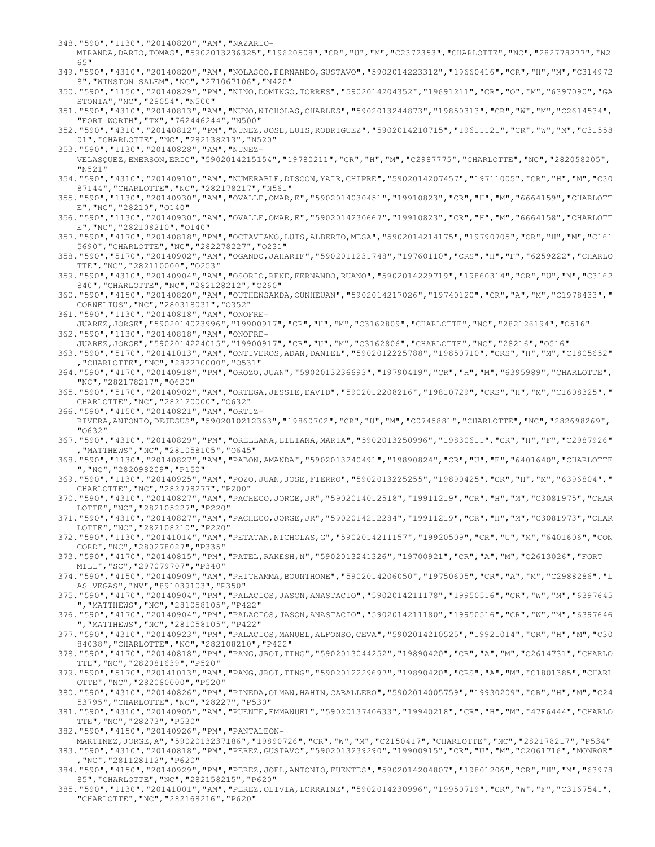- 348."590","1130","20140820","AM","NAZARIO-
	- MIRANDA,DARIO,TOMAS","5902013236325","19620508","CR","U","M","C2372353","CHARLOTTE","NC","282778277","N2 65"
- 349."590","4310","20140820","AM","NOLASCO,FERNANDO,GUSTAVO","5902014223312","19660416","CR","H","M","C314972 8","WINSTON SALEM","NC","271067106","N420"
- 350."590","1150","20140829","PM","NINO,DOMINGO,TORRES","5902014204352","19691211","CR","O","M","6397090","GA STONIA","NC","28054","N500"
- 351."590","4310","20140813","AM","NUNO,NICHOLAS,CHARLES","5902013244873","19850313","CR","W","M","C2614534", "FORT WORTH","TX","762446244","N500"
- 352."590","4310","20140812","PM","NUNEZ,JOSE,LUIS,RODRIGUEZ","5902014210715","19611121","CR","W","M","C31558 01","CHARLOTTE","NC","282138213","N520"
- 353."590","1130","20140828","AM","NUNEZ-
- VELASQUEZ,EMERSON,ERIC","5902014215154","19780211","CR","H","M","C2987775","CHARLOTTE","NC","282058205", "N521"
- 354."590","4310","20140910","AM","NUMERABLE,DISCON,YAIR,CHIPRE","5902014207457","19711005","CR","H","M","C30 87144","CHARLOTTE","NC","282178217","N561"
- 355."590","1130","20140930","AM","OVALLE,OMAR,E","5902014030451","19910823","CR","H","M","6664159","CHARLOTT E","NC","28210","O140"
- 356."590","1130","20140930","AM","OVALLE,OMAR,E","5902014230667","19910823","CR","H","M","6664158","CHARLOTT E","NC","282108210","O140"
- 357."590","4170","20140818","PM","OCTAVIANO,LUIS,ALBERTO,MESA","5902014214175","19790705","CR","H","M","C161 5690","CHARLOTTE","NC","282278227","O231"
- 358."590","5170","20140902","AM","OGANDO,JAHARIF","5902011231748","19760110","CRS","H","F","6259222","CHARLO TTE","NC","282110000","O253"
- 359."590","4310","20140904","AM","OSORIO,RENE,FERNANDO,RUANO","5902014229719","19860314","CR","U","M","C3162 840","CHARLOTTE","NC","282128212","O260"
- 360."590","4150","20140820","AM","OUTHENSAKDA,OUNHEUAN","5902014217026","19740120","CR","A","M","C1978433"," CORNELIUS","NC","280318031","O352"
- 361."590","1130","20140818","AM","ONOFRE-
- JUAREZ,JORGE","5902014023996","19900917","CR","H","M","C3162809","CHARLOTTE","NC","282126194","O516" 362."590","1130","20140818","AM","ONOFRE-
- JUAREZ,JORGE","5902014224015","19900917","CR","U","M","C3162806","CHARLOTTE","NC","28216","O516"
- 363."590","5170","20141013","AM","ONTIVEROS,ADAN,DANIEL","5902012225788","19850710","CRS","H","M","C1805652" ,"CHARLOTTE","NC","282270000","O531"
- 364."590","4170","20140918","PM","OROZO,JUAN","5902013236693","19790419","CR","H","M","6395989","CHARLOTTE", "NC","282178217","O620"
- 365."590","5170","20140902","AM","ORTEGA,JESSIE,DAVID","5902012208216","19810729","CRS","H","M","C1608325"," CHARLOTTE","NC","282120000","O632"
- 366."590","4150","20140821","AM","ORTIZ-RIVERA,ANTONIO,DEJESUS","5902010212363","19860702","CR","U","M","C0745881","CHARLOTTE","NC","282698269", "O632"
- 367."590","4310","20140829","PM","ORELLANA,LILIANA,MARIA","5902013250996","19830611","CR","H","F","C2987926" ,"MATTHEWS","NC","281058105","O645"
- 368."590","1130","20140827","AM","PABON,AMANDA","5902013240491","19890824","CR","U","F","6401640","CHARLOTTE ","NC","282098209","P150"
- 369."590","1130","20140925","AM","POZO,JUAN,JOSE,FIERRO","5902013225255","19890425","CR","H","M","6396804"," CHARLOTTE","NC","282778277","P200"
- 370."590","4310","20140827","AM","PACHECO,JORGE,JR","5902014012518","19911219","CR","H","M","C3081975","CHAR LOTTE","NC","282105227","P220"
- 371."590","4310","20140827","AM","PACHECO,JORGE,JR","5902014212284","19911219","CR","H","M","C3081973","CHAR LOTTE","NC","282108210","P220"
- 372."590","1130","20141014","AM","PETATAN,NICHOLAS,G","5902014211157","19920509","CR","U","M","6401606","CON CORD","NC","280278027","P335"
- 373."590","4170","20140815","PM","PATEL,RAKESH,N","5902013241326","19700921","CR","A","M","C2613026","FORT MILL","SC","297079707","P340"
- 374."590","4150","20140909","AM","PHITHAMMA,BOUNTHONE","5902014206050","19750605","CR","A","M","C2988286","L AS VEGAS","NV","891039103","P350"
- 375."590","4170","20140904","PM","PALACIOS,JASON,ANASTACIO","5902014211178","19950516","CR","W","M","6397645 ","MATTHEWS","NC","281058105","P422"
- 376."590","4170","20140904","PM","PALACIOS,JASON,ANASTACIO","5902014211180","19950516","CR","W","M","6397646 ","MATTHEWS","NC","281058105","P422"
- 377."590","4310","20140923","PM","PALACIOS,MANUEL,ALFONSO,CEVA","5902014210525","19921014","CR","H","M","C30 84038","CHARLOTTE","NC","282108210","P422"
- 378."590","4170","20140818","PM","PANG,JROI,TING","5902013044252","19890420","CR","A","M","C2614731","CHARLO TTE","NC","282081639","P520"
- 379."590","5170","20141013","AM","PANG,JROI,TING","5902012229697","19890420","CRS","A","M","C1801385","CHARL OTTE","NC","282080000","P520"
- 380."590","4310","20140826","PM","PINEDA,OLMAN,HAHIN,CABALLERO","5902014005759","19930209","CR","H","M","C24 53795","CHARLOTTE","NC","28227","P530"
- 381."590","4310","20140905","AM","PUENTE,EMMANUEL","5902013740633","19940218","CR","H","M","47F6444","CHARLO TTE","NC","28273","P530"
- 382."590","4150","20140926","PM","PANTALEON-
- MARTINEZ,JORGE,A","5902013237186","19890726","CR","W","M","C2150417","CHARLOTTE","NC","282178217","P534" 383."590","4310","20140818","PM","PEREZ,GUSTAVO","5902013239290","19900915","CR","U","M","C2061716","MONROE" ,"NC","281128112","P620"
- 384."590","4150","20140929","PM","PEREZ,JOEL,ANTONIO,FUENTES","5902014204807","19801206","CR","H","M","63978 85","CHARLOTTE","NC","282158215","P620"
- 385."590","1130","20141001","AM","PEREZ,OLIVIA,LORRAINE","5902014230996","19950719","CR","W","F","C3167541", "CHARLOTTE","NC","282168216","P620"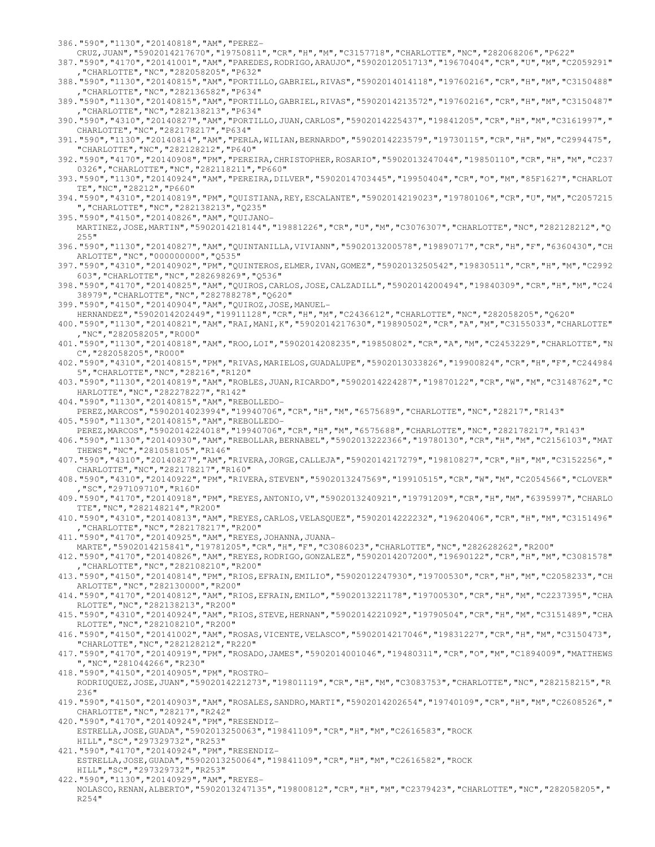386."590","1130","20140818","AM","PEREZ-

CRUZ,JUAN","5902014217670","19750811","CR","H","M","C3157718","CHARLOTTE","NC","282068206","P622"

387."590","4170","20141001","AM","PAREDES,RODRIGO,ARAUJO","5902012051713","19670404","CR","U","M","C2059291" ,"CHARLOTTE","NC","282058205","P632"

- 388."590","1130","20140815","AM","PORTILLO,GABRIEL,RIVAS","5902014014118","19760216","CR","H","M","C3150488" ,"CHARLOTTE","NC","282136582","P634"
- 389."590","1130","20140815","AM","PORTILLO,GABRIEL,RIVAS","5902014213572","19760216","CR","H","M","C3150487" ,"CHARLOTTE","NC","282138213","P634"
- 390."590","4310","20140827","AM","PORTILLO,JUAN,CARLOS","5902014225437","19841205","CR","H","M","C3161997"," CHARLOTTE","NC","282178217","P634"
- 391."590","1130","20140814","AM","PERLA,WILIAN,BERNARDO","5902014223579","19730115","CR","H","M","C2994475", "CHARLOTTE","NC","282128212","P640"
- 392."590","4170","20140908","PM","PEREIRA,CHRISTOPHER,ROSARIO","5902013247044","19850110","CR","H","M","C237 0326","CHARLOTTE","NC","282118211","P660"
- 393."590","1130","20140924","AM","PEREIRA,DILVER","5902014703445","19950404","CR","O","M","85F1627","CHARLOT TE","NC","28212","P660"
- 394."590","4310","20140819","PM","QUISTIANA,REY,ESCALANTE","5902014219023","19780106","CR","U","M","C2057215 ","CHARLOTTE","NC","282138213","Q235"
- 395."590","4150","20140826","AM","QUIJANO-MARTINEZ,JOSE,MARTIN","5902014218144","19881226","CR","U","M","C3076307","CHARLOTTE","NC","282128212","Q 255"
- 396."590","1130","20140827","AM","QUINTANILLA,VIVIANN","5902013200578","19890717","CR","H","F","6360430","CH ARLOTTE","NC","000000000","Q535"
- 397."590","4310","20140902","PM","QUINTEROS,ELMER,IVAN,GOMEZ","5902013250542","19830511","CR","H","M","C2992 603","CHARLOTTE","NC","282698269","Q536"
- 398."590","4170","20140825","AM","QUIROS,CARLOS,JOSE,CALZADILL","5902014200494","19840309","CR","H","M","C24 38979","CHARLOTTE","NC","282788278","Q620"
- 399."590","4150","20140904","AM","QUIROZ,JOSE,MANUEL-
- HERNANDEZ","5902014202449","19911128","CR","H","M","C2436612","CHARLOTTE","NC","282058205","Q620"
- 400."590","1130","20140821","AM","RAI,MANI,K","5902014217630","19890502","CR","A","M","C3155033","CHARLOTTE" ,"NC","282058205","R000"
- 401."590","1130","20140818","AM","ROO,LOI","5902014208235","19850802","CR","A","M","C2453229","CHARLOTTE","N C","282058205","R000"
- 402."590","4310","20140815","PM","RIVAS,MARIELOS,GUADALUPE","5902013033826","19900824","CR","H","F","C244984 5","CHARLOTTE","NC","28216","R120"
- 403."590","1130","20140819","AM","ROBLES,JUAN,RICARDO","5902014224287","19870122","CR","W","M","C3148762","C HARLOTTE","NC","282278227","R142"
- 404."590","1130","20140815","AM","REBOLLEDO-
- PEREZ,MARCOS","5902014023994","19940706","CR","H","M","6575689","CHARLOTTE","NC","28217","R143" 405."590","1130","20140815","AM","REBOLLEDO-
- PEREZ,MARCOS","5902014224018","19940706","CR","H","M","6575688","CHARLOTTE","NC","282178217","R143"
- 406."590","1130","20140930","AM","REBOLLAR,BERNABEL","5902013222366","19780130","CR","H","M","C2156103","MAT THEWS","NC","281058105","R146"
- 407."590","4310","20140827","AM","RIVERA,JORGE,CALLEJA","5902014217279","19810827","CR","H","M","C3152256"," CHARLOTTE","NC","282178217","R160"
- 408."590","4310","20140922","PM","RIVERA,STEVEN","5902013247569","19910515","CR","W","M","C2054566","CLOVER" ,"SC","297109710","R160"
- 409."590","4170","20140918","PM","REYES,ANTONIO,V","5902013240921","19791209","CR","H","M","6395997","CHARLO TTE","NC","282148214","R200"
- 410."590","4310","20140813","AM","REYES,CARLOS,VELASQUEZ","5902014222232","19620406","CR","H","M","C3151496" ,"CHARLOTTE","NC","282178217","R200"
- 411."590","4170","20140925","AM","REYES,JOHANNA,JUANA-

MARTE","5902014215841","19781205","CR","H","F","C3086023","CHARLOTTE","NC","282628262","R200"

- 412."590","4170","20140826","AM","REYES,RODRIGO,GONZALEZ","5902014207200","19690122","CR","H","M","C3081578" ,"CHARLOTTE","NC","282108210","R200"
- 413."590","4150","20140814","PM","RIOS,EFRAIN,EMILIO","5902012247930","19700530","CR","H","M","C2058233","CH ARLOTTE","NC","282130000","R200"
- 414."590","4170","20140812","AM","RIOS,EFRAIN,EMILO","5902013221178","19700530","CR","H","M","C2237395","CHA RLOTTE","NC","282138213","R200"
- 415."590","4310","20140924","AM","RIOS,STEVE,HERNAN","5902014221092","19790504","CR","H","M","C3151489","CHA RLOTTE","NC","282108210","R200"
- 416."590","4150","20141002","AM","ROSAS,VICENTE,VELASCO","5902014217046","19831227","CR","H","M","C3150473", "CHARLOTTE","NC","282128212","R220"
- 417."590","4170","20140919","PM","ROSADO,JAMES","5902014001046","19480311","CR","O","M","C1894009","MATTHEWS ","NC","281044266","R230"
- 418."590","4150","20140905","PM","ROSTRO-RODRIUQUEZ,JOSE,JUAN","5902014221273","19801119","CR","H","M","C3083753","CHARLOTTE","NC","282158215","R 236"
- 419."590","4150","20140903","AM","ROSALES,SANDRO,MARTI","5902014202654","19740109","CR","H","M","C2608526"," CHARLOTTE","NC","28217","R242"
- 420."590","4170","20140924","PM","RESENDIZ-ESTRELLA,JOSE,GUADA","5902013250063","19841109","CR","H","M","C2616583","ROCK HILL","SC","297329732","R253"
- 421."590","4170","20140924","PM","RESENDIZ-ESTRELLA,JOSE,GUADA","5902013250064","19841109","CR","H","M","C2616582","ROCK HILL","SC","297329732","R253"
- 422."590","1130","20140929","AM","REYES-NOLASCO,RENAN,ALBERTO","5902013247135","19800812","CR","H","M","C2379423","CHARLOTTE","NC","282058205"," R254"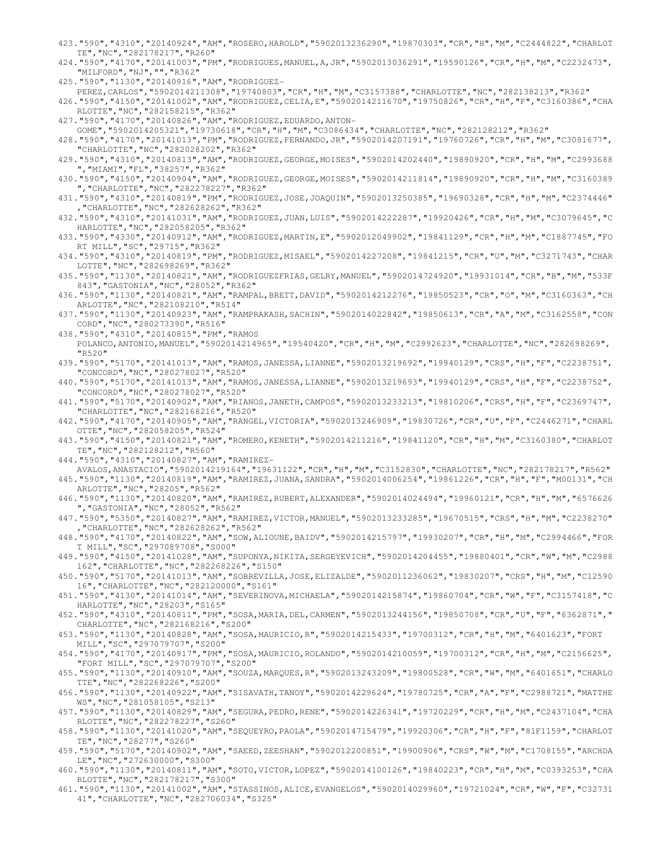- 423."590","4310","20140924","AM","ROSERO,HAROLD","5902013236290","19870303","CR","H","M","C2444822","CHARLOT TE","NC","282178217","R260"
- 424."590","4170","20141003","PM","RODRIGUES,MANUEL,A,JR","5902013036291","19590126","CR","H","M","C2232473", "MILFORD","NJ","","R362"
- 425."590","1130","20140916","AM","RODRIGUEZ-
- PEREZ,CARLOS","5902014211308","19740803","CR","H","M","C3157388","CHARLOTTE","NC","282138213","R362"
- 426."590","4150","20141002","AM","RODRIGUEZ,CELIA,E","5902014211670","19750826","CR","H","F","C3160386","CHA RLOTTE","NC","282158215","R362"
- 427."590","4170","20140826","AM","RODRIGUEZ,EDUARDO,ANTON-
- GOME","5902014205321","19730618","CR","H","M","C3086434","CHARLOTTE","NC","282128212","R362"
- 428."590","4170","20141013","PM","RODRIGUEZ,FERNANDO,JR","5902014207191","19760726","CR","H","M","C3081677", "CHARLOTTE","NC","282028202","R362"
- 429."590","4310","20140813","AM","RODRIGUEZ,GEORGE,MOISES","5902014202440","19890920","CR","H","M","C2993688 ","MIAMI","FL","38257","R362"
- 430."590","4150","20140904","AM","RODRIGUEZ,GEORGE,MOISES","5902014211814","19890920","CR","H","M","C3160389 ","CHARLOTTE","NC","282278227","R362"
- 431."590","4310","20140819","PM","RODRIGUEZ,JOSE,JOAQUIN","5902013250385","19690328","CR","H","M","C2374446" ,"CHARLOTTE","NC","282628262","R362"
- 432."590","4310","20141031","AM","RODRIGUEZ,JUAN,LUIS","5902014222287","19920426","CR","H","M","C3079645","C HARLOTTE","NC","282058205","R362"
- 433."590","4330","20140912","AM","RODRIGUEZ,MARTIN,E","5902012049902","19841129","CR","H","M","C1887745","FO RT MILL","SC","29715","R362"
- 434."590","4310","20140819","PM","RODRIGUEZ,MISAEL","5902014227208","19841215","CR","U","M","C3271743","CHAR LOTTE","NC","282698269","R362"
- 435."590","1130","20140821","AM","RODRIGUEZFRIAS,GELRY,MANUEL","5902014724920","19931014","CR","B","M","533F 843","GASTONIA","NC","28052","R362"
- 436."590","1130","20140821","AM","RAMPAL,BRETT,DAVID","5902014212276","19850523","CR","O","M","C3160363","CH ARLOTTE","NC","282108210","R514"
- 437. "590", "1130", "20140923", "AM", "RAMPRAKASH, SACHIN", "5902014022842", "19850613", "CR", "A", "M", "C3162558", "CON CORD","NC","280273390","R516"
- 438."590","4310","20140815","PM","RAMOS POLANCO,ANTONIO,MANUEL","5902014214965","19540420","CR","H","M","C2992623","CHARLOTTE","NC","282698269", "R520"
- 439."590","5170","20141013","AM","RAMOS,JANESSA,LIANNE","5902013219692","19940129","CRS","H","F","C2238751", "CONCORD","NC","280278027","R520"
- 440."590","5170","20141013","AM","RAMOS,JANESSA,LIANNE","5902013219693","19940129","CRS","H","F","C2238752", "CONCORD","NC","280278027","R520"
- 441."590","5170","20140902","AM","RIANOS,JANETH,CAMPOS","5902013233213","19810206","CRS","H","F","C2369747", "CHARLOTTE","NC","282168216","R520"
- 442."590","4170","20140905","AM","RANGEL,VICTORIA","5902013246909","19830726","CR","U","F","C2446271","CHARL OTTE","NC","282058205","R524"
- 443."590","4150","20140821","AM","ROMERO,KENETH","5902014211216","19841120","CR","H","M","C3160380","CHARLOT TE","NC","282128212","R560"
- 444."590","4310","20140827","AM","RAMIREZ-
- AVALOS,ANASTACIO","5902014219164","19631122","CR","H","M","C3152830","CHARLOTTE","NC","282178217","R562" 445."590","1130","20140819","AM","RAMIREZ,JUANA,SANDRA","5902014006254","19861226","CR","H","F","M00131","CH ARLOTTE","NC","28205","R562"
- 446."590","1130","20140820","AM","RAMIREZ,RUBERT,ALEXANDER","5902014024494","19960121","CR","H","M","6576626 ","GASTONIA","NC","28052","R562"
- 447."590","5350","20140827","AM","RAMIREZ,VICTOR,MANUEL","5902013233285","19670515","CRS","H","M","C2238270" ,"CHARLOTTE","NC","282628262","R562"
- 448."590","4170","20140822","AM","SOW,ALIOUNE,BAIDV","5902014215797","19930207","CR","H","M","C2994466","FOR T MILL","SC","297089708","S000"
- 449."590","4150","20141028","AM","SUPONYA,NIKITA,SERGEYEVICH","5902014204455","19880401","CR","W","M","C2988 162","CHARLOTTE","NC","282268226","S150"
- 450."590","5170","20141013","AM","SOBREVILLA,JOSE,ELIZALDE","5902011236062","19830207","CRS","H","M","C12590 16","CHARLOTTE","NC","282120000","S161"
- 451."590","4130","20141014","AM","SEVERINOVA,MICHAELA","5902014215874","19860704","CR","W","F","C3157418","C HARLOTTE","NC","28203","S165"
- 452."590","4310","20140811","PM","SOSA,MARIA,DEL,CARMEN","5902013244156","19850708","CR","U","F","6362871"," CHARLOTTE","NC","282168216","S200"
- 453."590","1130","20140828","AM","SOSA,MAURICIO,R","5902014215433","19700312","CR","H","M","6401623","FORT MILL","SC","297079707","S200"
- 454."590","4170","20140917","PM","SOSA,MAURICIO,ROLANDO","5902014210059","19700312","CR","H","M","C2156625", "FORT MILL","SC","297079707","S200"
- 455."590","1130","20140910","AM","SOUZA,MARQUES,R","5902013243209","19800528","CR","W","M","6401651","CHARLO TTE","NC","282268226","S200"
- 456."590","1130","20140922","AM","SISAVATH,TANOY","5902014229624","19780725","CR","A","F","C2988721","MATTHE WS","NC","281058105","S213"
- 457."590","1130","20140829","AM","SEGURA,PEDRO,RENE","5902014226341","19720229","CR","H","M","C2437104","CHA RLOTTE","NC","282278227","S260"
- 458."590","1130","20141020","AM","SEQUEYRO,PAOLA","5902014715479","19920306","CR","H","F","81F1159","CHARLOT TE","NC","28277","S260"
- 459."590","5170","20140902","AM","SAEED,ZEESHAN","5902012200851","19900906","CRS","W","M","C1708155","ARCHDA LE","NC","272630000","S300"
- 460."590","1130","20140811","AM","SOTO,VICTOR,LOPEZ","5902014100126","19840223","CR","H","M","C0393253","CHA RLOTTE","NC","282178217","S300"
- 461."590","1130","20141002","AM","STASSINOS,ALICE,EVANGELOS","5902014029960","19721024","CR","W","F","C32731 41","CHARLOTTE","NC","282706034","S325"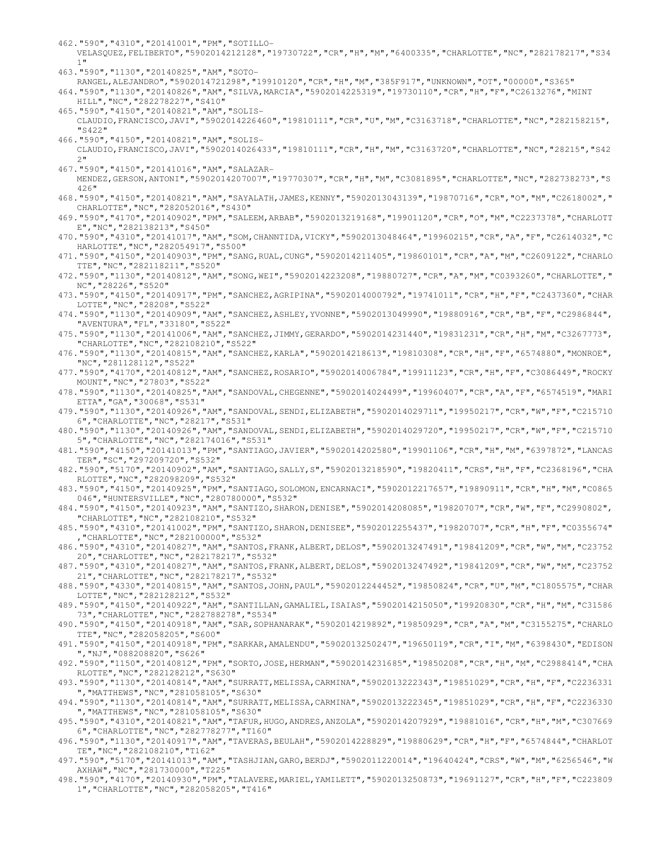462."590","4310","20141001","PM","SOTILLO-

VELASQUEZ,FELIBERTO","5902014212128","19730722","CR","H","M","6400335","CHARLOTTE","NC","282178217","S34 1"

- 463."590","1130","20140825","AM","SOTO-RANGEL,ALEJANDRO","5902014721298","19910120","CR","H","M","385F917","UNKNOWN","OT","00000","S365"
- 464."590","1130","20140826","AM","SILVA,MARCIA","5902014225319","19730110","CR","H","F","C2613276","MINT HILL","NC","282278227","S410"
- 465."590","4150","20140821","AM","SOLIS-CLAUDIO,FRANCISCO,JAVI","5902014226460","19810111","CR","U","M","C3163718","CHARLOTTE","NC","282158215", "S422"
- 466."590","4150","20140821","AM","SOLIS-CLAUDIO,FRANCISCO,JAVI","5902014026433","19810111","CR","H","M","C3163720","CHARLOTTE","NC","28215","S42  $2"$
- 467."590","4150","20141016","AM","SALAZAR-
- MENDEZ,GERSON,ANTONI","5902014207007","19770307","CR","H","M","C3081895","CHARLOTTE","NC","282738273","S 426"
- 468."590","4150","20140821","AM","SAYALATH,JAMES,KENNY","5902013043139","19870716","CR","O","M","C2618002"," CHARLOTTE","NC","282052016","S430"
- 469."590","4170","20140902","PM","SALEEM,ARBAB","5902013219168","19901120","CR","O","M","C2237378","CHARLOTT E","NC","282138213","S450"
- 470."590","4310","20141017","AM","SOM,CHANNTIDA,VICKY","5902013048464","19960215","CR","A","F","C2614032","C HARLOTTE","NC","282054917","S500"
- 471."590","4150","20140903","PM","SANG,RUAL,CUNG","5902014211405","19860101","CR","A","M","C2609122","CHARLO TTE","NC","282118211","S520"
- 472."590","1130","20140812","AM","SONG,WEI","5902014223208","19880727","CR","A","M","C0393260","CHARLOTTE"," NC","28226","S520"
- 473."590","4150","20140917","PM","SANCHEZ,AGRIPINA","5902014000792","19741011","CR","H","F","C2437360","CHAR LOTTE","NC","28208","S522"
- 474."590","1130","20140909","AM","SANCHEZ,ASHLEY,YVONNE","5902013049990","19880916","CR","B","F","C2986844", "AVENTURA","FL","33180","S522"
- 475."590","1130","20141006","AM","SANCHEZ,JIMMY,GERARDO","5902014231440","19831231","CR","H","M","C3267773", "CHARLOTTE","NC","282108210","S522"
- 476."590","1130","20140815","AM","SANCHEZ,KARLA","5902014218613","19810308","CR","H","F","6574880","MONROE", "NC","281128112","S522"
- 477."590","4170","20140812","AM","SANCHEZ,ROSARIO","5902014006784","19911123","CR","H","F","C3086449","ROCKY MOUNT","NC","27803","S522"
- 478."590","1130","20140825","AM","SANDOVAL,CHEGENNE","5902014024499","19960407","CR","A","F","6574519","MARI ETTA","GA","30068","S531"
- 479."590","1130","20140926","AM","SANDOVAL,SENDI,ELIZABETH","5902014029711","19950217","CR","W","F","C215710 6","CHARLOTTE","NC","28217","S531"
- 480."590","1130","20140926","AM","SANDOVAL,SENDI,ELIZABETH","5902014029720","19950217","CR","W","F","C215710 5","CHARLOTTE","NC","282174016","S531"
- 481."590","4150","20141013","PM","SANTIAGO,JAVIER","5902014202580","19901106","CR","H","M","6397872","LANCAS TER","SC","297209720","S532"
- 482."590","5170","20140902","AM","SANTIAGO,SALLY,S","5902013218590","19820411","CRS","H","F","C2368196","CHA RLOTTE","NC","282098209","S532"
- 483."590","4150","20140925","PM","SANTIAGO,SOLOMON,ENCARNACI","5902012217657","19890911","CR","H","M","C0865 046","HUNTERSVILLE","NC","280780000","S532"
- 484."590","4150","20140923","AM","SANTIZO,SHARON,DENISE","5902014208085","19820707","CR","W","F","C2990802", "CHARLOTTE","NC","282108210","S532"
- 485."590","4310","20141002","PM","SANTIZO,SHARON,DENISEE","5902012255437","19820707","CR","H","F","C0355674" ,"CHARLOTTE","NC","282100000","S532"
- 486."590","4310","20140827","AM","SANTOS,FRANK,ALBERT,DELOS","5902013247491","19841209","CR","W","M","C23752 20","CHARLOTTE","NC","282178217","S532"
- 487."590","4310","20140827","AM","SANTOS,FRANK,ALBERT,DELOS","5902013247492","19841209","CR","W","M","C23752 21","CHARLOTTE","NC","282178217","S532"
- 488."590","4330","20140815","AM","SANTOS,JOHN,PAUL","5902012244452","19850824","CR","U","M","C1805575","CHAR LOTTE","NC","282128212","S532"
- 489."590","4150","20140922","AM","SANTILLAN,GAMALIEL,ISAIAS","5902014215050","19920830","CR","H","M","C31586 73","CHARLOTTE","NC","282788278","S534"
- 490."590","4150","20140918","AM","SAR,SOPHANARAK","5902014219892","19850929","CR","A","M","C3155275","CHARLO TTE","NC","282058205","S600"
- 491."590","4150","20140918","PM","SARKAR,AMALENDU","5902013250247","19650119","CR","I","M","6398430","EDISON ","NJ","088208820","S626"
- 492."590","1150","20140812","PM","SORTO,JOSE,HERMAN","5902014231685","19850208","CR","H","M","C2988414","CHA RLOTTE","NC","282128212","S630"
- 493."590","1130","20140814","AM","SURRATT,MELISSA,CARMINA","5902013222343","19851029","CR","H","F","C2236331 ","MATTHEWS","NC","281058105","S630"
- 494."590","1130","20140814","AM","SURRATT,MELISSA,CARMINA","5902013222345","19851029","CR","H","F","C2236330 ","MATTHEWS","NC","281058105","S630"
- 495."590","4310","20140821","AM","TAFUR,HUGO,ANDRES,ANZOLA","5902014207929","19881016","CR","H","M","C307669 6","CHARLOTTE","NC","282778277","T160"
- 496."590","1130","20140917","AM","TAVERAS,BEULAH","5902014228829","19880629","CR","H","F","6574844","CHARLOT TE","NC","282108210","T162"
- 497."590","5170","20141013","AM","TASHJIAN,GARO,BERDJ","5902011220014","19640424","CRS","W","M","6256546","W AXHAW","NC","281730000","T225"
- 498."590","4170","20140930","PM","TALAVERE,MARIEL,YAMILETT","5902013250873","19691127","CR","H","F","C223809 1","CHARLOTTE","NC","282058205","T416"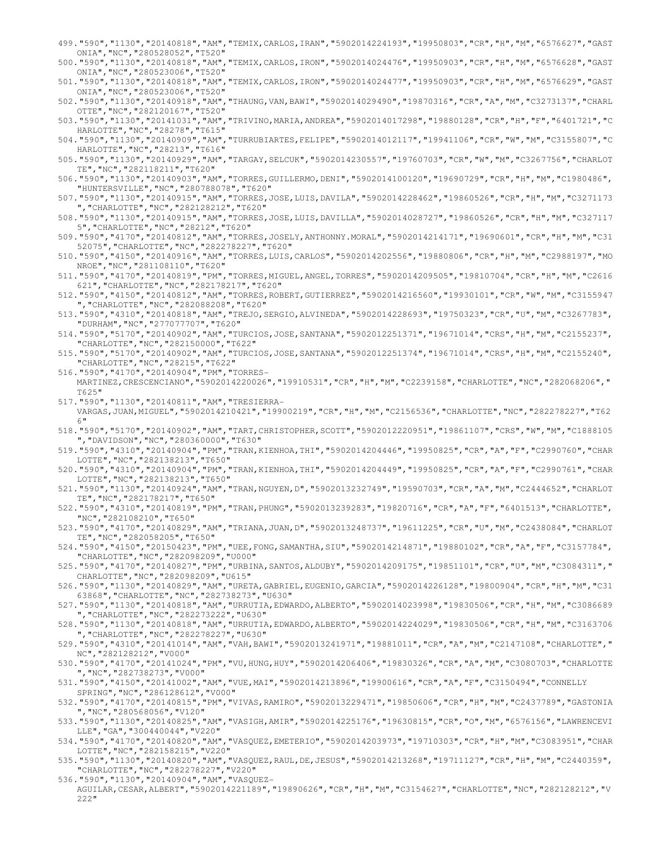499."590","1130","20140818","AM","TEMIX,CARLOS,IRAN","5902014224193","19950803","CR","H","M","6576627","GAST ONIA","NC","280528052","T520" 500."590","1130","20140818","AM","TEMIX,CARLOS,IRON","5902014024476","19950903","CR","H","M","6576628","GAST ONIA","NC","280523006","T520" 501."590","1130","20140818","AM","TEMIX,CARLOS,IRON","5902014024477","19950903","CR","H","M","6576629","GAST ONIA","NC","280523006","T520" 502."590","1130","20140918","AM","THAUNG,VAN,BAWI","5902014029490","19870316","CR","A","M","C3273137","CHARL OTTE","NC","282120167","T520" 503."590","1130","20141031","AM","TRIVINO,MARIA,ANDREA","5902014017298","19880128","CR","H","F","6401721","C HARLOTTE","NC","28278","T615" 504."590","1130","20140909","AM","TURRUBIARTES,FELIPE","5902014012117","19941106","CR","W","M","C3155807","C HARLOTTE","NC","28213","T616" 505."590","1130","20140929","AM","TARGAY,SELCUK","5902014230557","19760703","CR","W","M","C3267756","CHARLOT TE","NC","282118211","T620" 506."590","1130","20140903","AM","TORRES,GUILLERMO,DENI","5902014100120","19690729","CR","H","M","C1980486", "HUNTERSVILLE","NC","280788078","T620" 507."590","1130","20140915","AM","TORRES,JOSE,LUIS,DAVILA","5902014228462","19860526","CR","H","M","C3271173 ","CHARLOTTE","NC","282128212","T620" 508."590","1130","20140915","AM","TORRES,JOSE,LUIS,DAVILLA","5902014028727","19860526","CR","H","M","C327117 5","CHARLOTTE","NC","28212","T620" 509."590","4170","20140812","AM","TORRES,JOSELY,ANTHONNY.MORAL","5902014214171","19690601","CR","H","M","C31 52075","CHARLOTTE","NC","282278227","T620" 510."590","4150","20140916","AM","TORRES,LUIS,CARLOS","5902014202556","19880806","CR","H","M","C2988197","MO NROE","NC","281108110","T620" 511."590","4170","20140819","PM","TORRES,MIGUEL,ANGEL,TORRES","5902014209505","19810704","CR","H","M","C2616 621","CHARLOTTE","NC","282178217","T620" 512."590","4150","20140812","AM","TORRES,ROBERT,GUTIERREZ","5902014216560","19930101","CR","W","M","C3155947 ","CHARLOTTE","NC","282088208","T620" 513."590","4310","20140818","AM","TREJO,SERGIO,ALVINEDA","5902014228693","19750323","CR","U","M","C3267783", "DURHAM","NC","277077707","T620" 514."590","5170","20140902","AM","TURCIOS,JOSE,SANTANA","5902012251371","19671014","CRS","H","M","C2155237", "CHARLOTTE","NC","282150000","T622" 515."590","5170","20140902","AM","TURCIOS,JOSE,SANTANA","5902012251374","19671014","CRS","H","M","C2155240", "CHARLOTTE","NC","28215","T622" 516."590","4170","20140904","PM","TORRES-MARTINEZ,CRESCENCIANO","5902014220026","19910531","CR","H","M","C2239158","CHARLOTTE","NC","282068206"," T625" 517."590","1130","20140811","AM","TRESIERRA-VARGAS,JUAN,MIGUEL","5902014210421","19900219","CR","H","M","C2156536","CHARLOTTE","NC","282278227","T62 6" 518."590","5170","20140902","AM","TART,CHRISTOPHER,SCOTT","5902012220951","19861107","CRS","W","M","C1888105 ","DAVIDSON","NC","280360000","T630" 519."590","4310","20140904","PM","TRAN,KIENHOA,THI","5902014204446","19950825","CR","A","F","C2990760","CHAR LOTTE","NC","282138213","T650" 520."590","4310","20140904","PM","TRAN,KIENHOA,THI","5902014204449","19950825","CR","A","F","C2990761","CHAR LOTTE","NC","282138213","T650" 521."590","1130","20140924","AM","TRAN,NGUYEN,D","5902013232749","19590703","CR","A","M","C2444652","CHARLOT TE","NC","282178217","T650" 522."590","4310","20140819","PM","TRAN,PHUNG","5902013239283","19820716","CR","A","F","6401513","CHARLOTTE", "NC","282108210","T650" 523."590","4170","20140829","AM","TRIANA,JUAN,D","5902013248737","19611225","CR","U","M","C2438084","CHARLOT TE","NC","282058205","T650" 524."590","4150","20150423","PM","UEE,FONG,SAMANTHA,SIU","5902014214871","19880102","CR","A","F","C3157784", "CHARLOTTE","NC","282098209","U000" 525."590","4170","20140827","PM","URBINA,SANTOS,ALDUBY","5902014209175","19851101","CR","U","M","C3084311"," CHARLOTTE","NC","282098209","U615" 526."590","1130","20140829","AM","URETA,GABRIEL,EUGENIO,GARCIA","5902014226128","19800904","CR","H","M","C31 63868","CHARLOTTE","NC","282738273","U630" 527."590","1130","20140818","AM","URRUTIA,EDWARDO,ALBERTO","5902014023998","19830506","CR","H","M","C3086689 ","CHARLOTTE","NC","282273222","U630" 528."590","1130","20140818","AM","URRUTIA,EDWARDO,ALBERTO","5902014224029","19830506","CR","H","M","C3163706 ","CHARLOTTE","NC","282278227","U630" 529."590","4310","20141014","AM","VAH,BAWI","5902013241971","19881011","CR","A","M","C2147108","CHARLOTTE"," NC","282128212","V000" 530."590","4170","20141024","PM","VU,HUNG,HUY","5902014206406","19830326","CR","A","M","C3080703","CHARLOTTE ","NC","282738273","V000" 531."590","4150","20141002","AM","VUE,MAI","5902014213896","19900616","CR","A","F","C3150494","CONNELLY SPRING","NC","286128612","V000" 532."590","4170","20140815","PM","VIVAS,RAMIRO","5902013229471","19850606","CR","H","M","C2437789","GASTONIA ","NC","280568056","V120" 533."590","1130","20140825","AM","VASIGH,AMIR","5902014225176","19630815","CR","O","M","6576156","LAWRENCEVI LLE","GA","300440044","V220" 534."590","4170","20140820","AM","VASQUEZ,EMETERIO","5902014203973","19710303","CR","H","M","C3083951","CHAR LOTTE","NC","282158215","V220" 535."590","1130","20140820","AM","VASQUEZ,RAUL,DE,JESUS","5902014213268","19711127","CR","H","M","C2440359", "CHARLOTTE","NC","282278227","V220" 536."590","1130","20140904","AM","VASQUEZ-AGUILAR,CESAR,ALBERT","5902014221189","19890626","CR","H","M","C3154627","CHARLOTTE","NC","282128212","V 222"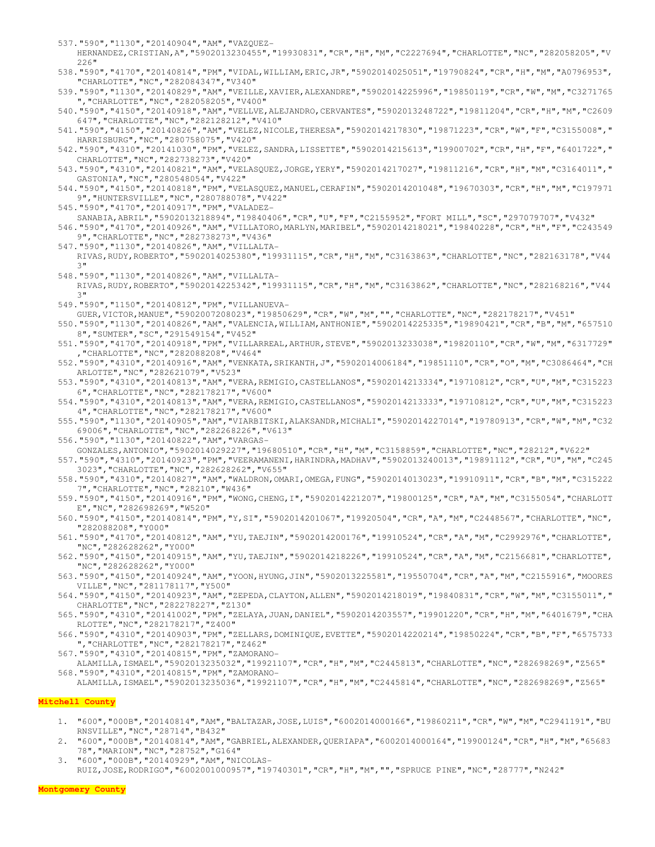- 537."590","1130","20140904","AM","VAZQUEZ-
- HERNANDEZ,CRISTIAN,A","5902013230455","19930831","CR","H","M","C2227694","CHARLOTTE","NC","282058205","V 226"
- 538."590","4170","20140814","PM","VIDAL,WILLIAM,ERIC,JR","5902014025051","19790824","CR","H","M","A0796953", "CHARLOTTE","NC","282084347","V340"
- 539."590","1130","20140829","AM","VEILLE,XAVIER,ALEXANDRE","5902014225996","19850119","CR","W","M","C3271765 ","CHARLOTTE","NC","282058205","V400"
- 540."590","4150","20140918","AM","VELLVE,ALEJANDRO,CERVANTES","5902013248722","19811204","CR","H","M","C2609 647","CHARLOTTE","NC","282128212","V410"
- 541."590","4150","20140826","AM","VELEZ,NICOLE,THERESA","5902014217830","19871223","CR","W","F","C3155008"," HARRISBURG","NC","280758075","V420"
- 542."590","4310","20141030","PM","VELEZ,SANDRA,LISSETTE","5902014215613","19900702","CR","H","F","6401722"," CHARLOTTE","NC","282738273","V420"
- 543."590","4310","20140821","AM","VELASQUEZ,JORGE,YERY","5902014217027","19811216","CR","H","M","C3164011"," GASTONIA","NC","280548054","V422"
- 544."590","4150","20140818","PM","VELASQUEZ,MANUEL,CERAFIN","5902014201048","19670303","CR","H","M","C197971 9","HUNTERSVILLE","NC","280788078","V422"
- 545."590","4170","20140917","PM","VALADEZ-
- SANABIA,ABRIL","5902013218894","19840406","CR","U","F","C2155952","FORT MILL","SC","297079707","V432" 546."590","4170","20140926","AM","VILLATORO,MARLYN,MARIBEL","5902014218021","19840228","CR","H","F","C243549
- 9","CHARLOTTE","NC","282738273","V436" 547."590","1130","20140826","AM","VILLALTA-
- RIVAS,RUDY,ROBERTO","5902014025380","19931115","CR","H","M","C3163863","CHARLOTTE","NC","282163178","V44 3"
- 548."590","1130","20140826","AM","VILLALTA-RIVAS,RUDY,ROBERTO","5902014225342","19931115","CR","H","M","C3163862","CHARLOTTE","NC","282168216","V44 3"
- 549."590","1150","20140812","PM","VILLANUEVA-
- GUER,VICTOR,MANUE","5902007208023","19850629","CR","W","M","","CHARLOTTE","NC","282178217","V451"
- 550."590","1130","20140826","AM","VALENCIA,WILLIAM,ANTHONIE","5902014225335","19890421","CR","B","M","657510 8","SUMTER","SC","291549154","V452"
- 551."590","4170","20140918","PM","VILLARREAL,ARTHUR,STEVE","5902013233038","19820110","CR","W","M","6317729" ,"CHARLOTTE","NC","282088208","V464"
- 552."590","4310","20140916","AM","VENKATA,SRIKANTH,J","5902014006184","19851110","CR","O","M","C3086464","CH ARLOTTE","NC","282621079","V523"
- 553."590","4310","20140813","AM","VERA,REMIGIO,CASTELLANOS","5902014213334","19710812","CR","U","M","C315223 6","CHARLOTTE","NC","282178217","V600"
- 554."590","4310","20140813","AM","VERA,REMIGIO,CASTELLANOS","5902014213333","19710812","CR","U","M","C315223 4","CHARLOTTE","NC","282178217","V600"
- 555."590","1130","20140905","AM","VIARBITSKI,ALAKSANDR,MICHALI","5902014227014","19780913","CR","W","M","C32 69006","CHARLOTTE","NC","282268226","V613"
- 556."590","1130","20140822","AM","VARGAS-GONZALES,ANTONIO","5902014029227","19680510","CR","H","M","C3158859","CHARLOTTE","NC","28212","V622"
- 557."590","4310","20140923","PM","VEERAMANENI,HARINDRA,MADHAV","5902013240013","19891112","CR","U","M","C245
- 3023","CHARLOTTE","NC","282628262","V655" 558."590","4310","20140827","AM","WALDRON,OMARI,OMEGA,FUNG","5902014013023","19910911","CR","B","M","C315222
- 7","CHARLOTTE","NC","28210","W436" 559."590","4150","20140916","PM","WONG,CHENG,I","5902014221207","19800125","CR","A","M","C3155054","CHARLOTT
- E","NC","282698269","W520"
- 560."590","4150","20140814","PM","Y,SI","5902014201067","19920504","CR","A","M","C2448567","CHARLOTTE","NC", "282088208","Y000"
- 561."590","4170","20140812","AM","YU,TAEJIN","5902014200176","19910524","CR","A","M","C2992976","CHARLOTTE", "NC","282628262","Y000"
- 562."590","4150","20140915","AM","YU,TAEJIN","5902014218226","19910524","CR","A","M","C2156681","CHARLOTTE", "NC","282628262","Y000"
- 563."590","4150","20140924","AM","YOON,HYUNG,JIN","5902013225581","19550704","CR","A","M","C2155916","MOORES VILLE","NC","281178117","Y500"
- 564."590","4150","20140923","AM","ZEPEDA,CLAYTON,ALLEN","5902014218019","19840831","CR","W","M","C3155011"," CHARLOTTE","NC","282278227","Z130"
- 565."590","4310","20141002","PM","ZELAYA,JUAN,DANIEL","5902014203557","19901220","CR","H","M","6401679","CHA RLOTTE","NC","282178217","Z400"
- 566."590","4310","20140903","PM","ZELLARS,DOMINIQUE,EVETTE","5902014220214","19850224","CR","B","F","6575733 ","CHARLOTTE","NC","282178217","Z462"
- 567."590","4310","20140815","PM","ZAMORANO-ALAMILLA,ISMAEL","5902013235032","19921107","CR","H","M","C2445813","CHARLOTTE","NC","282698269","Z565"
- 568."590","4310","20140815","PM","ZAMORANO-ALAMILLA,ISMAEL","5902013235036","19921107","CR","H","M","C2445814","CHARLOTTE","NC","282698269","Z565"

# **Mitchell County**

- 1. "600","000B","20140814","AM","BALTAZAR,JOSE,LUIS","6002014000166","19860211","CR","W","M","C2941191","BU RNSVILLE","NC","28714","B432"
- 2. "600","000B","20140814","AM","GABRIEL,ALEXANDER,QUERIAPA","6002014000164","19900124","CR","H","M","65683 78","MARION","NC","28752","G164"
- 3. "600","000B","20140929","AM","NICOLAS-RUIZ,JOSE,RODRIGO","6002001000957","19740301","CR","H","M","","SPRUCE PINE","NC","28777","N242"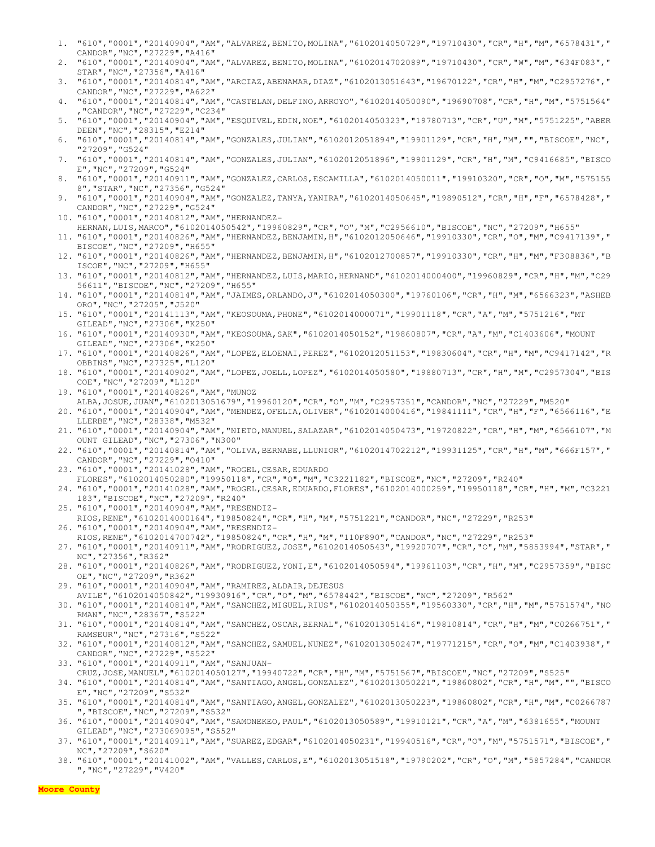- 1. "610","0001","20140904","AM","ALVAREZ,BENITO,MOLINA","6102014050729","19710430","CR","H","M","6578431"," CANDOR","NC","27229","A416"
- 2. "610","0001","20140904","AM","ALVAREZ,BENITO,MOLINA","6102014702089","19710430","CR","W","M","634F083"," STAR","NC","27356","A416"
- 3. "610","0001","20140814","AM","ARCIAZ,ABENAMAR,DIAZ","6102013051643","19670122","CR","H","M","C2957276"," CANDOR","NC","27229","A622"
- 4. "610","0001","20140814","AM","CASTELAN,DELFINO,ARROYO","6102014050090","19690708","CR","H","M","5751564" ,"CANDOR","NC","27229","C234"
- 5. "610","0001","20140904","AM","ESQUIVEL,EDIN,NOE","6102014050323","19780713","CR","U","M","5751225","ABER DEEN","NC","28315","E214"
- 6. "610","0001","20140814","AM","GONZALES,JULIAN","6102012051894","19901129","CR","H","M","","BISCOE","NC", "27209","G524"
- 7. "610","0001","20140814","AM","GONZALES,JULIAN","6102012051896","19901129","CR","H","M","C9416685","BISCO E","NC","27209","G524"
- 8. "610","0001","20140911","AM","GONZALEZ,CARLOS,ESCAMILLA","6102014050011","19910320","CR","O","M","575155 8","STAR","NC","27356","G524"
- 9. "610","0001","20140904","AM","GONZALEZ,TANYA,YANIRA","6102014050645","19890512","CR","H","F","6578428"," CANDOR","NC","27229","G524"
- 10. "610","0001","20140812","AM","HERNANDEZ-
- HERNAN,LUIS,MARCO","6102014050542","19960829","CR","O","M","C2956610","BISCOE","NC","27209","H655"
- 11. "610","0001","20140826","AM","HERNANDEZ,BENJAMIN,H","6102012050646","19910330","CR","O","M","C9417139"," BISCOE","NC","27209","H655"
- 12. "610","0001","20140826","AM","HERNANDEZ,BENJAMIN,H","6102012700857","19910330","CR","H","M","F308836","B ISCOE","NC","27209","H655"
- 13. "610","0001","20140812","AM","HERNANDEZ,LUIS,MARIO,HERNAND","6102014000400","19960829","CR","H","M","C29 56611","BISCOE","NC","27209","H655"
- 14. "610","0001","20140814","AM","JAIMES,ORLANDO,J","6102014050300","19760106","CR","H","M","6566323","ASHEB ORO","NC","27205","J520"
- 15. "610","0001","20141113","AM","KEOSOUMA,PHONE","6102014000071","19901118","CR","A","M","5751216","MT GILEAD","NC","27306","K250"
- 16. "610","0001","20140930","AM","KEOSOUMA,SAK","6102014050152","19860807","CR","A","M","C1403606","MOUNT GILEAD","NC","27306","K250"
- 17. "610","0001","20140826","AM","LOPEZ,ELOENAI,PEREZ","6102012051153","19830604","CR","H","M","C9417142","R OBBINS","NC","27325","L120"
- 18. "610","0001","20140902","AM","LOPEZ,JOELL,LOPEZ","6102014050580","19880713","CR","H","M","C2957304","BIS COE","NC","27209","L120"
- 19. "610","0001","20140826","AM","MUNOZ ALBA,JOSUE,JUAN","6102013051679","19960120","CR","O","M","C2957351","CANDOR","NC","27229","M520"
- 20. "610","0001","20140904","AM","MENDEZ,OFELIA,OLIVER","6102014000416","19841111","CR","H","F","6566116","E LLERBE","NC","28338","M532"
- 21. "610","0001","20140904","AM","NIETO,MANUEL,SALAZAR","6102014050473","19720822","CR","H","M","6566107","M OUNT GILEAD","NC","27306","N300"
- 22. "610","0001","20140814","AM","OLIVA,BERNABE,LLUNIOR","6102014702212","19931125","CR","H","M","666F157"," CANDOR","NC","27229","O410"
- 23. "610","0001","20141028","AM","ROGEL,CESAR,EDUARDO
- FLORES","6102014050280","19950118","CR","O","M","C3221182","BISCOE","NC","27209","R240"
- 24. "610","0001","20141028","AM","ROGEL,CESAR,EDUARDO,FLORES","6102014000259","19950118","CR","H","M","C3221 183","BISCOE","NC","27209","R240"
- 25. "610","0001","20140904","AM","RESENDIZ-
- RIOS,RENE","6102014000164","19850824","CR","H","M","5751221","CANDOR","NC","27229","R253"
- 26. "610","0001","20140904","AM","RESENDIZ-
- RIOS,RENE","6102014700742","19850824","CR","H","M","110F890","CANDOR","NC","27229","R253"
- 27. "610","0001","20140911","AM","RODRIGUEZ,JOSE","6102014050543","19920707","CR","O","M","5853994","STAR"," NC","27356","R362"
- 28. "610","0001","20140826","AM","RODRIGUEZ,YONI,E","6102014050594","19961103","CR","H","M","C2957359","BISC OE","NC","27209","R362"
- 29. "610","0001","20140904","AM","RAMIREZ,ALDAIR,DEJESUS
- AVILE","6102014050842","19930916","CR","O","M","6578442","BISCOE","NC","27209","R562"
- 30. "610","0001","20140814","AM","SANCHEZ,MIGUEL,RIUS","6102014050355","19560330","CR","H","M","5751574","NO RMAN","NC","28367","S522"
- 31. "610","0001","20140814","AM","SANCHEZ,OSCAR,BERNAL","6102013051416","19810814","CR","H","M","C0266751"," RAMSEUR","NC","27316","S522"
- 32. "610","0001","20140812","AM","SANCHEZ,SAMUEL,NUNEZ","6102013050247","19771215","CR","O","M","C1403938"," CANDOR","NC","27229","S522"
- 33. "610","0001","20140911","AM","SANJUAN-
- CRUZ,JOSE,MANUEL","6102014050127","19940722","CR","H","M","5751567","BISCOE","NC","27209","S525"
- 34. "610","0001","20140814","AM","SANTIAGO,ANGEL,GONZALEZ","6102013050221","19860802","CR","H","M","","BISCO E","NC","27209","S532"
- 35. "610","0001","20140814","AM","SANTIAGO,ANGEL,GONZALEZ","6102013050223","19860802","CR","H","M","C0266787 ","BISCOE","NC","27209","S532"
- 36. "610","0001","20140904","AM","SAMONEKEO,PAUL","6102013050589","19910121","CR","A","M","6381655","MOUNT GILEAD","NC","273069095","S552"
- 37. "610","0001","20140911","AM","SUAREZ,EDGAR","6102014050231","19940516","CR","O","M","5751571","BISCOE"," NC","27209","S620"
- 38. "610","0001","20141002","AM","VALLES,CARLOS,E","6102013051518","19790202","CR","O","M","5857284","CANDOR ","NC","27229","V420"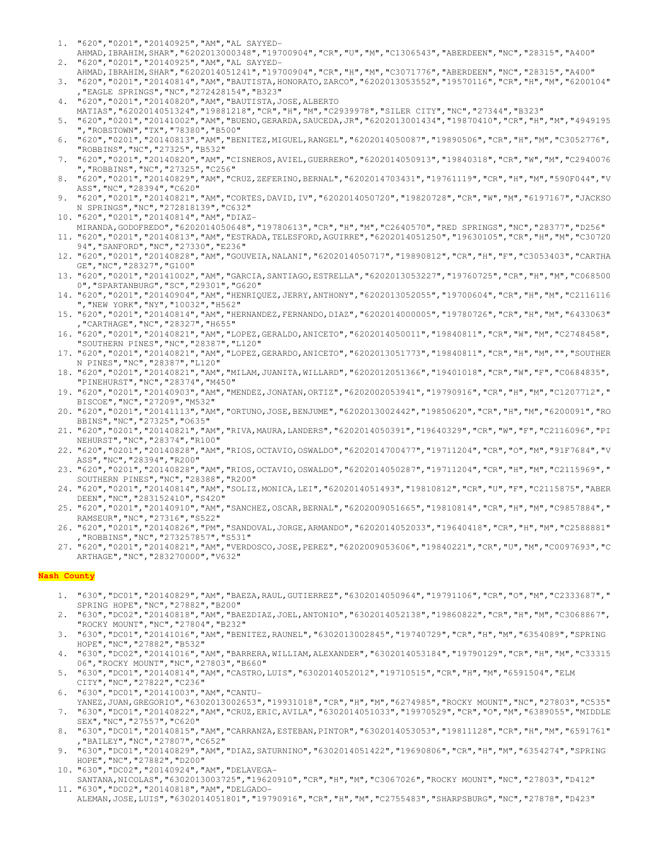- 1. "620","0201","20140925","AM","AL SAYYED-
- AHMAD,IBRAHIM,SHAR","6202013000348","19700904","CR","U","M","C1306543","ABERDEEN","NC","28315","A400" 2. "620","0201","20140925","AM","AL SAYYED-
- AHMAD,IBRAHIM,SHAR","6202014051241","19700904","CR","H","M","C3071776","ABERDEEN","NC","28315","A400" 3. "620","0201","20140814","AM","BAUTISTA,HONORATO,ZARCO","6202013053552","19570116","CR","H","M","6200104" ,"EAGLE SPRINGS","NC","272428154","B323"
- 4. "620","0201","20140820","AM","BAUTISTA,JOSE,ALBERTO
- MATIAS","6202014051324","19881218","CR","H","M","C2939978","SILER CITY","NC","27344","B323"
- 5. "620","0201","20141002","AM","BUENO,GERARDA,SAUCEDA,JR","6202013001434","19870410","CR","H","M","4949195 ","ROBSTOWN","TX","78380","B500"
- 6. "620","0201","20140813","AM","BENITEZ,MIGUEL,RANGEL","6202014050087","19890506","CR","H","M","C3052776", "ROBBINS","NC","27325","B532"
- 7. "620","0201","20140820","AM","CISNEROS,AVIEL,GUERRERO","6202014050913","19840318","CR","W","M","C2940076 ","ROBBINS","NC","27325","C256"
- 8. "620","0201","20140829","AM","CRUZ,ZEFERINO,BERNAL","6202014703431","19761119","CR","H","M","590F044","V ASS","NC","28394","C620"
- 9. "620","0201","20140821","AM","CORTES,DAVID,IV","6202014050720","19820728","CR","W","M","6197167","JACKSO N SPRINGS","NC","272818139","C632"
- 10. "620","0201","20140814","AM","DIAZ-
- MIRANDA,GODOFREDO","6202014050648","19780613","CR","H","M","C2640570","RED SPRINGS","NC","28377","D256" 11. "620","0201","20140813","AM","ESTRADA,TELESFORD,AGUIRRE","6202014051250","19630105","CR","H","M","C30720
- 94","SANFORD","NC","27330","E236" 12. "620","0201","20140828","AM","GOUVEIA,NALANI","6202014050717","19890812","CR","H","F","C3053403","CARTHA
- GE","NC","28327","G100"
- 13. "620","0201","20141002","AM","GARCIA,SANTIAGO,ESTRELLA","6202013053227","19760725","CR","H","M","C068500 0","SPARTANBURG","SC","29301","G620"
- 14. "620","0201","20140904","AM","HENRIQUEZ,JERRY,ANTHONY","6202013052055","19700604","CR","H","M","C2116116 ","NEW YORK","NY","10032","H562"
- 15. "620","0201","20140814","AM","HERNANDEZ,FERNANDO,DIAZ","6202014000005","19780726","CR","H","M","6433063" ,"CARTHAGE","NC","28327","H655"
- 16. "620","0201","20140821","AM","LOPEZ,GERALDO,ANICETO","6202014050011","19840811","CR","W","M","C2748458", "SOUTHERN PINES","NC","28387","L120"
- 17. "620","0201","20140821","AM","LOPEZ,GERARDO,ANICETO","6202013051773","19840811","CR","H","M","","SOUTHER N PINES","NC","28387","L120"
- 18. "620","0201","20140821","AM","MILAM,JUANITA,WILLARD","6202012051366","19401018","CR","W","F","C0684835", "PINEHURST","NC","28374","M450"
- 19. "620","0201","20140903","AM","MENDEZ,JONATAN,ORTIZ","6202002053941","19790916","CR","H","M","C1207712"," BISCOE","NC","27209","M532"
- 20. "620","0201","20141113","AM","ORTUNO,JOSE,BENJUME","6202013002442","19850620","CR","H","M","6200091","RO BBINS","NC","27325","O635"
- 21. "620","0201","20140821","AM","RIVA,MAURA,LANDERS","6202014050391","19640329","CR","W","F","C2116096","PI NEHURST","NC","28374","R100"
- 22. "620","0201","20140828","AM","RIOS,OCTAVIO,OSWALDO","6202014700477","19711204","CR","O","M","91F7684","V ASS","NC","28394","R200"
- 23. "620","0201","20140828","AM","RIOS,OCTAVIO,OSWALDO","6202014050287","19711204","CR","H","M","C2115969"," SOUTHERN PINES","NC","28388","R200"
- 24. "620","0201","20140814","AM","SOLIZ,MONICA,LEI","6202014051493","19810812","CR","U","F","C2115875","ABER DEEN","NC","283152410","S420"
- 25. "620","0201","20140910","AM","SANCHEZ,OSCAR,BERNAL","6202009051665","19810814","CR","H","M","C9857884"," RAMSEUR","NC","27316","S522"
- 26. "620","0201","20140826","PM","SANDOVAL,JORGE,ARMANDO","6202014052033","19640418","CR","H","M","C2588881" ,"ROBBINS","NC","273257857","S531"
- 27. "620","0201","20140821","AM","VERDOSCO,JOSE,PEREZ","6202009053606","19840221","CR","U","M","C0097693","C ARTHAGE","NC","283270000","V632"

# **Nash County**

- 1. "630","DC01","20140829","AM","BAEZA,RAUL,GUTIERREZ","6302014050964","19791106","CR","O","M","C2333687"," SPRING HOPE","NC","27882","B200"
- 2. "630","DC02","20140818","AM","BAEZDIAZ,JOEL,ANTONIO","6302014052138","19860822","CR","H","M","C3068867", "ROCKY MOUNT","NC","27804","B232"
- 3. "630","DC01","20141016","AM","BENITEZ,RAUNEL","6302013002845","19740729","CR","H","M","6354089","SPRING HOPE","NC","27882","B532"
- 4. "630","DC02","20141016","AM","BARRERA,WILLIAM,ALEXANDER","6302014053184","19790129","CR","H","M","C33315 06","ROCKY MOUNT","NC","27803","B660"
- 5. "630","DC01","20140814","AM","CASTRO,LUIS","6302014052012","19710515","CR","H","M","6591504","ELM CITY","NC","27822","C236"
- 6. "630","DC01","20141003","AM","CANTU-YANEZ,JUAN,GREGORIO","6302013002653","19931018","CR","H","M","6274985","ROCKY MOUNT","NC","27803","C535"
- 7. "630","DC01","20140822","AM","CRUZ,ERIC,AVILA","6302014051033","19970529","CR","O","M","6389055","MIDDLE SEX","NC","27557","C620"
- 8. "630","DC01","20140815","AM","CARRANZA,ESTEBAN,PINTOR","6302014053053","19811128","CR","H","M","6591761" ,"BAILEY","NC","27807","C652"
- 9. "630","DC01","20140829","AM","DIAZ,SATURNINO","6302014051422","19690806","CR","H","M","6354274","SPRING HOPE","NC","27882","D200"
- 10. "630","DC02","20140924","AM","DELAVEGA-
- SANTANA,NICOLAS","6302013003725","19620910","CR","H","M","C3067026","ROCKY MOUNT","NC","27803","D412" 11. "630","DC02","20140818","AM","DELGADO-
- ALEMAN,JOSE,LUIS","6302014051801","19790916","CR","H","M","C2755483","SHARPSBURG","NC","27878","D423"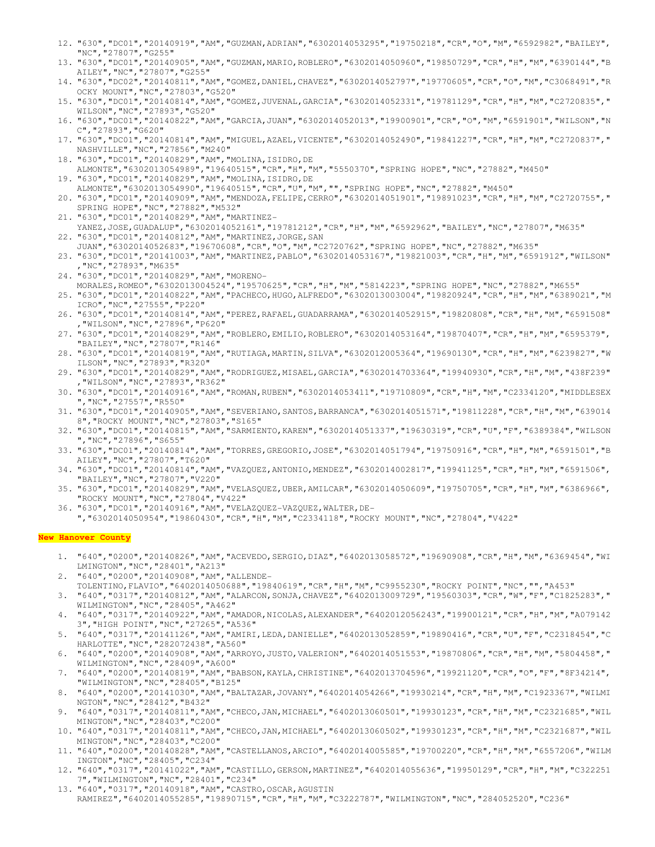- 12. "630","DC01","20140919","AM","GUZMAN,ADRIAN","6302014053295","19750218","CR","O","M","6592982","BAILEY", "NC","27807","G255"
- 13. "630","DC01","20140905","AM","GUZMAN,MARIO,ROBLERO","6302014050960","19850729","CR","H","M","6390144","B AILEY","NC","27807","G255"
- 14. "630","DC02","20140811","AM","GOMEZ,DANIEL,CHAVEZ","6302014052797","19770605","CR","O","M","C3068491","R OCKY MOUNT","NC","27803","G520"
- 15. "630","DC01","20140814","AM","GOMEZ,JUVENAL,GARCIA","6302014052331","19781129","CR","H","M","C2720835"," WILSON","NC","27893","G520"
- 16. "630","DC01","20140822","AM","GARCIA,JUAN","6302014052013","19900901","CR","O","M","6591901","WILSON","N C","27893","G620"
- 17. "630","DC01","20140814","AM","MIGUEL,AZAEL,VICENTE","6302014052490","19841227","CR","H","M","C2720837"," NASHVILLE","NC","27856","M240"
- 18. "630","DC01","20140829","AM","MOLINA,ISIDRO,DE
- ALMONTE","6302013054989","19640515","CR","H","M","5550370","SPRING HOPE","NC","27882","M450" 19. "630","DC01","20140829","AM","MOLINA,ISIDRO,DE
- ALMONTE","6302013054990","19640515","CR","U","M","","SPRING HOPE","NC","27882","M450"
- 20. "630","DC01","20140909","AM","MENDOZA,FELIPE,CERRO","6302014051901","19891023","CR","H","M","C2720755"," SPRING HOPE","NC","27882","M532"
- 21. "630","DC01","20140829","AM","MARTINEZ-
- YANEZ,JOSE,GUADALUP","6302014052161","19781212","CR","H","M","6592962","BAILEY","NC","27807","M635" 22. "630","DC01","20140812","AM","MARTINEZ,JORGE,SAN
- JUAN","6302014052683","19670608","CR","O","M","C2720762","SPRING HOPE","NC","27882","M635"
- 23. "630","DC01","20141003","AM","MARTINEZ,PABLO","6302014053167","19821003","CR","H","M","6591912","WILSON" ,"NC","27893","M635"
- 24. "630","DC01","20140829","AM","MORENO-
- MORALES,ROMEO","6302013004524","19570625","CR","H","M","5814223","SPRING HOPE","NC","27882","M655" 25. "630","DC01","20140822","AM","PACHECO,HUGO,ALFREDO","6302013003004","19820924","CR","H","M","6389021","M
- ICRO","NC","27555","P220"
- 26. "630","DC01","20140814","AM","PEREZ,RAFAEL,GUADARRAMA","6302014052915","19820808","CR","H","M","6591508" ,"WILSON","NC","27896","P620"
- 27. "630","DC01","20140829","AM","ROBLERO,EMILIO,ROBLERO","6302014053164","19870407","CR","H","M","6595379", "BAILEY","NC","27807","R146"
- 28. "630","DC01","20140819","AM","RUTIAGA,MARTIN,SILVA","6302012005364","19690130","CR","H","M","6239827","W ILSON","NC","27893","R320"
- 29. "630","DC01","20140829","AM","RODRIGUEZ,MISAEL,GARCIA","6302014703364","19940930","CR","H","M","438F239" ,"WILSON","NC","27893","R362"
- 30. "630","DC01","20140916","AM","ROMAN,RUBEN","6302014053411","19710809","CR","H","M","C2334120","MIDDLESEX ","NC","27557","R550"
- 31. "630","DC01","20140905","AM","SEVERIANO,SANTOS,BARRANCA","6302014051571","19811228","CR","H","M","639014 8","ROCKY MOUNT","NC","27803","S165"
- 32. "630","DC01","20140815","AM","SARMIENTO,KAREN","6302014051337","19630319","CR","U","F","6389384","WILSON ","NC","27896","S655"
- 33. "630","DC01","20140814","AM","TORRES,GREGORIO,JOSE","6302014051794","19750916","CR","H","M","6591501","B AILEY","NC","27807","T620"
- 34. "630","DC01","20140814","AM","VAZQUEZ,ANTONIO,MENDEZ","6302014002817","19941125","CR","H","M","6591506", "BAILEY","NC","27807","V220"
- 35. "630","DC01","20140829","AM","VELASQUEZ,UBER,AMILCAR","6302014050609","19750705","CR","H","M","6386966", "ROCKY MOUNT","NC","27804","V422"
- 36. "630","DC01","20140916","AM","VELAZQUEZ-VAZQUEZ,WALTER,DE-
- ","6302014050954","19860430","CR","H","M","C2334118","ROCKY MOUNT","NC","27804","V422"

# **New Hanover County**

- 1. "640","0200","20140826","AM","ACEVEDO,SERGIO,DIAZ","6402013058572","19690908","CR","H","M","6369454","WI LMINGTON","NC","28401","A213"
- 2. "640","0200","20140908","AM","ALLENDE-
- TOLENTINO,FLAVIO","6402014050688","19840619","CR","H","M","C9955230","ROCKY POINT","NC","","A453"
- 3. "640","0317","20140812","AM","ALARCON,SONJA,CHAVEZ","6402013009729","19560303","CR","W","F","C1825283"," WILMINGTON","NC","28405","A462"
- 4. "640","0317","20140922","AM","AMADOR,NICOLAS,ALEXANDER","6402012056243","19900121","CR","H","M","A079142 3","HIGH POINT","NC","27265","A536"
- 5. "640","0317","20141126","AM","AMIRI,LEDA,DANIELLE","6402013052859","19890416","CR","U","F","C2318454","C HARLOTTE","NC","282072438","A560"
- 6. "640","0200","20140908","AM","ARROYO,JUSTO,VALERION","6402014051553","19870806","CR","H","M","5804458"," WILMINGTON","NC","28409","A600"
- 7. "640","0200","20140819","AM","BABSON,KAYLA,CHRISTINE","6402013704596","19921120","CR","O","F","8F34214", "WILMINGTON","NC","28405","B125"
- 8. "640","0200","20141030","AM","BALTAZAR,JOVANY","6402014054266","19930214","CR","H","M","C1923367","WILMI NGTON","NC","28412","B432"
- 9. "640","0317","20140811","AM","CHECO,JAN,MICHAEL","6402013060501","19930123","CR","H","M","C2321685","WIL MINGTON","NC","28403","C200"
- 10. "640","0317","20140811","AM","CHECO,JAN,MICHAEL","6402013060502","19930123","CR","H","M","C2321687","WIL MINGTON","NC","28403","C200"
- 11. "640","0200","20140828","AM","CASTELLANOS,ARCIO","6402014005585","19700220","CR","H","M","6557206","WILM INGTON","NC","28405","C234"
- 12. "640","0317","20141022","AM","CASTILLO,GERSON,MARTINEZ","6402014055636","19950129","CR","H","M","C322251 7","WILMINGTON","NC","28401","C234"
- 13. "640","0317","20140918","AM","CASTRO,OSCAR,AGUSTIN
- RAMIREZ","6402014055285","19890715","CR","H","M","C3222787","WILMINGTON","NC","284052520","C236"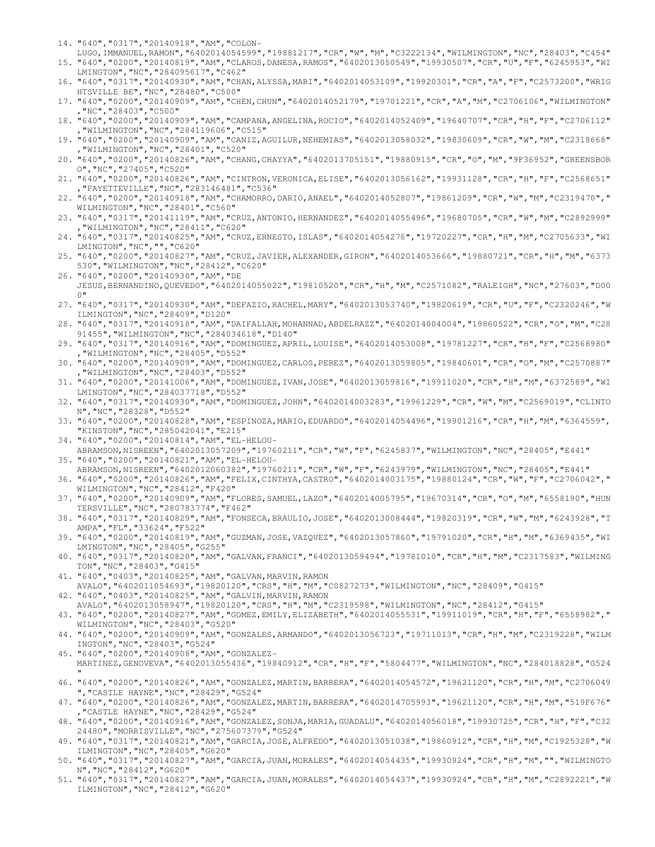- 14. "640","0317","20140918","AM","COLON-
- LUGO,IMMANUEL,RAMON","6402014054599","19881217","CR","W","M","C3222134","WILMINGTON","NC","28403","C454" 15. "640","0200","20140819","AM","CLAROS,DANESA,RAMOS","6402013050549","19930507","CR","U","F","6245953","WI LMINGTON","NC","284095617","C462"
- 16. "640","0317","20140930","AM","CHAN,ALYSSA,MARI","6402014053109","19920301","CR","A","F","C2573200","WRIG HTSVILLE BE","NC","28480","C500"
- 17. "640","0200","20140909","AM","CHEN,CHUN","6402014052179","19701221","CR","A","M","C2706106","WILMINGTON" ,"NC","28403","C500"
- 18. "640","0200","20140909","AM","CAMPANA,ANGELINA,ROCIO","6402014052409","19640707","CR","H","F","C2706112" ,"WILMINGTON","NC","284119606","C515"
- 19. "640","0200","20140909","AM","CANIZ,AGUILUR,NEHEMIAS","6402013058032","19830609","CR","W","M","C2318668" ,"WILMINGTON","NC","28401","C520"
- 20. "640","0200","20140826","AM","CHANG,CHAYYA","6402013705151","19880915","CR","O","M","9F36952","GREENSBOR O","NC","27405","C520"
- 21. "640","0200","20140826","AM","CINTRON,VERONICA,ELISE","6402013056162","19931128","CR","H","F","C2568651" ,"FAYETTEVILLE","NC","283146481","C536"
- 22. "640","0200","20140918","AM","CHAMORRO,DARIO,ANAEL","6402014052807","19861209","CR","W","M","C2319470"," WILMINGTON","NC","28401","C560"
- 23. "640","0317","20141119","AM","CRUZ,ANTONIO,HERNANDEZ","6402014055496","19680705","CR","W","M","C2892999" ,"WILMINGTON","NC","28411","C620"
- 24. "640","0317","20140825","AM","CRUZ,ERNESTO,ISLAS","6402014054276","19720227","CR","H","M","C2705633","WI LMINGTON","NC","","C620"
- 25. "640","0200","20140827","AM","CRUZ,JAVIER,ALEXANDER,GIRON","6402014053666","19880721","CR","H","M","6373 530","WILMINGTON","NC","28412","C620"
- 26. "640","0200","20140930","AM","DE JESUS,BERNANDINO,QUEVEDO","6402014055022","19810520","CR","H","M","C2571082","RALEIGH","NC","27603","D00  $\bigcap$  II
- 27. "640","0317","20140930","AM","DEFAZIO,RACHEL,MARY","6402013053740","19820619","CR","U","F","C2320246","W ILMINGTON","NC","28409","D120"
- 28. "640","0317","20140918","AM","DAIFALLAH,MOHANNAD,ABDELRAZZ","6402014004004","19860522","CR","O","M","C28 91455","WILMINGTON","NC","284034618","D140"
- 29. "640","0317","20140916","AM","DOMINGUEZ,APRIL,LOUISE","6402014053008","19781227","CR","H","F","C2568980" ,"WILMINGTON","NC","28405","D552"
- 30. "640","0200","20140909","AM","DOMINGUEZ,CARLOS,PEREZ","6402013059805","19840601","CR","O","M","C2570887" ,"WILMINGTON","NC","28403","D552"
- 31. "640","0200","20141006","AM","DOMINGUEZ,IVAN,JOSE","6402013059816","19911020","CR","H","M","6372589","WI LMINGTON","NC","284037718","D552"
- 32. "640","0317","20140930","AM","DOMINGUEZ,JOHN","6402014003283","19961229","CR","W","M","C2569019","CLINTO N","NC","28328","D552"
- 33. "640","0200","20140828","AM","ESPINOZA,MARIO,EDUARDO","6402014054496","19901216","CR","H","M","6364559", "KINSTON","NC","285042041","E215"
- 34. "640","0200","20140814","AM","EL-HELOU-ABRAMSON,NISREEN","6402013057209","19760211","CR","W","F","6245837","WILMINGTON","NC","28405","E441"
- 35. "640","0200","20140821","AM","EL-HELOU-ABRAMSON,NISREEN","6402012060382","19760211","CR","W","F","6243979","WILMINGTON","NC","28405","E441"
- 36. "640","0200","20140826","AM","FELIX,CINTHYA,CASTRO","6402014003175","19880124","CR","W","F","C2706042"," WILMINGTON","NC","28412","F420"
- 37. "640","0200","20140909","AM","FLORES,SAMUEL,LAZO","6402014005795","19670314","CR","O","M","6558190","HUN TERSVILLE","NC","280783774","F462"
- 38. "640","0317","20140829","AM","FONSECA,BRAULIO,JOSE","6402013008444","19820319","CR","W","M","6243928","T AMPA","FL","33624","F522"
- 39. "640","0200","20140819","AM","GUZMAN,JOSE,VAZQUEZ","6402013057860","19791020","CR","H","M","6369435","WI LMINGTON","NC","28405","G255"
- 40. "640","0317","20140820","AM","GALVAN,FRANCI","6402013059494","19781010","CR","H","M","C2317583","WILMING TON","NC","28403","G415"
- 41. "640","0403","20140825","AM","GALVAN,MARVIN,RAMON
- AVALO","6402011054693","19820120","CRS","H","M","C0827273","WILMINGTON","NC","28409","G415" 42. "640", "0403", "20140825", "AM", "GALVIN, MARVIN, RAMON
- AVALO","6402013058947","19820120","CRS","H","M","C2319598","WILMINGTON","NC","28412","G415"
- 43. "640","0200","20140827","AM","GOMEZ,EMILY,ELIZABETH","6402014055531","19911019","CR","H","F","6558982"," WILMINGTON","NC","28403","G520"
- 44. "640","0200","20140909","AM","GONZALES,ARMANDO","6402013056723","19711013","CR","H","M","C2319228","WILM INGTON","NC","28403","G524"
- 45. "640","0200","20140908","AM","GONZALEZ-MARTINEZ,GENOVEVA","6402013055436","19840912","CR","H","F","5804477","WILMINGTON","NC","284018828","G524 "
- 46. "640","0200","20140826","AM","GONZALEZ,MARTIN,BARRERA","6402014054572","19621120","CR","H","M","C2706049 ","CASTLE HAYNE","NC","28429","G524"
- 47. "640","0200","20140826","AM","GONZALEZ,MARTIN,BARRERA","6402014705993","19621120","CR","H","M","519F676" ,"CASTLE HAYNE","NC","28429","G524"
- 48. "640","0200","20140916","AM","GONZALEZ,SONJA,MARIA,GUADALU","6402014056018","19930725","CR","H","F","C32 24480","MORRISVILLE","NC","275607379","G524"
- 49. "640","0317","20140821","AM","GARCIA,JOSE,ALFREDO","6402013051038","19860912","CR","H","M","C1925328","W ILMINGTON","NC","28405","G620"
- 50. "640","0317","20140827","AM","GARCIA,JUAN,MORALES","6402014054435","19930924","CR","H","M","","WILMINGTO N","NC","28412","G620"
- 51. "640","0317","20140827","AM","GARCIA,JUAN,MORALES","6402014054437","19930924","CR","H","M","C2892221","W ILMINGTON","NC","28412","G620"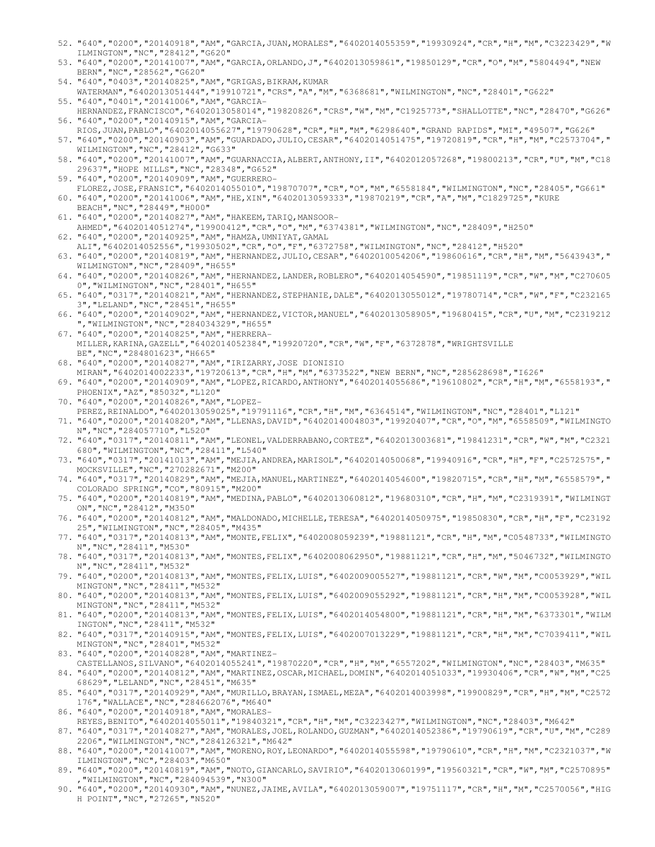- 52. "640","0200","20140918","AM","GARCIA,JUAN,MORALES","6402014055359","19930924","CR","H","M","C3223429","W ILMINGTON","NC","28412","G620"
- 53. "640","0200","20141007","AM","GARCIA,ORLANDO,J","6402013059861","19850129","CR","O","M","5804494","NEW BERN","NC","28562","G620"
- 54. "640","0403","20140825","AM","GRIGAS,BIKRAM,KUMAR
- WATERMAN","6402013051444","19910721","CRS","A","M","6368681","WILMINGTON","NC","28401","G622" 55. "640","0401","20141006","AM","GARCIA-
- HERNANDEZ,FRANCISCO","6402013058014","19820826","CRS","W","M","C1925773","SHALLOTTE","NC","28470","G626" 56. "640","0200","20140915","AM","GARCIA-
- RIOS,JUAN,PABLO","6402014055627","19790628","CR","H","M","6298640","GRAND RAPIDS","MI","49507","G626"
- 57. "640","0200","20140903","AM","GUARDADO,JULIO,CESAR","6402014051475","19720819","CR","H","M","C2573704"," WILMINGTON","NC","28412","G633"
- 58. "640","0200","20141007","AM","GUARNACCIA,ALBERT,ANTHONY,II","6402012057268","19800213","CR","U","M","C18 29637","HOPE MILLS","NC","28348","G652"
- 59. "640","0200","20140909","AM","GUERRERO-
- FLOREZ,JOSE,FRANSIC","6402014055010","19870707","CR","O","M","6558184","WILMINGTON","NC","28405","G661" 60. "640","0200","20141006","AM","HE,XIN","6402013059333","19870219","CR","A","M","C1829725","KURE
- BEACH","NC","28449","H000" 61. "640","0200","20140827","AM","HAKEEM,TARIQ,MANSOOR-
- AHMED","6402014051274","19900412","CR","O","M","6374381","WILMINGTON","NC","28409","H250" 62. "640","0200","20140925","AM","HAMZA,UMNIYAT,GAMAL
- ALI","6402014052556","19930502","CR","O","F","6372758","WILMINGTON","NC","28412","H520"
- 63. "640","0200","20140819","AM","HERNANDEZ,JULIO,CESAR","6402010054206","19860616","CR","H","M","5643943"," WILMINGTON","NC","28409","H655"
- 64. "640","0200","20140826","AM","HERNANDEZ,LANDER,ROBLERO","6402014054590","19851119","CR","W","M","C270605 0","WILMINGTON","NC","28401","H655"
- 65. "640","0317","20140821","AM","HERNANDEZ,STEPHANIE,DALE","6402013055012","19780714","CR","W","F","C232165 3","LELAND","NC","28451","H655"
- 66. "640","0200","20140902","AM","HERNANDEZ,VICTOR,MANUEL","6402013058905","19680415","CR","U","M","C2319212 ","WILMINGTON","NC","284034329","H655"
- 67. "640","0200","20140825","AM","HERRERA-MILLER,KARINA,GAZELL","6402014052384","19920720","CR","W","F","6372878","WRIGHTSVILLE BE","NC","284801623","H665"
- 68. "640","0200","20140827","AM","IRIZARRY,JOSE DIONISIO
- MIRAN","6402014002233","19720613","CR","H","M","6373522","NEW BERN","NC","285628698","I626"
- 69. "640","0200","20140909","AM","LOPEZ,RICARDO,ANTHONY","6402014055686","19610802","CR","H","M","6558193"," PHOENIX","AZ","85032","L120"
- 70. "640","0200","20140826","AM","LOPEZ-
- PEREZ,REINALDO","6402013059025","19791116","CR","H","M","6364514","WILMINGTON","NC","28401","L121"
- 71. "640","0200","20140820","AM","LLENAS,DAVID","6402014004803","19920407","CR","O","M","6558509","WILMINGTO N","NC","284057710","L520"
- 72. "640","0317","20140811","AM","LEONEL,VALDERRABANO,CORTEZ","6402013003681","19841231","CR","W","M","C2321 680","WILMINGTON","NC","28411","L540"
- 73. "640","0317","20141013","AM","MEJIA,ANDREA,MARISOL","6402014050068","19940916","CR","H","F","C2572575"," MOCKSVILLE","NC","270282671","M200"
- 74. "640","0317","20140829","AM","MEJIA,MANUEL,MARTINEZ","6402014054600","19820715","CR","H","M","6558579"," COLORADO SPRING","CO","80915","M200"
- 75. "640","0200","20140819","AM","MEDINA,PABLO","6402013060812","19680310","CR","H","M","C2319391","WILMINGT ON","NC","28412","M350"
- 76. "640","0200","20140812","AM","MALDONADO,MICHELLE,TERESA","6402014050975","19850830","CR","H","F","C23192 25","WILMINGTON","NC","28405","M435"
- 77. "640","0317","20140813","AM","MONTE,FELIX","6402008059239","19881121","CR","H","M","C0548733","WILMINGTO N","NC","28411","M530"
- 78. "640","0317","20140813","AM","MONTES,FELIX","6402008062950","19881121","CR","H","M","5046732","WILMINGTO N","NC","28411","M532"
- 79. "640","0200","20140813","AM","MONTES,FELIX,LUIS","6402009005527","19881121","CR","W","M","C0053929","WIL MINGTON","NC","28411","M532"
- 80. "640","0200","20140813","AM","MONTES,FELIX,LUIS","6402009055292","19881121","CR","H","M","C0053928","WIL MINGTON","NC","28411","M532"
- 81. "640","0200","20140813","AM","MONTES,FELIX,LUIS","6402014054800","19881121","CR","H","M","6373301","WILM INGTON","NC","28411","M532"
- 82. "640","0317","20140915","AM","MONTES,FELIX,LUIS","6402007013229","19881121","CR","H","M","C7039411","WIL MINGTON","NC","28401","M532"
- 83. "640","0200","20140828","AM","MARTINEZ-
- CASTELLANOS,SILVANO","6402014055241","19870220","CR","H","M","6557202","WILMINGTON","NC","28403","M635"
- 84. "640","0200","20140812","AM","MARTINEZ,OSCAR,MICHAEL,DOMIN","6402014051033","19930406","CR","W","M","C25 68629","LELAND","NC","28451","M635"
- 85. "640","0317","20140929","AM","MURILLO,BRAYAN,ISMAEL,MEZA","6402014003998","19900829","CR","H","M","C2572 176","WALLACE","NC","284662076","M640"
- 86. "640","0200","20140918","AM","MORALES-REYES,BENITO","6402014055011","19840321","CR","H","M","C3223427","WILMINGTON","NC","28403","M642"
- 87. "640","0317","20140827","AM","MORALES,JOEL,ROLANDO,GUZMAN","6402014052386","19790619","CR","U","M","C289 2206","WILMINGTON","NC","284126321","M642"
- 88. "640","0200","20141007","AM","MORENO,ROY,LEONARDO","6402014055598","19790610","CR","H","M","C2321037","W ILMINGTON","NC","28403","M650"
- 89. "640","0200","20140819","AM","NOTO,GIANCARLO,SAVIRIO","6402013060199","19560321","CR","W","M","C2570895" ,"WILMINGTON","NC","284094539","N300"
- 90. "640","0200","20140930","AM","NUNEZ,JAIME,AVILA","6402013059007","19751117","CR","H","M","C2570056","HIG H POINT","NC","27265","N520"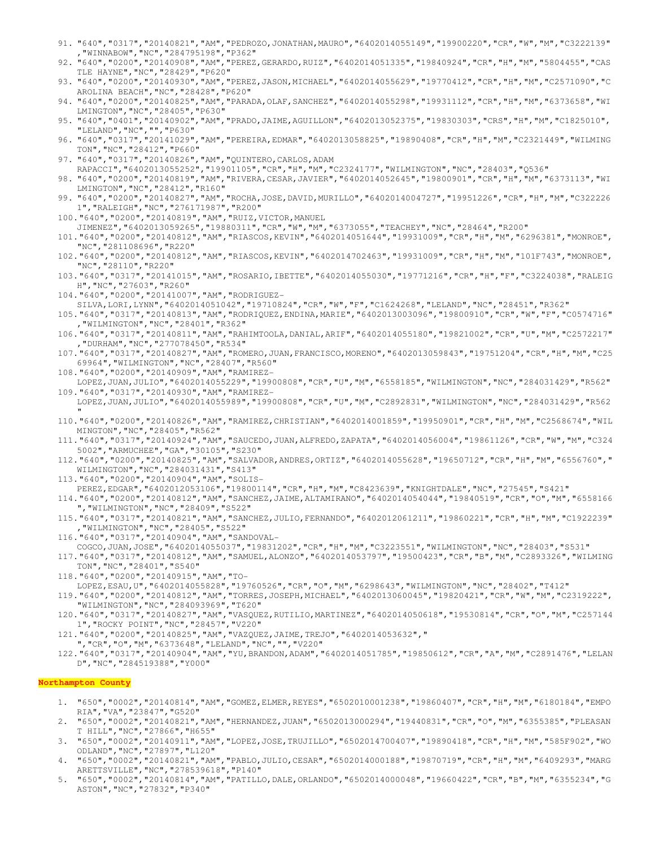- 91. "640","0317","20140821","AM","PEDROZO,JONATHAN,MAURO","6402014055149","19900220","CR","W","M","C3222139" ,"WINNABOW","NC","284795198","P362"
- 92. "640","0200","20140908","AM","PEREZ,GERARDO,RUIZ","6402014051335","19840924","CR","H","M","5804455","CAS TLE HAYNE","NC","28429","P620"
- 93. "640","0200","20140930","AM","PEREZ,JASON,MICHAEL","6402014055629","19770412","CR","H","M","C2571090","C AROLINA BEACH","NC","28428","P620"
- 94. "640","0200","20140825","AM","PARADA,OLAF,SANCHEZ","6402014055298","19931112","CR","H","M","6373658","WI LMINGTON","NC","28405","P630"
- 95. "640","0401","20140902","AM","PRADO,JAIME,AGUILLON","6402013052375","19830303","CRS","H","M","C1825010", "LELAND","NC","","P630"
- 96. "640","0317","20141029","AM","PEREIRA,EDMAR","6402013058825","19890408","CR","H","M","C2321449","WILMING TON","NC","28412","P660"
- 97. "640","0317","20140826","AM","QUINTERO,CARLOS,ADAM
- RAPACCI","6402013055252","19901105","CR","H","M","C2324177","WILMINGTON","NC","28403","Q536"
- 98. "640","0200","20140819","AM","RIVERA,CESAR,JAVIER","6402014052645","19800901","CR","H","M","6373113","WI LMINGTON","NC","28412","R160"
- 99. "640","0200","20140827","AM","ROCHA,JOSE,DAVID,MURILLO","6402014004727","19951226","CR","H","M","C322226 1","RALEIGH","NC","276171987","R200"
- 100."640","0200","20140819","AM","RUIZ,VICTOR,MANUEL
- JIMENEZ","6402013059265","19880311","CR","W","M","6373055","TEACHEY","NC","28464","R200"
- 101."640","0200","20140812","AM","RIASCOS,KEVIN","6402014051644","19931009","CR","H","M","6296381","MONROE", "NC","281108696","R220"
- 102."640","0200","20140812","AM","RIASCOS,KEVIN","6402014702463","19931009","CR","H","M","101F743","MONROE", "NC","28110","R220"
- 103."640","0317","20141015","AM","ROSARIO,IBETTE","6402014055030","19771216","CR","H","F","C3224038","RALEIG H","NC","27603","R260"
- 104."640","0200","20141007","AM","RODRIGUEZ-
- SILVA,LORI,LYNN","6402014051042","19710824","CR","W","F","C1624268","LELAND","NC","28451","R362"
- 105."640","0317","20140813","AM","RODRIQUEZ,ENDINA,MARIE","6402013003096","19800910","CR","W","F","C0574716" ,"WILMINGTON","NC","28401","R362"
- 106."640","0317","20140811","AM","RAHIMTOOLA,DANIAL,ARIF","6402014055180","19821002","CR","U","M","C2572217" ,"DURHAM","NC","277078450","R534"
- 107."640","0317","20140827","AM","ROMERO,JUAN,FRANCISCO,MORENO","6402013059843","19751204","CR","H","M","C25 69964","WILMINGTON","NC","28407","R560"
- 108."640","0200","20140909","AM","RAMIREZ-
- LOPEZ,JUAN,JULIO","6402014055229","19900808","CR","U","M","6558185","WILMINGTON","NC","284031429","R562" 109."640","0317","20140930","AM","RAMIREZ-
- LOPEZ,JUAN,JULIO","6402014055989","19900808","CR","U","M","C2892831","WILMINGTON","NC","284031429","R562 "
- 110."640","0200","20140826","AM","RAMIREZ,CHRISTIAN","6402014001859","19950901","CR","H","M","C2568674","WIL MINGTON","NC","28405","R562"
- 111."640","0317","20140924","AM","SAUCEDO,JUAN,ALFREDO,ZAPATA","6402014056004","19861126","CR","W","M","C324 5002","ARMUCHEE","GA","30105","S230"
- 112."640","0200","20140825","AM","SALVADOR,ANDRES,ORTIZ","6402014055628","19650712","CR","H","M","6556760"," WILMINGTON","NC","284031431","S413"
- 113."640","0200","20140904","AM","SOLIS-
- PEREZ,EDGAR","6402012053106","19800114","CR","H","M","C8423639","KNIGHTDALE","NC","27545","S421"
- 114."640","0200","20140812","AM","SANCHEZ,JAIME,ALTAMIRANO","6402014054044","19840519","CR","O","M","6558166 ","WILMINGTON","NC","28409","S522"
- 115."640","0317","20140821","AM","SANCHEZ,JULIO,FERNANDO","6402012061211","19860221","CR","H","M","C1922239" ,"WILMINGTON","NC","28405","S522"
- 116."640","0317","20140904","AM","SANDOVAL-
- COGCO,JUAN,JOSE","6402014055037","19831202","CR","H","M","C3223551","WILMINGTON","NC","28403","S531"
- 117."640","0317","20140812","AM","SAMUEL,ALONZO","6402014053797","19500423","CR","B","M","C2893326","WILMING TON","NC","28401","S540"
- 118."640","0200","20140915","AM","TO-
- LOPEZ,ESAU,U","6402014055828","19760526","CR","O","M","6298643","WILMINGTON","NC","28402","T412"
- 119."640","0200","20140812","AM","TORRES,JOSEPH,MICHAEL","6402013060045","19820421","CR","W","M","C2319222", "WILMINGTON","NC","284093969","T620"
- 120."640","0317","20140827","AM","VASQUEZ,RUTILIO,MARTINEZ","6402014050618","19530814","CR","O","M","C257144 1","ROCKY POINT","NC","28457","V220"
- 121."640","0200","20140825","AM","VAZQUEZ,JAIME,TREJO","6402014053632"," ","CR","O","M","6373648","LELAND","NC","","V220"
- 122."640","0317","20140904","AM","YU,BRANDON,ADAM","6402014051785","19850612","CR","A","M","C2891476","LELAN D","NC","284519388","Y000"

### **Northampton County**

- 1. "650","0002","20140814","AM","GOMEZ,ELMER,REYES","6502010001238","19860407","CR","H","M","6180184","EMPO RIA","VA","23847","G520"
- 2. "650","0002","20140821","AM","HERNANDEZ,JUAN","6502013000294","19440831","CR","O","M","6355385","PLEASAN T HILL","NC","27866","H655"
- 3. "650","0002","20140911","AM","LOPEZ,JOSE,TRUJILLO","6502014700407","19890418","CR","H","M","585F902","WO ODLAND","NC","27897","L120"
- 4. "650","0002","20140821","AM","PABLO,JULIO,CESAR","6502014000188","19870719","CR","H","M","6409293","MARG ARETTSVILLE","NC","278539618","P140"
- 5. "650","0002","20140814","AM","PATILLO,DALE,ORLANDO","6502014000048","19660422","CR","B","M","6355234","G ASTON","NC","27832","P340"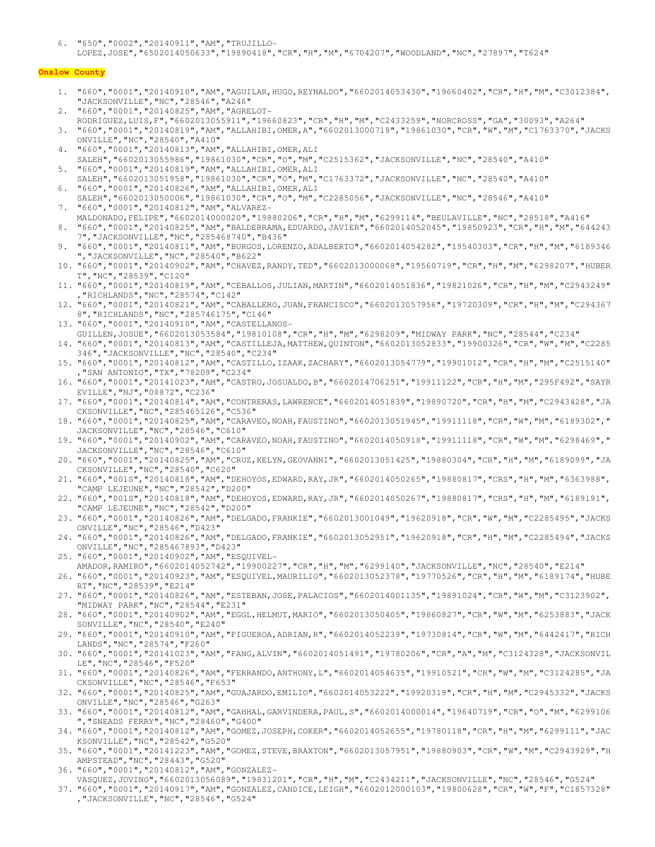- 6. "650","0002","20140911","AM","TRUJILLO-
	- LOPEZ,JOSE","6502014050633","19890418","CR","H","M","6704207","WOODLAND","NC","27897","T624"

# **Onslow County**

- 1. "660","0001","20140910","AM","AGUILAR,HUGO,REYNALDO","6602014053430","19660402","CR","H","M","C3012384", "JACKSONVILLE","NC","28546","A246"
- 2. "660","0001","20140825","AM","AGRELOT-
- RODRIGUEZ,LUIS,F","6602013055911","19660823","CR","H","M","C2433259","NORCROSS","GA","30093","A264"
- 3. "660","0001","20140819","AM","ALLAHIBI,OMER,A","6602013000718","19861030","CR","W","M","C1763370","JACKS ONVILLE","NC","28540","A410"
- 4. "660","0001","20140813","AM","ALLAHIBI,OMER,ALI
- SALEH","6602013055986","19861030","CR","O","M","C2515362","JACKSONVILLE","NC","28540","A410" 5. "660","0001","20140819","AM","ALLAHIBI,OMER,ALI
- SALEH","6602013051958","19861030","CR","O","M","C1763372","JACKSONVILLE","NC","28540","A410" 6. "660","0001","20140826","AM","ALLAHIBI,OMER,ALI
- SALEH","6602013050006","19861030","CR","O","M","C2285056","JACKSONVILLE","NC","28546","A410" 7. "660","0001","20140812","AM","ALVAREZ-
- MALDONADO,FELIPE","6602014000020","19880206","CR","H","M","6299114","BEULAVILLE","NC","28518","A416"
- 8. "660","0001","20140825","AM","BALDERRAMA,EDUARDO,JAVIER","6602014052045","19850923","CR","H","M","644243 7","JACKSONVILLE","NC","285468740","B436"
- 9. "660", "0001", "20140811", "AM", "BURGOS, LORENZO, ADALBERTO", "6602014054282", "19540303", "CR", "H", "M", "6189346 ","JACKSONVILLE","NC","28540","B622"
- 10. "660","0001","20140902","AM","CHAVEZ,RANDY,TED","6602013000068","19560719","CR","H","M","6298207","HUBER T","NC","28539","C120"
- 11. "660","0001","20140819","AM","CEBALLOS,JULIAN,MARTIN","6602014051836","19821026","CR","H","M","C2943249" ,"RICHLANDS","NC","28574","C142"
- 12. "660","0001","20140821","AM","CABALLERO,JUAN,FRANCISCO","6602013057956","19720309","CR","H","M","C294367 8","RICHLANDS","NC","285746175","C146"
- 13. "660","0001","20140910","AM","CASTELLANOS-

GUILLEN,JOSUE","6602013053584","19810108","CR","H","M","6298209","MIDWAY PARK","NC","28544","C234"

- 14. "660","0001","20140813","AM","CASTILLEJA,MATTHEW,QUINTON","6602013052833","19900326","CR","W","M","C2285 346","JACKSONVILLE","NC","28540","C234"
- 15. "660","0001","20140812","AM","CASTILLO,IZAAK,ZACHARY","6602013054779","19901012","CR","H","M","C2515140" ,"SAN ANTONIO","TX","78209","C234"
- 16. "660","0001","20141023","AM","CASTRO,JOSUALDO,B","6602014706251","19911122","CR","H","M","295F492","SAYR EVILLE","NJ","08872","C236"
- 17. "660","0001","20140814","AM","CONTRERAS,LAWRENCE","6602014051839","19890720","CR","H","M","C2943428","JA CKSONVILLE","NC","285465126","C536"
- 18. "660","0001","20140825","AM","CARAVEO,NOAH,FAUSTINO","6602013051945","19911118","CR","W","M","6189302"," JACKSONVILLE","NC","28546","C610"
- 19. "660","0001","20140902","AM","CARAVEO,NOAH,FAUSTINO","6602014050918","19911118","CR","W","M","6298469"," JACKSONVILLE","NC","28546","C610"
- 20. "660","0001","20140825","AM","CRUZ,KELYN,GEOVANNI","6602013051425","19880304","CR","H","M","6189099","JA CKSONVILLE","NC","28540","C620"
- 21. "660","001S","20140818","AM","DEHOYOS,EDWARD,RAY,JR","6602014050265","19880817","CRS","H","M","6363988", "CAMP LEJEUNE","NC","28542","D200"
- 22. "660","001S","20140818","AM","DEHOYOS,EDWARD,RAY,JR","6602014050267","19880817","CRS","H","M","6189191", "CAMP LEJEUNE","NC","28542","D200"
- 23. "660","0001","20140826","AM","DELGADO,FRANKIE","6602013001049","19620918","CR","W","M","C2285495","JACKS ONVILLE","NC","28546","D423"
- 24. "660","0001","20140826","AM","DELGADO,FRANKIE","6602013052951","19620918","CR","H","M","C2285494","JACKS ONVILLE","NC","285467893","D423"
- 25. "660","0001","20140902","AM","ESQUIVEL-
- AMADOR,RAMIRO","6602014052742","19900227","CR","H","M","6299140","JACKSONVILLE","NC","28540","E214"
- 26. "660","0001","20140923","AM","ESQUIVEL,MAURILIO","6602013052378","19770526","CR","H","M","6189174","HUBE RT","NC","28539","E214"
- 27. "660","0001","20140826","AM","ESTEBAN,JOSE,PALACIOS","6602014001135","19891024","CR","W","M","C3123902", "MIDWAY PARK","NC","28544","E231"
- 28. "660","0001","20140902","AM","EGGL,HELMUT,MARIO","6602013050405","19860827","CR","W","M","6253883","JACK SONVILLE","NC","28540","E240"
- 29. "660","0001","20140910","AM","FIGUEROA,ADRIAN,R","6602014052239","19730814","CR","W","M","6442417","RICH LANDS","NC","28574","F260"
- 30. "660","0001","20141023","AM","FANG,ALVIN","6602014051491","19780206","CR","A","M","C3124328","JACKSONVIL LE","NC","28546","F520"
- 31. "660", "0001", "20140826", "AM", "FERRANDO, ANTHONY, L", "6602014054635", "19910521", "CR", "W", "M", "C3124285", "JA CKSONVILLE","NC","28546","F653"
- 32. "660","0001","20140825","AM","GUAJARDO,EMILIO","6602014053222","19920319","CR","H","M","C2945332","JACKS ONVILLE","NC","28546","G263"
- 33. "660","0001","20140812","AM","GAHHAL,GARVINDERA,PAUL,S","6602014000014","19640719","CR","O","M","6299106 ","SNEADS FERRY","NC","28460","G400"
- 34. "660","0001","20140812","AM","GOMEZ,JOSEPH,COKER","6602014052655","19780118","CR","H","M","6299111","JAC KSONVILLE","NC","28542","G520"
- 35. "660","0001","20141223","AM","GOMEZ,STEVE,BRAXTON","6602013057951","19880903","CR","W","M","C2943929","H AMPSTEAD","NC","28443","G520"
- 36. "660","0001","20140812","AM","GONZALEZ-
- VASQUEZ,JOVINO","6602013056089","19831201","CR","H","M","C2434211","JACKSONVILLE","NC","28546","G524" 37. "660","0001","20140917","AM","GONZALEZ,CANDICE,LEIGH","6602012000103","19800628","CR","W","F","C1857328" ,"JACKSONVILLE","NC","28546","G524"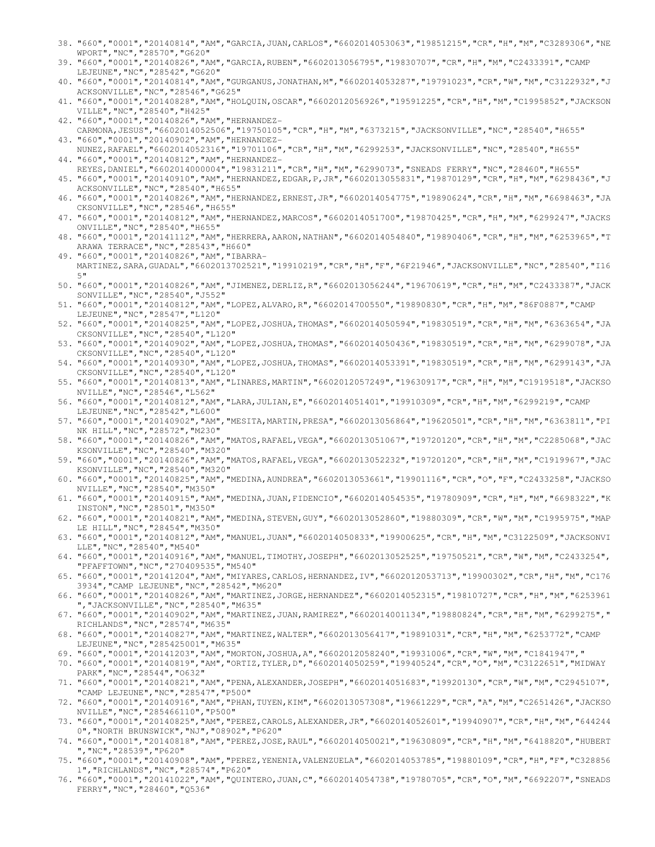- 38. "660","0001","20140814","AM","GARCIA,JUAN,CARLOS","6602014053063","19851215","CR","H","M","C3289306","NE WPORT","NC","28570","G620"
- 39. "660","0001","20140826","AM","GARCIA,RUBEN","6602013056795","19830707","CR","H","M","C2433391","CAMP LEJEUNE","NC","28542","G620"
- 40. "660","0001","20140814","AM","GURGANUS,JONATHAN,M","6602014053287","19791023","CR","W","M","C3122932","J ACKSONVILLE","NC","28546","G625"
- 41. "660","0001","20140828","AM","HOLQUIN,OSCAR","6602012056926","19591225","CR","H","M","C1995852","JACKSON VILLE","NC","28540","H425"
- 42. "660","0001","20140826","AM","HERNANDEZ-CARMONA,JESUS","6602014052506","19750105","CR","H","M","6373215","JACKSONVILLE","NC","28540","H655" 43. "660","0001","20140902","AM","HERNANDEZ-
- NUNEZ,RAFAEL","6602014052316","19701106","CR","H","M","6299253","JACKSONVILLE","NC","28540","H655" 44. "660","0001","20140812","AM","HERNANDEZ-
- REYES,DANIEL","6602014000004","19831211","CR","H","M","6299073","SNEADS FERRY","NC","28460","H655"
- 45. "660","0001","20140910","AM","HERNANDEZ,EDGAR,P,JR","6602013055831","19870129","CR","H","M","6298436","J ACKSONVILLE","NC","28540","H655"
- 46. "660","0001","20140826","AM","HERNANDEZ,ERNEST,JR","6602014054775","19890624","CR","H","M","6698463","JA CKSONVILLE","NC","28546","H655"
- 47. "660","0001","20140812","AM","HERNANDEZ,MARCOS","6602014051700","19870425","CR","H","M","6299247","JACKS ONVILLE","NC","28540","H655"
- 48. "660","0001","20141112","AM","HERRERA,AARON,NATHAN","6602014054840","19890406","CR","H","M","6253965","T ARAWA TERRACE","NC","28543","H660"
- 49. "660","0001","20140826","AM","IBARRA-MARTINEZ,SARA,GUADAL","6602013702521","19910219","CR","H","F","6F21946","JACKSONVILLE","NC","28540","I16 5"
- 50. "660","0001","20140826","AM","JIMENEZ,DERLIZ,R","6602013056244","19670619","CR","H","M","C2433387","JACK SONVILLE","NC","28540","J552"
- 51. "660","0001","20140812","AM","LOPEZ,ALVARO,R","6602014700550","19890830","CR","H","M","86F0887","CAMP LEJEUNE","NC","28547","L120"
- 52. "660","0001","20140825","AM","LOPEZ,JOSHUA,THOMAS","6602014050594","19830519","CR","H","M","6363654","JA CKSONVILLE","NC","28540","L120"
- 53. "660","0001","20140902","AM","LOPEZ,JOSHUA,THOMAS","6602014050436","19830519","CR","H","M","6299078","JA CKSONVILLE","NC","28540","L120"
- 54. "660","0001","20140930","AM","LOPEZ,JOSHUA,THOMAS","6602014053391","19830519","CR","H","M","6299143","JA CKSONVILLE","NC","28540","L120"
- 55. "660","0001","20140813","AM","LINARES,MARTIN","6602012057249","19630917","CR","H","M","C1919518","JACKSO NVILLE","NC","28546","L562"
- 56. "660","0001","20140812","AM","LARA,JULIAN,E","6602014051401","19910309","CR","H","M","6299219","CAMP LEJEUNE","NC","28542","L600"
- 57. "660","0001","20140902","AM","MESITA,MARTIN,PRESA","6602013056864","19620501","CR","H","M","6363811","PI NK HILL","NC","28572","M230"
- 58. "660","0001","20140826","AM","MATOS,RAFAEL,VEGA","6602013051067","19720120","CR","H","M","C2285068","JAC KSONVILLE","NC","28540","M320"
- 59. "660","0001","20140826","AM","MATOS,RAFAEL,VEGA","6602013052232","19720120","CR","H","M","C1919967","JAC KSONVILLE","NC","28540","M320"
- 60. "660","0001","20140825","AM","MEDINA,AUNDREA","6602013053661","19901116","CR","O","F","C2433258","JACKSO NVILLE","NC","28540","M350"
- 61. "660","0001","20140915","AM","MEDINA,JUAN,FIDENCIO","6602014054535","19780909","CR","H","M","6698322","K INSTON","NC","28501","M350"
- 62. "660","0001","20140821","AM","MEDINA,STEVEN,GUY","6602013052860","19880309","CR","W","M","C1995975","MAP LE HILL","NC","28454","M350"
- 63. "660","0001","20140812","AM","MANUEL,JUAN","6602014050833","19900625","CR","H","M","C3122509","JACKSONVI LLE","NC","28540","M540"
- 64. "660","0001","20140916","AM","MANUEL,TIMOTHY,JOSEPH","6602013052525","19750521","CR","W","M","C2433254", "PFAFFTOWN","NC","270409535","M540"
- 65. "660","0001","20141204","AM","MIYARES,CARLOS,HERNANDEZ,IV","6602012053713","19900302","CR","H","M","C176 3934","CAMP LEJEUNE","NC","28542","M620"
- 66. "660","0001","20140826","AM","MARTINEZ,JORGE,HERNANDEZ","6602014052315","19810727","CR","H","M","6253961 ","JACKSONVILLE","NC","28540","M635"
- 67. "660","0001","20140902","AM","MARTINEZ,JUAN,RAMIREZ","6602014001134","19880824","CR","H","M","6299275"," RICHLANDS","NC","28574","M635"
- 68. "660","0001","20140827","AM","MARTINEZ,WALTER","6602013056417","19891031","CR","H","M","6253772","CAMP LEJEUNE","NC","285425001","M635"
- 69. "660","0001","20141203","AM","MORTON,JOSHUA,A","6602012058240","19931006","CR","W","M","C1841947","
- 70. "660","0001","20140819","AM","ORTIZ,TYLER,D","6602014050259","19940524","CR","O","M","C3122651","MIDWAY PARK","NC","28544","O632"
- 71. "660","0001","20140821","AM","PENA,ALEXANDER,JOSEPH","6602014051683","19920130","CR","W","M","C2945107", "CAMP LEJEUNE","NC","28547","P500"
- 72. "660","0001","20140916","AM","PHAN,TUYEN,KIM","6602013057308","19661229","CR","A","M","C2651426","JACKSO NVILLE","NC","285466110","P500"
- 73. "660","0001","20140825","AM","PEREZ,CAROLS,ALEXANDER,JR","6602014052601","19940907","CR","H","M","644244 0","NORTH BRUNSWICK","NJ","08902","P620"
- 74. "660","0001","20140818","AM","PEREZ,JOSE,RAUL","6602014050021","19630809","CR","H","M","6418820","HUBERT ","NC","28539","P620"
- 75. "660","0001","20140908","AM","PEREZ,YENENIA,VALENZUELA","6602014053785","19880109","CR","H","F","C328856 1","RICHLANDS","NC","28574","P620"
- 76. "660","0001","20141022","AM","QUINTERO,JUAN,C","6602014054738","19780705","CR","O","M","6692207","SNEADS FERRY","NC","28460","Q536"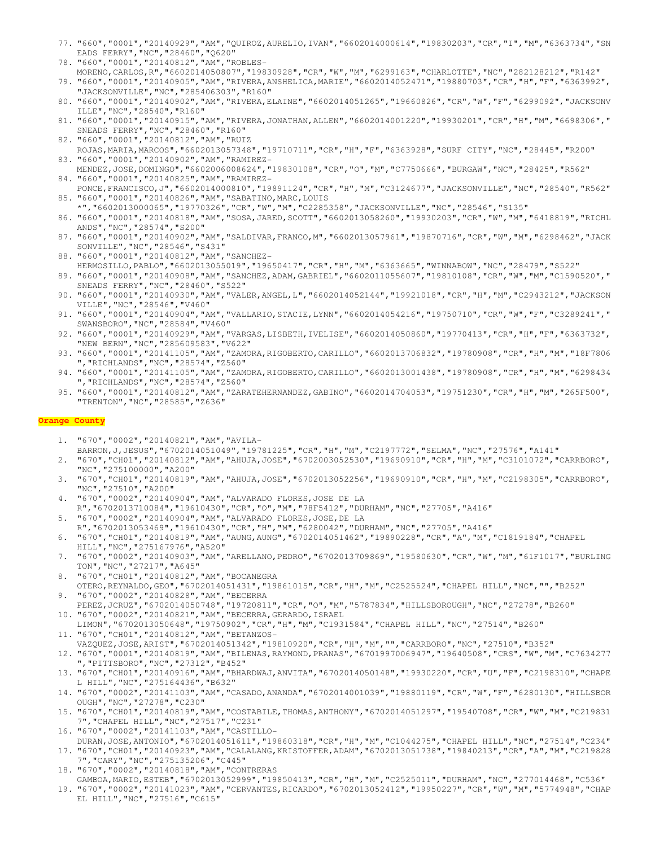- 77. "660","0001","20140929","AM","QUIROZ,AURELIO,IVAN","6602014000614","19830203","CR","I","M","6363734","SN EADS FERRY","NC","28460","Q620"
- 78. "660","0001","20140812","AM","ROBLES-
- MORENO,CARLOS,R","6602014050807","19830928","CR","W","M","6299163","CHARLOTTE","NC","282128212","R142" 79. "660","0001","20140905","AM","RIVERA,ANSHELICA,MARIE","6602014052471","19880703","CR","H","F","6363992", "JACKSONVILLE","NC","285406303","R160"
- 80. "660","0001","20140902","AM","RIVERA,ELAINE","6602014051265","19660826","CR","W","F","6299092","JACKSONV ILLE","NC","28540","R160"
- 81. "660","0001","20140915","AM","RIVERA,JONATHAN,ALLEN","6602014001220","19930201","CR","H","M","6698306"," SNEADS FERRY","NC","28460","R160"
- 82. "660","0001","20140812","AM","RUIZ
- ROJAS,MARIA,MARCOS","6602013057348","19710711","CR","H","F","6363928","SURF CITY","NC","28445","R200" 83. "660","0001","20140902","AM","RAMIREZ-
- MENDEZ,JOSE,DOMINGO","6602006008624","19830108","CR","O","M","C7750666","BURGAW","NC","28425","R562" 84. "660","0001","20140825","AM","RAMIREZ-
- PONCE,FRANCISCO,J","6602014000810","19891124","CR","H","M","C3124677","JACKSONVILLE","NC","28540","R562" 85. "660","0001","20140826","AM","SABATINO,MARC,LOUIS
- \*","6602013000065","19770326","CR","W","M","C2285358","JACKSONVILLE","NC","28546","S135"
- 86. "660","0001","20140818","AM","SOSA,JARED,SCOTT","6602013058260","19930203","CR","W","M","6418819","RICHL ANDS","NC","28574","S200"
- 87. "660","0001","20140902","AM","SALDIVAR,FRANCO,M","6602013057961","19870716","CR","W","M","6298462","JACK SONVILLE","NC","28546","S431"
- 88. "660","0001","20140812","AM","SANCHEZ-
- HERMOSILLO,PABLO","6602013055019","19650417","CR","H","M","6363665","WINNABOW","NC","28479","S522"
- 89. "660","0001","20140908","AM","SANCHEZ,ADAM,GABRIEL","6602011055607","19810108","CR","W","M","C1590520"," SNEADS FERRY","NC","28460","S522"
- 90. "660","0001","20140930","AM","VALER,ANGEL,L","6602014052144","19921018","CR","H","M","C2943212","JACKSON VILLE","NC","28546","V460"
- 91. "660","0001","20140904","AM","VALLARIO,STACIE,LYNN","6602014054216","19750710","CR","W","F","C3289241"," SWANSBORO","NC","28584","V460"
- 92. "660", "0001", "20140929", "AM", "VARGAS, LISBETH, IVELISE", "6602014050860", "19770413", "CR", "H", "F", "6363732", "NEW BERN","NC","285609583","V622"
- 93. "660", "0001", "20141105", "AM", "ZAMORA, RIGOBERTO, CARILLO", "6602013706832", "19780908", "CR", "H", "M", "18F7806 ","RICHLANDS","NC","28574","Z560"
- 94. "660","0001","20141105","AM","ZAMORA,RIGOBERTO,CARILLO","6602013001438","19780908","CR","H","M","6298434 ","RICHLANDS","NC","28574","Z560"
- 95. "660","0001","20140812","AM","ZARATEHERNANDEZ,GABINO","6602014704053","19751230","CR","H","M","265F500", "TRENTON","NC","28585","Z636"

## **Orange County**

- 1. "670","0002","20140821","AM","AVILA-
- BARRON,J,JESUS","6702014051049","19781225","CR","H","M","C2197772","SELMA","NC","27576","A141"
- 2. "670","CH01","20140812","AM","AHUJA,JOSE","6702003052530","19690910","CR","H","M","C3101072","CARRBORO", "NC","275100000","A200"
- 3. "670","CH01","20140819","AM","AHUJA,JOSE","6702013052256","19690910","CR","H","M","C2198305","CARRBORO", "NC","27510","A200"
- 4. "670","0002","20140904","AM","ALVARADO FLORES,JOSE DE LA
- R","6702013710084","19610430","CR","O","M","78F5412","DURHAM","NC","27705","A416"
- 5. "670","0002","20140904","AM","ALVARADO FLORES,JOSE,DE LA
- R","6702013053469","19610430","CR","H","M","6280042","DURHAM","NC","27705","A416"
- 6. "670","CH01","20140819","AM","AUNG,AUNG","6702014051462","19890228","CR","A","M","C1819184","CHAPEL HILL","NC","275167976","A520"
- 7. "670","0002","20140903","AM","ARELLANO,PEDRO","6702013709869","19580630","CR","W","M","61F1017","BURLING TON","NC","27217","A645"
- 8. "670","CH01","20140812","AM","BOCANEGRA
- OTERO,REYNALDO,GEO","6702014051431","19861015","CR","H","M","C2525524","CHAPEL HILL","NC","","B252" 9. "670","0002","20140828","AM","BECERRA
- PEREZ,JCRUZ","6702014050748","19720811","CR","O","M","5787834","HILLSBOROUGH","NC","27278","B260"
- 10. "670","0002","20140821","AM","BECERRA,GERARDO,ISRAEL LIMON","6702013050648","19750902","CR","H","M","C1931584","CHAPEL HILL","NC","27514","B260" 11. "670","CH01","20140812","AM","BETANZOS-
- VAZQUEZ,JOSE,ARIST","6702014051342","19810920","CR","H","M","","CARRBORO","NC","27510","B352"
- 12. "670","0001","20140819","AM","BILENAS,RAYMOND,PRANAS","6701997006947","19640508","CRS","W","M","C7634277 ","PITTSBORO","NC","27312","B452"
- 13. "670","CH01","20140916","AM","BHARDWAJ,ANVITA","6702014050148","19930220","CR","U","F","C2198310","CHAPE L HILL","NC","275164436","B632"
- 14. "670","0002","20141103","AM","CASADO,ANANDA","6702014001039","19880119","CR","W","F","6280130","HILLSBOR OUGH","NC","27278","C230"
- 15. "670","CH01","20140819","AM","COSTABILE,THOMAS,ANTHONY","6702014051297","19540708","CR","W","M","C219831 7","CHAPEL HILL","NC","27517","C231"
- 16. "670","0002","20141103","AM","CASTILLO-
- DURAN,JOSE,ANTONIO","6702014051611","19860318","CR","H","M","C1044275","CHAPEL HILL","NC","27514","C234" 17. "670","CH01","20140923","AM","CALALANG,KRISTOFFER,ADAM","6702013051738","19840213","CR","A","M","C219828 7","CARY","NC","275135206","C445"
- 18. "670","0002","20140818","AM","CONTRERAS
- GAMBOA,MARIO,ESTEB","6702013052999","19850413","CR","H","M","C2525011","DURHAM","NC","277014468","C536" 19. "670","0002","20141023","AM","CERVANTES,RICARDO","6702013052412","19950227","CR","W","M","5774948","CHAP
- EL HILL","NC","27516","C615"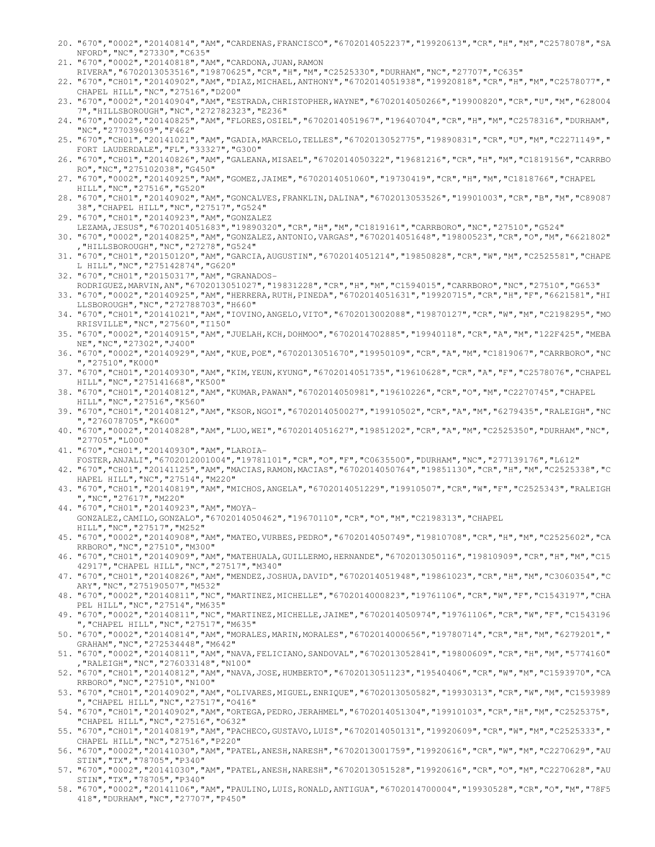- 20. "670","0002","20140814","AM","CARDENAS,FRANCISCO","6702014052237","19920613","CR","H","M","C2578078","SA NFORD","NC","27330","C635"
- 21. "670","0002","20140818","AM","CARDONA,JUAN,RAMON
- RIVERA","6702013053516","19870625","CR","H","M","C2525330","DURHAM","NC","27707","C635"
- 22. "670","CH01","20140902","AM","DIAZ,MICHAEL,ANTHONY","6702014051938","19920818","CR","H","M","C2578077"," CHAPEL HILL","NC","27516","D200"
- 23. "670","0002","20140904","AM","ESTRADA,CHRISTOPHER,WAYNE","6702014050266","19900820","CR","U","M","628004 7","HILLSBOROUGH","NC","272782323","E236"
- 24. "670","0002","20140825","AM","FLORES,OSIEL","6702014051967","19640704","CR","H","M","C2578316","DURHAM", "NC","277039609","F462"
- 25. "670","CH01","20141021","AM","GADIA,MARCELO,TELLES","6702013052775","19890831","CR","U","M","C2271149"," FORT LAUDERDALE","FL","33327","G300"
- 26. "670","CH01","20140826","AM","GALEANA,MISAEL","6702014050322","19681216","CR","H","M","C1819156","CARRBO RO","NC","275102038","G450"
- 27. "670","0002","20140925","AM","GOMEZ,JAIME","6702014051060","19730419","CR","H","M","C1818766","CHAPEL HILL","NC","27516","G520"
- 28. "670","CH01","20140902","AM","GONCALVES,FRANKLIN,DALINA","6702013053526","19901003","CR","B","M","C89087 38","CHAPEL HILL","NC","27517","G524"
- 29. "670","CH01","20140923","AM","GONZALEZ
- LEZAMA,JESUS","6702014051683","19890320","CR","H","M","C1819161","CARRBORO","NC","27510","G524"
- 30. "670","0002","20140825","AM","GONZALEZ,ANTONIO,VARGAS","6702014051648","19800523","CR","O","M","6621802" ,"HILLSBOROUGH","NC","27278","G524"
- 31. "670","CH01","20150120","AM","GARCIA,AUGUSTIN","6702014051214","19850828","CR","W","M","C2525581","CHAPE L HILL","NC","275142874","G620"
- 32. "670","CH01","20150317","AM","GRANADOS-
- RODRIGUEZ,MARVIN,AN","6702013051027","19831228","CR","H","M","C1594015","CARRBORO","NC","27510","G653" 33. "670","0002","20140925","AM","HERRERA,RUTH,PINEDA","6702014051631","19920715","CR","H","F","6621581","HI LLSBOROUGH","NC","272788703","H660"
- 34. "670","CH01","20141021","AM","IOVINO,ANGELO,VITO","6702013002088","19870127","CR","W","M","C2198295","MO RRISVILLE","NC","27560","I150"
- 35. "670","0002","20140915","AM","JUELAH,KCH,DOHMOO","6702014702885","19940118","CR","A","M","122F425","MEBA NE","NC","27302","J400"
- 36. "670","0002","20140929","AM","KUE,POE","6702013051670","19950109","CR","A","M","C1819067","CARRBORO","NC ","27510","K000"
- 37. "670","CH01","20140930","AM","KIM,YEUN,KYUNG","6702014051735","19610628","CR","A","F","C2578076","CHAPEL HILL","NC","275141668","K500"
- 38. "670","CH01","20140812","AM","KUMAR,PAWAN","6702014050981","19610226","CR","O","M","C2270745","CHAPEL HILL","NC","27516","K560"
- 39. "670","CH01","20140812","AM","KSOR,NGOI","6702014050027","19910502","CR","A","M","6279435","RALEIGH","NC ","276078705","K600"
- 40. "670","0002","20140828","AM","LUO,WEI","6702014051627","19851202","CR","A","M","C2525350","DURHAM","NC", "27705","L000"
- 41. "670","CH01","20140930","AM","LAROIA-

FOSTER,ANJALI","6702012001004","19781101","CR","O","F","C0635500","DURHAM","NC","277139176","L612"

- 42. "670","CH01","20141125","AM","MACIAS,RAMON,MACIAS","6702014050764","19851130","CR","H","M","C2525338","C HAPEL HILL","NC","27514","M220"
- 43. "670","CH01","20140819","AM","MICHOS,ANGELA","6702014051229","19910507","CR","W","F","C2525343","RALEIGH ","NC","27617","M220"
- 44. "670","CH01","20140923","AM","MOYA-GONZALEZ,CAMILO,GONZALO","6702014050462","19670110","CR","O","M","C2198313","CHAPEL HILL","NC","27517","M252"
- 45. "670","0002","20140908","AM","MATEO,VURBES,PEDRO","6702014050749","19810708","CR","H","M","C2525602","CA RRBORO","NC","27510","M300"
- 46. "670","CH01","20140909","AM","MATEHUALA,GUILLERMO,HERNANDE","6702013050116","19810909","CR","H","M","C15 42917","CHAPEL HILL","NC","27517","M340"
- 47. "670","CH01","20140826","AM","MENDEZ,JOSHUA,DAVID","6702014051948","19861023","CR","H","M","C3060354","C ARY","NC","275190507","M532"
- 48. "670","0002","20140811","NC","MARTINEZ,MICHELLE","6702014000823","19761106","CR","W","F","C1543197","CHA PEL HILL","NC","27514","M635"
- 49. "670","0002","20140811","NC","MARTINEZ,MICHELLE,JAIME","6702014050974","19761106","CR","W","F","C1543196 ","CHAPEL HILL","NC","27517","M635"
- 50. "670","0002","20140814","AM","MORALES,MARIN,MORALES","6702014000656","19780714","CR","H","M","6279201"," GRAHAM","NC","272534448","M642"
- 51. "670","0002","20140811","AM","NAVA,FELICIANO,SANDOVAL","6702013052841","19800609","CR","H","M","5774160" ,"RALEIGH","NC","276033148","N100"
- 52. "670", "CH01", "20140812", "AM", "NAVA, JOSE, HUMBERTO", "6702013051123", "19540406", "CR", "W", "M", "C1593970", "CA RRBORO","NC","27510","N100"
- 53. "670","CH01","20140902","AM","OLIVARES,MIGUEL,ENRIQUE","6702013050582","19930313","CR","W","M","C1593989 ","CHAPEL HILL","NC","27517","O416"
- 54. "670","CH01","20140902","AM","ORTEGA,PEDRO,JERAHMEL","6702014051304","19910103","CR","H","M","C2525375", "CHAPEL HILL","NC","27516","O632"
- 55. "670","CH01","20140819","AM","PACHECO,GUSTAVO,LUIS","6702014050131","19920609","CR","W","M","C2525333"," CHAPEL HILL","NC","27516","P220"
- 56. "670","0002","20141030","AM","PATEL,ANESH,NARESH","6702013001759","19920616","CR","W","M","C2270629","AU STIN","TX","78705","P340"
- 57. "670","0002","20141030","AM","PATEL,ANESH,NARESH","6702013051528","19920616","CR","O","M","C2270628","AU STIN","TX","78705","P340"
- 58. "670","0002","20141106","AM","PAULINO,LUIS,RONALD,ANTIGUA","6702014700004","19930528","CR","O","M","78F5 418","DURHAM","NC","27707","P450"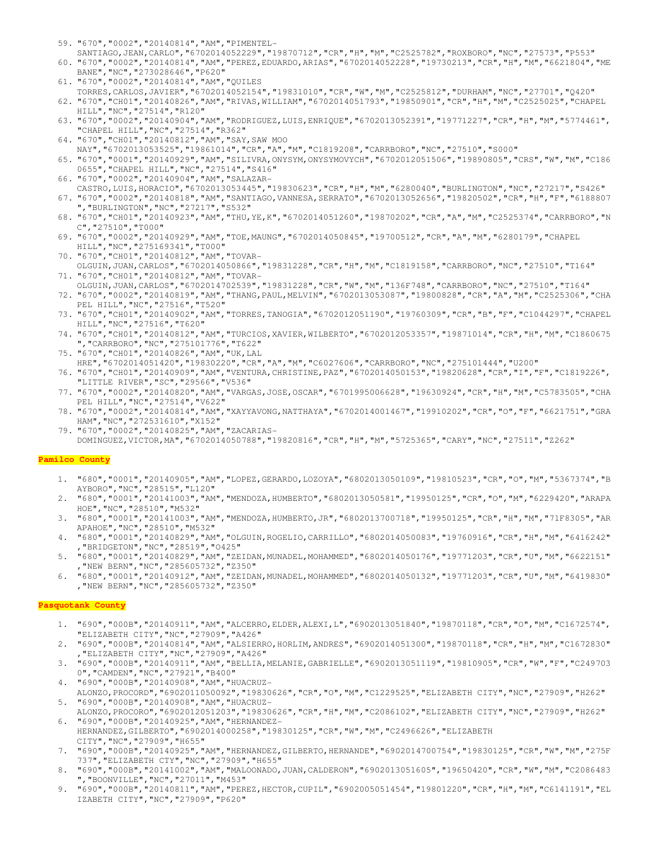- 59. "670","0002","20140814","AM","PIMENTEL-
- SANTIAGO,JEAN,CARLO","6702014052229","19870712","CR","H","M","C2525782","ROXBORO","NC","27573","P553" 60. "670","0002","20140814","AM","PEREZ,EDUARDO,ARIAS","6702014052228","19730213","CR","H","M","6621804","ME BANE","NC","273028646","P620"
- 61. "670","0002","20140814","AM","QUILES
- TORRES,CARLOS,JAVIER","6702014052154","19831010","CR","W","M","C2525812","DURHAM","NC","27701","Q420" 62. "670","CH01","20140826","AM","RIVAS,WILLIAM","6702014051793","19850901","CR","H","M","C2525025","CHAPEL HILL","NC","27514","R120"
- 63. "670","0002","20140904","AM","RODRIGUEZ,LUIS,ENRIQUE","6702013052391","19771227","CR","H","M","5774461", "CHAPEL HILL","NC","27514","R362"
- 64. "670","CH01","20140812","AM","SAY,SAW MOO
- NAY","6702013053525","19861014","CR","A","M","C1819208","CARRBORO","NC","27510","S000"
- 65. "670","0001","20140929","AM","SILIVRA,ONYSYM,ONYSYMOVYCH","6702012051506","19890805","CRS","W","M","C186 0655","CHAPEL HILL","NC","27514","S416"
- 66. "670","0002","20140904","AM","SALAZAR-CASTRO,LUIS,HORACIO","6702013053445","19830623","CR","H","M","6280040","BURLINGTON","NC","27217","S426"
- 67. "670","0002","20140818","AM","SANTIAGO,VANNESA,SERRATO","6702013052656","19820502","CR","H","F","6188807 ","BURLINGTON","NC","27217","S532"
- 68. "670","CH01","20140923","AM","THU,YE,K","6702014051260","19870202","CR","A","M","C2525374","CARRBORO","N C","27510","T000"
- 69. "670","0002","20140929","AM","TOE,MAUNG","6702014050845","19700512","CR","A","M","6280179","CHAPEL HILL","NC","275169341","T000"
- 70. "670","CH01","20140812","AM","TOVAR-
- OLGUIN,JUAN,CARLOS","6702014050866","19831228","CR","H","M","C1819158","CARRBORO","NC","27510","T164" 71. "670","CH01","20140812","AM","TOVAR-
- OLGUIN,JUAN,CARLOS","6702014702539","19831228","CR","W","M","136F748","CARRBORO","NC","27510","T164" 72. "670","0002","20140819","AM","THANG,PAUL,MELVIN","6702013053087","19800828","CR","A","M","C2525306","CHA PEL HILL","NC","27516","T520"
- 73. "670","CH01","20140902","AM","TORRES,TANOGIA","6702012051190","19760309","CR","B","F","C1044297","CHAPEL HILL","NC","27516","T620"
- 74. "670","CH01","20140812","AM","TURCIOS,XAVIER,WILBERTO","6702012053357","19871014","CR","H","M","C1860675 ","CARRBORO","NC","275101776","T622"
- 75. "670","CH01","20140826","AM","UK,LAL
- HRE","6702014051420","19830220","CR","A","M","C6027606","CARRBORO","NC","275101444","U200"
- 76. "670","CH01","20140909","AM","VENTURA,CHRISTINE,PAZ","6702014050153","19820628","CR","I","F","C1819226", "LITTLE RIVER","SC","29566","V536"
- 77. "670","0002","20140820","AM","VARGAS,JOSE,OSCAR","6701995006628","19630924","CR","H","M","C5783505","CHA PEL HILL","NC","27514","V622"
- 78. "670","0002","20140814","AM","XAYYAVONG,NATTHAYA","6702014001467","19910202","CR","O","F","6621751","GRA HAM","NC","272531610","X152"
- 79. "670","0002","20140825","AM","ZACARIAS-DOMINGUEZ,VICTOR,MA","6702014050788","19820816","CR","H","M","5725365","CARY","NC","27511","Z262"

# **Pamilco County**

- 1. "680","0001","20140905","AM","LOPEZ,GERARDO,LOZOYA","6802013050109","19810523","CR","O","M","5367374","B AYBORO","NC","28515","L120"
- 2. "680","0001","20141003","AM","MENDOZA,HUMBERTO","6802013050581","19950125","CR","O","M","6229420","ARAPA HOE","NC","28510","M532"
- 3. "680","0001","20141003","AM","MENDOZA,HUMBERTO,JR","6802013700718","19950125","CR","H","M","71F8305","AR APAHOE","NC","28510","M532"
- 4. "680","0001","20140829","AM","OLGUIN,ROGELIO,CARRILLO","6802014050083","19760916","CR","H","M","6416242" ,"BRIDGETON","NC","28519","O425"
- 5. "680","0001","20140829","AM","ZEIDAN,MUNADEL,MOHAMMED","6802014050176","19771203","CR","U","M","6622151" ,"NEW BERN","NC","285605732","Z350"
- 6. "680","0001","20140912","AM","ZEIDAN,MUNADEL,MOHAMMED","6802014050132","19771203","CR","U","M","6419830" ,"NEW BERN","NC","285605732","Z350"

## **Pasquotank County**

- 1. "690","000B","20140911","AM","ALCERRO,ELDER,ALEXI,L","6902013051840","19870118","CR","O","M","C1672574", "ELIZABETH CITY","NC","27909","A426"
- 2. "690","000B","20140814","AM","ALSIERRO,HORLIM,ANDRES","6902014051300","19870118","CR","H","M","C1672830" ,"ELIZABETH CITY","NC","27909","A426"
- 3. "690","000B","20140911","AM","BELLIA,MELANIE,GABRIELLE","6902013051119","19810905","CR","W","F","C249703 0","CAMDEN","NC","27921","B400"
- 4. "690","000B","20140908","AM","HUACRUZ-
- ALONZO,PROCORD","6902011050092","19830626","CR","O","M","C1229525","ELIZABETH CITY","NC","27909","H262" 5. "690","000B","20140908","AM","HUACRUZ-
- ALONZO,PROCORO","6902012051203","19830626","CR","H","M","C2086102","ELIZABETH CITY","NC","27909","H262" 6. "690","000B","20140925","AM","HERNANDEZ-
- HERNANDEZ,GILBERTO","6902014000258","19830125","CR","W","M","C2496626","ELIZABETH CITY","NC","27909","H655"
- 7. "690","000B","20140925","AM","HERNANDEZ,GILBERTO,HERNANDE","6902014700754","19830125","CR","W","M","275F 737","ELIZABETH CTY","NC","27909","H655"
- 8. "690","000B","20141002","AM","MALOONADO,JUAN,CALDERON","6902013051605","19650420","CR","W","M","C2086483 ","BOONVILLE","NC","27011","M453"
- 9. "690","000B","20140811","AM","PEREZ,HECTOR,CUPIL","6902005051454","19801220","CR","H","M","C6141191","EL IZABETH CITY","NC","27909","P620"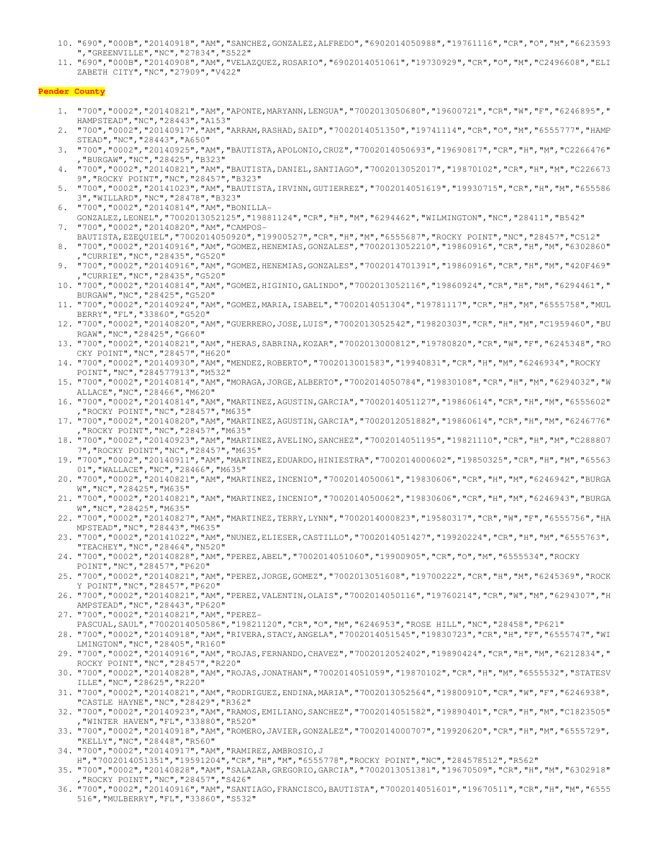- 10. "690","000B","20140918","AM","SANCHEZ,GONZALEZ,ALFREDO","6902014050988","19761116","CR","O","M","6623593 ","GREENVILLE","NC","27834","S522"
- 11. "690","000B","20140908","AM","VELAZQUEZ,ROSARIO","6902014051061","19730929","CR","O","M","C2496608","ELI ZABETH CITY","NC","27909","V422"

## **Pender County**

- 1. "700","0002","20140821","AM","APONTE,MARYANN,LENGUA","7002013050680","19600721","CR","W","F","6246895"," HAMPSTEAD","NC","28443","A153"
- 2. "700","0002","20140917","AM","ARRAM,RASHAD,SAID","7002014051350","19741114","CR","O","M","6555777","HAMP STEAD","NC","28443","A650"
- 3. "700","0002","20140925","AM","BAUTISTA,APOLONIO,CRUZ","7002014050693","19690817","CR","H","M","C2266476" ,"BURGAW","NC","28425","B323"
- 4. "700","0002","20140821","AM","BAUTISTA,DANIEL,SANTIAGO","7002013052017","19870102","CR","H","M","C226673 9","ROCKY POINT","NC","28457","B323"
- 5. "700","0002","20141023","AM","BAUTISTA,IRVINN,GUTIERREZ","7002014051619","19930715","CR","H","M","655586 3","WILLARD","NC","28478","B323"
- 6. "700","0002","20140814","AM","BONILLA-
- GONZALEZ,LEONEL","7002013052125","19881124","CR","H","M","6294462","WILMINGTON","NC","28411","B542" 7. "700","0002","20140820","AM","CAMPOS-
- BAUTISTA,EZEQUIEL","7002014050920","19900527","CR","H","M","6555687","ROCKY POINT","NC","28457","C512" 8. "700","0002","20140916","AM","GOMEZ,HENEMIAS,GONZALES","7002013052210","19860916","CR","H","M","6302860"
- ,"CURRIE","NC","28435","G520" 9. "700","0002","20140916","AM","GOMEZ,HENEMIAS,GONZALES","7002014701391","19860916","CR","H","M","420F469" ,"CURRIE","NC","28435","G520"
- 10. "700","0002","20140814","AM","GOMEZ,HIGINIO,GALINDO","7002013052116","19860924","CR","H","M","6294461"," BURGAW","NC","28425","G520"
- 11. "700","0002","20140924","AM","GOMEZ,MARIA,ISABEL","7002014051304","19781117","CR","H","M","6555758","MUL BERRY","FL","33860","G520"
- 12. "700","0002","20140820","AM","GUERRERO,JOSE,LUIS","7002013052542","19820303","CR","H","M","C1959460","BU RGAW","NC","28425","G660"
- 13. "700","0002","20140821","AM","HERAS,SABRINA,KOZAR","7002013000812","19780820","CR","W","F","6245348","RO CKY POINT","NC","28457","H620"
- 14. "700","0002","20140930","AM","MENDEZ,ROBERTO","7002013001583","19940831","CR","H","M","6246934","ROCKY POINT","NC","284577913","M532"
- 15. "700","0002","20140814","AM","MORAGA,JORGE,ALBERTO","7002014050784","19830108","CR","H","M","6294032","W ALLACE","NC","28466","M620"
- 16. "700","0002","20140814","AM","MARTINEZ,AGUSTIN,GARCIA","7002014051127","19860614","CR","H","M","6555602" ,"ROCKY POINT","NC","28457","M635"
- 17. "700","0002","20140820","AM","MARTINEZ,AGUSTIN,GARCIA","7002012051882","19860614","CR","H","M","6246776" ,"ROCKY POINT","NC","28457","M635"
- 18. "700","0002","20140923","AM","MARTINEZ,AVELINO,SANCHEZ","7002014051195","19821110","CR","H","M","C288807 7","ROCKY POINT","NC","28457","M635"
- 19. "700","0002","20140911","AM","MARTINEZ,EDUARDO,HINIESTRA","7002014000602","19850325","CR","H","M","65563 01","WALLACE","NC","28466","M635"
- 20. "700","0002","20140821","AM","MARTINEZ,INCENIO","7002014050061","19830606","CR","H","M","6246942","BURGA W","NC","28425","M635"
- 21. "700","0002","20140821","AM","MARTINEZ,INCENIO","7002014050062","19830606","CR","H","M","6246943","BURGA W","NC","28425","M635"
- 22. "700","0002","20140827","AM","MARTINEZ,TERRY,LYNN","7002014000823","19580317","CR","W","F","6555756","HA MPSTEAD","NC","28443","M635"
- 23. "700","0002","20141022","AM","NUNEZ,ELIESER,CASTILLO","7002014051427","19920224","CR","H","M","6555763", "TEACHEY","NC","28464","N520"
- 24. "700","0002","20140828","AM","PEREZ,ABEL","7002014051060","19900905","CR","O","M","6555534","ROCKY POINT","NC","28457","P620"
- 25. "700","0002","20140821","AM","PEREZ,JORGE,GOMEZ","7002013051608","19700222","CR","H","M","6245369","ROCK Y POINT","NC","28457","P620"
- 26. "700","0002","20140821","AM","PEREZ,VALENTIN,OLAIS","7002014050116","19760214","CR","W","M","6294307","H AMPSTEAD","NC","28443","P620"
- 27. "700","0002","20140821","AM","PEREZ-
- PASCUAL,SAUL","7002014050586","19821120","CR","O","M","6246953","ROSE HILL","NC","28458","P621"
- 28. "700","0002","20140918","AM","RIVERA,STACY,ANGELA","7002014051545","19830723","CR","H","F","6555747","WI LMINGTON","NC","28405","R160"
- 29. "700","0002","20140916","AM","ROJAS,FERNANDO,CHAVEZ","7002012052402","19890424","CR","H","M","6212834"," ROCKY POINT","NC","28457","R220"
- 30. "700","0002","20140828","AM","ROJAS,JONATHAN","7002014051059","19870102","CR","H","M","6555532","STATESV ILLE","NC","28625","R220"
- 31. "700","0002","20140821","AM","RODRIGUEZ,ENDINA,MARIA","7002013052564","19800910","CR","W","F","6246938", "CASTLE HAYNE","NC","28429","R362"
- 32. "700","0002","20140923","AM","RAMOS,EMILIANO,SANCHEZ","7002014051582","19890401","CR","H","M","C1823505" ,"WINTER HAVEN","FL","33880","R520"
- 33. "700","0002","20140918","AM","ROMERO,JAVIER,GONZALEZ","7002014000707","19920620","CR","H","M","6555729", "KELLY","NC","28448","R560"
- 34. "700","0002","20140917","AM","RAMIREZ,AMBROSIO,J
- H","7002014051351","19591204","CR","H","M","6555778","ROCKY POINT","NC","284578512","R562"
- 35. "700","0002","20140828","AM","SALAZAR,GREGORIO,GARCIA","7002013051381","19670509","CR","H","M","6302918" ,"ROCKY POINT","NC","28457","S426"
- 36. "700","0002","20140916","AM","SANTIAGO,FRANCISCO,BAUTISTA","7002014051601","19670511","CR","H","M","6555 516","MULBERRY","FL","33860","S532"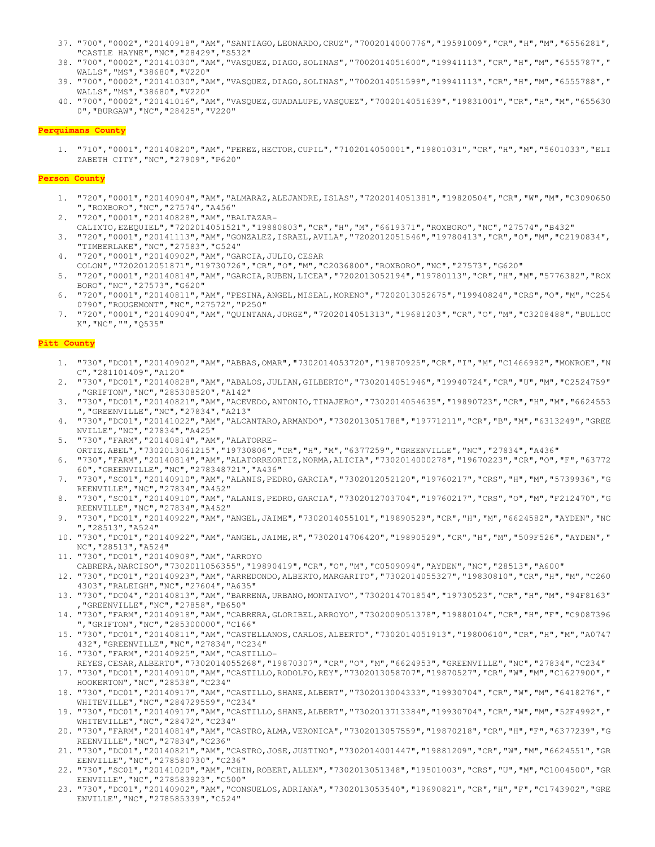- 37. "700","0002","20140918","AM","SANTIAGO,LEONARDO,CRUZ","7002014000776","19591009","CR","H","M","6556281", "CASTLE HAYNE","NC","28429","S532"
- 38. "700","0002","20141030","AM","VASQUEZ,DIAGO,SOLINAS","7002014051600","19941113","CR","H","M","6555787"," WALLS","MS","38680","V220"
- 39. "700","0002","20141030","AM","VASQUEZ,DIAGO,SOLINAS","7002014051599","19941113","CR","H","M","6555788"," WALLS","MS","38680","V220"
- 40. "700","0002","20141016","AM","VASQUEZ,GUADALUPE,VASQUEZ","7002014051639","19831001","CR","H","M","655630 0","BURGAW","NC","28425","V220"

# **Perquimans County**

1. "710","0001","20140820","AM","PEREZ,HECTOR,CUPIL","7102014050001","19801031","CR","H","M","5601033","ELI ZABETH CITY","NC","27909","P620"

## **Person County**

- 1. "720","0001","20140904","AM","ALMARAZ,ALEJANDRE,ISLAS","7202014051381","19820504","CR","W","M","C3090650 ","ROXBORO","NC","27574","A456"
- 2. "720","0001","20140828","AM","BALTAZAR-
- CALIXTO,EZEQUIEL","7202014051521","19880803","CR","H","M","6619371","ROXBORO","NC","27574","B432"
- 3. "720","0001","20141113","AM","GONZALEZ,ISRAEL,AVILA","7202012051546","19780413","CR","O","M","C2190834", "TIMBERLAKE","NC","27583","G524"
- 4. "720","0001","20140902","AM","GARCIA,JULIO,CESAR
- COLON","7202012051871","19730726","CR","O","M","C2036800","ROXBORO","NC","27573","G620"
- 5. "720","0001","20140814","AM","GARCIA,RUBEN,LICEA","7202013052194","19780113","CR","H","M","5776382","ROX BORO","NC","27573","G620"
- 6. "720","0001","20140811","AM","PESINA,ANGEL,MISEAL,MORENO","7202013052675","19940824","CRS","O","M","C254 0790","ROUGEMONT","NC","27572","P250"
- 7. "720","0001","20140904","AM","QUINTANA,JORGE","7202014051313","19681203","CR","O","M","C3208488","BULLOC K","NC","","Q535"

#### **Pitt County**

- 1. "730","DC01","20140902","AM","ABBAS,OMAR","7302014053720","19870925","CR","I","M","C1466982","MONROE","N C","281101409","A120"
- 2. "730","DC01","20140828","AM","ABALOS,JULIAN,GILBERTO","7302014051946","19940724","CR","U","M","C2524759" ,"GRIFTON","NC","285308520","A142"
- 3. "730","DC01","20140821","AM","ACEVEDO,ANTONIO,TINAJERO","7302014054635","19890723","CR","H","M","6624553 ","GREENVILLE","NC","27834","A213"
- 4. "730","DC01","20141022","AM","ALCANTARO,ARMANDO","7302013051788","19771211","CR","B","M","6313249","GREE NVILLE","NC","27834","A425"
- 5. "730","FARM","20140814","AM","ALATORRE-ORTIZ,ABEL","7302013061215","19730806","CR","H","M","6377259","GREENVILLE","NC","27834","A436"
- 6. "730","FARM","20140814","AM","ALATORREORTIZ,NORMA,ALICIA","7302014000278","19670223","CR","O","F","63772 60","GREENVILLE","NC","278348721","A436"
- 7. "730","SC01","20140910","AM","ALANIS,PEDRO,GARCIA","7302012052120","19760217","CRS","H","M","5739936","G REENVILLE","NC","27834","A452"
- 8. "730","SC01","20140910","AM","ALANIS,PEDRO,GARCIA","7302012703704","19760217","CRS","O","M","F212470","G REENVILLE","NC","27834","A452"
- 9. "730","DC01","20140922","AM","ANGEL,JAIME","7302014055101","19890529","CR","H","M","6624582","AYDEN","NC ","28513","A524"
- 10. "730","DC01","20140922","AM","ANGEL,JAIME,R","7302014706420","19890529","CR","H","M","509F526","AYDEN"," NC","28513","A524"
- 11. "730","DC01","20140909","AM","ARROYO
- CABRERA,NARCISO","7302011056355","19890419","CR","O","M","C0509094","AYDEN","NC","28513","A600"
- 12. "730","DC01","20140923","AM","ARREDONDO,ALBERTO,MARGARITO","7302014055327","19830810","CR","H","M","C260 4303","RALEIGH","NC","27604","A635"
- 13. "730","DC04","20140813","AM","BARRENA,URBANO,MONTAIVO","7302014701854","19730523","CR","H","M","94F8163" ,"GREENVILLE","NC","27858","B650"
- 14. "730","FARM","20140918","AM","CABRERA,GLORIBEL,ARROYO","7302009051378","19880104","CR","H","F","C9087396 ","GRIFTON","NC","285300000","C166"
- 15. "730","DC01","20140811","AM","CASTELLANOS,CARLOS,ALBERTO","7302014051913","19800610","CR","H","M","A0747 432","GREENVILLE","NC","27834","C234"
- 16. "730","FARM","20140925","AM","CASTILLO-REYES,CESAR,ALBERTO","7302014055268","19870307","CR","O","M","6624953","GREENVILLE","NC","27834","C234"
- 17. "730","DC01","20140910","AM","CASTILLO,RODOLFO,REY","7302013058707","19870527","CR","W","M","C1627900"," HOOKERTON","NC","28538","C234"
- 18. "730","DC01","20140917","AM","CASTILLO,SHANE,ALBERT","7302013004333","19930704","CR","W","M","6418276"," WHITEVILLE","NC","284729559","C234"
- 19. "730","DC01","20140917","AM","CASTILLO,SHANE,ALBERT","7302013713384","19930704","CR","W","M","52F4992"," WHITEVILLE","NC","28472","C234"
- 20. "730","FARM","20140814","AM","CASTRO,ALMA,VERONICA","7302013057559","19870218","CR","H","F","6377239","G REENVILLE","NC","27834","C236"
- 21. "730","DC01","20140821","AM","CASTRO,JOSE,JUSTINO","7302014001447","19881209","CR","W","M","6624551","GR EENVILLE","NC","278580730","C236"
- 22. "730","SC01","20141020","AM","CHIN,ROBERT,ALLEN","7302013051348","19501003","CRS","U","M","C1004500","GR EENVILLE","NC","278583923","C500"
- 23. "730","DC01","20140902","AM","CONSUELOS,ADRIANA","7302013053540","19690821","CR","H","F","C1743902","GRE ENVILLE","NC","278585339","C524"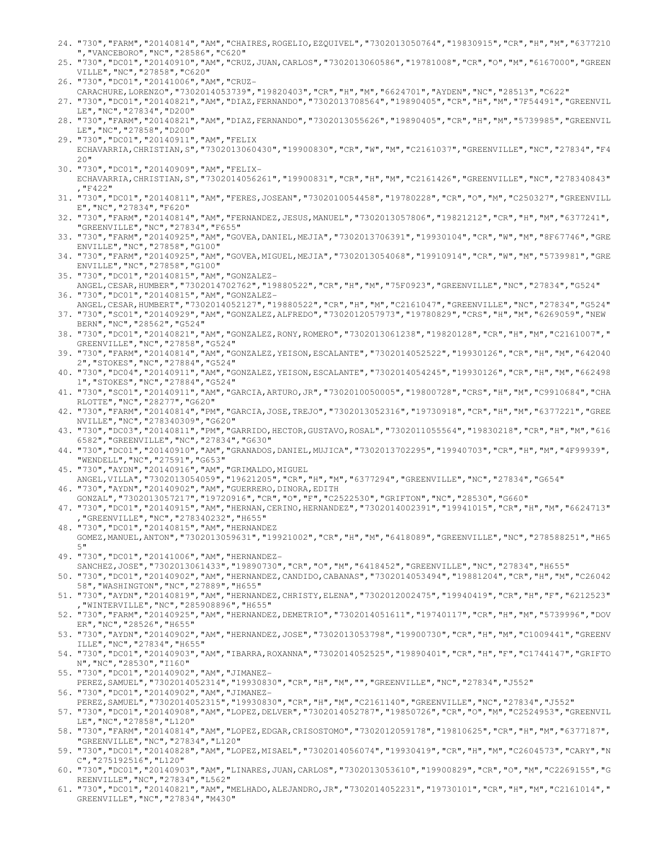- 24. "730","FARM","20140814","AM","CHAIRES,ROGELIO,EZQUIVEL","7302013050764","19830915","CR","H","M","6377210 ","VANCEBORO","NC","28586","C620"
- 25. "730","DC01","20140910","AM","CRUZ,JUAN,CARLOS","7302013060586","19781008","CR","O","M","6167000","GREEN VILLE","NC","27858","C620"
- 26. "730","DC01","20141006","AM","CRUZ-
- CARACHURE,LORENZO","7302014053739","19820403","CR","H","M","6624701","AYDEN","NC","28513","C622"
- 27. "730","DC01","20140821","AM","DIAZ,FERNANDO","7302013708564","19890405","CR","H","M","7F54491","GREENVIL LE","NC","27834","D200"
- 28. "730","FARM","20140821","AM","DIAZ,FERNANDO","7302013055626","19890405","CR","H","M","5739985","GREENVIL LE","NC","27858","D200"
- 29. "730","DC01","20140911","AM","FELIX ECHAVARRIA,CHRISTIAN,S","7302013060430","19900830","CR","W","M","C2161037","GREENVILLE","NC","27834","F4 20"
- 30. "730","DC01","20140909","AM","FELIX-
- ECHAVARRIA,CHRISTIAN,S","7302014056261","19900831","CR","H","M","C2161426","GREENVILLE","NC","278340843" ,"F422"
- 31. "730","DC01","20140811","AM","FERES,JOSEAN","7302010054458","19780228","CR","O","M","C250327","GREENVILL E","NC","27834","F620"
- 32. "730","FARM","20140814","AM","FERNANDEZ,JESUS,MANUEL","7302013057806","19821212","CR","H","M","6377241", "GREENVILLE","NC","27834","F655"
- 33. "730","FARM","20140925","AM","GOVEA,DANIEL,MEJIA","7302013706391","19930104","CR","W","M","8F67746","GRE ENVILLE","NC","27858","G100"
- 34. "730","FARM","20140925","AM","GOVEA,MIGUEL,MEJIA","7302013054068","19910914","CR","W","M","5739981","GRE ENVILLE","NC","27858","G100"
- 35. "730","DC01","20140815","AM","GONZALEZ-
- ANGEL,CESAR,HUMBER","7302014702762","19880522","CR","H","M","75F0923","GREENVILLE","NC","27834","G524" 36. "730","DC01","20140815","AM","GONZALEZ-
- ANGEL,CESAR,HUMBERT","7302014052127","19880522","CR","H","M","C2161047","GREENVILLE","NC","27834","G524"
- 37. "730","SC01","20140929","AM","GONZALEZ,ALFREDO","7302012057973","19780829","CRS","H","M","6269059","NEW BERN","NC","28562","G524"
- 38. "730","DC01","20140821","AM","GONZALEZ,RONY,ROMERO","7302013061238","19820128","CR","H","M","C2161007"," GREENVILLE","NC","27858","G524"
- 39. "730","FARM","20140814","AM","GONZALEZ,YEISON,ESCALANTE","7302014052522","19930126","CR","H","M","642040 2","STOKES","NC","27884","G524"
- 40. "730","DC04","20140911","AM","GONZALEZ,YEISON,ESCALANTE","7302014054245","19930126","CR","H","M","662498 1","STOKES","NC","27884","G524"
- 41. "730","SC01","20140911","AM","GARCIA,ARTURO,JR","7302010050005","19800728","CRS","H","M","C9910684","CHA RLOTTE","NC","28277","G620"
- 42. "730","FARM","20140814","PM","GARCIA,JOSE,TREJO","7302013052316","19730918","CR","H","M","6377221","GREE NVILLE","NC","278340309","G620"
- 43. "730","DC03","20140811","PM","GARRIDO,HECTOR,GUSTAVO,ROSAL","7302011055564","19830218","CR","H","M","616 6582","GREENVILLE","NC","27834","G630"
- 44. "730","DC01","20140910","AM","GRANADOS,DANIEL,MUJICA","7302013702295","19940703","CR","H","M","4F99939", "WENDELL","NC","27591","G653"
- 45. "730","AYDN","20140916","AM","GRIMALDO,MIGUEL
- ANGEL,VILLA","7302013054059","19621205","CR","H","M","6377294","GREENVILLE","NC","27834","G654" 46. "730","AYDN","20140902","AM","GUERRERO,DINORA,EDITH
- GONZAL","7302013057217","19720916","CR","O","F","C2522530","GRIFTON","NC","28530","G660"
- 47. "730","DC01","20140915","AM","HERNAN,CERINO,HERNANDEZ","7302014002391","19941015","CR","H","M","6624713" ,"GREENVILLE","NC","278340232","H655"
- 48. "730","DC01","20140815","AM","HERNANDEZ GOMEZ,MANUEL,ANTON","7302013059631","19921002","CR","H","M","6418089","GREENVILLE","NC","278588251","H65 5"
- 49. "730","DC01","20141006","AM","HERNANDEZ-
- SANCHEZ,JOSE","7302013061433","19890730","CR","O","M","6418452","GREENVILLE","NC","27834","H655"
- 50. "730","DC01","20140902","AM","HERNANDEZ,CANDIDO,CABANAS","7302014053494","19881204","CR","H","M","C26042 58","WASHINGTON","NC","27889","H655"
- 51. "730","AYDN","20140819","AM","HERNANDEZ,CHRISTY,ELENA","7302012002475","19940419","CR","H","F","6212523" ,"WINTERVILLE","NC","285908896","H655"
- 52. "730","FARM","20140925","AM","HERNANDEZ,DEMETRIO","7302014051611","19740117","CR","H","M","5739996","DOV ER","NC","28526","H655"
- 53. "730","AYDN","20140902","AM","HERNANDEZ,JOSE","7302013053798","19900730","CR","H","M","C1009441","GREENV ILLE","NC","27834","H655"
- 54. "730","DC01","20140903","AM","IBARRA,ROXANNA","7302014052525","19890401","CR","H","F","C1744147","GRIFTO N","NC","28530","I160"
- 55. "730","DC01","20140902","AM","JIMANEZ-
- PEREZ,SAMUEL","7302014052314","19930830","CR","H","M","","GREENVILLE","NC","27834","J552" 56. "730","DC01","20140902","AM","JIMANEZ-
- PEREZ,SAMUEL","7302014052315","19930830","CR","H","M","C2161140","GREENVILLE","NC","27834","J552"
- 57. "730","DC01","20140908","AM","LOPEZ,DELVER","7302014052787","19850726","CR","O","M","C2524953","GREENVIL LE","NC","27858","L120"
- 58. "730","FARM","20140814","AM","LOPEZ,EDGAR,CRISOSTOMO","7302012059178","19810625","CR","H","M","6377187", "GREENVILLE","NC","27834","L120"
- 59. "730","DC01","20140828","AM","LOPEZ,MISAEL","7302014056074","19930419","CR","H","M","C2604573","CARY","N C","275192516","L120"
- 60. "730","DC01","20140903","AM","LINARES,JUAN,CARLOS","7302013053610","19900829","CR","O","M","C2269155","G REENVILLE","NC","27834","L562"
- 61. "730","DC01","20140821","AM","MELHADO,ALEJANDRO,JR","7302014052231","19730101","CR","H","M","C2161014"," GREENVILLE","NC","27834","M430"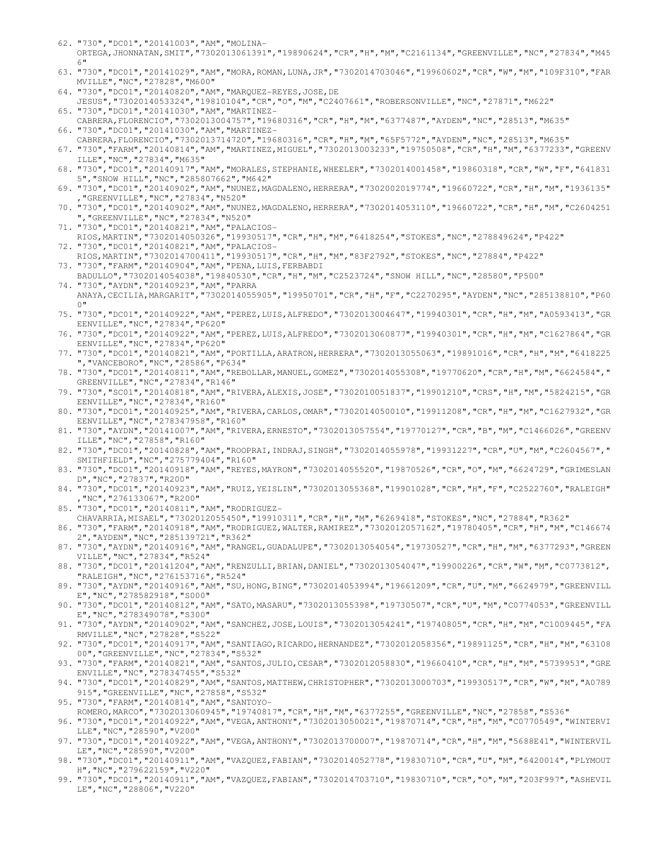- 62. "730","DC01","20141003","AM","MOLINA-
- ORTEGA,JHONNATAN,SMIT","7302013061391","19890624","CR","H","M","C2161134","GREENVILLE","NC","27834","M45  $6"$
- 63. "730","DC01","20141029","AM","MORA,ROMAN,LUNA,JR","7302014703046","19960602","CR","W","M","109F310","FAR MVILLE","NC","27828","M600"
- 64. "730","DC01","20140820","AM","MARQUEZ-REYES,JOSE,DE
- JESUS","7302014053324","19810104","CR","O","M","C2407661","ROBERSONVILLE","NC","27871","M622" 65. "730","DC01","20141030","AM","MARTINEZ-
- CABRERA,FLORENCIO","7302013004757","19680316","CR","H","M","6377487","AYDEN","NC","28513","M635" 66. "730","DC01","20141030","AM","MARTINEZ-
- CABRERA,FLORENCIO","7302013714720","19680316","CR","H","M","65F5772","AYDEN","NC","28513","M635" 67. "730","FARM","20140814","AM","MARTINEZ,MIGUEL","7302013003233","19750508","CR","H","M","6377233","GREENV
- ILLE","NC","27834","M635" 68. "730","DC01","20140917","AM","MORALES,STEPHANIE,WHEELER","7302014001458","19860318","CR","W","F","641831
- 5","SNOW HILL","NC","285807662","M642" 69. "730","DC01","20140902","AM","NUNEZ,MAGDALENO,HERRERA","7302002019774","19660722","CR","H","M","1936135" ,"GREENVILLE","NC","27834","N520"
- 70. "730","DC01","20140902","AM","NUNEZ,MAGDALENO,HERRERA","7302014053110","19660722","CR","H","M","C2604251 ","GREENVILLE","NC","27834","N520"
- 71. "730","DC01","20140821","AM","PALACIOS-
- RIOS,MARTIN","7302014050326","19930517","CR","H","M","6418254","STOKES","NC","278849624","P422" 72. "730","DC01","20140821","AM","PALACIOS-
- RIOS,MARTIN","7302014700411","19930517","CR","H","M","83F2792","STOKES","NC","27884","P422" 73. "730","FARM","20140904","AM","PENA,LUIS,FERBABDI
- BADULLO","7302014054038","19840530","CR","H","M","C2523724","SNOW HILL","NC","28580","P500" 74. "730","AYDN","20140923","AM","PARRA
- ANAYA,CECILIA,MARGARIT","7302014055905","19950701","CR","H","F","C2270295","AYDEN","NC","285138810","P60  $^{\circ}$
- 75. "730","DC01","20140922","AM","PEREZ,LUIS,ALFREDO","7302013004647","19940301","CR","H","M","A0593413","GR EENVILLE","NC","27834","P620"
- 76. "730","DC01","20140922","AM","PEREZ,LUIS,ALFREDO","7302013060877","19940301","CR","H","M","C1627864","GR EENVILLE","NC","27834","P620"
- 77. "730","DC01","20140821","AM","PORTILLA,ARATRON,HERRERA","7302013055063","19891016","CR","H","M","6418225 ","VANCEBORO","NC","28586","P634"
- 78. "730","DC01","20140811","AM","REBOLLAR,MANUEL,GOMEZ","7302014055308","19770620","CR","H","M","6624584"," GREENVILLE","NC","27834","R146"
- 79. "730","SC01","20140818","AM","RIVERA,ALEXIS,JOSE","7302010051837","19901210","CRS","H","M","5824215","GR EENVILLE","NC","27834","R160"
- 80. "730","DC01","20140925","AM","RIVERA,CARLOS,OMAR","7302014050010","19911208","CR","H","M","C1627932","GR EENVILLE","NC","278347958","R160"
- 81. "730","AYDN","20141007","AM","RIVERA,ERNESTO","7302013057554","19770127","CR","B","M","C1466026","GREENV ILLE","NC","27858","R160"
- 82. "730","DC01","20140828","AM","ROOPRAI,INDRAJ,SINGH","7302014055978","19931227","CR","U","M","C2604567"," SMITHFIELD","NC","275779404","R160"
- 83. "730","DC01","20140918","AM","REYES,MAYRON","7302014055520","19870526","CR","O","M","6624729","GRIMESLAN D","NC","27837","R200"
- 84. "730","DC01","20140923","AM","RUIZ,YEISLIN","7302013055368","19901028","CR","H","F","C2522760","RALEIGH" ,"NC","276133067","R200"
- 85. "730","DC01","20140811","AM","RODRIGUEZ-
- CHAVARRIA,MISAEL","7302012055450","19910311","CR","H","M","6269418","STOKES","NC","27884","R362"
- 86. "730","FARM","20140918","AM","RODRIGUEZ,WALTER,RAMIREZ","7302012057162","19780405","CR","H","M","C146674 2","AYDEN","NC","285139721","R362"
- 87. "730","AYDN","20140916","AM","RANGEL,GUADALUPE","7302013054054","19730527","CR","H","M","6377293","GREEN VILLE","NC","27834","R524"
- 88. "730","DC01","20141204","AM","RENZULLI,BRIAN,DANIEL","7302013054047","19900226","CR","W","M","C0773812", "RALEIGH","NC","276153716","R524"
- 89. "730","AYDN","20140916","AM","SU,HONG,BING","7302014053994","19661209","CR","U","M","6624979","GREENVILL E","NC","278582918","S000"
- 90. "730","DC01","20140812","AM","SATO,MASARU","7302013055398","19730507","CR","U","M","C0774053","GREENVILL E","NC","278349078","S300"
- 91. "730","AYDN","20140902","AM","SANCHEZ,JOSE,LOUIS","7302013054241","19740805","CR","H","M","C1009445","FA RMVILLE","NC","27828","S522"
- 92. "730","DC01","20140917","AM","SANTIAGO,RICARDO,HERNANDEZ","7302012058356","19891125","CR","H","M","63108 00","GREENVILLE","NC","27834","S532"
- 93. "730","FARM","20140821","AM","SANTOS,JULIO,CESAR","7302012058830","19660410","CR","H","M","5739953","GRE ENVILLE","NC","278347455","S532"
- 94. "730","DC01","20140829","AM","SANTOS,MATTHEW,CHRISTOPHER","7302013000703","19930517","CR","W","M","A0789 915","GREENVILLE","NC","27858","S532"
- 95. "730", "FARM", "20140814", "AM", "SANTOYO-
- ROMERO,MARCO","7302013060945","19740817","CR","H","M","6377255","GREENVILLE","NC","27858","S536"
- 96. "730","DC01","20140922","AM","VEGA,ANTHONY","7302013050021","19870714","CR","H","M","C0770549","WINTERVI LLE","NC","28590","V200"
- 97. "730","DC01","20140922","AM","VEGA,ANTHONY","7302013700007","19870714","CR","H","M","5688E41","WINTERVIL LE","NC","28590","V200"
- 98. "730","DC01","20140911","AM","VAZQUEZ,FABIAN","7302014052778","19830710","CR","U","M","6420014","PLYMOUT H","NC","279622159","V220"
- 99. "730","DC01","20140911","AM","VAZQUEZ,FABIAN","7302014703710","19830710","CR","O","M","203F997","ASHEVIL LE","NC","28806","V220"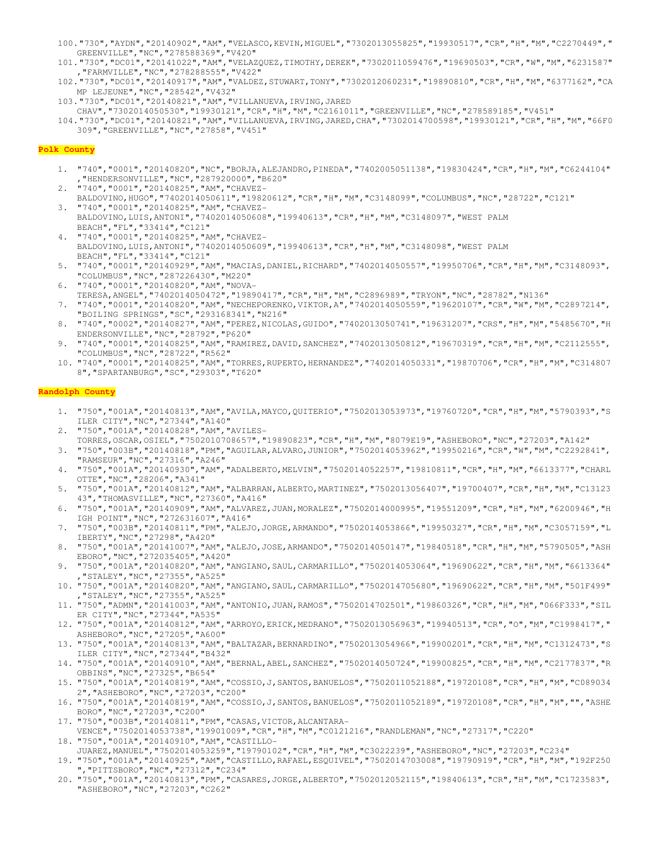- 100."730","AYDN","20140902","AM","VELASCO,KEVIN,MIGUEL","7302013055825","19930517","CR","H","M","C2270449"," GREENVILLE","NC","278588369","V420"
- 101."730","DC01","20141022","AM","VELAZQUEZ,TIMOTHY,DEREK","7302011059476","19690503","CR","W","M","6231587" ,"FARMVILLE","NC","278288555","V422"
- 102."730","DC01","20140917","AM","VALDEZ,STUWART,TONY","7302012060231","19890810","CR","H","M","6377162","CA MP LEJEUNE","NC","28542","V432"
- 103."730","DC01","20140821","AM","VILLANUEVA,IRVING,JARED
- CHAV","7302014050530","19930121","CR","H","M","C2161011","GREENVILLE","NC","278589185","V451"
- 104."730","DC01","20140821","AM","VILLANUEVA,IRVING,JARED,CHA","7302014700598","19930121","CR","H","M","66F0 309","GREENVILLE","NC","27858","V451"

## **Polk County**

- 1. "740","0001","20140820","NC","BORJA,ALEJANDRO,PINEDA","7402005051138","19830424","CR","H","M","C6244104" ,"HENDERSONVILLE","NC","287920000","B620"
- 2. "740","0001","20140825","AM","CHAVEZ-
- BALDOVINO,HUGO","7402014050611","19820612","CR","H","M","C3148099","COLUMBUS","NC","28722","C121" 3. "740","0001","20140825","AM","CHAVEZ-
- BALDOVINO,LUIS,ANTONI","7402014050608","19940613","CR","H","M","C3148097","WEST PALM BEACH","FL","33414","C121"
- 4. "740","0001","20140825","AM","CHAVEZ-BALDOVINO,LUIS,ANTONI","7402014050609","19940613","CR","H","M","C3148098","WEST PALM BEACH","FL","33414","C121"
- 5. "740","0001","20140929","AM","MACIAS,DANIEL,RICHARD","7402014050557","19950706","CR","H","M","C3148093", "COLUMBUS","NC","287226430","M220"
- 6. "740","0001","20140820","AM","NOVA-
- TERESA,ANGEL","7402014050472","19890417","CR","H","M","C2896989","TRYON","NC","28782","N136" 7. "740","0001","20140820","AM","NECHEPORENKO,VIKTOR,A","7402014050559","19620107","CR","W","M","C2897214", "BOILING SPRINGS","SC","293168341","N216"
- 8. "740","0002","20140827","AM","PEREZ,NICOLAS,GUIDO","7402013050741","19631207","CRS","H","M","5485670","H ENDERSONVILLE","NC","28792","P620"
- 9. "740","0001","20140825","AM","RAMIREZ,DAVID,SANCHEZ","7402013050812","19670319","CR","H","M","C2112555", "COLUMBUS","NC","28722","R562"
- 10. "740","0001","20140825","AM","TORRES,RUPERTO,HERNANDEZ","7402014050331","19870706","CR","H","M","C314807 8","SPARTANBURG","SC","29303","T620"

# **Randolph County**

- 1. "750","001A","20140813","AM","AVILA,MAYCO,QUITERIO","7502013053973","19760720","CR","H","M","5790393","S ILER CITY","NC","27344","A140"
- 2. "750","001A","20140828","AM","AVILES-
- TORRES,OSCAR,OSIEL","7502010708657","19890823","CR","H","M","8079E19","ASHEBORO","NC","27203","A142"
- 3. "750","003B","20140818","PM","AGUILAR,ALVARO,JUNIOR","7502014053962","19950216","CR","W","M","C2292841", "RAMSEUR","NC","27316","A246"
- 4. "750","001A","20140930","AM","ADALBERTO,MELVIN","7502014052257","19810811","CR","H","M","6613377","CHARL OTTE","NC","28206","A341"
- 5. "750","001A","20140812","AM","ALBARRAN,ALBERTO,MARTINEZ","7502013056407","19700407","CR","H","M","C13123 43","THOMASVILLE","NC","27360","A416"
- 6. "750","001A","20140909","AM","ALVAREZ,JUAN,MORALEZ","7502014000995","19551209","CR","H","M","6200946","H IGH POINT","NC","272631607","A416"
- 7. "750","003B","20140811","PM","ALEJO,JORGE,ARMANDO","7502014053866","19950327","CR","H","M","C3057159","L IBERTY","NC","27298","A420"
- 8. "750","001A","20141007","AM","ALEJO,JOSE,ARMANDO","7502014050147","19840518","CR","H","M","5790505","ASH EBORO","NC","272035405","A420"
- 9. "750","001A","20140820","AM","ANGIANO,SAUL,CARMARILLO","7502014053064","19690622","CR","H","M","6613364" ,"STALEY","NC","27355","A525"
- 10. "750","001A","20140820","AM","ANGIANO,SAUL,CARMARILLO","7502014705680","19690622","CR","H","M","501F499" ,"STALEY","NC","27355","A525"
- 11. "750","ADMN","20141003","AM","ANTONIO,JUAN,RAMOS","7502014702501","19860326","CR","H","M","066F333","SIL ER CITY","NC","27344","A535"
- 12. "750","001A","20140812","AM","ARROYO,ERICK,MEDRANO","7502013056963","19940513","CR","O","M","C1998417"," ASHEBORO","NC","27205","A600"
- 13. "750","001A","20140813","AM","BALTAZAR,BERNARDINO","7502013054966","19900201","CR","H","M","C1312473","S ILER CITY","NC","27344","B432"
- 14. "750","001A","20140910","AM","BERNAL,ABEL,SANCHEZ","7502014050724","19900825","CR","H","M","C2177837","R OBBINS","NC","27325","B654"
- 15. "750","001A","20140819","AM","COSSIO,J,SANTOS,BANUELOS","7502011052188","19720108","CR","H","M","C089034 2","ASHEBORO","NC","27203","C200"
- 16. "750","001A","20140819","AM","COSSIO,J,SANTOS,BANUELOS","7502011052189","19720108","CR","H","M","","ASHE BORO","NC","27203","C200"
- 17. "750","003B","20140811","PM","CASAS,VICTOR,ALCANTARA-
- VENCE","7502014053738","19901009","CR","H","M","C0121216","RANDLEMAN","NC","27317","C220" 18. "750","001A","20140910","AM","CASTILLO-
- JUAREZ,MANUEL","7502014053259","19790102","CR","H","M","C3022239","ASHEBORO","NC","27203","C234"
- 19. "750","001A","20140925","AM","CASTILLO,RAFAEL,ESQUIVEL","7502014703008","19790919","CR","H","M","192F250 ","PITTSBORO","NC","27312","C234"
- 20. "750","001A","20140813","PM","CASARES,JORGE,ALBERTO","7502012052115","19840613","CR","H","M","C1723583", "ASHEBORO","NC","27203","C262"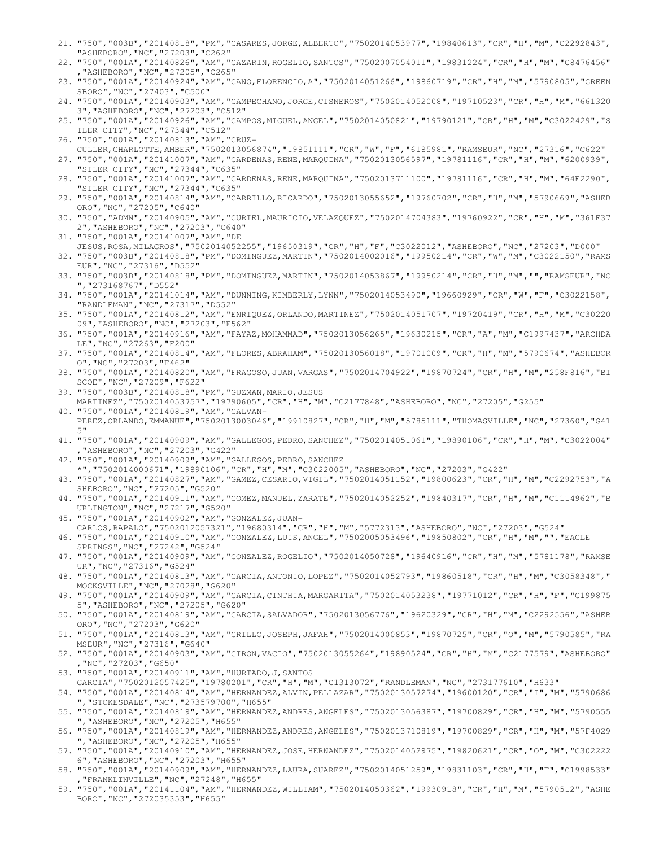- 21. "750","003B","20140818","PM","CASARES,JORGE,ALBERTO","7502014053977","19840613","CR","H","M","C2292843", "ASHEBORO","NC","27203","C262"
- 22. "750","001A","20140826","AM","CAZARIN,ROGELIO,SANTOS","7502007054011","19831224","CR","H","M","C8476456" ,"ASHEBORO","NC","27205","C265"
- 23. "750","001A","20140924","AM","CANO,FLORENCIO,A","7502014051266","19860719","CR","H","M","5790805","GREEN SBORO","NC","27403","C500"
- 24. "750","001A","20140903","AM","CAMPECHANO,JORGE,CISNEROS","7502014052008","19710523","CR","H","M","661320 3","ASHEBORO","NC","27203","C512"
- 25. "750","001A","20140926","AM","CAMPOS,MIGUEL,ANGEL","7502014050821","19790121","CR","H","M","C3022429","S ILER CITY","NC","27344","C512"
- 26. "750","001A","20140813","AM","CRUZ-
- CULLER,CHARLOTTE,AMBER","7502013056874","19851111","CR","W","F","6185981","RAMSEUR","NC","27316","C622" 27. "750","001A","20141007","AM","CARDENAS,RENE,MARQUINA","7502013056597","19781116","CR","H","M","6200939",
- "SILER CITY","NC","27344","C635" 28. "750","001A","20141007","AM","CARDENAS,RENE,MARQUINA","7502013711100","19781116","CR","H","M","64F2290", "SILER CITY","NC","27344","C635"
- 29. "750","001A","20140814","AM","CARRILLO,RICARDO","7502013055652","19760702","CR","H","M","5790669","ASHEB ORO","NC","27205","C640"
- 30. "750","ADMN","20140905","AM","CURIEL,MAURICIO,VELAZQUEZ","7502014704383","19760922","CR","H","M","361F37 2","ASHEBORO","NC","27203","C640"
- 31. "750","001A","20141007","AM","DE
- JESUS,ROSA,MILAGROS","7502014052255","19650319","CR","H","F","C3022012","ASHEBORO","NC","27203","D000" 32. "750","003B","20140818","PM","DOMINGUEZ,MARTIN","7502014002016","19950214","CR","W","M","C3022150","RAMS
- EUR","NC","27316","D552" 33. "750","003B","20140818","PM","DOMINGUEZ,MARTIN","7502014053867","19950214","CR","H","M","","RAMSEUR","NC ","273168767","D552"
- 34. "750","001A","20141014","AM","DUNNING,KIMBERLY,LYNN","7502014053490","19660929","CR","W","F","C3022158", "RANDLEMAN","NC","27317","D552"
- 35. "750","001A","20140812","AM","ENRIQUEZ,ORLANDO,MARTINEZ","7502014051707","19720419","CR","H","M","C30220 09","ASHEBORO","NC","27203","E562"
- 36. "750","001A","20140916","AM","FAYAZ,MOHAMMAD","7502013056265","19630215","CR","A","M","C1997437","ARCHDA LE","NC","27263","F200"
- 37. "750","001A","20140814","AM","FLORES,ABRAHAM","7502013056018","19701009","CR","H","M","5790674","ASHEBOR O","NC","27203","F462"
- 38. "750","001A","20140820","AM","FRAGOSO,JUAN,VARGAS","7502014704922","19870724","CR","H","M","258F816","BI SCOE","NC","27209","F622"
- 39. "750","003B","20140818","PM","GUZMAN,MARIO,JESUS
- MARTINEZ","7502014053757","19790605","CR","H","M","C2177848","ASHEBORO","NC","27205","G255" 40. "750","001A","20140819","AM","GALVAN-
- PEREZ,ORLANDO,EMMANUE","7502013003046","19910827","CR","H","M","5785111","THOMASVILLE","NC","27360","G41 5"
- 41. "750","001A","20140909","AM","GALLEGOS,PEDRO,SANCHEZ","7502014051061","19890106","CR","H","M","C3022004" ,"ASHEBORO","NC","27203","G422"
- "750", "001A", "20140909", "AM", "GALLEGOS, PEDRO, SANCHEZ
- \*","7502014000671","19890106","CR","H","M","C3022005","ASHEBORO","NC","27203","G422"
- 43. "750","001A","20140827","AM","GAMEZ,CESARIO,VIGIL","7502014051152","19800623","CR","H","M","C2292753","A SHEBORO","NC","27205","G520"
- 44. "750","001A","20140911","AM","GOMEZ,MANUEL,ZARATE","7502014052252","19840317","CR","H","M","C1114962","B URLINGTON","NC","27217","G520"
- 45. "750","001A","20140902","AM","GONZALEZ,JUAN-
- CARLOS,RAPALO","7502012057321","19680314","CR","H","M","5772313","ASHEBORO","NC","27203","G524"
- 46. "750","001A","20140910","AM","GONZALEZ,LUIS,ANGEL","7502005053496","19850802","CR","H","M","","EAGLE SPRINGS","NC","27242","G524"
- 47. "750","001A","20140909","AM","GONZALEZ,ROGELIO","7502014050728","19640916","CR","H","M","5781178","RAMSE UR","NC","27316","G524"
- 48. "750","001A","20140813","AM","GARCIA,ANTONIO,LOPEZ","7502014052793","19860518","CR","H","M","C3058348"," MOCKSVILLE","NC","27028","G620"
- 49. "750","001A","20140909","AM","GARCIA,CINTHIA,MARGARITA","7502014053238","19771012","CR","H","F","C199875 5","ASHEBORO","NC","27205","G620"
- 50. "750","001A","20140819","AM","GARCIA,SALVADOR","7502013056776","19620329","CR","H","M","C2292556","ASHEB ORO","NC","27203","G620"
- 51. "750","001A","20140813","AM","GRILLO,JOSEPH,JAFAH","7502014000853","19870725","CR","O","M","5790585","RA MSEUR","NC","27316","G640"
- 52. "750","001A","20140903","AM","GIRON,VACIO","7502013055264","19890524","CR","H","M","C2177579","ASHEBORO" ,"NC","27203","G650"
- 53. "750","001A","20140911","AM","HURTADO,J,SANTOS
- GARCIA","7502012057425","19780201","CR","H","M","C1313072","RANDLEMAN","NC","273177610","H633"
- 54. "750","001A","20140814","AM","HERNANDEZ,ALVIN,PELLAZAR","7502013057274","19600120","CR","I","M","5790686 ","STOKESDALE","NC","273579700","H655"
- 55. "750","001A","20140819","AM","HERNANDEZ,ANDRES,ANGELES","7502013056387","19700829","CR","H","M","5790555 ","ASHEBORO","NC","27205","H655"
- 56. "750","001A","20140819","AM","HERNANDEZ,ANDRES,ANGELES","7502013710819","19700829","CR","H","M","57F4029 ","ASHEBORO","NC","27205","H655"
- 57. "750","001A","20140910","AM","HERNANDEZ,JOSE,HERNANDEZ","7502014052975","19820621","CR","O","M","C302222 6","ASHEBORO","NC","27203","H655"
- 58. "750","001A","20140909","AM","HERNANDEZ,LAURA,SUAREZ","7502014051259","19831103","CR","H","F","C1998533" ,"FRANKLINVILLE","NC","27248","H655"
- 59. "750","001A","20141104","AM","HERNANDEZ,WILLIAM","7502014050362","19930918","CR","H","M","5790512","ASHE BORO","NC","272035353","H655"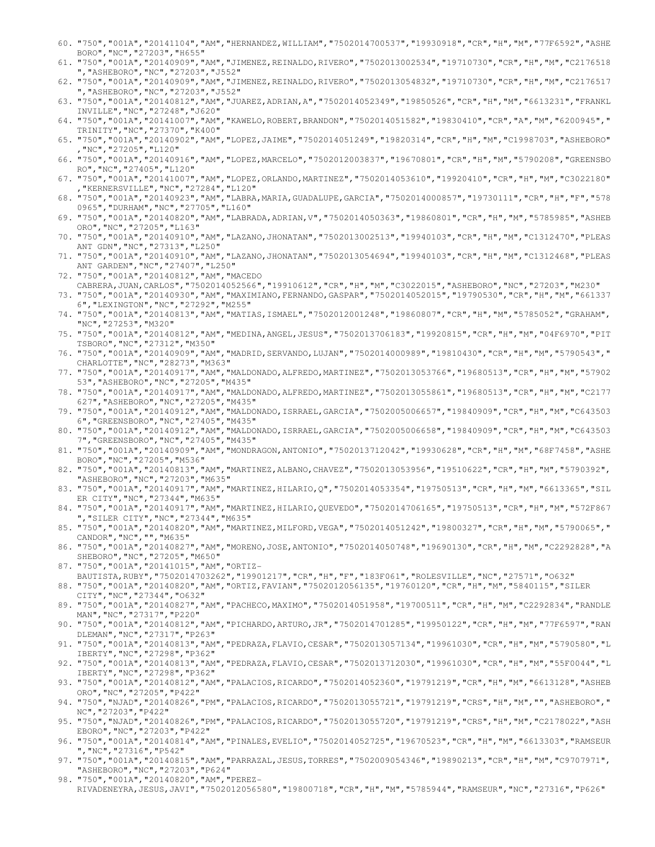- 60. "750","001A","20141104","AM","HERNANDEZ,WILLIAM","7502014700537","19930918","CR","H","M","77F6592","ASHE BORO","NC","27203","H655"
- 61. "750","001A","20140909","AM","JIMENEZ,REINALDO,RIVERO","7502013002534","19710730","CR","H","M","C2176518 ","ASHEBORO","NC","27203","J552"
- 62. "750","001A","20140909","AM","JIMENEZ,REINALDO,RIVERO","7502013054832","19710730","CR","H","M","C2176517 ","ASHEBORO","NC","27203","J552"
- 63. "750","001A","20140812","AM","JUAREZ,ADRIAN,A","7502014052349","19850526","CR","H","M","6613231","FRANKL INVILLE","NC","27248","J620"
- 64. "750","001A","20141007","AM","KAWELO,ROBERT,BRANDON","7502014051582","19830410","CR","A","M","6200945"," TRINITY","NC","27370","K400"
- 65. "750","001A","20140902","AM","LOPEZ,JAIME","7502014051249","19820314","CR","H","M","C1998703","ASHEBORO" ,"NC","27205","L120"
- 66. "750","001A","20140916","AM","LOPEZ,MARCELO","7502012003837","19670801","CR","H","M","5790208","GREENSBO RO","NC","27405","L120"
- 67. "750","001A","20141007","AM","LOPEZ,ORLANDO,MARTINEZ","7502014053610","19920410","CR","H","M","C3022180" ,"KERNERSVILLE","NC","27284","L120"
- 68. "750","001A","20140923","AM","LABRA,MARIA,GUADALUPE,GARCIA","7502014000857","19730111","CR","H","F","578 0965","DURHAM","NC","27705","L160"
- 69. "750","001A","20140820","AM","LABRADA,ADRIAN,V","7502014050363","19860801","CR","H","M","5785985","ASHEB ORO","NC","27205","L163"
- 70. "750","001A","20140910","AM","LAZANO,JHONATAN","7502013002513","19940103","CR","H","M","C1312470","PLEAS ANT GDN","NC","27313","L250"
- 71. "750","001A","20140910","AM","LAZANO,JHONATAN","7502013054694","19940103","CR","H","M","C1312468","PLEAS ANT GARDEN","NC","27407","L250"
- 72. "750","001A","20140812","AM","MACEDO
- CABRERA,JUAN,CARLOS","7502014052566","19910612","CR","H","M","C3022015","ASHEBORO","NC","27203","M230" 73. "750","001A","20140930","AM","MAXIMIANO,FERNANDO,GASPAR","7502014052015","19790530","CR","H","M","661337 6","LEXINGTON","NC","27292","M255"
- 74. "750","001A","20140813","AM","MATIAS,ISMAEL","7502012001248","19860807","CR","H","M","5785052","GRAHAM", "NC","27253","M320"
- 75. "750","001A","20140812","AM","MEDINA,ANGEL,JESUS","7502013706183","19920815","CR","H","M","04F6970","PIT TSBORO","NC","27312","M350"
- 76. "750","001A","20140909","AM","MADRID,SERVANDO,LUJAN","7502014000989","19810430","CR","H","M","5790543"," CHARLOTTE","NC","28273","M363"
- 77. "750","001A","20140917","AM","MALDONADO,ALFREDO,MARTINEZ","7502013053766","19680513","CR","H","M","57902 53","ASHEBORO","NC","27205","M435"
- 78. "750","001A","20140917","AM","MALDONADO,ALFREDO,MARTINEZ","7502013055861","19680513","CR","H","M","C2177 627","ASHEBORO","NC","27205","M435"
- 79. "750","001A","20140912","AM","MALDONADO,ISRRAEL,GARCIA","7502005006657","19840909","CR","H","M","C643503 6","GREENSBORO","NC","27405","M435"
- 80. "750","001A","20140912","AM","MALDONADO,ISRRAEL,GARCIA","7502005006658","19840909","CR","H","M","C643503 7","GREENSBORO","NC","27405","M435"
- 81. "750","001A","20140909","AM","MONDRAGON,ANTONIO","7502013712042","19930628","CR","H","M","68F7458","ASHE BORO","NC","27205","M536"
- 82. "750","001A","20140813","AM","MARTINEZ,ALBANO,CHAVEZ","7502013053956","19510622","CR","H","M","5790392", "ASHEBORO","NC","27203","M635"
- 83. "750","001A","20140917","AM","MARTINEZ,HILARIO,Q","7502014053354","19750513","CR","H","M","6613365","SIL ER CITY","NC","27344","M635"
- 84. "750","001A","20140917","AM","MARTINEZ,HILARIO,QUEVEDO","7502014706165","19750513","CR","H","M","572F867 ","SILER CITY","NC","27344","M635"
- 85. "750","001A","20140820","AM","MARTINEZ,MILFORD,VEGA","7502014051242","19800327","CR","H","M","5790065"," CANDOR","NC","","M635"
- 86. "750","001A","20140827","AM","MORENO,JOSE,ANTONIO","7502014050748","19690130","CR","H","M","C2292828","A SHEBORO","NC","27205","M650"
- 87. "750","001A","20141015","AM","ORTIZ-BAUTISTA,RUBY","7502014703262","19901217","CR","H","F","183F061","ROLESVILLE","NC","27571","O632"
- 88. "750","001A","20140820","AM","ORTIZ,FAVIAN","7502012056135","19760120","CR","H","M","5840115","SILER
- CITY","NC","27344","O632" 89. "750","001A","20140827","AM","PACHECO,MAXIMO","7502014051958","19700511","CR","H","M","C2292834","RANDLE MAN","NC","27317","P220"
- 90. "750","001A","20140812","AM","PICHARDO,ARTURO,JR","7502014701285","19950122","CR","H","M","77F6597","RAN DLEMAN","NC","27317","P263"
- 91. "750","001A","20140813","AM","PEDRAZA,FLAVIO,CESAR","7502013057134","19961030","CR","H","M","5790580","L IBERTY","NC","27298","P362"
- 92. "750", "001A", "20140813", "AM", "PEDRAZA, FLAVIO, CESAR", "7502013712030", "19961030", "CR", "H", "M", "55F0044", "L IBERTY","NC","27298","P362"
- 93. "750","001A","20140812","AM","PALACIOS,RICARDO","7502014052360","19791219","CR","H","M","6613128","ASHEB ORO","NC","27205","P422"
- 94. "750","NJAD","20140826","PM","PALACIOS,RICARDO","7502013055721","19791219","CRS","H","M","","ASHEBORO"," NC","27203","P422"
- 95. "750","NJAD","20140826","PM","PALACIOS,RICARDO","7502013055720","19791219","CRS","H","M","C2178022","ASH EBORO","NC","27203","P422"
- 96. "750","001A","20140814","AM","PINALES,EVELIO","7502014052725","19670523","CR","H","M","6613303","RAMSEUR ","NC","27316","P542"
- 97. "750","001A","20140815","AM","PARRAZAL,JESUS,TORRES","7502009054346","19890213","CR","H","M","C9707971", "ASHEBORO","NC","27203","P624"
- 98. "750","001A","20140820","AM","PEREZ-RIVADENEYRA,JESUS,JAVI","7502012056580","19800718","CR","H","M","5785944","RAMSEUR","NC","27316","P626"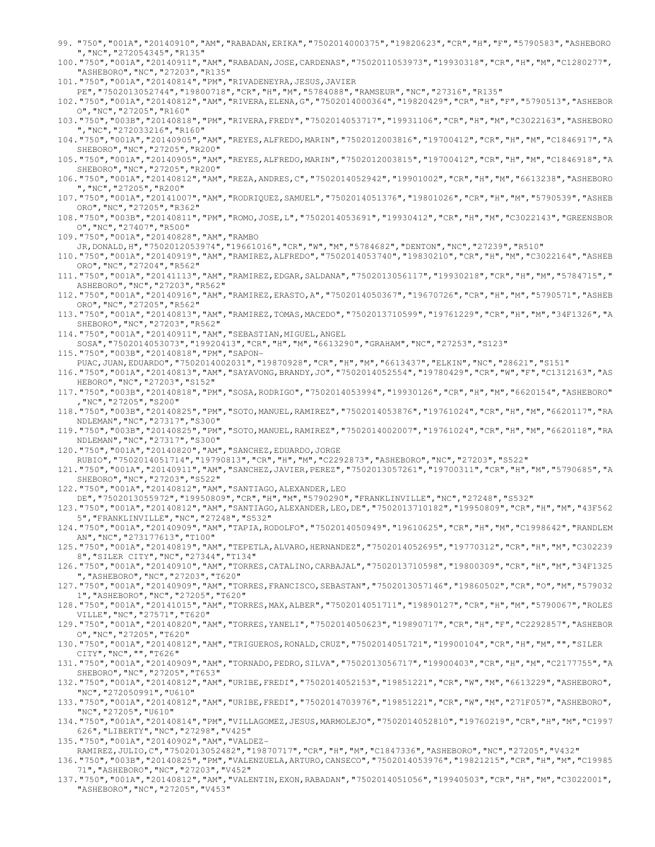- 99. "750","001A","20140910","AM","RABADAN,ERIKA","7502014000375","19820623","CR","H","F","5790583","ASHEBORO ","NC","272054345","R135"
- 100."750","001A","20140911","AM","RABADAN,JOSE,CARDENAS","7502011053973","19930318","CR","H","M","C1280277", "ASHEBORO","NC","27203","R135"
- 101."750","001A","20140814","PM","RIVADENEYRA,JESUS,JAVIER

PE","7502013052744","19800718","CR","H","M","5784088","RAMSEUR","NC","27316","R135"

- 102."750","001A","20140812","AM","RIVERA,ELENA,G","7502014000364","19820429","CR","H","F","5790513","ASHEBOR O","NC","27205","R160"
- 103."750","003B","20140818","PM","RIVERA,FREDY","7502014053717","19931106","CR","H","M","C3022163","ASHEBORO ","NC","272033216","R160"
- 104."750","001A","20140905","AM","REYES,ALFREDO,MARIN","7502012003816","19700412","CR","H","M","C1846917","A SHEBORO","NC","27205","R200"
- 105."750","001A","20140905","AM","REYES,ALFREDO,MARIN","7502012003815","19700412","CR","H","M","C1846918","A SHEBORO","NC","27205","R200"
- 106."750","001A","20140812","AM","REZA,ANDRES,C","7502014052942","19901002","CR","H","M","6613238","ASHEBORO ","NC","27205","R200"
- 107."750","001A","20141007","AM","RODRIQUEZ,SAMUEL","7502014051376","19801026","CR","H","M","5790539","ASHEB ORO","NC","27205","R362"
- 108."750","003B","20140811","PM","ROMO,JOSE,L","7502014053691","19930412","CR","H","M","C3022143","GREENSBOR O","NC","27407","R500"
- 109."750","001A","20140828","AM","RAMBO
- JR,DONALD,H","7502012053974","19661016","CR","W","M","5784682","DENTON","NC","27239","R510"
- 110."750","001A","20140919","AM","RAMIREZ,ALFREDO","7502014053740","19830210","CR","H","M","C3022164","ASHEB ORO","NC","27204","R562"
- 111."750","001A","20141113","AM","RAMIREZ,EDGAR,SALDANA","7502013056117","19930218","CR","H","M","5784715"," ASHEBORO","NC","27203","R562"
- 112."750","001A","20140916","AM","RAMIREZ,ERASTO,A","7502014050367","19670726","CR","H","M","5790571","ASHEB ORO","NC","27205","R562"
- 113."750","001A","20140813","AM","RAMIREZ,TOMAS,MACEDO","7502013710599","19761229","CR","H","M","34F1326","A SHEBORO","NC","27203","R562"
- 114. "750", "001A", "20140911", "AM", "SEBASTIAN, MIGUEL, ANGEL
- SOSA","7502014053073","19920413","CR","H","M","6613290","GRAHAM","NC","27253","S123" 115."750","003B","20140818","PM","SAPON-
- PUAC,JUAN,EDUARDO","7502014002031","19870928","CR","H","M","6613437","ELKIN","NC","28621","S151"
- 116."750","001A","20140813","AM","SAYAVONG,BRANDY,JO","7502014052554","19780429","CR","W","F","C1312163","AS HEBORO","NC","27203","S152"
- 117."750","003B","20140818","PM","SOSA,RODRIGO","7502014053994","19930126","CR","H","M","6620154","ASHEBORO" ,"NC","27205","S200"
- 118."750","003B","20140825","PM","SOTO,MANUEL,RAMIREZ","7502014053876","19761024","CR","H","M","6620117","RA NDLEMAN","NC","27317","S300"
- 119."750","003B","20140825","PM","SOTO,MANUEL,RAMIREZ","7502014002007","19761024","CR","H","M","6620118","RA NDLEMAN","NC","27317","S300"
- 120."750","001A","20140820","AM","SANCHEZ,EDUARDO,JORGE

RUBIO","7502014051714","19790813","CR","H","M","C2292873","ASHEBORO","NC","27203","S522"

121."750","001A","20140911","AM","SANCHEZ,JAVIER,PEREZ","7502013057261","19700311","CR","H","M","5790685","A SHEBORO","NC","27203","S522"

122."750","001A","20140812","AM","SANTIAGO,ALEXANDER,LEO

DE","7502013055972","19950809","CR","H","M","5790290","FRANKLINVILLE","NC","27248","S532"

- 123."750","001A","20140812","AM","SANTIAGO,ALEXANDER,LEO,DE","7502013710182","19950809","CR","H","M","43F562 5","FRANKLINVILLE","NC","27248","S532"
- 124."750","001A","20140909","AM","TAPIA,RODOLFO","7502014050949","19610625","CR","H","M","C1998642","RANDLEM AN","NC","273177613","T100"
- 125."750","001A","20140819","AM","TEPETLA,ALVARO,HERNANDEZ","7502014052695","19770312","CR","H","M","C302239 8","SILER CITY","NC","27344","T134"
- 126."750","001A","20140910","AM","TORRES,CATALINO,CARBAJAL","7502013710598","19800309","CR","H","M","34F1325 ","ASHEBORO","NC","27203","T620"
- 127."750","001A","20140909","AM","TORRES,FRANCISCO,SEBASTAN","7502013057146","19860502","CR","O","M","579032 1","ASHEBORO","NC","27205","T620"
- 128."750","001A","20141015","AM","TORRES,MAX,ALBER","7502014051711","19890127","CR","H","M","5790067","ROLES VILLE","NC","27571","T620"
- 129."750","001A","20140820","AM","TORRES,YANELI","7502014050623","19890717","CR","H","F","C2292857","ASHEBOR O","NC","27205","T620"
- 130."750","001A","20140812","AM","TRIGUEROS,RONALD,CRUZ","7502014051721","19900104","CR","H","M","","SILER CITY","NC","","T626"
- 131."750","001A","20140909","AM","TORNADO,PEDRO,SILVA","7502013056717","19900403","CR","H","M","C2177755","A SHEBORO","NC","27205","T653"
- 132."750","001A","20140812","AM","URIBE,FREDI","7502014052153","19851221","CR","W","M","6613229","ASHEBORO", "NC","272050991","U610"
- 133."750","001A","20140812","AM","URIBE,FREDI","7502014703976","19851221","CR","W","M","271F057","ASHEBORO", "NC","27205","U610"
- 134."750","001A","20140814","PM","VILLAGOMEZ,JESUS,MARMOLEJO","7502014052810","19760219","CR","H","M","C1997 626","LIBERTY","NC","27298","V425"
- 135."750","001A","20140902","AM","VALDEZ-RAMIREZ,JULIO,C","7502013052482","19870717","CR","H","M","C1847336","ASHEBORO","NC","27205","V432"
- 136."750","003B","20140825","PM","VALENZUELA,ARTURO,CANSECO","7502014053976","19821215","CR","H","M","C19985 71","ASHEBORO","NC","27203","V452"
- 137."750","001A","20140812","AM","VALENTIN,EXON,RABADAN","7502014051056","19940503","CR","H","M","C3022001", "ASHEBORO","NC","27205","V453"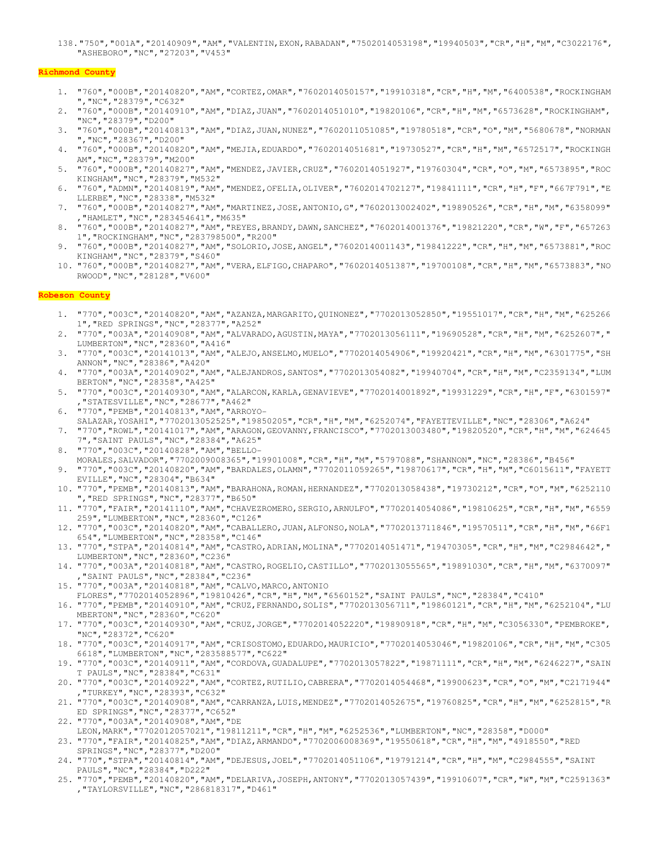138."750","001A","20140909","AM","VALENTIN,EXON,RABADAN","7502014053198","19940503","CR","H","M","C3022176", "ASHEBORO","NC","27203","V453"

# **Richmond County**

- 1. "760","000B","20140820","AM","CORTEZ,OMAR","7602014050157","19910318","CR","H","M","6400538","ROCKINGHAM ","NC","28379","C632"
- 2. "760","000B","20140910","AM","DIAZ,JUAN","7602014051010","19820106","CR","H","M","6573628","ROCKINGHAM", "NC","28379","D200"
- 3. "760","000B","20140813","AM","DIAZ,JUAN,NUNEZ","7602011051085","19780518","CR","O","M","5680678","NORMAN ","NC","28367","D200"
- 4. "760","000B","20140820","AM","MEJIA,EDUARDO","7602014051681","19730527","CR","H","M","6572517","ROCKINGH AM","NC","28379","M200"
- 5. "760","000B","20140827","AM","MENDEZ,JAVIER,CRUZ","7602014051927","19760304","CR","O","M","6573895","ROC KINGHAM","NC","28379","M532"
- 6. "760","ADMN","20140819","AM","MENDEZ,OFELIA,OLIVER","7602014702127","19841111","CR","H","F","667F791","E LLERBE","NC","28338","M532"
- 7. "760","000B","20140827","AM","MARTINEZ,JOSE,ANTONIO,G","7602013002402","19890526","CR","H","M","6358099" ,"HAMLET","NC","283454641","M635"
- 8. "760","000B","20140827","AM","REYES,BRANDY,DAWN,SANCHEZ","7602014001376","19821220","CR","W","F","657263 1","ROCKINGHAM","NC","283798500","R200"
- 9. "760","000B","20140827","AM","SOLORIO,JOSE,ANGEL","7602014001143","19841222","CR","H","M","6573881","ROC KINGHAM","NC","28379","S460"
- 10. "760","000B","20140827","AM","VERA,ELFIGO,CHAPARO","7602014051387","19700108","CR","H","M","6573883","NO RWOOD","NC","28128","V600"

#### **Robeson County**

- 1. "770","003C","20140820","AM","AZANZA,MARGARITO,QUINONEZ","7702013052850","19551017","CR","H","M","625266 1","RED SPRINGS","NC","28377","A252"
- 2. "770","003A","20140908","AM","ALVARADO,AGUSTIN,MAYA","7702013056111","19690528","CR","H","M","6252607"," LUMBERTON","NC","28360","A416"
- 3. "770","003C","20141013","AM","ALEJO,ANSELMO,MUELO","7702014054906","19920421","CR","H","M","6301775","SH ANNON","NC","28386","A420"
- 4. "770","003A","20140902","AM","ALEJANDROS,SANTOS","7702013054082","19940704","CR","H","M","C2359134","LUM BERTON","NC","28358","A425"
- 5. "770","003C","20140930","AM","ALARCON,KARLA,GENAVIEVE","7702014001892","19931229","CR","H","F","6301597" ,"STATESVILLE","NC","28677","A462"
- 6. "770","PEMB","20140813","AM","ARROYO-SALAZAR,YOSAHI","7702013052525","19850205","CR","H","M","6252074","FAYETTEVILLE","NC","28306","A624"
- 7. "770","ROWL","20141017","AM","ARAGON,GEOVANNY,FRANCISCO","7702013003480","19820520","CR","H","M","624645 7","SAINT PAULS","NC","28384","A625"
- 8. "770","003C","20140828","AM","BELLO-

MORALES,SALVADOR","7702009008365","19901008","CR","H","M","5797088","SHANNON","NC","28386","B456"

- 9. "770", "003C", "20140820", "AM", "BARDALES, OLAMN", "7702011059265", "19870617", "CR", "H", "M", "C6015611", "FAYETT EVILLE","NC","28304","B634"
- 10. "770","PEMB","20140813","AM","BARAHONA,ROMAN,HERNANDEZ","7702013058438","19730212","CR","O","M","6252110 ","RED SPRINGS","NC","28377","B650"
- 11. "770","FAIR","20141110","AM","CHAVEZROMERO,SERGIO,ARNULFO","7702014054086","19810625","CR","H","M","6559 259","LUMBERTON","NC","28360","C126"
- 12. "770","003C","20140820","AM","CABALLERO,JUAN,ALFONSO,NOLA","7702013711846","19570511","CR","H","M","66F1 654","LUMBERTON","NC","28358","C146"
- 13. "770","STPA","20140814","AM","CASTRO,ADRIAN,MOLINA","7702014051471","19470305","CR","H","M","C2984642"," LUMBERTON","NC","28360","C236"
- 14. "770","003A","20140818","AM","CASTRO,ROGELIO,CASTILLO","7702013055565","19891030","CR","H","M","6370097" ,"SAINT PAULS","NC","28384","C236"
- 15. "770","003A","20140818","AM","CALVO,MARCO,ANTONIO
- FLORES","7702014052896","19810426","CR","H","M","6560152","SAINT PAULS","NC","28384","C410"
- 16. "770","PEMB","20140910","AM","CRUZ,FERNANDO,SOLIS","7702013056711","19860121","CR","H","M","6252104","LU MBERTON","NC","28360","C620"
- 17. "770","003C","20140930","AM","CRUZ,JORGE","7702014052220","19890918","CR","H","M","C3056330","PEMBROKE", "NC","28372","C620"
- 18. "770","003C","20140917","AM","CRISOSTOMO,EDUARDO,MAURICIO","7702014053046","19820106","CR","H","M","C305 6618","LUMBERTON","NC","283588577","C622"
- 19. "770","003C","20140911","AM","CORDOVA,GUADALUPE","7702013057822","19871111","CR","H","M","6246227","SAIN T PAULS","NC","28384","C631"
- 20. "770","003C","20140922","AM","CORTEZ,RUTILIO,CABRERA","7702014054468","19900623","CR","O","M","C2171944" ,"TURKEY","NC","28393","C632"
- 21. "770","003C","20140908","AM","CARRANZA,LUIS,MENDEZ","7702014052675","19760825","CR","H","M","6252815","R ED SPRINGS","NC","28377","C652"
- 22. "770","003A","20140908","AM","DE
- LEON,MARK","7702012057021","19811211","CR","H","M","6252536","LUMBERTON","NC","28358","D000"
- 23. "770","FAIR","20140825","AM","DIAZ,ARMANDO","7702006008369","19550618","CR","H","M","4918550","RED SPRINGS","NC","28377","D200"
- 24. "770","STPA","20140814","AM","DEJESUS,JOEL","7702014051106","19791214","CR","H","M","C2984555","SAINT PAULS","NC","28384","D222"
- 25. "770","PEMB","20140820","AM","DELARIVA,JOSEPH,ANTONY","7702013057439","19910607","CR","W","M","C2591363" ,"TAYLORSVILLE","NC","286818317","D461"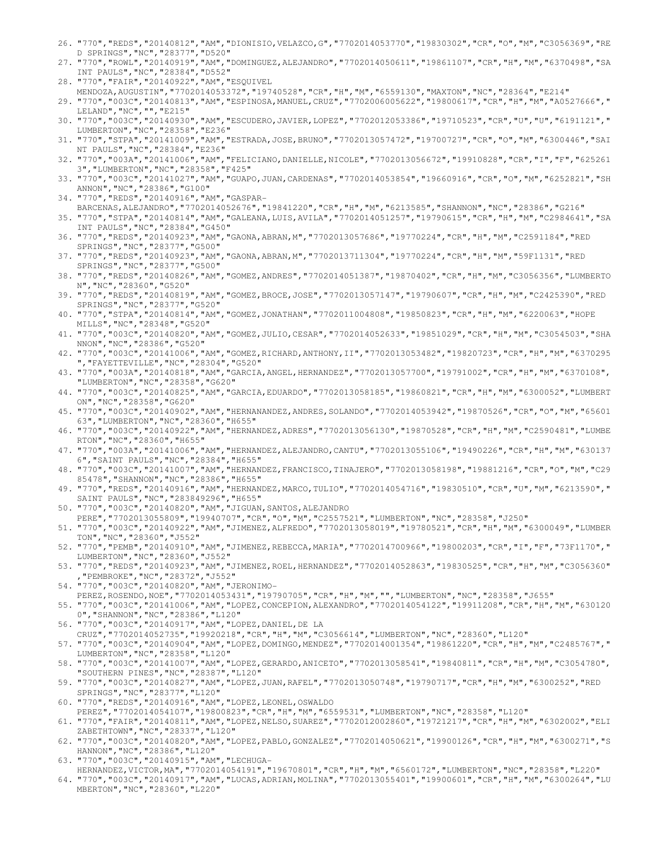- 26. "770","REDS","20140812","AM","DIONISIO,VELAZCO,G","7702014053770","19830302","CR","O","M","C3056369","RE D SPRINGS","NC","28377","D520"
- 27. "770","ROWL","20140919","AM","DOMINGUEZ,ALEJANDRO","7702014050611","19861107","CR","H","M","6370498","SA INT PAULS","NC","28384","D552"
- 28. "770","FAIR","20140922","AM","ESQUIVEL
- MENDOZA,AUGUSTIN","7702014053372","19740528","CR","H","M","6559130","MAXTON","NC","28364","E214" 29. "770","003C","20140813","AM","ESPINOSA,MANUEL,CRUZ","7702006005622","19800617","CR","H","M","A0527666","
- LELAND","NC","","E215"
- 30. "770","003C","20140930","AM","ESCUDERO,JAVIER,LOPEZ","7702012053386","19710523","CR","U","U","6191121"," LUMBERTON","NC","28358","E236"
- 31. "770","STPA","20141009","AM","ESTRADA,JOSE,BRUNO","7702013057472","19700727","CR","O","M","6300446","SAI NT PAULS","NC","28384","E236"
- 32. "770","003A","20141006","AM","FELICIANO,DANIELLE,NICOLE","7702013056672","19910828","CR","I","F","625261 3","LUMBERTON","NC","28358","F425"
- 33. "770","003C","20141027","AM","GUAPO,JUAN,CARDENAS","7702014053854","19660916","CR","O","M","6252821","SH ANNON","NC","28386","G100"
- 34. "770","REDS","20140916","AM","GASPAR-
- BARCENAS,ALEJANDRO","7702014052676","19841220","CR","H","M","6213585","SHANNON","NC","28386","G216"
- 35. "770","STPA","20140814","AM","GALEANA,LUIS,AVILA","7702014051257","19790615","CR","H","M","C2984641","SA INT PAULS","NC","28384","G450"
- 36. "770","REDS","20140923","AM","GAONA,ABRAN,M","7702013057686","19770224","CR","H","M","C2591184","RED SPRINGS","NC","28377","G500"
- 37. "770","REDS","20140923","AM","GAONA,ABRAN,M","7702013711304","19770224","CR","H","M","59F1131","RED SPRINGS","NC","28377","G500"
- 38. "770","REDS","20140826","AM","GOMEZ,ANDRES","7702014051387","19870402","CR","H","M","C3056356","LUMBERTO N","NC","28360","G520"
- 39. "770","REDS","20140819","AM","GOMEZ,BROCE,JOSE","7702013057147","19790607","CR","H","M","C2425390","RED SPRINGS","NC","28377","G520"
- 40. "770","STPA","20140814","AM","GOMEZ,JONATHAN","7702011004808","19850823","CR","H","M","6220063","HOPE MILLS","NC","28348","G520"
- 41. "770","003C","20140820","AM","GOMEZ,JULIO,CESAR","7702014052633","19851029","CR","H","M","C3054503","SHA NNON","NC","28386","G520"
- 42. "770","003C","20141006","AM","GOMEZ,RICHARD,ANTHONY,II","7702013053482","19820723","CR","H","M","6370295 ","FAYETTEVILLE","NC","28304","G520"
- 43. "770","003A","20140818","AM","GARCIA,ANGEL,HERNANDEZ","7702013057700","19791002","CR","H","M","6370108", "LUMBERTON","NC","28358","G620"
- 44. "770","003C","20140825","AM","GARCIA,EDUARDO","7702013058185","19860821","CR","H","M","6300052","LUMBERT ON","NC","28358","G620"
- 45. "770","003C","20140902","AM","HERNANANDEZ,ANDRES,SOLANDO","7702014053942","19870526","CR","O","M","65601 63","LUMBERTON","NC","28360","H655"
- 46. "770","003C","20140922","AM","HERNANDEZ,ADRES","7702013056130","19870528","CR","H","M","C2590481","LUMBE RTON","NC","28360","H655"
- 47. "770","003A","20141006","AM","HERNANDEZ,ALEJANDRO,CANTU","7702013055106","19490226","CR","H","M","630137 6","SAINT PAULS","NC","28384","H655"
- 48. "770","003C","20141007","AM","HERNANDEZ,FRANCISCO,TINAJERO","7702013058198","19881216","CR","O","M","C29 85478","SHANNON","NC","28386","H655"
- 49. "770","REDS","20140916","AM","HERNANDEZ,MARCO,TULIO","7702014054716","19830510","CR","U","M","6213590"," SAINT PAULS","NC","283849296","H655"
- 50. "770","003C","20140820","AM","JIGUAN,SANTOS,ALEJANDRO
- PERE","7702013055809","19940707","CR","O","M","C2557521","LUMBERTON","NC","28358","J250"
- 51. "770","003C","20140922","AM","JIMENEZ,ALFREDO","7702013058019","19780521","CR","H","M","6300049","LUMBER TON","NC","28360","J552"
- 52. "770","PEMB","20140910","AM","JIMENEZ,REBECCA,MARIA","7702014700966","19800203","CR","I","F","73F1170"," LUMBERTON","NC","28360","J552"
- 53. "770","REDS","20140923","AM","JIMENEZ,ROEL,HERNANDEZ","7702014052863","19830525","CR","H","M","C3056360" ,"PEMBROKE","NC","28372","J552"
- 54. "770","003C","20140820","AM","JERONIMO-
- PEREZ,ROSENDO,NOE","7702014053431","19790705","CR","H","M","","LUMBERTON","NC","28358","J655"
- 55. "770","003C","20141006","AM","LOPEZ,CONCEPION,ALEXANDRO","7702014054122","19911208","CR","H","M","630120 0","SHANNON","NC","28386","L120"
- 56. "770","003C","20140917","AM","LOPEZ,DANIEL,DE LA
- CRUZ","7702014052735","19920218","CR","H","M","C3056614","LUMBERTON","NC","28360","L120"
- 57. "770","003C","20140904","AM","LOPEZ,DOMINGO,MENDEZ","7702014001354","19861220","CR","H","M","C2485767"," LUMBERTON","NC","28358","L120"
- 58. "770","003C","20141007","AM","LOPEZ,GERARDO,ANICETO","7702013058541","19840811","CR","H","M","C3054780", "SOUTHERN PINES","NC","28387","L120"
- 59. "770","003C","20140827","AM","LOPEZ,JUAN,RAFEL","7702013050748","19790717","CR","H","M","6300252","RED SPRINGS","NC","28377","L120"
- 60. "770","REDS","20140916","AM","LOPEZ,LEONEL,OSWALDO
- PEREZ","7702014054107","19800823","CR","H","M","6559531","LUMBERTON","NC","28358","L120"
- 61. "770","FAIR","20140811","AM","LOPEZ,NELSO,SUAREZ","7702012002860","19721217","CR","H","M","6302002","ELI ZABETHTOWN","NC","28337","L120"
- 62. "770","003C","20140820","AM","LOPEZ,PABLO,GONZALEZ","7702014050621","19900126","CR","H","M","6300271","S HANNON","NC","28386","L120"
- 63. "770","003C","20140915","AM","LECHUGA-HERNANDEZ,VICTOR,MA","7702014054191","19670801","CR","H","M","6560172","LUMBERTON","NC","28358","L220"
- 64. "770","003C","20140917","AM","LUCAS,ADRIAN,MOLINA","7702013055401","19900601","CR","H","M","6300264","LU MBERTON","NC","28360","L220"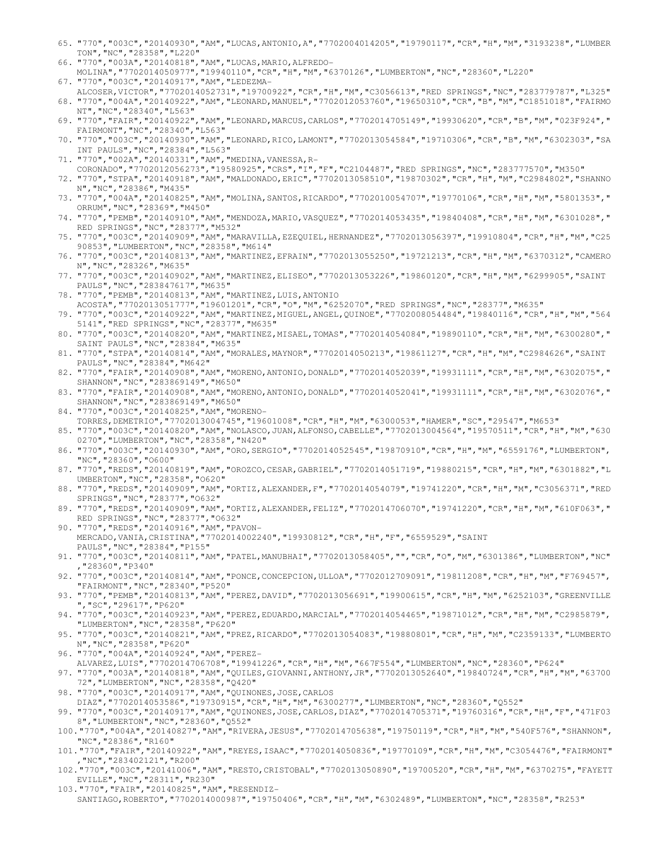- 65. "770","003C","20140930","AM","LUCAS,ANTONIO,A","7702004014205","19790117","CR","H","M","3193238","LUMBER TON","NC","28358","L220"
- 66. "770","003A","20140818","AM","LUCAS,MARIO,ALFREDO-
- MOLINA","7702014050977","19940110","CR","H","M","6370126","LUMBERTON","NC","28360","L220"
- 67. "770","003C","20140917","AM","LEDEZMA-
- ALCOSER,VICTOR","7702014052731","19700922","CR","H","M","C3056613","RED SPRINGS","NC","283779787","L325" 68. "770","004A","20140922","AM","LEONARD,MANUEL","7702012053760","19650310","CR","B","M","C1851018","FAIRMO NT","NC","28340","L563"
- 69. "770","FAIR","20140922","AM","LEONARD,MARCUS,CARLOS","7702014705149","19930620","CR","B","M","023F924"," FAIRMONT","NC","28340","L563"
- 70. "770","003C","20140930","AM","LEONARD,RICO,LAMONT","7702013054584","19710306","CR","B","M","6302303","SA INT PAULS","NC","28384","L563"
- 71. "770","002A","20140331","AM","MEDINA,VANESSA,R-
- CORONADO","7702012056273","19580925","CRS","I","F","C2104487","RED SPRINGS","NC","283777570","M350"
- 72. "770","STPA","20140918","AM","MALDONADO,ERIC","7702013058510","19870302","CR","H","M","C2984802","SHANNO N","NC","28386","M435"
- 73. "770","004A","20140825","AM","MOLINA,SANTOS,RICARDO","7702010054707","19770106","CR","H","M","5801353"," ORRUM","NC","28369","M450"
- 74. "770","PEMB","20140910","AM","MENDOZA,MARIO,VASQUEZ","7702014053435","19840408","CR","H","M","6301028"," RED SPRINGS","NC","28377","M532"
- 75. "770","003C","20140909","AM","MARAVILLA,EZEQUIEL,HERNANDEZ","7702013056397","19910804","CR","H","M","C25 90853","LUMBERTON","NC","28358","M614"
- 76. "770","003C","20140813","AM","MARTINEZ,EFRAIN","7702013055250","19721213","CR","H","M","6370312","CAMERO N","NC","28326","M635"
- 77. "770","003C","20140902","AM","MARTINEZ,ELISEO","7702013053226","19860120","CR","H","M","6299905","SAINT PAULS","NC","283847617","M635"
- 78. "770","PEMB","20140813","AM","MARTINEZ,LUIS,ANTONIO
- ACOSTA","7702013051777","19601201","CR","O","M","6252070","RED SPRINGS","NC","28377","M635"
- 79. "770","003C","20140922","AM","MARTINEZ,MIGUEL,ANGEL,QUINOE","7702008054484","19840116","CR","H","M","564 5141","RED SPRINGS","NC","28377","M635"
- 80. "770","003C","20140820","AM","MARTINEZ,MISAEL,TOMAS","7702014054084","19890110","CR","H","M","6300280"," SAINT PAULS","NC","28384","M635"
- 81. "770","STPA","20140814","AM","MORALES,MAYNOR","7702014050213","19861127","CR","H","M","C2984626","SAINT PAULS","NC","28384","M642"
- 82. "770","FAIR","20140908","AM","MORENO,ANTONIO,DONALD","7702014052039","19931111","CR","H","M","6302075"," SHANNON","NC","283869149","M650"
- 83. "770","FAIR","20140908","AM","MORENO,ANTONIO,DONALD","7702014052041","19931111","CR","H","M","6302076"," SHANNON","NC","283869149","M650"
- 84. "770","003C","20140825","AM","MORENO-
- TORRES,DEMETRIO","7702013004745","19601008","CR","H","M","6300053","HAMER","SC","29547","M653" 85. "770","003C","20140820","AM","NOLASCO,JUAN,ALFONSO,CABELLE","7702013004564","19570511","CR","H","M","630 0270","LUMBERTON","NC","28358","N420"
- 86. "770","003C","20140930","AM","ORO,SERGIO","7702014052545","19870910","CR","H","M","6559176","LUMBERTON", "NC","28360","O600"
- 87. "770","REDS","20140819","AM","OROZCO,CESAR,GABRIEL","7702014051719","19880215","CR","H","M","6301882","L UMBERTON","NC","28358","O620"
- 88. "770","REDS","20140909","AM","ORTIZ,ALEXANDER,F","7702014054079","19741220","CR","H","M","C3056371","RED SPRINGS","NC","28377","O632"
- 89. "770","REDS","20140909","AM","ORTIZ,ALEXANDER,FELIZ","7702014706070","19741220","CR","H","M","610F063"," RED SPRINGS","NC","28377","O632"
- 90. "770", "REDS", "20140916", "AM", "PAVON-MERCADO,VANIA,CRISTINA","7702014002240","19930812","CR","H","F","6559529","SAINT PAULS","NC","28384","P155"
- 91. "770","003C","20140811","AM","PATEL,MANUBHAI","7702013058405","","CR","O","M","6301386","LUMBERTON","NC" ,"28360","P340"
- 92. "770","003C","20140814","AM","PONCE,CONCEPCION,ULLOA","7702012709091","19811208","CR","H","M","F769457", "FAIRMONT","NC","28340","P520"
- 93. "770", "PEMB", "20140813", "AM", "PEREZ, DAVID", "7702013056691", "19900615", "CR", "H", "M", "6252103", "GREENVILLE ","SC","29617","P620"
- 94. "770","003C","20140923","AM","PEREZ,EDUARDO,MARCIAL","7702014054465","19871012","CR","H","M","C2985879", "LUMBERTON","NC","28358","P620"
- 95. "770","003C","20140821","AM","PREZ,RICARDO","7702013054083","19880801","CR","H","M","C2359133","LUMBERTO N","NC","28358","P620"
- 96. "770","004A","20140924","AM","PEREZ-ALVAREZ,LUIS","7702014706708","19941226","CR","H","M","667F554","LUMBERTON","NC","28360","P624"
	- 97. "770","003A","20140818","AM","QUILES,GIOVANNI,ANTHONY,JR","7702013052640","19840724","CR","H","M","63700 72","LUMBERTON","NC","28358","Q420"
	- 98. "770","003C","20140917","AM","QUINONES,JOSE,CARLOS
	- DIAZ","7702014053586","19730915","CR","H","M","6300277","LUMBERTON","NC","28360","Q552"
	- 99. "770","003C","20140917","AM","QUINONES,JOSE,CARLOS,DIAZ","7702014705371","19760316","CR","H","F","471F03 8","LUMBERTON","NC","28360","Q552"
	- 100."770","004A","20140827","AM","RIVERA,JESUS","7702014705638","19750119","CR","H","M","540F576","SHANNON", "NC","28386","R160"
	- 101."770","FAIR","20140922","AM","REYES,ISAAC","7702014050836","19770109","CR","H","M","C3054476","FAIRMONT" ,"NC","283402121","R200"
	- 102."770","003C","20141006","AM","RESTO,CRISTOBAL","7702013050890","19700520","CR","H","M","6370275","FAYETT EVILLE","NC","28311","R230"
	- 103."770","FAIR","20140825","AM","RESENDIZ-SANTIAGO,ROBERTO","7702014000987","19750406","CR","H","M","6302489","LUMBERTON","NC","28358","R253"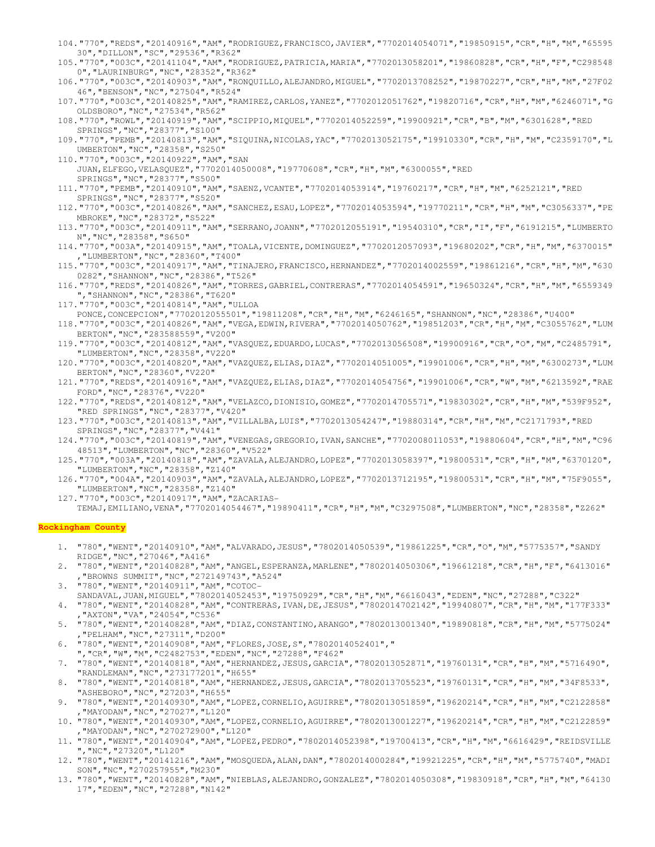- 104."770","REDS","20140916","AM","RODRIGUEZ,FRANCISCO,JAVIER","7702014054071","19850915","CR","H","M","65595 30","DILLON","SC","29536","R362"
- 105."770","003C","20141104","AM","RODRIGUEZ,PATRICIA,MARIA","7702013058201","19860828","CR","H","F","C298548 0","LAURINBURG","NC","28352","R362"
- 106."770","003C","20140903","AM","RONQUILLO,ALEJANDRO,MIGUEL","7702013708252","19870227","CR","H","M","27F02 46","BENSON","NC","27504","R524"
- 107."770","003C","20140825","AM","RAMIREZ,CARLOS,YANEZ","7702012051762","19820716","CR","H","M","6246071","G OLDSBORO","NC","27534","R562"
- 108."770","ROWL","20140919","AM","SCIPPIO,MIQUEL","7702014052259","19900921","CR","B","M","6301628","RED SPRINGS","NC","28377","S100"
- 109."770","PEMB","20140813","AM","SIQUINA,NICOLAS,YAC","7702013052175","19910330","CR","H","M","C2359170","L UMBERTON","NC","28358","S250"
- 110."770","003C","20140922","AM","SAN JUAN,ELFEGO,VELASQUEZ","7702014050008","19770608","CR","H","M","6300055","RED
- SPRINGS","NC","28377","S500" 111."770","PEMB","20140910","AM","SAENZ,VCANTE","7702014053914","19760217","CR","H","M","6252121","RED
- SPRINGS","NC","28377","S520" 112."770","003C","20140826","AM","SANCHEZ,ESAU,LOPEZ","7702014053594","19770211","CR","H","M","C3056337","PE
- MBROKE","NC","28372","S522" 113."770","003C","20140911","AM","SERRANO,JOANN","7702012055191","19540310","CR","I","F","6191215","LUMBERTO
- N","NC","28358","S650" 114."770","003A","20140915","AM","TOALA,VICENTE,DOMINGUEZ","7702012057093","19680202","CR","H","M","6370015"
- ,"LUMBERTON","NC","28360","T400" 115."770","003C","20140917","AM","TINAJERO,FRANCISCO,HERNANDEZ","7702014002559","19861216","CR","H","M","630 0282","SHANNON","NC","28386","T526"
- 116."770","REDS","20140826","AM","TORRES,GABRIEL,CONTRERAS","7702014054591","19650324","CR","H","M","6559349 ","SHANNON","NC","28386","T620"
- 117."770","003C","20140814","AM","ULLOA
- PONCE,CONCEPCION","7702012055501","19811208","CR","H","M","6246165","SHANNON","NC","28386","U400"
- 118."770","003C","20140826","AM","VEGA,EDWIN,RIVERA","7702014050762","19851203","CR","H","M","C3055762","LUM BERTON","NC","283588559","V200"
- 119."770","003C","20140812","AM","VASQUEZ,EDUARDO,LUCAS","7702013056508","19900916","CR","O","M","C2485791", "LUMBERTON","NC","28358","V220"
- 120."770","003C","20140820","AM","VAZQUEZ,ELIAS,DIAZ","7702014051005","19901006","CR","H","M","6300273","LUM BERTON","NC","28360","V220"
- 121."770","REDS","20140916","AM","VAZQUEZ,ELIAS,DIAZ","7702014054756","19901006","CR","W","M","6213592","RAE FORD","NC","28376","V220"
- 122."770","REDS","20140812","AM","VELAZCO,DIONISIO,GOMEZ","7702014705571","19830302","CR","H","M","539F952", "RED SPRINGS","NC","28377","V420"
- 123."770","003C","20140813","AM","VILLALBA,LUIS","7702013054247","19880314","CR","H","M","C2171793","RED SPRINGS","NC","28377","V441"
- 124."770","003C","20140819","AM","VENEGAS,GREGORIO,IVAN,SANCHE","7702008011053","19880604","CR","H","M","C96 48513","LUMBERTON","NC","28360","V522"
- 125."770","003A","20140818","AM","ZAVALA,ALEJANDRO,LOPEZ","7702013058397","19800531","CR","H","M","6370120", "LUMBERTON","NC","28358","Z140"
- 126."770","004A","20140903","AM","ZAVALA,ALEJANDRO,LOPEZ","7702013712195","19800531","CR","H","M","75F9055", "LUMBERTON","NC","28358","Z140"
- 127."770","003C","20140917","AM","ZACARIAS-TEMAJ,EMILIANO,VENA","7702014054467","19890411","CR","H","M","C3297508","LUMBERTON","NC","28358","Z262"

#### **Rockingham County**

- 1. "780","WENT","20140910","AM","ALVARADO,JESUS","7802014050539","19861225","CR","O","M","5775357","SANDY RIDGE","NC","27046","A416"
- 2. "780","WENT","20140828","AM","ANGEL,ESPERANZA,MARLENE","7802014050306","19661218","CR","H","F","6413016" ,"BROWNS SUMMIT","NC","272149743","A524"
- 3. "780","WENT","20140911","AM","COTOC-
- SANDAVAL,JUAN,MIGUEL","7802014052453","19750929","CR","H","M","6616043","EDEN","NC","27288","C322"
- 4. "780","WENT","20140828","AM","CONTRERAS,IVAN,DE,JESUS","7802014702142","19940807","CR","H","M","177F333" ,"AXTON","VA","24054","C536"
- 5. "780","WENT","20140828","AM","DIAZ,CONSTANTINO,ARANGO","7802013001340","19890818","CR","H","M","5775024" ,"PELHAM","NC","27311","D200"
- 6. "780","WENT","20140908","AM","FLORES,JOSE,S","7802014052401","
- ","CR","W","M","C2482753","EDEN","NC","27288","F462"
- 7. "780","WENT","20140818","AM","HERNANDEZ,JESUS,GARCIA","7802013052871","19760131","CR","H","M","5716490", "RANDLEMAN","NC","273177201","H655"
- 8. "780","WENT","20140818","AM","HERNANDEZ,JESUS,GARCIA","7802013705523","19760131","CR","H","M","34F8533", "ASHEBORO","NC","27203","H655"
- 9. "780","WENT","20140930","AM","LOPEZ,CORNELIO,AGUIRRE","7802013051859","19620214","CR","H","M","C2122858" ,"MAYODAN","NC","27027","L120"
- 10. "780","WENT","20140930","AM","LOPEZ,CORNELIO,AGUIRRE","7802013001227","19620214","CR","H","M","C2122859" ,"MAYODAN","NC","270272900","L120"
- 11. "780","WENT","20140904","AM","LOPEZ,PEDRO","7802014052398","19700413","CR","H","M","6616429","REIDSVILLE ","NC","27320","L120"
- 12. "780","WENT","20141216","AM","MOSQUEDA,ALAN,DAN","7802014000284","19921225","CR","H","M","5775740","MADI SON","NC","270257955","M230"
- 13. "780","WENT","20140828","AM","NIEBLAS,ALEJANDRO,GONZALEZ","7802014050308","19830918","CR","H","M","64130 17","EDEN","NC","27288","N142"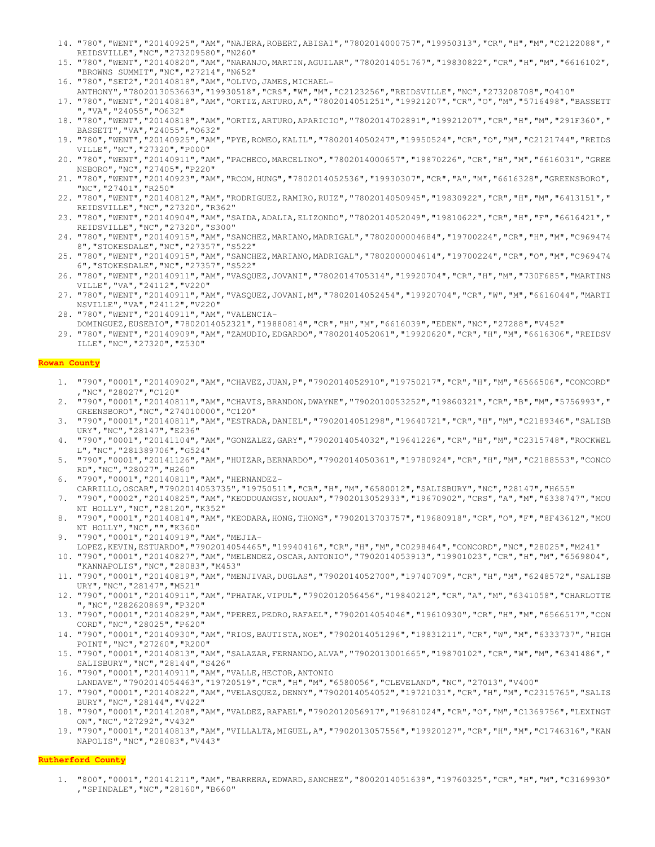- 14. "780","WENT","20140925","AM","NAJERA,ROBERT,ABISAI","7802014000757","19950313","CR","H","M","C2122088"," REIDSVILLE","NC","273209580","N260"
- 15. "780","WENT","20140820","AM","NARANJO,MARTIN,AGUILAR","7802014051767","19830822","CR","H","M","6616102", "BROWNS SUMMIT","NC","27214","N652"
- 16. "780","SET2","20140818","AM","OLIVO,JAMES,MICHAEL-
- ANTHONY","7802013053663","19930518","CRS","W","M","C2123256","REIDSVILLE","NC","273208708","O410"
- 17. "780","WENT","20140818","AM","ORTIZ,ARTURO,A","7802014051251","19921207","CR","O","M","5716498","BASSETT ","VA","24055","O632"
- 18. "780","WENT","20140818","AM","ORTIZ,ARTURO,APARICIO","7802014702891","19921207","CR","H","M","291F360"," BASSETT","VA","24055","O632"
- 19. "780","WENT","20140925","AM","PYE,ROMEO,KALIL","7802014050247","19950524","CR","O","M","C2121744","REIDS VILLE","NC","27320","P000"
- 20. "780","WENT","20140911","AM","PACHECO,MARCELINO","7802014000657","19870226","CR","H","M","6616031","GREE NSBORO","NC","27405","P220"
- 21. "780","WENT","20140923","AM","RCOM,HUNG","7802014052536","19930307","CR","A","M","6616328","GREENSBORO", "NC","27401","R250"
- 22. "780","WENT","20140812","AM","RODRIGUEZ,RAMIRO,RUIZ","7802014050945","19830922","CR","H","M","6413151"," REIDSVILLE","NC","27320","R362"
- 23. "780","WENT","20140904","AM","SAIDA,ADALIA,ELIZONDO","7802014052049","19810622","CR","H","F","6616421"," REIDSVILLE","NC","27320","S300"
- 24. "780","WENT","20140915","AM","SANCHEZ,MARIANO,MADRIGAL","7802000004684","19700224","CR","H","M","C969474 8","STOKESDALE","NC","27357","S522"
- 25. "780","WENT","20140915","AM","SANCHEZ,MARIANO,MADRIGAL","7802000004614","19700224","CR","O","M","C969474 6","STOKESDALE","NC","27357","S522"
- 26. "780","WENT","20140911","AM","VASQUEZ,JOVANI","7802014705314","19920704","CR","H","M","730F685","MARTINS VILLE","VA","24112","V220"
- 27. "780","WENT","20140911","AM","VASQUEZ,JOVANI,M","7802014052454","19920704","CR","W","M","6616044","MARTI NSVILLE","VA","24112","V220"
- 28. "780","WENT","20140911","AM","VALENCIA-
- DOMINGUEZ,EUSEBIO","7802014052321","19880814","CR","H","M","6616039","EDEN","NC","27288","V452"
- 29. "780","WENT","20140909","AM","ZAMUDIO,EDGARDO","7802014052061","19920620","CR","H","M","6616306","REIDSV ILLE","NC","27320","Z530"

#### **Rowan County**

- 1. "790","0001","20140902","AM","CHAVEZ,JUAN,P","7902014052910","19750217","CR","H","M","6566506","CONCORD" ,"NC","28027","C120"
- 2. "790","0001","20140811","AM","CHAVIS,BRANDON,DWAYNE","7902010053252","19860321","CR","B","M","5756993"," GREENSBORO","NC","274010000","C120"
- 3. "790","0001","20140811","AM","ESTRADA,DANIEL","7902014051298","19640721","CR","H","M","C2189346","SALISB URY","NC","28147","E236"
- 4. "790","0001","20141104","AM","GONZALEZ,GARY","7902014054032","19641226","CR","H","M","C2315748","ROCKWEL L","NC","281389706","G524"
- 5. "790","0001","20141126","AM","HUIZAR,BERNARDO","7902014050361","19780924","CR","H","M","C2188553","CONCO RD","NC","28027","H260"
- 6. "790","0001","20140811","AM","HERNANDEZ-
- CARRILLO,OSCAR","7902014053735","19750511","CR","H","M","6580012","SALISBURY","NC","28147","H655"
- 7. "790","0002","20140825","AM","KEODOUANGSY,NOUAN","7902013052933","19670902","CRS","A","M","6338747","MOU NT HOLLY","NC","28120","K352"
- 8. "790","0001","20140814","AM","KEODARA,HONG,THONG","7902013703757","19680918","CR","O","F","8F43612","MOU NT HOLLY","NC","","K360"
- 9. "790","0001","20140919","AM","MEJIA-
- LOPEZ,KEVIN,ESTUARDO","7902014054465","19940416","CR","H","M","C0298464","CONCORD","NC","28025","M241"
- 10. "790","0001","20140827","AM","MELENDEZ,OSCAR,ANTONIO","7902014053913","19901023","CR","H","M","6569804", "KANNAPOLIS","NC","28083","M453"
- 11. "790","0001","20140819","AM","MENJIVAR,DUGLAS","7902014052700","19740709","CR","H","M","6248572","SALISB URY","NC","28147","M521"
- 12. "790","0001","20140911","AM","PHATAK,VIPUL","7902012056456","19840212","CR","A","M","6341058","CHARLOTTE ","NC","282620869","P320"
- 13. "790","0001","20140829","AM","PEREZ,PEDRO,RAFAEL","7902014054046","19610930","CR","H","M","6566517","CON CORD","NC","28025","P620"
- 14. "790","0001","20140930","AM","RIOS,BAUTISTA,NOE","7902014051296","19831211","CR","W","M","6333737","HIGH POINT","NC","27260","R200"
- 15. "790","0001","20140813","AM","SALAZAR,FERNANDO,ALVA","7902013001665","19870102","CR","W","M","6341486"," SALISBURY","NC","28144","S426"
- 16. "790","0001","20140911","AM","VALLE,HECTOR,ANTONIO
- LANDAVE","7902014054463","19720519","CR","H","M","6580056","CLEVELAND","NC","27013","V400"
- 17. "790","0001","20140822","AM","VELASQUEZ,DENNY","7902014054052","19721031","CR","H","M","C2315765","SALIS BURY","NC","28144","V422"
- 18. "790","0001","20141208","AM","VALDEZ,RAFAEL","7902012056917","19681024","CR","O","M","C1369756","LEXINGT ON","NC","27292","V432"
- 19. "790","0001","20140813","AM","VILLALTA,MIGUEL,A","7902013057556","19920127","CR","H","M","C1746316","KAN NAPOLIS","NC","28083","V443"

## **Rutherford County**

1. "800","0001","20141211","AM","BARRERA,EDWARD,SANCHEZ","8002014051639","19760325","CR","H","M","C3169930" ,"SPINDALE","NC","28160","B660"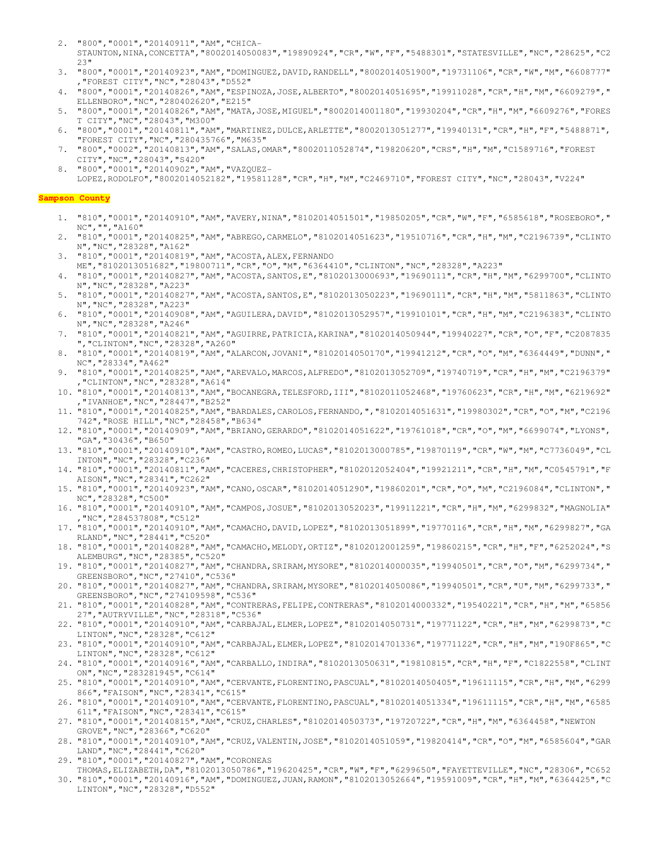- 2. "800","0001","20140911","AM","CHICA-
- STAUNTON,NINA,CONCETTA","8002014050083","19890924","CR","W","F","5488301","STATESVILLE","NC","28625","C2 23"
- 3. "800","0001","20140923","AM","DOMINGUEZ,DAVID,RANDELL","8002014051900","19731106","CR","W","M","6608777" ,"FOREST CITY","NC","28043","D552"
- 4. "800","0001","20140826","AM","ESPINOZA,JOSE,ALBERTO","8002014051695","19911028","CR","H","M","6609279"," ELLENBORO","NC","280402620","E215"
- 5. "800","0001","20140826","AM","MATA,JOSE,MIGUEL","8002014001180","19930204","CR","H","M","6609276","FORES T CITY","NC","28043","M300"
- 6. "800","0001","20140811","AM","MARTINEZ,DULCE,ARLETTE","8002013051277","19940131","CR","H","F","5488871", "FOREST CITY","NC","280435766","M635"
- 7. "800","0002","20140813","AM","SALAS,OMAR","8002011052874","19820620","CRS","H","M","C1589716","FOREST CITY","NC","28043","S420"
- 8. "800", "0001", "20140902", "AM", "VAZQUEZ-LOPEZ,RODOLFO","8002014052182","19581128","CR","H","M","C2469710","FOREST CITY","NC","28043","V224"

# **Sampson County**

- 1. "810","0001","20140910","AM","AVERY,NINA","8102014051501","19850205","CR","W","F","6585618","ROSEBORO"," NC","","A160"
- 2. "810","0001","20140825","AM","ABREGO,CARMELO","8102014051623","19510716","CR","H","M","C2196739","CLINTO N","NC","28328","A162"
- 3. "810","0001","20140819","AM","ACOSTA,ALEX,FERNANDO
- ME","8102013051682","19800711","CR","O","M","6364410","CLINTON","NC","28328","A223"
- 4. "810","0001","20140827","AM","ACOSTA,SANTOS,E","8102013000693","19690111","CR","H","M","6299700","CLINTO N","NC","28328","A223"
- 5. "810","0001","20140827","AM","ACOSTA,SANTOS,E","8102013050223","19690111","CR","H","M","5811863","CLINTO N","NC","28328","A223"
- 6. "810","0001","20140908","AM","AGUILERA,DAVID","8102013052957","19910101","CR","H","M","C2196383","CLINTO N","NC","28328","A246"
- 7. "810","0001","20140821","AM","AGUIRRE,PATRICIA,KARINA","8102014050944","19940227","CR","O","F","C2087835 ","CLINTON","NC","28328","A260"
- 8. "810","0001","20140819","AM","ALARCON,JOVANI","8102014050170","19941212","CR","O","M","6364449","DUNN"," NC","28334","A462"
- 9. "810","0001","20140825","AM","AREVALO,MARCOS,ALFREDO","8102013052709","19740719","CR","H","M","C2196379" ,"CLINTON","NC","28328","A614"
- 10. "810","0001","20140813","AM","BOCANEGRA,TELESFORD,III","8102011052468","19760623","CR","H","M","6219692" ,"IVANHOE","NC","28447","B252"
- 11. "810","0001","20140825","AM","BARDALES,CAROLOS,FERNANDO,","8102014051631","19980302","CR","O","M","C2196 742","ROSE HILL","NC","28458","B634"
- 12. "810","0001","20140909","AM","BRIANO,GERARDO","8102014051622","19761018","CR","O","M","6699074","LYONS", "GA","30436","B650"
- 13. "810","0001","20140910","AM","CASTRO,ROMEO,LUCAS","8102013000785","19870119","CR","W","M","C7736049","CL INTON","NC","28328","C236"
- 14. "810","0001","20140811","AM","CACERES,CHRISTOPHER","8102012052404","19921211","CR","H","M","C0545791","F AISON","NC","28341","C262"
- 15. "810","0001","20140923","AM","CANO,OSCAR","8102014051290","19860201","CR","O","M","C2196084","CLINTON"," NC","28328","C500"
- 16. "810","0001","20140910","AM","CAMPOS,JOSUE","8102013052023","19911221","CR","H","M","6299832","MAGNOLIA" ,"NC","284537808","C512"
- 17. "810","0001","20140910","AM","CAMACHO,DAVID,LOPEZ","8102013051899","19770116","CR","H","M","6299827","GA RLAND","NC","28441","C520"
- 18. "810","0001","20140828","AM","CAMACHO,MELODY,ORTIZ","8102012001259","19860215","CR","H","F","6252024","S ALEMBURG","NC","28385","C520"
- 19. "810","0001","20140827","AM","CHANDRA,SRIRAM,MYSORE","8102014000035","19940501","CR","O","M","6299734"," GREENSBORO","NC","27410","C536"
- 20. "810","0001","20140827","AM","CHANDRA,SRIRAM,MYSORE","8102014050086","19940501","CR","U","M","6299733"," GREENSBORO","NC","274109598","C536"
- 21. "810","0001","20140828","AM","CONTRERAS,FELIPE,CONTRERAS","8102014000332","19540221","CR","H","M","65856 27","AUTRYVILLE","NC","28318","C536"
- 22. "810","0001","20140910","AM","CARBAJAL,ELMER,LOPEZ","8102014050731","19771122","CR","H","M","6299873","C LINTON","NC","28328","C612"
- 23. "810","0001","20140910","AM","CARBAJAL,ELMER,LOPEZ","8102014701336","19771122","CR","H","M","190F865","C LINTON","NC","28328","C612"
- 24. "810","0001","20140916","AM","CARBALLO,INDIRA","8102013050631","19810815","CR","H","F","C1822558","CLINT ON","NC","283281945","C614"
- 25. "810","0001","20140910","AM","CERVANTE,FLORENTINO,PASCUAL","8102014050405","19611115","CR","H","M","6299 866","FAISON","NC","28341","C615"
- 26. "810","0001","20140910","AM","CERVANTE,FLORENTINO,PASCUAL","8102014051334","19611115","CR","H","M","6585 611","FAISON","NC","28341","C615"
- 27. "810","0001","20140815","AM","CRUZ,CHARLES","8102014050373","19720722","CR","H","M","6364458","NEWTON GROVE","NC","28366","C620"
- 28. "810","0001","20140910","AM","CRUZ,VALENTIN,JOSE","8102014051059","19820414","CR","O","M","6585604","GAR LAND","NC","28441","C620"
- 29. "810","0001","20140827","AM","CORONEAS THOMAS,ELIZABETH,DA","8102013050786","19620425","CR","W","F","6299650","FAYETTEVILLE","NC","28306","C652 30. "810","0001","20140916","AM","DOMINGUEZ,JUAN,RAMON","8102013052664","19591009","CR","H","M","6364425","C
- LINTON","NC","28328","D552"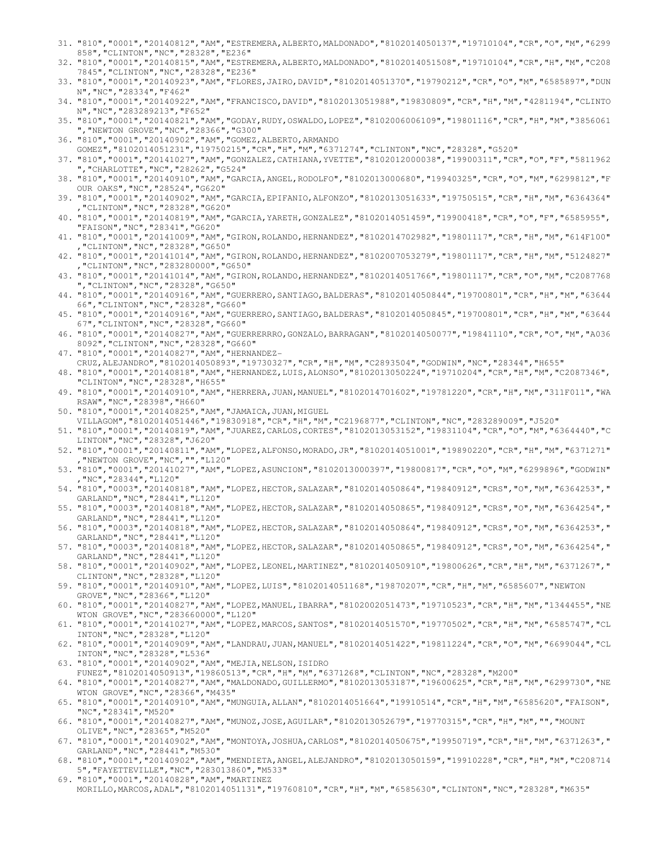- 31. "810","0001","20140812","AM","ESTREMERA,ALBERTO,MALDONADO","8102014050137","19710104","CR","O","M","6299 858","CLINTON","NC","28328","E236"
- 32. "810","0001","20140815","AM","ESTREMERA,ALBERTO,MALDONADO","8102014051508","19710104","CR","H","M","C208 7845","CLINTON","NC","28328","E236"
- 33. "810","0001","20140923","AM","FLORES,JAIRO,DAVID","8102014051370","19790212","CR","O","M","6585897","DUN N","NC","28334","F462"
- 34. "810","0001","20140922","AM","FRANCISCO,DAVID","8102013051988","19830809","CR","H","M","4281194","CLINTO N","NC","283289213","F652"
- 35. "810","0001","20140821","AM","GODAY,RUDY,OSWALDO,LOPEZ","8102006006109","19801116","CR","H","M","3856061 ","NEWTON GROVE","NC","28366","G300"
- 36. "810","0001","20140902","AM","GOMEZ,ALBERTO,ARMANDO
- GOMEZ","8102014051231","19750215","CR","H","M","6371274","CLINTON","NC","28328","G520"
- 37. "810","0001","20141027","AM","GONZALEZ,CATHIANA,YVETTE","8102012000038","19900311","CR","O","F","5811962 ","CHARLOTTE","NC","28262","G524"
- 38. "810","0001","20140910","AM","GARCIA,ANGEL,RODOLFO","8102013000680","19940325","CR","O","M","6299812","F OUR OAKS","NC","28524","G620"
- 39. "810","0001","20140902","AM","GARCIA,EPIFANIO,ALFONZO","8102013051633","19750515","CR","H","M","6364364" ,"CLINTON","NC","28328","G620"
- 40. "810","0001","20140819","AM","GARCIA,YARETH,GONZALEZ","8102014051459","19900418","CR","O","F","6585955", "FAISON","NC","28341","G620"
- 41. "810","0001","20141009","AM","GIRON,ROLANDO,HERNANDEZ","8102014702982","19801117","CR","H","M","614F100" ,"CLINTON","NC","28328","G650"
- 42. "810","0001","20141014","AM","GIRON,ROLANDO,HERNANDEZ","8102007053279","19801117","CR","H","M","5124827" ,"CLINTON","NC","283280000","G650"
- 43. "810","0001","20141014","AM","GIRON,ROLANDO,HERNANDEZ","8102014051766","19801117","CR","O","M","C2087768 ","CLINTON","NC","28328","G650"
- 44. "810","0001","20140916","AM","GUERRERO,SANTIAGO,BALDERAS","8102014050844","19700801","CR","H","M","63644 66","CLINTON","NC","28328","G660"
- 45. "810","0001","20140916","AM","GUERRERO,SANTIAGO,BALDERAS","8102014050845","19700801","CR","H","M","63644 67","CLINTON","NC","28328","G660"
- 46. "810","0001","20140827","AM","GUERRERRRO,GONZALO,BARRAGAN","8102014050077","19841110","CR","O","M","A036 8092","CLINTON","NC","28328","G660"
- 47. "810","0001","20140827","AM","HERNANDEZ-
- CRUZ,ALEJANDRO","8102014050893","19730327","CR","H","M","C2893504","GODWIN","NC","28344","H655"
- 48. "810","0001","20140818","AM","HERNANDEZ,LUIS,ALONSO","8102013050224","19710204","CR","H","M","C2087346", "CLINTON","NC","28328","H655"
- 49. "810","0001","20140910","AM","HERRERA,JUAN,MANUEL","8102014701602","19781220","CR","H","M","311F011","WA RSAW","NC","28398","H660"
- 50. "810","0001","20140825","AM","JAMAICA,JUAN,MIGUEL
- VILLAGOM","8102014051446","19830918","CR","H","M","C2196877","CLINTON","NC","283289009","J520"
- 51. "810","0001","20140819","AM","JUAREZ,CARLOS,CORTES","8102013053152","19831104","CR","O","M","6364440","C LINTON","NC","28328","J620"
- 52. "810","0001","20140811","AM","LOPEZ,ALFONSO,MORADO,JR","8102014051001","19890220","CR","H","M","6371271" ,"NEWTON GROVE","NC","","L120"
- 53. "810","0001","20141027","AM","LOPEZ,ASUNCION","8102013000397","19800817","CR","O","M","6299896","GODWIN" ,"NC","28344","L120"
- 54. "810","0003","20140818","AM","LOPEZ,HECTOR,SALAZAR","8102014050864","19840912","CRS","O","M","6364253"," GARLAND","NC","28441","L120"
- 55. "810","0003","20140818","AM","LOPEZ,HECTOR,SALAZAR","8102014050865","19840912","CRS","O","M","6364254"," GARLAND","NC","28441","L120"
- 56. "810","0003","20140818","AM","LOPEZ,HECTOR,SALAZAR","8102014050864","19840912","CRS","O","M","6364253"," GARLAND","NC","28441","L120"
- 57. "810","0003","20140818","AM","LOPEZ,HECTOR,SALAZAR","8102014050865","19840912","CRS","O","M","6364254"," GARLAND","NC","28441","L120"
- 58. "810","0001","20140902","AM","LOPEZ,LEONEL,MARTINEZ","8102014050910","19800626","CR","H","M","6371267"," CLINTON","NC","28328","L120"
- 59. "810","0001","20140910","AM","LOPEZ,LUIS","8102014051168","19870207","CR","H","M","6585607","NEWTON GROVE","NC","28366","L120"
- 60. "810","0001","20140827","AM","LOPEZ,MANUEL,IBARRA","8102002051473","19710523","CR","H","M","1344455","NE WTON GROVE","NC","283660000","L120"
- 61. "810","0001","20141027","AM","LOPEZ,MARCOS,SANTOS","8102014051570","19770502","CR","H","M","6585747","CL INTON","NC","28328","L120"
- 62. "810","0001","20140909","AM","LANDRAU,JUAN,MANUEL","8102014051422","19811224","CR","O","M","6699044","CL INTON","NC","28328","L536"
- 63. "810","0001","20140902","AM","MEJIA,NELSON,ISIDRO
- FUNEZ","8102014050913","19860513","CR","H","M","6371268","CLINTON","NC","28328","M200"
- 64. "810","0001","20140827","AM","MALDONADO,GUILLERMO","8102013053187","19600625","CR","H","M","6299730","NE WTON GROVE","NC","28366","M435"
- 65. "810","0001","20140910","AM","MUNGUIA,ALLAN","8102014051664","19910514","CR","H","M","6585620","FAISON", "NC","28341","M520"
- 66. "810","0001","20140827","AM","MUNOZ,JOSE,AGUILAR","8102013052679","19770315","CR","H","M","","MOUNT OLIVE","NC","28365","M520"
- 67. "810","0001","20140902","AM","MONTOYA,JOSHUA,CARLOS","8102014050675","19950719","CR","H","M","6371263"," GARLAND","NC","28441","M530"
- 68. "810","0001","20140902","AM","MENDIETA,ANGEL,ALEJANDRO","8102013050159","19910228","CR","H","M","C208714 5","FAYETTEVILLE","NC","283013860","M533"
- 69. "810","0001","20140828","AM","MARTINEZ MORILLO,MARCOS,ADAL","8102014051131","19760810","CR","H","M","6585630","CLINTON","NC","28328","M635"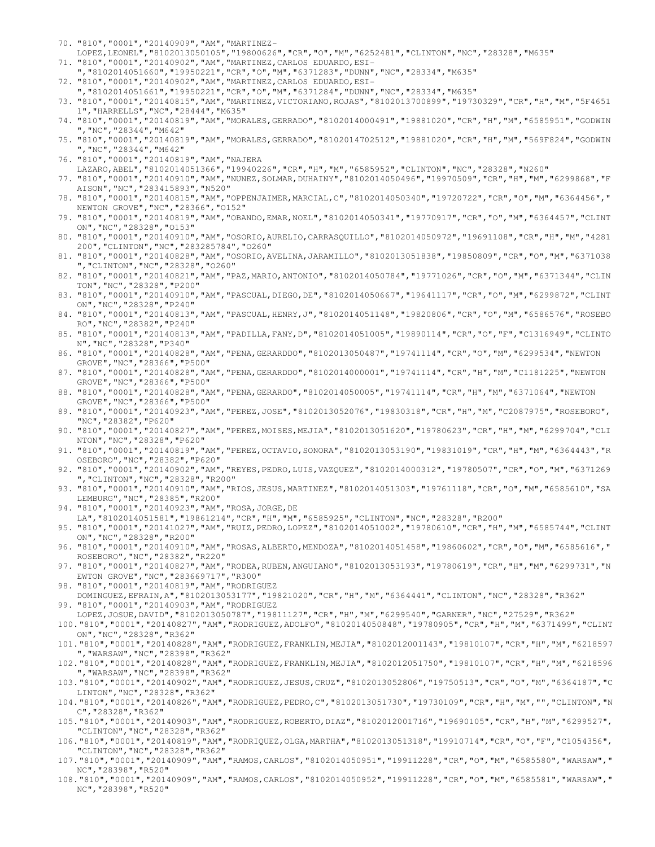- 70. "810","0001","20140909","AM","MARTINEZ-
- LOPEZ,LEONEL","8102013050105","19800626","CR","O","M","6252481","CLINTON","NC","28328","M635"
- 71. "810","0001","20140902","AM","MARTINEZ,CARLOS EDUARDO,ESI-
- ","8102014051660","19950221","CR","O","M","6371283","DUNN","NC","28334","M635"
- 72. "810","0001","20140902","AM","MARTINEZ,CARLOS EDUARDO,ESI-
- ","8102014051661","19950221","CR","O","M","6371284","DUNN","NC","28334","M635" 73. "810","0001","20140815","AM","MARTINEZ,VICTORIANO,ROJAS","8102013700899","19730329","CR","H","M","5F4651 1","HARRELLS","NC","28444","M635"
- 74. "810","0001","20140819","AM","MORALES,GERRADO","8102014000491","19881020","CR","H","M","6585951","GODWIN ","NC","28344","M642"
- 75. "810","0001","20140819","AM","MORALES,GERRADO","8102014702512","19881020","CR","H","M","569F824","GODWIN ","NC","28344","M642"
- 76. "810","0001","20140819","AM","NAJERA
- LAZARO,ABEL","8102014051366","19940226","CR","H","M","6585952","CLINTON","NC","28328","N260"
- 77. "810","0001","20140910","AM","NUNEZ,SOLMAR,DUHAINY","8102014050496","19970509","CR","H","M","6299868","F AISON","NC","283415893","N520"
- 78. "810","0001","20140815","AM","OPPENJAIMER,MARCIAL,C","8102014050340","19720722","CR","O","M","6364456"," NEWTON GROVE","NC","28366","O152"
- 79. "810","0001","20140819","AM","OBANDO,EMAR,NOEL","8102014050341","19770917","CR","O","M","6364457","CLINT ON","NC","28328","O153"
- 80. "810","0001","20140910","AM","OSORIO,AURELIO,CARRASQUILLO","8102014050972","19691108","CR","H","M","4281 200","CLINTON","NC","283285784","O260"
- 81. "810","0001","20140828","AM","OSORIO,AVELINA,JARAMILLO","8102013051838","19850809","CR","O","M","6371038 ","CLINTON","NC","28328","O260"
- 82. "810","0001","20140821","AM","PAZ,MARIO,ANTONIO","8102014050784","19771026","CR","O","M","6371344","CLIN TON","NC","28328","P200"
- 83. "810","0001","20140910","AM","PASCUAL,DIEGO,DE","8102014050667","19641117","CR","O","M","6299872","CLINT ON","NC","28328","P240"
- 84. "810","0001","20140813","AM","PASCUAL,HENRY,J","8102014051148","19820806","CR","O","M","6586576","ROSEBO RO","NC","28382","P240"
- 85. "810","0001","20140813","AM","PADILLA,FANY,D","8102014051005","19890114","CR","O","F","C1316949","CLINTO N","NC","28328","P340"
- 86. "810","0001","20140828","AM","PENA,GERARDDO","8102013050487","19741114","CR","O","M","6299534","NEWTON GROVE","NC","28366","P500"
- 87. "810","0001","20140828","AM","PENA,GERARDDO","8102014000001","19741114","CR","H","M","C1181225","NEWTON GROVE","NC","28366","P500"
- 88. "810","0001","20140828","AM","PENA,GERARDO","8102014050005","19741114","CR","H","M","6371064","NEWTON GROVE","NC","28366","P500"
- 89. "810","0001","20140923","AM","PEREZ,JOSE","8102013052076","19830318","CR","H","M","C2087975","ROSEBORO", "NC","28382","P620"
- 90. "810","0001","20140827","AM","PEREZ,MOISES,MEJIA","8102013051620","19780623","CR","H","M","6299704","CLI NTON","NC","28328","P620"
- 91. "810","0001","20140819","AM","PEREZ,OCTAVIO,SONORA","8102013053190","19831019","CR","H","M","6364443","R OSEBORO","NC","28382","P620"
- 92. "810","0001","20140902","AM","REYES,PEDRO,LUIS,VAZQUEZ","8102014000312","19780507","CR","O","M","6371269 ","CLINTON","NC","28328","R200"
- 93. "810","0001","20140910","AM","RIOS,JESUS,MARTINEZ","8102014051303","19761118","CR","O","M","6585610","SA LEMBURG","NC","28385","R200"
- 94. "810", "0001", "20140923", "AM", "ROSA, JORGE, DE
- LA","8102014051581","19861214","CR","H","M","6585925","CLINTON","NC","28328","R200"
- 95. "810","0001","20141027","AM","RUIZ,PEDRO,LOPEZ","8102014051002","19780610","CR","H","M","6585744","CLINT ON","NC","28328","R200"
- 96. "810","0001","20140910","AM","ROSAS,ALBERTO,MENDOZA","8102014051458","19860602","CR","O","M","6585616"," ROSEBORO","NC","28382","R220"
- 97. "810", "0001", "20140827", "AM", "RODEA, RUBEN, ANGUIANO", "8102013053193", "19780619", "CR", "H", "M", "6299731", "N EWTON GROVE","NC","283669717","R300"
- 98. "810", "0001", "20140819", "AM", "RODRIGUEZ DOMINGUEZ,EFRAIN,A","8102013053177","19821020","CR","H","M","6364441","CLINTON","NC","28328","R362"
- 99. "810","0001","20140903","AM","RODRIGUEZ

LOPEZ,JOSUE,DAVID","8102013050787","19811127","CR","H","M","6299540","GARNER","NC","27529","R362"

- 100."810","0001","20140827","AM","RODRIGUEZ,ADOLFO","8102014050848","19780905","CR","H","M","6371499","CLINT ON","NC","28328","R362"
- 101."810","0001","20140828","AM","RODRIGUEZ,FRANKLIN,MEJIA","8102012001143","19810107","CR","H","M","6218597 ","WARSAW","NC","28398","R362"
- 102."810","0001","20140828","AM","RODRIGUEZ,FRANKLIN,MEJIA","8102012051750","19810107","CR","H","M","6218596 ","WARSAW","NC","28398","R362"
- 103."810","0001","20140902","AM","RODRIGUEZ,JESUS,CRUZ","8102013052806","19750513","CR","O","M","6364187","C LINTON","NC","28328","R362"
- 104."810","0001","20140826","AM","RODRIGUEZ,PEDRO,C","8102013051730","19730109","CR","H","M","","CLINTON","N C","28328","R362"
- 105."810","0001","20140903","AM","RODRIGUEZ,ROBERTO,DIAZ","8102012001716","19690105","CR","H","M","6299527", "CLINTON","NC","28328","R362"
- 106."810","0001","20140819","AM","RODRIQUEZ,OLGA,MARTHA","8102013051318","19910714","CR","O","F","C1054356", "CLINTON","NC","28328","R362"
- 107."810","0001","20140909","AM","RAMOS,CARLOS","8102014050951","19911228","CR","O","M","6585580","WARSAW"," NC","28398","R520"
- 108."810","0001","20140909","AM","RAMOS,CARLOS","8102014050952","19911228","CR","O","M","6585581","WARSAW"," NC","28398","R520"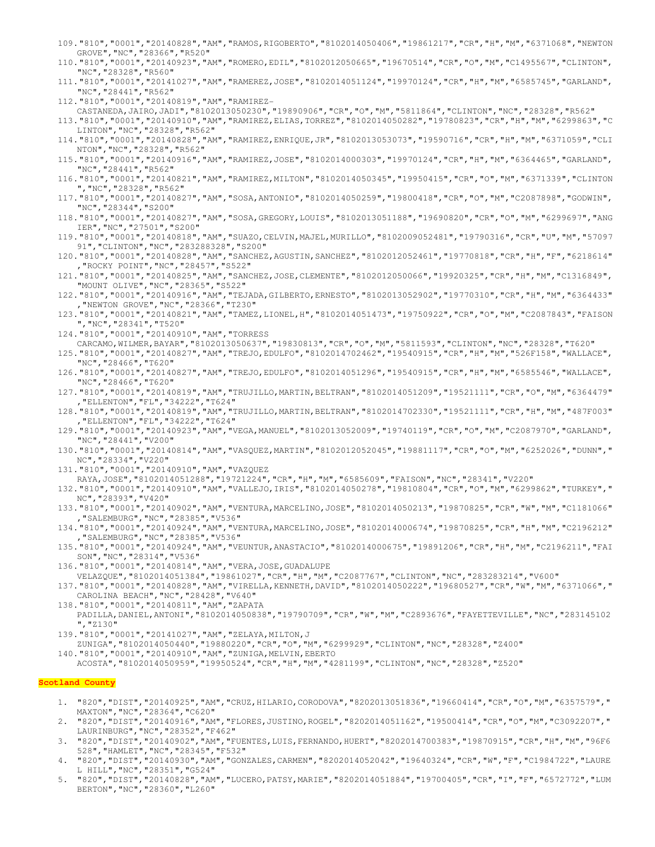- 109."810","0001","20140828","AM","RAMOS,RIGOBERTO","8102014050406","19861217","CR","H","M","6371068","NEWTON GROVE","NC","28366","R520"
- 110."810","0001","20140923","AM","ROMERO,EDIL","8102012050665","19670514","CR","O","M","C1495567","CLINTON", "NC","28328","R560"
- 111."810","0001","20141027","AM","RAMEREZ,JOSE","8102014051124","19970124","CR","H","M","6585745","GARLAND", "NC","28441","R562"
- 112."810","0001","20140819","AM","RAMIREZ-
- CASTANEDA,JAIRO,JADI","8102013050230","19890906","CR","O","M","5811864","CLINTON","NC","28328","R562"
- 113."810","0001","20140910","AM","RAMIREZ,ELIAS,TORREZ","8102014050282","19780823","CR","H","M","6299863","C LINTON","NC","28328","R562"
- 114."810","0001","20140828","AM","RAMIREZ,ENRIQUE,JR","8102013053073","19590716","CR","H","M","6371059","CLI NTON","NC","28328","R562"
- 115."810","0001","20140916","AM","RAMIREZ,JOSE","8102014000303","19970124","CR","H","M","6364465","GARLAND", "NC","28441","R562"
- 116."810","0001","20140821","AM","RAMIREZ,MILTON","8102014050345","19950415","CR","O","M","6371339","CLINTON ","NC","28328","R562"
- 117."810","0001","20140827","AM","SOSA,ANTONIO","8102014050259","19800418","CR","O","M","C2087898","GODWIN", "NC","28344","S200"
- 118."810","0001","20140827","AM","SOSA,GREGORY,LOUIS","8102013051188","19690820","CR","O","M","6299697","ANG IER","NC","27501","S200"
- 119."810","0001","20140818","AM","SUAZO,CELVIN,MAJEL,MURILLO","8102009052481","19790316","CR","U","M","57097 91","CLINTON","NC","283288328","S200"
- 120."810","0001","20140828","AM","SANCHEZ,AGUSTIN,SANCHEZ","8102012052461","19770818","CR","H","F","6218614" ,"ROCKY POINT","NC","28457","S522"
- 121."810","0001","20140825","AM","SANCHEZ,JOSE,CLEMENTE","8102012050066","19920325","CR","H","M","C1316849", "MOUNT OLIVE","NC","28365","S522"
- 122."810","0001","20140916","AM","TEJADA,GILBERTO,ERNESTO","8102013052902","19770310","CR","H","M","6364433" ,"NEWTON GROVE","NC","28366","T230"
- 123."810","0001","20140821","AM","TAMEZ,LIONEL,H","8102014051473","19750922","CR","O","M","C2087843","FAISON ","NC","28341","T520"
- 124."810","0001","20140910","AM","TORRESS
- CARCAMO,WILMER,BAYAR","8102013050637","19830813","CR","O","M","5811593","CLINTON","NC","28328","T620" 125."810","0001","20140827","AM","TREJO,EDULFO","8102014702462","19540915","CR","H","M","526F158","WALLACE",
- "NC","28466","T620" 126."810","0001","20140827","AM","TREJO,EDULFO","8102014051296","19540915","CR","H","M","6585546","WALLACE",
- "NC","28466","T620" 127."810","0001","20140819","AM","TRUJILLO,MARTIN,BELTRAN","8102014051209","19521111","CR","O","M","6364479"
- ,"ELLENTON","FL","34222","T624" 128."810","0001","20140819","AM","TRUJILLO,MARTIN,BELTRAN","8102014702330","19521111","CR","H","M","487F003"
- ,"ELLENTON","FL","34222","T624"
- 129."810","0001","20140923","AM","VEGA,MANUEL","8102013052009","19740119","CR","O","M","C2087970","GARLAND", "NC","28441","V200"
- 130."810","0001","20140814","AM","VASQUEZ,MARTIN","8102012052045","19881117","CR","O","M","6252026","DUNN"," NC","28334","V220"
- 131."810","0001","20140910","AM","VAZQUEZ
- RAYA,JOSE","8102014051288","19721224","CR","H","M","6585609","FAISON","NC","28341","V220"
- 132."810","0001","20140910","AM","VALLEJO,IRIS","8102014050278","19810804","CR","O","M","6299862","TURKEY"," NC","28393","V420"
- 133."810","0001","20140902","AM","VENTURA,MARCELINO,JOSE","8102014050213","19870825","CR","W","M","C1181066" ,"SALEMBURG","NC","28385","V536"
- 134."810","0001","20140924","AM","VENTURA,MARCELINO,JOSE","8102014000674","19870825","CR","H","M","C2196212" ,"SALEMBURG","NC","28385","V536"
- 135."810","0001","20140924","AM","VEUNTUR,ANASTACIO","8102014000675","19891206","CR","H","M","C2196211","FAI SON","NC","28314","V536"
- 136."810","0001","20140814","AM","VERA,JOSE,GUADALUPE
- VELAZQUE","8102014051384","19861027","CR","H","M","C2087767","CLINTON","NC","283283214","V600"
- 137."810","0001","20140828","AM","VIRELLA,KENNETH,DAVID","8102014050222","19680527","CR","W","M","6371066"," CAROLINA BEACH","NC","28428","V640"
- 138."810","0001","20140811","AM","ZAPATA PADILLA,DANIEL,ANTONI","8102014050838","19790709","CR","W","M","C2893676","FAYETTEVILLE","NC","283145102 ","Z130"
- 139."810","0001","20141027","AM","ZELAYA,MILTON,J
- ZUNIGA","8102014050440","19880220","CR","O","M","6299929","CLINTON","NC","28328","Z400" 140."810","0001","20140910","AM","ZUNIGA,MELVIN,EBERTO
- ACOSTA","8102014050959","19950524","CR","H","M","4281199","CLINTON","NC","28328","Z520"

# **Scotland County**

- 1. "820","DIST","20140925","AM","CRUZ,HILARIO,CORODOVA","8202013051836","19660414","CR","O","M","6357579"," MAXTON","NC","28364","C620"
- 2. "820","DIST","20140916","AM","FLORES,JUSTINO,ROGEL","8202014051162","19500414","CR","O","M","C3092207"," LAURINBURG","NC","28352","F462"
- 3. "820","DIST","20140902","AM","FUENTES,LUIS,FERNANDO,HUERT","8202014700383","19870915","CR","H","M","96F6 528","HAMLET","NC","28345","F532"
- 4. "820","DIST","20140930","AM","GONZALES,CARMEN","8202014052042","19640324","CR","W","F","C1984722","LAURE L HILL","NC","28351","G524"
- 5. "820","DIST","20140828","AM","LUCERO,PATSY,MARIE","8202014051884","19700405","CR","I","F","6572772","LUM BERTON","NC","28360","L260"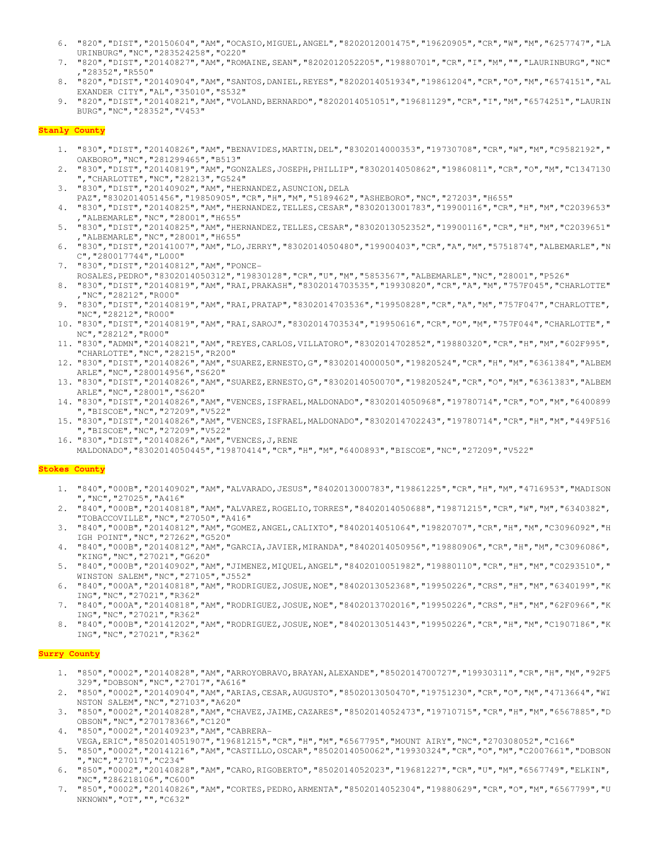- 6. "820","DIST","20150604","AM","OCASIO,MIGUEL,ANGEL","8202012001475","19620905","CR","W","M","6257747","LA URINBURG","NC","283524258","O220"
- 7. "820","DIST","20140827","AM","ROMAINE,SEAN","8202012052205","19880701","CR","I","M","","LAURINBURG","NC" ,"28352","R550"
- 8. "820","DIST","20140904","AM","SANTOS,DANIEL,REYES","8202014051934","19861204","CR","O","M","6574151","AL EXANDER CITY","AL","35010","S532"
- 9. "820", "DIST", "20140821", "AM", "VOLAND, BERNARDO", "8202014051051", "19681129", "CR", "I", "M", "6574251", "LAURIN BURG","NC","28352","V453"

# **Stanly County**

- 1. "830","DIST","20140826","AM","BENAVIDES,MARTIN,DEL","8302014000353","19730708","CR","W","M","C9582192"," OAKBORO","NC","281299465","B513"
- 2. "830","DIST","20140819","AM","GONZALES,JOSEPH,PHILLIP","8302014050862","19860811","CR","O","M","C1347130 ","CHARLOTTE","NC","28213","G524"
- 3. "830","DIST","20140902","AM","HERNANDEZ,ASUNCION,DELA
- PAZ","8302014051456","19850905","CR","H","M","5189462","ASHEBORO","NC","27203","H655"
- 4. "830","DIST","20140825","AM","HERNANDEZ,TELLES,CESAR","8302013001783","19900116","CR","H","M","C2039653" ,"ALBEMARLE","NC","28001","H655"
- 5. "830","DIST","20140825","AM","HERNANDEZ,TELLES,CESAR","8302013052352","19900116","CR","H","M","C2039651" ,"ALBEMARLE","NC","28001","H655"
- 6. "830","DIST","20141007","AM","LO,JERRY","8302014050480","19900403","CR","A","M","5751874","ALBEMARLE","N C","280017744","L000"
- 7. "830","DIST","20140812","AM","PONCE-ROSALES,PEDRO","8302014050312","19830128","CR","U","M","5853567","ALBEMARLE","NC","28001","P526"
- 8. "830","DIST","20140819","AM","RAI,PRAKASH","8302014703535","19930820","CR","A","M","757F045","CHARLOTTE" ,"NC","28212","R000"
- 9. "830","DIST","20140819","AM","RAI,PRATAP","8302014703536","19950828","CR","A","M","757F047","CHARLOTTE", "NC","28212","R000"
- 10. "830","DIST","20140819","AM","RAI,SAROJ","8302014703534","19950616","CR","O","M","757F044","CHARLOTTE"," NC","28212","R000"
- 11. "830","ADMN","20140821","AM","REYES,CARLOS,VILLATORO","8302014702852","19880320","CR","H","M","602F995", "CHARLOTTE","NC","28215","R200"
- 12. "830","DIST","20140826","AM","SUAREZ,ERNESTO,G","8302014000050","19820524","CR","H","M","6361384","ALBEM ARLE","NC","280014956","S620"
- 13. "830","DIST","20140826","AM","SUAREZ,ERNESTO,G","8302014050070","19820524","CR","O","M","6361383","ALBEM ARLE","NC","28001","S620"
- 14. "830","DIST","20140826","AM","VENCES,ISFRAEL,MALDONADO","8302014050968","19780714","CR","O","M","6400899 ","BISCOE","NC","27209","V522"
- 15. "830","DIST","20140826","AM","VENCES,ISFRAEL,MALDONADO","8302014702243","19780714","CR","H","M","449F516 ","BISCOE","NC","27209","V522"
- 16. "830","DIST","20140826","AM","VENCES,J,RENE MALDONADO","8302014050445","19870414","CR","H","M","6400893","BISCOE","NC","27209","V522"

## **Stokes County**

- 1. "840","000B","20140902","AM","ALVARADO,JESUS","8402013000783","19861225","CR","H","M","4716953","MADISON ","NC","27025","A416"
- 2. "840","000B","20140818","AM","ALVAREZ,ROGELIO,TORRES","8402014050688","19871215","CR","W","M","6340382", "TOBACCOVILLE","NC","27050","A416"
- 3. "840","000B","20140812","AM","GOMEZ,ANGEL,CALIXTO","8402014051064","19820707","CR","H","M","C3096092","H IGH POINT","NC","27262","G520"
- 4. "840","000B","20140812","AM","GARCIA,JAVIER,MIRANDA","8402014050956","19880906","CR","H","M","C3096086", "KING","NC","27021","G620"
- 5. "840","000B","20140902","AM","JIMENEZ,MIQUEL,ANGEL","8402010051982","19880110","CR","H","M","C0293510"," WINSTON SALEM","NC","27105","J552"
- 6. "840","000A","20140818","AM","RODRIGUEZ,JOSUE,NOE","8402013052368","19950226","CRS","H","M","6340199","K ING","NC","27021","R362"
- 7. "840","000A","20140818","AM","RODRIGUEZ,JOSUE,NOE","8402013702016","19950226","CRS","H","M","62F0966","K ING","NC","27021","R362"
- 8. "840","000B","20141202","AM","RODRIGUEZ,JOSUE,NOE","8402013051443","19950226","CR","H","M","C1907186","K ING","NC","27021","R362"

## **Surry County**

- 1. "850","0002","20140828","AM","ARROYOBRAVO,BRAYAN,ALEXANDE","8502014700727","19930311","CR","H","M","92F5 329","DOBSON","NC","27017","A616"
- 2. "850","0002","20140904","AM","ARIAS,CESAR,AUGUSTO","8502013050470","19751230","CR","O","M","4713664","WI NSTON SALEM","NC","27103","A620"
- 3. "850","0002","20140828","AM","CHAVEZ,JAIME,CAZARES","8502014052473","19710715","CR","H","M","6567885","D OBSON","NC","270178366","C120"
- 4. "850","0002","20140923","AM","CABRERA-
- VEGA,ERIC","8502014051907","19681215","CR","H","M","6567795","MOUNT AIRY","NC","270308052","C166"
- 5. "850","0002","20141216","AM","CASTILLO,OSCAR","8502014050062","19930324","CR","O","M","C2007661","DOBSON ","NC","27017","C234"
- 6. "850","0002","20140828","AM","CARO,RIGOBERTO","8502014052023","19681227","CR","U","M","6567749","ELKIN", "NC","286218106","C600"
- 7. "850","0002","20140826","AM","CORTES,PEDRO,ARMENTA","8502014052304","19880629","CR","O","M","6567799","U NKNOWN","OT","","C632"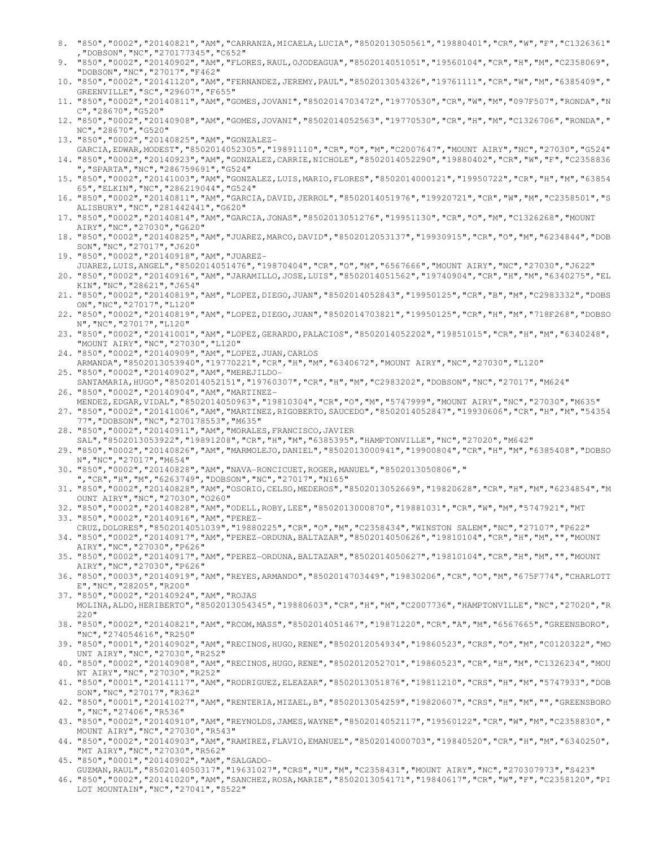- 8. "850","0002","20140821","AM","CARRANZA,MICAELA,LUCIA","8502013050561","19880401","CR","W","F","C1326361" ,"DOBSON","NC","270177345","C652"
- 9. "850","0002","20140902","AM","FLORES,RAUL,OJODEAGUA","8502014051051","19560104","CR","H","M","C2358069", "DOBSON","NC","27017","F462"
- 10. "850","0002","20141120","AM","FERNANDEZ,JEREMY,PAUL","8502013054326","19761111","CR","W","M","6385409"," GREENVILLE","SC","29607","F655"
- 11. "850","0002","20140811","AM","GOMES,JOVANI","8502014703472","19770530","CR","W","M","097F507","RONDA","N C","28670","G520"
- 12. "850","0002","20140908","AM","GOMES,JOVANI","8502014052563","19770530","CR","H","M","C1326706","RONDA"," NC","28670","G520"
- 13. "850","0002","20140825","AM","GONZALEZ-
- GARCIA,EDWAR,MODEST","8502014052305","19891110","CR","O","M","C2007647","MOUNT AIRY","NC","27030","G524" 14. "850","0002","20140923","AM","GONZALEZ,CARRIE,NICHOLE","8502014052290","19880402","CR","W","F","C2358836 ","SPARTA","NC","286759691","G524"
- 15. "850","0002","20141003","AM","GONZALEZ,LUIS,MARIO,FLORES","8502014000121","19950722","CR","H","M","63854 65","ELKIN","NC","286219044","G524"
- 16. "850","0002","20140811","AM","GARCIA,DAVID,JERROL","8502014051976","19920721","CR","W","M","C2358501","S ALISBURY","NC","281442441","G620"
- 17. "850","0002","20140814","AM","GARCIA,JONAS","8502013051276","19951130","CR","O","M","C1326268","MOUNT AIRY","NC","27030","G620"
- 18. "850","0002","20140825","AM","JUAREZ,MARCO,DAVID","8502012053137","19930915","CR","O","M","6234844","DOB SON","NC","27017","J620"
- 19. "850","0002","20140918","AM","JUAREZ-
- JUAREZ,LUIS,ANGEL","8502014051476","19870404","CR","O","M","6567666","MOUNT AIRY","NC","27030","J622"
- 20. "850","0002","20140916","AM","JARAMILLO,JOSE,LUIS","8502014051562","19740904","CR","H","M","6340275","EL KIN","NC","28621","J654"
- 21. "850","0002","20140819","AM","LOPEZ,DIEGO,JUAN","8502014052843","19950125","CR","B","M","C2983332","DOBS ON","NC","27017","L120"
- 22. "850","0002","20140819","AM","LOPEZ,DIEGO,JUAN","8502014703821","19950125","CR","H","M","718F268","DOBSO N","NC","27017","L120"
- 23. "850","0002","20141001","AM","LOPEZ,GERARDO,PALACIOS","8502014052202","19851015","CR","H","M","6340248", "MOUNT AIRY","NC","27030","L120"
- 24. "850","0002","20140909","AM","LOPEZ,JUAN,CARLOS ARMANDA","8502013053940","19770221","CR","H","M","6340672","MOUNT AIRY","NC","27030","L120"
- 25. "850","0002","20140902","AM","MEREJILDO-SANTAMARIA,HUGO","8502014052151","19760307","CR","H","M","C2983202","DOBSON","NC","27017","M624"
- 26. "850","0002","20140904","AM","MARTINEZ-
- MENDEZ,EDGAR,VIDAL","8502014050963","19810304","CR","O","M","5747999","MOUNT AIRY","NC","27030","M635"
- 27. "850","0002","20141006","AM","MARTINEZ,RIGOBERTO,SAUCEDO","8502014052847","19930606","CR","H","M","54354 77","DOBSON","NC","270178553","M635"
- 28. "850","0002","20140911","AM","MORALES,FRANCISCO,JAVIER
- SAL","8502013053922","19891208","CR","H","M","6385395","HAMPTONVILLE","NC","27020","M642"
- 29. "850","0002","20140826","AM","MARMOLEJO,DANIEL","8502013000941","19900804","CR","H","M","6385408","DOBSO N","NC","27017","M654"
- 30. "850","0002","20140828","AM","NAVA-RONCICUET,ROGER,MANUEL","8502013050806","
- ","CR","H","M","6263749","DOBSON","NC","27017","N165"
- 31. "850","0002","20140828","AM","OSORIO,CELSO,MEDEROS","8502013052669","19820628","CR","H","M","6234854","M OUNT AIRY","NC","27030","O260"
- 32. "850","0002","20140828","AM","ODELL,ROBY,LEE","8502013000870","19881031","CR","W","M","5747921","MT 33. "850","0002","20140916","AM","PEREZ-
- CRUZ,DOLORES","8502014051039","19880225","CR","O","M","C2358434","WINSTON SALEM","NC","27107","P622" 34. "850","0002","20140917","AM","PEREZ-ORDUNA,BALTAZAR","8502014050626","19810104","CR","H","M","","MOUNT
- AIRY","NC","27030","P626" 35. "850","0002","20140917","AM","PEREZ-ORDUNA,BALTAZAR","8502014050627","19810104","CR","H","M","","MOUNT AIRY","NC","27030","P626"
- 36. "850","0003","20140919","AM","REYES,ARMANDO","8502014703449","19830206","CR","O","M","675F774","CHARLOTT E","NC","28205","R200"
- 37. "850","0002","20140924","AM","ROJAS MOLINA,ALDO,HERIBERTO","8502013054345","19880603","CR","H","M","C2007736","HAMPTONVILLE","NC","27020","R 220"
- 38. "850","0002","20140821","AM","RCOM,MASS","8502014051467","19871220","CR","A","M","6567665","GREENSBORO", "NC","274054616","R250"
- 39. "850","0001","20140902","AM","RECINOS,HUGO,RENE","8502012054934","19860523","CRS","O","M","C0120322","MO UNT AIRY","NC","27030","R252"
- 40. "850","0002","20140908","AM","RECINOS,HUGO,RENE","8502012052701","19860523","CR","H","M","C1326234","MOU NT AIRY","NC","27030","R252"
- 41. "850","0001","20141117","AM","RODRIGUEZ,ELEAZAR","8502013051876","19811210","CRS","H","M","5747933","DOB SON","NC","27017","R362"
- 42. "850","0001","20141027","AM","RENTERIA,MIZAEL,B","8502013054259","19820607","CRS","H","M","","GREENSBORO ","NC","27406","R536"
- 43. "850","0002","20140910","AM","REYNOLDS,JAMES,WAYNE","8502014052117","19560122","CR","W","M","C2358830"," MOUNT AIRY","NC","27030","R543"
- 44. "850","0002","20140903","AM","RAMIREZ,FLAVIO,EMANUEL","8502014000703","19840520","CR","H","M","6340250", "MT AIRY","NC","27030","R562"
- 45. "850","0001","20140902","AM","SALGADO-GUZMAN,RAUL","8502014050317","19631027","CRS","U","M","C2358431","MOUNT AIRY","NC","270307973","S423"
- 46. "850","0002","20141020","AM","SANCHEZ,ROSA,MARIE","8502013054171","19840617","CR","W","F","C2358120","PI LOT MOUNTAIN","NC","27041","S522"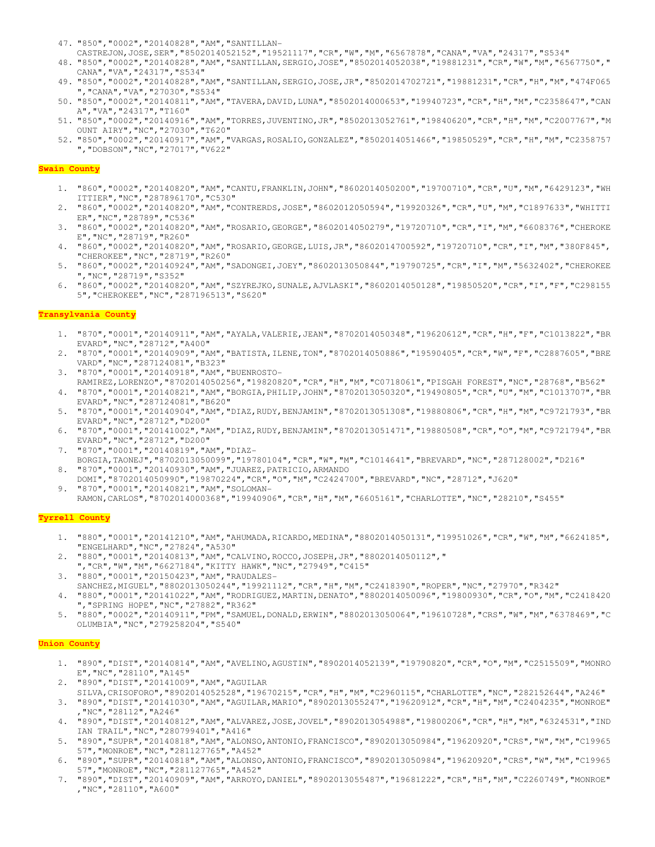- 47. "850","0002","20140828","AM","SANTILLAN-
- CASTREJON,JOSE,SER","8502014052152","19521117","CR","W","M","6567878","CANA","VA","24317","S534"
- 48. "850","0002","20140828","AM","SANTILLAN,SERGIO,JOSE","8502014052038","19881231","CR","W","M","6567750"," CANA","VA","24317","S534"
- 49. "850","0002","20140828","AM","SANTILLAN,SERGIO,JOSE,JR","8502014702721","19881231","CR","H","M","474F065 ","CANA","VA","27030","S534"
- 50. "850","0002","20140811","AM","TAVERA,DAVID,LUNA","8502014000653","19940723","CR","H","M","C2358647","CAN A","VA","24317","T160"
- 51. "850","0002","20140916","AM","TORRES,JUVENTINO,JR","8502013052761","19840620","CR","H","M","C2007767","M OUNT AIRY","NC","27030","T620"
- 52. "850","0002","20140917","AM","VARGAS,ROSALIO,GONZALEZ","8502014051466","19850529","CR","H","M","C2358757 ","DOBSON","NC","27017","V622"

## **Swain County**

- 1. "860","0002","20140820","AM","CANTU,FRANKLIN,JOHN","8602014050200","19700710","CR","U","M","6429123","WH ITTIER","NC","287896170","C530"
- 2. "860","0002","20140820","AM","CONTRERDS,JOSE","8602012050594","19920326","CR","U","M","C1897633","WHITTI ER","NC","28789","C536"
- 3. "860","0002","20140820","AM","ROSARIO,GEORGE","8602014050279","19720710","CR","I","M","6608376","CHEROKE E","NC","28719","R260"
- 4. "860","0002","20140820","AM","ROSARIO,GEORGE,LUIS,JR","8602014700592","19720710","CR","I","M","380F845", "CHEROKEE","NC","28719","R260"
- 5. "860","0002","20140924","AM","SADONGEI,JOEY","8602013050844","19790725","CR","I","M","5632402","CHEROKEE ","NC","28719","S352"
- 6. "860","0002","20140820","AM","SZYREJKO,SUNALE,AJVLASKI","8602014050128","19850520","CR","I","F","C298155 5","CHEROKEE","NC","287196513","S620"

## **Transylvania County**

- 1. "870","0001","20140911","AM","AYALA,VALERIE,JEAN","8702014050348","19620612","CR","H","F","C1013822","BR EVARD","NC","28712","A400"
- 2. "870","0001","20140909","AM","BATISTA,ILENE,TON","8702014050886","19590405","CR","W","F","C2887605","BRE VARD","NC","287124081","B323"
- 3. "870","0001","20140918","AM","BUENROSTO-RAMIREZ,LORENZO","8702014050256","19820820","CR","H","M","C0718061","PISGAH FOREST","NC","28768","B562"
- 4. "870","0001","20140821","AM","BORGIA,PHILIP,JOHN","8702013050320","19490805","CR","U","M","C1013707","BR EVARD","NC","287124081","B620"
- 5. "870","0001","20140904","AM","DIAZ,RUDY,BENJAMIN","8702013051308","19880806","CR","H","M","C9721793","BR EVARD","NC","28712","D200"
- 6. "870","0001","20141002","AM","DIAZ,RUDY,BENJAMIN","8702013051471","19880508","CR","O","M","C9721794","BR EVARD","NC","28712","D200"
- 7. "870","0001","20140819","AM","DIAZ-
- BORGIA,TAONEJ","8702013050099","19780104","CR","W","M","C1014641","BREVARD","NC","287128002","D216"
- 8. "870","0001","20140930","AM","JUAREZ,PATRICIO,ARMANDO DOMI","8702014050990","19870224","CR","O","M","C2424700","BREVARD","NC","28712","J620"
- 9. "870","0001","20140821","AM","SOLOMAN-RAMON,CARLOS","8702014000368","19940906","CR","H","M","6605161","CHARLOTTE","NC","28210","S455"

### **Tyrrell County**

- 1. "880","0001","20141210","AM","AHUMADA,RICARDO,MEDINA","8802014050131","19951026","CR","W","M","6624185", "ENGELHARD","NC","27824","A530"
- 2. "880","0001","20140813","AM","CALVINO,ROCCO,JOSEPH,JR","8802014050112","
- ","CR","W","M","6627184","KITTY HAWK","NC","27949","C415" 3. "880","0001","20150423","AM","RAUDALES-
- SANCHEZ,MIGUEL","8802013050244","19921112","CR","H","M","C2418390","ROPER","NC","27970","R342"
- 4. "880","0001","20141022","AM","RODRIGUEZ,MARTIN,DENATO","8802014050096","19800930","CR","O","M","C2418420 ","SPRING HOPE","NC","27882","R362"
- 5. "880","0002","20140911","PM","SAMUEL,DONALD,ERWIN","8802013050064","19610728","CRS","W","M","6378469","C OLUMBIA","NC","279258204","S540"

#### **Union County**

- 1. "890","DIST","20140814","AM","AVELINO,AGUSTIN","8902014052139","19790820","CR","O","M","C2515509","MONRO E","NC","28110","A145"
- 2. "890","DIST","20141009","AM","AGUILAR
- SILVA,CRISOFORO","8902014052528","19670215","CR","H","M","C2960115","CHARLOTTE","NC","282152644","A246" 3. "890","DIST","20141030","AM","AGUILAR,MARIO","8902013055247","19620912","CR","H","M","C2404235","MONROE"
- ,"NC","28112","A246" 4. "890","DIST","20140812","AM","ALVAREZ,JOSE,JOVEL","8902013054988","19800206","CR","H","M","6324531","IND
- IAN TRAIL","NC","280799401","A416" 5. "890","SUPR","20140818","AM","ALONSO,ANTONIO,FRANCISCO","8902013050984","19620920","CRS","W","M","C19965
- 57","MONROE","NC","281127765","A452"
- 6. "890","SUPR","20140818","AM","ALONSO,ANTONIO,FRANCISCO","8902013050984","19620920","CRS","W","M","C19965 57","MONROE","NC","281127765","A452"
- 7. "890","DIST","20140909","AM","ARROYO,DANIEL","8902013055487","19681222","CR","H","M","C2260749","MONROE" ,"NC","28110","A600"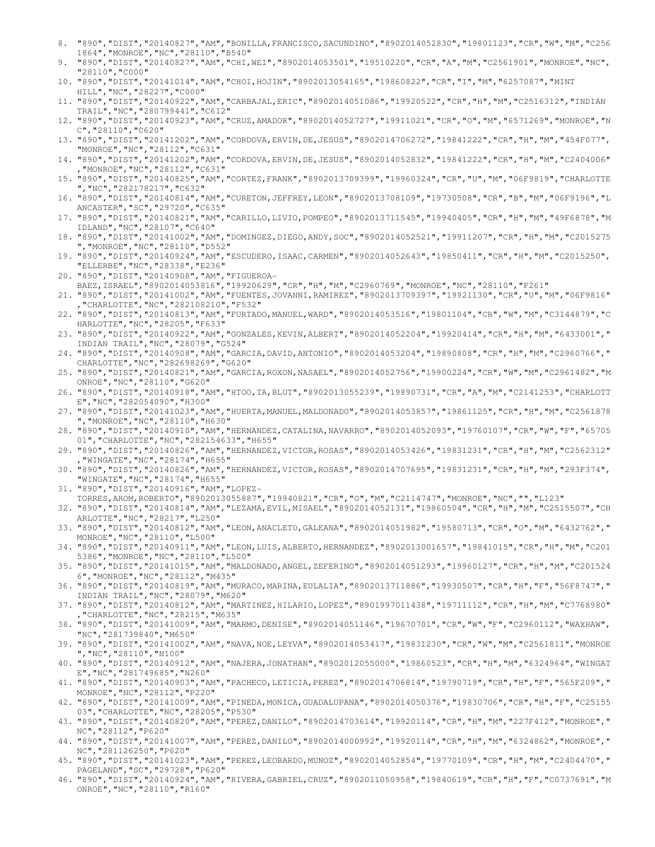- 8. "890","DIST","20140827","AM","BONILLA,FRANCISCO,SACUNDINO","8902014052830","19801123","CR","W","M","C256 1864","MONROE","NC","28110","B540"
- 9. "890","DIST","20140827","AM","CHI,WEI","8902014053501","19510220","CR","A","M","C2561901","MONROE","NC", "28110","C000"
- 10. "890","DIST","20141014","AM","CHOI,HOJIN","8902013054165","19860822","CR","I","M","6257087","MINT HILL","NC","28227","C000"
- 11. "890","DIST","20140922","AM","CARBAJAL,ERIC","8902014051086","19920522","CR","H","M","C2516312","INDIAN TRAIL","NC","280799441","C612"
- 12. "890","DIST","20140923","AM","CRUZ,AMADOR","8902014052727","19911021","CR","O","M","6571269","MONROE","N C","28110","C620"
- 13. "890","DIST","20141202","AM","CORDOVA,ERVIN,DE,JESUS","8902014706272","19841222","CR","H","M","454F077", "MONROE","NC","28112","C631"
- 14. "890","DIST","20141202","AM","CORDOVA,ERVIN,DE,JESUS","8902014052832","19841222","CR","H","M","C2404006" ,"MONROE","NC","28112","C631"
- 15. "890","DIST","20140825","AM","CORTEZ,FRANK","8902013709399","19960324","CR","U","M","06F9819","CHARLOTTE ","NC","282178217","C632"
- 16. "890","DIST","20140814","AM","CURETON,JEFFREY,LEON","8902013708109","19730508","CR","B","M","06F9196","L ANCASTER","SC","29720","C635"
- 17. "890","DIST","20140821","AM","CARILLO,LIVIO,POMPEO","8902013711545","19940405","CR","H","M","49F6878","M IDLAND","NC","28107","C640"
- 18. "890","DIST","20141002","AM","DOMINGEZ,DIEGO,ANDY,SOC","8902014052521","19911207","CR","H","M","C2015275 ","MONROE","NC","28110","D552"
- 19. "890","DIST","20140924","AM","ESCUDERO,ISAAC,CARMEN","8902014052643","19850411","CR","H","M","C2015250", "ELLERBE","NC","28338","E236"
- 20. "890","DIST","20140908","AM","FIGUEROA-
- BAEZ,ISRAEL","8902014053816","19920629","CR","H","M","C2960769","MONROE","NC","28110","F261"
- 21. "890","DIST","20141002","AM","FUENTES,JOVANNI,RAMIREZ","8902013709397","19921130","CR","U","M","06F9816" ,"CHARLOTTE","NC","282108210","F532"
- 22. "890","DIST","20140813","AM","FURTADO,MANUEL,WARD","8902014053516","19801104","CR","W","M","C3144879","C HARLOTTE","NC","28205","F633"
- 23. "890","DIST","20140922","AM","GONZALES,KEVIN,ALBERT","8902014052204","19920414","CR","H","M","6433001"," INDIAN TRAIL","NC","28079","G524"
- 24. "890","DIST","20140908","AM","GARCIA,DAVID,ANTONIO","8902014053204","19890808","CR","H","M","C2960766"," CHARLOTTE","NC","282698269","G620"
- 25. "890","DIST","20140821","AM","GARCIA,ROXON,NASAEL","8902014052756","19900224","CR","W","M","C2961482","M ONROE","NC","28110","G620"
- 26. "890","DIST","20140918","AM","HTOO,TA,BLUT","8902013055239","19890731","CR","A","M","C2141253","CHARLOTT E","NC","282054090","H300"
- 27. "890","DIST","20141023","AM","HUERTA,MANUEL,MALDONADO","8902014053857","19861125","CR","H","M","C2561878 ","MONROE","NC","28110","H630"
- 28. "890","DIST","20140910","AM","HERNANDEZ,CATALINA,NAVARRO","8902014052093","19760107","CR","W","F","65705 01","CHARLOTTE","NC","282154633","H655"
- 29. "890","DIST","20140826","AM","HERNANDEZ,VICTOR,ROSAS","8902014053426","19831231","CR","H","M","C2562312" ,"WINGATE","NC","28174","H655"
- 30. "890","DIST","20140826","AM","HERNANDEZ,VICTOR,ROSAS","8902014707695","19831231","CR","H","M","293F374", "WINGATE","NC","28174","H655"
- 31. "890","DIST","20140916","AM","LOPEZ-
- TORRES,AROM,ROBERTO","8902013055887","19940821","CR","O","M","C2114747","MONROE","NC","","L123"
- 32. "890","DIST","20140814","AM","LEZAMA,EVIL,MISAEL","8902014052131","19860504","CR","H","M","C2515507","CH ARLOTTE","NC","28217","L250"
- 33. "890","DIST","20140812","AM","LEON,ANACLETO,GALEANA","8902014051982","19580713","CR","O","M","6432762"," MONROE","NC","28110","L500"
- 34. "890","DIST","20140911","AM","LEON,LUIS,ALBERTO,HERNANDEZ","8902013001657","19841015","CR","H","M","C201 5386","MONROE","NC","28110","L500"
- 35. "890","DIST","20141015","AM","MALDONADO,ANGEL,ZEFERINO","8902014051293","19960127","CR","H","M","C201524 6","MONROE","NC","28112","M435"
- 36. "890","DIST","20140819","AM","MURACO,MARINA,EULALIA","8902013711886","19930507","CR","H","F","56F8747"," INDIAN TRAIL","NC","28079","M620"
- 37. "890","DIST","20140812","AM","MARTINEZ,HILARIO,LOPEZ","8901997011438","19711112","CR","H","M","C7768980" ,"CHARLOTTE","NC","28215","M635"
- 38. "890","DIST","20141009","AM","MARMO,DENISE","8902014051146","19670701","CR","W","F","C2960112","WAXHAW", "NC","281739840","M650"
- 39. "890","DIST","20141002","AM","NAVA,NOE,LEYVA","8902014053417","19831230","CR","W","M","C2561811","MONROE ","NC","28110","N100"
- 40. "890","DIST","20140912","AM","NAJERA,JONATHAN","8902012055000","19860523","CR","H","M","6324964","WINGAT E","NC","281749685","N260"
- 41. "890","DIST","20140903","AM","PACHECO,LETICIA,PEREZ","8902014706814","19790719","CR","H","F","565F209"," MONROE","NC","28112","P220"
- 42. "890","DIST","20141009","AM","PINEDA,MONICA,GUADALUPANA","8902014050376","19830706","CR","H","F","C25155 03","CHARLOTTE","NC","28205","P530"
- 43. "890","DIST","20140820","AM","PEREZ,DANILO","8902014703614","19920114","CR","H","M","227F412","MONROE"," NC","28112","P620"
- 44. "890","DIST","20141007","AM","PEREZ,DANILO","8902014000992","19920114","CR","H","M","6324862","MONROE"," NC","281126250","P620"
- 45. "890","DIST","20141023","AM","PEREZ,LEOBARDO,MUNOZ","8902014052854","19770109","CR","H","M","C2404470"," PAGELAND","SC","29728","P620"
- 46. "890","DIST","20140924","AM","RIVERA,GABRIEL,CRUZ","8902011050958","19840619","CR","H","F","C0737691","M ONROE","NC","28110","R160"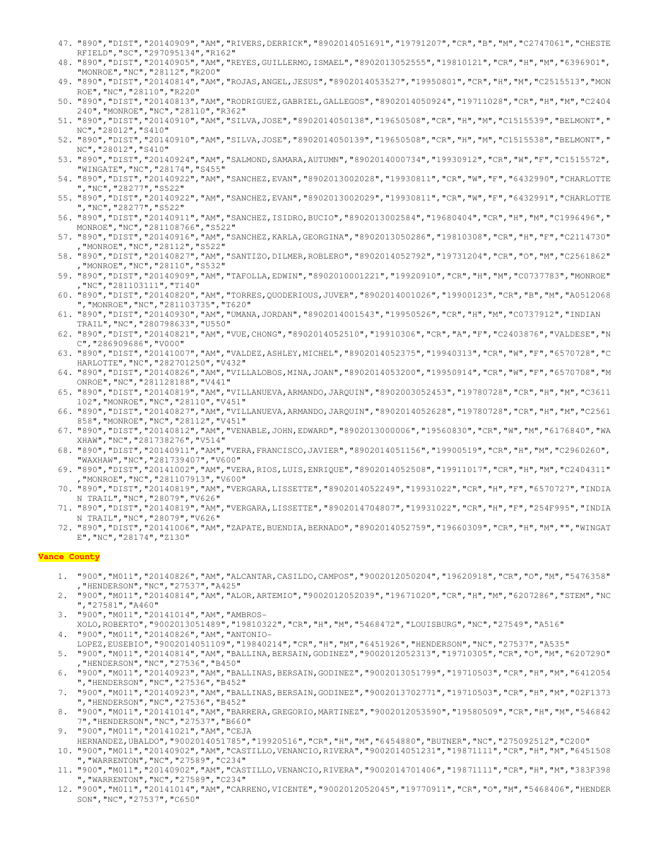- 47. "890","DIST","20140909","AM","RIVERS,DERRICK","8902014051691","19791207","CR","B","M","C2747061","CHESTE RFIELD","SC","297095134","R162"
- 48. "890","DIST","20140905","AM","REYES,GUILLERMO,ISMAEL","8902013052555","19810121","CR","H","M","6396901", "MONROE","NC","28112","R200"
- 49. "890","DIST","20140814","AM","ROJAS,ANGEL,JESUS","8902014053527","19950801","CR","H","M","C2515513","MON ROE","NC","28110","R220"
- 50. "890","DIST","20140813","AM","RODRIGUEZ,GABRIEL,GALLEGOS","8902014050924","19711028","CR","H","M","C2404 240","MONROE","NC","28110","R362"
- 51. "890","DIST","20140910","AM","SILVA,JOSE","8902014050138","19650508","CR","H","M","C1515539","BELMONT"," NC","28012","S410"
- 52. "890","DIST","20140910","AM","SILVA,JOSE","8902014050139","19650508","CR","H","M","C1515538","BELMONT"," NC","28012","S410"
- 53. "890","DIST","20140924","AM","SALMOND,SAMARA,AUTUMN","8902014000734","19930912","CR","W","F","C1515572", "WINGATE","NC","28174","S455"
- 54. "890","DIST","20140922","AM","SANCHEZ,EVAN","8902013002028","19930811","CR","W","F","6432990","CHARLOTTE ","NC","28277","S522"
- 55. "890","DIST","20140922","AM","SANCHEZ,EVAN","8902013002029","19930811","CR","W","F","6432991","CHARLOTTE ","NC","28277","S522"
- 56. "890","DIST","20140911","AM","SANCHEZ,ISIDRO,BUCIO","8902013002584","19680404","CR","H","M","C1996496"," MONROE","NC","281108766","S522"
- 57. "890","DIST","20140916","AM","SANCHEZ,KARLA,GEORGINA","8902013050286","19810308","CR","H","F","C2114730" ,"MONROE","NC","28112","S522"
- 58. "890","DIST","20140827","AM","SANTIZO,DILMER,ROBLERO","8902014052792","19731204","CR","O","M","C2561862" ,"MONROE","NC","28110","S532"
- 59. "890","DIST","20140909","AM","TAFOLLA,EDWIN","8902010001221","19920910","CR","H","M","C0737783","MONROE" ,"NC","281103111","T140"
- 60. "890","DIST","20140820","AM","TORRES,QUODERIOUS,JUVER","8902014001026","19900123","CR","B","M","A0512068 ","MONROE","NC","281103735","T620"
- 61. "890","DIST","20140930","AM","UMANA,JORDAN","8902014001543","19950526","CR","H","M","C0737912","INDIAN TRAIL","NC","280798633","U550"
- 62. "890","DIST","20140821","AM","VUE,CHONG","8902014052510","19910306","CR","A","F","C2403876","VALDESE","N C","286909686","V000"
- 63. "890","DIST","20141007","AM","VALDEZ,ASHLEY,MICHEL","8902014052375","19940313","CR","W","F","6570728","C HARLOTTE","NC","282701250","V432"
- 64. "890","DIST","20140826","AM","VILLALOBOS,MINA,JOAN","8902014053200","19950914","CR","W","F","6570708","M ONROE","NC","281128188","V441"
- 65. "890","DIST","20140819","AM","VILLANUEVA,ARMANDO,JARQUIN","8902003052453","19780728","CR","H","M","C3611 102","MONROE","NC","28110","V451"
- 66. "890","DIST","20140827","AM","VILLANUEVA,ARMANDO,JARQUIN","8902014052628","19780728","CR","H","M","C2561 858","MONROE","NC","28112","V451"
- 67. "890","DIST","20140812","AM","VENABLE,JOHN,EDWARD","8902013000006","19560830","CR","W","M","6176840","WA XHAW","NC","281738276","V514"
- 68. "890","DIST","20140911","AM","VERA,FRANCISCO,JAVIER","8902014051156","19900519","CR","H","M","C2960260", "WAXHAW","NC","281739407","V600"
- 69. "890","DIST","20141002","AM","VERA,RIOS,LUIS,ENRIQUE","8902014052508","19911017","CR","H","M","C2404311" ,"MONROE","NC","281107913","V600"
- 70. "890","DIST","20140819","AM","VERGARA,LISSETTE","8902014052249","19931022","CR","H","F","6570727","INDIA N TRAIL","NC","28079","V626"
- 71. "890","DIST","20140819","AM","VERGARA,LISSETTE","8902014704807","19931022","CR","H","F","254F995","INDIA N TRAIL","NC","28079","V626"
- 72. "890","DIST","20141006","AM","ZAPATE,BUENDIA,BERNADO","8902014052759","19660309","CR","H","M","","WINGAT E","NC","28174","Z130"

## **Vance County**

- 1. "900","M011","20140826","AM","ALCANTAR,CASILDO,CAMPOS","9002012050204","19620918","CR","O","M","5476358" ,"HENDERSON","NC","27537","A425"
- 2. "900","M011","20140814","AM","ALOR,ARTEMIO","9002012052039","19671020","CR","H","M","6207286","STEM","NC ","27581","A460"
- 3. "900","M011","20141014","AM","AMBROS-
- XOLO,ROBERTO","9002013051489","19810322","CR","H","M","5468472","LOUISBURG","NC","27549","A516" 4. "900","M011","20140826","AM","ANTONIO-
- LOPEZ,EUSEBIO","9002014051109","19840214","CR","H","M","6451926","HENDERSON","NC","27537","A535"
- 5. "900","M011","20140814","AM","BALLINA,BERSAIN,GODINEZ","9002012052313","19710305","CR","O","M","6207290" ,"HENDERSON","NC","27536","B450"
- 6. "900","M011","20140923","AM","BALLINAS,BERSAIN,GODINEZ","9002013051799","19710503","CR","H","M","6412054 ","HENDERSON","NC","27536","B452"
- 7. "900","M011","20140923","AM","BALLINAS,BERSAIN,GODINEZ","9002013702771","19710503","CR","H","M","02F1373 ","HENDERSON","NC","27536","B452"
- 8. "900","M011","20141014","AM","BARRERA,GREGORIO,MARTINEZ","9002012053590","19580509","CR","H","M","546842 7","HENDERSON","NC","27537","B660"
- 9. "900", "M011", "20141021", "AM", "CEJA
- HERNANDEZ,UBALDO","9002014051785","19920516","CR","H","M","6454880","BUTNER","NC","275092512","C200"
- 10. "900","M011","20140902","AM","CASTILLO,VENANCIO,RIVERA","9002014051231","19871111","CR","H","M","6451508 ","WARRENTON","NC","27589","C234"
- 11. "900","M011","20140902","AM","CASTILLO,VENANCIO,RIVERA","9002014701406","19871111","CR","H","M","383F398 ","WARRENTON","NC","27589","C234"
- 12. "900","M011","20141014","AM","CARRENO,VICENTE","9002012052045","19770911","CR","O","M","5468406","HENDER SON","NC","27537","C650"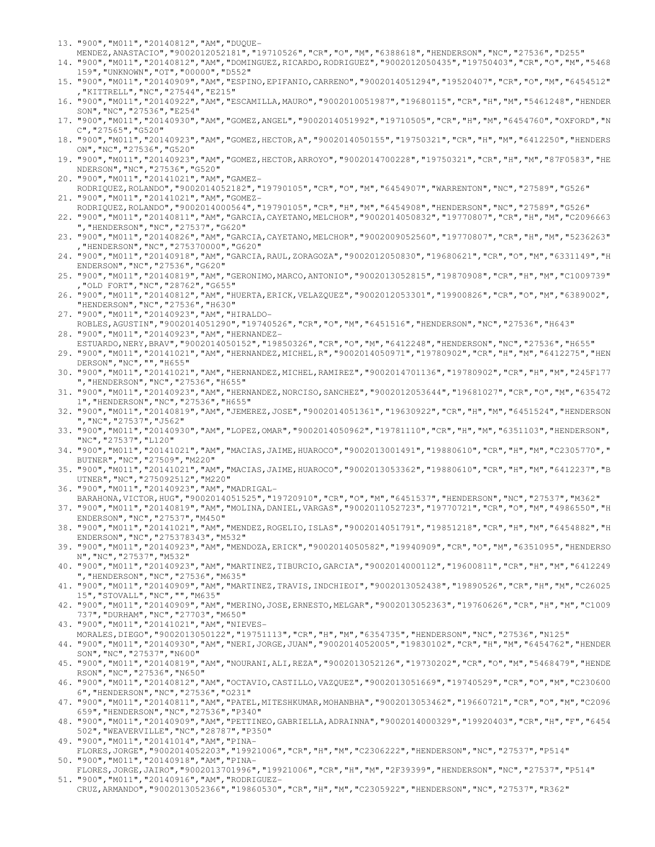- 13. "900","M011","20140812","AM","DUQUE-
- MENDEZ,ANASTACIO","9002012052181","19710526","CR","O","M","6388618","HENDERSON","NC","27536","D255" 14. "900","M011","20140812","AM","DOMINGUEZ,RICARDO,RODRIGUEZ","9002012050435","19750403","CR","O","M","5468
- 159","UNKNOWN","OT","00000","D552" 15. "900","M011","20140909","AM","ESPINO,EPIFANIO,CARRENO","9002014051294","19520407","CR","O","M","6454512" ,"KITTRELL","NC","27544","E215"
- 16. "900","M011","20140922","AM","ESCAMILLA,MAURO","9002010051987","19680115","CR","H","M","5461248","HENDER SON","NC","27536","E254"
- 17. "900","M011","20140930","AM","GOMEZ,ANGEL","9002014051992","19710505","CR","H","M","6454760","OXFORD","N C","27565","G520"
- 18. "900","M011","20140923","AM","GOMEZ,HECTOR,A","9002014050155","19750321","CR","H","M","6412250","HENDERS ON","NC","27536","G520"
- 19. "900","M011","20140923","AM","GOMEZ,HECTOR,ARROYO","9002014700228","19750321","CR","H","M","87F0583","HE NDERSON","NC","27536","G520"
- 20. "900","M011","20141021","AM","GAMEZ-RODRIQUEZ,ROLANDO","9002014052182","19790105","CR","O","M","6454907","WARRENTON","NC","27589","G526" 21. "900","M011","20141021","AM","GOMEZ-
- RODRIQUEZ,ROLANDO","9002014000564","19790105","CR","H","M","6454908","HENDERSON","NC","27589","G526"
- 22. "900","M011","20140811","AM","GARCIA,CAYETANO,MELCHOR","9002014050832","19770807","CR","H","M","C2096663 ","HENDERSON","NC","27537","G620"
- 23. "900","M011","20140826","AM","GARCIA,CAYETANO,MELCHOR","9002009052560","19770807","CR","H","M","5236263" ,"HENDERSON","NC","275370000","G620"
- 24. "900","M011","20140918","AM","GARCIA,RAUL,ZORAGOZA","9002012050830","19680621","CR","O","M","6331149","H ENDERSON","NC","27536","G620"
- 25. "900","M011","20140819","AM","GERONIMO,MARCO,ANTONIO","9002013052815","19870908","CR","H","M","C1009739" ,"OLD FORT","NC","28762","G655"
- 26. "900","M011","20140812","AM","HUERTA,ERICK,VELAZQUEZ","9002012053301","19900826","CR","O","M","6389002", "HENDERSON","NC","27536","H630"
- 27. "900","M011","20140923","AM","HIRALDO-
- ROBLES,AGUSTIN","9002014051290","19740526","CR","O","M","6451516","HENDERSON","NC","27536","H643" 28. "900","M011","20140923","AM","HERNANDEZ-
- ESTUARDO,NERY,BRAV","9002014050152","19850326","CR","O","M","6412248","HENDERSON","NC","27536","H655" 29. "900","M011","20141021","AM","HERNANDEZ,MICHEL,R","9002014050971","19780902","CR","H","M","6412275","HEN
- DERSON","NC","","H655" 30. "900","M011","20141021","AM","HERNANDEZ,MICHEL,RAMIREZ","9002014701136","19780902","CR","H","M","245F177 ","HENDERSON","NC","27536","H655"
- 31. "900","M011","20140923","AM","HERNANDEZ,NORCISO,SANCHEZ","9002012053644","19681027","CR","O","M","635472 1","HENDERSON","NC","27536","H655"
- 32. "900", "M011", "20140819", "AM", "JEMEREZ, JOSE", "9002014051361", "19630922", "CR", "H", "M", "6451524", "HENDERSON ","NC","27537","J562"
- 33. "900","M011","20140930","AM","LOPEZ,OMAR","9002014050962","19781110","CR","H","M","6351103","HENDERSON", "NC","27537","L120"
- 34. "900","M011","20141021","AM","MACIAS,JAIME,HUAROCO","9002013001491","19880610","CR","H","M","C2305770"," BUTNER","NC","27509","M220"
- 35. "900","M011","20141021","AM","MACIAS,JAIME,HUAROCO","9002013053362","19880610","CR","H","M","6412237","B UTNER","NC","275092512","M220"
- 36. "900","M011","20140923","AM","MADRIGAL-
- BARAHONA,VICTOR,HUG","9002014051525","19720910","CR","O","M","6451537","HENDERSON","NC","27537","M362" 37. "900","M011","20140819","AM","MOLINA,DANIEL,VARGAS","9002011052723","19770721","CR","O","M","4986550","H
- ENDERSON","NC","27537","M450" 38. "900","M011","20141021","AM","MENDEZ,ROGELIO,ISLAS","9002014051791","19851218","CR","H","M","6454882","H
- ENDERSON","NC","275378343","M532"
- 39. "900","M011","20140923","AM","MENDOZA,ERICK","9002014050582","19940909","CR","O","M","6351095","HENDERSO N","NC","27537","M532"
- 40. "900","M011","20140923","AM","MARTINEZ,TIBURCIO,GARCIA","9002014000112","19600811","CR","H","M","6412249 ","HENDERSON","NC","27536","M635"
- 41. "900","M011","20140909","AM","MARTINEZ,TRAVIS,INDCHIEOI","9002013052438","19890526","CR","H","M","C26025 15","STOVALL","NC","","M635"
- 42. "900","M011","20140909","AM","MERINO,JOSE,ERNESTO,MELGAR","9002013052363","19760626","CR","H","M","C1009 737","DURHAM","NC","27703","M650"
- 43. "900","M011","20141021","AM","NIEVES-
- MORALES,DIEGO","9002013050122","19751113","CR","H","M","6354735","HENDERSON","NC","27536","N125"
- 44. "900","M011","20140930","AM","NERI,JORGE,JUAN","9002014052005","19830102","CR","H","M","6454762","HENDER SON","NC","27537","N600"
- 45. "900","M011","20140819","AM","NOURANI,ALI,REZA","9002013052126","19730202","CR","O","M","5468479","HENDE RSON","NC","27536","N650"
- 46. "900","M011","20140812","AM","OCTAVIO,CASTILLO,VAZQUEZ","9002013051669","19740529","CR","O","M","C230600 6","HENDERSON","NC","27536","O231"
- 47. "900","M011","20140811","AM","PATEL,MITESHKUMAR,MOHANBHA","9002013053462","19660721","CR","O","M","C2096 659","HENDERSON","NC","27536","P340"
- 48. "900","M011","20140909","AM","PETTINEO,GABRIELLA,ADRAINNA","9002014000329","19920403","CR","H","F","6454 502","WEAVERVILLE","NC","28787","P350"
- 49. "900","M011","20141014","AM","PINA-FLORES,JORGE","9002014052203","19921006","CR","H","M","C2306222","HENDERSON","NC","27537","P514" 50. "900","M011","20140918","AM","PINA-
- FLORES,JORGE,JAIRO","9002013701996","19921006","CR","H","M","2F39399","HENDERSON","NC","27537","P514" 51. "900","M011","20140916","AM","RODRIGUEZ-
- CRUZ,ARMANDO","9002013052366","19860530","CR","H","M","C2305922","HENDERSON","NC","27537","R362"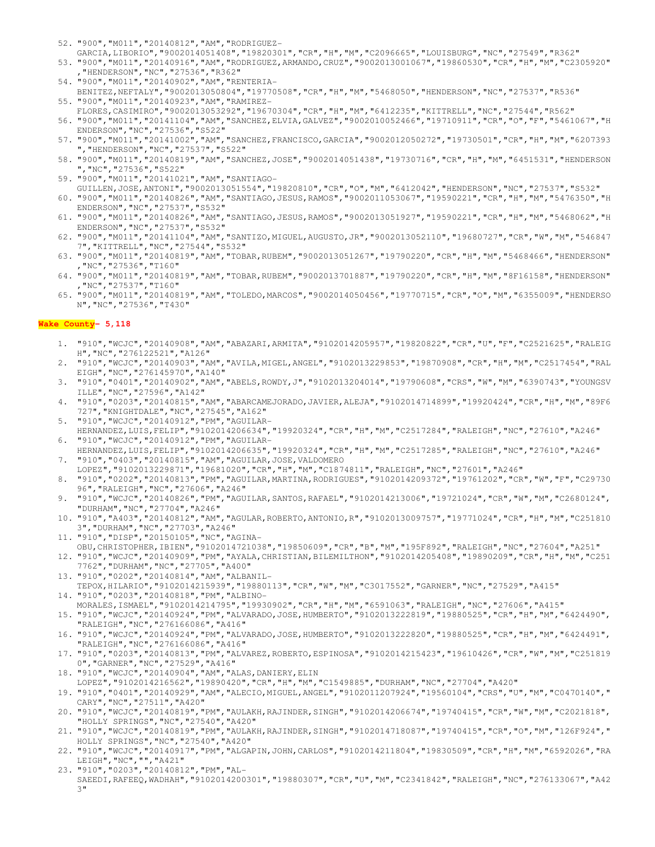- 52. "900","M011","20140812","AM","RODRIGUEZ-
- GARCIA,LIBORIO","9002014051408","19820301","CR","H","M","C2096665","LOUISBURG","NC","27549","R362" 53. "900","M011","20140916","AM","RODRIGUEZ,ARMANDO,CRUZ","9002013001067","19860530","CR","H","M","C2305920"
- ,"HENDERSON","NC","27536","R362" 54. "900","M011","20140902","AM","RENTERIA-
- 
- BENITEZ,NEFTALY","9002013050804","19770508","CR","H","M","5468050","HENDERSON","NC","27537","R536" 55. "900","M011","20140923","AM","RAMIREZ-
- FLORES,CASIMIRO","9002013053292","19670304","CR","H","M","6412235","KITTRELL","NC","27544","R562"
- 56. "900","M011","20141104","AM","SANCHEZ,ELVIA,GALVEZ","9002010052466","19710911","CR","O","F","5461067","H ENDERSON","NC","27536","S522"
- 57. "900","M011","20141002","AM","SANCHEZ,FRANCISCO,GARCIA","9002012050272","19730501","CR","H","M","6207393 ","HENDERSON","NC","27537","S522"
- 58. "900","M011","20140819","AM","SANCHEZ,JOSE","9002014051438","19730716","CR","H","M","6451531","HENDERSON ","NC","27536","S522"
- 59. "900","M011","20141021","AM","SANTIAGO-
- GUILLEN,JOSE,ANTONI","9002013051554","19820810","CR","O","M","6412042","HENDERSON","NC","27537","S532"
- 60. "900","M011","20140826","AM","SANTIAGO,JESUS,RAMOS","9002011053067","19590221","CR","H","M","5476350","H ENDERSON","NC","27537","S532"
- 61. "900","M011","20140826","AM","SANTIAGO,JESUS,RAMOS","9002013051927","19590221","CR","H","M","5468062","H ENDERSON","NC","27537","S532"
- 62. "900","M011","20141104","AM","SANTIZO,MIGUEL,AUGUSTO,JR","9002013052110","19680727","CR","W","M","546847 7","KITTRELL","NC","27544","S532"
- 63. "900","M011","20140819","AM","TOBAR,RUBEM","9002013051267","19790220","CR","H","M","5468466","HENDERSON" ,"NC","27536","T160"
- 64. "900","M011","20140819","AM","TOBAR,RUBEM","9002013701887","19790220","CR","H","M","8F16158","HENDERSON" ,"NC","27537","T160"
- 65. "900","M011","20140819","AM","TOLEDO,MARCOS","9002014050456","19770715","CR","O","M","6355009","HENDERSO N","NC","27536","T430"

#### **Wake County- 5,118**

- 1. "910","WCJC","20140908","AM","ABAZARI,ARMITA","9102014205957","19820822","CR","U","F","C2521625","RALEIG H","NC","276122521","A126"
- 2. "910","WCJC","20140903","AM","AVILA,MIGEL,ANGEL","9102013229853","19870908","CR","H","M","C2517454","RAL EIGH","NC","276145970","A140"
- 3. "910","0401","20140902","AM","ABELS,ROWDY,J","9102013204014","19790608","CRS","W","M","6390743","YOUNGSV ILLE","NC","27596","A142"
- 4. "910","0203","20140815","AM","ABARCAMEJORADO,JAVIER,ALEJA","9102014714899","19920424","CR","H","M","89F6 727","KNIGHTDALE","NC","27545","A162"
- 5. "910","WCJC","20140912","PM","AGUILAR-HERNANDEZ,LUIS,FELIP","9102014206634","19920324","CR","H","M","C2517284","RALEIGH","NC","27610","A246" 6. "910","WCJC","20140912","PM","AGUILAR-
- HERNANDEZ,LUIS,FELIP","9102014206635","19920324","CR","H","M","C2517285","RALEIGH","NC","27610","A246" 7. "910","0403","20140815","AM","AGUILAR,JOSE,VALDOMERO
- LOPEZ","9102013229871","19681020","CR","H","M","C1874811","RALEIGH","NC","27601","A246"
- 8. "910","0202","20140813","PM","AGUILAR,MARTINA,RODRIGUES","9102014209372","19761202","CR","W","F","C29730 96","RALEIGH","NC","27606","A246"
- 9. "910","WCJC","20140826","PM","AGUILAR,SANTOS,RAFAEL","9102014213006","19721024","CR","W","M","C2680124", "DURHAM","NC","27704","A246"
- 10. "910","A403","20140812","AM","AGULAR,ROBERTO,ANTONIO,R","9102013009757","19771024","CR","H","M","C251810 3","DURHAM","NC","27703","A246"
- 11. "910","DISP","20150105","NC","AGINA-
- OBU,CHRISTOPHER,IBIEN","9102014721038","19850609","CR","B","M","195F892","RALEIGH","NC","27604","A251"
- 12. "910","WCJC","20140909","PM","AYALA,CHRISTIAN,BILEMILTHON","9102014205408","19890209","CR","H","M","C251 7762","DURHAM","NC","27705","A400"
- 13. "910","0202","20140814","AM","ALBANIL-
- TEPOX,HILARIO","9102014215939","19880113","CR","W","M","C3017552","GARNER","NC","27529","A415" 14. "910","0203","20140818","PM","ALBINO-
- MORALES,ISMAEL","9102014214795","19930902","CR","H","M","6591063","RALEIGH","NC","27606","A415"
- 15. "910","WCJC","20140924","PM","ALVARADO,JOSE,HUMBERTO","9102013222819","19880525","CR","H","M","6424490", "RALEIGH","NC","276166086","A416"
- 16. "910","WCJC","20140924","PM","ALVARADO,JOSE,HUMBERTO","9102013222820","19880525","CR","H","M","6424491", "RALEIGH","NC","276166086","A416"
- 17. "910","0203","20140813","PM","ALVAREZ,ROBERTO,ESPINOSA","9102014215423","19610426","CR","W","M","C251819 0","GARNER","NC","27529","A416"
- 18. "910","WCJC","20140904","AM","ALAS,DANIERY,ELIN
- LOPEZ","9102014216562","19890420","CR","H","M","C1549885","DURHAM","NC","27704","A420"
- 19. "910","0401","20140929","AM","ALECIO,MIGUEL,ANGEL","9102011207924","19560104","CRS","U","M","C0470140"," CARY","NC","27511","A420"
- 20. "910","WCJC","20140819","PM","AULAKH,RAJINDER,SINGH","9102014206674","19740415","CR","W","M","C2021818", "HOLLY SPRINGS","NC","27540","A420"
- 21. "910","WCJC","20140819","PM","AULAKH,RAJINDER,SINGH","9102014718087","19740415","CR","O","M","126F924"," HOLLY SPRINGS","NC","27540","A420"
- 22. "910","WCJC","20140917","PM","ALGAPIN,JOHN,CARLOS","9102014211804","19830509","CR","H","M","6592026","RA LEIGH","NC","","A421"
- 23. "910","0203","20140812","PM","AL-
- SAEEDI,RAFEEQ,WADHAH","9102014200301","19880307","CR","U","M","C2341842","RALEIGH","NC","276133067","A42 3"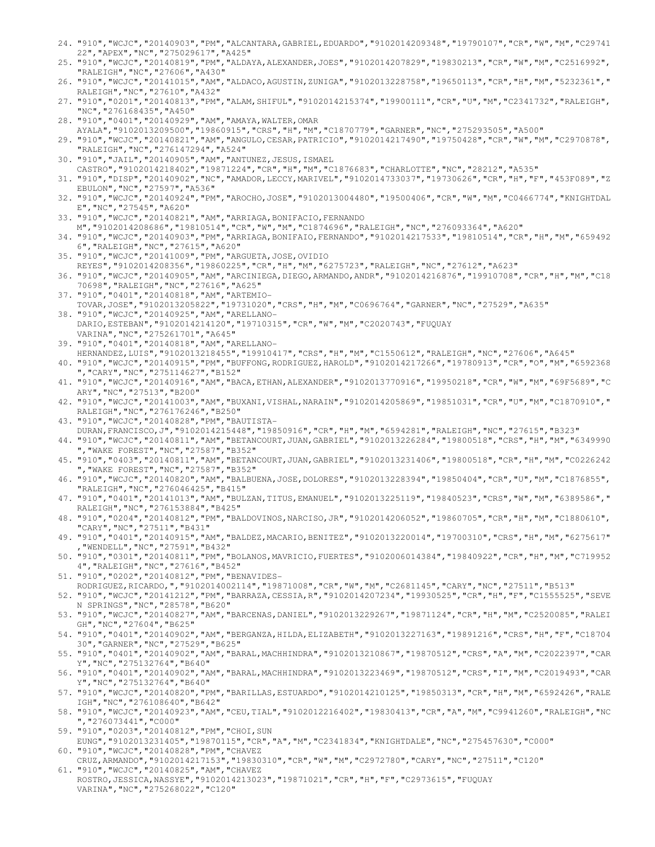- 24. "910","WCJC","20140903","PM","ALCANTARA,GABRIEL,EDUARDO","9102014209348","19790107","CR","W","M","C29741 22","APEX","NC","275029617","A425"
- 25. "910","WCJC","20140819","PM","ALDAYA,ALEXANDER,JOES","9102014207829","19830213","CR","W","M","C2516992", "RALEIGH","NC","27606","A430"
- 26. "910","WCJC","20141015","AM","ALDACO,AGUSTIN,ZUNIGA","9102013228758","19650113","CR","H","M","5232361"," RALEIGH","NC","27610","A432"
- 27. "910","0201","20140813","PM","ALAM,SHIFUL","9102014215374","19900111","CR","U","M","C2341732","RALEIGH", "NC","276168435","A450"
- 28. "910","0401","20140929","AM","AMAYA,WALTER,OMAR
- AYALA","9102013209500","19860915","CRS","H","M","C1870779","GARNER","NC","275293505","A500"
- 29. "910","WCJC","20140821","AM","ANGULO,CESAR,PATRICIO","9102014217490","19750428","CR","W","M","C2970878", "RALEIGH","NC","276147294","A524"
- 30. "910","JAIL","20140905","AM","ANTUNEZ,JESUS,ISMAEL
- CASTRO","9102014218402","19871224","CR","H","M","C1876683","CHARLOTTE","NC","28212","A535"
- 31. "910","DISP","20140902","NC","AMADOR,LECCY,MARIVEL","9102014733037","19730626","CR","H","F","453F089","Z EBULON","NC","27597","A536"
- 32. "910","WCJC","20140924","PM","AROCHO,JOSE","9102013004480","19500406","CR","W","M","C0466774","KNIGHTDAL E","NC","27545","A620"
- 33. "910","WCJC","20140821","AM","ARRIAGA,BONIFACIO,FERNANDO
- M","9102014208686","19810514","CR","W","M","C1874696","RALEIGH","NC","276093364","A620"
- 34. "910","WCJC","20140903","PM","ARRIAGA,BONIFAIO,FERNANDO","9102014217533","19810514","CR","H","M","659492 6","RALEIGH","NC","27615","A620"
- 35. "910","WCJC","20141009","PM","ARGUETA,JOSE,OVIDIO
- REYES","9102014208356","19860225","CR","H","M","6275723","RALEIGH","NC","27612","A623"
- 36. "910","WCJC","20140905","AM","ARCINIEGA,DIEGO,ARMANDO,ANDR","9102014216876","19910708","CR","H","M","C18 70698","RALEIGH","NC","27616","A625"
- 37. "910","0401","20140818","AM","ARTEMIO-
- TOVAR,JOSE","9102013205822","19731020","CRS","H","M","C0696764","GARNER","NC","27529","A635" 38. "910","WCJC","20140925","AM","ARELLANO-
- DARIO,ESTEBAN","9102014214120","19710315","CR","W","M","C2020743","FUQUAY VARINA","NC","275261701","A645"
- 39. "910","0401","20140818","AM","ARELLANO-
- HERNANDEZ,LUIS","9102013218455","19910417","CRS","H","M","C1550612","RALEIGH","NC","27606","A645" 40. "910","WCJC","20140915","PM","BUFFONG,RODRIGUEZ,HAROLD","9102014217266","19780913","CR","O","M","6592368
- ","CARY","NC","275114627","B152"
- 41. "910","WCJC","20140916","AM","BACA,ETHAN,ALEXANDER","9102013770916","19950218","CR","W","M","69F5689","C ARY","NC","27513","B200"
- 42. "910","WCJC","20141003","AM","BUXANI,VISHAL,NARAIN","9102014205869","19851031","CR","U","M","C1870910"," RALEIGH","NC","276176246","B250"
- 43. "910","WCJC","20140828","PM","BAUTISTA-
- DURAN,FRANCISCO,J","9102014215448","19850916","CR","H","M","6594281","RALEIGH","NC","27615","B323"
- 44. "910","WCJC","20140811","AM","BETANCOURT,JUAN,GABRIEL","9102013226284","19800518","CRS","H","M","6349990 ","WAKE FOREST","NC","27587","B352"
- 45. "910","0403","20140811","AM","BETANCOURT,JUAN,GABRIEL","9102013231406","19800518","CR","H","M","C0226242 ","WAKE FOREST","NC","27587","B352"
- 46. "910","WCJC","20140820","AM","BALBUENA,JOSE,DOLORES","9102013228394","19850404","CR","U","M","C1876855", "RALEIGH","NC","276046425","B415"
- 47. "910","0401","20141013","AM","BULZAN,TITUS,EMANUEL","9102013225119","19840523","CRS","W","M","6389586"," RALEIGH","NC","276153884","B425"
- 48. "910","0204","20140812","PM","BALDOVINOS,NARCISO,JR","9102014206052","19860705","CR","H","M","C1880610", "CARY","NC","27511","B431"
- 49. "910","0401","20140915","AM","BALDEZ,MACARIO,BENITEZ","9102013220014","19700310","CRS","H","M","6275617" ,"WENDELL","NC","27591","B432"
- 50. "910","0301","20140811","PM","BOLANOS,MAVRICIO,FUERTES","9102006014384","19840922","CR","H","M","C719952 4","RALEIGH","NC","27616","B452"
- 51. "910","0202","20140812","PM","BENAVIDES-
- RODRIGUEZ,RICARDO,","9102014002114","19871008","CR","W","M","C2681145","CARY","NC","27511","B513"
- 52. "910","WCJC","20141212","PM","BARRAZA,CESSIA,R","9102014207234","19930525","CR","H","F","C1555525","SEVE N SPRINGS","NC","28578","B620"
- 53. "910","WCJC","20140827","AM","BARCENAS,DANIEL","9102013229267","19871124","CR","H","M","C2520085","RALEI
- 54. "910","0401","20140902","AM","BERGANZA,HILDA,ELIZABETH","9102013227163","19891216","CRS","H","F","C18704 30","GARNER","NC","27529","B625"
- 55. "910","0401","20140902","AM","BARAL,MACHHINDRA","9102013210867","19870512","CRS","A","M","C2022397","CAR Y","NC","275132764","B640"
- 56. "910","0401","20140902","AM","BARAL,MACHHINDRA","9102013223469","19870512","CRS","I","M","C2019493","CAR Y","NC","275132764","B640"
- 57. "910","WCJC","20140820","PM","BARILLAS,ESTUARDO","9102014210125","19850313","CR","H","M","6592426","RALE IGH","NC","276108640","B642"
- 58. "910","WCJC","20140923","AM","CEU,TIAL","9102012216402","19830413","CR","A","M","C9941260","RALEIGH","NC ","276073441","C000"
- 59. "910","0203","20140812","PM","CHOI,SUN
- EUNG","9102013231405","19870115","CR","A","M","C2341834","KNIGHTDALE","NC","275457630","C000" 60. "910","WCJC","20140828","PM","CHAVEZ
- CRUZ,ARMANDO","9102014217153","19830310","CR","W","M","C2972780","CARY","NC","27511","C120" 61. "910","WCJC","20140825","AM","CHAVEZ
- ROSTRO,JESSICA,NASSYE","9102014213023","19871021","CR","H","F","C2973615","FUQUAY VARINA","NC","275268022","C120"

GH","NC","27604","B625"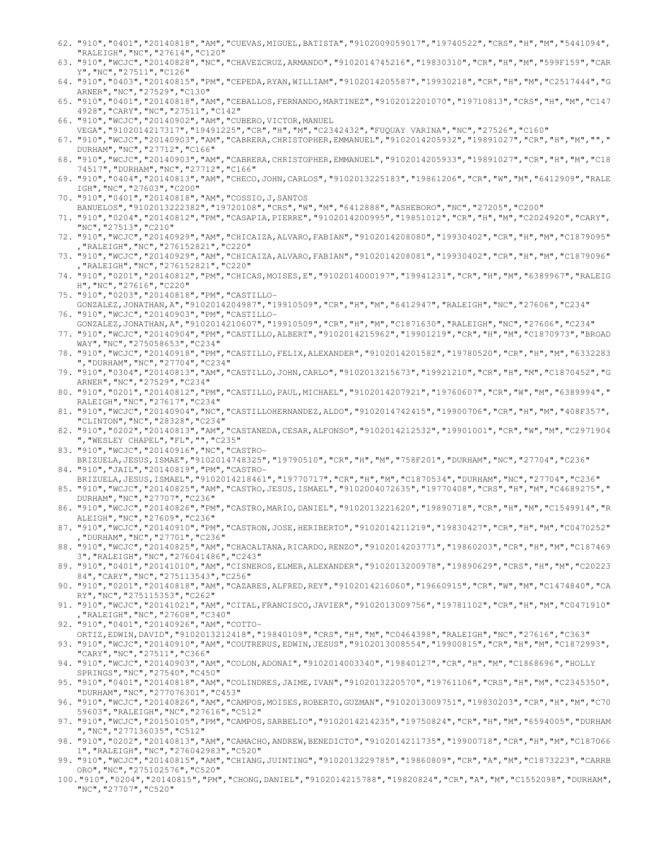- 62. "910","0401","20140818","AM","CUEVAS,MIGUEL,BATISTA","9102009059017","19740522","CRS","H","M","5441094", "RALEIGH","NC","27614","C120"
- 63. "910","WCJC","20140828","NC","CHAVEZCRUZ,ARMANDO","9102014745216","19830310","CR","H","M","599F159","CAR Y","NC","27511","C126"
- 64. "910","0403","20140815","PM","CEPEDA,RYAN,WILLIAM","9102014205587","19930218","CR","H","M","C2517444","G ARNER","NC","27529","C130"
- 65. "910","0401","20140818","AM","CEBALLOS,FERNANDO,MARTINEZ","9102012201070","19710813","CRS","H","M","C147 4928","CARY","NC","27511","C142"
- 66. "910","WCJC","20140902","AM","CUBERO,VICTOR,MANUEL
- VEGA","9102014217317","19491225","CR","H","M","C2342432","FUQUAY VARINA","NC","27526","C160"
- 67. "910","WCJC","20140903","AM","CABRERA,CHRISTOPHER,EMMANUEL","9102014205932","19891027","CR","H","M",""," DURHAM","NC","27712","C166"
- 68. "910","WCJC","20140903","AM","CABRERA,CHRISTOPHER,EMMANUEL","9102014205933","19891027","CR","H","M","C18 74517","DURHAM","NC","27712","C166"
- 69. "910","0404","20140813","AM","CHECO,JOHN,CARLOS","9102013225183","19861206","CR","W","M","6412909","RALE IGH","NC","27603","C200"
- 70. "910","0401","20140818","AM","COSSIO,J,SANTOS

BANUELOS","9102013222382","19720108","CRS","W","M","6412888","ASHEBORO","NC","27205","C200"

- 71. "910","0204","20140812","PM","CASAPIA,PIERRE","9102014200995","19851012","CR","H","M","C2024920","CARY", "NC","27513","C210"
- 72. "910","WCJC","20140929","AM","CHICAIZA,ALVARO,FABIAN","9102014208080","19930402","CR","H","M","C1879095" ,"RALEIGH","NC","276152821","C220"
- 73. "910","WCJC","20140929","AM","CHICAIZA,ALVARO,FABIAN","9102014208081","19930402","CR","H","M","C1879096" ,"RALEIGH","NC","276152821","C220"
- 74. "910","0201","20140812","PM","CHICAS,MOISES,E","9102014000197","19941231","CR","H","M","6389967","RALEIG H","NC","27616","C220"
- 75. "910","0203","20140818","PM","CASTILLO-
- GONZALEZ,JONATHAN,A","9102014204987","19910509","CR","H","M","6412947","RALEIGH","NC","27606","C234" 76. "910","WCJC","20140903","PM","CASTILLO-
- GONZALEZ,JONATHAN,A","9102014210607","19910509","CR","H","M","C1871630","RALEIGH","NC","27606","C234"
- 77. "910","WCJC","20140904","PM","CASTILLO,ALBERT","9102014215962","19901219","CR","H","M","C1870973","BROAD WAY","NC","275058653","C234"
- 78. "910","WCJC","20140918","PM","CASTILLO,FELIX,ALEXANDER","9102014201582","19780520","CR","H","M","6332283 ","DURHAM","NC","27704","C234"
- 79. "910","0304","20140813","AM","CASTILLO,JOHN,CARLO","9102013215673","19921210","CR","H","M","C1870452","G ARNER","NC","27529","C234"
- 80. "910","0201","20140812","PM","CASTILLO,PAUL,MICHAEL","9102014207921","19760607","CR","W","M","6389994"," RALEIGH","NC","27617","C234"
- 81. "910","WCJC","20140904","NC","CASTILLOHERNANDEZ,ALDO","9102014742415","19900706","CR","H","M","408F357", "CLINTON","NC","28328","C234"
- 82. "910","0202","20140813","AM","CASTANEDA,CESAR,ALFONSO","9102014212532","19901001","CR","W","M","C2971904 ","WESLEY CHAPEL","FL","","C235"
- 83. "910","WCJC","20140916","NC","CASTRO-
- BRIZUELA,JESUS,ISMAE","9102014748325","19790510","CR","H","M","758F201","DURHAM","NC","27704","C236" 84. "910","JAIL","20140819","PM","CASTRO-
- BRIZUELA,JESUS,ISMAEL","9102014218461","19770717","CR","H","M","C1870534","DURHAM","NC","27704","C236"
- 85. "910","WCJC","20140825","AM","CASTRO,JESUS,ISMAEL","9102004072635","19770408","CRS","H","M","C4689275"," DURHAM","NC","27707","C236"
- 86. "910","WCJC","20140826","PM","CASTRO,MARIO,DANIEL","9102013221620","19890718","CR","H","M","C1549914","R ALEIGH","NC","27609","C236"
- 87. "910","WCJC","20140910","PM","CASTRON,JOSE,HERIBERTO","9102014211219","19830427","CR","H","M","C0470252" ,"DURHAM","NC","27701","C236"
- 88. "910","WCJC","20140825","AM","CHACALTANA,RICARDO,RENZO","9102014203771","19860203","CR","H","M","C187469 3","RALEIGH","NC","276041486","C243"
- 89. "910","0401","20141010","AM","CISNEROS,ELMER,ALEXANDER","9102013200978","19890629","CRS","H","M","C20223 84","CARY","NC","275113543","C256"
- 90. "910","0201","20140818","AM","CAZARES,ALFRED,REY","9102014216060","19660915","CR","W","M","C1474840","CA RY","NC","275115353","C262"
- 91. "910","WCJC","20141021","AM","CITAL,FRANCISCO,JAVIER","9102013009756","19781102","CR","H","M","C0471910" ,"RALEIGH","NC","27608","C340"
- 92. "910","0401","20140926","AM","COTTO-
- ORTIZ,EDWIN,DAVID","9102013212418","19840109","CRS","H","M","C0464398","RALEIGH","NC","27616","C363"
- 93. "910","WCJC","20140910","AM","COUTRERUS,EDWIN,JESUS","9102013008554","19900815","CR","H","M","C1872993", "CARY","NC","27511","C366"
- 94. "910","WCJC","20140903","AM","COLON,ADONAI","9102014003340","19840127","CR","H","M","C1868696","HOLLY SPRINGS","NC","27540","C450"
- 95. "910","0401","20140818","AM","COLINDRES,JAIME,IVAN","9102013220570","19761106","CRS","H","M","C2345350", "DURHAM","NC","277076301","C453"
- 96. "910","WCJC","20140826","AM","CAMPOS,MOISES,ROBERTO,GUZMAN","9102013009751","19830203","CR","H","M","C70 59603","RALEIGH","NC","27616","C512"
- 97. "910","WCJC","20150105","PM","CAMPOS,SARBELIO","9102014214235","19750824","CR","H","M","6594005","DURHAM ","NC","277136035","C512"
- 98. "910","0202","20140813","AM","CAMACHO,ANDREW,BENEDICTO","9102014211735","19900718","CR","H","M","C187066 1","RALEIGH","NC","276042983","C520"
- 99. "910","WCJC","20140815","AM","CHIANG,JUINTING","9102013229785","19860809","CR","A","M","C1873223","CARRB ORO","NC","275102576","C520"
- 100."910","0204","20140815","PM","CHONG,DANIEL","9102014215788","19820824","CR","A","M","C1552098","DURHAM", "NC","27707","C520"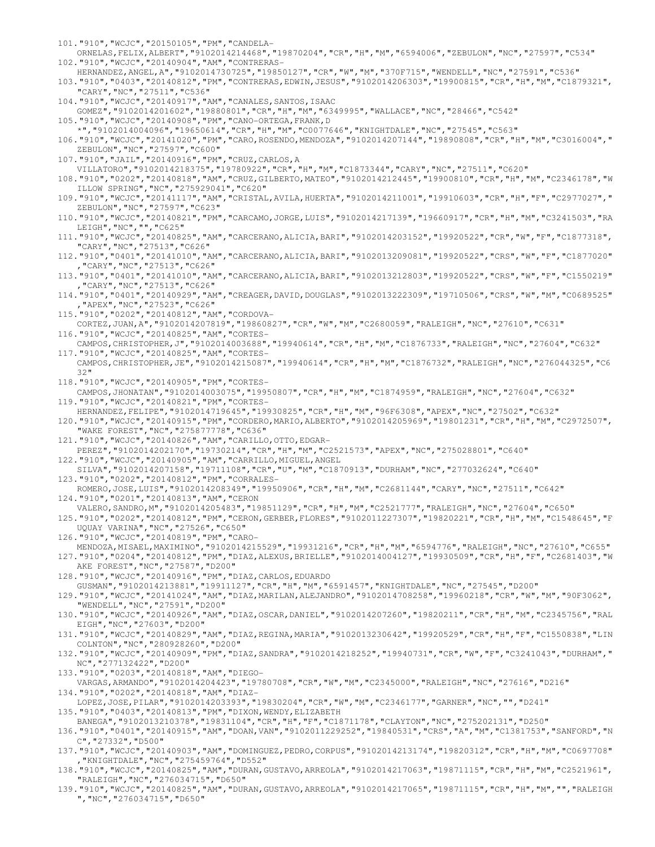ZEBULON","NC","27597","C600" 107."910","JAIL","20140916","PM","CRUZ,CARLOS,A VILLATORO","9102014218375","19780922","CR","H","M","C1873344","CARY","NC","27511","C620" 108."910","0202","20140818","AM","CRUZ,GILBERTO,MATEO","9102014212445","19900810","CR","H","M","C2346178","W ILLOW SPRING","NC","275929041","C620" 109."910","WCJC","20141117","AM","CRISTAL,AVILA,HUERTA","9102014211001","19910603","CR","H","F","C2977027"," ZEBULON","NC","27597","C623" 110."910","WCJC","20140821","PM","CARCAMO,JORGE,LUIS","9102014217139","19660917","CR","H","M","C3241503","RA LEIGH","NC","","C625" 111."910","WCJC","20140825","AM","CARCERANO,ALICIA,BARI","9102014203152","19920522","CR","W","F","C1877318", "CARY","NC","27513","C626" ,"CARY","NC","27513","C626" 113."910","0401","20141010","AM","CARCERANO,ALICIA,BARI","9102013212803","19920522","CRS","W","F","C1550219" ,"CARY","NC","27513","C626" 114."910","0401","20140929","AM","CREAGER,DAVID,DOUGLAS","9102013222309","19710506","CRS","W","M","C0689525" ,"APEX","NC","27523","C626" 115."910","0202","20140812","AM","CORDOVA-CORTEZ,JUAN,A","9102014207819","19860827","CR","W","M","C2680059","RALEIGH","NC","27610","C631" 116."910","WCJC","20140825","AM","CORTES-CAMPOS,CHRISTOPHER,J","9102014003688","19940614","CR","H","M","C1876733","RALEIGH","NC","27604","C632" 117."910","WCJC","20140825","AM","CORTES-CAMPOS,CHRISTOPHER,JE","9102014215087","19940614","CR","H","M","C1876732","RALEIGH","NC","276044325","C6 32" 118."910","WCJC","20140905","PM","CORTES-CAMPOS,JHONATAN","9102014003075","19950807","CR","H","M","C1874959","RALEIGH","NC","27604","C632" 119."910","WCJC","20140821","PM","CORTES-HERNANDEZ,FELIPE","9102014719645","19930825","CR","H","M","96F6308","APEX","NC","27502","C632" 120."910","WCJC","20140915","PM","CORDERO,MARIO,ALBERTO","9102014205969","19801231","CR","H","M","C2972507", "WAKE FOREST","NC","275877778","C636" 121."910","WCJC","20140826","AM","CARILLO,OTTO,EDGAR-PEREZ","9102014202170","19730214","CR","H","M","C2521573","APEX","NC","275028801","C640" 122."910","WCJC","20140905","AM","CARRILLO,MIGUEL,ANGEL SILVA","9102014207158","19711108","CR","U","M","C1870913","DURHAM","NC","277032624","C640" 123."910","0202","20140812","PM","CORRALES-ROMERO,JOSE,LUIS","9102014208349","19950906","CR","H","M","C2681144","CARY","NC","27511","C642" 124."910","0201","20140813","AM","CERON VALERO,SANDRO,M","9102014205483","19851129","CR","H","M","C2521777","RALEIGH","NC","27604","C650" UQUAY VARINA","NC","27526","C650" 126."910","WCJC","20140819","PM","CARO-MENDOZA,MISAEL,MAXIMINO","9102014215529","19931216","CR","H","M","6594776","RALEIGH","NC","27610","C655" 127."910","0204","20140812","PM","DIAZ,ALEXUS,BRIELLE","9102014004127","19930509","CR","H","F","C2681403","W AKE FOREST","NC","27587","D200" 128."910","WCJC","20140916","PM","DIAZ,CARLOS,EDUARDO GUSMAN","9102014213881","19911127","CR","H","M","6591457","KNIGHTDALE","NC","27545","D200" 129."910","WCJC","20141024","AM","DIAZ,MARILAN,ALEJANDRO","9102014708258","19960218","CR","W","M","90F3062", "WENDELL","NC","27591","D200" 130."910","WCJC","20140926","AM","DIAZ,OSCAR,DANIEL","9102014207260","19820211","CR","H","M","C2345756","RAL EIGH","NC","27603","D200" 131."910","WCJC","20140829","AM","DIAZ,REGINA,MARIA","9102013230642","19920529","CR","H","F","C1550838","LIN COLNTON","NC","280928260","D200" 132."910","WCJC","20140909","PM","DIAZ,SANDRA","9102014218252","19940731","CR","W","F","C3241043","DURHAM"," NC","277132422","D200" 133."910","0203","20140818","AM","DIEGO-VARGAS,ARMANDO","9102014204423","19780708","CR","W","M","C2345000","RALEIGH","NC","27616","D216" 134."910","0202","20140818","AM","DIAZ-LOPEZ,JOSE,PILAR","9102014203393","19830204","CR","W","M","C2346177","GARNER","NC","","D241" 135."910","0403","20140813","PM","DIXON,WENDY,ELIZABETH BANEGA","9102013210378","19831104","CR","H","F","C1871178","CLAYTON","NC","275202131","D250" 136."910","0401","20140915","AM","DOAN,VAN","9102011229252","19840531","CRS","A","M","C1381753","SANFORD","N C","27332","D500" 137."910","WCJC","20140903","AM","DOMINGUEZ,PEDRO,CORPUS","9102014213174","19820312","CR","H","M","C0697708" ,"KNIGHTDALE","NC","275459764","D552" 138."910","WCJC","20140825","AM","DURAN,GUSTAVO,ARREOLA","9102014217063","19871115","CR","H","M","C2521961", "RALEIGH","NC","276034715","D650"

- 
- 112."910","0401","20141010","AM","CARCERANO,ALICIA,BARI","9102013209081","19920522","CRS","W","F","C1877020"
- 

125."910","0202","20140812","PM","CERON,GERBER,FLORES","9102011227307","19820221","CR","H","M","C1548645","F

- 
- 139."910","WCJC","20140825","AM","DURAN,GUSTAVO,ARREOLA","9102014217065","19871115","CR","H","M","","RALEIGH ","NC","276034715","D650"
- 104."910","WCJC","20140917","AM","CANALES,SANTOS,ISAAC GOMEZ","9102014201602","19880801","CR","H","M","6349995","WALLACE","NC","28466","C542"
- 
- 
- 105."910","WCJC","20140908","PM","CANO-ORTEGA,FRANK,D
- \*","9102014004096","19650614","CR","H","M","C0077646","KNIGHTDALE","NC","27545","C563"
- 106."910","WCJC","20141020","PM","CARO,ROSENDO,MENDOZA","9102014207144","19890808","CR","H","M","C3016004","

ORNELAS,FELIX,ALBERT","9102014214468","19870204","CR","H","M","6594006","ZEBULON","NC","27597","C534"

HERNANDEZ,ANGEL,A","9102014730725","19850127","CR","W","M","370F715","WENDELL","NC","27591","C536" 103."910","0403","20140812","PM","CONTRERAS,EDWIN,JESUS","9102014206303","19900815","CR","H","M","C1879321",

- 
- 
- 

101."910","WCJC","20150105","PM","CANDELA-

"CARY","NC","27511","C536"

102."910","WCJC","20140904","AM","CONTRERAS-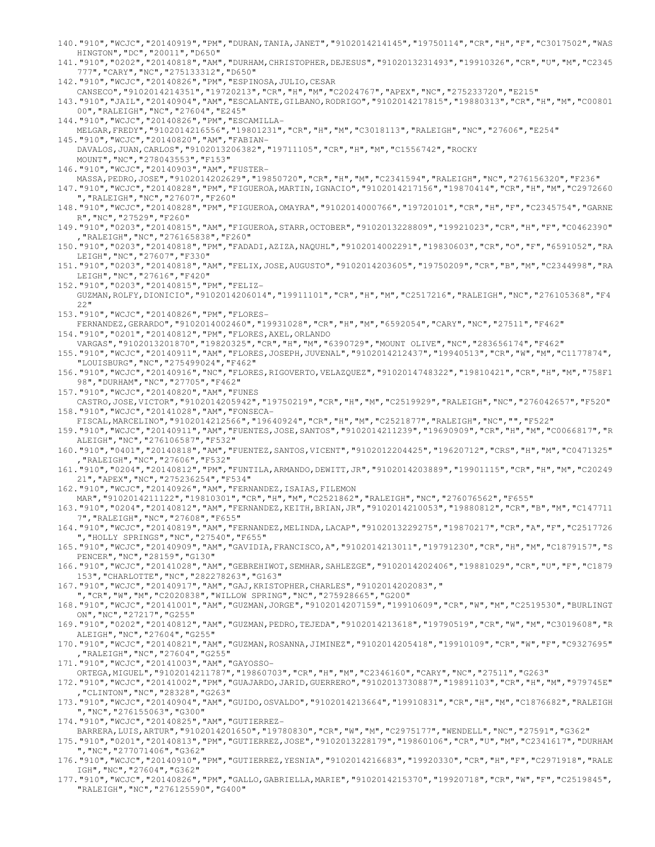- 140."910","WCJC","20140919","PM","DURAN,TANIA,JANET","9102014214145","19750114","CR","H","F","C3017502","WAS HINGTON","DC","20011","D650"
- 141."910","0202","20140818","AM","DURHAM,CHRISTOPHER,DEJESUS","9102013231493","19910326","CR","U","M","C2345 777","CARY","NC","275133312","D650"
- 142."910","WCJC","20140826","PM","ESPINOSA,JULIO,CESAR
- CANSECO","9102014214351","19720213","CR","H","M","C2024767","APEX","NC","275233720","E215"
- 143."910","JAIL","20140904","AM","ESCALANTE,GILBANO,RODRIGO","9102014217815","19880313","CR","H","M","C00801 00","RALEIGH","NC","27604","E245"
- 144."910","WCJC","20140826","PM","ESCAMILLA-
- MELGAR,FREDY","9102014216556","19801231","CR","H","M","C3018113","RALEIGH","NC","27606","E254" 145."910","WCJC","20140820","AM","FABIAN-
- DAVALOS, JUAN, CARLOS", "9102013206382", "19711105", "CR", "H", "M", "C1556742", "ROCKY MOUNT","NC","278043553","F153"
- 146."910","WCJC","20140903","AM","FUSTER-
- MASSA,PEDRO,JOSE","9102014202629","19850720","CR","H","M","C2341594","RALEIGH","NC","276156320","F236" 147."910","WCJC","20140828","PM","FIGUEROA,MARTIN,IGNACIO","9102014217156","19870414","CR","H","M","C2972660 ","RALEIGH","NC","27607","F260"
- 148."910","WCJC","20140828","PM","FIGUEROA,OMAYRA","9102014000766","19720101","CR","H","F","C2345754","GARNE R","NC","27529","F260"
- 149."910","0203","20140815","AM","FIGUEROA,STARR,OCTOBER","9102013228809","19921023","CR","H","F","C0462390" ,"RALEIGH","NC","276165838","F260"
- 150."910","0203","20140818","PM","FADADI,AZIZA,NAQUHL","9102014002291","19830603","CR","O","F","6591052","RA LEIGH","NC","27607","F330"
- 151."910","0203","20140818","AM","FELIX,JOSE,AUGUSTO","9102014203605","19750209","CR","B","M","C2344998","RA LEIGH","NC","27616","F420"
- 152."910","0203","20140815","PM","FELIZ-GUZMAN,ROLFY,DIONICIO","9102014206014","19911101","CR","H","M","C2517216","RALEIGH","NC","276105368","F4 22"
- 153."910","WCJC","20140826","PM","FLORES-
- FERNANDEZ,GERARDO","9102014002460","19931028","CR","H","M","6592054","CARY","NC","27511","F462" 154."910","0201","20140812","PM","FLORES,AXEL,ORLANDO
- VARGAS","9102013201870","19820325","CR","H","M","6390729","MOUNT OLIVE","NC","283656174","F462"
- 155."910","WCJC","20140911","AM","FLORES,JOSEPH,JUVENAL","9102014212437","19940513","CR","W","M","C1177874", "LOUISBURG","NC","275499024","F462"
- 156."910","WCJC","20140916","NC","FLORES,RIGOVERTO,VELAZQUEZ","9102014748322","19810421","CR","H","M","758F1 98","DURHAM","NC","27705","F462"
- 157."910","WCJC","20140820","AM","FUNES
- CASTRO,JOSE,VICTOR","9102014205942","19750219","CR","H","M","C2519929","RALEIGH","NC","276042657","F520" 158."910","WCJC","20141028","AM","FONSECA-
- FISCAL,MARCELINO","9102014212566","19640924","CR","H","M","C2521877","RALEIGH","NC","","F522"
- 159."910","WCJC","20140911","AM","FUENTES,JOSE,SANTOS","9102014211239","19690909","CR","H","M","C0066817","R ALEIGH","NC","276106587","F532"
- 160."910","0401","20140818","AM","FUENTEZ,SANTOS,VICENT","9102012204425","19620712","CRS","H","M","C0471325" ,"RALEIGH","NC","27606","F532"
- 161."910","0204","20140812","PM","FUNTILA,ARMANDO,DEWITT,JR","9102014203889","19901115","CR","H","M","C20249 21","APEX","NC","275236254","F534"
- 162."910","WCJC","20140926","AM","FERNANDEZ,ISAIAS,FILEMON
- MAR","9102014211122","19810301","CR","H","M","C2521862","RALEIGH","NC","276076562","F655"
- 163."910","0204","20140812","AM","FERNANDEZ,KEITH,BRIAN,JR","9102014210053","19880812","CR","B","M","C147711 7","RALEIGH","NC","27608","F655"
- 164."910","WCJC","20140819","AM","FERNANDEZ,MELINDA,LACAP","9102013229275","19870217","CR","A","F","C2517726 ","HOLLY SPRINGS","NC","27540","F655"
- 165."910","WCJC","20140909","AM","GAVIDIA,FRANCISCO,A","9102014213011","19791230","CR","H","M","C1879157","S PENCER","NC","28159","G130"
- 166."910","WCJC","20141028","AM","GEBREHIWOT,SEMHAR,SAHLEZGE","9102014202406","19881029","CR","U","F","C1879 153","CHARLOTTE","NC","282278263","G163"
- 167."910","WCJC","20140917","AM","GAJ,KRISTOPHER,CHARLES","9102014202083","
- ","CR","W","M","C2020838","WILLOW SPRING","NC","275928665","G200"
- 168."910","WCJC","20141001","AM","GUZMAN,JORGE","9102014207159","19910609","CR","W","M","C2519530","BURLINGT ON","NC","27217","G255"
- 169."910","0202","20140812","AM","GUZMAN,PEDRO,TEJEDA","9102014213618","19790519","CR","W","M","C3019608","R ALEIGH","NC","27604","G255"
- 170."910","WCJC","20140821","AM","GUZMAN,ROSANNA,JIMINEZ","9102014205418","19910109","CR","W","F","C9327695" ,"RALEIGH","NC","27604","G255"
- 171."910","WCJC","20141003","AM","GAYOSSO-
- ORTEGA,MIGUEL","9102014211787","19860703","CR","H","M","C2346160","CARY","NC","27511","G263"
- 172."910","WCJC","20141002","PM","GUAJARDO,JARID,GUERRERO","9102013730887","19891103","CR","H","M","979745E" ,"CLINTON","NC","28328","G263"
- 173."910","WCJC","20140904","AM","GUIDO,OSVALDO","9102014213664","19910831","CR","H","M","C1876682","RALEIGH ","NC","276155063","G300"
- 174."910","WCJC","20140825","AM","GUTIERREZ-
- BARRERA,LUIS,ARTUR","9102014201650","19780830","CR","W","M","C2975177","WENDELL","NC","27591","G362"
- 175."910","0201","20140813","PM","GUTIERREZ,JOSE","9102013228179","19860106","CR","U","M","C2341617","DURHAM ","NC","277071406","G362"
- 176."910","WCJC","20140910","PM","GUTIERREZ,YESNIA","9102014216683","19920330","CR","H","F","C2971918","RALE IGH","NC","27604","G362"
- 177."910","WCJC","20140826","PM","GALLO,GABRIELLA,MARIE","9102014215370","19920718","CR","W","F","C2519845", "RALEIGH","NC","276125590","G400"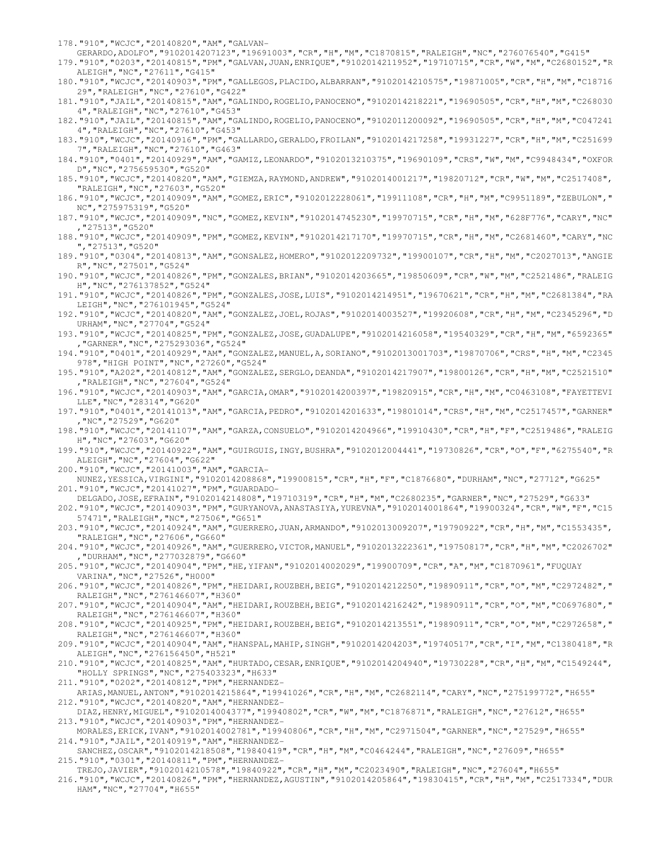178."910","WCJC","20140820","AM","GALVAN-GERARDO,ADOLFO","9102014207123","19691003","CR","H","M","C1870815","RALEIGH","NC","276076540","G415" 179."910","0203","20140815","PM","GALVAN,JUAN,ENRIQUE","9102014211952","19710715","CR","W","M","C2680152","R ALEIGH","NC","27611","G415" 180."910","WCJC","20140903","PM","GALLEGOS,PLACIDO,ALBARRAN","9102014210575","19871005","CR","H","M","C18716 29","RALEIGH","NC","27610","G422" 181."910","JAIL","20140815","AM","GALINDO,ROGELIO,PANOCENO","9102014218221","19690505","CR","H","M","C268030 4","RALEIGH","NC","27610","G453" 182."910","JAIL","20140815","AM","GALINDO,ROGELIO,PANOCENO","9102011200092","19690505","CR","H","M","C047241 4","RALEIGH","NC","27610","G453" 183."910","WCJC","20140916","PM","GALLARDO,GERALDO,FROILAN","9102014217258","19931227","CR","H","M","C251699 7","RALEIGH","NC","27610","G463" 184."910","0401","20140929","AM","GAMIZ,LEONARDO","9102013210375","19690109","CRS","W","M","C9948434","OXFOR D","NC","275659530","G520" 185."910","WCJC","20140820","AM","GIEMZA,RAYMOND,ANDREW","9102014001217","19820712","CR","W","M","C2517408", "RALEIGH","NC","27603","G520" 186."910","WCJC","20140909","AM","GOMEZ,ERIC","9102012228061","19911108","CR","H","M","C9951189","ZEBULON"," NC","275975319","G520" 187."910","WCJC","20140909","NC","GOMEZ,KEVIN","9102014745230","19970715","CR","H","M","628F776","CARY","NC" ,"27513","G520" 188."910","WCJC","20140909","PM","GOMEZ,KEVIN","9102014217170","19970715","CR","H","M","C2681460","CARY","NC ","27513","G520" 189."910","0304","20140813","AM","GONSALEZ,HOMERO","9102012209732","19900107","CR","H","M","C2027013","ANGIE R","NC","27501","G524" 190."910","WCJC","20140826","PM","GONZALES,BRIAN","9102014203665","19850609","CR","W","M","C2521486","RALEIG H","NC","276137852","G524" 191."910","WCJC","20140826","PM","GONZALES,JOSE,LUIS","9102014214951","19670621","CR","H","M","C2681384","RA LEIGH","NC","276101945","G524" 192."910","WCJC","20140820","AM","GONZALEZ,JOEL,ROJAS","9102014003527","19920608","CR","H","M","C2345296","D URHAM","NC","27704","G524" 193."910","WCJC","20140825","PM","GONZALEZ,JOSE,GUADALUPE","9102014216058","19540329","CR","H","M","6592365" ,"GARNER","NC","275293036","G524" 194."910","0401","20140929","AM","GONZALEZ,MANUEL,A,SORIANO","9102013001703","19870706","CRS","H","M","C2345 978","HIGH POINT","NC","27260","G524" 195."910","A202","20140812","AM","GONZALEZ,SERGLO,DEANDA","9102014217907","19800126","CR","H","M","C2521510" ,"RALEIGH","NC","27604","G524" 196."910","WCJC","20140903","AM","GARCIA,OMAR","9102014200397","19820915","CR","H","M","C0463108","FAYETTEVI LLE","NC","28314","G620" 197."910","0401","20141013","AM","GARCIA,PEDRO","9102014201633","19801014","CRS","H","M","C2517457","GARNER" ,"NC","27529","G620" 198."910","WCJC","20141107","AM","GARZA,CONSUELO","9102014204966","19910430","CR","H","F","C2519486","RALEIG H","NC","27603","G620" 199."910","WCJC","20140922","AM","GUIRGUIS,INGY,BUSHRA","9102012004441","19730826","CR","O","F","6275540","R ALEIGH","NC","27604","G622" 200."910","WCJC","20141003","AM","GARCIA-NUNEZ,YESSICA,VIRGINI","9102014208868","19900815","CR","H","F","C1876680","DURHAM","NC","27712","G625" 201."910","WCJC","20141027","PM","GUARDADO-DELGADO,JOSE,EFRAIN","9102014214808","19710319","CR","H","M","C2680235","GARNER","NC","27529","G633" 202."910","WCJC","20140903","PM","GURYANOVA,ANASTASIYA,YUREVNA","9102014001864","19900324","CR","W","F","C15 57471","RALEIGH","NC","27506","G651" 203."910","WCJC","20140924","AM","GUERRERO,JUAN,ARMANDO","9102013009207","19790922","CR","H","M","C1553435", "RALEIGH","NC","27606","G660" 204."910","WCJC","20140926","AM","GUERRERO,VICTOR,MANUEL","9102013222361","19750817","CR","H","M","C2026702" ,"DURHAM","NC","277032879","G660" 205."910","WCJC","20140904","PM","HE,YIFAN","9102014002029","19900709","CR","A","M","C1870961","FUQUAY VARINA","NC","27526","H000" 206."910","WCJC","20140826","PM","HEIDARI,ROUZBEH,BEIG","9102014212250","19890911","CR","O","M","C2972482"," RALEIGH","NC","276146607","H360" 207."910","WCJC","20140904","AM","HEIDARI,ROUZBEH,BEIG","9102014216242","19890911","CR","O","M","C0697680"," RALEIGH","NC","276146607","H360" 208."910","WCJC","20140925","PM","HEIDARI,ROUZBEH,BEIG","9102014213551","19890911","CR","O","M","C2972658"," RALEIGH","NC","276146607","H360" 209."910","WCJC","20140904","AM","HANSPAL,MAHIP,SINGH","9102014204203","19740517","CR","I","M","C1380418","R ALEIGH","NC","276156450","H521" 210."910","WCJC","20140825","AM","HURTADO,CESAR,ENRIQUE","9102014204940","19730228","CR","H","M","C1549244", "HOLLY SPRINGS","NC","275403323","H633" 211."910","0202","20140812","PM","HERNANDEZ-ARIAS,MANUEL,ANTON","9102014215864","19941026","CR","H","M","C2682114","CARY","NC","275199772","H655" 212."910","WCJC","20140820","AM","HERNANDEZ-DIAZ,HENRY,MIGUEL","9102014004377","19940802","CR","W","M","C1876871","RALEIGH","NC","27612","H655" 213."910","WCJC","20140903","PM","HERNANDEZ-MORALES,ERICK,IVAN","9102014002781","19940806","CR","H","M","C2971504","GARNER","NC","27529","H655" 214."910","JAIL","20140919","AM","HERNANDEZ-SANCHEZ,OSCAR","9102014218508","19840419","CR","H","M","C0464244","RALEIGH","NC","27609","H655" 215."910","0301","20140811","PM","HERNANDEZ-TREJO,JAVIER","9102014210578","19840922","CR","H","M","C2023490","RALEIGH","NC","27604","H655"

216."910","WCJC","20140826","PM","HERNANDEZ,AGUSTIN","9102014205864","19830415","CR","H","M","C2517334","DUR HAM","NC","27704","H655"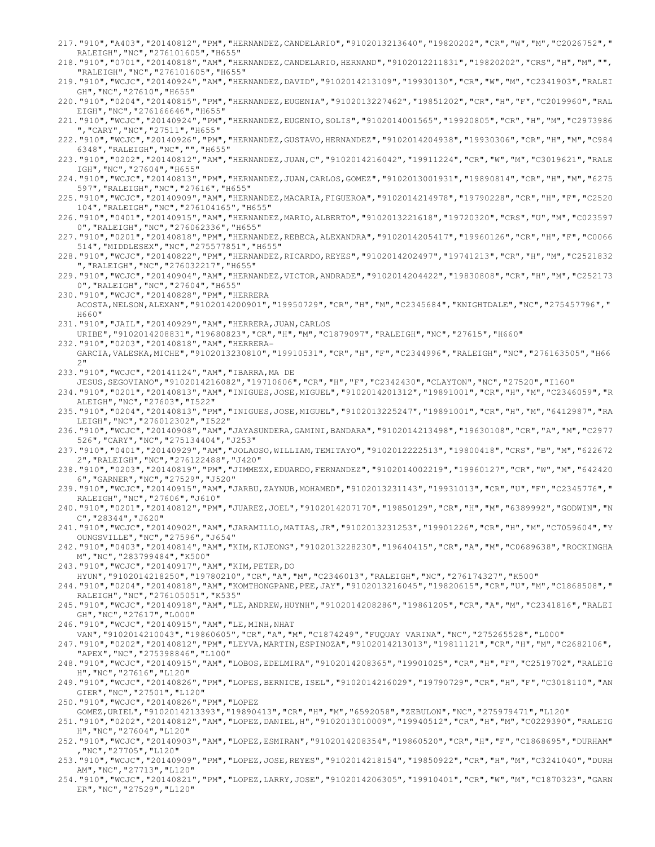- 217."910","A403","20140812","PM","HERNANDEZ,CANDELARIO","9102013213640","19820202","CR","W","M","C2026752"," RALEIGH","NC","276101605","H655"
- 218."910","0701","20140818","AM","HERNANDEZ,CANDELARIO,HERNAND","9102012211831","19820202","CRS","H","M","", "RALEIGH","NC","276101605","H655"
- 219."910","WCJC","20140924","AM","HERNANDEZ,DAVID","9102014213109","19930130","CR","W","M","C2341903","RALEI GH","NC","27610","H655"
- 220."910","0204","20140815","PM","HERNANDEZ,EUGENIA","9102013227462","19851202","CR","H","F","C2019960","RAL EIGH","NC","276166646","H655"
- 221."910","WCJC","20140924","PM","HERNANDEZ,EUGENIO,SOLIS","9102014001565","19920805","CR","H","M","C2973986 ","CARY","NC","27511","H655"
- 222."910","WCJC","20140926","PM","HERNANDEZ,GUSTAVO,HERNANDEZ","9102014204938","19930306","CR","H","M","C984 6348","RALEIGH","NC","","H655"
- 223."910","0202","20140812","AM","HERNANDEZ,JUAN,C","9102014216042","19911224","CR","W","M","C3019621","RALE IGH","NC","27604","H655"
- 224."910","WCJC","20140813","PM","HERNANDEZ,JUAN,CARLOS,GOMEZ","9102013001931","19890814","CR","H","M","6275 597","RALEIGH","NC","27616","H655"
- 225."910","WCJC","20140909","AM","HERNANDEZ,MACARIA,FIGUEROA","9102014214978","19790228","CR","H","F","C2520 104","RALEIGH","NC","276104165","H655"
- 226."910","0401","20140915","AM","HERNANDEZ,MARIO,ALBERTO","9102013221618","19720320","CRS","U","M","C023597 0","RALEIGH","NC","276062336","H655"
- 227."910","0201","20140818","PM","HERNANDEZ,REBECA,ALEXANDRA","9102014205417","19960126","CR","H","F","C0066 514","MIDDLESEX","NC","275577851","H655"
- 228."910","WCJC","20140822","PM","HERNANDEZ,RICARDO,REYES","9102014202497","19741213","CR","H","M","C2521832 ","RALEIGH","NC","276032217","H655"
- 229."910","WCJC","20140904","AM","HERNANDEZ,VICTOR,ANDRADE","9102014204422","19830808","CR","H","M","C252173 0","RALEIGH","NC","27604","H655"
- 230."910","WCJC","20140828","PM","HERRERA ACOSTA,NELSON,ALEXAN","9102014200901","19950729","CR","H","M","C2345684","KNIGHTDALE","NC","275457796"," H660"
- 231."910","JAIL","20140929","AM","HERRERA,JUAN,CARLOS
- URIBE","9102014208831","19680823","CR","H","M","C1879097","RALEIGH","NC","27615","H660" 232."910","0203","20140818","AM","HERRERA-
- GARCIA,VALESKA,MICHE","9102013230810","19910531","CR","H","F","C2344996","RALEIGH","NC","276163505","H66  $2"$
- 233."910","WCJC","20141124","AM","IBARRA,MA DE
- JESUS,SEGOVIANO","9102014216082","19710606","CR","H","F","C2342430","CLAYTON","NC","27520","I160"
- 234."910","0201","20140813","AM","INIGUES,JOSE,MIGUEL","9102014201312","19891001","CR","H","M","C2346059","R ALEIGH","NC","27603","I522"
- 235."910","0204","20140813","PM","INIGUES,JOSE,MIGUEL","9102013225247","19891001","CR","H","M","6412987","RA LEIGH","NC","276012302","I522"
- 236."910","WCJC","20140908","AM","JAYASUNDERA,GAMINI,BANDARA","9102014213498","19630108","CR","A","M","C2977 526","CARY","NC","275134404","J253"
- 237."910","0401","20140929","AM","JOLAOSO,WILLIAM,TEMITAYO","9102012222513","19800418","CRS","B","M","622672 2","RALEIGH","NC","276122488","J420"
- 238."910","0203","20140819","PM","JIMMEZX,EDUARDO,FERNANDEZ","9102014002219","19960127","CR","W","M","642420 6","GARNER","NC","27529","J520"
- 239."910","WCJC","20140915","AM","JARBU,ZAYNUB,MOHAMED","9102013231143","19931013","CR","U","F","C2345776"," RALEIGH","NC","27606","J610"
- 240."910","0201","20140812","PM","JUAREZ,JOEL","9102014207170","19850129","CR","H","M","6389992","GODWIN","N C","28344","J620"
- 241."910","WCJC","20140902","AM","JARAMILLO,MATIAS,JR","9102013231253","19901226","CR","H","M","C7059604","Y OUNGSVILLE","NC","27596","J654"
- 242."910","0403","20140814","AM","KIM,KIJEONG","9102013228230","19640415","CR","A","M","C0689638","ROCKINGHA M","NC","283799484","K500"
- 243."910","WCJC","20140917","AM","KIM,PETER,DO HYUN","9102014218250","19780210","CR","A","M","C2346013","RALEIGH","NC","276174327","K500"
- 244."910","0204","20140818","AM","KOMTHONGPANE,PEE,JAY","9102013216045","19820615","CR","U","M","C1868508","
- RALEIGH","NC","276105051","K535"
- 245."910","WCJC","20140918","AM","LE,ANDREW,HUYNH","9102014208286","19861205","CR","A","M","C2341816","RALEI GH","NC","27617","L000"
- 246."910","WCJC","20140915","AM","LE,MINH,NHAT
- VAN","9102014210043","19860605","CR","A","M","C1874249","FUQUAY VARINA","NC","275265528","L000"
- 247."910","0202","20140812","PM","LEYVA,MARTIN,ESPINOZA","9102014213013","19811121","CR","H","M","C2682106", "APEX","NC","275398846","L100"
- 248."910","WCJC","20140915","AM","LOBOS,EDELMIRA","9102014208365","19901025","CR","H","F","C2519702","RALEIG H","NC","27616","L120"
- 249."910","WCJC","20140826","PM","LOPES,BERNICE,ISEL","9102014216029","19790729","CR","H","F","C3018110","AN GIER","NC","27501","L120"
- 250."910","WCJC","20140826","PM","LOPEZ
- GOMEZ,URIEL","9102014213393","19890413","CR","H","M","6592058","ZEBULON","NC","275979471","L120"
- 251."910","0202","20140812","AM","LOPEZ,DANIEL,H","9102013010009","19940512","CR","H","M","C0229390","RALEIG H","NC","27604","L120"
- 252."910","WCJC","20140903","AM","LOPEZ,ESMIRAN","9102014208354","19860520","CR","H","F","C1868695","DURHAM" ,"NC","27705","L120"
- 253."910","WCJC","20140909","PM","LOPEZ,JOSE,REYES","9102014218154","19850922","CR","H","M","C3241040","DURH AM","NC","27713","L120"
- 254."910","WCJC","20140821","PM","LOPEZ,LARRY,JOSE","9102014206305","19910401","CR","W","M","C1870323","GARN ER","NC","27529","L120"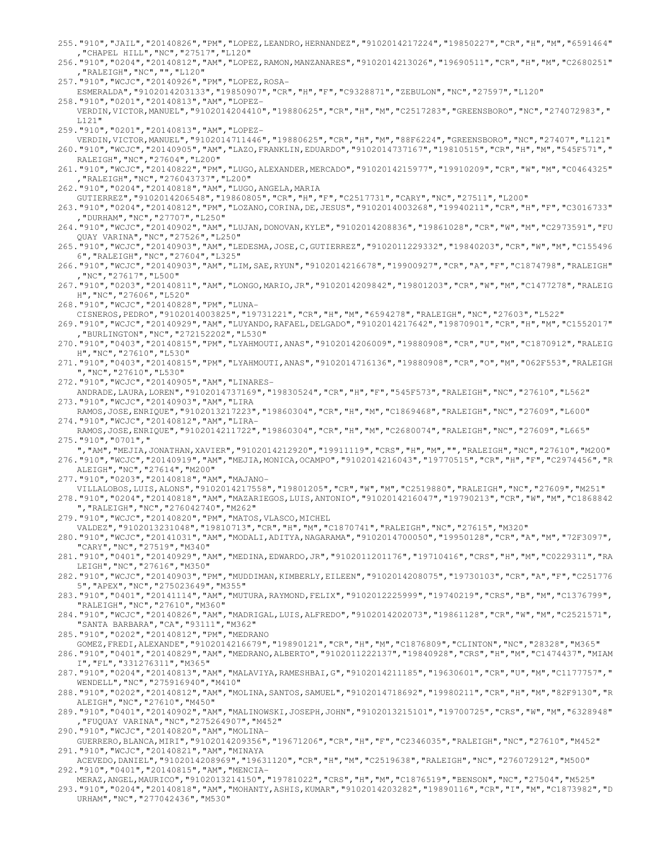- 255."910","JAIL","20140826","PM","LOPEZ,LEANDRO,HERNANDEZ","9102014217224","19850227","CR","H","M","6591464" ,"CHAPEL HILL","NC","27517","L120"
- 256."910","0204","20140812","AM","LOPEZ,RAMON,MANZANARES","9102014213026","19690511","CR","H","M","C2680251" ,"RALEIGH","NC","","L120"
- 257."910","WCJC","20140926","PM","LOPEZ,ROSA-
- ESMERALDA","9102014203133","19850907","CR","H","F","C9328871","ZEBULON","NC","27597","L120" 258."910","0201","20140813","AM","LOPEZ-
- VERDIN,VICTOR,MANUEL","9102014204410","19880625","CR","H","M","C2517283","GREENSBORO","NC","274072983"," L121"
- 259."910","0201","20140813","AM","LOPEZ-
- VERDIN,VICTOR,MANUEL","9102014711446","19880625","CR","H","M","88F6224","GREENSBORO","NC","27407","L121" 260."910","WCJC","20140905","AM","LAZO,FRANKLIN,EDUARDO","9102014737167","19810515","CR","H","M","545F571"," RALEIGH","NC","27604","L200"
- 261."910","WCJC","20140822","PM","LUGO,ALEXANDER,MERCADO","9102014215977","19910209","CR","W","M","C0464325" ,"RALEIGH","NC","276043737","L200"
- 262."910","0204","20140818","AM","LUGO,ANGELA,MARIA
- GUTIERREZ","9102014206548","19860805","CR","H","F","C2517731","CARY","NC","27511","L200"
- 263."910","0204","20140812","PM","LOZANO,CORINA,DE,JESUS","9102014003268","19940211","CR","H","F","C3016733" ,"DURHAM","NC","27707","L250"
- 264."910","WCJC","20140902","AM","LUJAN,DONOVAN,KYLE","9102014208836","19861028","CR","W","M","C2973591","FU QUAY VARINA","NC","27526","L250"
- 265."910","WCJC","20140903","AM","LEDESMA,JOSE,C,GUTIERREZ","9102011229332","19840203","CR","W","M","C155496 6","RALEIGH","NC","27604","L325"
- 266."910","WCJC","20140903","AM","LIM,SAE,RYUN","9102014216678","19900927","CR","A","F","C1874798","RALEIGH" ,"NC","27617","L500"
- 267."910","0203","20140811","AM","LONGO,MARIO,JR","9102014209842","19801203","CR","W","M","C1477278","RALEIG H","NC","27606","L520"
- 268."910","WCJC","20140828","PM","LUNA-
- CISNEROS,PEDRO","9102014003825","19731221","CR","H","M","6594278","RALEIGH","NC","27603","L522"
- 269."910","WCJC","20140929","AM","LUYANDO,RAFAEL,DELGADO","9102014217642","19870901","CR","H","M","C1552017" ,"BURLINGTON","NC","272152202","L530"
- 270."910","0403","20140815","PM","LYAHMOUTI,ANAS","9102014206009","19880908","CR","U","M","C1870912","RALEIG H","NC","27610","L530"
- 271."910","0403","20140815","PM","LYAHMOUTI,ANAS","9102014716136","19880908","CR","O","M","062F553","RALEIGH ","NC","27610","L530"
- 272."910","WCJC","20140905","AM","LINARES-
- ANDRADE,LAURA,LOREN","9102014737169","19830524","CR","H","F","545F573","RALEIGH","NC","27610","L562" 273."910","WCJC","20140903","AM","LIRA
- RAMOS,JOSE,ENRIQUE","9102013217223","19860304","CR","H","M","C1869468","RALEIGH","NC","27609","L600" 274."910","WCJC","20140812","AM","LIRA-
- RAMOS,JOSE,ENRIQUE","9102014211722","19860304","CR","H","M","C2680074","RALEIGH","NC","27609","L665" 275."910","0701","

","AM","MEJIA,JONATHAN,XAVIER","9102014212920","19911119","CRS","H","M","","RALEIGH","NC","27610","M200" 276."910","WCJC","20140919","AM","MEJIA,MONICA,OCAMPO","9102014216043","19770515","CR","H","F","C2974456","R

ALEIGH","NC","27614","M200" 277."910","0203","20140818","AM","MAJANO-

VILLALOBOS,LUIS,ALONS","9102014217558","19801205","CR","W","M","C2519880","RALEIGH","NC","27609","M251" 278."910","0204","20140818","AM","MAZARIEGOS,LUIS,ANTONIO","9102014216047","19790213","CR","W","M","C1868842

- ","RALEIGH","NC","276042740","M262"
- 279."910","WCJC","20140820","PM","MATOS,VLASCO,MICHEL

VALDEZ","9102013231048","19810713","CR","H","M","C1870741","RALEIGH","NC","27615","M320"

- 280."910","WCJC","20141031","AM","MODALI,ADITYA,NAGARAMA","9102014700050","19950128","CR","A","M","72F3097", "CARY","NC","27519","M340"
- 281."910","0401","20140929","AM","MEDINA,EDWARDO,JR","9102011201176","19710416","CRS","H","M","C0229311","RA LEIGH","NC","27616","M350"
- 282."910","WCJC","20140903","PM","MUDDIMAN,KIMBERLY,EILEEN","9102014208075","19730103","CR","A","F","C251776 5","APEX","NC","275023649","M355"
- 283."910","0401","20141114","AM","MUTURA,RAYMOND,FELIX","9102012225999","19740219","CRS","B","M","C1376799", "RALEIGH","NC","27610","M360"
- 284."910","WCJC","20140826","AM","MADRIGAL,LUIS,ALFREDO","9102014202073","19861128","CR","W","M","C2521571", "SANTA BARBARA","CA","93111","M362"
- 285."910","0202","20140812","PM","MEDRANO
- GOMEZ,FREDI,ALEXANDE","9102014216679","19890121","CR","H","M","C1876809","CLINTON","NC","28328","M365" 286."910","0401","20140829","AM","MEDRANO,ALBERTO","9102011222137","19840928","CRS","H","M","C1474437","MIAM
- I","FL","331276311","M365" 287."910","0204","20140813","AM","MALAVIYA,RAMESHBAI,G","9102014211185","19630601","CR","U","M","C1177757","
	- WENDELL","NC","275916940","M410" 288."910","0202","20140812","AM","MOLINA,SANTOS,SAMUEL","9102014718692","19980211","CR","H","M","82F9130","R
	- ALEIGH","NC","27610","M450"
	- 289."910","0401","20140902","AM","MALINOWSKI,JOSEPH,JOHN","9102013215101","19700725","CRS","W","M","6328948" ,"FUQUAY VARINA","NC","275264907","M452"
	- 290."910","WCJC","20140820","AM","MOLINA-
	- GUERRERO,BLANCA,MIRI","9102014209356","19671206","CR","H","F","C2346035","RALEIGH","NC","27610","M452" 291."910","WCJC","20140821","AM","MINAYA
	- ACEVEDO,DANIEL","9102014208969","19631120","CR","H","M","C2519638","RALEIGH","NC","276072912","M500" 292."910","0401","20140815","AM","MENCIA-
	- MERAZ,ANGEL,MAURICO","9102013214150","19781022","CRS","H","M","C1876519","BENSON","NC","27504","M525" 293."910","0204","20140818","AM","MOHANTY,ASHIS,KUMAR","9102014203282","19890116","CR","I","M","C1873982","D
- URHAM","NC","277042436","M530"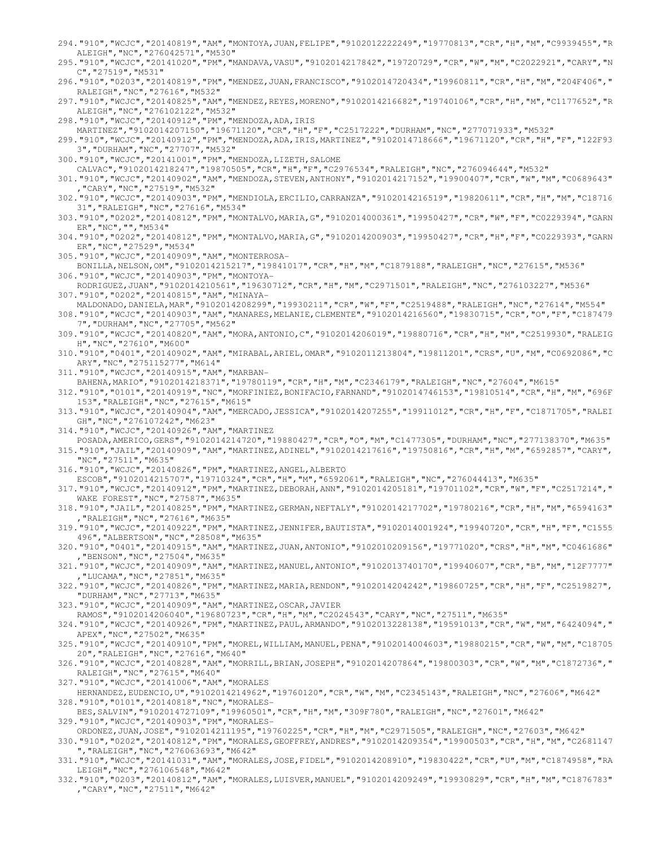- 294."910","WCJC","20140819","AM","MONTOYA,JUAN,FELIPE","9102012222249","19770813","CR","H","M","C9939455","R ALEIGH","NC","276042571","M530"
- 295."910","WCJC","20141020","PM","MANDAVA,VASU","9102014217842","19720729","CR","W","M","C2022921","CARY","N C","27519","M531"
- 296."910","0203","20140819","PM","MENDEZ,JUAN,FRANCISCO","9102014720434","19960811","CR","H","M","204F406"," RALEIGH","NC","27616","M532"
- 297."910","WCJC","20140825","AM","MENDEZ,REYES,MORENO","9102014216682","19740106","CR","H","M","C1177652","R ALEIGH","NC","276102122","M532"
- 298."910","WCJC","20140912","PM","MENDOZA,ADA,IRIS

MARTINEZ","9102014207150","19671120","CR","H","F","C2517222","DURHAM","NC","277071933","M532"

- 299."910","WCJC","20140912","PM","MENDOZA,ADA,IRIS,MARTINEZ","9102014718666","19671120","CR","H","F","122F93 3","DURHAM","NC","27707","M532"
- 300."910","WCJC","20141001","PM","MENDOZA,LIZETH,SALOME
- CALVAC","9102014218247","19870505","CR","H","F","C2976534","RALEIGH","NC","276094644","M532"
- 301."910","WCJC","20140902","AM","MENDOZA,STEVEN,ANTHONY","9102014217152","19900407","CR","W","M","C0689643" ,"CARY","NC","27519","M532"
- 302."910","WCJC","20140903","PM","MENDIOLA,ERCILIO,CARRANZA","9102014216519","19820611","CR","H","M","C18716 31","RALEIGH","NC","27616","M534"
- 303."910","0202","20140812","PM","MONTALVO,MARIA,G","9102014000361","19950427","CR","W","F","C0229394","GARN ER","NC","","M534"
- 304."910","0202","20140812","PM","MONTALVO,MARIA,G","9102014200903","19950427","CR","H","F","C0229393","GARN ER","NC","27529","M534"
- 305."910","WCJC","20140909","AM","MONTERROSA-
- BONILLA,NELSON,OM","9102014215217","19841017","CR","H","M","C1879188","RALEIGH","NC","27615","M536" 306."910","WCJC","20140903","PM","MONTOYA-
- RODRIGUEZ,JUAN","9102014210561","19630712","CR","H","M","C2971501","RALEIGH","NC","276103227","M536" 307."910","0202","20140815","AM","MINAYA-
- MALDONADO,DANIELA,MAR","9102014208299","19930211","CR","W","F","C2519488","RALEIGH","NC","27614","M554"
- 308."910","WCJC","20140903","AM","MANARES,MELANIE,CLEMENTE","9102014216560","19830715","CR","O","F","C187479 7","DURHAM","NC","27705","M562"
- 309."910","WCJC","20140820","AM","MORA,ANTONIO,C","9102014206019","19880716","CR","H","M","C2519930","RALEIG H","NC","27610","M600"
- 310."910","0401","20140902","AM","MIRABAL,ARIEL,OMAR","9102011213804","19811201","CRS","U","M","C0692086","C ARY","NC","275115277","M614"
- 311."910","WCJC","20140915","AM","MARBAN-
- BAHENA,MARIO","9102014218371","19780119","CR","H","M","C2346179","RALEIGH","NC","27604","M615"
- 312."910","0101","20140919","NC","MORFINIEZ,BONIFACIO,FARNAND","9102014746153","19810514","CR","H","M","696F 153","RALEIGH","NC","27615","M615"
- 313."910","WCJC","20140904","AM","MERCADO,JESSICA","9102014207255","19911012","CR","H","F","C1871705","RALEI GH","NC","276107242","M623"
- 314."910","WCJC","20140926","AM","MARTINEZ
- POSADA,AMERICO,GERS","9102014214720","19880427","CR","O","M","C1477305","DURHAM","NC","277138370","M635" 315."910","JAIL","20140909","AM","MARTINEZ,ADINEL","9102014217616","19750816","CR","H","M","6592857","CARY", "NC","27511","M635"
- 316."910","WCJC","20140826","PM","MARTINEZ,ANGEL,ALBERTO
- ESCOB","9102014215707","19710324","CR","H","M","6592061","RALEIGH","NC","276044413","M635"
- 317."910","WCJC","20140912","PM","MARTINEZ,DEBORAH,ANN","9102014205181","19701102","CR","W","F","C2517214"," WAKE FOREST","NC","27587","M635"
- 318."910","JAIL","20140825","PM","MARTINEZ,GERMAN,NEFTALY","9102014217702","19780216","CR","H","M","6594163" ,"RALEIGH","NC","27616","M635"
- 319."910","WCJC","20140922","PM","MARTINEZ,JENNIFER,BAUTISTA","9102014001924","19940720","CR","H","F","C1555 496","ALBERTSON","NC","28508","M635"
- 320."910","0401","20140915","AM","MARTINEZ,JUAN,ANTONIO","9102010209156","19771020","CRS","H","M","C0461686" ,"BENSON","NC","27504","M635"
- 321."910","WCJC","20140909","AM","MARTINEZ,MANUEL,ANTONIO","9102013740170","19940607","CR","B","M","12F7777" ,"LUCAMA","NC","27851","M635"
- 322."910","WCJC","20140826","PM","MARTINEZ,MARIA,RENDON","9102014204242","19860725","CR","H","F","C2519827", "DURHAM","NC","27713","M635"
- 323."910","WCJC","20140909","AM","MARTINEZ,OSCAR,JAVIER
- RAMOS","9102014206040","19680723","CR","H","M","C2024543","CARY","NC","27511","M635"
- 324."910","WCJC","20140926","PM","MARTINEZ,PAUL,ARMANDO","9102013228138","19591013","CR","W","M","6424094"," APEX","NC","27502","M635"
- 325."910","WCJC","20140910","PM","MOREL,WILLIAM,MANUEL,PENA","9102014004603","19880215","CR","W","M","C18705 20","RALEIGH","NC","27616","M640"
- 326."910","WCJC","20140828","AM","MORRILL,BRIAN,JOSEPH","9102014207864","19800303","CR","W","M","C1872736"," RALEIGH","NC","27615","M640"
- 327."910","WCJC","20141006","AM","MORALES
- HERNANDEZ,EUDENCIO,U","9102014214962","19760120","CR","W","M","C2345143","RALEIGH","NC","27606","M642" 328."910","0101","20140818","NC","MORALES-
- BES,SALVIN","9102014727109","19960501","CR","H","M","309F780","RALEIGH","NC","27601","M642"
- 329."910","WCJC","20140903","PM","MORALES-ORDONEZ,JUAN,JOSE","9102014211195","19760225","CR","H","M","C2971505","RALEIGH","NC","27603","M642"
- 330."910","0202","20140812","PM","MORALES,GEOFFREY,ANDRES","9102014209354","19900503","CR","H","M","C2681147 ","RALEIGH","NC","276063693","M642"
- 331."910","WCJC","20141031","AM","MORALES,JOSE,FIDEL","9102014208910","19830422","CR","U","M","C1874958","RA LEIGH","NC","276106548","M642"
- 332."910","0203","20140812","AM","MORALES,LUISVER,MANUEL","9102014209249","19930829","CR","H","M","C1876783" ,"CARY","NC","27511","M642"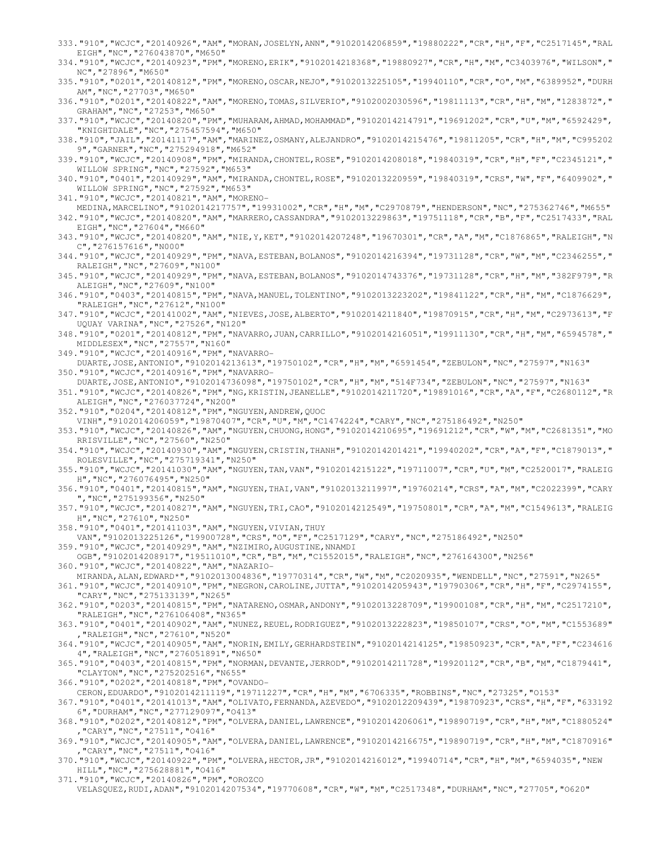- 333."910","WCJC","20140926","AM","MORAN,JOSELYN,ANN","9102014206859","19880222","CR","H","F","C2517145","RAL EIGH","NC","276043870","M650"
- 334."910","WCJC","20140923","PM","MORENO,ERIK","9102014218368","19880927","CR","H","M","C3403976","WILSON"," NC","27896","M650"
- 335."910","0201","20140812","PM","MORENO,OSCAR,NEJO","9102013225105","19940110","CR","O","M","6389952","DURH AM","NC","27703","M650"
- 336."910","0201","20140822","AM","MORENO,TOMAS,SILVERIO","9102002030596","19811113","CR","H","M","1283872"," GRAHAM","NC","27253","M650"
- 337."910","WCJC","20140820","PM","MUHARAM,AHMAD,MOHAMMAD","9102014214791","19691202","CR","U","M","6592429", "KNIGHTDALE","NC","275457594","M650"
- 338."910","JAIL","20141117","AM","MARINEZ,OSMANY,ALEJANDRO","9102014215476","19811205","CR","H","M","C995202 9","GARNER","NC","275294918","M652"
- 339."910","WCJC","20140908","PM","MIRANDA,CHONTEL,ROSE","9102014208018","19840319","CR","H","F","C2345121"," WILLOW SPRING","NC","27592","M653"
- 340."910","0401","20140929","AM","MIRANDA,CHONTEL,ROSE","9102013220959","19840319","CRS","W","F","6409902"," WILLOW SPRING","NC","27592","M653"
- 341."910","WCJC","20140821","AM","MORENO-
- MEDINA,MARCELINO","9102014217757","19931002","CR","H","M","C2970879","HENDERSON","NC","275362746","M655" 342."910","WCJC","20140820","AM","MARRERO,CASSANDRA","9102013229863","19751118","CR","B","F","C2517433","RAL EIGH","NC","27604","M660"
- 343."910","WCJC","20140820","AM","NIE,Y,KET","9102014207248","19670301","CR","A","M","C1876865","RALEIGH","N C","276157616","N000"
- 344."910","WCJC","20140929","PM","NAVA,ESTEBAN,BOLANOS","9102014216394","19731128","CR","W","M","C2346255"," RALEIGH","NC","27609","N100"
- 345."910","WCJC","20140929","PM","NAVA,ESTEBAN,BOLANOS","9102014743376","19731128","CR","H","M","382F979","R ALEIGH","NC","27609","N100"
- 346."910","0403","20140815","PM","NAVA,MANUEL,TOLENTINO","9102013223202","19841122","CR","H","M","C1876629", "RALEIGH","NC","27612","N100"
- 347."910","WCJC","20141002","AM","NIEVES,JOSE,ALBERTO","9102014211840","19870915","CR","H","M","C2973613","F UQUAY VARINA","NC","27526","N120"
- 348."910","0201","20140812","PM","NAVARRO,JUAN,CARRILLO","9102014216051","19911130","CR","H","M","6594578"," MIDDLESEX","NC","27557","N160"
- 349."910","WCJC","20140916","PM","NAVARRO-
- DUARTE,JOSE,ANTONIO","9102014213613","19750102","CR","H","M","6591454","ZEBULON","NC","27597","N163" 350."910","WCJC","20140916","PM","NAVARRO-
- DUARTE,JOSE,ANTONIO","9102014736098","19750102","CR","H","M","514F734","ZEBULON","NC","27597","N163"
- 351."910","WCJC","20140826","PM","NG,KRISTIN,JEANELLE","9102014211720","19891016","CR","A","F","C2680112","R ALEIGH","NC","276037724","N200"
- 352."910","0204","20140812","PM","NGUYEN,ANDREW,QUOC

VINH","9102014206059","19870407","CR","U","M","C1474224","CARY","NC","275186492","N250"

- 353."910","WCJC","20140826","AM","NGUYEN,CHUONG,HONG","9102014210695","19691212","CR","W","M","C2681351","MO RRISVILLE","NC","27560","N250"
- 354."910","WCJC","20140930","AM","NGUYEN,CRISTIN,THANH","9102014201421","19940202","CR","A","F","C1879013"," ROLESVILLE","NC","275719341","N250"
- 355."910","WCJC","20141030","AM","NGUYEN,TAN,VAN","9102014215122","19711007","CR","U","M","C2520017","RALEIG H","NC","276076495","N250"
- 356."910","0401","20140815","AM","NGUYEN,THAI,VAN","9102013211997","19760214","CRS","A","M","C2022399","CARY ","NC","275199356","N250"
- 357."910","WCJC","20140827","AM","NGUYEN,TRI,CAO","9102014212549","19750801","CR","A","M","C1549613","RALEIG H","NC","27610","N250"
- 358."910","0401","20141103","AM","NGUYEN,VIVIAN,THUY

VAN","9102013225126","19900728","CRS","O","F","C2517129","CARY","NC","275186492","N250"

359."910","WCJC","20140929","AM","NZIMIRO,AUGUSTINE,NNAMDI

- OGB","9102014208917","19511010","CR","B","M","C1552015","RALEIGH","NC","276164300","N256" 360."910","WCJC","20140822","AM","NAZARIO-
- MIRANDA,ALAN,EDWARD\*","9102013004836","19770314","CR","W","M","C2020935","WENDELL","NC","27591","N265"
- 361."910","WCJC","20140910","PM","NEGRON,CAROLINE,JUTTA","9102014205943","19790306","CR","H","F","C2974155", "CARY","NC","275133139","N265"
- 362."910","0203","20140815","PM","NATARENO,OSMAR,ANDONY","9102013228709","19900108","CR","H","M","C2517210", "RALEIGH","NC","276106408","N365"
- 363."910","0401","20140902","AM","NUNEZ,REUEL,RODRIGUEZ","9102013222823","19850107","CRS","O","M","C1553689" ,"RALEIGH","NC","27610","N520"
- 364."910","WCJC","20140905","AM","NORIN,EMILY,GERHARDSTEIN","9102014214125","19850923","CR","A","F","C234616 4","RALEIGH","NC","276051891","N650"
- 365."910","0403","20140815","PM","NORMAN,DEVANTE,JERROD","9102014211728","19920112","CR","B","M","C1879441", "CLAYTON","NC","275202516","N655"
- 366."910","0202","20140818","PM","OVANDO-
- CERON,EDUARDO","9102014211119","19711227","CR","H","M","6706335","ROBBINS","NC","27325","O153"
- 367."910","0401","20141013","AM","OLIVATO,FERNANDA,AZEVEDO","9102012209439","19870923","CRS","H","F","633192 6","DURHAM","NC","277129097","O413"
- 368."910","0202","20140812","PM","OLVERA,DANIEL,LAWRENCE","9102014206061","19890719","CR","H","M","C1880524" ,"CARY","NC","27511","O416"
- 369."910","WCJC","20140905","AM","OLVERA,DANIEL,LAWRENCE","9102014216675","19890719","CR","H","M","C1870916" ,"CARY","NC","27511","O416"
- 370."910","WCJC","20140922","PM","OLVERA,HECTOR,JR","9102014216012","19940714","CR","H","M","6594035","NEW HILL","NC","275628881","O416"
- 371."910","WCJC","20140826","PM","OROZCO VELASQUEZ,RUDI,ADAN","9102014207534","19770608","CR","W","M","C2517348","DURHAM","NC","27705","O620"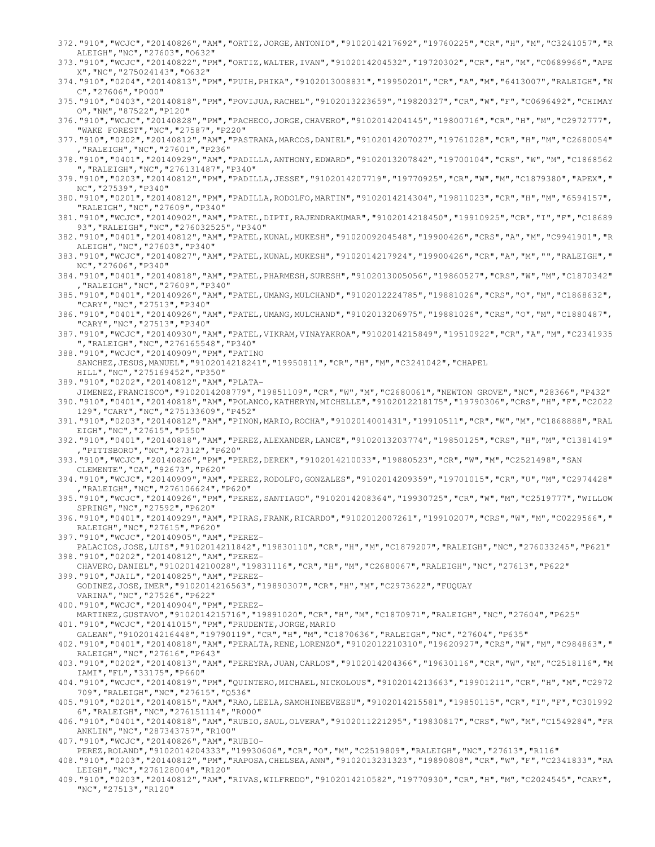- 372."910","WCJC","20140826","AM","ORTIZ,JORGE,ANTONIO","9102014217692","19760225","CR","H","M","C3241057","R ALEIGH","NC","27603","O632"
- 373."910","WCJC","20140822","PM","ORTIZ,WALTER,IVAN","9102014204532","19720302","CR","H","M","C0689966","APE X","NC","275024143","O632"
- 374."910","0204","20140813","PM","PUIH,PHIKA","9102013008831","19950201","CR","A","M","6413007","RALEIGH","N C","27606","P000"
- 375."910","0403","20140818","PM","POVIJUA,RACHEL","9102013223659","19820327","CR","W","F","C0696492","CHIMAY O","NM","87522","P120"
- 376."910","WCJC","20140828","PM","PACHECO,JORGE,CHAVERO","9102014204145","19800716","CR","H","M","C2972777", "WAKE FOREST","NC","27587","P220"
- 377."910","0202","20140812","AM","PASTRANA,MARCOS,DANIEL","9102014207027","19761028","CR","H","M","C2680054" ,"RALEIGH","NC","27601","P236"
- 378."910","0401","20140929","AM","PADILLA,ANTHONY,EDWARD","9102013207842","19700104","CRS","W","M","C1868562 ","RALEIGH","NC","276131487","P340"
- 379."910","0203","20140812","PM","PADILLA,JESSE","9102014207719","19770925","CR","W","M","C1879380","APEX"," NC","27539","P340"
- 380."910","0201","20140812","PM","PADILLA,RODOLFO,MARTIN","9102014214304","19811023","CR","H","M","6594157", "RALEIGH","NC","27609","P340"
- 381."910","WCJC","20140902","AM","PATEL,DIPTI,RAJENDRAKUMAR","9102014218450","19910925","CR","I","F","C18689 93","RALEIGH","NC","276032525","P340"
- 382."910","0401","20140812","AM","PATEL,KUNAL,MUKESH","9102009204548","19900426","CRS","A","M","C9941901","R ALEIGH","NC","27603","P340"
- 383."910","WCJC","20140827","AM","PATEL,KUNAL,MUKESH","9102014217924","19900426","CR","A","M","","RALEIGH"," NC","27606","P340"
- 384."910","0401","20140818","AM","PATEL,PHARMESH,SURESH","9102013005056","19860527","CRS","W","M","C1870342" ,"RALEIGH","NC","27609","P340"
- 385."910","0401","20140926","AM","PATEL,UMANG,MULCHAND","9102012224785","19881026","CRS","O","M","C1868632", "CARY","NC","27513","P340"
- 386."910","0401","20140926","AM","PATEL,UMANG,MULCHAND","9102013206975","19881026","CRS","O","M","C1880487", "CARY","NC","27513","P340"
- 387."910","WCJC","20140930","AM","PATEL,VIKRAM,VINAYAKROA","9102014215849","19510922","CR","A","M","C2341935 ","RALEIGH","NC","276165548","P340"
- 388."910","WCJC","20140909","PM","PATINO SANCHEZ,JESUS,MANUEL","9102014218241","19950811","CR","H","M","C3241042","CHAPEL HILL","NC","275169452","P350"
- 389."910","0202","20140812","AM","PLATA-
- JIMENEZ,FRANCISCO","9102014208779","19851109","CR","W","M","C2680061","NEWTON GROVE","NC","28366","P432" 390."910","0401","20140818","AM","POLANCO,KATHERYN,MICHELLE","9102012218175","19790306","CRS","H","F","C2022 129","CARY","NC","275133609","P452"
- 391."910","0203","20140812","AM","PINON,MARIO,ROCHA","9102014001431","19910511","CR","W","M","C1868888","RAL EIGH","NC","27615","P550"
- 392."910","0401","20140818","AM","PEREZ,ALEXANDER,LANCE","9102013203774","19850125","CRS","H","M","C1381419" ,"PITTSBORO","NC","27312","P620"
- 393."910","WCJC","20140826","PM","PEREZ,DEREK","9102014210033","19880523","CR","W","M","C2521498","SAN CLEMENTE","CA","92673","P620"
- 394."910","WCJC","20140909","AM","PEREZ,RODOLFO,GONZALES","9102014209359","19701015","CR","U","M","C2974428" ,"RALEIGH","NC","276106624","P620"
- 395."910","WCJC","20140926","PM","PEREZ,SANTIAGO","9102014208364","19930725","CR","W","M","C2519777","WILLOW SPRING","NC","27592","P620"
- 396."910","0401","20140929","AM","PIRAS,FRANK,RICARDO","9102012007261","19910207","CRS","W","M","C0229566"," RALEIGH","NC","27615","P620"
- 397."910","WCJC","20140905","AM","PEREZ-
- PALACIOS,JOSE,LUIS","9102014211842","19830110","CR","H","M","C1879207","RALEIGH","NC","276033245","P621" 398."910","0202","20140812","AM","PEREZ-
- CHAVERO,DANIEL","9102014210028","19831116","CR","H","M","C2680067","RALEIGH","NC","27613","P622" 399."910","JAIL","20140825","AM","PEREZ-

GODINEZ,JOSE,IMER","9102014216563","19890307","CR","H","M","C2973622","FUQUAY VARINA","NC","27526","P622" 400."910","WCJC","20140904","PM","PEREZ-

- MARTINEZ,GUSTAVO","9102014215716","19891020","CR","H","M","C1870971","RALEIGH","NC","27604","P625"
- 401."910","WCJC","20141015","PM","PRUDENTE,JORGE,MARIO GALEAN","9102014216448","19790119","CR","H","M","C1870636","RALEIGH","NC","27604","P635"
- 402."910","0401","20140818","AM","PERALTA,RENE,LORENZO","9102012210310","19620927","CRS","W","M","C984863"," RALEIGH","NC","27616","P643"
- 403."910","0202","20140813","AM","PEREYRA,JUAN,CARLOS","9102014204366","19630116","CR","W","M","C2518116","M IAMI","FL","33175","P660"
- 404."910","WCJC","20140819","PM","QUINTERO,MICHAEL,NICKOLOUS","9102014213663","19901211","CR","H","M","C2972 709","RALEIGH","NC","27615","Q536"
- 405."910","0201","20140815","AM","RAO,LEELA,SAMOHINEEVEESU","9102014215581","19850115","CR","I","F","C301992 6","RALEIGH","NC","276151114","R000"
- 406."910","0401","20140818","AM","RUBIO,SAUL,OLVERA","9102011221295","19830817","CRS","W","M","C1549284","FR ANKLIN","NC","287343757","R100"
- 407."910","WCJC","20140826","AM","RUBIO-
- PEREZ,ROLAND","9102014204333","19930606","CR","O","M","C2519809","RALEIGH","NC","27613","R116"
- 408."910","0203","20140812","PM","RAPOSA,CHELSEA,ANN","9102013231323","19890808","CR","W","F","C2341833","RA LEIGH","NC","276128004","R120"
- 409."910","0203","20140812","AM","RIVAS,WILFREDO","9102014210582","19770930","CR","H","M","C2024545","CARY", "NC","27513","R120"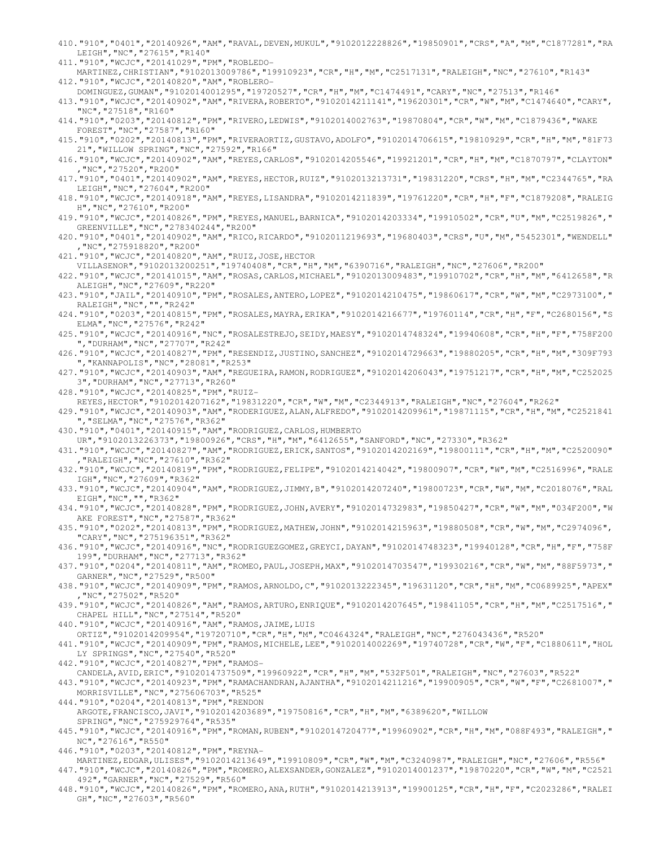- 410."910","0401","20140926","AM","RAVAL,DEVEN,MUKUL","9102012228826","19850901","CRS","A","M","C1877281","RA LEIGH","NC","27615","R140"
- 411."910","WCJC","20141029","PM","ROBLEDO-
- MARTINEZ,CHRISTIAN","9102013009786","19910923","CR","H","M","C2517131","RALEIGH","NC","27610","R143" 412."910","WCJC","20140820","AM","ROBLERO-
- DOMINGUEZ,GUMAN","9102014001295","19720527","CR","H","M","C1474491","CARY","NC","27513","R146"
- 413."910","WCJC","20140902","AM","RIVERA,ROBERTO","9102014211141","19620301","CR","W","M","C1474640","CARY", "NC","27518","R160"
- 414."910","0203","20140812","PM","RIVERO,LEDWIS","9102014002763","19870804","CR","W","M","C1879436","WAKE FOREST","NC","27587","R160"
- 415."910","0202","20140813","PM","RIVERAORTIZ,GUSTAVO,ADOLFO","9102014706615","19810929","CR","H","M","81F73 21","WILLOW SPRING","NC","27592","R166"
- 416."910","WCJC","20140902","AM","REYES,CARLOS","9102014205546","19921201","CR","H","M","C1870797","CLAYTON" ,"NC","27520","R200"
- 417."910","0401","20140902","AM","REYES,HECTOR,RUIZ","9102013213731","19831220","CRS","H","M","C2344765","RA LEIGH","NC","27604","R200"
- 418."910","WCJC","20140918","AM","REYES,LISANDRA","9102014211839","19761220","CR","H","F","C1879208","RALEIG H","NC","27610","R200"
- 419."910","WCJC","20140826","PM","REYES,MANUEL,BARNICA","9102014203334","19910502","CR","U","M","C2519826"," GREENVILLE","NC","278340244","R200"
- 420."910","0401","20140902","AM","RICO,RICARDO","9102011219693","19680403","CRS","U","M","5452301","WENDELL" ,"NC","275918820","R200"
- 421."910","WCJC","20140820","AM","RUIZ,JOSE,HECTOR
- VILLASENOR","9102013200251","19740408","CR","H","M","6390716","RALEIGH","NC","27606","R200"
- 422."910","WCJC","20141015","AM","ROSAS,CARLOS,MICHAEL","9102013009483","19910702","CR","H","M","6412658","R ALEIGH","NC","27609","R220"
- 423."910","JAIL","20140910","PM","ROSALES,ANTERO,LOPEZ","9102014210475","19860617","CR","W","M","C2973100"," RALEIGH","NC","","R242"
- 424."910","0203","20140815","PM","ROSALES,MAYRA,ERIKA","9102014216677","19760114","CR","H","F","C2680156","S ELMA","NC","27576","R242"
- 425."910","WCJC","20140916","NC","ROSALESTREJO,SEIDY,MAESY","9102014748324","19940608","CR","H","F","758F200 ","DURHAM","NC","27707","R242"
- 426."910","WCJC","20140827","PM","RESENDIZ,JUSTINO,SANCHEZ","9102014729663","19880205","CR","H","M","309F793 ","KANNAPOLIS","NC","28081","R253"
- 427."910","WCJC","20140903","AM","REGUEIRA,RAMON,RODRIGUEZ","9102014206043","19751217","CR","H","M","C252025 3","DURHAM","NC","27713","R260"
- 428."910","WCJC","20140825","PM","RUIZ-

REYES,HECTOR","9102014207162","19831220","CR","W","M","C2344913","RALEIGH","NC","27604","R262"

- 429."910","WCJC","20140903","AM","RODERIGUEZ,ALAN,ALFREDO","9102014209961","19871115","CR","H","M","C2521841 ","SELMA","NC","27576","R362"
- 430."910","0401","20140915","AM","RODRIGUEZ,CARLOS,HUMBERTO

UR","9102013226373","19800926","CRS","H","M","6412655","SANFORD","NC","27330","R362"

- 431."910","WCJC","20140827","AM","RODRIGUEZ,ERICK,SANTOS","9102014202169","19800111","CR","H","M","C2520090" ,"RALEIGH","NC","27610","R362"
- 432."910","WCJC","20140819","PM","RODRIGUEZ,FELIPE","9102014214042","19800907","CR","W","M","C2516996","RALE IGH","NC","27609","R362"
- 433."910","WCJC","20140904","AM","RODRIGUEZ,JIMMY,B","9102014207240","19800723","CR","W","M","C2018076","RAL EIGH","NC","","R362"
- 434."910","WCJC","20140828","PM","RODRIGUEZ,JOHN,AVERY","9102014732983","19850427","CR","W","M","034F200","W AKE FOREST","NC","27587","R362"
- 435."910","0202","20140813","PM","RODRIGUEZ,MATHEW,JOHN","9102014215963","19880508","CR","W","M","C2974096", "CARY","NC","275196351","R362"
- 436."910","WCJC","20140916","NC","RODRIGUEZGOMEZ,GREYCI,DAYAN","9102014748323","19940128","CR","H","F","758F 199","DURHAM","NC","27713","R362"
- 437."910","0204","20140811","AM","ROMEO,PAUL,JOSEPH,MAX","9102014703547","19930216","CR","W","M","88F5973"," GARNER","NC","27529","R500"
- 438."910","WCJC","20140909","PM","RAMOS,ARNOLDO,C","9102013222345","19631120","CR","H","M","C0689925","APEX" ,"NC","27502","R520"
- 439."910","WCJC","20140826","AM","RAMOS,ARTURO,ENRIQUE","9102014207645","19841105","CR","H","M","C2517516"," CHAPEL HILL","NC","27514","R520"
- 440."910","WCJC","20140916","AM","RAMOS,JAIME,LUIS
- ORTIZ","9102014209954","19720710","CR","H","M","C0464324","RALEIGH","NC","276043436","R520"
- 441."910","WCJC","20140909","PM","RAMOS,MICHELE,LEE","9102014002269","19740728","CR","W","F","C1880611","HOL LY SPRINGS","NC","27540","R520"
- 442."910","WCJC","20140827","PM","RAMOS-
- CANDELA,AVID,ERIC","9102014737509","19960922","CR","H","M","532F501","RALEIGH","NC","27603","R522"
- 443."910","WCJC","20140923","PM","RAMACHANDRAN,AJANTHA","9102014211216","19900905","CR","W","F","C2681007"," MORRISVILLE","NC","275606703","R525"
- 444."910","0204","20140813","PM","RENDON ARGOTE,FRANCISCO,JAVI","9102014203689","19750816","CR","H","M","6389620","WILLOW SPRING","NC","275929764","R535"
- 445."910","WCJC","20140916","PM","ROMAN,RUBEN","9102014720477","19960902","CR","H","M","088F493","RALEIGH"," NC","27616","R550"
- 446."910","0203","20140812","PM","REYNA-
- MARTINEZ,EDGAR,ULISES","9102014213649","19910809","CR","W","M","C3240987","RALEIGH","NC","27606","R556" 447."910","WCJC","20140826","PM","ROMERO,ALEXSANDER,GONZALEZ","9102014001237","19870220","CR","W","M","C2521 492","GARNER","NC","27529","R560"
- 448."910","WCJC","20140826","PM","ROMERO,ANA,RUTH","9102014213913","19900125","CR","H","F","C2023286","RALEI GH","NC","27603","R560"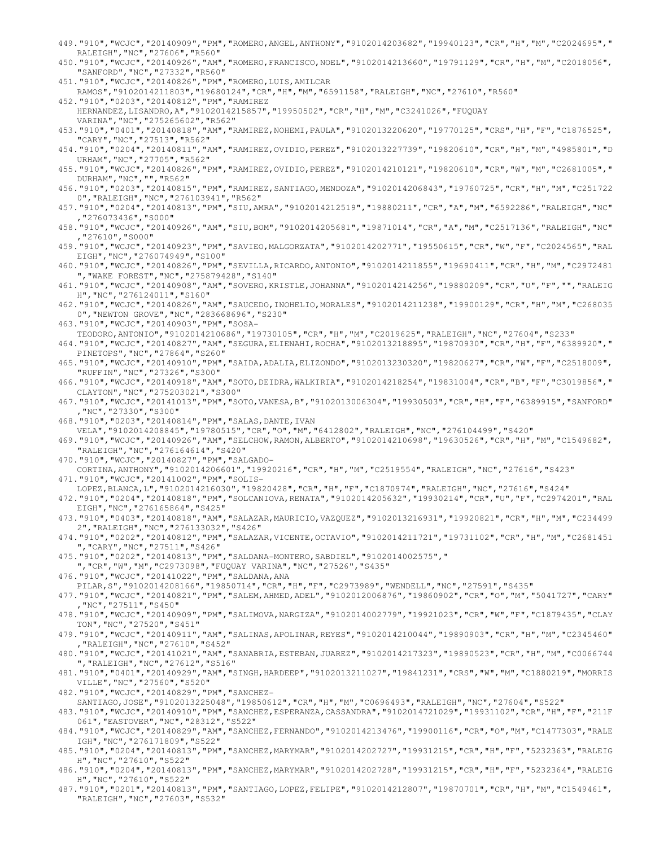- 449."910","WCJC","20140909","PM","ROMERO,ANGEL,ANTHONY","9102014203682","19940123","CR","H","M","C2024695"," RALEIGH","NC","27606","R560"
- 450."910","WCJC","20140926","AM","ROMERO,FRANCISCO,NOEL","9102014213660","19791129","CR","H","M","C2018056", "SANFORD","NC","27332","R560"
- 451."910","WCJC","20140826","PM","ROMERO,LUIS,AMILCAR
- RAMOS","9102014211803","19680124","CR","H","M","6591158","RALEIGH","NC","27610","R560"
- 452."910","0203","20140812","PM","RAMIREZ HERNANDEZ,LISANDRO,A","9102014215857","19950502","CR","H","M","C3241026","FUQUAY VARINA","NC","275265602","R562"
- 453."910","0401","20140818","AM","RAMIREZ,NOHEMI,PAULA","9102013220620","19770125","CRS","H","F","C1876525", "CARY","NC","27513","R562"
- 454."910","0204","20140811","AM","RAMIREZ,OVIDIO,PEREZ","9102013227739","19820610","CR","H","M","4985801","D URHAM","NC","27705","R562"
- 455."910","WCJC","20140826","PM","RAMIREZ,OVIDIO,PEREZ","9102014210121","19820610","CR","W","M","C2681005"," DURHAM","NC","","R562"
- 456."910","0203","20140815","PM","RAMIREZ,SANTIAGO,MENDOZA","9102014206843","19760725","CR","H","M","C251722 0","RALEIGH","NC","276103941","R562"
- 457."910","0204","20140813","PM","SIU,AMRA","9102014212519","19880211","CR","A","M","6592286","RALEIGH","NC" ,"276073436","S000"
- 458."910","WCJC","20140926","AM","SIU,BOM","9102014205681","19871014","CR","A","M","C2517136","RALEIGH","NC" ,"27610","S000"
- 459."910","WCJC","20140923","PM","SAVIEO,MALGORZATA","9102014202771","19550615","CR","W","F","C2024565","RAL EIGH","NC","276074949","S100"
- 460."910","WCJC","20140826","PM","SEVILLA,RICARDO,ANTONIO","9102014211855","19690411","CR","H","M","C2972481 ","WAKE FOREST","NC","275879428","S140"
- 461."910","WCJC","20140908","AM","SOVERO,KRISTLE,JOHANNA","9102014214256","19880209","CR","U","F","","RALEIG H","NC","276124011","S160"
- 462."910","WCJC","20140826","AM","SAUCEDO,INOHELIO,MORALES","9102014211238","19900129","CR","H","M","C268035 0","NEWTON GROVE","NC","283668696","S230"
- 463."910","WCJC","20140903","PM","SOSA-

TEODORO,ANTONIO","9102014210686","19730105","CR","H","M","C2019625","RALEIGH","NC","27604","S233"

- 464."910","WCJC","20140827","AM","SEGURA,ELIENAHI,ROCHA","9102013218895","19870930","CR","H","F","6389920"," PINETOPS","NC","27864","S260"
- 465."910","WCJC","20140910","PM","SAIDA,ADALIA,ELIZONDO","9102013230320","19820627","CR","W","F","C2518009", "RUFFIN","NC","27326","S300"
- 466."910","WCJC","20140918","AM","SOTO,DEIDRA,WALKIRIA","9102014218254","19831004","CR","B","F","C3019856"," CLAYTON","NC","275203021","S300"
- 467."910","WCJC","20141013","PM","SOTO,VANESA,B","9102013006304","19930503","CR","H","F","6389915","SANFORD" ,"NC","27330","S300"
- 468."910","0203","20140814","PM","SALAS,DANTE,IVAN
- VELA","9102014208845","19780515","CR","O","M","6412802","RALEIGH","NC","276104499","S420"

469."910","WCJC","20140926","AM","SELCHOW,RAMON,ALBERTO","9102014210698","19630526","CR","H","M","C1549682", "RALEIGH","NC","276164614","S420"

- 470."910","WCJC","20140827","PM","SALGADO-CORTINA,ANTHONY","9102014206601","19920216","CR","H","M","C2519554","RALEIGH","NC","27616","S423" 471."910","WCJC","20141002","PM","SOLIS-
- LOPEZ,BLANCA,L","9102014216030","19820428","CR","H","F","C1870974","RALEIGH","NC","27616","S424"
- 472."910","0204","20140818","PM","SOLCANIOVA,RENATA","9102014205632","19930214","CR","U","F","C2974201","RAL EIGH","NC","276165864","S425"
- 473."910","0403","20140818","AM","SALAZAR,MAURICIO,VAZQUEZ","9102013216931","19920821","CR","H","M","C234499 2","RALEIGH","NC","276133032","S426"
- 474."910","0202","20140812","PM","SALAZAR,VICENTE,OCTAVIO","9102014211721","19731102","CR","H","M","C2681451 ","CARY","NC","27511","S426"
- 475."910","0202","20140813","PM","SALDANA-MONTERO,SABDIEL","9102014002575","
- ","CR","W","M","C2973098","FUQUAY VARINA","NC","27526","S435"
- 476."910","WCJC","20141022","PM","SALDANA,ANA
- PILAR,S","9102014208166","19850714","CR","H","F","C2973989","WENDELL","NC","27591","S435"
- 477."910","WCJC","20140821","PM","SALEM,AHMED,ADEL","9102012006876","19860902","CR","O","M","5041727","CARY" ,"NC","27511","S450"
- 478."910","WCJC","20140909","PM","SALIMOVA,NARGIZA","9102014002779","19921023","CR","W","F","C1879435","CLAY TON","NC","27520","S451"
- 479."910","WCJC","20140911","AM","SALINAS,APOLINAR,REYES","9102014210044","19890903","CR","H","M","C2345460" ,"RALEIGH","NC","27610","S452"
- 480."910","WCJC","20141021","AM","SANABRIA,ESTEBAN,JUAREZ","9102014217323","19890523","CR","H","M","C0066744 ","RALEIGH","NC","27612","S516"
- 481."910","0401","20140929","AM","SINGH,HARDEEP","9102013211027","19841231","CRS","W","M","C1880219","MORRIS VILLE","NC","27560","S520"
- 482."910","WCJC","20140829","PM","SANCHEZ-
- SANTIAGO,JOSE","9102013225048","19850612","CR","H","M","C0696493","RALEIGH","NC","27604","S522"
- 483."910","WCJC","20140910","PM","SANCHEZ,ESPERANZA,CASSANDRA","9102014721029","19931102","CR","H","F","211F 061","EASTOVER","NC","28312","S522"
- 484."910","WCJC","20140829","AM","SANCHEZ,FERNANDO","9102014213476","19900116","CR","O","M","C1477303","RALE IGH","NC","276171809","S522"
- 485."910","0204","20140813","PM","SANCHEZ,MARYMAR","9102014202727","19931215","CR","H","F","5232363","RALEIG H","NC","27610","S522"
- 486."910","0204","20140813","PM","SANCHEZ,MARYMAR","9102014202728","19931215","CR","H","F","5232364","RALEIG H","NC","27610","S522"
- 487."910","0201","20140813","PM","SANTIAGO,LOPEZ,FELIPE","9102014212807","19870701","CR","H","M","C1549461", "RALEIGH","NC","27603","S532"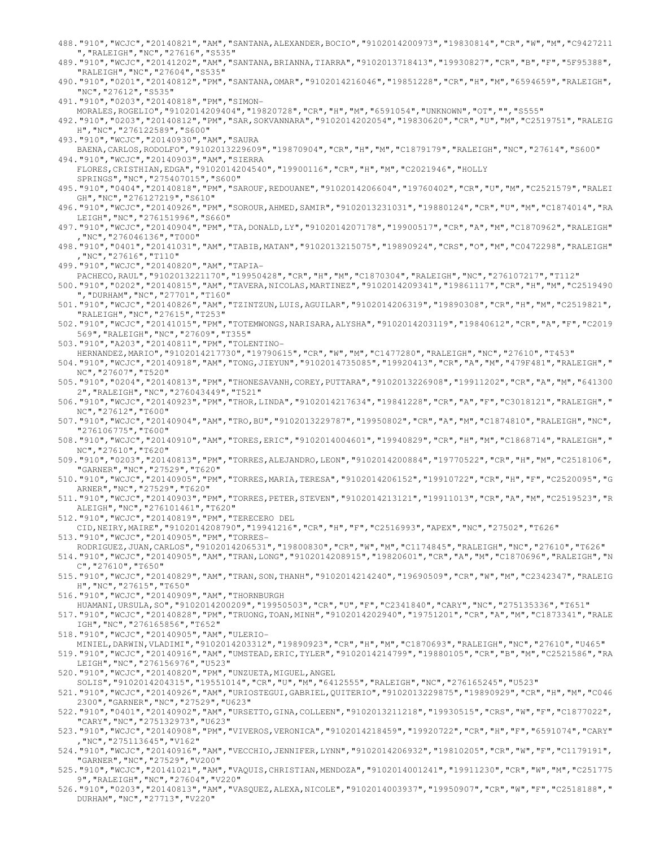- 488."910","WCJC","20140821","AM","SANTANA,ALEXANDER,BOCIO","9102014200973","19830814","CR","W","M","C9427211 ","RALEIGH","NC","27616","S535"
- 489."910","WCJC","20141202","AM","SANTANA,BRIANNA,TIARRA","9102013718413","19930827","CR","B","F","5F95388", "RALEIGH","NC","27604","S535"
- 490."910","0201","20140812","PM","SANTANA,OMAR","9102014216046","19851228","CR","H","M","6594659","RALEIGH", "NC","27612","S535"
- 491."910","0203","20140818","PM","SIMON-

MORALES,ROGELIO","9102014209404","19820728","CR","H","M","6591054","UNKNOWN","OT","","S555"

- 492."910","0203","20140812","PM","SAR,SOKVANNARA","9102014202054","19830620","CR","U","M","C2519751","RALEIG H","NC","276122589","S600"
- 493."910","WCJC","20140930","AM","SAURA
- BAENA,CARLOS,RODOLFO","9102013229609","19870904","CR","H","M","C1879179","RALEIGH","NC","27614","S600" 494."910","WCJC","20140903","AM","SIERRA
- FLORES,CRISTHIAN,EDGA","9102014204540","19900116","CR","H","M","C2021946","HOLLY SPRINGS","NC","275407015","S600"
- 495."910","0404","20140818","PM","SAROUF,REDOUANE","9102014206604","19760402","CR","U","M","C2521579","RALEI GH","NC","276127219","S610"
- 496."910","WCJC","20140926","PM","SOROUR,AHMED,SAMIR","9102013231031","19880124","CR","U","M","C1874014","RA LEIGH","NC","276151996","S660"
- 497."910","WCJC","20140904","PM","TA,DONALD,LY","9102014207178","19900517","CR","A","M","C1870962","RALEIGH" ,"NC","276046136","T000"
- 498."910","0401","20141031","AM","TABIB,MATAN","9102013215075","19890924","CRS","O","M","C0472298","RALEIGH" ,"NC","27616","T110"
- 499."910","WCJC","20140820","AM","TAPIA-PACHECO,RAUL","9102013221170","19950428","CR","H","M","C1870304","RALEIGH","NC","276107217","T112"
- 500."910","0202","20140815","AM","TAVERA,NICOLAS,MARTINEZ","9102014209341","19861117","CR","H","M","C2519490 ","DURHAM","NC","27701","T160"
- 501."910","WCJC","20140826","AM","TZINTZUN,LUIS,AGUILAR","9102014206319","19890308","CR","H","M","C2519821", "RALEIGH","NC","27615","T253"
- 502."910","WCJC","20141015","PM","TOTEMWONGS,NARISARA,ALYSHA","9102014203119","19840612","CR","A","F","C2019 569","RALEIGH","NC","27609","T355"
- 503."910","A203","20140811","PM","TOLENTINO-

HERNANDEZ,MARIO","9102014217730","19790615","CR","W","M","C1477280","RALEIGH","NC","27610","T453"

- 504."910","WCJC","20140918","AM","TONG,JIEYUN","9102014735085","19920413","CR","A","M","479F481","RALEIGH"," NC","27607","T520"
- 505."910","0204","20140813","PM","THONESAVANH,COREY,PUTTARA","9102013226908","19911202","CR","A","M","641300 2","RALEIGH","NC","276043449","T521"
- 506."910","WCJC","20140923","PM","THOR,LINDA","9102014217634","19841228","CR","A","F","C3018121","RALEIGH"," NC","27612","T600"
- 507."910","WCJC","20140904","AM","TRO,BU","9102013229787","19950802","CR","A","M","C1874810","RALEIGH","NC", "276106775","T600"
- 508."910","WCJC","20140910","AM","TORES,ERIC","9102014004601","19940829","CR","H","M","C1868714","RALEIGH"," NC","27610","T620"
- 509."910","0203","20140813","PM","TORRES,ALEJANDRO,LEON","9102014200884","19770522","CR","H","M","C2518106", "GARNER","NC","27529","T620"
- 510."910","WCJC","20140905","PM","TORRES,MARIA,TERESA","9102014206152","19910722","CR","H","F","C2520095","G ARNER","NC","27529","T620"
- 511."910","WCJC","20140903","PM","TORRES,PETER,STEVEN","9102014213121","19911013","CR","A","M","C2519523","R ALEIGH","NC","276101461","T620"
- 512."910","WCJC","20140819","PM","TERECERO DEL
- CID,NEIRY,MAIRE","9102014208790","19941216","CR","H","F","C2516993","APEX","NC","27502","T626"
- 513."910","WCJC","20140905","PM","TORRES-
- RODRIGUEZ,JUAN,CARLOS","9102014206531","19800830","CR","W","M","C1174845","RALEIGH","NC","27610","T626"
- 514."910","WCJC","20140905","AM","TRAN,LONG","9102014208915","19820601","CR","A","M","C1870696","RALEIGH","N C","27610","T650"
- 515."910","WCJC","20140829","AM","TRAN,SON,THANH","9102014214240","19690509","CR","W","M","C2342347","RALEIG H","NC","27615","T650"
- 516."910","WCJC","20140909","AM","THORNBURGH
- HUAMANI,URSULA,SO","9102014200209","19950503","CR","U","F","C2341840","CARY","NC","275135336","T651"
- 517."910","WCJC","20140828","PM","TRUONG,TOAN,MINH","9102014202940","19751201","CR","A","M","C1873341","RALE IGH","NC","276165856","T652"
- 518."910","WCJC","20140905","AM","ULERIO-
- MINIEL,DARWIN,VLADIMI","9102014203312","19890923","CR","H","M","C1870693","RALEIGH","NC","27610","U465" 519."910","WCJC","20140916","AM","UMSTEAD,ERIC,TYLER","9102014214799","19880105","CR","B","M","C2521586","RA
	- LEIGH","NC","276156976","U523"
- 520."910","WCJC","20140820","PM","UNZUETA,MIGUEL,ANGEL

SOLIS","9102014204315","19551014","CR","U","M","6412555","RALEIGH","NC","276165245","U523"

- 521."910","WCJC","20140926","AM","URIOSTEGUI,GABRIEL,QUITERIO","9102013229875","19890929","CR","H","M","C046 2300","GARNER","NC","27529","U623"
- 522."910","0401","20140902","AM","URSETTO,GINA,COLLEEN","9102013211218","19930515","CRS","W","F","C1877022", "CARY","NC","275132973","U623"
- 523."910","WCJC","20140908","PM","VIVEROS,VERONICA","9102014218459","19920722","CR","H","F","6591074","CARY" ,"NC","275113645","V162"
- 524."910","WCJC","20140916","AM","VECCHIO,JENNIFER,LYNN","9102014206932","19810205","CR","W","F","C1179191", "GARNER","NC","27529","V200"
- 525."910","WCJC","20141021","AM","VAQUIS,CHRISTIAN,MENDOZA","9102014001241","19911230","CR","W","M","C251775 9","RALEIGH","NC","27604","V220"
- 526."910","0203","20140813","AM","VASQUEZ,ALEXA,NICOLE","9102014003937","19950907","CR","W","F","C2518188"," DURHAM","NC","27713","V220"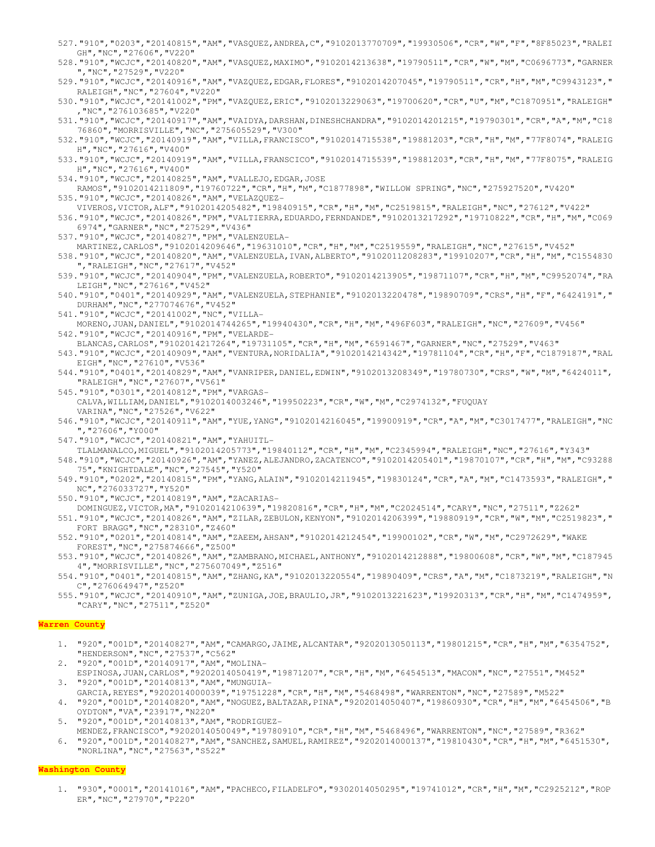- 527."910","0203","20140815","AM","VASQUEZ,ANDREA,C","9102013770709","19930506","CR","W","F","8F85023","RALEI GH","NC","27606","V220"
- 528."910","WCJC","20140820","AM","VASQUEZ,MAXIMO","9102014213638","19790511","CR","W","M","C0696773","GARNER ","NC","27529","V220"
- 529."910","WCJC","20140916","AM","VAZQUEZ,EDGAR,FLORES","9102014207045","19790511","CR","H","M","C9943123"," RALEIGH","NC","27604","V220"
- 530."910","WCJC","20141002","PM","VAZQUEZ,ERIC","9102013229063","19700620","CR","U","M","C1870951","RALEIGH" ,"NC","276103685","V220"
- 531."910","WCJC","20140917","AM","VAIDYA,DARSHAN,DINESHCHANDRA","9102014201215","19790301","CR","A","M","C18 76860","MORRISVILLE","NC","275605529","V300"
- 532."910","WCJC","20140919","AM","VILLA,FRANCISCO","9102014715538","19881203","CR","H","M","77F8074","RALEIG H","NC","27616","V400"
- 533."910","WCJC","20140919","AM","VILLA,FRANSCICO","9102014715539","19881203","CR","H","M","77F8075","RALEIG H","NC","27616","V400"
- 534."910","WCJC","20140825","AM","VALLEJO,EDGAR,JOSE
- RAMOS","9102014211809","19760722","CR","H","M","C1877898","WILLOW SPRING","NC","275927520","V420" 535."910","WCJC","20140826","AM","VELAZQUEZ-
- VIVEROS,VICTOR,ALF","9102014205482","19840915","CR","H","M","C2519815","RALEIGH","NC","27612","V422"
- 536."910","WCJC","20140826","PM","VALTIERRA,EDUARDO,FERNDANDE","9102013217292","19710822","CR","H","M","C069 6974","GARNER","NC","27529","V436"
- 537."910","WCJC","20140827","PM","VALENZUELA-
- MARTINEZ,CARLOS","9102014209646","19631010","CR","H","M","C2519559","RALEIGH","NC","27615","V452"
- 538."910","WCJC","20140820","AM","VALENZUELA,IVAN,ALBERTO","9102011208283","19910207","CR","H","M","C1554830 ","RALEIGH","NC","27617","V452"
- 539."910","WCJC","20140904","PM","VALENZUELA,ROBERTO","9102014213905","19871107","CR","H","M","C9952074","RA LEIGH","NC","27616","V452"
- 540."910","0401","20140929","AM","VALENZUELA,STEPHANIE","9102013220478","19890709","CRS","H","F","6424191"," DURHAM","NC","277074676","V452"
- 541."910","WCJC","20141002","NC","VILLA-
- MORENO,JUAN,DANIEL","9102014744265","19940430","CR","H","M","496F603","RALEIGH","NC","27609","V456" 542."910","WCJC","20140916","PM","VELARDE-
- BLANCAS,CARLOS","9102014217264","19731105","CR","H","M","6591467","GARNER","NC","27529","V463"
- 543."910","WCJC","20140909","AM","VENTURA,NORIDALIA","9102014214342","19781104","CR","H","F","C1879187","RAL EIGH","NC","27610","V536"
- 544."910","0401","20140829","AM","VANRIPER,DANIEL,EDWIN","9102013208349","19780730","CRS","W","M","6424011", "RALEIGH","NC","27607","V561"
- 545."910","0301","20140812","PM","VARGAS-CALVA,WILLIAM,DANIEL","9102014003246","19950223","CR","W","M","C2974132","FUQUAY VARINA","NC","27526","V622"
- 546."910","WCJC","20140911","AM","YUE,YANG","9102014216045","19900919","CR","A","M","C3017477","RALEIGH","NC ","27606","Y000"
- 547."910","WCJC","20140821","AM","YAHUITL-TLALMANALCO,MIGUEL","9102014205773","19840112","CR","H","M","C2345994","RALEIGH","NC","27616","Y343"
- 548."910","WCJC","20140926","AM","YANEZ,ALEJANDRO,ZACATENCO","9102014205401","19870107","CR","H","M","C93288 75","KNIGHTDALE","NC","27545","Y520"
- 549."910","0202","20140815","PM","YANG,ALAIN","9102014211945","19830124","CR","A","M","C1473593","RALEIGH"," NC","276033727","Y520"
- 550."910","WCJC","20140819","AM","ZACARIAS-
- DOMINGUEZ,VICTOR,MA","9102014210639","19820816","CR","H","M","C2024514","CARY","NC","27511","Z262"
- 551."910","WCJC","20140826","AM","ZILAR,ZEBULON,KENYON","9102014206399","19880919","CR","W","M","C2519823"," FORT BRAGG","NC","28310","Z460"
- 552."910","0201","20140814","AM","ZAEEM,AHSAN","9102014212454","19900102","CR","W","M","C2972629","WAKE FOREST","NC","275874666","Z500"
- 553."910","WCJC","20140826","AM","ZAMBRANO,MICHAEL,ANTHONY","9102014212888","19800608","CR","W","M","C187945 4","MORRISVILLE","NC","275607049","Z516"
- 554."910","0401","20140815","AM","ZHANG,KA","9102013220554","19890409","CRS","A","M","C1873219","RALEIGH","N C","276064947","Z520"
- 555."910","WCJC","20140910","AM","ZUNIGA,JOE,BRAULIO,JR","9102013221623","19920313","CR","H","M","C1474959", "CARY","NC","27511","Z520"

## **Warren County**

- 1. "920","001D","20140827","AM","CAMARGO,JAIME,ALCANTAR","9202013050113","19801215","CR","H","M","6354752", "HENDERSON","NC","27537","C562"
- 2. "920","001D","20140917","AM","MOLINA-
- ESPINOSA,JUAN,CARLOS","9202014050419","19871207","CR","H","M","6454513","MACON","NC","27551","M452" 3. "920","001D","20140813","AM","MUNGUIA-
- GARCIA,REYES","9202014000039","19751228","CR","H","M","5468498","WARRENTON","NC","27589","M522" 4. "920","001D","20140820","AM","NOGUEZ,BALTAZAR,PINA","9202014050407","19860930","CR","H","M","6454506","B
- OYDTON","VA","23917","N220" 5. "920","001D","20140813","AM","RODRIGUEZ-
- MENDEZ,FRANCISCO","9202014050049","19780910","CR","H","M","5468496","WARRENTON","NC","27589","R362"
- 6. "920","001D","20140827","AM","SANCHEZ,SAMUEL,RAMIREZ","9202014000137","19810430","CR","H","M","6451530", "NORLINA","NC","27563","S522"

## **Washington County**

1. "930","0001","20141016","AM","PACHECO,FILADELFO","9302014050295","19741012","CR","H","M","C2925212","ROP ER","NC","27970","P220"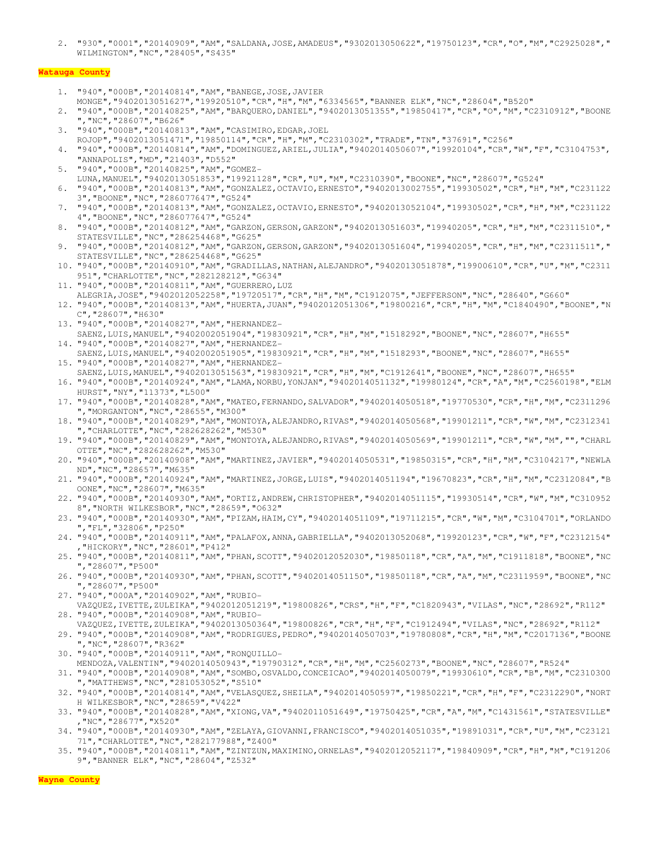2. "930","0001","20140909","AM","SALDANA,JOSE,AMADEUS","9302013050622","19750123","CR","O","M","C2925028"," WILMINGTON","NC","28405","S435"

## **Watauga County**

- 1. "940","000B","20140814","AM","BANEGE,JOSE,JAVIER
- MONGE","9402013051627","19920510","CR","H","M","6334565","BANNER ELK","NC","28604","B520"
- 2. "940","000B","20140825","AM","BARQUERO,DANIEL","9402013051355","19850417","CR","O","M","C2310912","BOONE ","NC","28607","B626"
- 3. "940","000B","20140813","AM","CASIMIRO,EDGAR,JOEL
- ROJOP","9402013051471","19850114","CR","H","M","C2310302","TRADE","TN","37691","C256"
- 4. "940","000B","20140814","AM","DOMINGUEZ,ARIEL,JULIA","9402014050607","19920104","CR","W","F","C3104753", "ANNAPOLIS","MD","21403","D552"
- 5. "940","000B","20140825","AM","GOMEZ-

LUNA,MANUEL","9402013051853","19921128","CR","U","M","C2310390","BOONE","NC","28607","G524"

- 6. "940","000B","20140813","AM","GONZALEZ,OCTAVIO,ERNESTO","9402013002755","19930502","CR","H","M","C231122 3","BOONE","NC","286077647","G524"
- 7. "940","000B","20140813","AM","GONZALEZ,OCTAVIO,ERNESTO","9402013052104","19930502","CR","H","M","C231122 4","BOONE","NC","286077647","G524"
- 8. "940","000B","20140812","AM","GARZON,GERSON,GARZON","9402013051603","19940205","CR","H","M","C2311510"," STATESVILLE","NC","286254468","G625"
- 9. "940","000B","20140812","AM","GARZON,GERSON,GARZON","9402013051604","19940205","CR","H","M","C2311511"," STATESVILLE","NC","286254468","G625"
- 10. "940","000B","20140910","AM","GRADILLAS,NATHAN,ALEJANDRO","9402013051878","19900610","CR","U","M","C2311 951","CHARLOTTE","NC","282128212","G634"
- 11. "940","000B","20140811","AM","GUERRERO,LUZ
- ALEGRIA,JOSE","9402012052258","19720517","CR","H","M","C1912075","JEFFERSON","NC","28640","G660"
- 12. "940","000B","20140813","AM","HUERTA,JUAN","9402012051306","19800216","CR","H","M","C1840490","BOONE","N C","28607","H630"
- 13. "940","000B","20140827","AM","HERNANDEZ-
- SAENZ,LUIS,MANUEL","9402002051904","19830921","CR","H","M","1518292","BOONE","NC","28607","H655" 14. "940","000B","20140827","AM","HERNANDEZ-
- SAENZ,LUIS,MANUEL","9402002051905","19830921","CR","H","M","1518293","BOONE","NC","28607","H655" 15. "940","000B","20140827","AM","HERNANDEZ-
- SAENZ,LUIS,MANUEL","9402013051563","19830921","CR","H","M","C1912641","BOONE","NC","28607","H655"
- 16. "940","000B","20140924","AM","LAMA,NORBU,YONJAN","9402014051132","19980124","CR","A","M","C2560198","ELM HURST","NY","11373","L500"
- 17. "940","000B","20140828","AM","MATEO,FERNANDO,SALVADOR","9402014050518","19770530","CR","H","M","C2311296 ","MORGANTON","NC","28655","M300"
- 18. "940","000B","20140829","AM","MONTOYA,ALEJANDRO,RIVAS","9402014050568","19901211","CR","W","M","C2312341 ","CHARLOTTE","NC","282628262","M530"
- 19. "940","000B","20140829","AM","MONTOYA,ALEJANDRO,RIVAS","9402014050569","19901211","CR","W","M","","CHARL OTTE","NC","282628262","M530"
- 20. "940","000B","20140908","AM","MARTINEZ,JAVIER","9402014050531","19850315","CR","H","M","C3104217","NEWLA ND","NC","28657","M635"
- 21. "940","000B","20140924","AM","MARTINEZ,JORGE,LUIS","9402014051194","19670823","CR","H","M","C2312084","B OONE","NC","28607","M635"
- 22. "940","000B","20140930","AM","ORTIZ,ANDREW,CHRISTOPHER","9402014051115","19930514","CR","W","M","C310952 8","NORTH WILKESBOR","NC","28659","O632"
- 23. "940","000B","20140930","AM","PIZAM,HAIM,CY","9402014051109","19711215","CR","W","M","C3104701","ORLANDO ","FL","32806","P250"
- 24. "940","000B","20140911","AM","PALAFOX,ANNA,GABRIELLA","9402013052068","19920123","CR","W","F","C2312154" ,"HICKORY","NC","28601","P412"
- 25. "940","000B","20140811","AM","PHAN,SCOTT","9402012052030","19850118","CR","A","M","C1911818","BOONE","NC ","28607","P500"
- 26. "940","000B","20140930","AM","PHAN,SCOTT","9402014051150","19850118","CR","A","M","C2311959","BOONE","NC ","28607","P500"
- 27. "940","000A","20140902","AM","RUBIO-
- VAZQUEZ,IVETTE,ZULEIKA","9402012051219","19800826","CRS","H","F","C1820943","VILAS","NC","28692","R112" 28. "940","000B","20140908","AM","RUBIO-
- VAZQUEZ,IVETTE,ZULEIKA","9402013050364","19800826","CR","H","F","C1912494","VILAS","NC","28692","R112" 29. "940","000B","20140908","AM","RODRIGUES,PEDRO","9402014050703","19780808","CR","H","M","C2017136","BOONE
- ","NC","28607","R362" 30. "940","000B","20140911","AM","RONQUILLO-
- MENDOZA,VALENTIN","9402014050943","19790312","CR","H","M","C2560273","BOONE","NC","28607","R524"
- 31. "940","000B","20140908","AM","SOMBO,OSVALDO,CONCEICAO","9402014050079","19930610","CR","B","M","C2310300 ","MATTHEWS","NC","281053052","S510"
- 32. "940","000B","20140814","AM","VELASQUEZ,SHEILA","9402014050597","19850221","CR","H","F","C2312290","NORT H WILKESBOR","NC","28659","V422"
- 33. "940","000B","20140828","AM","XIONG,VA","9402011051649","19750425","CR","A","M","C1431561","STATESVILLE" ,"NC","28677","X520"
- 34. "940","000B","20140930","AM","ZELAYA,GIOVANNI,FRANCISCO","9402014051035","19891031","CR","U","M","C23121 71","CHARLOTTE","NC","282177988","Z400"
- 35. "940","000B","20140811","AM","ZINTZUN,MAXIMINO,ORNELAS","9402012052117","19840909","CR","H","M","C191206 9","BANNER ELK","NC","28604","Z532"

**Wayne County**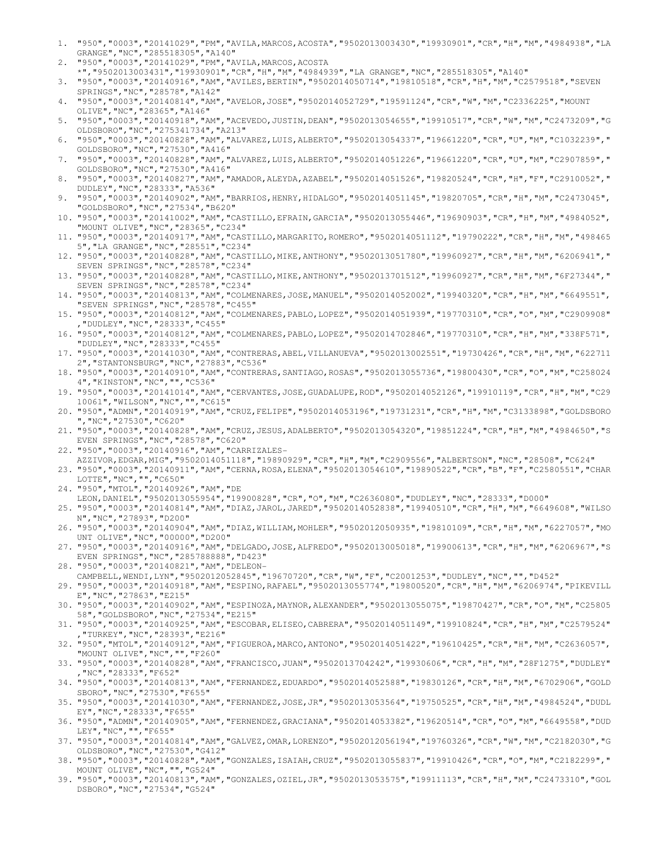- 1. "950","0003","20141029","PM","AVILA,MARCOS,ACOSTA","9502013003430","19930901","CR","H","M","4984938","LA GRANGE","NC","285518305","A140"
- 2. "950","0003","20141029","PM","AVILA,MARCOS,ACOSTA
- \*","9502013003431","19930901","CR","H","M","4984939","LA GRANGE","NC","285518305","A140"
- 3. "950","0003","20140916","AM","AVILES,BERTIN","9502014050714","19810518","CR","H","M","C2579518","SEVEN SPRINGS","NC","28578","A142"
- 4. "950","0003","20140814","AM","AVELOR,JOSE","9502014052729","19591124","CR","W","M","C2336225","MOUNT OLIVE","NC","28365","A146"
- 5. "950","0003","20140918","AM","ACEVEDO,JUSTIN,DEAN","9502013054655","19910517","CR","W","M","C2473209","G OLDSBORO","NC","275341734","A213"
- 6. "950","0003","20140828","AM","ALVAREZ,LUIS,ALBERTO","9502013054337","19661220","CR","U","M","C1032239"," GOLDSBORO","NC","27530","A416"
- 7. "950","0003","20140828","AM","ALVAREZ,LUIS,ALBERTO","9502014051226","19661220","CR","U","M","C2907859"," GOLDSBORO","NC","27530","A416"
- 8. "950","0003","20140827","AM","AMADOR,ALEYDA,AZABEL","9502014051526","19820524","CR","H","F","C2910052"," DUDLEY","NC","28333","A536"
- 9. "950","0003","20140902","AM","BARRIOS,HENRY,HIDALGO","9502014051145","19820705","CR","H","M","C2473045", "GOLDSBORO","NC","27534","B620"
- 10. "950","0003","20141002","AM","CASTILLO,EFRAIN,GARCIA","9502013055446","19690903","CR","H","M","4984052", "MOUNT OLIVE","NC","28365","C234"
- 11. "950","0003","20140917","AM","CASTILLO,MARGARITO,ROMERO","9502014051112","19790222","CR","H","M","498465 5","LA GRANGE","NC","28551","C234"
- 12. "950","0003","20140828","AM","CASTILLO,MIKE,ANTHONY","9502013051780","19960927","CR","H","M","6206941"," SEVEN SPRINGS","NC","28578","C234"
- 13. "950","0003","20140828","AM","CASTILLO,MIKE,ANTHONY","9502013701512","19960927","CR","H","M","6F27344"," SEVEN SPRINGS","NC","28578","C234"
- 14. "950","0003","20140813","AM","COLMENARES,JOSE,MANUEL","9502014052002","19940320","CR","H","M","6649551", "SEVEN SPRINGS","NC","28578","C455"
- 15. "950","0003","20140812","AM","COLMENARES,PABLO,LOPEZ","9502014051939","19770310","CR","O","M","C2909908" ,"DUDLEY","NC","28333","C455"
- 16. "950","0003","20140812","AM","COLMENARES,PABLO,LOPEZ","9502014702846","19770310","CR","H","M","338F571", "DUDLEY","NC","28333","C455"
- 17. "950","0003","20141030","AM","CONTRERAS,ABEL,VILLANUEVA","9502013002551","19730426","CR","H","M","622711 2","STANTONSBURG","NC","27883","C536"
- 18. "950","0003","20140910","AM","CONTRERAS,SANTIAGO,ROSAS","9502013055736","19800430","CR","O","M","C258024 4","KINSTON","NC","","C536"
- 19. "950","0003","20141014","AM","CERVANTES,JOSE,GUADALUPE,ROD","9502014052126","19910119","CR","H","M","C29 10061","WILSON","NC","","C615"
- 20. "950","ADMN","20140919","AM","CRUZ,FELIPE","9502014053196","19731231","CR","H","M","C3133898","GOLDSBORO ","NC","27530","C620"
- 21. "950","0003","20140828","AM","CRUZ,JESUS,ADALBERTO","9502013054320","19851224","CR","H","M","4984650","S EVEN SPRINGS","NC","28578","C620"
- 22. "950","0003","20140916","AM","CARRIZALES-
- AZZIVOR,EDGAR,MIG","9502014051118","19890929","CR","H","M","C2909556","ALBERTSON","NC","28508","C624" 23. "950","0003","20140911","AM","CERNA,ROSA,ELENA","9502013054610","19890522","CR","B","F","C2580551","CHAR
- LOTTE","NC","","C650" 24. "950","MTOL","20140926","AM","DE

LEON,DANIEL","9502013055954","19900828","CR","O","M","C2636080","DUDLEY","NC","28333","D000"

- 25. "950","0003","20140814","AM","DIAZ,JAROL,JARED","9502014052838","19940510","CR","H","M","6649608","WILSO N","NC","27893","D200"
- 26. "950","0003","20140904","AM","DIAZ,WILLIAM,MOHLER","9502012050935","19810109","CR","H","M","6227057","MO UNT OLIVE","NC","00000","D200"
- 27. "950","0003","20140916","AM","DELGADO,JOSE,ALFREDO","9502013005018","19900613","CR","H","M","6206967","S EVEN SPRINGS","NC","285788888","D423"
- 28. "950","0003","20140821","AM","DELEON-CAMPBELL,WENDI,LYN","9502012052845","19670720","CR","W","F","C2001253","DUDLEY","NC","","D452"
- 29. "950","0003","20140918","AM","ESPINO,RAFAEL","9502013055774","19800520","CR","H","M","6206974","PIKEVILL
- E","NC","27863","E215" 30. "950","0003","20140902","AM","ESPINOZA,MAYNOR,ALEXANDER","9502013055075","19870427","CR","O","M","C25805
- 58","GOLDSBORO","NC","27534","E215"
- 31. "950","0003","20140925","AM","ESCOBAR,ELISEO,CABRERA","9502014051149","19910824","CR","H","M","C2579524" ,"TURKEY","NC","28393","E216"
- 32. "950","MTOL","20140912","AM","FIGUEROA,MARCO,ANTONO","9502014051422","19610425","CR","H","M","C2636057", "MOUNT OLIVE","NC","","F260"
- 33. "950","0003","20140828","AM","FRANCISCO,JUAN","9502013704242","19930606","CR","H","M","28F1275","DUDLEY" ,"NC","28333","F652"
- 34. "950","0003","20140813","AM","FERNANDEZ,EDUARDO","9502014052588","19830126","CR","H","M","6702906","GOLD SBORO","NC","27530","F655"
- 35. "950","0003","20141030","AM","FERNANDEZ,JOSE,JR","9502013053564","19750525","CR","H","M","4984524","DUDL EY","NC","28333","F655"
- 36. "950","ADMN","20140905","AM","FERNENDEZ,GRACIANA","9502014053382","19620514","CR","O","M","6649558","DUD LEY","NC","","F655"
- 37. "950","0003","20140814","AM","GALVEZ,OMAR,LORENZO","9502012056194","19760326","CR","W","M","C2182030","G OLDSBORO","NC","27530","G412"
- 38. "950","0003","20140828","AM","GONZALES,ISAIAH,CRUZ","9502013055837","19910426","CR","O","M","C2182299"," MOUNT OLIVE","NC","","G524"
- 39. "950","0003","20140813","AM","GONZALES,OZIEL,JR","9502013053575","19911113","CR","H","M","C2473310","GOL DSBORO","NC","27534","G524"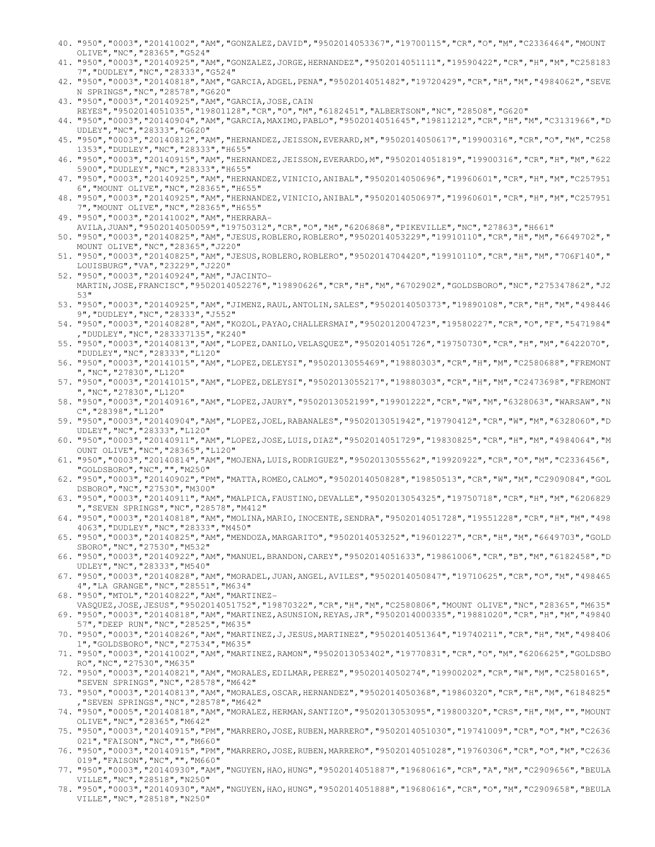- 40. "950","0003","20141002","AM","GONZALEZ,DAVID","9502014053367","19700115","CR","O","M","C2336464","MOUNT OLIVE","NC","28365","G524"
- 41. "950","0003","20140925","AM","GONZALEZ,JORGE,HERNANDEZ","9502014051111","19590422","CR","H","M","C258183 7","DUDLEY","NC","28333","G524"
- 42. "950","0003","20140818","AM","GARCIA,ADGEL,PENA","9502014051482","19720429","CR","H","M","4984062","SEVE N SPRINGS","NC","28578","G620"
- 43. "950","0003","20140925","AM","GARCIA,JOSE,CAIN
- REYES","9502014051035","19801128","CR","O","M","6182451","ALBERTSON","NC","28508","G620"
- 44. "950","0003","20140904","AM","GARCIA,MAXIMO,PABLO","9502014051645","19811212","CR","H","M","C3131966","D UDLEY","NC","28333","G620"
- 45. "950","0003","20140812","AM","HERNANDEZ,JEISSON,EVERARD,M","9502014050617","19900316","CR","O","M","C258 1353","DUDLEY","NC","28333","H655"
- 46. "950","0003","20140915","AM","HERNANDEZ,JEISSON,EVERARDO,M","9502014051819","19900316","CR","H","M","622 5900","DUDLEY","NC","28333","H655"
- 47. "950","0003","20140925","AM","HERNANDEZ,VINICIO,ANIBAL","9502014050696","19960601","CR","H","M","C257951 6","MOUNT OLIVE","NC","28365","H655"
- 48. "950","0003","20140925","AM","HERNANDEZ,VINICIO,ANIBAL","9502014050697","19960601","CR","H","M","C257951 7","MOUNT OLIVE","NC","28365","H655"
- 49. "950","0003","20141002","AM","HERRARA-
- AVILA,JUAN","9502014050059","19750312","CR","O","M","6206868","PIKEVILLE","NC","27863","H661"
- 50. "950","0003","20140825","AM","JESUS,ROBLERO,ROBLERO","9502014053229","19910110","CR","H","M","6649702"," MOUNT OLIVE","NC","28365","J220"
- 51. "950","0003","20140825","AM","JESUS,ROBLERO,ROBLERO","9502014704420","19910110","CR","H","M","706F140"," LOUISBURG","VA","23229","J220"
- 52. "950","0003","20140924","AM","JACINTO-MARTIN,JOSE,FRANCISC","9502014052276","19890626","CR","H","M","6702902","GOLDSBORO","NC","275347862","J2 53"
- 53. "950","0003","20140925","AM","JIMENZ,RAUL,ANTOLIN,SALES","9502014050373","19890108","CR","H","M","498446 9","DUDLEY","NC","28333","J552"
- 54. "950","0003","20140828","AM","KOZOL,PAYAO,CHALLERSMAI","9502012004723","19580227","CR","O","F","5471984" ,"DUDLEY","NC","283337135","K240"
- 55. "950","0003","20140813","AM","LOPEZ,DANILO,VELASQUEZ","9502014051726","19750730","CR","H","M","6422070", "DUDLEY","NC","28333","L120"
- 56. "950","0003","20141015","AM","LOPEZ,DELEYSI","9502013055469","19880303","CR","H","M","C2580688","FREMONT ","NC","27830","L120"
- 57. "950","0003","20141015","AM","LOPEZ,DELEYSI","9502013055217","19880303","CR","H","M","C2473698","FREMONT ","NC","27830","L120"
- 58. "950","0003","20140916","AM","LOPEZ,JAURY","9502013052199","19901222","CR","W","M","6328063","WARSAW","N C","28398","L120"
- 59. "950","0003","20140904","AM","LOPEZ,JOEL,RABANALES","9502013051942","19790412","CR","W","M","6328060","D UDLEY","NC","28333","L120"
- 60. "950","0003","20140911","AM","LOPEZ,JOSE,LUIS,DIAZ","9502014051729","19830825","CR","H","M","4984064","M OUNT OLIVE","NC","28365","L120"
- 61. "950","0003","20140814","AM","MOJENA,LUIS,RODRIGUEZ","9502013055562","19920922","CR","O","M","C2336456", "GOLDSBORO","NC","","M250"
- 62. "950","0003","20140902","PM","MATTA,ROMEO,CALMO","9502014050828","19850513","CR","W","M","C2909084","GOL DSBORO","NC","27530","M300"
- 63. "950","0003","20140911","AM","MALPICA,FAUSTINO,DEVALLE","9502013054325","19750718","CR","H","M","6206829 ","SEVEN SPRINGS","NC","28578","M412"
- 64. "950","0003","20140818","AM","MOLINA,MARIO,INOCENTE,SENDRA","9502014051728","19551228","CR","H","M","498 4063","DUDLEY","NC","28333","M450"
- 65. "950","0003","20140825","AM","MENDOZA,MARGARITO","9502014053252","19601227","CR","H","M","6649703","GOLD SBORO","NC","27530","M532"
- 66. "950","0003","20140922","AM","MANUEL,BRANDON,CAREY","9502014051633","19861006","CR","B","M","6182458","D UDLEY","NC","28333","M540"
- 67. "950","0003","20140828","AM","MORADEL,JUAN,ANGEL,AVILES","9502014050847","19710625","CR","O","M","498465 4","LA GRANGE","NC","28551","M634"
- 68. "950","MTOL","20140822","AM","MARTINEZ-
- VASQUEZ,JOSE,JESUS","9502014051752","19870322","CR","H","M","C2580806","MOUNT OLIVE","NC","28365","M635" 69. "950","0003","20140818","AM","MARTINEZ,ASUNSION,REYAS,JR","9502014000335","19881020","CR","H","M","49840 57","DEEP RUN","NC","28525","M635"
- 70. "950","0003","20140826","AM","MARTINEZ,J,JESUS,MARTINEZ","9502014051364","19740211","CR","H","M","498406 1","GOLDSBORO","NC","27534","M635"
- 71. "950","0003","20141002","AM","MARTINEZ,RAMON","9502013053402","19770831","CR","O","M","6206625","GOLDSBO RO","NC","27530","M635"
- 72. "950","0003","20140821","AM","MORALES,EDILMAR,PEREZ","9502014050274","19900202","CR","W","M","C2580165", "SEVEN SPRINGS","NC","28578","M642"
- 73. "950","0003","20140813","AM","MORALES,OSCAR,HERNANDEZ","9502014050368","19860320","CR","H","M","6184825" ,"SEVEN SPRINGS","NC","28578","M642"
- 74. "950","0005","20140818","AM","MORALEZ,HERMAN,SANTIZO","9502013053095","19800320","CRS","H","M","","MOUNT OLIVE","NC","28365","M642"
- 75. "950","0003","20140915","PM","MARRERO,JOSE,RUBEN,MARRERO","9502014051030","19741009","CR","O","M","C2636 021","FAISON","NC","","M660"
- 76. "950","0003","20140915","PM","MARRERO,JOSE,RUBEN,MARRERO","9502014051028","19760306","CR","O","M","C2636 019","FAISON","NC","","M660"
- 77. "950","0003","20140930","AM","NGUYEN,HAO,HUNG","9502014051887","19680616","CR","A","M","C2909656","BEULA VILLE","NC","28518","N250"
- 78. "950","0003","20140930","AM","NGUYEN,HAO,HUNG","9502014051888","19680616","CR","O","M","C2909658","BEULA VILLE","NC","28518","N250"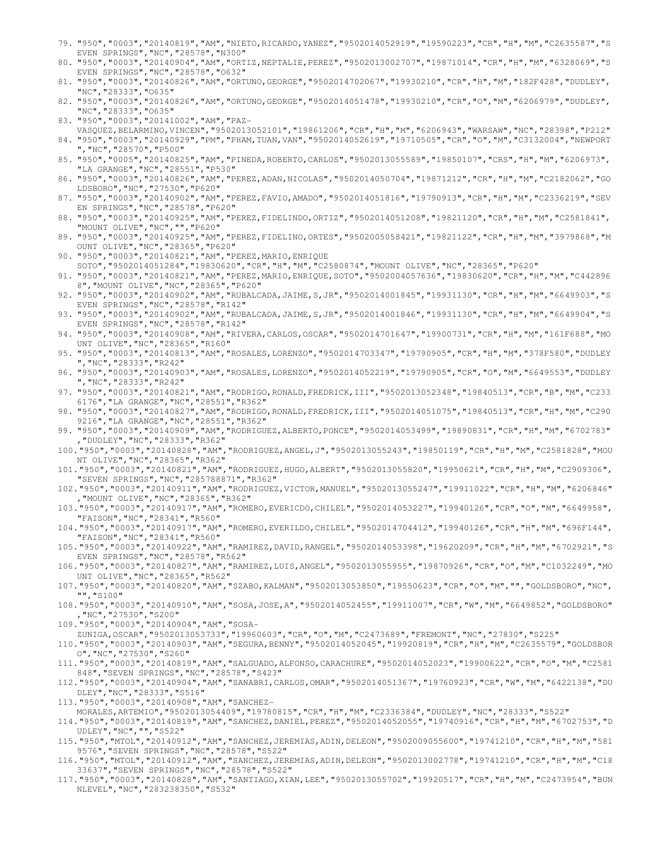- 79. "950","0003","20140819","AM","NIETO,RICARDO,YANEZ","9502014052919","19590223","CR","H","M","C2635587","S EVEN SPRINGS","NC","28578","N300"
- 80. "950","0003","20140904","AM","ORTIZ,NEPTALIE,PEREZ","9502013002707","19871014","CR","H","M","6328069","S EVEN SPRINGS","NC","28578","O632"
- 81. "950","0003","20140826","AM","ORTUNO,GEORGE","9502014702067","19930210","CR","H","M","182F428","DUDLEY", "NC","28333","O635"
- 82. "950","0003","20140826","AM","ORTUNO,GEORGE","9502014051478","19930210","CR","O","M","6206979","DUDLEY", "NC","28333","O635"
- 83. "950","0003","20141002","AM","PAZ-VASQUEZ,BELARMINO,VINCEN","9502013052101","19861206","CR","H","M","6206943","WARSAW","NC","28398","P212" 84. "950","0003","20140929","PM","PHAM,TUAN,VAN","9502014052619","19710505","CR","O","M","C3132004","NEWPORT ","NC","28570","P500"
- 85. "950","0005","20140825","AM","PINEDA,ROBERTO,CARLOS","9502013055589","19850107","CRS","H","M","6206973", "LA GRANGE","NC","28551","P530"
- 86. "950","0003","20140826","AM","PEREZ,ADAN,NICOLAS","9502014050704","19871212","CR","H","M","C2182062","GO LDSBORO","NC","27530","P620"
- 87. "950","0003","20140902","AM","PEREZ,FAVIO,AMADO","9502014051816","19790913","CR","H","M","C2336219","SEV EN SPRINGS","NC","28578","P620"
- 88. "950","0003","20140925","AM","PEREZ,FIDELINDO,ORTIZ","9502014051208","19821120","CR","H","M","C2581841", "MOUNT OLIVE","NC","","P620"
- 89. "950","0003","20140925","AM","PEREZ,FIDELINO,ORTES","9502005058421","19821122","CR","H","M","3979868","M OUNT OLIVE","NC","28365","P620"
- 90. "950","0003","20140821","AM","PEREZ,MARIO,ENRIQUE

SOTO","9502014051284","19830620","CR","H","M","C2580874","MOUNT OLIVE","NC","28365","P620"

- 91. "950","0003","20140821","AM","PEREZ,MARIO,ENRIQUE,SOTO","9502004057636","19830620","CR","H","M","C442896 8","MOUNT OLIVE","NC","28365","P620"
- 92. "950","0003","20140902","AM","RUBALCADA,JAIME,S,JR","9502014001845","19931130","CR","H","M","6649903","S EVEN SPRINGS","NC","28578","R142"
- 93. "950","0003","20140902","AM","RUBALCADA,JAIME,S,JR","9502014001846","19931130","CR","H","M","6649904","S EVEN SPRINGS","NC","28578","R142"
- 94. "950","0003","20140908","AM","RIVERA,CARLOS,OSCAR","9502014701647","19900731","CR","H","M","161F688","MO UNT OLIVE","NC","28365","R160"
- 95. "950","0003","20140813","AM","ROSALES,LORENZO","9502014703347","19790905","CR","H","M","378F580","DUDLEY ","NC","28333","R242"
- 96. "950","0003","20140903","AM","ROSALES,LORENZO","9502014052219","19790905","CR","O","M","6649553","DUDLEY ","NC","28333","R242"
- 97. "950","0003","20140821","AM","RODRIGO,RONALD,FREDRICK,III","9502013052348","19840513","CR","B","M","C233 6176","LA GRANGE","NC","28551","R362"
- 98. "950","0003","20140827","AM","RODRIGO,RONALD,FREDRICK,III","9502014051075","19840513","CR","H","M","C290 9216","LA GRANGE","NC","28551","R362"
- 99. "950","0003","20140909","AM","RODRIGUEZ,ALBERTO,PONCE","9502014053499","19890831","CR","H","M","6702783" ,"DUDLEY","NC","28333","R362"
- 100."950","0003","20140828","AM","RODRIGUEZ,ANGEL,J","9502013055243","19850119","CR","H","M","C2581828","MOU NT OLIVE","NC","28365","R362"
- 101."950","0003","20140821","AM","RODRIGUEZ,HUGO,ALBERT","9502013055820","19950621","CR","H","M","C2909306", "SEVEN SPRINGS","NC","285788871","R362"
- 102."950","0003","20140911","AM","RODRIGUEZ,VICTOR,MANUEL","9502013055247","19911022","CR","H","M","6206846" ,"MOUNT OLIVE","NC","28365","R362"
- 103."950","0003","20140917","AM","ROMERO,EVERICDO,CHILEL","9502014053227","19940126","CR","O","M","6649958", "FAISON","NC","28341","R560"
- 104."950","0003","20140917","AM","ROMERO,EVERILDO,CHILEL","9502014704412","19940126","CR","H","M","696F144", "FAISON","NC","28341","R560"
- 105."950","0003","20140922","AM","RAMIREZ,DAVID,RANGEL","9502014053398","19620209","CR","H","M","6702921","S EVEN SPRINGS","NC","28578","R562"
- 106."950","0003","20140827","AM","RAMIREZ,LUIS,ANGEL","9502013055955","19870926","CR","O","M","C1032249","MO UNT OLIVE","NC","28365","R562"
- 107."950","0003","20140820","AM","SZABO,KALMAN","9502013053850","19550623","CR","O","M","","GOLDSBORO","NC", "","S100"
- 108."950","0003","20140910","AM","SOSA,JOSE,A","9502014052455","19911007","CR","W","M","6649852","GOLDSBORO" ,"NC","27530","S200"
- 109."950","0003","20140904","AM","SOSA-
- ZUNIGA,OSCAR","9502013053733","19960603","CR","O","M","C2473689","FREMONT","NC","27830","S225"
- 110."950","0003","20140903","AM","SEGURA,BENNY","9502014052045","19920819","CR","H","M","C2635579","GOLDSBOR O","NC","27530","S260"
- 111."950","0003","20140819","AM","SALGUADO,ALFONSO,CARACHURE","9502014052023","19900622","CR","O","M","C2581 848","SEVEN SPRINGS","NC","28578","S423"
- 112."950","0003","20140904","AM","SANABRI,CARLOS,OMAR","9502014051367","19760923","CR","W","M","6422138","DU DLEY","NC","28333","S516"
- 113."950","0003","20140908","AM","SANCHEZ-
- MORALES,ARTEMIO","9502013054409","19780815","CR","H","M","C2336384","DUDLEY","NC","28333","S522"
- 114."950","0003","20140819","AM","SANCHEZ,DANIEL,PEREZ","9502014052055","19740916","CR","H","M","6702753","D UDLEY","NC","","S522"
- 115."950","MTOL","20140912","AM","SANCHEZ,JEREMIAS,ADIN,DELEON","9502009055600","19741210","CR","H","M","581 9576","SEVEN SPRINGS","NC","28578","S522"
- 116."950","MTOL","20140912","AM","SANCHEZ,JEREMIAS,ADIN,DELEON","9502013002778","19741210","CR","H","M","C18 33637","SEVEN SPRINGS","NC","28578","S522"
- 117."950","0003","20140828","AM","SANTIAGO,XIAN,LEE","9502013055702","19920517","CR","H","M","C2473954","BUN NLEVEL","NC","283238350","S532"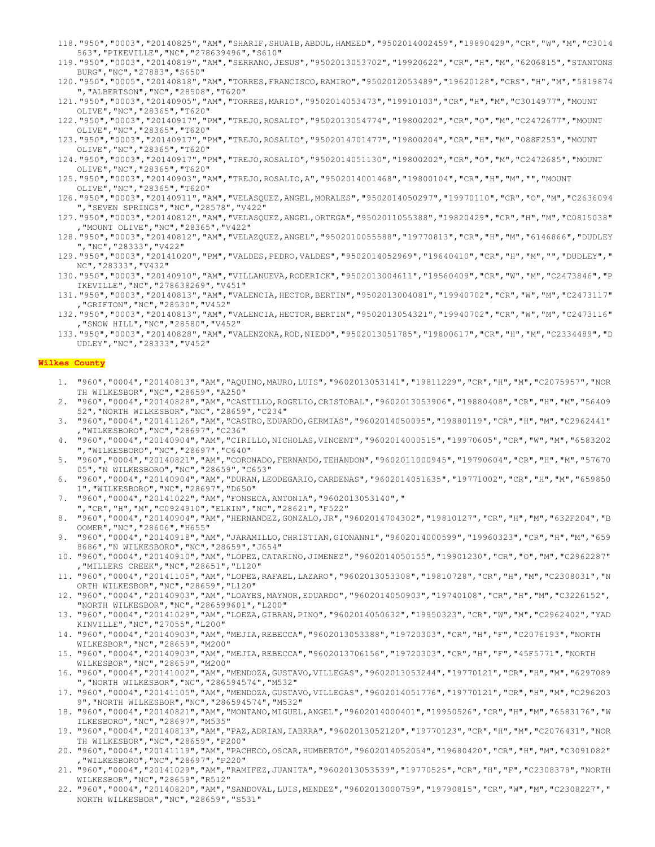- 118."950","0003","20140825","AM","SHARIF,SHUAIB,ABDUL,HAMEED","9502014002459","19890429","CR","W","M","C3014 563","PIKEVILLE","NC","278639496","S610"
- 119."950","0003","20140819","AM","SERRANO,JESUS","9502013053702","19920622","CR","H","M","6206815","STANTONS BURG","NC","27883","S650"
- 120."950","0005","20140818","AM","TORRES,FRANCISCO,RAMIRO","9502012053489","19620128","CRS","H","M","5819874 ","ALBERTSON","NC","28508","T620"
- 121."950","0003","20140905","AM","TORRES,MARIO","9502014053473","19910103","CR","H","M","C3014977","MOUNT OLIVE","NC","28365","T620"
- 122."950","0003","20140917","PM","TREJO,ROSALIO","9502013054774","19800202","CR","O","M","C2472677","MOUNT OLIVE","NC","28365","T620"
- 123."950","0003","20140917","PM","TREJO,ROSALIO","9502014701477","19800204","CR","H","M","088F253","MOUNT OLIVE","NC","28365","T620"
- 124."950","0003","20140917","PM","TREJO,ROSALIO","9502014051130","19800202","CR","O","M","C2472685","MOUNT OLIVE","NC","28365","T620"
- 125."950","0003","20140903","AM","TREJO,ROSALIO,A","9502014001468","19800104","CR","H","M","","MOUNT OLIVE","NC","28365","T620"
- 126."950","0003","20140911","AM","VELASQUEZ,ANGEL,MORALES","9502014050297","19970110","CR","O","M","C2636094 ","SEVEN SPRINGS","NC","28578","V422"
- 127."950","0003","20140812","AM","VELASQUEZ,ANGEL,ORTEGA","9502011055388","19820429","CR","H","M","C0815038" ,"MOUNT OLIVE","NC","28365","V422"
- 128."950","0003","20140812","AM","VELAZQUEZ,ANGEL","9502010055588","19770813","CR","H","M","6146866","DUDLEY ","NC","28333","V422"
- 129."950","0003","20141020","PM","VALDES,PEDRO,VALDES","9502014052969","19640410","CR","H","M","","DUDLEY"," NC","28333","V432"
- 130."950","0003","20140910","AM","VILLANUEVA,RODERICK","9502013004611","19560409","CR","W","M","C2473846","P IKEVILLE","NC","278638269","V451"
- 131."950","0003","20140813","AM","VALENCIA,HECTOR,BERTIN","9502013004081","19940702","CR","W","M","C2473117" ,"GRIFTON","NC","28530","V452"
- 132."950","0003","20140813","AM","VALENCIA,HECTOR,BERTIN","9502013054321","19940702","CR","W","M","C2473116" ,"SNOW HILL","NC","28580","V452"
- 133."950","0003","20140828","AM","VALENZONA,ROD,NIEDO","9502013051785","19800617","CR","H","M","C2334489","D UDLEY","NC","28333","V452"

#### **Wilkes County**

- 1. "960","0004","20140813","AM","AQUINO,MAURO,LUIS","9602013053141","19811229","CR","H","M","C2075957","NOR TH WILKESBOR","NC","28659","A250"
- 2. "960","0004","20140828","AM","CASTILLO,ROGELIO,CRISTOBAL","9602013053906","19880408","CR","H","M","56409 52","NORTH WILKESBOR","NC","28659","C234"
- 3. "960","0004","20141126","AM","CASTRO,EDUARDO,GERMIAS","9602014050095","19880119","CR","H","M","C2962441" ,"WILKESBORO","NC","28697","C236"
- 4. "960","0004","20140904","AM","CIRILLO,NICHOLAS,VINCENT","9602014000515","19970605","CR","W","M","6583202 ","WILKESBORO","NC","28697","C640"
- 5. "960","0004","20140821","AM","CORONADO,FERNANDO,TEHANDON","9602011000945","19790604","CR","H","M","57670 05","N WILKESBORO","NC","28659","C653"
- 6. "960","0004","20140904","AM","DURAN,LEODEGARIO,CARDENAS","9602014051635","19771002","CR","H","M","659850 1","WILKESBORO","NC","28697","D650"
- 7. "960","0004","20141022","AM","FONSECA,ANTONIA","9602013053140","
- ","CR","H","M","C0924910","ELKIN","NC","28621","F522"
- 8. "960","0004","20140904","AM","HERNANDEZ,GONZALO,JR","9602014704302","19810127","CR","H","M","632F204","B OOMER","NC","28606","H655"
- 9. "960","0004","20140918","AM","JARAMILLO,CHRISTIAN,GIONANNI","9602014000599","19960323","CR","H","M","659 8686","N WILKESBORO","NC","28659","J654"
- 10. "960","0004","20140910","AM","LOPEZ,CATARINO,JIMENEZ","9602014050155","19901230","CR","O","M","C2962287" ,"MILLERS CREEK","NC","28651","L120"
- 11. "960","0004","20141105","AM","LOPEZ,RAFAEL,LAZARO","9602013053308","19810728","CR","H","M","C2308031","N ORTH WILKESBOR","NC","28659","L120"
- 12. "960","0004","20140903","AM","LOAYES,MAYNOR,EDUARDO","9602014050903","19740108","CR","H","M","C3226152", "NORTH WILKESBOR","NC","286599601","L200"
- 13. "960","0004","20141029","AM","LOEZA,GIBRAN,PINO","9602014050632","19950323","CR","W","M","C2962402","YAD KINVILLE","NC","27055","L200"
- 14. "960","0004","20140903","AM","MEJIA,REBECCA","9602013053388","19720303","CR","H","F","C2076193","NORTH WILKESBOR","NC","28659","M200"
- 15. "960","0004","20140903","AM","MEJIA,REBECCA","9602013706156","19720303","CR","H","F","45F5771","NORTH WILKESBOR","NC","28659","M200"
- 16. "960","0004","20141002","AM","MENDOZA,GUSTAVO,VILLEGAS","9602013053244","19770121","CR","H","M","6297089 ","NORTH WILKESBOR","NC","286594574","M532"
- 17. "960","0004","20141105","AM","MENDOZA,GUSTAVO,VILLEGAS","9602014051776","19770121","CR","H","M","C296203 9","NORTH WILKESBOR","NC","286594574","M532"
- 18. "960","0004","20140821","AM","MONTANO,MIGUEL,ANGEL","9602014000401","19950526","CR","H","M","6583176","W ILKESBORO","NC","28697","M535"
- 19. "960","0004","20140813","AM","PAZ,ADRIAN,IABRRA","9602013052120","19770123","CR","H","M","C2076431","NOR TH WILKESBOR","NC","28659","P200"
- 20. "960","0004","20141119","AM","PACHECO,OSCAR,HUMBERTO","9602014052054","19680420","CR","H","M","C3091082" ,"WILKESBORO","NC","28697","P220"
- 21. "960","0004","20141029","AM","RAMIFEZ,JUANITA","9602013053539","19770525","CR","H","F","C2308378","NORTH WILKESBOR","NC","28659","R512"
- 22. "960","0004","20140820","AM","SANDOVAL,LUIS,MENDEZ","9602013000759","19790815","CR","W","M","C2308227"," NORTH WILKESBOR","NC","28659","S531"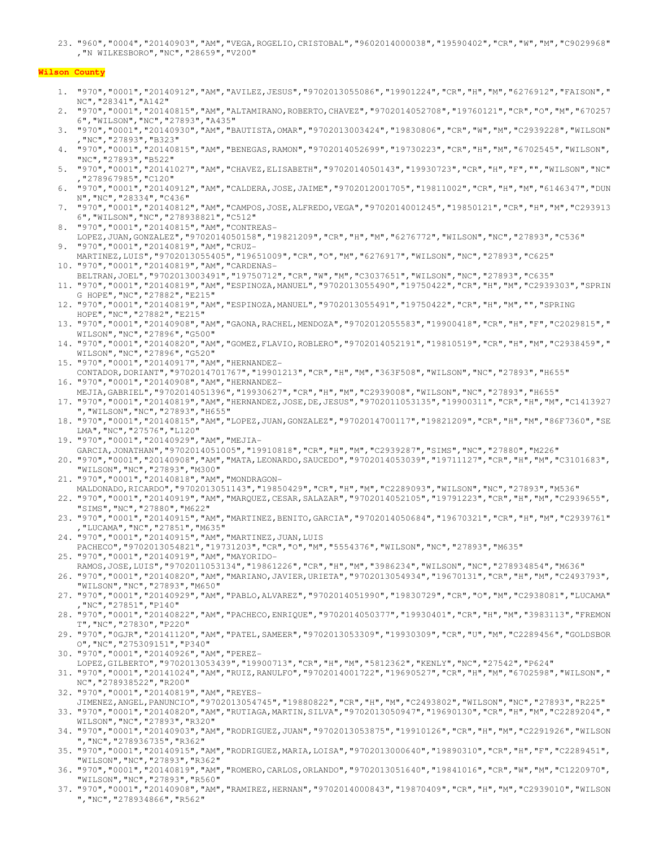23. "960","0004","20140903","AM","VEGA,ROGELIO,CRISTOBAL","9602014000038","19590402","CR","W","M","C9029968" ,"N WILKESBORO","NC","28659","V200"

## **Wilson County**

- 1. "970","0001","20140912","AM","AVILEZ,JESUS","9702013055086","19901224","CR","H","M","6276912","FAISON"," NC","28341","A142"
- 2. "970","0001","20140815","AM","ALTAMIRANO,ROBERTO,CHAVEZ","9702014052708","19760121","CR","O","M","670257 6","WILSON","NC","27893","A435"
- 3. "970","0001","20140930","AM","BAUTISTA,OMAR","9702013003424","19830806","CR","W","M","C2939228","WILSON" ,"NC","27893","B323"
- 4. "970","0001","20140815","AM","BENEGAS,RAMON","9702014052699","19730223","CR","H","M","6702545","WILSON", "NC","27893","B522"
- 5. "970","0001","20141027","AM","CHAVEZ,ELISABETH","9702014050143","19930723","CR","H","F","","WILSON","NC" ,"278967985","C120"
- 6. "970","0001","20140912","AM","CALDERA,JOSE,JAIME","9702012001705","19811002","CR","H","M","6146347","DUN N","NC","28334","C436"
- 7. "970","0001","20140812","AM","CAMPOS,JOSE,ALFREDO,VEGA","9702014001245","19850121","CR","H","M","C293913 6","WILSON","NC","278938821","C512"
- 8. "970","0001","20140815","AM","CONTREAS-
- LOPEZ,JUAN,GONZALEZ","9702014050158","19821209","CR","H","M","6276772","WILSON","NC","27893","C536" 9. "970", "0001", "20140819", "AM", "CRUZ-
- MARTINEZ,LUIS","9702013055405","19651009","CR","O","M","6276917","WILSON","NC","27893","C625" 10. "970","0001","20140819","AM","CARDENAS-
- BELTRAN,JOEL","9702013003491","19750712","CR","W","M","C3037651","WILSON","NC","27893","C635" 11. "970","0001","20140819","AM","ESPINOZA,MANUEL","9702013055490","19750422","CR","H","M","C2939303","SPRIN
- G HOPE","NC","27882","E215"
- 12. "970","0001","20140819","AM","ESPINOZA,MANUEL","9702013055491","19750422","CR","H","M","","SPRING HOPE","NC","27882","E215"
- 13. "970","0001","20140908","AM","GAONA,RACHEL,MENDOZA","9702012055583","19900418","CR","H","F","C2029815"," WILSON","NC","27896","G500"
- 14. "970","0001","20140820","AM","GOMEZ,FLAVIO,ROBLERO","9702014052191","19810519","CR","H","M","C2938459"," WILSON","NC","27896","G520"
- 15. "970","0001","20140917","AM","HERNANDEZ-
- CONTADOR,DORIANT","9702014701767","19901213","CR","H","M","363F508","WILSON","NC","27893","H655" 16. "970","0001","20140908","AM","HERNANDEZ-
- MEJIA,GABRIEL","9702014051396","19930627","CR","H","M","C2939008","WILSON","NC","27893","H655"
- 17. "970","0001","20140819","AM","HERNANDEZ,JOSE,DE,JESUS","9702011053135","19900311","CR","H","M","C1413927 ","WILSON","NC","27893","H655"
- 18. "970","0001","20140815","AM","LOPEZ,JUAN,GONZALEZ","9702014700117","19821209","CR","H","M","86F7360","SE LMA", "NC", "27576", "L120"
- 19. "970","0001","20140929","AM","MEJIA-GARCIA,JONATHAN","9702014051005","19910818","CR","H","M","C2939287","SIMS","NC","27880","M226"
- 20. "970","0001","20140908","AM","MATA,LEONARDO,SAUCEDO","9702014053039","19711127","CR","H","M","C3101683", "WILSON","NC","27893","M300"
- 21. "970","0001","20140818","AM","MONDRAGON-
- MALDONADO,RICARDO","9702013051143","19850429","CR","H","M","C2289093","WILSON","NC","27893","M536"
- 22. "970","0001","20140919","AM","MARQUEZ,CESAR,SALAZAR","9702014052105","19791223","CR","H","M","C2939655", "SIMS","NC","27880","M622"
- 23. "970","0001","20140915","AM","MARTINEZ,BENITO,GARCIA","9702014050684","19670321","CR","H","M","C2939761" ,"LUCAMA","NC","27851","M635"
- 24. "970","0001","20140915","AM","MARTINEZ,JUAN,LUIS
- PACHECO","9702013054821","19731203","CR","O","M","5554376","WILSON","NC","27893","M635" 25. "970","0001","20140919","AM","MAYORIDO-
- RAMOS,JOSE,LUIS","9702011053134","19861226","CR","H","M","3986234","WILSON","NC","278934854","M636"
- 26. "970","0001","20140820","AM","MARIANO,JAVIER,URIETA","9702013054934","19670131","CR","H","M","C2493793", "WILSON","NC","27893","M650"
- 27. "970","0001","20140929","AM","PABLO,ALVAREZ","9702014051990","19830729","CR","O","M","C2938081","LUCAMA" ,"NC","27851","P140"
- 28. "970","0001","20140822","AM","PACHECO,ENRIQUE","9702014050377","19930401","CR","H","M","3983113","FREMON T","NC","27830","P220"
- 29. "970","0GJR","20141120","AM","PATEL,SAMEER","9702013053309","19930309","CR","U","M","C2289456","GOLDSBOR O","NC","275309151","P340"
- 30. "970","0001","20140926","AM","PEREZ-LOPEZ,GILBERTO","9702013053439","19900713","CR","H","M","5812362","KENLY","NC","27542","P624"
- 31. "970","0001","20141024","AM","RUIZ,RANULFO","9702014001722","19690527","CR","H","M","6702598","WILSON"," NC","278938522","R200"
- 32. "970","0001","20140819","AM","REYES-
- JIMENEZ,ANGEL,PANUNCIO","9702013054745","19880822","CR","H","M","C2493802","WILSON","NC","27893","R225"
- 33. "970","0001","20140820","AM","RUTIAGA,MARTIN,SILVA","9702013050947","19690130","CR","H","M","C2289204"," WILSON","NC","27893","R320"
- 34. "970","0001","20140903","AM","RODRIGUEZ,JUAN","9702013053875","19910126","CR","H","M","C2291926","WILSON ","NC","278936735","R362"
- 35. "970","0001","20140915","AM","RODRIGUEZ,MARIA,LOISA","9702013000640","19890310","CR","H","F","C2289451", "WILSON","NC","27893","R362"
- 36. "970","0001","20140819","AM","ROMERO,CARLOS,ORLANDO","9702013051640","19841016","CR","W","M","C1220970", "WILSON","NC","27893","R560"
- 37. "970","0001","20140908","AM","RAMIREZ,HERNAN","9702014000843","19870409","CR","H","M","C2939010","WILSON ","NC","278934866","R562"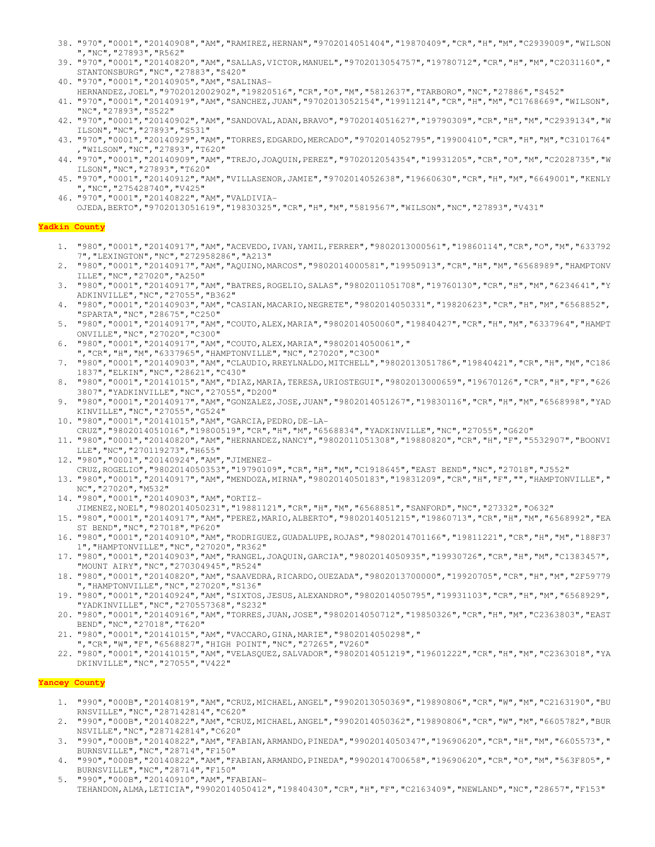- 38. "970","0001","20140908","AM","RAMIREZ,HERNAN","9702014051404","19870409","CR","H","M","C2939009","WILSON ","NC","27893","R562"
- 39. "970","0001","20140820","AM","SALLAS,VICTOR,MANUEL","9702013054757","19780712","CR","H","M","C2031160"," STANTONSBURG","NC","27883","S420"
- 40. "970","0001","20140905","AM","SALINAS-HERNANDEZ,JOEL","9702012002902","19820516","CR","O","M","5812637","TARBORO","NC","27886","S452"
- 41. "970","0001","20140919","AM","SANCHEZ,JUAN","9702013052154","19911214","CR","H","M","C1768669","WILSON", "NC","27893","S522"
- 42. "970","0001","20140902","AM","SANDOVAL,ADAN,BRAVO","9702014051627","19790309","CR","H","M","C2939134","W ILSON","NC","27893","S531"
- 43. "970","0001","20140929","AM","TORRES,EDGARDO,MERCADO","9702014052795","19900410","CR","H","M","C3101764" ,"WILSON","NC","27893","T620"
- 44. "970","0001","20140909","AM","TREJO,JOAQUIN,PEREZ","9702012054354","19931205","CR","O","M","C2028735","W ILSON","NC","27893","T620"
- 45. "970","0001","20140912","AM","VILLASENOR,JAMIE","9702014052638","19660630","CR","H","M","6649001","KENLY ","NC","275428740","V425"
- 46. "970","0001","20140822","AM","VALDIVIA-OJEDA,BERTO","9702013051619","19830325","CR","H","M","5819567","WILSON","NC","27893","V431"

### **Yadkin County**

- 1. "980","0001","20140917","AM","ACEVEDO,IVAN,YAMIL,FERRER","9802013000561","19860114","CR","O","M","633792 7","LEXINGTON","NC","272958286","A213"
- 2. "980","0001","20140917","AM","AQUINO,MARCOS","9802014000581","19950913","CR","H","M","6568989","HAMPTONV ILLE","NC","27020","A250"
- 3. "980","0001","20140917","AM","BATRES,ROGELIO,SALAS","9802011051708","19760130","CR","H","M","6234641","Y ADKINVILLE","NC","27055","B362"
- 4. "980","0001","20140903","AM","CASIAN,MACARIO,NEGRETE","9802014050331","19820623","CR","H","M","6568852", "SPARTA","NC","28675","C250"
- 5. "980","0001","20140917","AM","COUTO,ALEX,MARIA","9802014050060","19840427","CR","H","M","6337964","HAMPT ONVILLE","NC","27020","C300"
- 6. "980","0001","20140917","AM","COUTO,ALEX,MARIA","9802014050061","
- ","CR","H","M","6337965","HAMPTONVILLE","NC","27020","C300"
- 7. "980","0001","20140903","AM","CLAUDIO,RREYLNALDO,MITCHELL","9802013051786","19840421","CR","H","M","C186 1837","ELKIN","NC","28621","C430"
- 8. "980","0001","20141015","AM","DIAZ,MARIA,TERESA,URIOSTEGUI","9802013000659","19670126","CR","H","F","626 3807","YADKINVILLE","NC","27055","D200"
- 9. "980","0001","20140917","AM","GONZALEZ,JOSE,JUAN","9802014051267","19830116","CR","H","M","6568998","YAD KINVILLE","NC","27055","G524"
- 10. "980","0001","20141015","AM","GARCIA,PEDRO,DE-LA-
- CRUZ","9802014051016","19800519","CR","H","M","6568834","YADKINVILLE","NC","27055","G620"
- 11. "980","0001","20140820","AM","HERNANDEZ,NANCY","9802011051308","19880820","CR","H","F","5532907","BOONVI LLE","NC","270119273","H655"
- 12. "980","0001","20140924","AM","JIMENEZ-CRUZ,ROGELIO","9802014050353","19790109","CR","H","M","C1918645","EAST BEND","NC","27018","J552"
- 13. "980","0001","20140917","AM","MENDOZA,MIRNA","9802014050183","19831209","CR","H","F","","HAMPTONVILLE"," NC","27020","M532"
- 14. "980","0001","20140903","AM","ORTIZ-
- JIMENEZ,NOEL","9802014050231","19881121","CR","H","M","6568851","SANFORD","NC","27332","O632"
- 15. "980","0001","20140917","AM","PEREZ,MARIO,ALBERTO","9802014051215","19860713","CR","H","M","6568992","EA ST BEND","NC","27018","P620"
- 16. "980","0001","20140910","AM","RODRIGUEZ,GUADALUPE,ROJAS","9802014701166","19811221","CR","H","M","188F37 1","HAMPTONVILLE","NC","27020","R362"
- 17. "980","0001","20140903","AM","RANGEL,JOAQUIN,GARCIA","9802014050935","19930726","CR","H","M","C1383457", "MOUNT AIRY","NC","270304945","R524"
- 18. "980","0001","20140820","AM","SAAVEDRA,RICARDO,OUEZADA","9802013700000","19920705","CR","H","M","2F59779 ","HAMPTONVILLE","NC","27020","S136"
- 19. "980","0001","20140924","AM","SIXTOS,JESUS,ALEXANDRO","9802014050795","19931103","CR","H","M","6568929", "YADKINVILLE","NC","270557368","S232"
- 20. "980","0001","20140916","AM","TORRES,JUAN,JOSE","9802014050712","19850326","CR","H","M","C2363803","EAST BEND","NC","27018","T620"
- 21. "980","0001","20141015","AM","VACCARO,GINA,MARIE","9802014050298","
- ","CR","W","F","6568827","HIGH POINT","NC","27265","V260"
- 22. "980","0001","20141015","AM","VELASQUEZ,SALVADOR","9802014051219","19601222","CR","H","M","C2363018","YA DKINVILLE","NC","27055","V422"

# **Yancey County**

- 1. "990","000B","20140819","AM","CRUZ,MICHAEL,ANGEL","9902013050369","19890806","CR","W","M","C2163190","BU RNSVILLE","NC","287142814","C620"
- 2. "990","000B","20140822","AM","CRUZ,MICHAEL,ANGEL","9902014050362","19890806","CR","W","M","6605782","BUR NSVILLE","NC","287142814","C620"
- 3. "990","000B","20140822","AM","FABIAN,ARMANDO,PINEDA","9902014050347","19690620","CR","H","M","6605573"," BURNSVILLE","NC","28714","F150"
- 4. "990","000B","20140822","AM","FABIAN,ARMANDO,PINEDA","9902014700658","19690620","CR","O","M","563F805"," BURNSVILLE","NC","28714","F150"
- 5. "990","000B","20140910","AM","FABIAN-TEHANDON,ALMA,LETICIA","9902014050412","19840430","CR","H","F","C2163409","NEWLAND","NC","28657","F153"